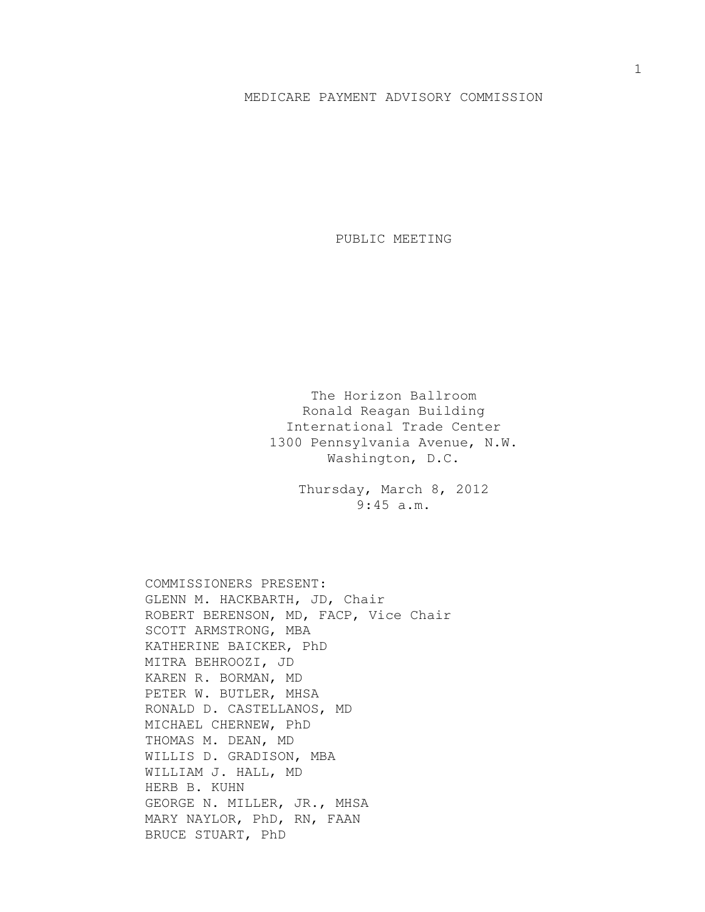## MEDICARE PAYMENT ADVISORY COMMISSION

PUBLIC MEETING

The Horizon Ballroom Ronald Reagan Building International Trade Center 1300 Pennsylvania Avenue, N.W. Washington, D.C.

> Thursday, March 8, 2012 9:45 a.m.

COMMISSIONERS PRESENT: GLENN M. HACKBARTH, JD, Chair ROBERT BERENSON, MD, FACP, Vice Chair SCOTT ARMSTRONG, MBA KATHERINE BAICKER, PhD MITRA BEHROOZI, JD KAREN R. BORMAN, MD PETER W. BUTLER, MHSA RONALD D. CASTELLANOS, MD MICHAEL CHERNEW, PhD THOMAS M. DEAN, MD WILLIS D. GRADISON, MBA WILLIAM J. HALL, MD HERB B. KUHN GEORGE N. MILLER, JR., MHSA MARY NAYLOR, PhD, RN, FAAN BRUCE STUART, PhD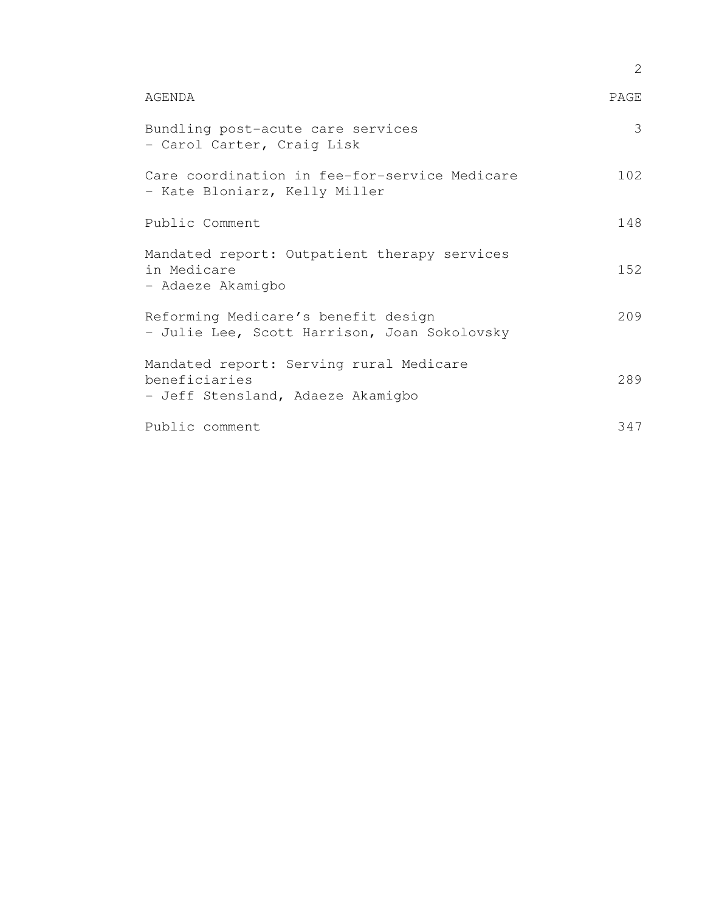|                                                                                               | 2    |
|-----------------------------------------------------------------------------------------------|------|
| AGENDA                                                                                        | PAGE |
| Bundling post-acute care services<br>- Carol Carter, Craig Lisk                               | 3    |
| Care coordination in fee-for-service Medicare<br>- Kate Bloniarz, Kelly Miller                | 102  |
| Public Comment                                                                                | 148  |
| Mandated report: Outpatient therapy services<br>in Medicare<br>- Adaeze Akamigbo              | 152  |
| Reforming Medicare's benefit design<br>- Julie Lee, Scott Harrison, Joan Sokolovsky           | 209  |
| Mandated report: Serving rural Medicare<br>beneficiaries<br>- Jeff Stensland, Adaeze Akamigbo | 289  |
| Public comment                                                                                | 347  |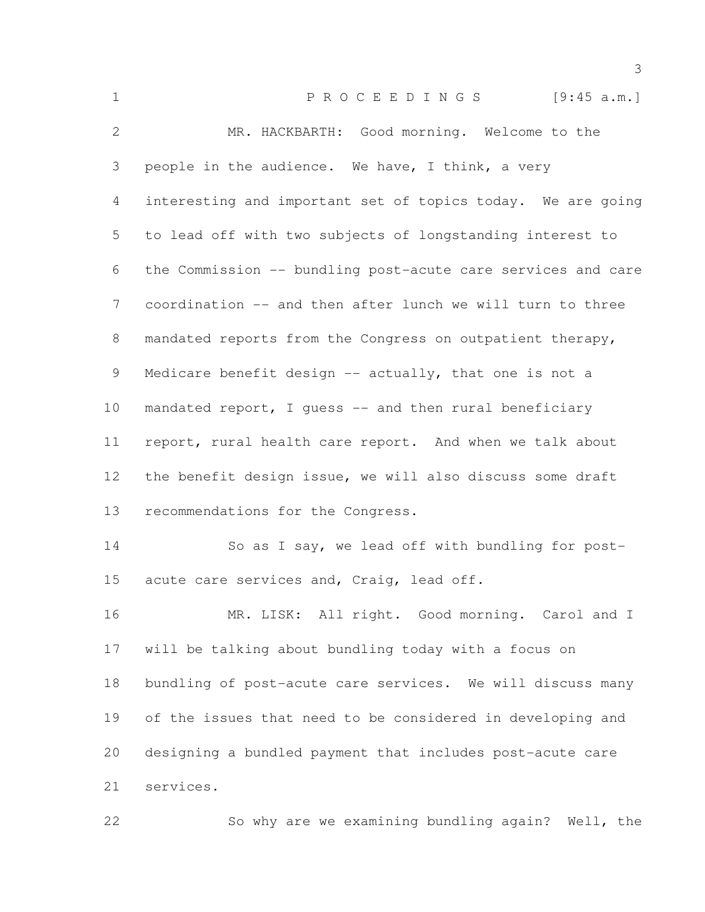| $\mathbf 1$    | PROCEEDINGS [9:45 a.m.]                                      |
|----------------|--------------------------------------------------------------|
| $\mathbf{2}$   | MR. HACKBARTH: Good morning. Welcome to the                  |
| 3              | people in the audience. We have, I think, a very             |
| 4              | interesting and important set of topics today. We are going  |
| 5              | to lead off with two subjects of longstanding interest to    |
| 6              | the Commission -- bundling post-acute care services and care |
| $7\phantom{.}$ | coordination -- and then after lunch we will turn to three   |
| 8              | mandated reports from the Congress on outpatient therapy,    |
| 9              | Medicare benefit design -- actually, that one is not a       |
| 10             | mandated report, I guess -- and then rural beneficiary       |
| 11             | report, rural health care report. And when we talk about     |
| 12             | the benefit design issue, we will also discuss some draft    |
| 13             | recommendations for the Congress.                            |
| 14             | So as I say, we lead off with bundling for post-             |
| 15             | acute care services and, Craig, lead off.                    |
| 16             | MR. LISK: All right. Good morning. Carol and I               |
| 17             | will be talking about bundling today with a focus on         |
| 18             | bundling of post-acute care services. We will discuss many   |
| 19             | of the issues that need to be considered in developing and   |
| 20             | designing a bundled payment that includes post-acute care    |
| 21             | services.                                                    |
| 22             | So why are we examining bundling again? Well, the            |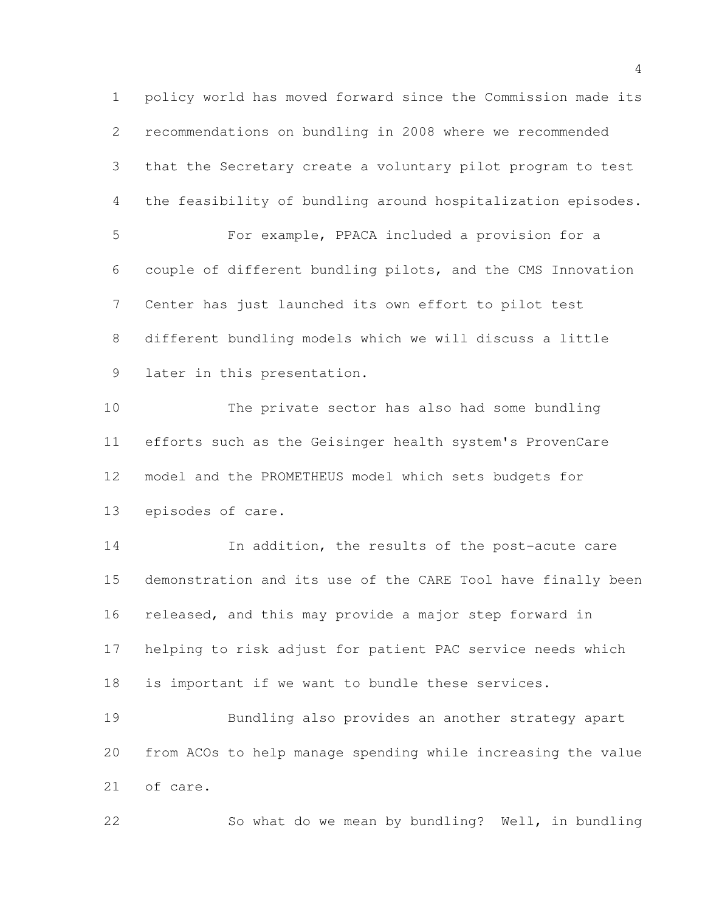policy world has moved forward since the Commission made its recommendations on bundling in 2008 where we recommended that the Secretary create a voluntary pilot program to test the feasibility of bundling around hospitalization episodes. For example, PPACA included a provision for a couple of different bundling pilots, and the CMS Innovation Center has just launched its own effort to pilot test different bundling models which we will discuss a little later in this presentation. The private sector has also had some bundling efforts such as the Geisinger health system's ProvenCare model and the PROMETHEUS model which sets budgets for episodes of care. 14 In addition, the results of the post-acute care demonstration and its use of the CARE Tool have finally been released, and this may provide a major step forward in helping to risk adjust for patient PAC service needs which is important if we want to bundle these services. Bundling also provides an another strategy apart from ACOs to help manage spending while increasing the value of care.

So what do we mean by bundling? Well, in bundling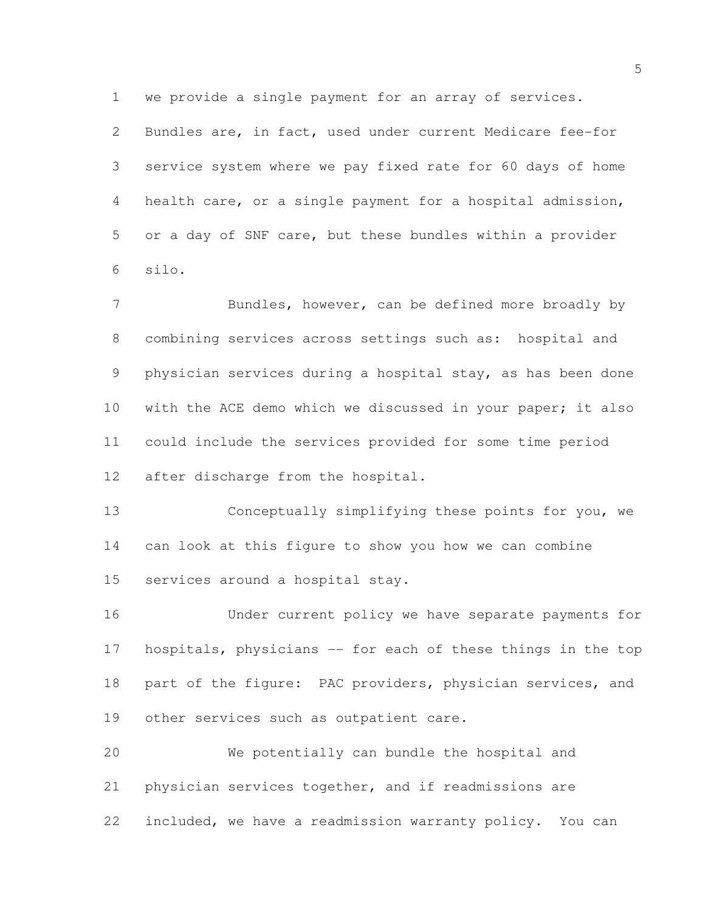we provide a single payment for an array of services.

 Bundles are, in fact, used under current Medicare fee-for service system where we pay fixed rate for 60 days of home health care, or a single payment for a hospital admission, or a day of SNF care, but these bundles within a provider silo.

7 Bundles, however, can be defined more broadly by combining services across settings such as: hospital and physician services during a hospital stay, as has been done with the ACE demo which we discussed in your paper; it also could include the services provided for some time period after discharge from the hospital.

 Conceptually simplifying these points for you, we can look at this figure to show you how we can combine services around a hospital stay.

 Under current policy we have separate payments for hospitals, physicians -- for each of these things in the top 18 part of the figure: PAC providers, physician services, and 19 other services such as outpatient care.

 We potentially can bundle the hospital and physician services together, and if readmissions are included, we have a readmission warranty policy. You can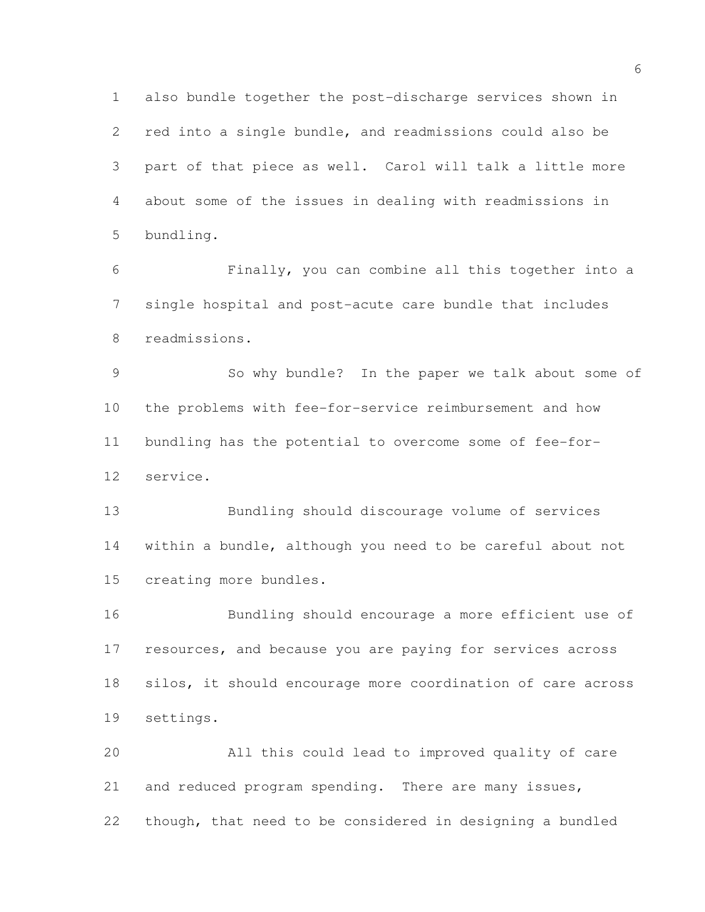also bundle together the post-discharge services shown in red into a single bundle, and readmissions could also be part of that piece as well. Carol will talk a little more about some of the issues in dealing with readmissions in bundling.

 Finally, you can combine all this together into a single hospital and post-acute care bundle that includes readmissions.

 So why bundle? In the paper we talk about some of the problems with fee-for-service reimbursement and how bundling has the potential to overcome some of fee-for-service.

 Bundling should discourage volume of services within a bundle, although you need to be careful about not creating more bundles.

 Bundling should encourage a more efficient use of resources, and because you are paying for services across silos, it should encourage more coordination of care across settings.

 All this could lead to improved quality of care 21 and reduced program spending. There are many issues, though, that need to be considered in designing a bundled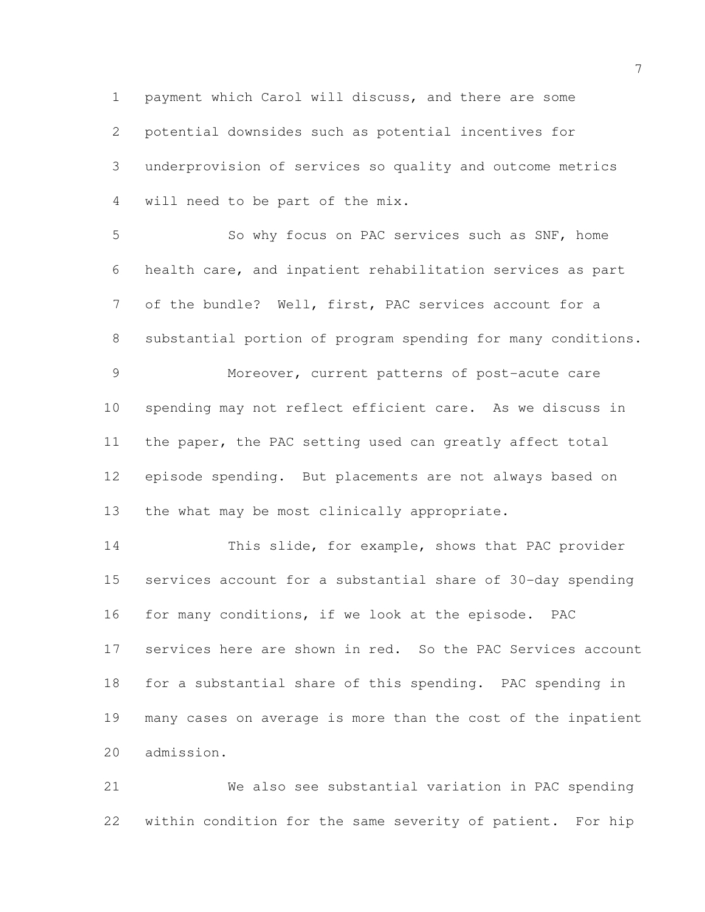payment which Carol will discuss, and there are some potential downsides such as potential incentives for underprovision of services so quality and outcome metrics will need to be part of the mix.

 So why focus on PAC services such as SNF, home health care, and inpatient rehabilitation services as part of the bundle? Well, first, PAC services account for a substantial portion of program spending for many conditions. Moreover, current patterns of post-acute care spending may not reflect efficient care. As we discuss in the paper, the PAC setting used can greatly affect total episode spending. But placements are not always based on the what may be most clinically appropriate.

 This slide, for example, shows that PAC provider services account for a substantial share of 30-day spending for many conditions, if we look at the episode. PAC services here are shown in red. So the PAC Services account for a substantial share of this spending. PAC spending in many cases on average is more than the cost of the inpatient admission.

 We also see substantial variation in PAC spending within condition for the same severity of patient. For hip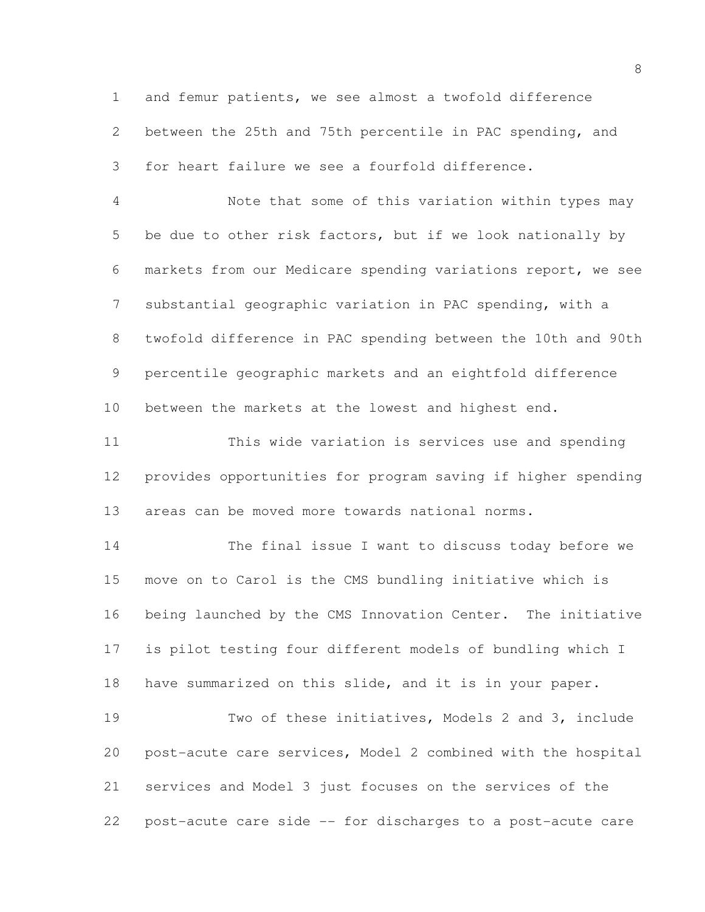and femur patients, we see almost a twofold difference between the 25th and 75th percentile in PAC spending, and for heart failure we see a fourfold difference. Note that some of this variation within types may be due to other risk factors, but if we look nationally by

 markets from our Medicare spending variations report, we see substantial geographic variation in PAC spending, with a twofold difference in PAC spending between the 10th and 90th percentile geographic markets and an eightfold difference between the markets at the lowest and highest end.

 This wide variation is services use and spending provides opportunities for program saving if higher spending areas can be moved more towards national norms.

 The final issue I want to discuss today before we move on to Carol is the CMS bundling initiative which is being launched by the CMS Innovation Center. The initiative is pilot testing four different models of bundling which I have summarized on this slide, and it is in your paper.

 Two of these initiatives, Models 2 and 3, include post-acute care services, Model 2 combined with the hospital services and Model 3 just focuses on the services of the post-acute care side -- for discharges to a post-acute care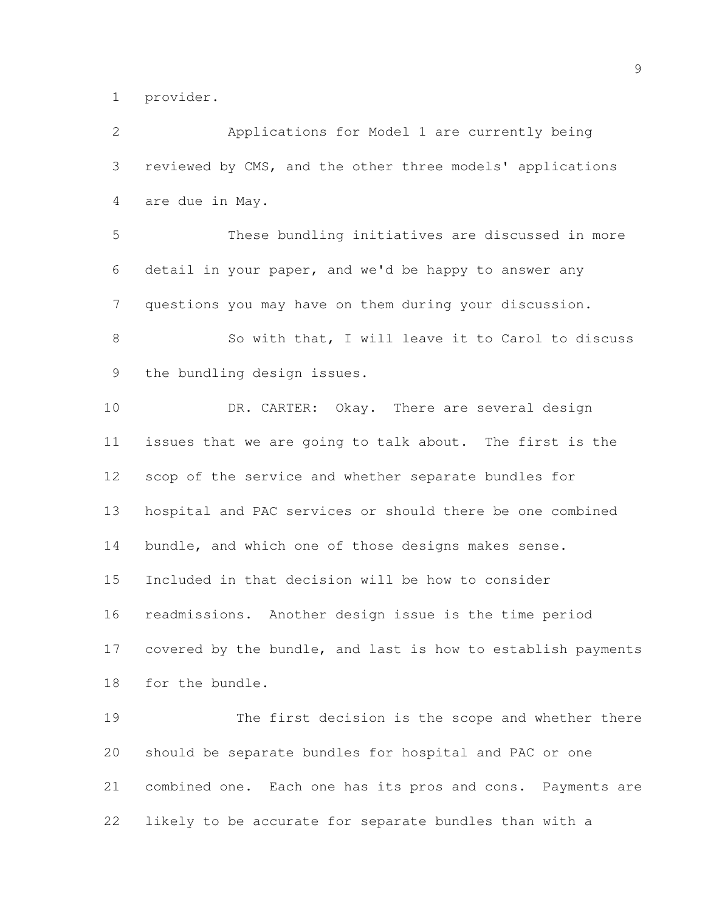provider.

 Applications for Model 1 are currently being reviewed by CMS, and the other three models' applications are due in May. These bundling initiatives are discussed in more detail in your paper, and we'd be happy to answer any questions you may have on them during your discussion. So with that, I will leave it to Carol to discuss the bundling design issues. DR. CARTER: Okay. There are several design issues that we are going to talk about. The first is the scop of the service and whether separate bundles for hospital and PAC services or should there be one combined 14 bundle, and which one of those designs makes sense. Included in that decision will be how to consider readmissions. Another design issue is the time period covered by the bundle, and last is how to establish payments for the bundle. 19 The first decision is the scope and whether there should be separate bundles for hospital and PAC or one combined one. Each one has its pros and cons. Payments are likely to be accurate for separate bundles than with a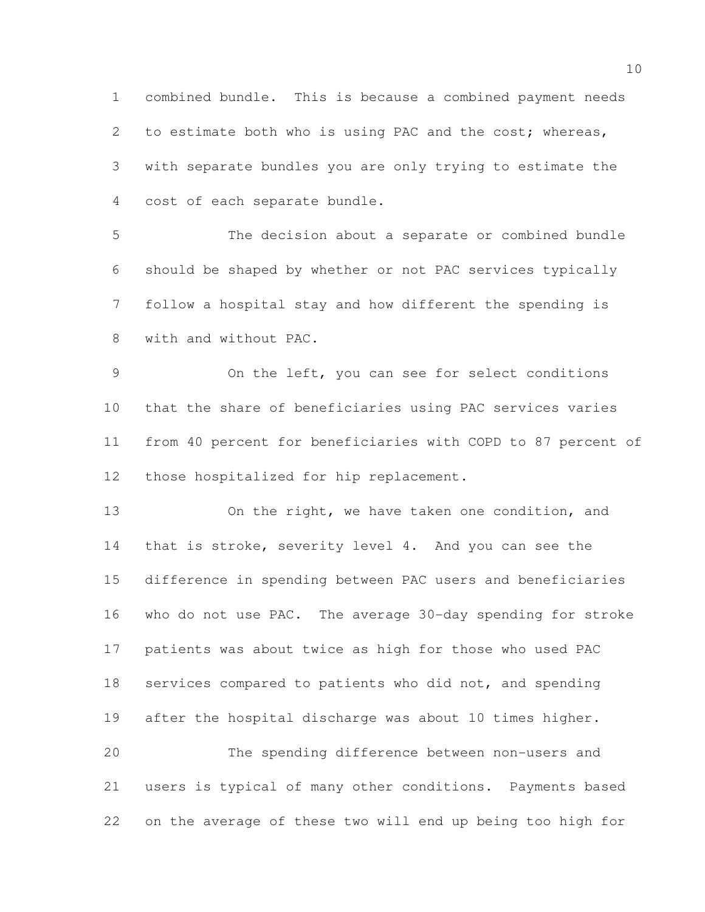combined bundle. This is because a combined payment needs to estimate both who is using PAC and the cost; whereas, with separate bundles you are only trying to estimate the cost of each separate bundle.

 The decision about a separate or combined bundle should be shaped by whether or not PAC services typically follow a hospital stay and how different the spending is with and without PAC.

 On the left, you can see for select conditions that the share of beneficiaries using PAC services varies from 40 percent for beneficiaries with COPD to 87 percent of those hospitalized for hip replacement.

13 On the right, we have taken one condition, and 14 that is stroke, severity level 4. And you can see the difference in spending between PAC users and beneficiaries who do not use PAC. The average 30-day spending for stroke patients was about twice as high for those who used PAC services compared to patients who did not, and spending after the hospital discharge was about 10 times higher.

 The spending difference between non-users and users is typical of many other conditions. Payments based on the average of these two will end up being too high for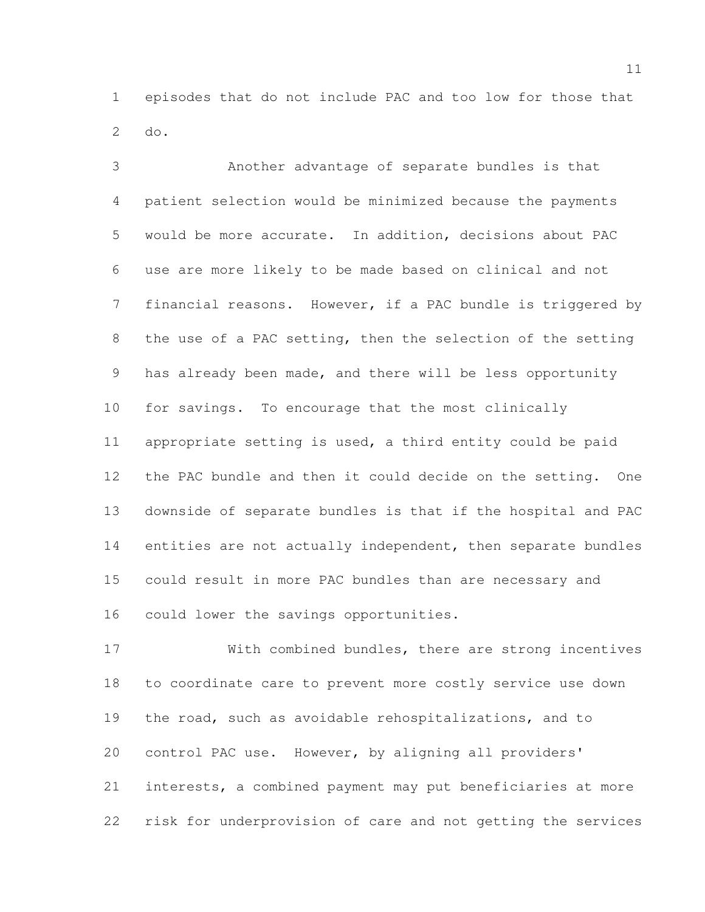episodes that do not include PAC and too low for those that do.

 Another advantage of separate bundles is that patient selection would be minimized because the payments would be more accurate. In addition, decisions about PAC use are more likely to be made based on clinical and not financial reasons. However, if a PAC bundle is triggered by the use of a PAC setting, then the selection of the setting has already been made, and there will be less opportunity for savings. To encourage that the most clinically appropriate setting is used, a third entity could be paid the PAC bundle and then it could decide on the setting. One downside of separate bundles is that if the hospital and PAC entities are not actually independent, then separate bundles could result in more PAC bundles than are necessary and could lower the savings opportunities.

 With combined bundles, there are strong incentives to coordinate care to prevent more costly service use down the road, such as avoidable rehospitalizations, and to control PAC use. However, by aligning all providers' interests, a combined payment may put beneficiaries at more risk for underprovision of care and not getting the services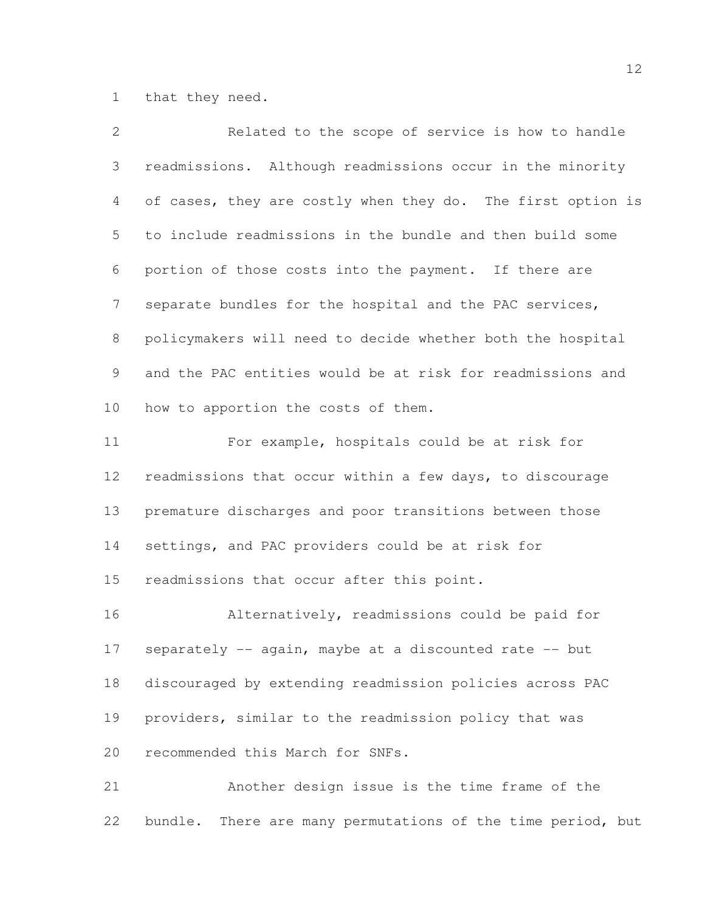that they need.

| $\mathbf{2}$ | Related to the scope of service is how to handle            |
|--------------|-------------------------------------------------------------|
| 3            | readmissions. Although readmissions occur in the minority   |
| 4            | of cases, they are costly when they do. The first option is |
| 5            | to include readmissions in the bundle and then build some   |
| 6            | portion of those costs into the payment. If there are       |
| 7            | separate bundles for the hospital and the PAC services,     |
| 8            | policymakers will need to decide whether both the hospital  |
| 9            | and the PAC entities would be at risk for readmissions and  |
| 10           | how to apportion the costs of them.                         |
| 11           | For example, hospitals could be at risk for                 |
| 12           | readmissions that occur within a few days, to discourage    |
| 13           | premature discharges and poor transitions between those     |
| 14           | settings, and PAC providers could be at risk for            |
| 15           | readmissions that occur after this point.                   |
| 16           | Alternatively, readmissions could be paid for               |
| 17           | separately -- again, maybe at a discounted rate -- but      |
| 18           | discouraged by extending readmission policies across PAC    |
| 19           | providers, similar to the readmission policy that was       |
| 20           | recommended this March for SNFs.                            |
| 21           | Another design issue is the time frame of the               |

bundle. There are many permutations of the time period, but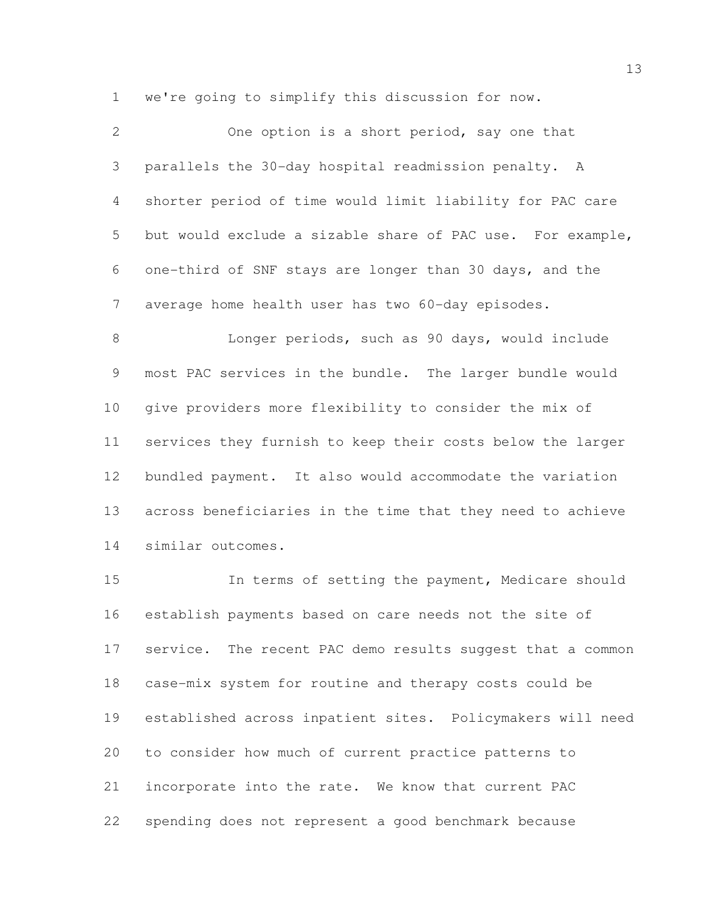we're going to simplify this discussion for now.

| $\overline{2}$ | One option is a short period, say one that                 |
|----------------|------------------------------------------------------------|
| 3              | parallels the 30-day hospital readmission penalty. A       |
| 4              | shorter period of time would limit liability for PAC care  |
| 5              | but would exclude a sizable share of PAC use. For example, |
| 6              | one-third of SNF stays are longer than 30 days, and the    |
| 7              | average home health user has two 60-day episodes.          |
| 8              | Longer periods, such as 90 days, would include             |
| 9              | most PAC services in the bundle. The larger bundle would   |
| 10             | give providers more flexibility to consider the mix of     |
| 11             | services they furnish to keep their costs below the larger |
| 12             | bundled payment. It also would accommodate the variation   |
| 13             | across beneficiaries in the time that they need to achieve |
| 14             | similar outcomes.                                          |

 In terms of setting the payment, Medicare should establish payments based on care needs not the site of service. The recent PAC demo results suggest that a common case-mix system for routine and therapy costs could be established across inpatient sites. Policymakers will need to consider how much of current practice patterns to incorporate into the rate. We know that current PAC spending does not represent a good benchmark because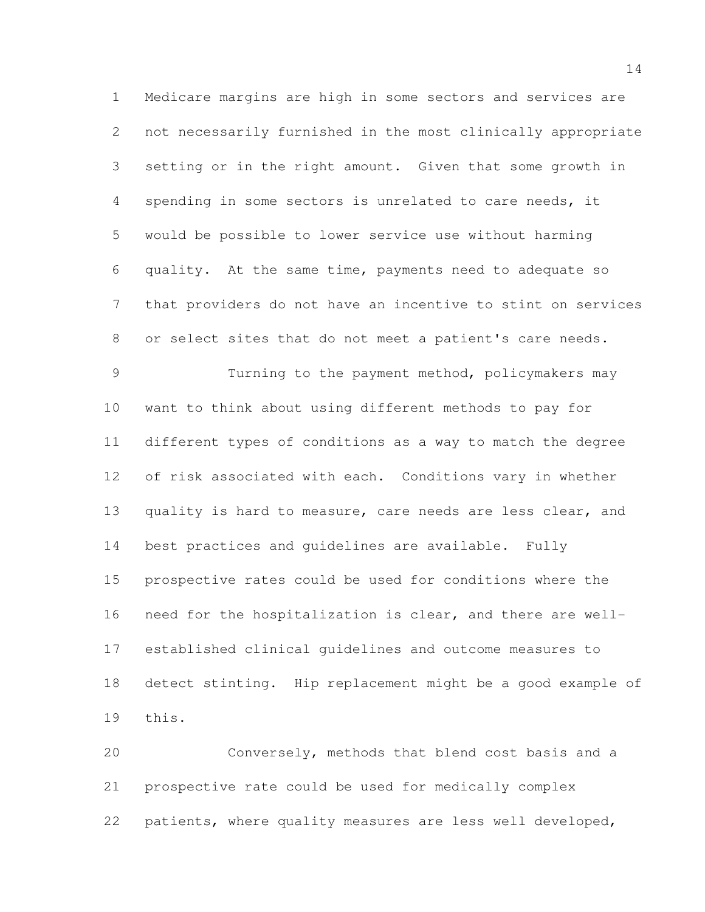Medicare margins are high in some sectors and services are not necessarily furnished in the most clinically appropriate setting or in the right amount. Given that some growth in spending in some sectors is unrelated to care needs, it would be possible to lower service use without harming quality. At the same time, payments need to adequate so that providers do not have an incentive to stint on services or select sites that do not meet a patient's care needs. Turning to the payment method, policymakers may

 want to think about using different methods to pay for different types of conditions as a way to match the degree of risk associated with each. Conditions vary in whether 13 quality is hard to measure, care needs are less clear, and best practices and guidelines are available. Fully prospective rates could be used for conditions where the need for the hospitalization is clear, and there are well- established clinical guidelines and outcome measures to detect stinting. Hip replacement might be a good example of this.

 Conversely, methods that blend cost basis and a prospective rate could be used for medically complex patients, where quality measures are less well developed,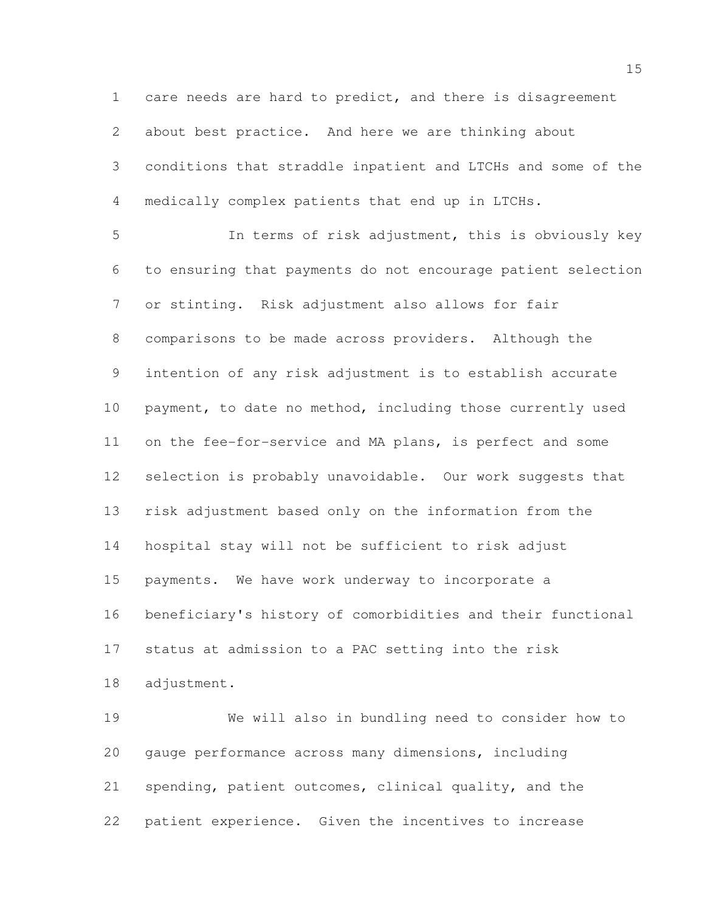care needs are hard to predict, and there is disagreement about best practice. And here we are thinking about conditions that straddle inpatient and LTCHs and some of the medically complex patients that end up in LTCHs. In terms of risk adjustment, this is obviously key to ensuring that payments do not encourage patient selection or stinting. Risk adjustment also allows for fair comparisons to be made across providers. Although the intention of any risk adjustment is to establish accurate payment, to date no method, including those currently used on the fee-for-service and MA plans, is perfect and some selection is probably unavoidable. Our work suggests that risk adjustment based only on the information from the hospital stay will not be sufficient to risk adjust payments. We have work underway to incorporate a beneficiary's history of comorbidities and their functional status at admission to a PAC setting into the risk adjustment.

 We will also in bundling need to consider how to gauge performance across many dimensions, including spending, patient outcomes, clinical quality, and the patient experience. Given the incentives to increase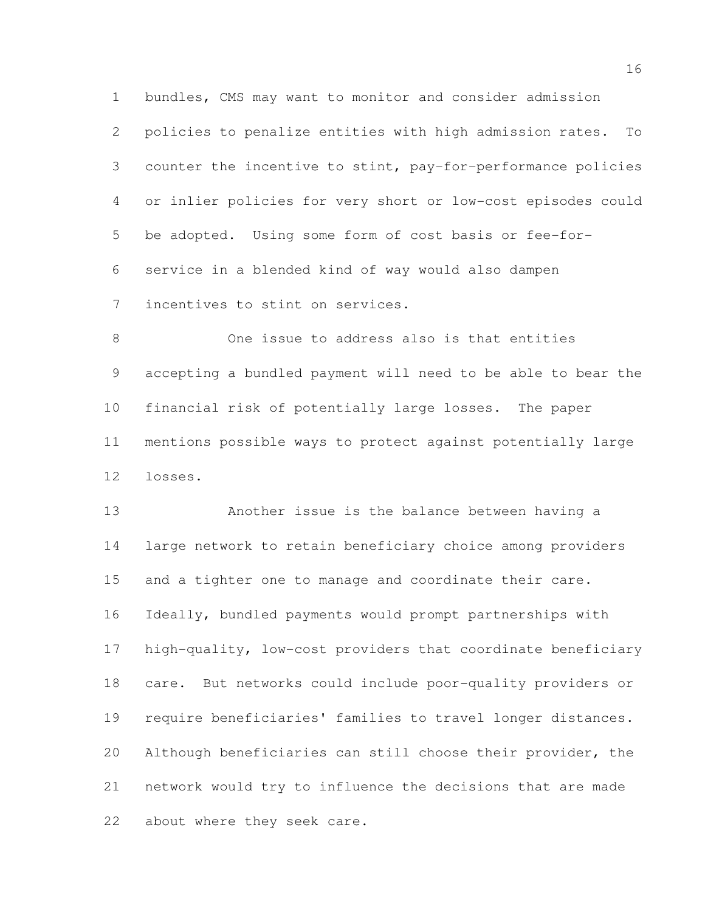bundles, CMS may want to monitor and consider admission policies to penalize entities with high admission rates. To counter the incentive to stint, pay-for-performance policies or inlier policies for very short or low-cost episodes could be adopted. Using some form of cost basis or fee-for- service in a blended kind of way would also dampen incentives to stint on services.

 One issue to address also is that entities accepting a bundled payment will need to be able to bear the financial risk of potentially large losses. The paper mentions possible ways to protect against potentially large losses.

 Another issue is the balance between having a large network to retain beneficiary choice among providers and a tighter one to manage and coordinate their care. Ideally, bundled payments would prompt partnerships with high-quality, low-cost providers that coordinate beneficiary care. But networks could include poor-quality providers or require beneficiaries' families to travel longer distances. Although beneficiaries can still choose their provider, the network would try to influence the decisions that are made about where they seek care.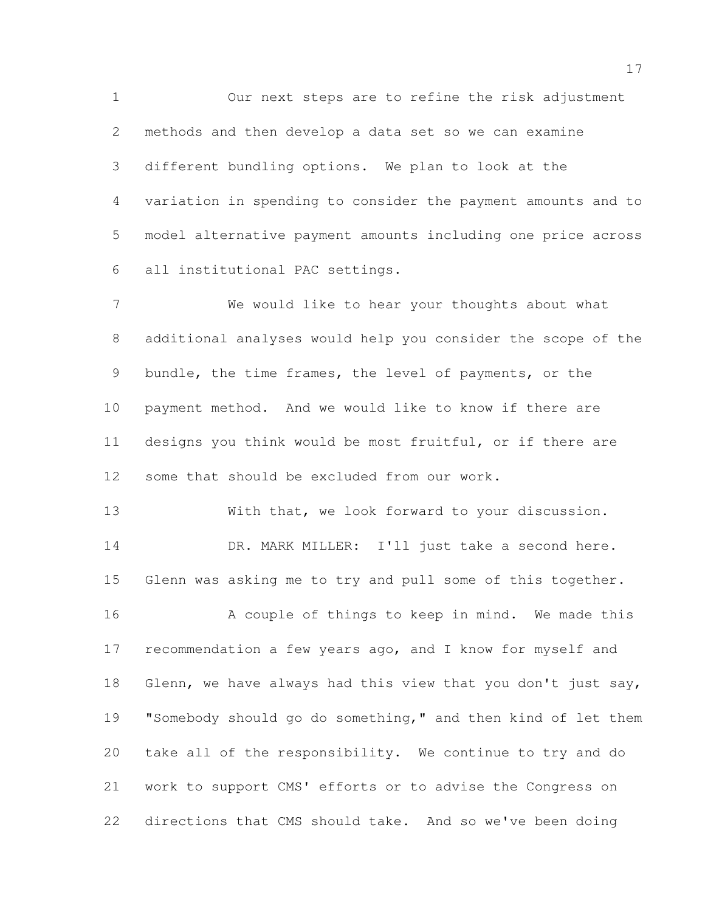Our next steps are to refine the risk adjustment methods and then develop a data set so we can examine different bundling options. We plan to look at the variation in spending to consider the payment amounts and to model alternative payment amounts including one price across all institutional PAC settings.

 We would like to hear your thoughts about what additional analyses would help you consider the scope of the bundle, the time frames, the level of payments, or the payment method. And we would like to know if there are designs you think would be most fruitful, or if there are some that should be excluded from our work.

 With that, we look forward to your discussion. 14 DR. MARK MILLER: I'll just take a second here. Glenn was asking me to try and pull some of this together. 16 A couple of things to keep in mind. We made this recommendation a few years ago, and I know for myself and Glenn, we have always had this view that you don't just say, 19 "Somebody should go do something," and then kind of let them take all of the responsibility. We continue to try and do

directions that CMS should take. And so we've been doing

work to support CMS' efforts or to advise the Congress on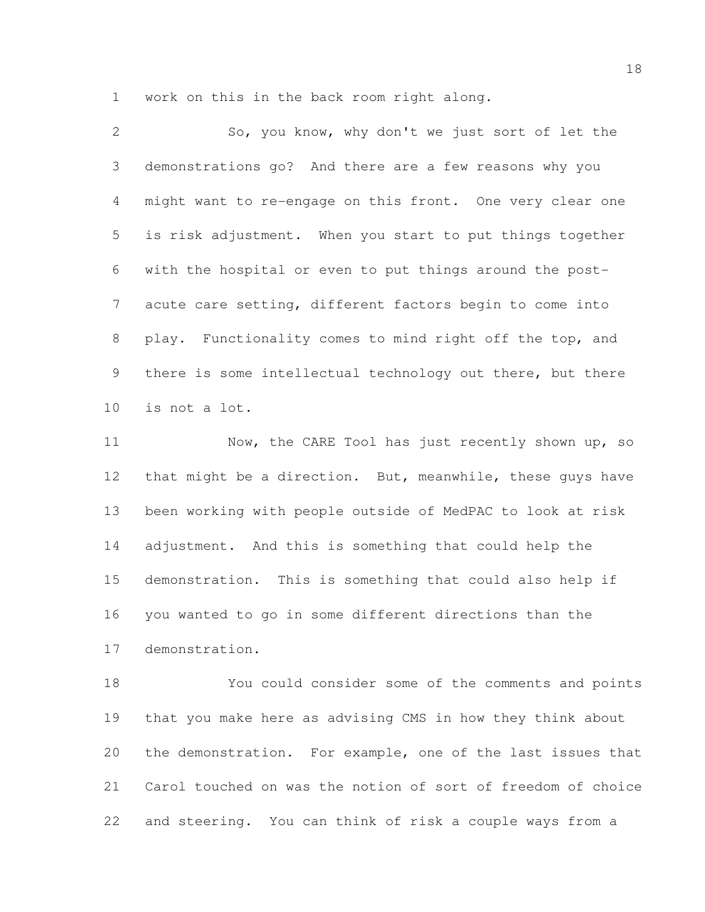work on this in the back room right along.

| $\overline{2}$ | So, you know, why don't we just sort of let the            |
|----------------|------------------------------------------------------------|
| 3 <sup>7</sup> | demonstrations go? And there are a few reasons why you     |
| $4 -$          | might want to re-engage on this front. One very clear one  |
| 5              | is risk adjustment. When you start to put things together  |
| 6              | with the hospital or even to put things around the post-   |
| 7              | acute care setting, different factors begin to come into   |
| 8              | play. Functionality comes to mind right off the top, and   |
| 9              | there is some intellectual technology out there, but there |
| 10             | is not a lot.                                              |

11 Now, the CARE Tool has just recently shown up, so 12 that might be a direction. But, meanwhile, these guys have been working with people outside of MedPAC to look at risk adjustment. And this is something that could help the demonstration. This is something that could also help if you wanted to go in some different directions than the demonstration.

 You could consider some of the comments and points that you make here as advising CMS in how they think about the demonstration. For example, one of the last issues that Carol touched on was the notion of sort of freedom of choice and steering. You can think of risk a couple ways from a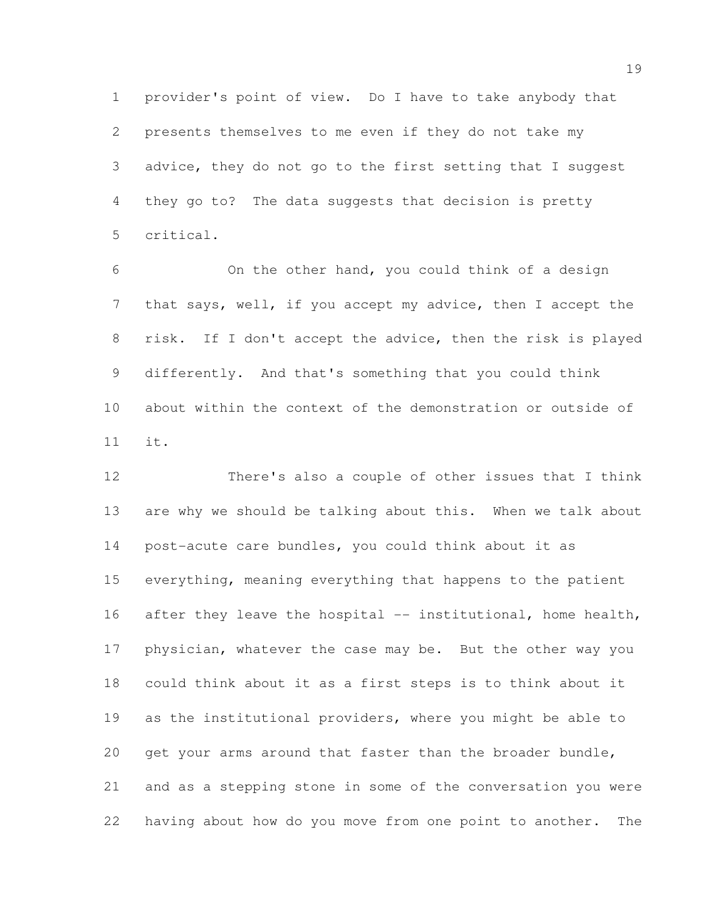provider's point of view. Do I have to take anybody that presents themselves to me even if they do not take my advice, they do not go to the first setting that I suggest they go to? The data suggests that decision is pretty critical.

 On the other hand, you could think of a design that says, well, if you accept my advice, then I accept the risk. If I don't accept the advice, then the risk is played differently. And that's something that you could think about within the context of the demonstration or outside of it.

 There's also a couple of other issues that I think are why we should be talking about this. When we talk about post-acute care bundles, you could think about it as everything, meaning everything that happens to the patient 16 after they leave the hospital -- institutional, home health, 17 physician, whatever the case may be. But the other way you could think about it as a first steps is to think about it as the institutional providers, where you might be able to get your arms around that faster than the broader bundle, and as a stepping stone in some of the conversation you were having about how do you move from one point to another. The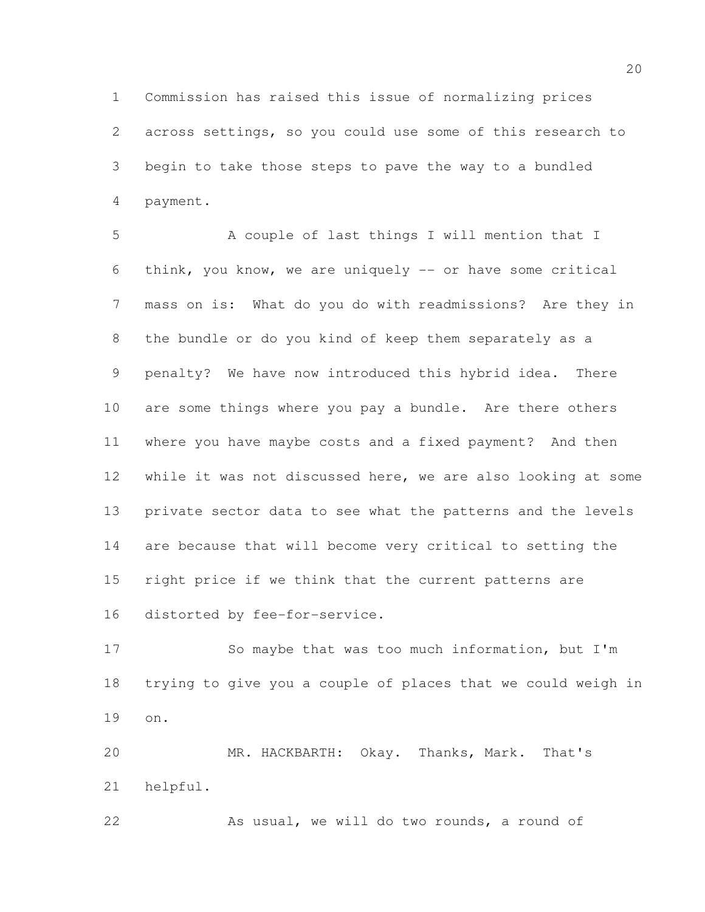Commission has raised this issue of normalizing prices across settings, so you could use some of this research to begin to take those steps to pave the way to a bundled payment.

 A couple of last things I will mention that I think, you know, we are uniquely -- or have some critical mass on is: What do you do with readmissions? Are they in the bundle or do you kind of keep them separately as a penalty? We have now introduced this hybrid idea. There are some things where you pay a bundle. Are there others where you have maybe costs and a fixed payment? And then while it was not discussed here, we are also looking at some private sector data to see what the patterns and the levels are because that will become very critical to setting the right price if we think that the current patterns are distorted by fee-for-service.

 So maybe that was too much information, but I'm trying to give you a couple of places that we could weigh in on.

 MR. HACKBARTH: Okay. Thanks, Mark. That's helpful.

22 As usual, we will do two rounds, a round of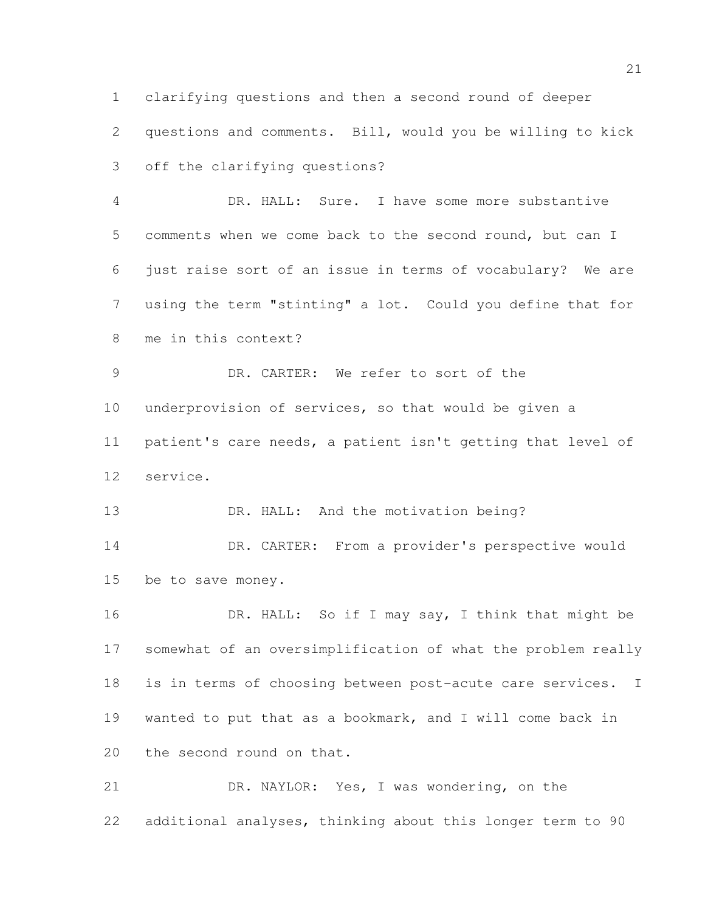clarifying questions and then a second round of deeper questions and comments. Bill, would you be willing to kick off the clarifying questions?

 DR. HALL: Sure. I have some more substantive comments when we come back to the second round, but can I just raise sort of an issue in terms of vocabulary? We are using the term "stinting" a lot. Could you define that for me in this context?

 DR. CARTER: We refer to sort of the underprovision of services, so that would be given a patient's care needs, a patient isn't getting that level of service.

13 DR. HALL: And the motivation being?

 DR. CARTER: From a provider's perspective would be to save money.

16 DR. HALL: So if I may say, I think that might be somewhat of an oversimplification of what the problem really is in terms of choosing between post-acute care services. I wanted to put that as a bookmark, and I will come back in 20 the second round on that.

 DR. NAYLOR: Yes, I was wondering, on the additional analyses, thinking about this longer term to 90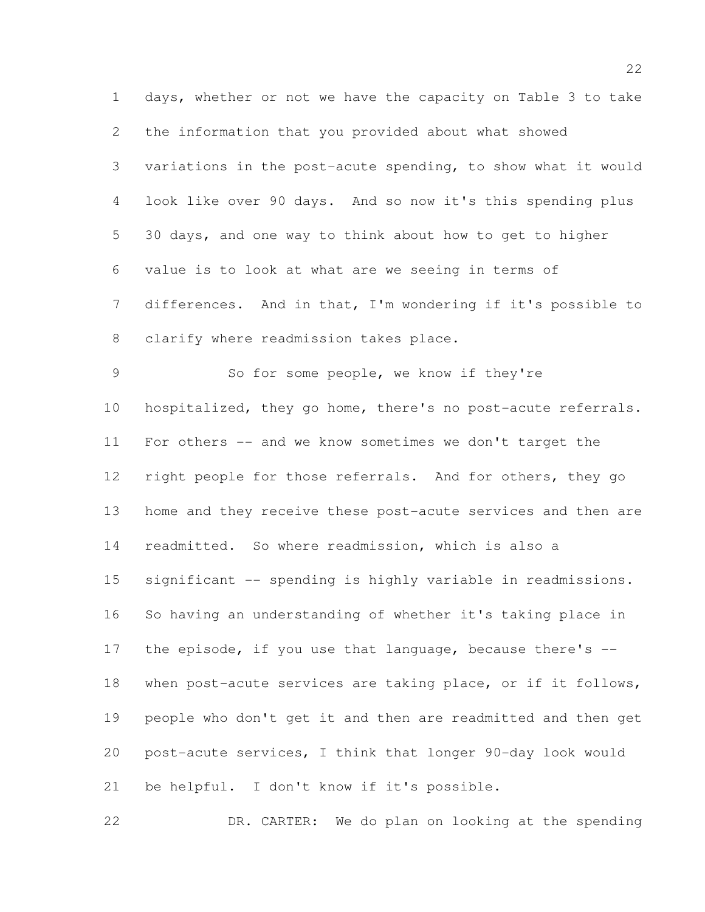days, whether or not we have the capacity on Table 3 to take the information that you provided about what showed variations in the post-acute spending, to show what it would look like over 90 days. And so now it's this spending plus 30 days, and one way to think about how to get to higher value is to look at what are we seeing in terms of differences. And in that, I'm wondering if it's possible to clarify where readmission takes place. So for some people, we know if they're hospitalized, they go home, there's no post-acute referrals. For others -- and we know sometimes we don't target the right people for those referrals. And for others, they go home and they receive these post-acute services and then are readmitted. So where readmission, which is also a 15 significant -- spending is highly variable in readmissions. So having an understanding of whether it's taking place in 17 the episode, if you use that language, because there's -- when post-acute services are taking place, or if it follows, people who don't get it and then are readmitted and then get post-acute services, I think that longer 90-day look would be helpful. I don't know if it's possible.

DR. CARTER: We do plan on looking at the spending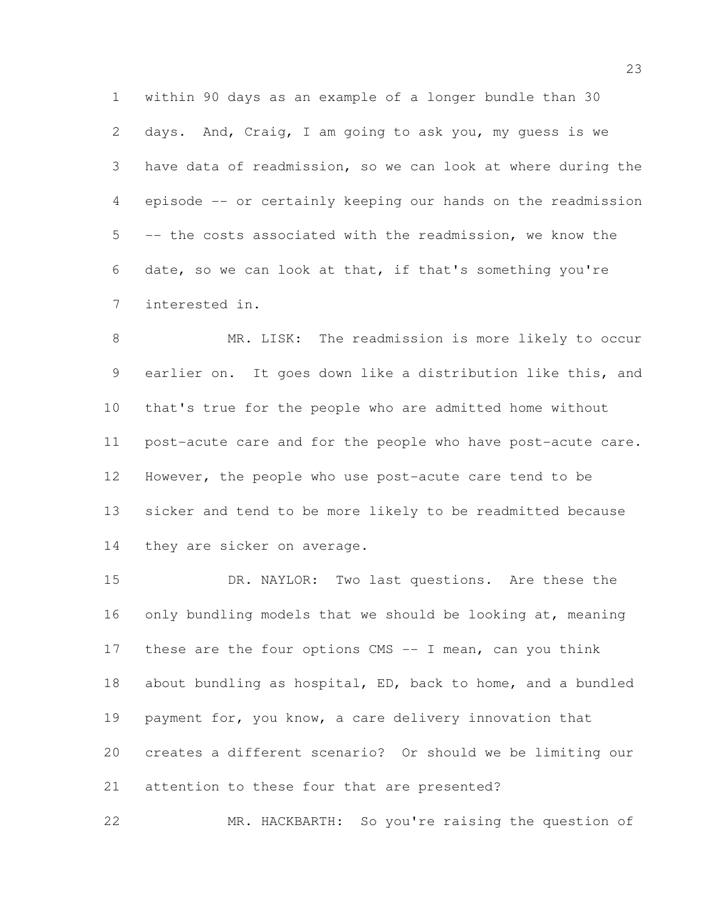within 90 days as an example of a longer bundle than 30 days. And, Craig, I am going to ask you, my guess is we have data of readmission, so we can look at where during the episode -- or certainly keeping our hands on the readmission -- the costs associated with the readmission, we know the date, so we can look at that, if that's something you're interested in.

 MR. LISK: The readmission is more likely to occur earlier on. It goes down like a distribution like this, and that's true for the people who are admitted home without post-acute care and for the people who have post-acute care. However, the people who use post-acute care tend to be sicker and tend to be more likely to be readmitted because 14 they are sicker on average.

 DR. NAYLOR: Two last questions. Are these the 16 only bundling models that we should be looking at, meaning these are the four options CMS -- I mean, can you think about bundling as hospital, ED, back to home, and a bundled payment for, you know, a care delivery innovation that creates a different scenario? Or should we be limiting our attention to these four that are presented?

MR. HACKBARTH: So you're raising the question of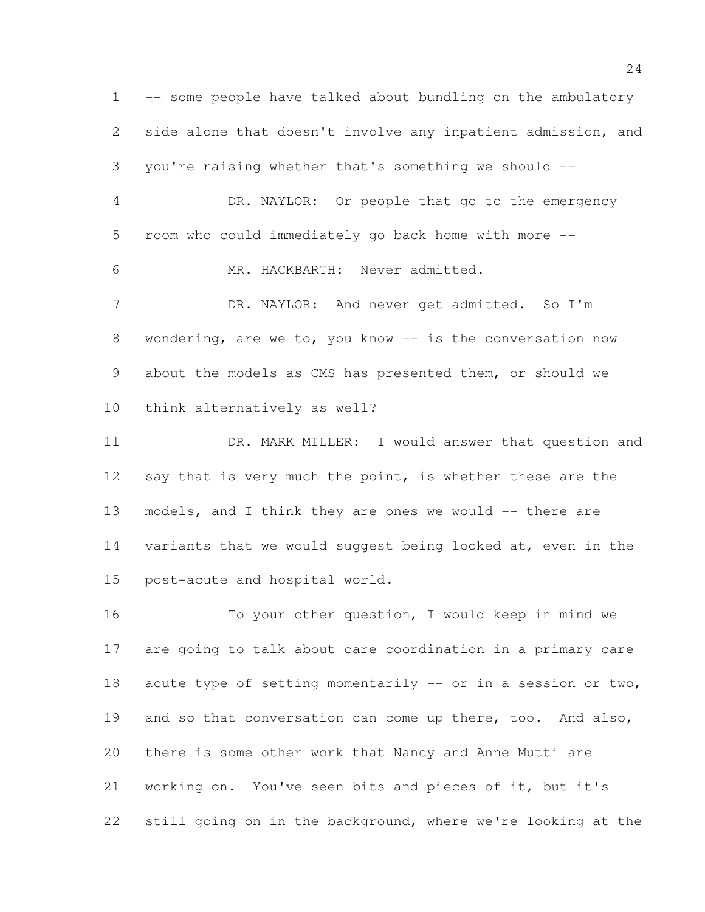-- some people have talked about bundling on the ambulatory side alone that doesn't involve any inpatient admission, and you're raising whether that's something we should -- DR. NAYLOR: Or people that go to the emergency room who could immediately go back home with more -- MR. HACKBARTH: Never admitted. 7 DR. NAYLOR: And never get admitted. So I'm 8 wondering, are we to, you know -- is the conversation now about the models as CMS has presented them, or should we think alternatively as well? DR. MARK MILLER: I would answer that question and 12 say that is very much the point, is whether these are the models, and I think they are ones we would -- there are variants that we would suggest being looked at, even in the post-acute and hospital world. To your other question, I would keep in mind we are going to talk about care coordination in a primary care 18 acute type of setting momentarily -- or in a session or two,

there is some other work that Nancy and Anne Mutti are

working on. You've seen bits and pieces of it, but it's

still going on in the background, where we're looking at the

19 and so that conversation can come up there, too. And also,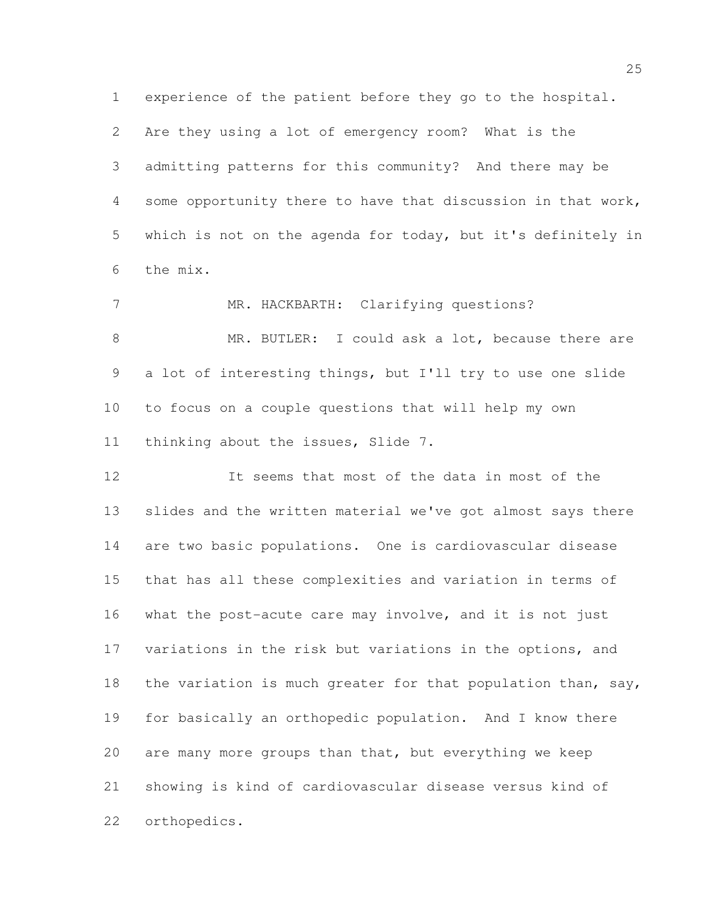Are they using a lot of emergency room? What is the admitting patterns for this community? And there may be some opportunity there to have that discussion in that work, which is not on the agenda for today, but it's definitely in the mix.

experience of the patient before they go to the hospital.

7 MR. HACKBARTH: Clarifying questions? 8 MR. BUTLER: I could ask a lot, because there are a lot of interesting things, but I'll try to use one slide to focus on a couple questions that will help my own thinking about the issues, Slide 7.

 It seems that most of the data in most of the slides and the written material we've got almost says there are two basic populations. One is cardiovascular disease that has all these complexities and variation in terms of what the post-acute care may involve, and it is not just variations in the risk but variations in the options, and 18 the variation is much greater for that population than, say, for basically an orthopedic population. And I know there are many more groups than that, but everything we keep showing is kind of cardiovascular disease versus kind of orthopedics.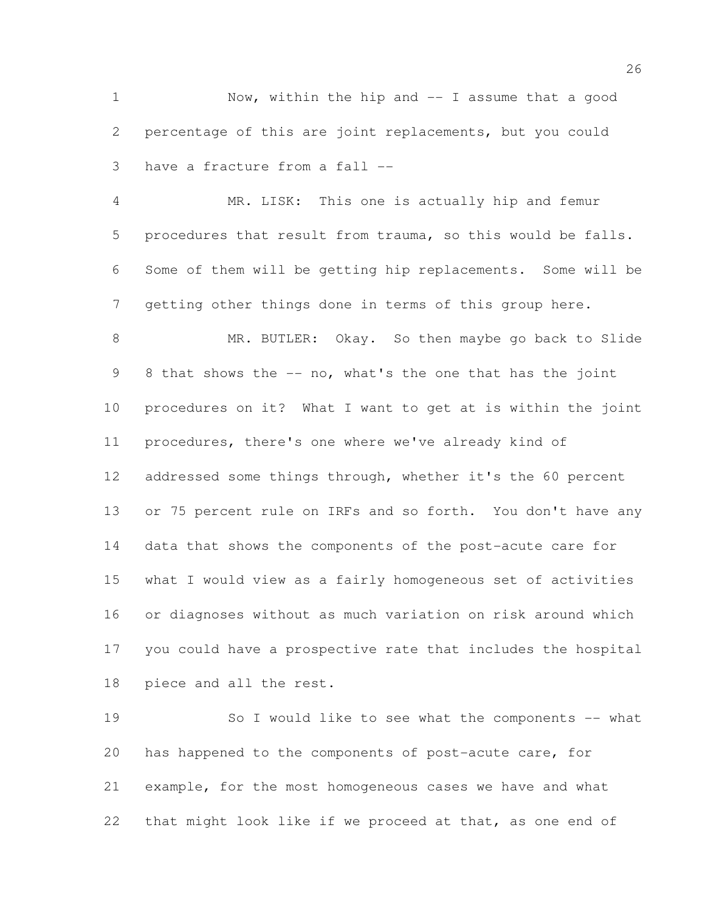Now, within the hip and -- I assume that a good percentage of this are joint replacements, but you could have a fracture from a fall --

 MR. LISK: This one is actually hip and femur procedures that result from trauma, so this would be falls. Some of them will be getting hip replacements. Some will be getting other things done in terms of this group here.

 MR. BUTLER: Okay. So then maybe go back to Slide 8 that shows the -- no, what's the one that has the joint procedures on it? What I want to get at is within the joint procedures, there's one where we've already kind of 12 addressed some things through, whether it's the 60 percent 13 or 75 percent rule on IRFs and so forth. You don't have any data that shows the components of the post-acute care for what I would view as a fairly homogeneous set of activities or diagnoses without as much variation on risk around which you could have a prospective rate that includes the hospital piece and all the rest.

 So I would like to see what the components -- what has happened to the components of post-acute care, for example, for the most homogeneous cases we have and what that might look like if we proceed at that, as one end of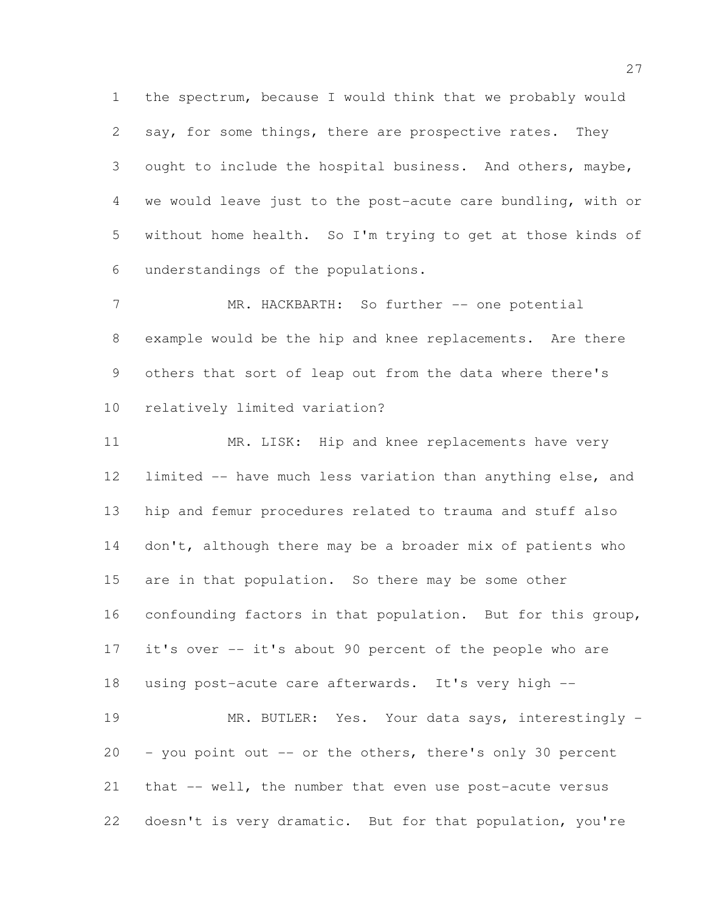the spectrum, because I would think that we probably would say, for some things, there are prospective rates. They ought to include the hospital business. And others, maybe, we would leave just to the post-acute care bundling, with or without home health. So I'm trying to get at those kinds of understandings of the populations.

7 MR. HACKBARTH: So further -- one potential example would be the hip and knee replacements. Are there others that sort of leap out from the data where there's relatively limited variation?

11 MR. LISK: Hip and knee replacements have very limited -- have much less variation than anything else, and hip and femur procedures related to trauma and stuff also 14 don't, although there may be a broader mix of patients who are in that population. So there may be some other confounding factors in that population. But for this group, it's over -- it's about 90 percent of the people who are using post-acute care afterwards. It's very high -- MR. BUTLER: Yes. Your data says, interestingly - - you point out -- or the others, there's only 30 percent

 that -- well, the number that even use post-acute versus doesn't is very dramatic. But for that population, you're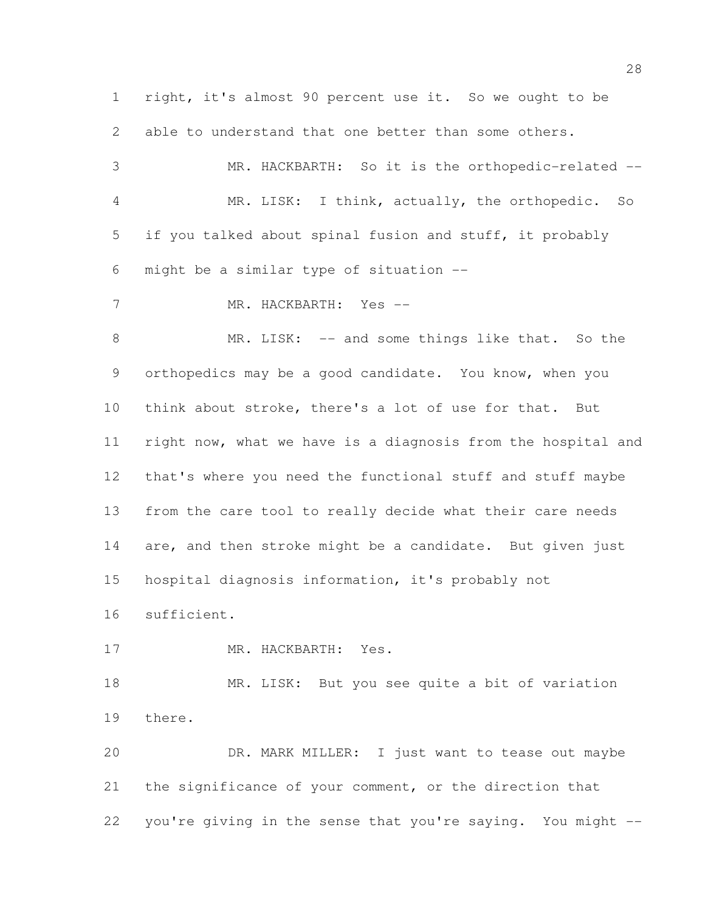right, it's almost 90 percent use it. So we ought to be able to understand that one better than some others. MR. HACKBARTH: So it is the orthopedic-related -- MR. LISK: I think, actually, the orthopedic. So if you talked about spinal fusion and stuff, it probably might be a similar type of situation -- MR. HACKBARTH: Yes -- 8 MR. LISK: -- and some things like that. So the 9 orthopedics may be a good candidate. You know, when you think about stroke, there's a lot of use for that. But right now, what we have is a diagnosis from the hospital and that's where you need the functional stuff and stuff maybe from the care tool to really decide what their care needs 14 are, and then stroke might be a candidate. But given just hospital diagnosis information, it's probably not sufficient. 17 MR. HACKBARTH: Yes. MR. LISK: But you see quite a bit of variation there. DR. MARK MILLER: I just want to tease out maybe the significance of your comment, or the direction that you're giving in the sense that you're saying. You might --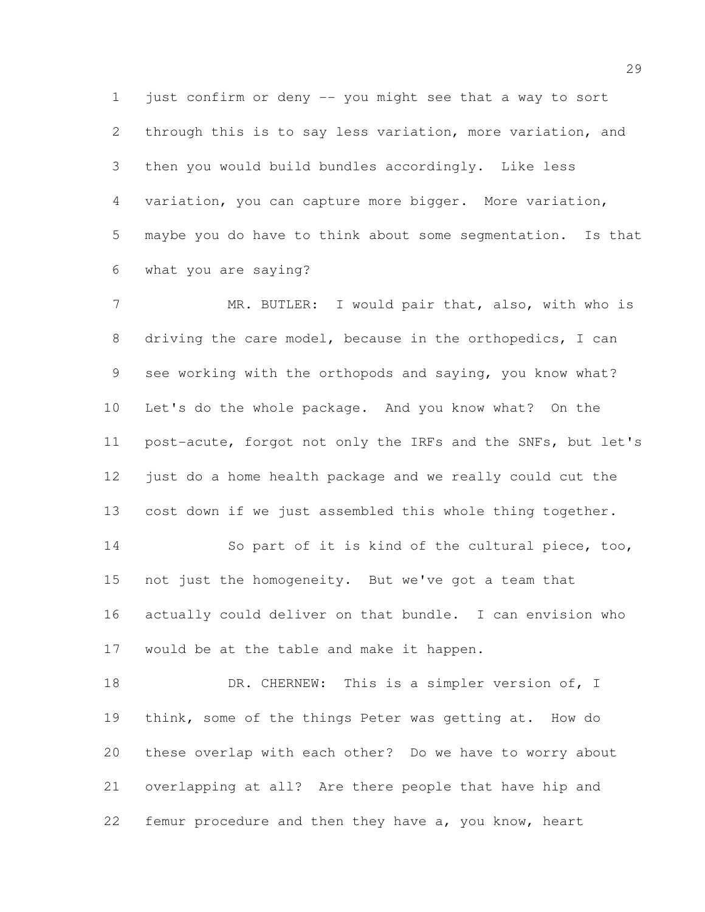just confirm or deny -- you might see that a way to sort through this is to say less variation, more variation, and then you would build bundles accordingly. Like less variation, you can capture more bigger. More variation, maybe you do have to think about some segmentation. Is that what you are saying?

7 MR. BUTLER: I would pair that, also, with who is driving the care model, because in the orthopedics, I can see working with the orthopods and saying, you know what? Let's do the whole package. And you know what? On the post-acute, forgot not only the IRFs and the SNFs, but let's just do a home health package and we really could cut the cost down if we just assembled this whole thing together. So part of it is kind of the cultural piece, too, not just the homogeneity. But we've got a team that actually could deliver on that bundle. I can envision who

would be at the table and make it happen.

18 DR. CHERNEW: This is a simpler version of, I think, some of the things Peter was getting at. How do these overlap with each other? Do we have to worry about overlapping at all? Are there people that have hip and femur procedure and then they have a, you know, heart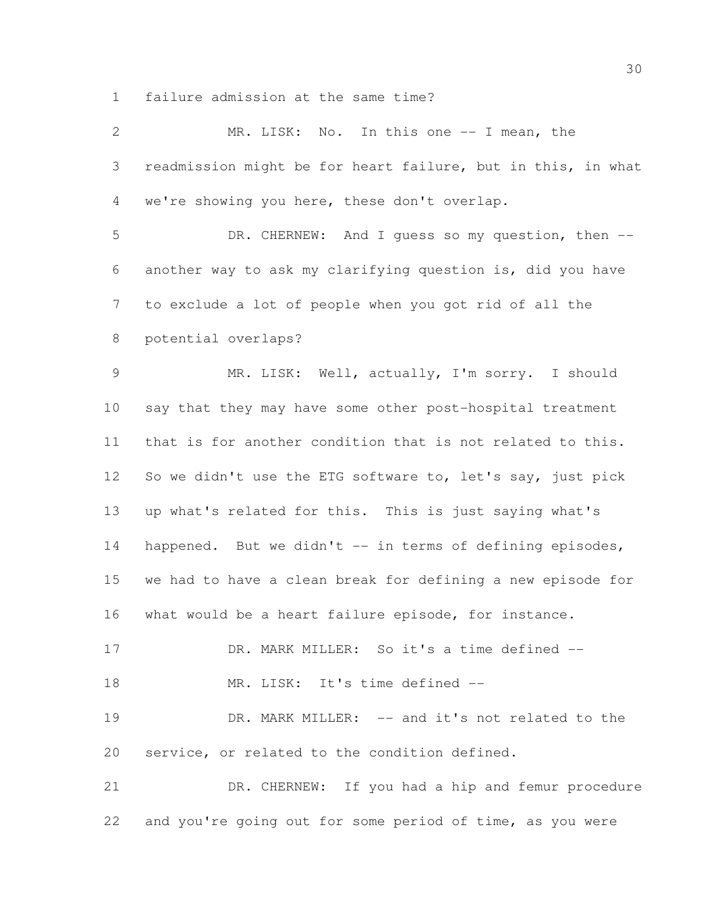failure admission at the same time?

| $\overline{2}$ | MR. LISK: No. In this one -- I mean, the                     |
|----------------|--------------------------------------------------------------|
| 3              | readmission might be for heart failure, but in this, in what |
| 4              | we're showing you here, these don't overlap.                 |
| 5              | DR. CHERNEW: And I guess so my question, then --             |
| 6              | another way to ask my clarifying question is, did you have   |
| $7\phantom{.}$ | to exclude a lot of people when you got rid of all the       |
| $8\,$          | potential overlaps?                                          |
| $\mathcal{G}$  | MR. LISK: Well, actually, I'm sorry. I should                |
| 10             | say that they may have some other post-hospital treatment    |
| 11             | that is for another condition that is not related to this.   |
| 12             | So we didn't use the ETG software to, let's say, just pick   |
| 13             | up what's related for this. This is just saying what's       |
| 14             | happened. But we didn't -- in terms of defining episodes,    |
| 15             | we had to have a clean break for defining a new episode for  |
| 16             | what would be a heart failure episode, for instance.         |
| 17             | DR. MARK MILLER: So it's a time defined --                   |
| 18             | MR. LISK: It's time defined --                               |
| 19             | DR. MARK MILLER: -- and it's not related to the              |
| 20             | service, or related to the condition defined.                |
| 21             | DR. CHERNEW: If you had a hip and femur procedure            |
| 22             | and you're going out for some period of time, as you were    |
|                |                                                              |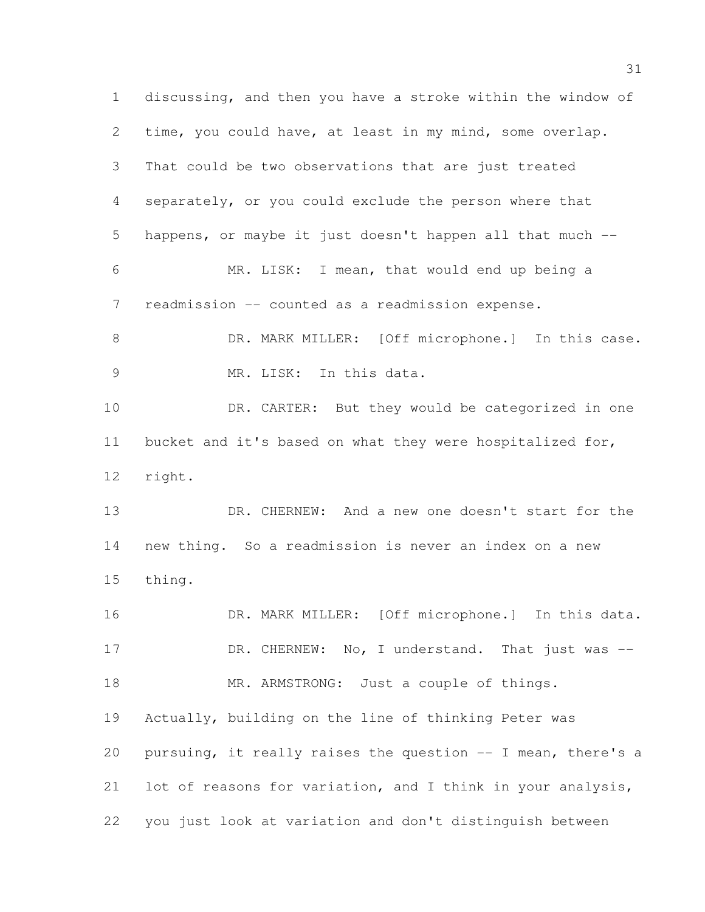discussing, and then you have a stroke within the window of time, you could have, at least in my mind, some overlap. That could be two observations that are just treated separately, or you could exclude the person where that happens, or maybe it just doesn't happen all that much -- MR. LISK: I mean, that would end up being a readmission -- counted as a readmission expense. 8 DR. MARK MILLER: [Off microphone.] In this case. 9 MR. LISK: In this data. 10 DR. CARTER: But they would be categorized in one bucket and it's based on what they were hospitalized for, right. DR. CHERNEW: And a new one doesn't start for the new thing. So a readmission is never an index on a new thing. 16 DR. MARK MILLER: [Off microphone.] In this data. 17 DR. CHERNEW: No, I understand. That just was --18 MR. ARMSTRONG: Just a couple of things. Actually, building on the line of thinking Peter was pursuing, it really raises the question -- I mean, there's a lot of reasons for variation, and I think in your analysis, you just look at variation and don't distinguish between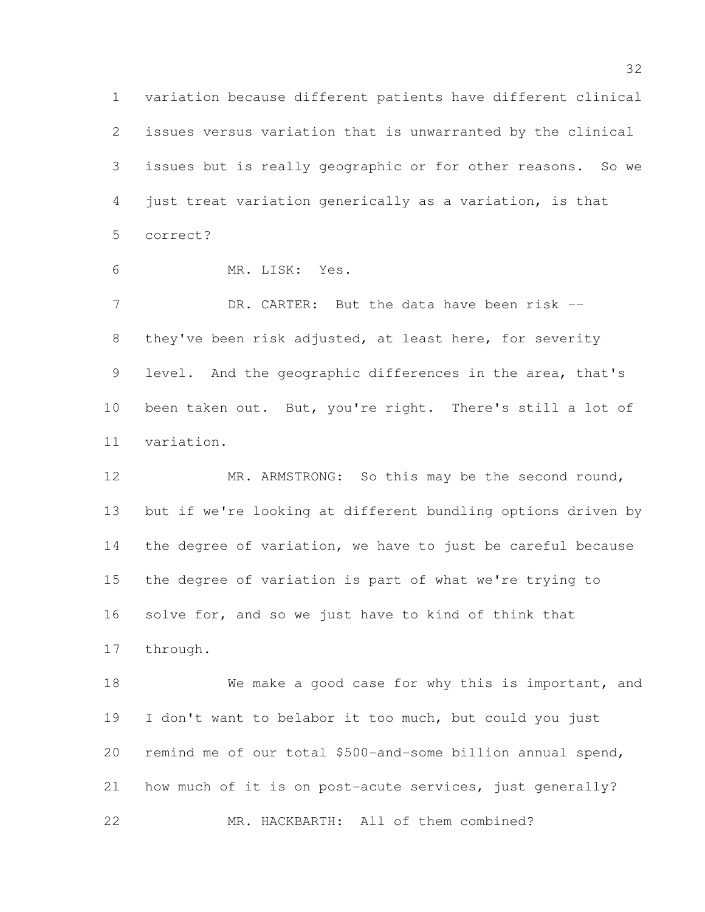variation because different patients have different clinical issues versus variation that is unwarranted by the clinical issues but is really geographic or for other reasons. So we just treat variation generically as a variation, is that correct?

MR. LISK: Yes.

7 DR. CARTER: But the data have been risk -- they've been risk adjusted, at least here, for severity 9 level. And the geographic differences in the area, that's been taken out. But, you're right. There's still a lot of variation.

 MR. ARMSTRONG: So this may be the second round, but if we're looking at different bundling options driven by the degree of variation, we have to just be careful because the degree of variation is part of what we're trying to solve for, and so we just have to kind of think that through.

 We make a good case for why this is important, and I don't want to belabor it too much, but could you just remind me of our total \$500-and-some billion annual spend, how much of it is on post-acute services, just generally? MR. HACKBARTH: All of them combined?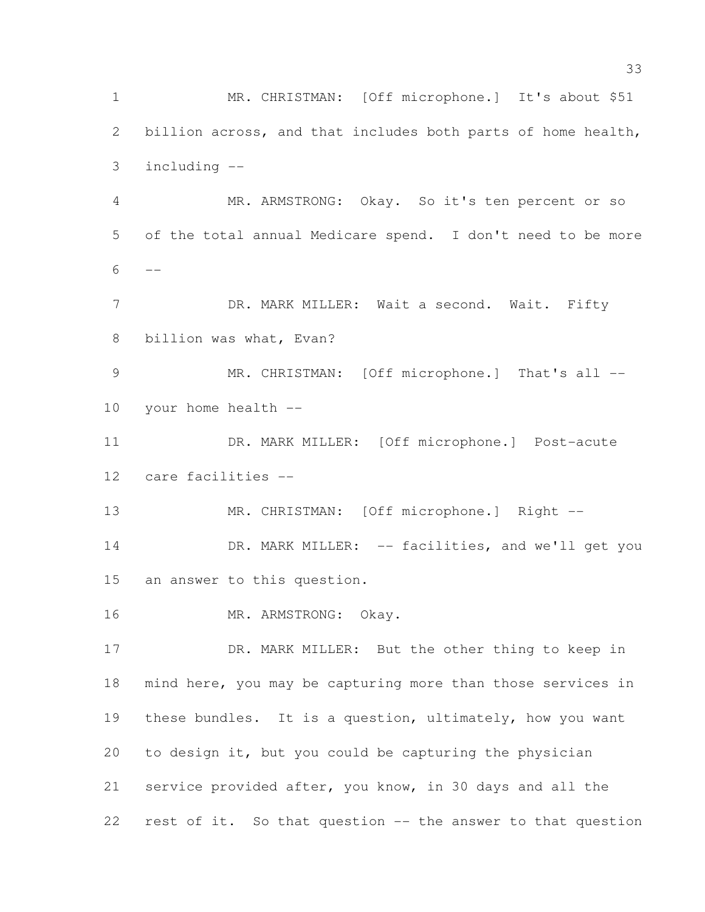MR. CHRISTMAN: [Off microphone.] It's about \$51 billion across, and that includes both parts of home health, including -- MR. ARMSTRONG: Okay. So it's ten percent or so of the total annual Medicare spend. I don't need to be more  $6 - -$ 7 DR. MARK MILLER: Wait a second. Wait. Fifty billion was what, Evan? 9 MR. CHRISTMAN: [Off microphone.] That's all -- your home health -- DR. MARK MILLER: [Off microphone.] Post-acute care facilities -- 13 MR. CHRISTMAN: [Off microphone.] Right --14 DR. MARK MILLER: -- facilities, and we'll get you an answer to this question. MR. ARMSTRONG: Okay. 17 DR. MARK MILLER: But the other thing to keep in mind here, you may be capturing more than those services in these bundles. It is a question, ultimately, how you want to design it, but you could be capturing the physician service provided after, you know, in 30 days and all the rest of it. So that question -- the answer to that question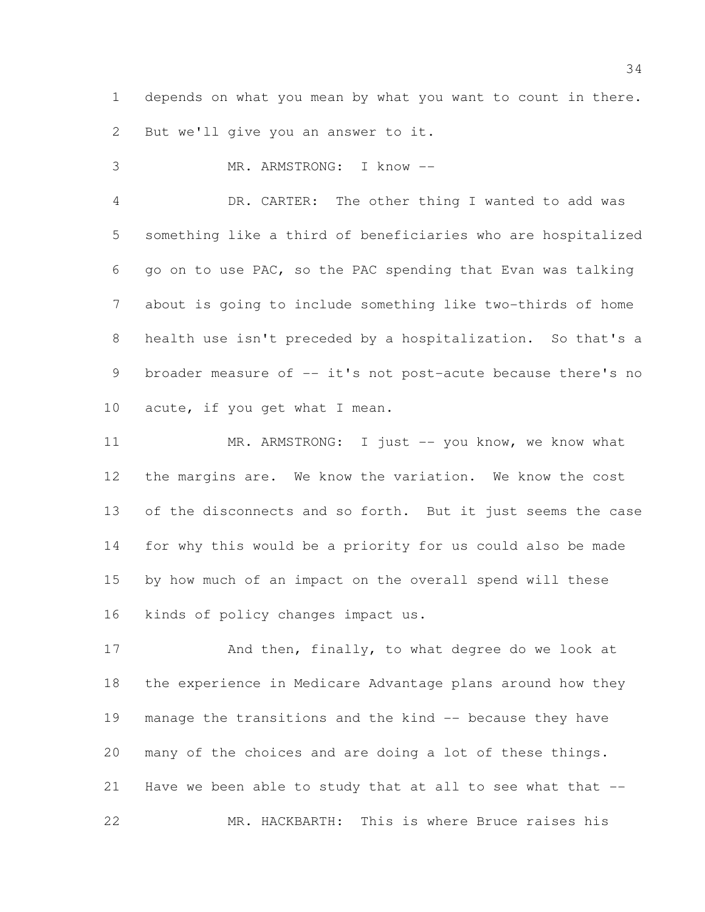depends on what you mean by what you want to count in there. But we'll give you an answer to it.

MR. ARMSTRONG: I know --

 DR. CARTER: The other thing I wanted to add was something like a third of beneficiaries who are hospitalized go on to use PAC, so the PAC spending that Evan was talking about is going to include something like two-thirds of home health use isn't preceded by a hospitalization. So that's a 9 broader measure of -- it's not post-acute because there's no acute, if you get what I mean.

11 MR. ARMSTRONG: I just -- you know, we know what the margins are. We know the variation. We know the cost 13 of the disconnects and so forth. But it just seems the case for why this would be a priority for us could also be made by how much of an impact on the overall spend will these kinds of policy changes impact us.

17 And then, finally, to what degree do we look at the experience in Medicare Advantage plans around how they manage the transitions and the kind -- because they have many of the choices and are doing a lot of these things. Have we been able to study that at all to see what that -- MR. HACKBARTH: This is where Bruce raises his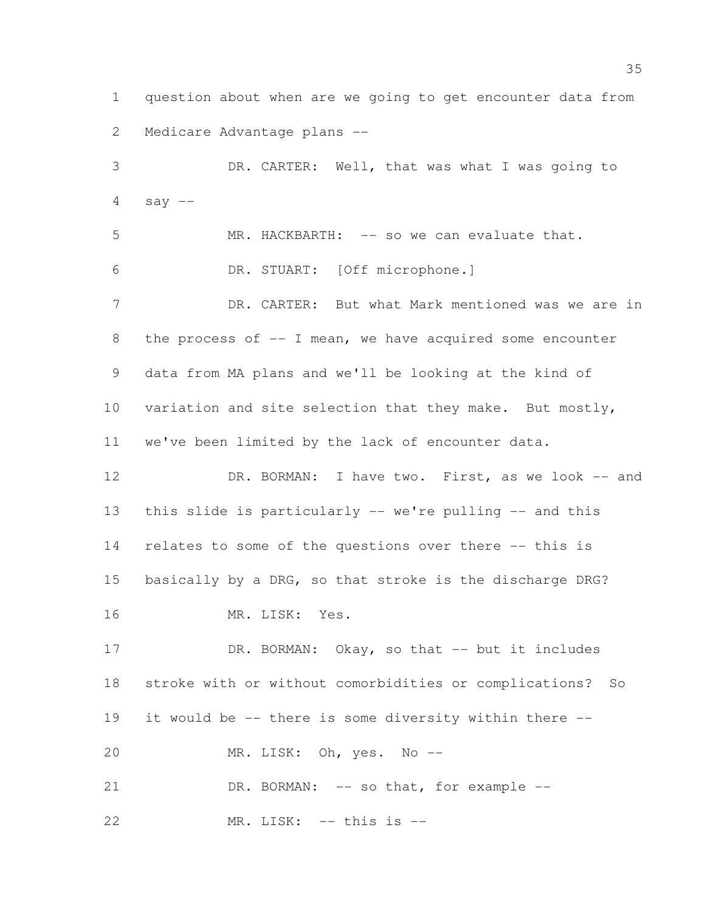question about when are we going to get encounter data from Medicare Advantage plans --

 DR. CARTER: Well, that was what I was going to say  $-$  MR. HACKBARTH: -- so we can evaluate that. DR. STUART: [Off microphone.] DR. CARTER: But what Mark mentioned was we are in 8 the process of -- I mean, we have acquired some encounter data from MA plans and we'll be looking at the kind of variation and site selection that they make. But mostly, we've been limited by the lack of encounter data. 12 DR. BORMAN: I have two. First, as we look -- and this slide is particularly -- we're pulling -- and this relates to some of the questions over there -- this is basically by a DRG, so that stroke is the discharge DRG? MR. LISK: Yes.

17 DR. BORMAN: Okay, so that -- but it includes stroke with or without comorbidities or complications? So it would be -- there is some diversity within there -- MR. LISK: Oh, yes. No --

21 DR. BORMAN: -- so that, for example --

MR. LISK: -- this is --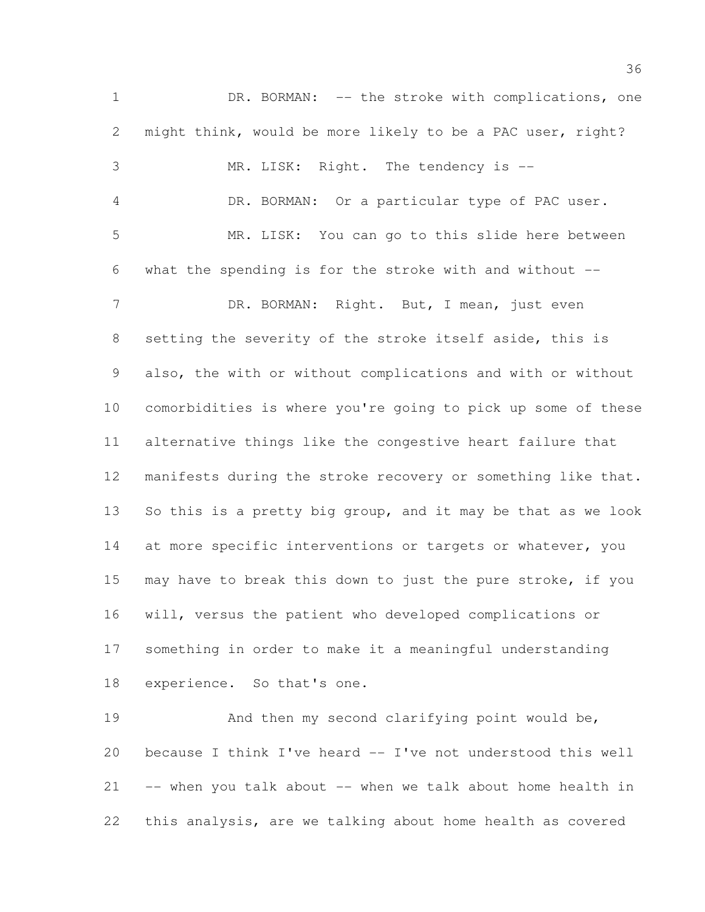DR. BORMAN: -- the stroke with complications, one might think, would be more likely to be a PAC user, right? MR. LISK: Right. The tendency is -- DR. BORMAN: Or a particular type of PAC user. MR. LISK: You can go to this slide here between what the spending is for the stroke with and without -- 7 DR. BORMAN: Right. But, I mean, just even setting the severity of the stroke itself aside, this is also, the with or without complications and with or without comorbidities is where you're going to pick up some of these alternative things like the congestive heart failure that manifests during the stroke recovery or something like that. So this is a pretty big group, and it may be that as we look 14 at more specific interventions or targets or whatever, you may have to break this down to just the pure stroke, if you will, versus the patient who developed complications or something in order to make it a meaningful understanding experience. So that's one. And then my second clarifying point would be,

 because I think I've heard -- I've not understood this well -- when you talk about -- when we talk about home health in this analysis, are we talking about home health as covered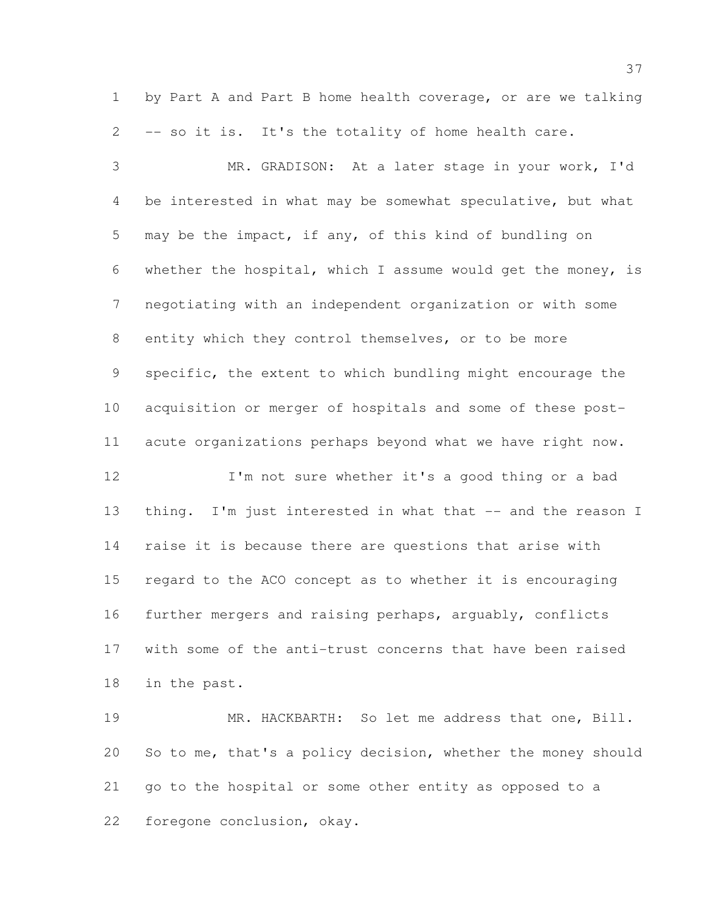by Part A and Part B home health coverage, or are we talking -- so it is. It's the totality of home health care.

 MR. GRADISON: At a later stage in your work, I'd be interested in what may be somewhat speculative, but what may be the impact, if any, of this kind of bundling on whether the hospital, which I assume would get the money, is negotiating with an independent organization or with some entity which they control themselves, or to be more specific, the extent to which bundling might encourage the acquisition or merger of hospitals and some of these post- acute organizations perhaps beyond what we have right now. I'm not sure whether it's a good thing or a bad

13 thing. I'm just interested in what that -- and the reason I raise it is because there are questions that arise with regard to the ACO concept as to whether it is encouraging further mergers and raising perhaps, arguably, conflicts with some of the anti-trust concerns that have been raised in the past.

 MR. HACKBARTH: So let me address that one, Bill. So to me, that's a policy decision, whether the money should go to the hospital or some other entity as opposed to a foregone conclusion, okay.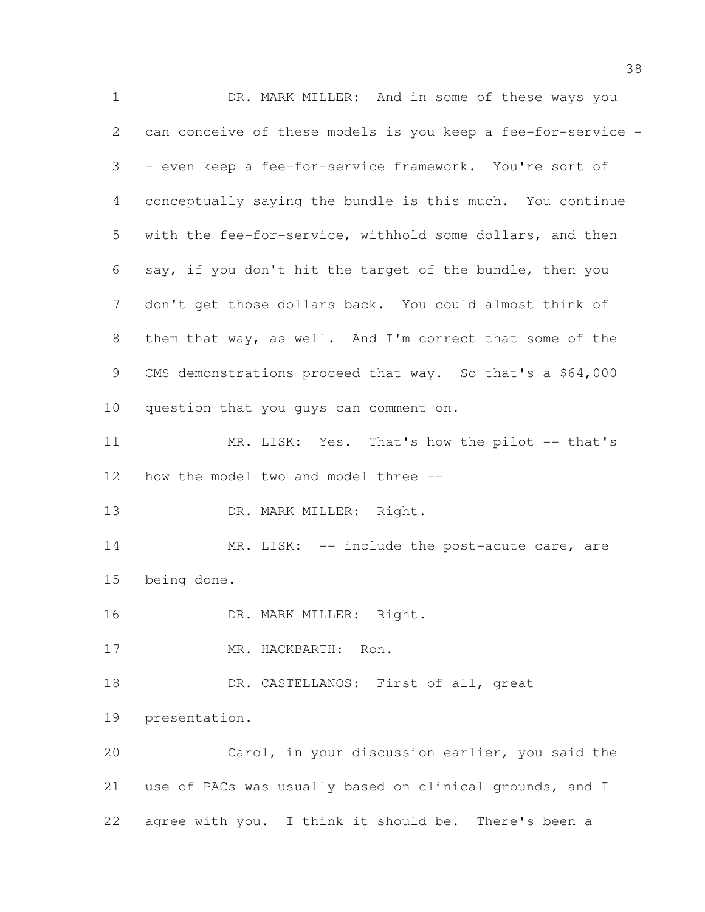DR. MARK MILLER: And in some of these ways you can conceive of these models is you keep a fee-for-service - - even keep a fee-for-service framework. You're sort of conceptually saying the bundle is this much. You continue with the fee-for-service, withhold some dollars, and then say, if you don't hit the target of the bundle, then you don't get those dollars back. You could almost think of them that way, as well. And I'm correct that some of the 9 CMS demonstrations proceed that way. So that's a \$64,000 question that you guys can comment on. 11 MR. LISK: Yes. That's how the pilot -- that's how the model two and model three -- 13 DR. MARK MILLER: Right. 14 MR. LISK: -- include the post-acute care, are being done. 16 DR. MARK MILLER: Right. MR. HACKBARTH: Ron. 18 DR. CASTELLANOS: First of all, great presentation. Carol, in your discussion earlier, you said the use of PACs was usually based on clinical grounds, and I agree with you. I think it should be. There's been a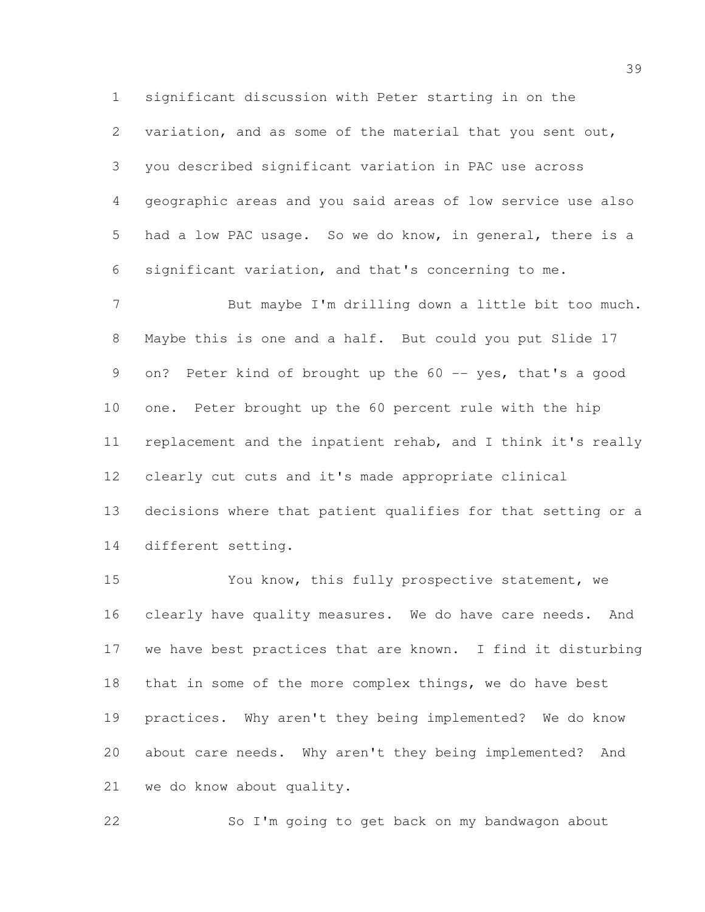significant discussion with Peter starting in on the variation, and as some of the material that you sent out, you described significant variation in PAC use across geographic areas and you said areas of low service use also had a low PAC usage. So we do know, in general, there is a significant variation, and that's concerning to me.

 But maybe I'm drilling down a little bit too much. Maybe this is one and a half. But could you put Slide 17 9 on? Peter kind of brought up the 60 -- yes, that's a good one. Peter brought up the 60 percent rule with the hip replacement and the inpatient rehab, and I think it's really clearly cut cuts and it's made appropriate clinical decisions where that patient qualifies for that setting or a different setting.

 You know, this fully prospective statement, we clearly have quality measures. We do have care needs. And we have best practices that are known. I find it disturbing that in some of the more complex things, we do have best practices. Why aren't they being implemented? We do know about care needs. Why aren't they being implemented? And we do know about quality.

So I'm going to get back on my bandwagon about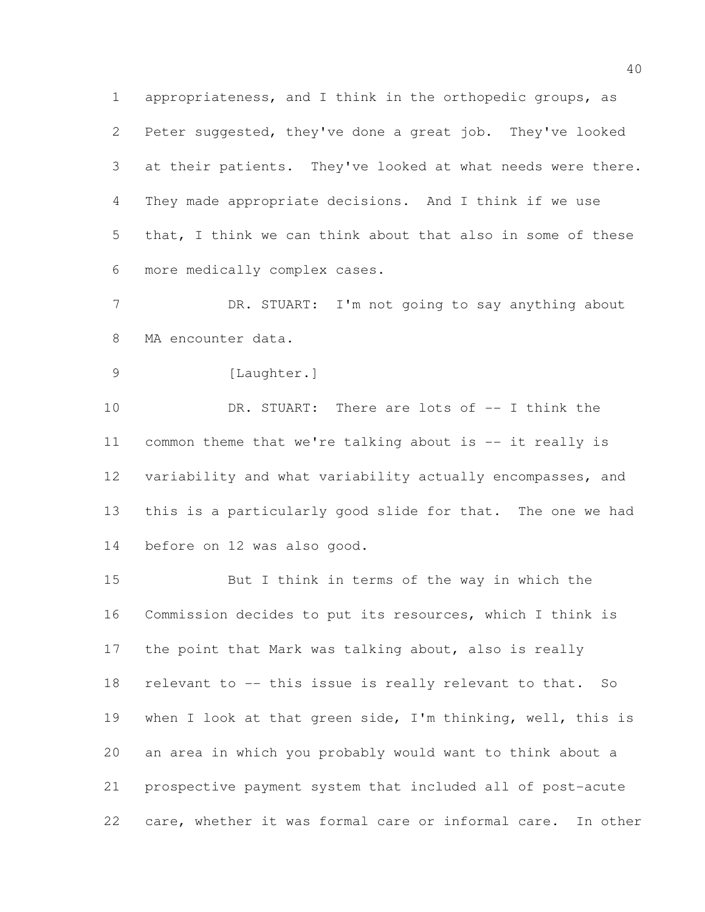appropriateness, and I think in the orthopedic groups, as Peter suggested, they've done a great job. They've looked at their patients. They've looked at what needs were there. They made appropriate decisions. And I think if we use that, I think we can think about that also in some of these more medically complex cases.

7 DR. STUART: I'm not going to say anything about MA encounter data.

9 [Laughter.]

 DR. STUART: There are lots of -- I think the common theme that we're talking about is -- it really is variability and what variability actually encompasses, and this is a particularly good slide for that. The one we had before on 12 was also good.

 But I think in terms of the way in which the Commission decides to put its resources, which I think is 17 the point that Mark was talking about, also is really relevant to -- this issue is really relevant to that. So when I look at that green side, I'm thinking, well, this is an area in which you probably would want to think about a prospective payment system that included all of post-acute care, whether it was formal care or informal care. In other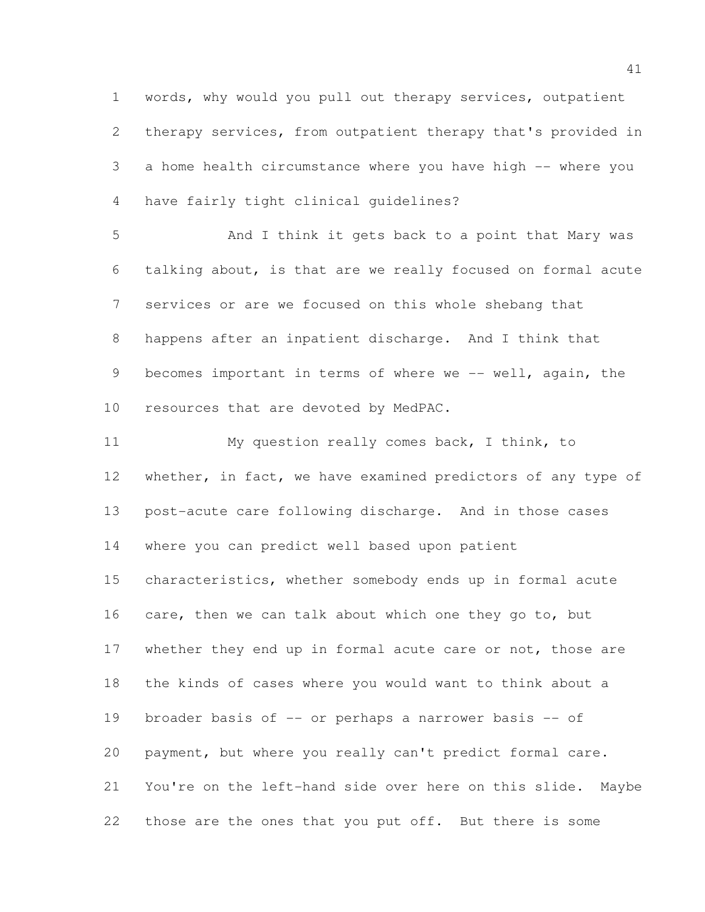words, why would you pull out therapy services, outpatient therapy services, from outpatient therapy that's provided in a home health circumstance where you have high -- where you have fairly tight clinical guidelines?

 And I think it gets back to a point that Mary was talking about, is that are we really focused on formal acute services or are we focused on this whole shebang that happens after an inpatient discharge. And I think that 9 becomes important in terms of where we -- well, again, the resources that are devoted by MedPAC.

 My question really comes back, I think, to 12 whether, in fact, we have examined predictors of any type of post-acute care following discharge. And in those cases where you can predict well based upon patient characteristics, whether somebody ends up in formal acute 16 care, then we can talk about which one they go to, but 17 whether they end up in formal acute care or not, those are the kinds of cases where you would want to think about a 19 broader basis of -- or perhaps a narrower basis -- of payment, but where you really can't predict formal care. You're on the left-hand side over here on this slide. Maybe those are the ones that you put off. But there is some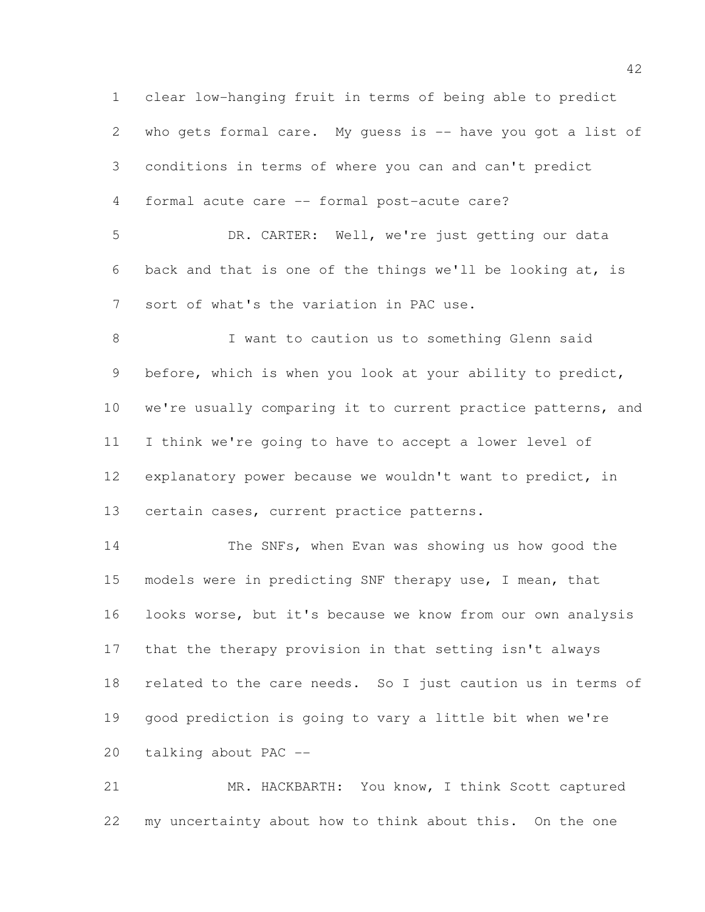clear low-hanging fruit in terms of being able to predict who gets formal care. My guess is -- have you got a list of conditions in terms of where you can and can't predict formal acute care -- formal post-acute care? DR. CARTER: Well, we're just getting our data back and that is one of the things we'll be looking at, is sort of what's the variation in PAC use. 8 I want to caution us to something Glenn said before, which is when you look at your ability to predict, we're usually comparing it to current practice patterns, and I think we're going to have to accept a lower level of explanatory power because we wouldn't want to predict, in certain cases, current practice patterns. The SNFs, when Evan was showing us how good the models were in predicting SNF therapy use, I mean, that looks worse, but it's because we know from our own analysis that the therapy provision in that setting isn't always related to the care needs. So I just caution us in terms of good prediction is going to vary a little bit when we're talking about PAC --

 MR. HACKBARTH: You know, I think Scott captured my uncertainty about how to think about this. On the one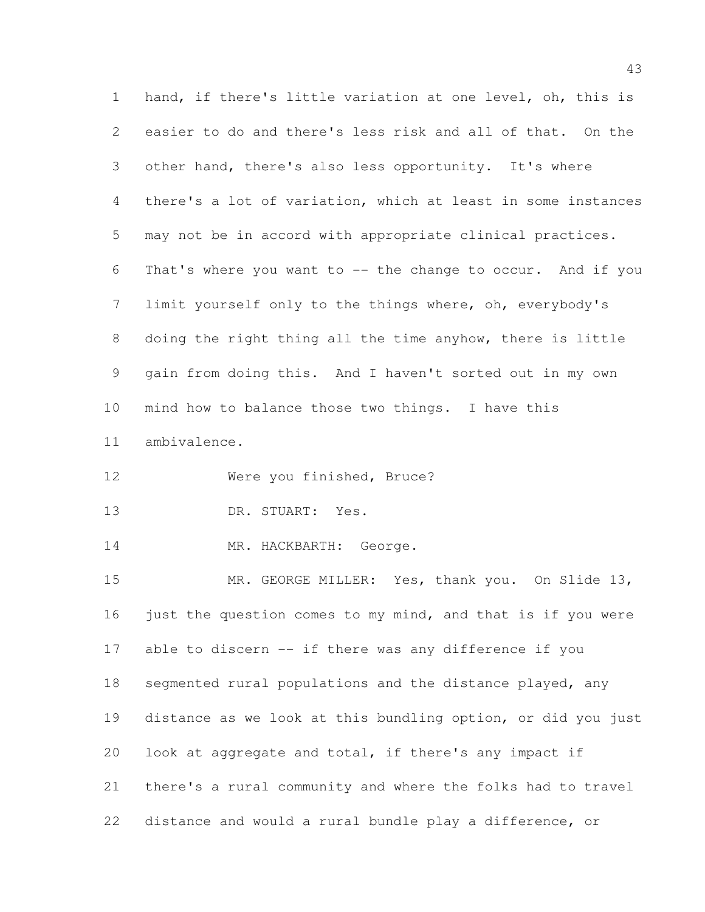hand, if there's little variation at one level, oh, this is easier to do and there's less risk and all of that. On the other hand, there's also less opportunity. It's where there's a lot of variation, which at least in some instances may not be in accord with appropriate clinical practices. That's where you want to -- the change to occur. And if you limit yourself only to the things where, oh, everybody's doing the right thing all the time anyhow, there is little gain from doing this. And I haven't sorted out in my own mind how to balance those two things. I have this ambivalence. Were you finished, Bruce? DR. STUART: Yes. 14 MR. HACKBARTH: George. MR. GEORGE MILLER: Yes, thank you. On Slide 13, 16 just the question comes to my mind, and that is if you were able to discern -- if there was any difference if you

 segmented rural populations and the distance played, any distance as we look at this bundling option, or did you just look at aggregate and total, if there's any impact if there's a rural community and where the folks had to travel distance and would a rural bundle play a difference, or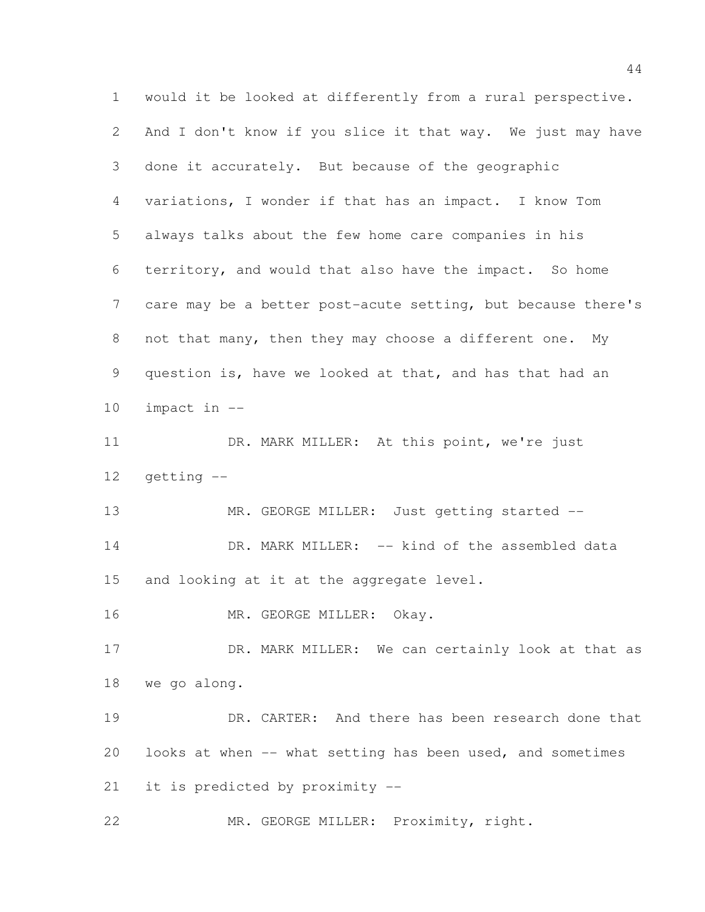would it be looked at differently from a rural perspective. And I don't know if you slice it that way. We just may have done it accurately. But because of the geographic variations, I wonder if that has an impact. I know Tom always talks about the few home care companies in his territory, and would that also have the impact. So home care may be a better post-acute setting, but because there's not that many, then they may choose a different one. My question is, have we looked at that, and has that had an impact in -- 11 DR. MARK MILLER: At this point, we're just getting -- 13 MR. GEORGE MILLER: Just getting started --14 DR. MARK MILLER: -- kind of the assembled data and looking at it at the aggregate level. MR. GEORGE MILLER: Okay. 17 DR. MARK MILLER: We can certainly look at that as we go along. DR. CARTER: And there has been research done that looks at when -- what setting has been used, and sometimes it is predicted by proximity -- MR. GEORGE MILLER: Proximity, right.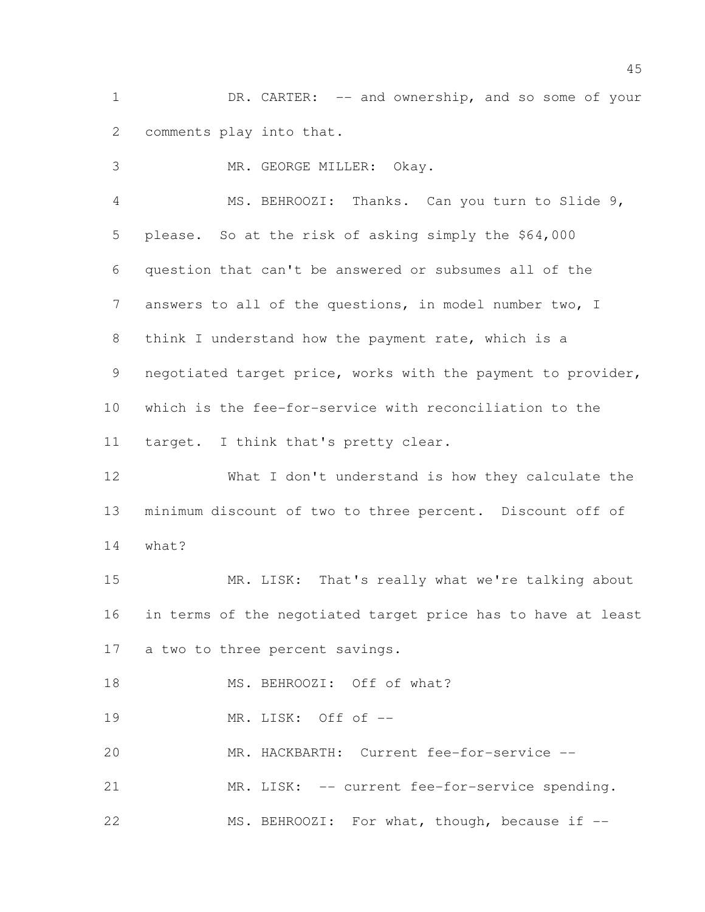DR. CARTER: -- and ownership, and so some of your comments play into that.

MR. GEORGE MILLER: Okay.

 MS. BEHROOZI: Thanks. Can you turn to Slide 9, please. So at the risk of asking simply the \$64,000 question that can't be answered or subsumes all of the answers to all of the questions, in model number two, I think I understand how the payment rate, which is a 9 negotiated target price, works with the payment to provider, which is the fee-for-service with reconciliation to the target. I think that's pretty clear.

 What I don't understand is how they calculate the minimum discount of two to three percent. Discount off of what?

 MR. LISK: That's really what we're talking about in terms of the negotiated target price has to have at least a two to three percent savings.

18 MS. BEHROOZI: Off of what?

MR. LISK: Off of --

MR. HACKBARTH: Current fee-for-service --

MR. LISK: -- current fee-for-service spending.

22 MS. BEHROOZI: For what, though, because if  $-$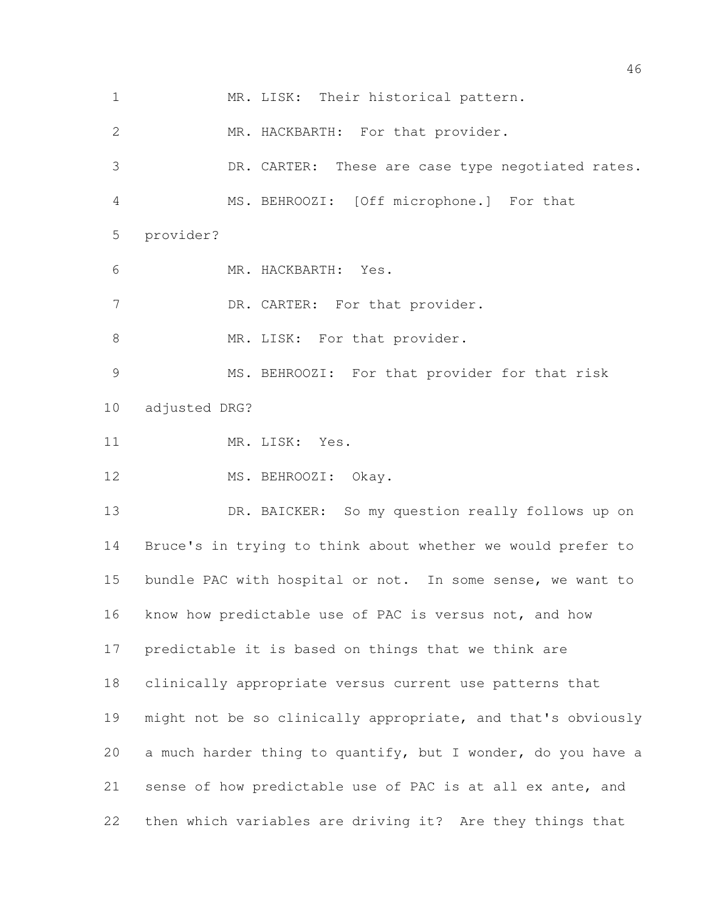MR. LISK: Their historical pattern. MR. HACKBARTH: For that provider. DR. CARTER: These are case type negotiated rates. MS. BEHROOZI: [Off microphone.] For that provider? MR. HACKBARTH: Yes. 7 DR. CARTER: For that provider. 8 MR. LISK: For that provider. MS. BEHROOZI: For that provider for that risk adjusted DRG? 11 MR. LISK: Yes. 12 MS. BEHROOZI: Okay. 13 DR. BAICKER: So my question really follows up on Bruce's in trying to think about whether we would prefer to bundle PAC with hospital or not. In some sense, we want to know how predictable use of PAC is versus not, and how predictable it is based on things that we think are clinically appropriate versus current use patterns that might not be so clinically appropriate, and that's obviously a much harder thing to quantify, but I wonder, do you have a sense of how predictable use of PAC is at all ex ante, and then which variables are driving it? Are they things that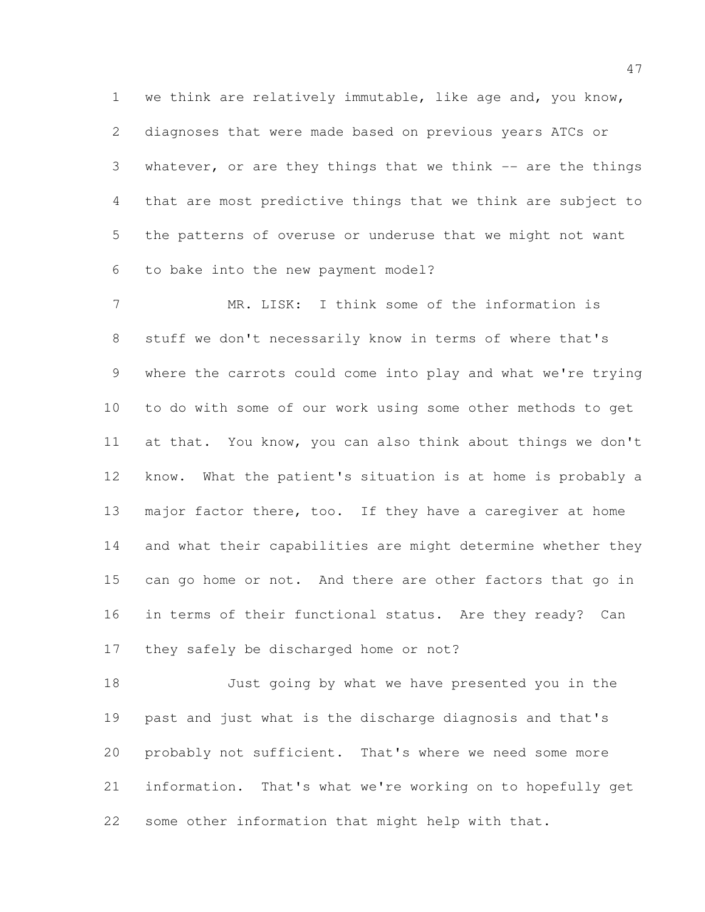we think are relatively immutable, like age and, you know, diagnoses that were made based on previous years ATCs or whatever, or are they things that we think -- are the things that are most predictive things that we think are subject to the patterns of overuse or underuse that we might not want to bake into the new payment model?

 MR. LISK: I think some of the information is stuff we don't necessarily know in terms of where that's where the carrots could come into play and what we're trying to do with some of our work using some other methods to get at that. You know, you can also think about things we don't know. What the patient's situation is at home is probably a major factor there, too. If they have a caregiver at home and what their capabilities are might determine whether they 15 can go home or not. And there are other factors that go in in terms of their functional status. Are they ready? Can they safely be discharged home or not?

 Just going by what we have presented you in the past and just what is the discharge diagnosis and that's probably not sufficient. That's where we need some more information. That's what we're working on to hopefully get some other information that might help with that.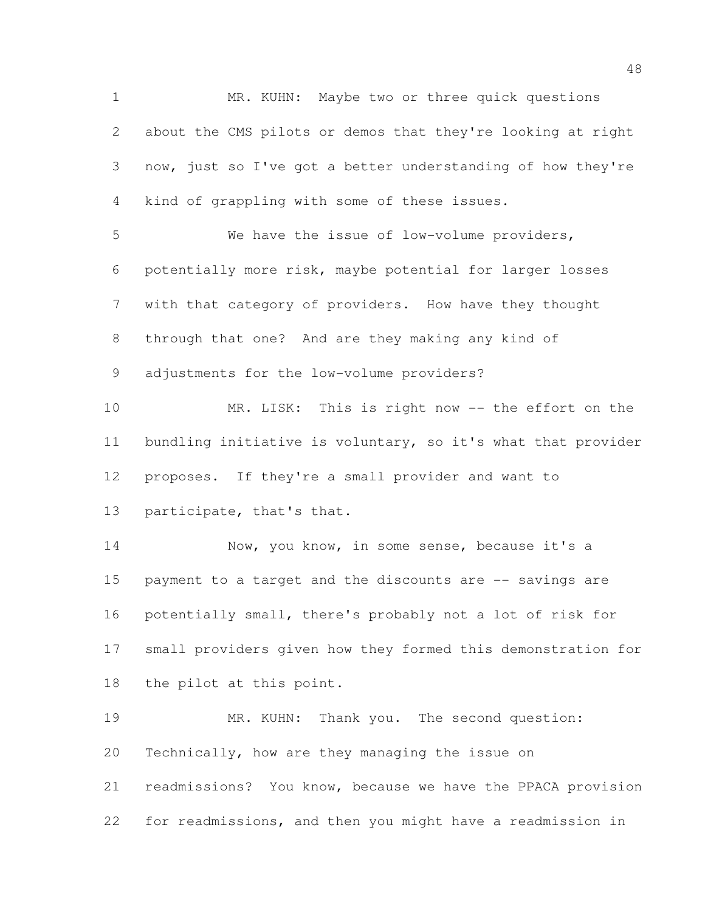MR. KUHN: Maybe two or three quick questions about the CMS pilots or demos that they're looking at right now, just so I've got a better understanding of how they're kind of grappling with some of these issues. We have the issue of low-volume providers, potentially more risk, maybe potential for larger losses with that category of providers. How have they thought through that one? And are they making any kind of adjustments for the low-volume providers? MR. LISK: This is right now -- the effort on the bundling initiative is voluntary, so it's what that provider proposes. If they're a small provider and want to participate, that's that. 14 Now, you know, in some sense, because it's a payment to a target and the discounts are -- savings are potentially small, there's probably not a lot of risk for small providers given how they formed this demonstration for the pilot at this point. MR. KUHN: Thank you. The second question: Technically, how are they managing the issue on readmissions? You know, because we have the PPACA provision for readmissions, and then you might have a readmission in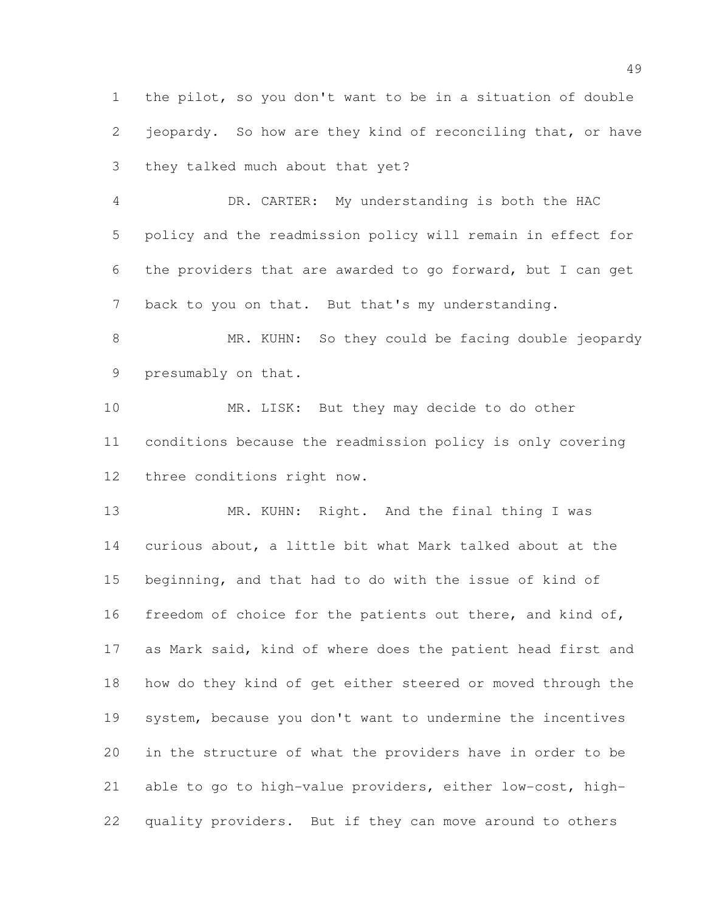the pilot, so you don't want to be in a situation of double jeopardy. So how are they kind of reconciling that, or have they talked much about that yet?

 DR. CARTER: My understanding is both the HAC policy and the readmission policy will remain in effect for the providers that are awarded to go forward, but I can get back to you on that. But that's my understanding.

8 MR. KUHN: So they could be facing double jeopardy presumably on that.

 MR. LISK: But they may decide to do other conditions because the readmission policy is only covering three conditions right now.

 MR. KUHN: Right. And the final thing I was curious about, a little bit what Mark talked about at the beginning, and that had to do with the issue of kind of 16 freedom of choice for the patients out there, and kind of, as Mark said, kind of where does the patient head first and how do they kind of get either steered or moved through the system, because you don't want to undermine the incentives in the structure of what the providers have in order to be able to go to high-value providers, either low-cost, high-quality providers. But if they can move around to others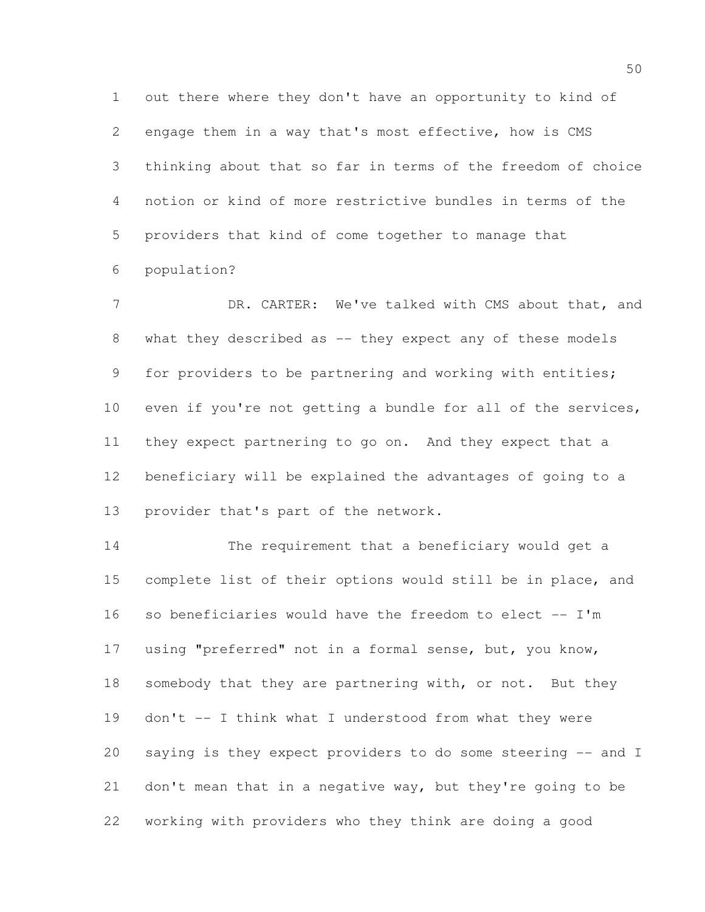out there where they don't have an opportunity to kind of engage them in a way that's most effective, how is CMS thinking about that so far in terms of the freedom of choice notion or kind of more restrictive bundles in terms of the providers that kind of come together to manage that population?

7 DR. CARTER: We've talked with CMS about that, and 8 what they described as -- they expect any of these models for providers to be partnering and working with entities; even if you're not getting a bundle for all of the services, they expect partnering to go on. And they expect that a beneficiary will be explained the advantages of going to a provider that's part of the network.

 The requirement that a beneficiary would get a complete list of their options would still be in place, and so beneficiaries would have the freedom to elect -- I'm using "preferred" not in a formal sense, but, you know, 18 somebody that they are partnering with, or not. But they don't -- I think what I understood from what they were saying is they expect providers to do some steering -- and I don't mean that in a negative way, but they're going to be working with providers who they think are doing a good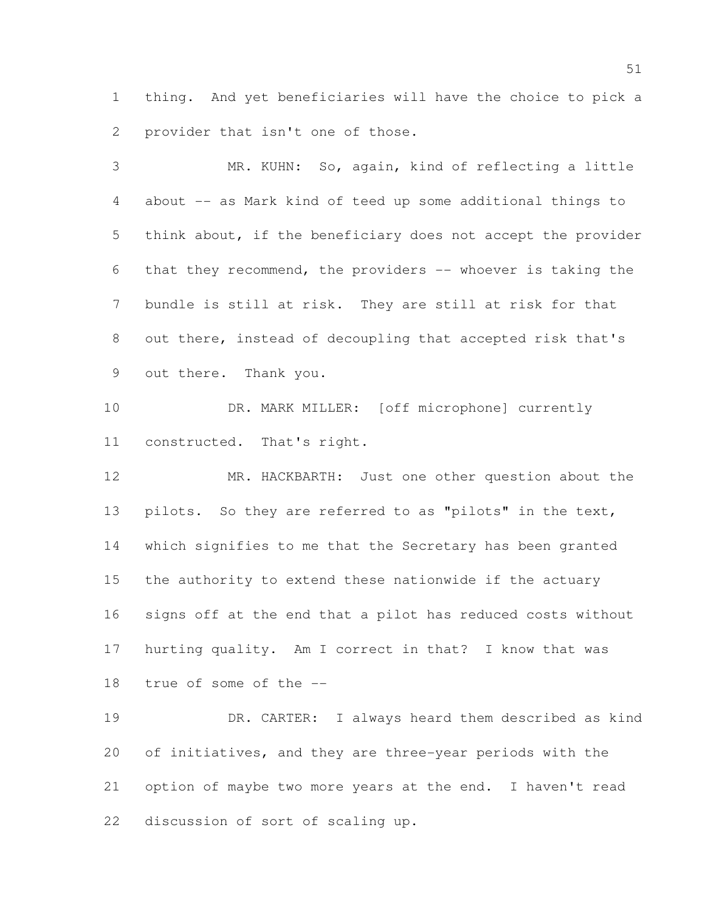thing. And yet beneficiaries will have the choice to pick a provider that isn't one of those.

 MR. KUHN: So, again, kind of reflecting a little about -- as Mark kind of teed up some additional things to think about, if the beneficiary does not accept the provider that they recommend, the providers -- whoever is taking the bundle is still at risk. They are still at risk for that out there, instead of decoupling that accepted risk that's out there. Thank you. DR. MARK MILLER: [off microphone] currently constructed. That's right.

 MR. HACKBARTH: Just one other question about the pilots. So they are referred to as "pilots" in the text, which signifies to me that the Secretary has been granted the authority to extend these nationwide if the actuary signs off at the end that a pilot has reduced costs without hurting quality. Am I correct in that? I know that was true of some of the --

 DR. CARTER: I always heard them described as kind of initiatives, and they are three-year periods with the option of maybe two more years at the end. I haven't read discussion of sort of scaling up.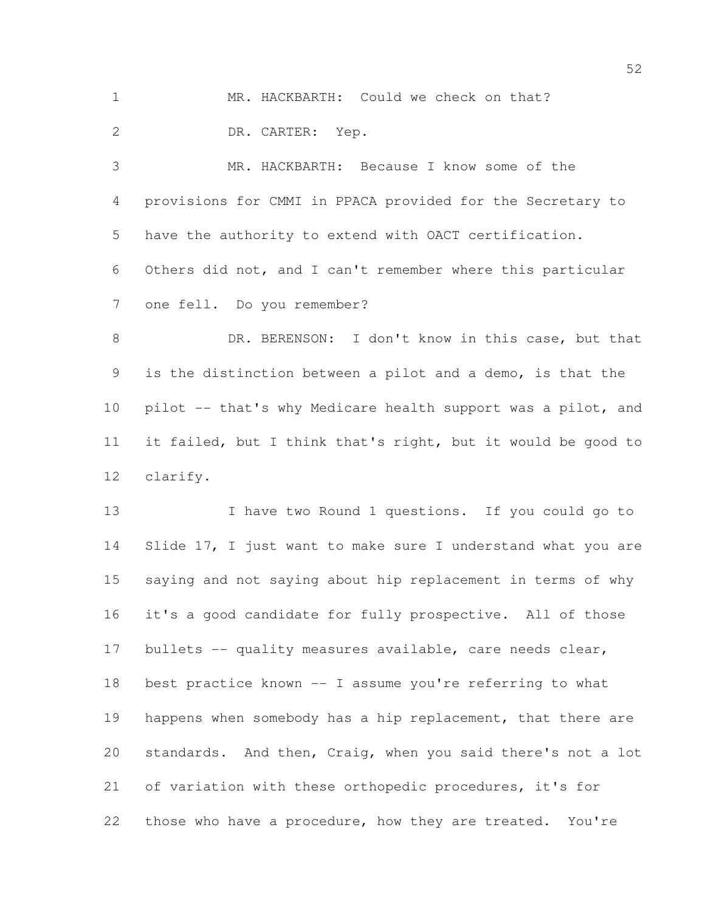MR. HACKBARTH: Could we check on that?

DR. CARTER: Yep.

 MR. HACKBARTH: Because I know some of the provisions for CMMI in PPACA provided for the Secretary to have the authority to extend with OACT certification. Others did not, and I can't remember where this particular one fell. Do you remember?

 DR. BERENSON: I don't know in this case, but that is the distinction between a pilot and a demo, is that the 10 pilot -- that's why Medicare health support was a pilot, and it failed, but I think that's right, but it would be good to clarify.

 I have two Round 1 questions. If you could go to Slide 17, I just want to make sure I understand what you are saying and not saying about hip replacement in terms of why it's a good candidate for fully prospective. All of those 17 bullets -- quality measures available, care needs clear, best practice known -- I assume you're referring to what 19 happens when somebody has a hip replacement, that there are standards. And then, Craig, when you said there's not a lot of variation with these orthopedic procedures, it's for those who have a procedure, how they are treated. You're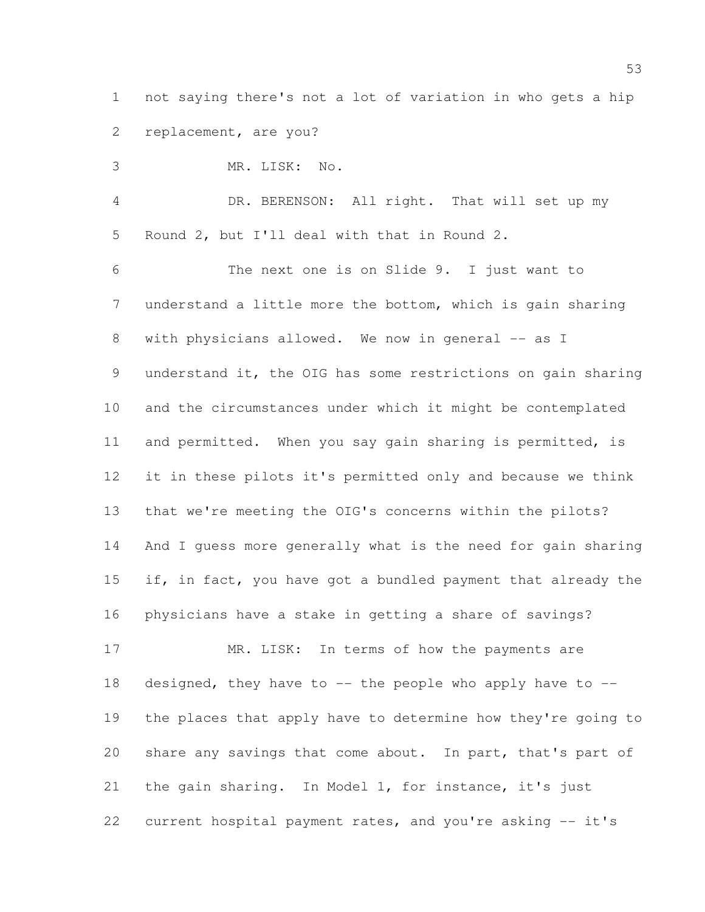not saying there's not a lot of variation in who gets a hip replacement, are you?

 MR. LISK: No. DR. BERENSON: All right. That will set up my Round 2, but I'll deal with that in Round 2. The next one is on Slide 9. I just want to understand a little more the bottom, which is gain sharing 8 with physicians allowed. We now in general -- as I understand it, the OIG has some restrictions on gain sharing and the circumstances under which it might be contemplated and permitted. When you say gain sharing is permitted, is it in these pilots it's permitted only and because we think that we're meeting the OIG's concerns within the pilots? And I guess more generally what is the need for gain sharing if, in fact, you have got a bundled payment that already the physicians have a stake in getting a share of savings? 17 MR. LISK: In terms of how the payments are 18 designed, they have to  $-$ - the people who apply have to  $-$ -

 the places that apply have to determine how they're going to share any savings that come about. In part, that's part of the gain sharing. In Model 1, for instance, it's just current hospital payment rates, and you're asking -- it's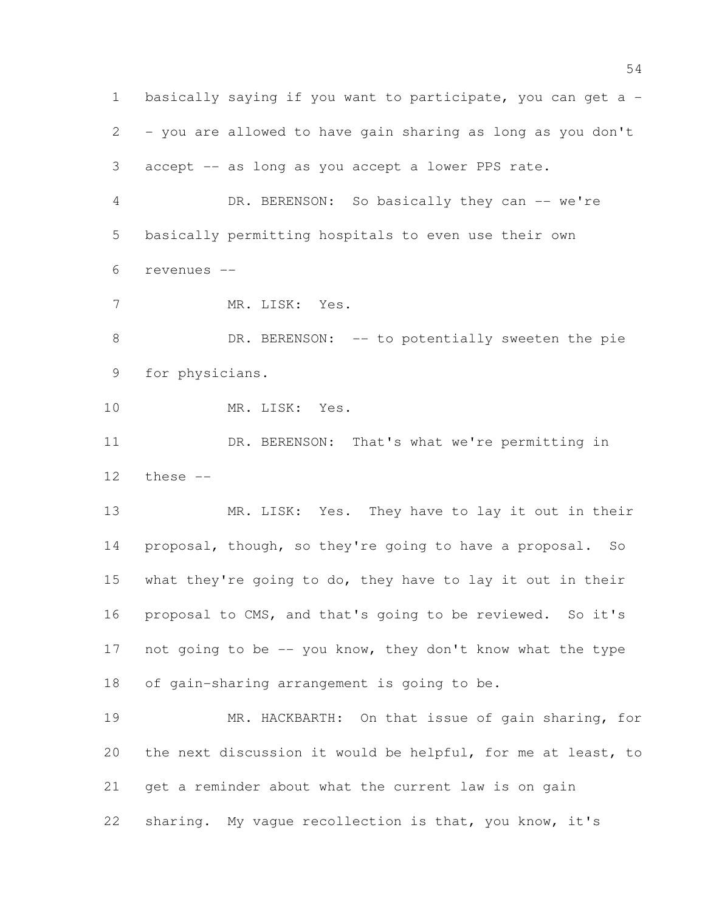basically saying if you want to participate, you can get a - - you are allowed to have gain sharing as long as you don't accept -- as long as you accept a lower PPS rate. DR. BERENSON: So basically they can -- we're basically permitting hospitals to even use their own revenues -- MR. LISK: Yes. 8 DR. BERENSON: -- to potentially sweeten the pie for physicians. MR. LISK: Yes. DR. BERENSON: That's what we're permitting in these -- MR. LISK: Yes. They have to lay it out in their proposal, though, so they're going to have a proposal. So what they're going to do, they have to lay it out in their proposal to CMS, and that's going to be reviewed. So it's 17 not going to be -- you know, they don't know what the type of gain-sharing arrangement is going to be. MR. HACKBARTH: On that issue of gain sharing, for the next discussion it would be helpful, for me at least, to get a reminder about what the current law is on gain sharing. My vague recollection is that, you know, it's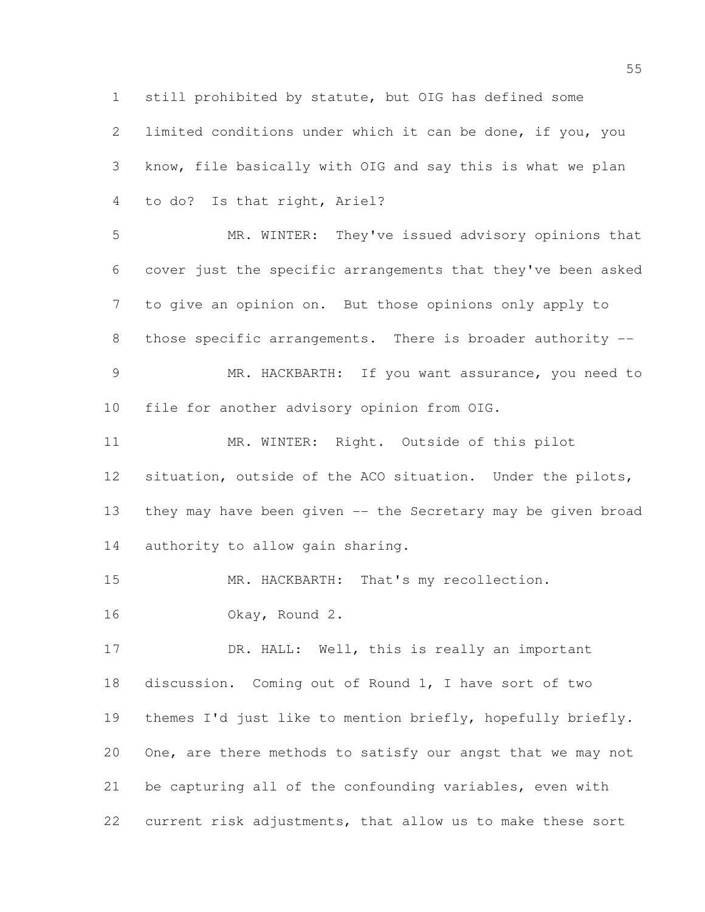still prohibited by statute, but OIG has defined some limited conditions under which it can be done, if you, you know, file basically with OIG and say this is what we plan to do? Is that right, Ariel? MR. WINTER: They've issued advisory opinions that cover just the specific arrangements that they've been asked to give an opinion on. But those opinions only apply to 8 those specific arrangements. There is broader authority -- MR. HACKBARTH: If you want assurance, you need to file for another advisory opinion from OIG. MR. WINTER: Right. Outside of this pilot situation, outside of the ACO situation. Under the pilots, they may have been given -- the Secretary may be given broad 14 authority to allow gain sharing. MR. HACKBARTH: That's my recollection. Okay, Round 2. 17 DR. HALL: Well, this is really an important discussion. Coming out of Round 1, I have sort of two themes I'd just like to mention briefly, hopefully briefly. One, are there methods to satisfy our angst that we may not be capturing all of the confounding variables, even with current risk adjustments, that allow us to make these sort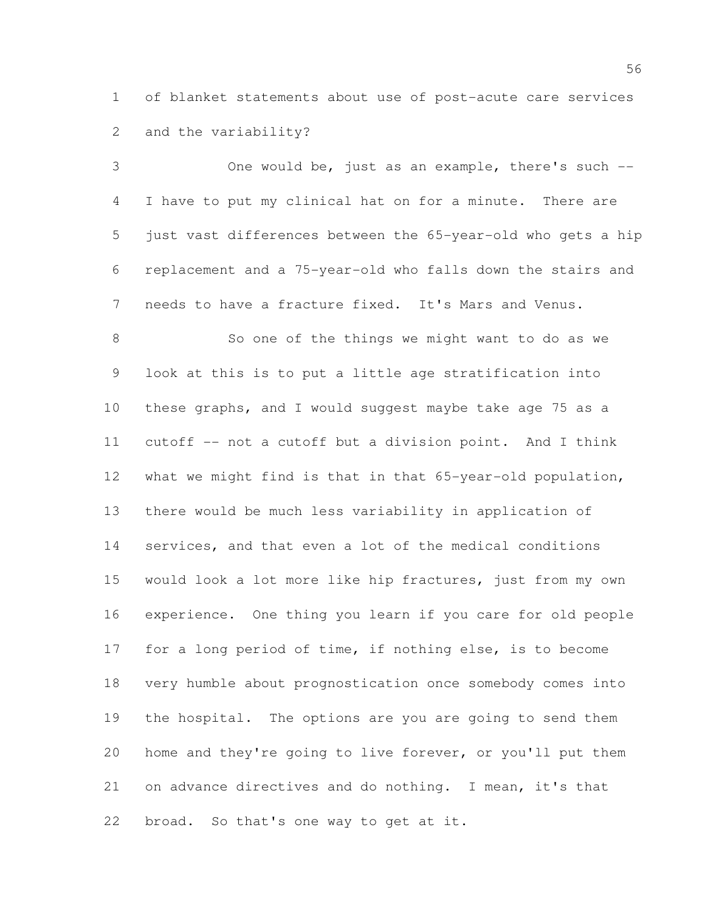of blanket statements about use of post-acute care services and the variability?

 One would be, just as an example, there's such -- I have to put my clinical hat on for a minute. There are just vast differences between the 65-year-old who gets a hip replacement and a 75-year-old who falls down the stairs and needs to have a fracture fixed. It's Mars and Venus.

 So one of the things we might want to do as we look at this is to put a little age stratification into these graphs, and I would suggest maybe take age 75 as a cutoff -- not a cutoff but a division point. And I think 12 what we might find is that in that 65-year-old population, there would be much less variability in application of services, and that even a lot of the medical conditions would look a lot more like hip fractures, just from my own experience. One thing you learn if you care for old people for a long period of time, if nothing else, is to become very humble about prognostication once somebody comes into the hospital. The options are you are going to send them home and they're going to live forever, or you'll put them on advance directives and do nothing. I mean, it's that broad. So that's one way to get at it.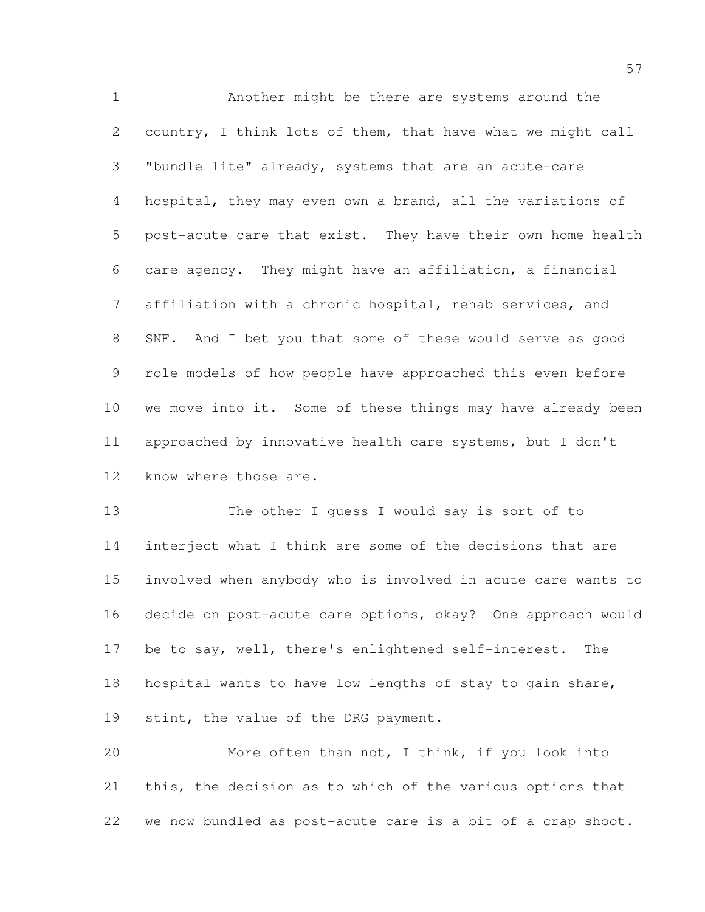Another might be there are systems around the country, I think lots of them, that have what we might call "bundle lite" already, systems that are an acute-care hospital, they may even own a brand, all the variations of post-acute care that exist. They have their own home health care agency. They might have an affiliation, a financial affiliation with a chronic hospital, rehab services, and SNF. And I bet you that some of these would serve as good role models of how people have approached this even before we move into it. Some of these things may have already been approached by innovative health care systems, but I don't know where those are.

 The other I guess I would say is sort of to interject what I think are some of the decisions that are involved when anybody who is involved in acute care wants to decide on post-acute care options, okay? One approach would be to say, well, there's enlightened self-interest. The hospital wants to have low lengths of stay to gain share, 19 stint, the value of the DRG payment.

 More often than not, I think, if you look into this, the decision as to which of the various options that we now bundled as post-acute care is a bit of a crap shoot.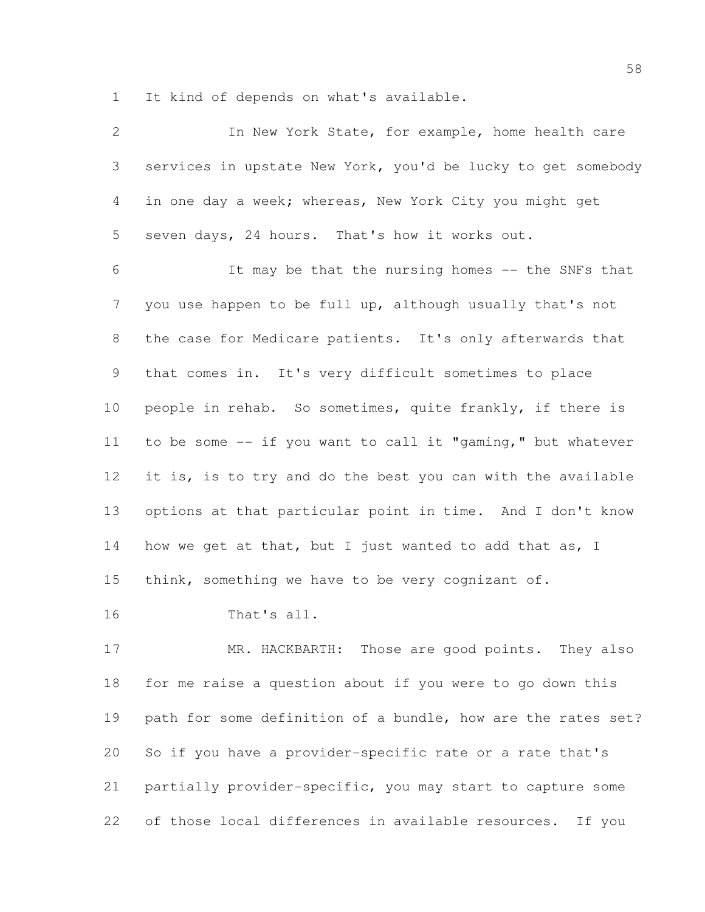It kind of depends on what's available.

| $\overline{2}$ | In New York State, for example, home health care             |
|----------------|--------------------------------------------------------------|
| 3              | services in upstate New York, you'd be lucky to get somebody |
| 4              | in one day a week; whereas, New York City you might get      |
| 5              | seven days, 24 hours. That's how it works out.               |
| 6              | It may be that the nursing homes -- the SNFs that            |
| $\overline{7}$ | you use happen to be full up, although usually that's not    |
| 8              | the case for Medicare patients. It's only afterwards that    |
| 9              | that comes in. It's very difficult sometimes to place        |
| 10             | people in rehab. So sometimes, quite frankly, if there is    |
| 11             | to be some -- if you want to call it "gaming," but whatever  |
| 12             | it is, is to try and do the best you can with the available  |
| 13             | options at that particular point in time. And I don't know   |
| 14             | how we get at that, but I just wanted to add that as, I      |
| 15             | think, something we have to be very cognizant of.            |
| 16             | That's all.                                                  |
| 17             | MR. HACKBARTH: Those are good points. They also              |
| 18             | for me raise a question about if you were to go down this    |
| 19             | path for some definition of a bundle, how are the rates set? |
| 20             | So if you have a provider-specific rate or a rate that's     |
| 21             | partially provider-specific, you may start to capture some   |

of those local differences in available resources. If you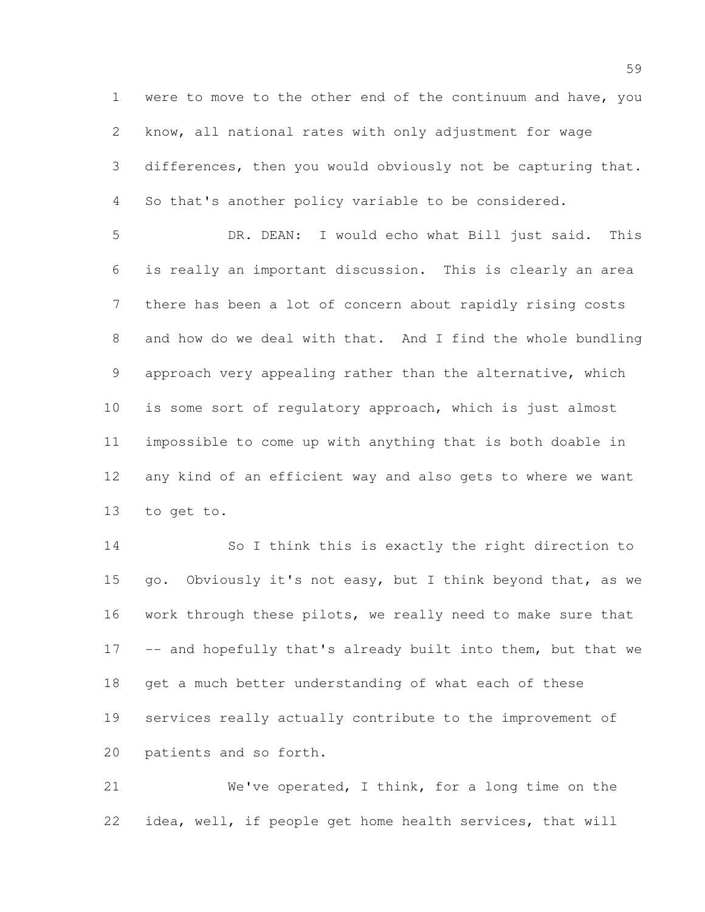were to move to the other end of the continuum and have, you know, all national rates with only adjustment for wage differences, then you would obviously not be capturing that. So that's another policy variable to be considered.

 DR. DEAN: I would echo what Bill just said. This is really an important discussion. This is clearly an area there has been a lot of concern about rapidly rising costs and how do we deal with that. And I find the whole bundling approach very appealing rather than the alternative, which is some sort of regulatory approach, which is just almost impossible to come up with anything that is both doable in any kind of an efficient way and also gets to where we want to get to.

 So I think this is exactly the right direction to 15 go. Obviously it's not easy, but I think beyond that, as we work through these pilots, we really need to make sure that 17 -- and hopefully that's already built into them, but that we 18 get a much better understanding of what each of these services really actually contribute to the improvement of patients and so forth.

 We've operated, I think, for a long time on the idea, well, if people get home health services, that will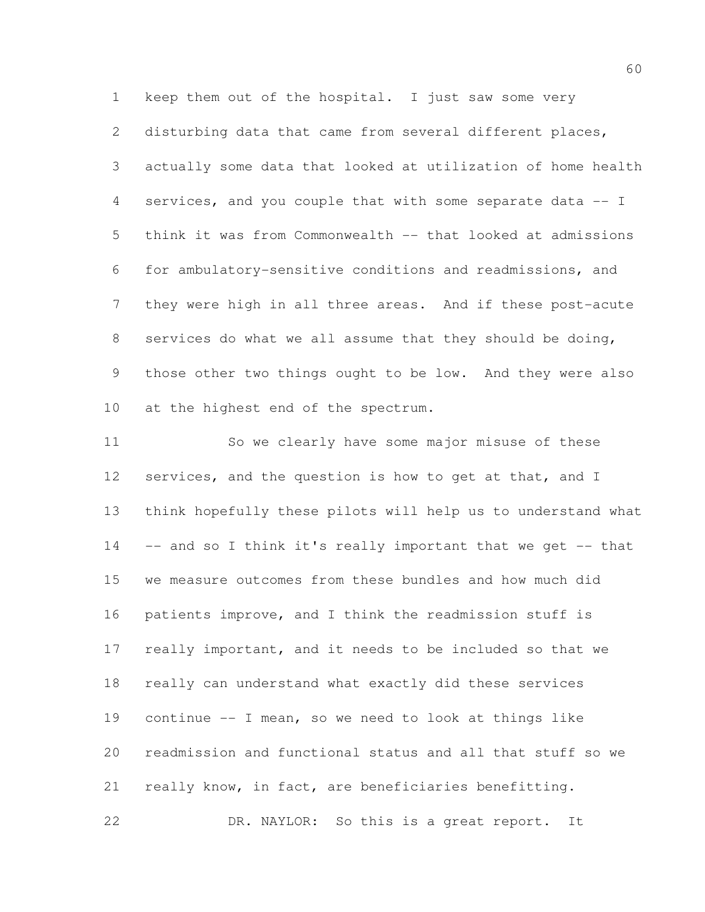2 disturbing data that came from several different places, actually some data that looked at utilization of home health services, and you couple that with some separate data -- I think it was from Commonwealth -- that looked at admissions for ambulatory-sensitive conditions and readmissions, and they were high in all three areas. And if these post-acute services do what we all assume that they should be doing, those other two things ought to be low. And they were also at the highest end of the spectrum.

 So we clearly have some major misuse of these 12 services, and the question is how to get at that, and I think hopefully these pilots will help us to understand what -- and so I think it's really important that we get -- that we measure outcomes from these bundles and how much did patients improve, and I think the readmission stuff is really important, and it needs to be included so that we really can understand what exactly did these services continue -- I mean, so we need to look at things like readmission and functional status and all that stuff so we really know, in fact, are beneficiaries benefitting. DR. NAYLOR: So this is a great report. It

keep them out of the hospital. I just saw some very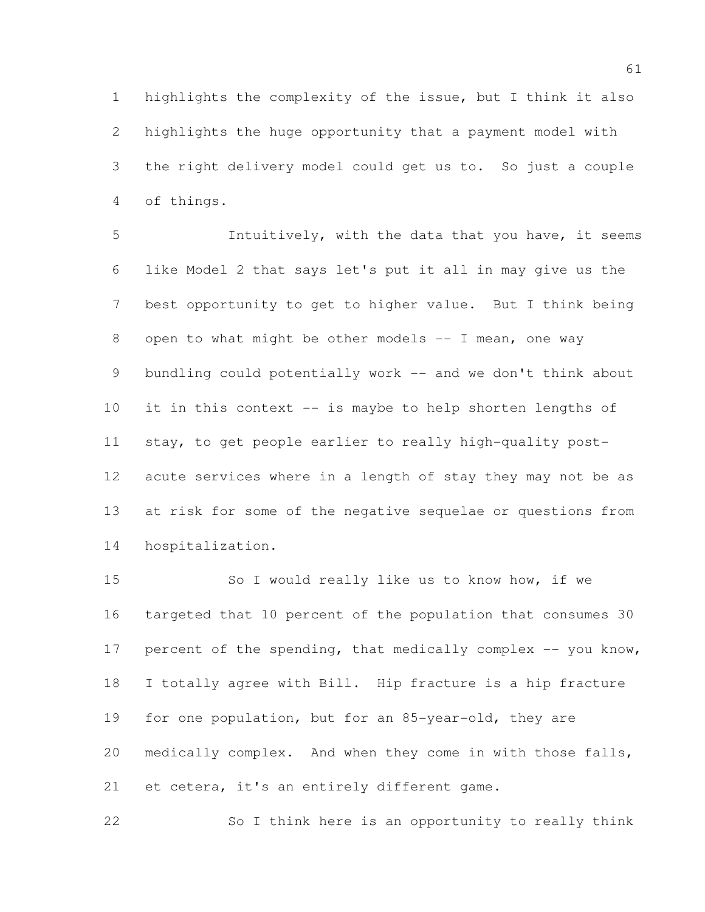highlights the complexity of the issue, but I think it also highlights the huge opportunity that a payment model with the right delivery model could get us to. So just a couple of things.

 Intuitively, with the data that you have, it seems like Model 2 that says let's put it all in may give us the best opportunity to get to higher value. But I think being 8 open to what might be other models -- I mean, one way 9 bundling could potentially work -- and we don't think about it in this context -- is maybe to help shorten lengths of stay, to get people earlier to really high-quality post- acute services where in a length of stay they may not be as at risk for some of the negative sequelae or questions from hospitalization.

 So I would really like us to know how, if we targeted that 10 percent of the population that consumes 30 17 percent of the spending, that medically complex -- you know, I totally agree with Bill. Hip fracture is a hip fracture for one population, but for an 85-year-old, they are medically complex. And when they come in with those falls, 21 et cetera, it's an entirely different game.

So I think here is an opportunity to really think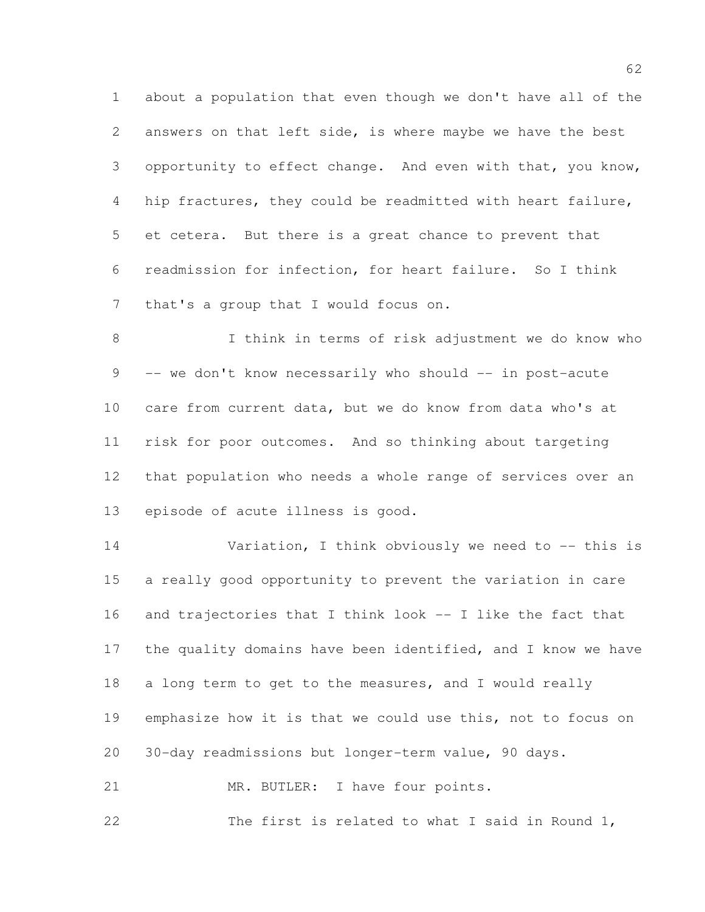about a population that even though we don't have all of the answers on that left side, is where maybe we have the best opportunity to effect change. And even with that, you know, hip fractures, they could be readmitted with heart failure, et cetera. But there is a great chance to prevent that readmission for infection, for heart failure. So I think that's a group that I would focus on.

 I think in terms of risk adjustment we do know who 9 -- we don't know necessarily who should -- in post-acute care from current data, but we do know from data who's at risk for poor outcomes. And so thinking about targeting that population who needs a whole range of services over an episode of acute illness is good.

14 Variation, I think obviously we need to -- this is a really good opportunity to prevent the variation in care and trajectories that I think look -- I like the fact that the quality domains have been identified, and I know we have 18 a long term to get to the measures, and I would really emphasize how it is that we could use this, not to focus on 30-day readmissions but longer-term value, 90 days. 21 MR. BUTLER: I have four points.

The first is related to what I said in Round 1,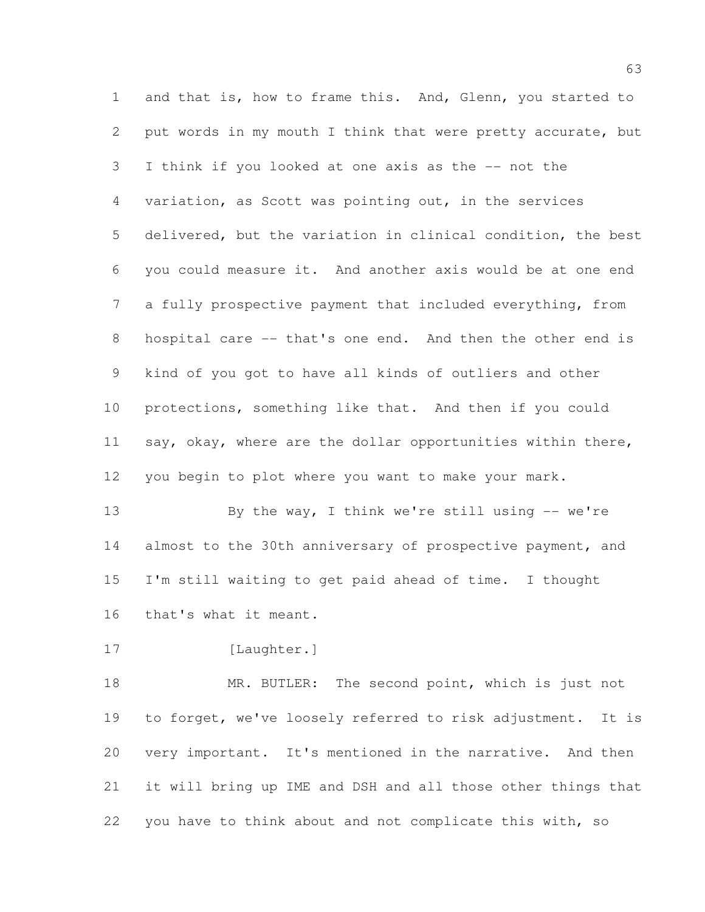and that is, how to frame this. And, Glenn, you started to put words in my mouth I think that were pretty accurate, but I think if you looked at one axis as the -- not the variation, as Scott was pointing out, in the services delivered, but the variation in clinical condition, the best you could measure it. And another axis would be at one end a fully prospective payment that included everything, from hospital care -- that's one end. And then the other end is kind of you got to have all kinds of outliers and other protections, something like that. And then if you could 11 say, okay, where are the dollar opportunities within there, you begin to plot where you want to make your mark.

 By the way, I think we're still using -- we're 14 almost to the 30th anniversary of prospective payment, and I'm still waiting to get paid ahead of time. I thought that's what it meant.

17 [Laughter.]

18 MR. BUTLER: The second point, which is just not to forget, we've loosely referred to risk adjustment. It is very important. It's mentioned in the narrative. And then it will bring up IME and DSH and all those other things that you have to think about and not complicate this with, so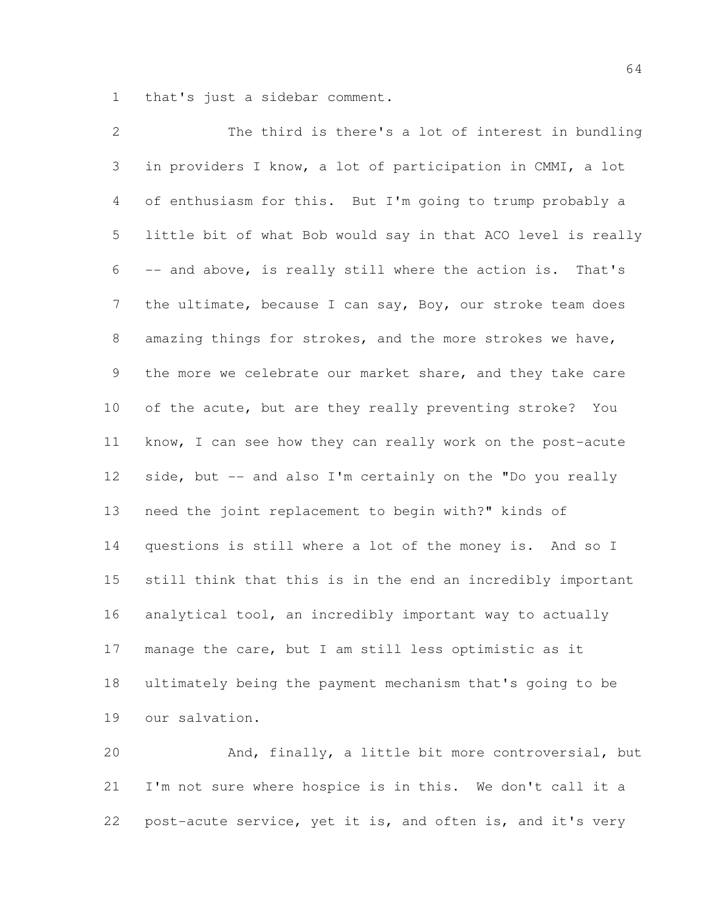that's just a sidebar comment.

 The third is there's a lot of interest in bundling in providers I know, a lot of participation in CMMI, a lot of enthusiasm for this. But I'm going to trump probably a little bit of what Bob would say in that ACO level is really -- and above, is really still where the action is. That's 7 the ultimate, because I can say, Boy, our stroke team does amazing things for strokes, and the more strokes we have, the more we celebrate our market share, and they take care of the acute, but are they really preventing stroke? You know, I can see how they can really work on the post-acute 12 side, but -- and also I'm certainly on the "Do you really need the joint replacement to begin with?" kinds of questions is still where a lot of the money is. And so I still think that this is in the end an incredibly important analytical tool, an incredibly important way to actually manage the care, but I am still less optimistic as it ultimately being the payment mechanism that's going to be our salvation.

 And, finally, a little bit more controversial, but I'm not sure where hospice is in this. We don't call it a post-acute service, yet it is, and often is, and it's very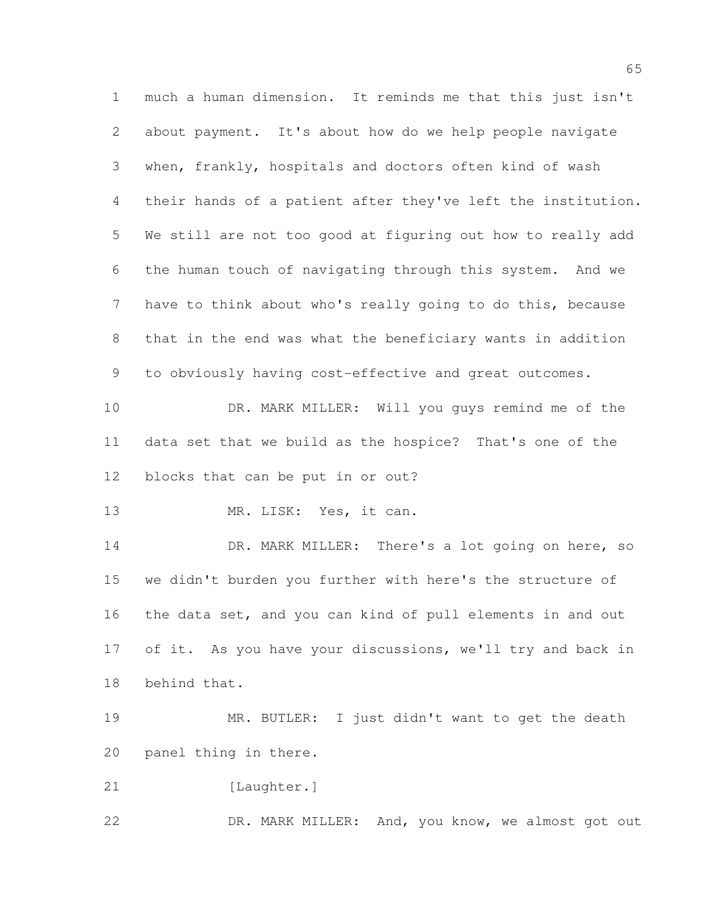much a human dimension. It reminds me that this just isn't about payment. It's about how do we help people navigate when, frankly, hospitals and doctors often kind of wash their hands of a patient after they've left the institution. We still are not too good at figuring out how to really add the human touch of navigating through this system. And we have to think about who's really going to do this, because that in the end was what the beneficiary wants in addition to obviously having cost-effective and great outcomes. 10 DR. MARK MILLER: Will you guys remind me of the data set that we build as the hospice? That's one of the blocks that can be put in or out? 13 MR. LISK: Yes, it can. DR. MARK MILLER: There's a lot going on here, so we didn't burden you further with here's the structure of the data set, and you can kind of pull elements in and out 17 of it. As you have your discussions, we'll try and back in behind that. MR. BUTLER: I just didn't want to get the death panel thing in there. 21 [Laughter.] 22 DR. MARK MILLER: And, you know, we almost got out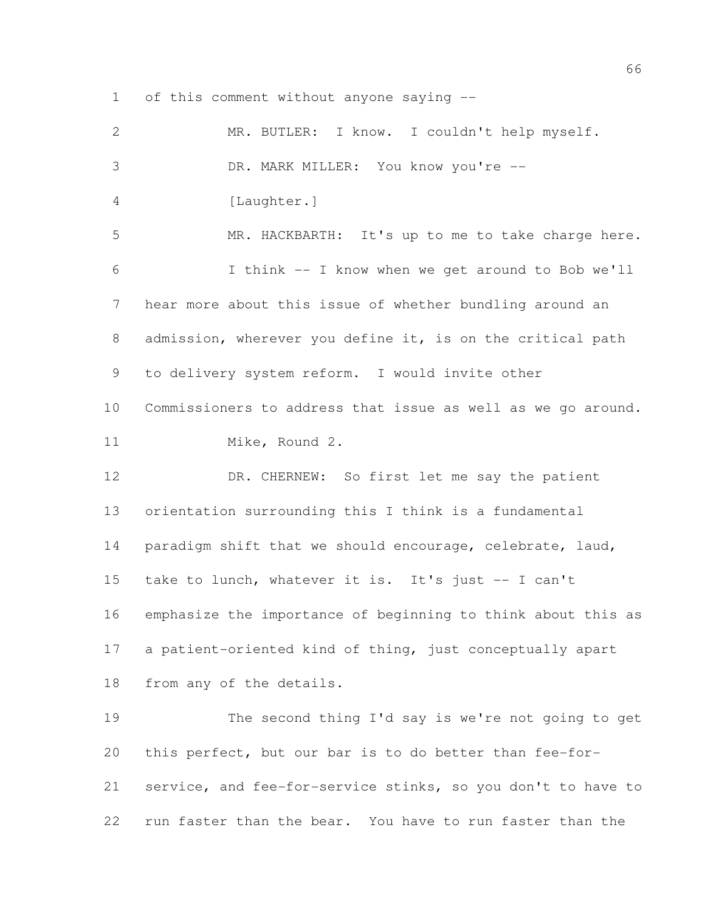of this comment without anyone saying --

| $\mathbf{2}$ | MR. BUTLER: I know. I couldn't help myself.                  |
|--------------|--------------------------------------------------------------|
| 3            | DR. MARK MILLER: You know you're --                          |
| 4            | [Laughter.]                                                  |
| 5            | MR. HACKBARTH: It's up to me to take charge here.            |
| 6            | I think -- I know when we get around to Bob we'll            |
| 7            | hear more about this issue of whether bundling around an     |
| 8            | admission, wherever you define it, is on the critical path   |
| 9            | to delivery system reform. I would invite other              |
| 10           | Commissioners to address that issue as well as we go around. |
| 11           | Mike, Round 2.                                               |
| 12           | DR. CHERNEW: So first let me say the patient                 |
| 13           | orientation surrounding this I think is a fundamental        |
| 14           | paradigm shift that we should encourage, celebrate, laud,    |
| 15           | take to lunch, whatever it is. It's just -- I can't          |
| 16           | emphasize the importance of beginning to think about this as |
| 17           | a patient-oriented kind of thing, just conceptually apart    |
| 18           | from any of the details.                                     |
| 19           | The second thing I'd say is we're not going to get           |
| 20           | this perfect, but our bar is to do better than fee-for-      |
| 21           | service, and fee-for-service stinks, so you don't to have to |
| 22           | run faster than the bear. You have to run faster than the    |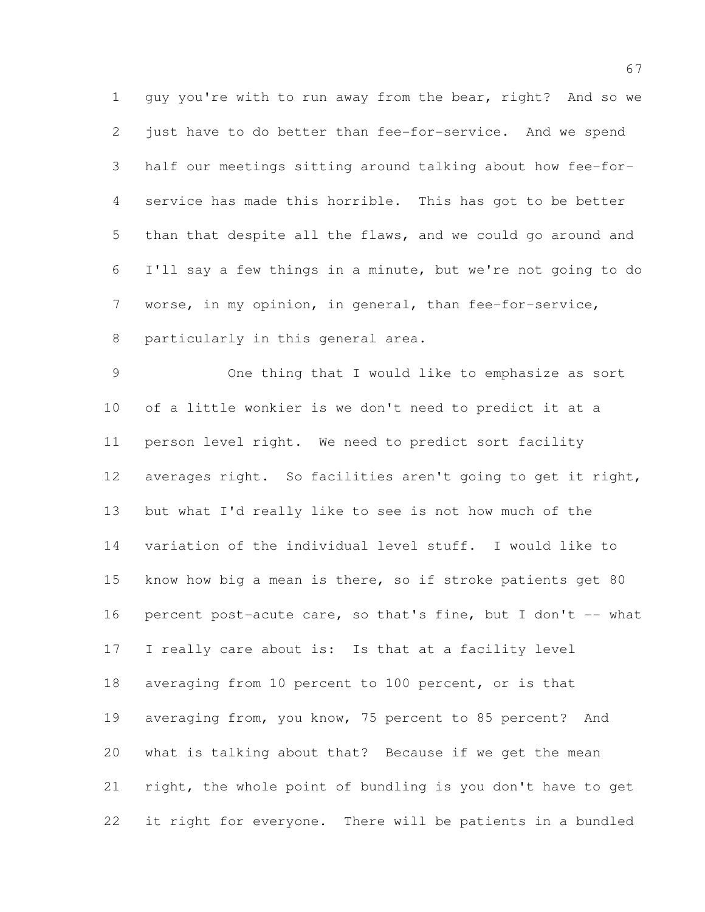guy you're with to run away from the bear, right? And so we 2 just have to do better than fee-for-service. And we spend half our meetings sitting around talking about how fee-for- service has made this horrible. This has got to be better than that despite all the flaws, and we could go around and I'll say a few things in a minute, but we're not going to do worse, in my opinion, in general, than fee-for-service, particularly in this general area.

 One thing that I would like to emphasize as sort of a little wonkier is we don't need to predict it at a person level right. We need to predict sort facility 12 averages right. So facilities aren't going to get it right, but what I'd really like to see is not how much of the variation of the individual level stuff. I would like to know how big a mean is there, so if stroke patients get 80 16 percent post-acute care, so that's fine, but I don't -- what I really care about is: Is that at a facility level averaging from 10 percent to 100 percent, or is that averaging from, you know, 75 percent to 85 percent? And what is talking about that? Because if we get the mean right, the whole point of bundling is you don't have to get it right for everyone. There will be patients in a bundled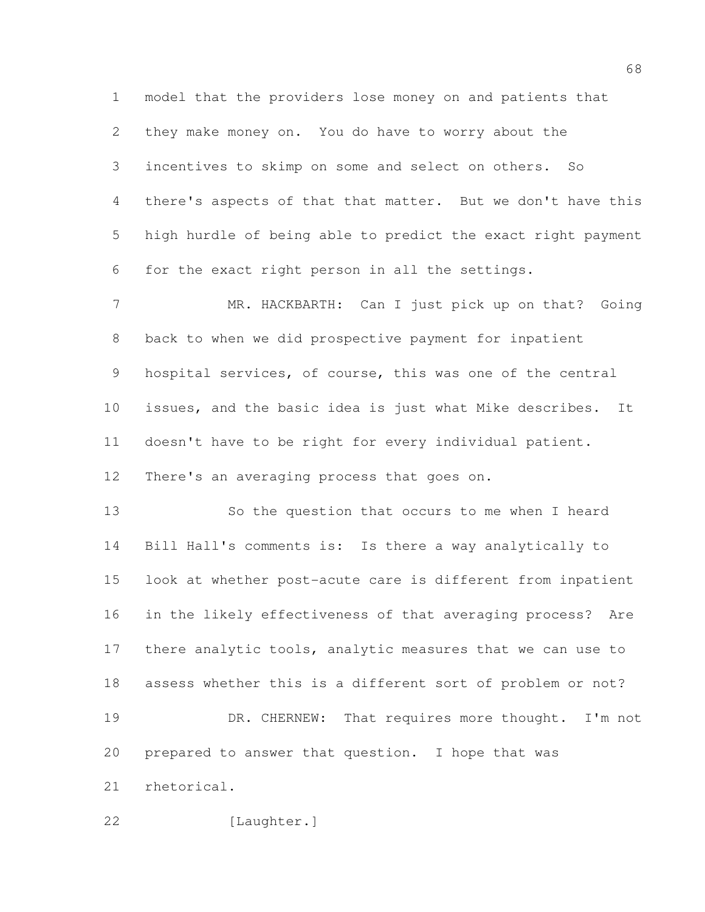model that the providers lose money on and patients that they make money on. You do have to worry about the incentives to skimp on some and select on others. So there's aspects of that that matter. But we don't have this high hurdle of being able to predict the exact right payment for the exact right person in all the settings.

 MR. HACKBARTH: Can I just pick up on that? Going back to when we did prospective payment for inpatient hospital services, of course, this was one of the central issues, and the basic idea is just what Mike describes. It doesn't have to be right for every individual patient. There's an averaging process that goes on.

 So the question that occurs to me when I heard Bill Hall's comments is: Is there a way analytically to look at whether post-acute care is different from inpatient in the likely effectiveness of that averaging process? Are 17 there analytic tools, analytic measures that we can use to assess whether this is a different sort of problem or not? 19 DR. CHERNEW: That requires more thought. I'm not prepared to answer that question. I hope that was rhetorical.

[Laughter.]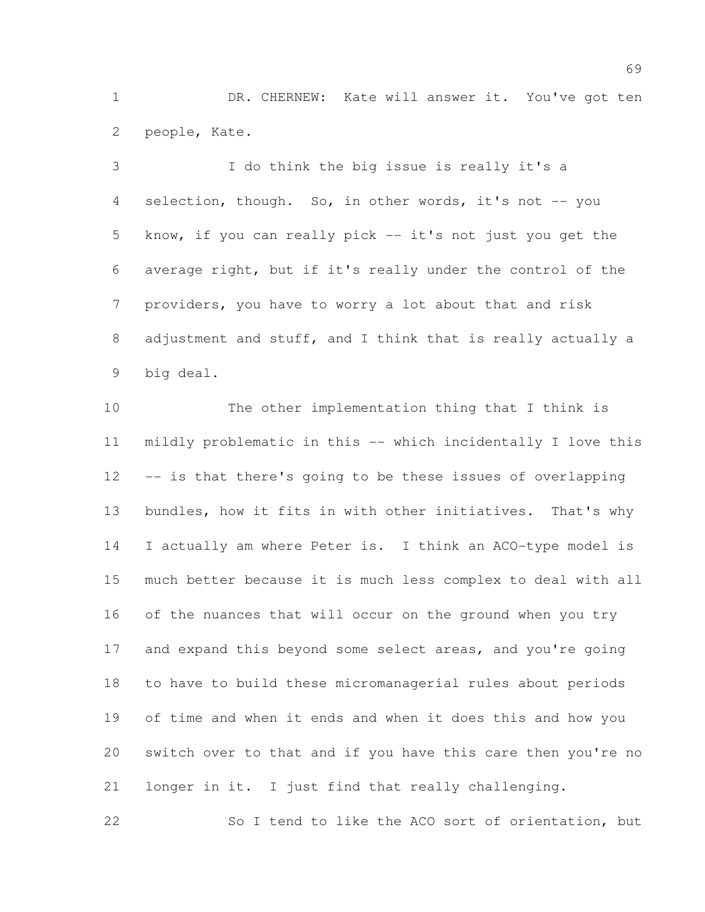DR. CHERNEW: Kate will answer it. You've got ten people, Kate.

 I do think the big issue is really it's a 4 selection, though. So, in other words, it's not -- you know, if you can really pick -- it's not just you get the average right, but if it's really under the control of the providers, you have to worry a lot about that and risk adjustment and stuff, and I think that is really actually a big deal.

 The other implementation thing that I think is mildly problematic in this -- which incidentally I love this -- is that there's going to be these issues of overlapping bundles, how it fits in with other initiatives. That's why I actually am where Peter is. I think an ACO-type model is much better because it is much less complex to deal with all of the nuances that will occur on the ground when you try 17 and expand this beyond some select areas, and you're going to have to build these micromanagerial rules about periods of time and when it ends and when it does this and how you switch over to that and if you have this care then you're no longer in it. I just find that really challenging.

So I tend to like the ACO sort of orientation, but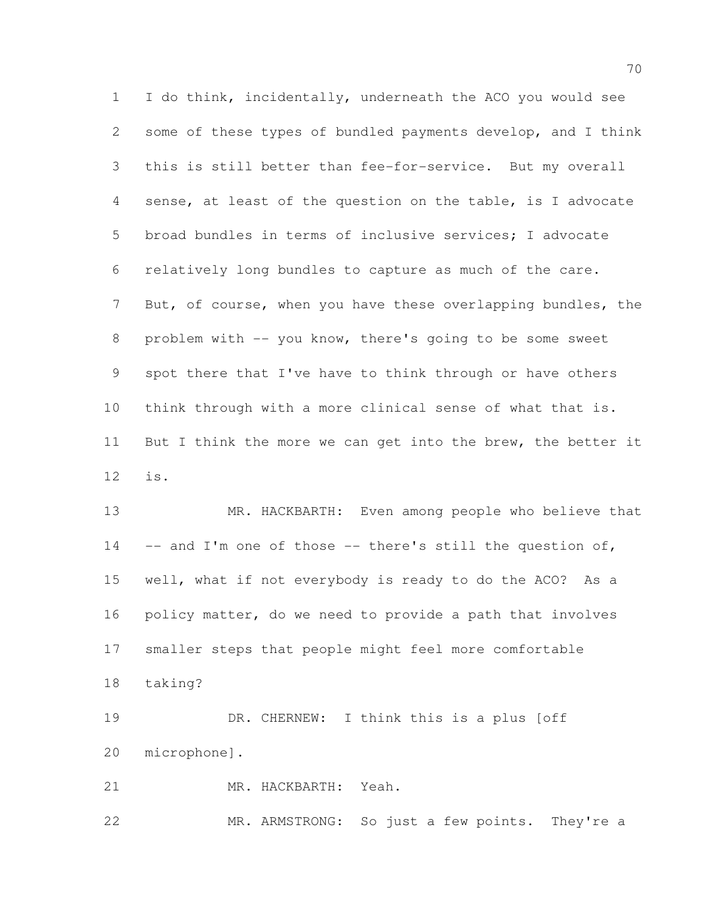I do think, incidentally, underneath the ACO you would see some of these types of bundled payments develop, and I think this is still better than fee-for-service. But my overall sense, at least of the question on the table, is I advocate broad bundles in terms of inclusive services; I advocate relatively long bundles to capture as much of the care. 7 But, of course, when you have these overlapping bundles, the problem with -- you know, there's going to be some sweet spot there that I've have to think through or have others think through with a more clinical sense of what that is. 11 But I think the more we can get into the brew, the better it is.

 MR. HACKBARTH: Even among people who believe that 14 -- and I'm one of those -- there's still the question of, well, what if not everybody is ready to do the ACO? As a policy matter, do we need to provide a path that involves smaller steps that people might feel more comfortable taking?

 DR. CHERNEW: I think this is a plus [off microphone].

MR. HACKBARTH: Yeah.

MR. ARMSTRONG: So just a few points. They're a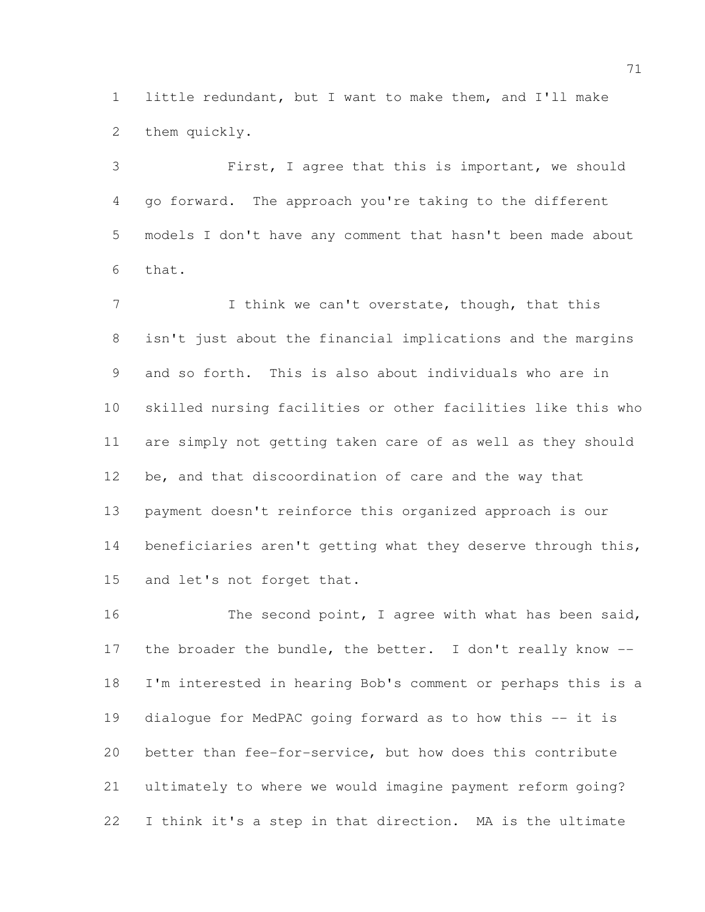little redundant, but I want to make them, and I'll make them quickly.

 First, I agree that this is important, we should go forward. The approach you're taking to the different models I don't have any comment that hasn't been made about that.

7 I think we can't overstate, though, that this isn't just about the financial implications and the margins and so forth. This is also about individuals who are in skilled nursing facilities or other facilities like this who are simply not getting taken care of as well as they should be, and that discoordination of care and the way that payment doesn't reinforce this organized approach is our 14 beneficiaries aren't getting what they deserve through this, and let's not forget that.

16 The second point, I agree with what has been said, 17 the broader the bundle, the better. I don't really know -- I'm interested in hearing Bob's comment or perhaps this is a dialogue for MedPAC going forward as to how this -- it is better than fee-for-service, but how does this contribute ultimately to where we would imagine payment reform going? I think it's a step in that direction. MA is the ultimate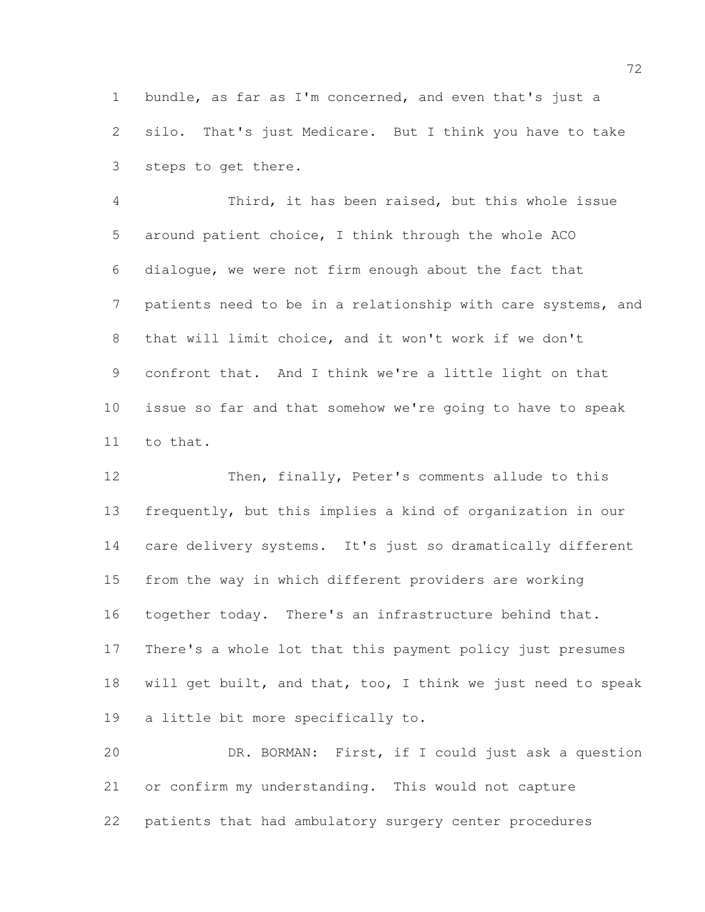bundle, as far as I'm concerned, and even that's just a silo. That's just Medicare. But I think you have to take steps to get there.

 Third, it has been raised, but this whole issue around patient choice, I think through the whole ACO dialogue, we were not firm enough about the fact that patients need to be in a relationship with care systems, and that will limit choice, and it won't work if we don't confront that. And I think we're a little light on that issue so far and that somehow we're going to have to speak to that.

 Then, finally, Peter's comments allude to this frequently, but this implies a kind of organization in our care delivery systems. It's just so dramatically different from the way in which different providers are working together today. There's an infrastructure behind that. There's a whole lot that this payment policy just presumes will get built, and that, too, I think we just need to speak a little bit more specifically to.

 DR. BORMAN: First, if I could just ask a question or confirm my understanding. This would not capture patients that had ambulatory surgery center procedures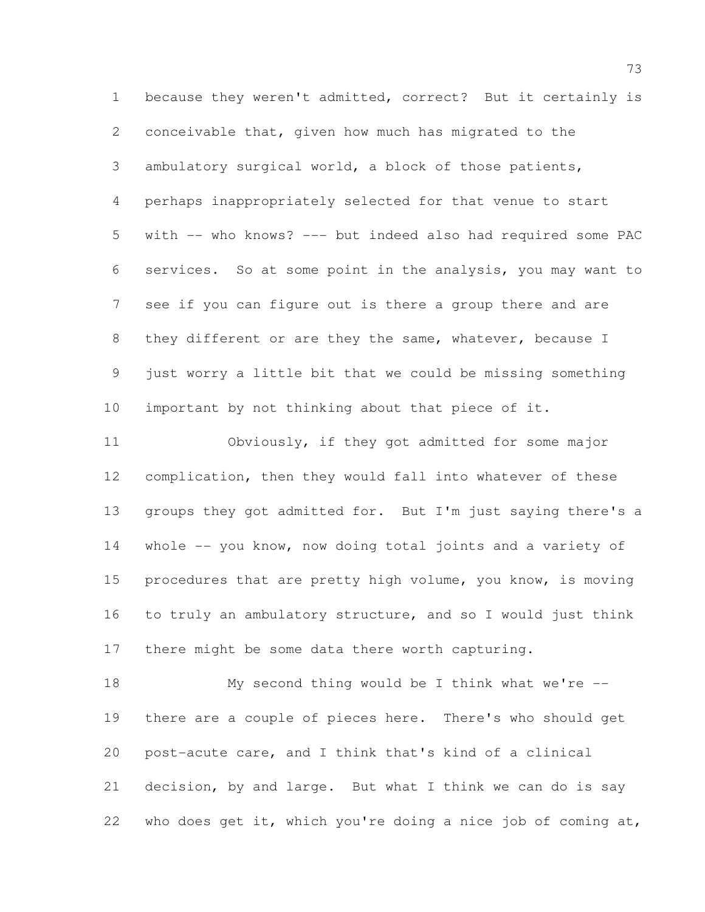because they weren't admitted, correct? But it certainly is conceivable that, given how much has migrated to the ambulatory surgical world, a block of those patients, perhaps inappropriately selected for that venue to start with -- who knows? --- but indeed also had required some PAC services. So at some point in the analysis, you may want to see if you can figure out is there a group there and are 8 they different or are they the same, whatever, because I just worry a little bit that we could be missing something important by not thinking about that piece of it.

 Obviously, if they got admitted for some major complication, then they would fall into whatever of these groups they got admitted for. But I'm just saying there's a whole -- you know, now doing total joints and a variety of 15 procedures that are pretty high volume, you know, is moving to truly an ambulatory structure, and so I would just think there might be some data there worth capturing.

 My second thing would be I think what we're -- there are a couple of pieces here. There's who should get post-acute care, and I think that's kind of a clinical decision, by and large. But what I think we can do is say who does get it, which you're doing a nice job of coming at,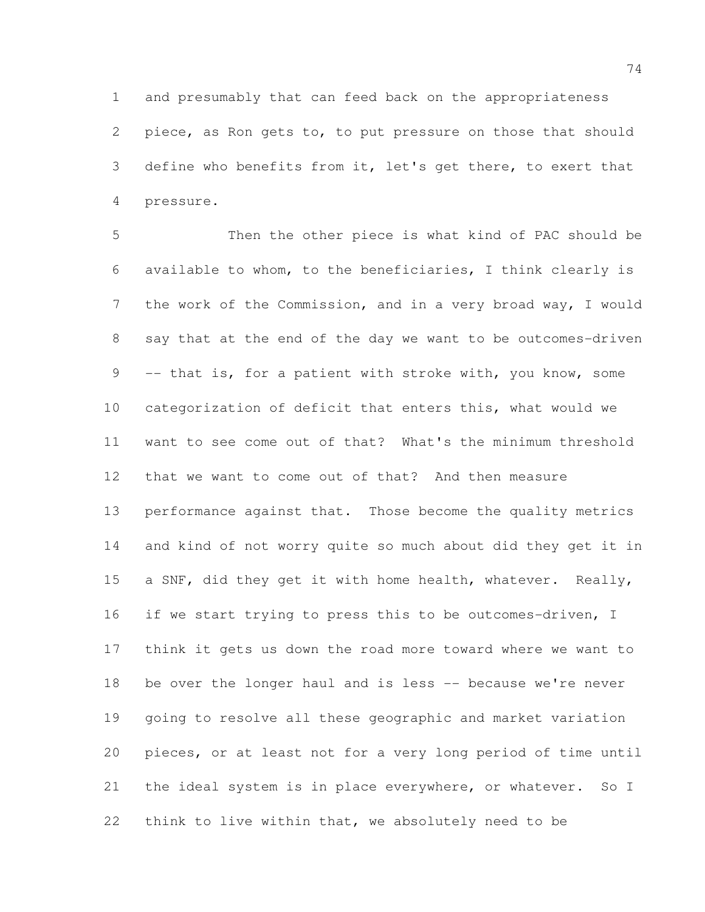and presumably that can feed back on the appropriateness piece, as Ron gets to, to put pressure on those that should define who benefits from it, let's get there, to exert that pressure.

 Then the other piece is what kind of PAC should be available to whom, to the beneficiaries, I think clearly is the work of the Commission, and in a very broad way, I would say that at the end of the day we want to be outcomes-driven 9 -- that is, for a patient with stroke with, you know, some categorization of deficit that enters this, what would we want to see come out of that? What's the minimum threshold that we want to come out of that? And then measure performance against that. Those become the quality metrics and kind of not worry quite so much about did they get it in 15 a SNF, did they get it with home health, whatever. Really, 16 if we start trying to press this to be outcomes-driven, I think it gets us down the road more toward where we want to be over the longer haul and is less -- because we're never going to resolve all these geographic and market variation pieces, or at least not for a very long period of time until the ideal system is in place everywhere, or whatever. So I think to live within that, we absolutely need to be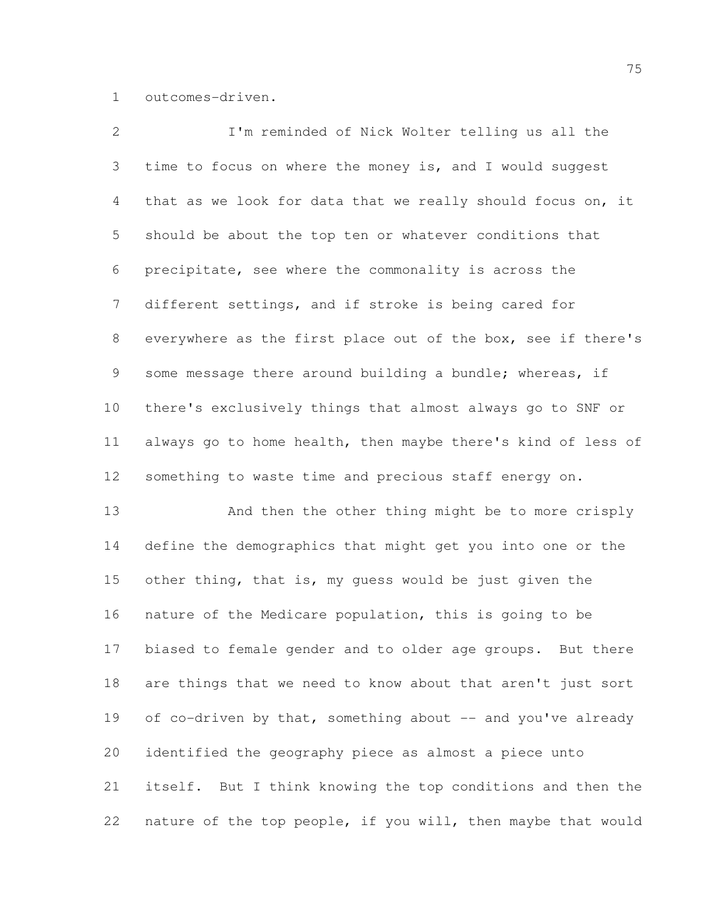outcomes-driven.

| $\mathbf{2}$   | I'm reminded of Nick Wolter telling us all the               |
|----------------|--------------------------------------------------------------|
| 3              | time to focus on where the money is, and I would suggest     |
| 4              | that as we look for data that we really should focus on, it  |
| 5              | should be about the top ten or whatever conditions that      |
| 6              | precipitate, see where the commonality is across the         |
| $7\phantom{.}$ | different settings, and if stroke is being cared for         |
| 8              | everywhere as the first place out of the box, see if there's |
| 9              | some message there around building a bundle; whereas, if     |
| 10             | there's exclusively things that almost always go to SNF or   |
| 11             | always go to home health, then maybe there's kind of less of |
| 12             | something to waste time and precious staff energy on.        |
| 13             | And then the other thing might be to more crisply            |
| 14             | define the demographics that might get you into one or the   |
| 15             | other thing, that is, my quess would be just given the       |
| 16             | nature of the Medicare population, this is going to be       |
| 17             | biased to female gender and to older age groups. But there   |
| 18             | are things that we need to know about that aren't just sort  |
| 19             | of co-driven by that, something about -- and you've already  |
| 20             | identified the geography piece as almost a piece unto        |
| 21             | itself. But I think knowing the top conditions and then the  |
| 22             | nature of the top people, if you will, then maybe that would |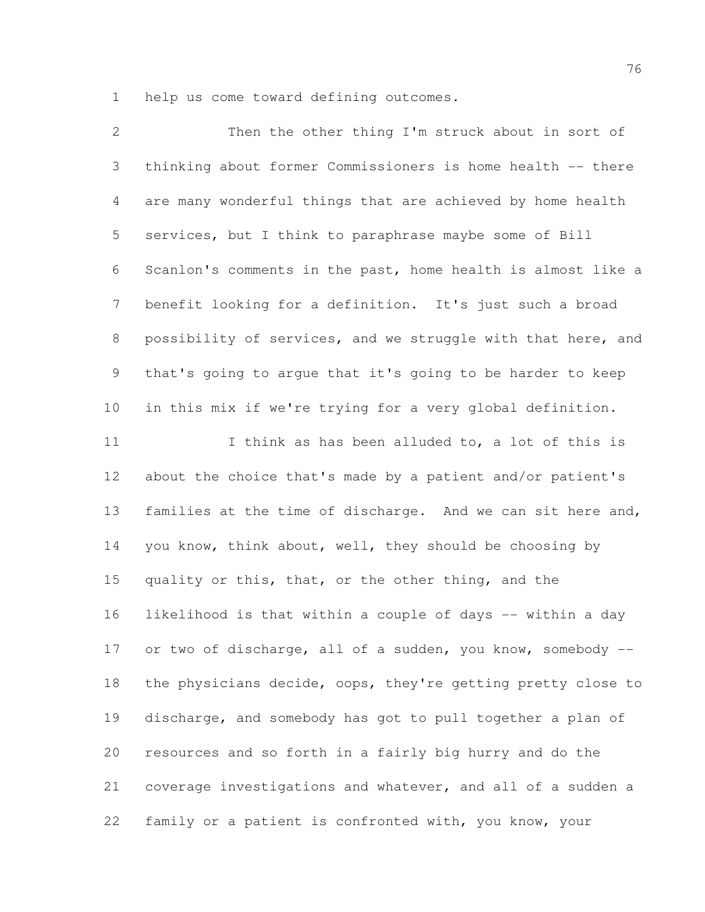help us come toward defining outcomes.

| $\mathbf{2}$   | Then the other thing I'm struck about in sort of             |
|----------------|--------------------------------------------------------------|
| 3              | thinking about former Commissioners is home health -- there  |
| $\overline{4}$ | are many wonderful things that are achieved by home health   |
| 5              | services, but I think to paraphrase maybe some of Bill       |
| 6              | Scanlon's comments in the past, home health is almost like a |
| $\overline{7}$ | benefit looking for a definition. It's just such a broad     |
| $8\,$          | possibility of services, and we struggle with that here, and |
| 9              | that's going to argue that it's going to be harder to keep   |
| 10             | in this mix if we're trying for a very global definition.    |
| 11             | I think as has been alluded to, a lot of this is             |
| 12             | about the choice that's made by a patient and/or patient's   |
| 13             | families at the time of discharge. And we can sit here and,  |
| 14             | you know, think about, well, they should be choosing by      |
| 15             | quality or this, that, or the other thing, and the           |
| 16             | likelihood is that within a couple of days -- within a day   |
| 17             | or two of discharge, all of a sudden, you know, somebody --  |
| 18             | the physicians decide, oops, they're getting pretty close to |
| 19             | discharge, and somebody has got to pull together a plan of   |
| 20             | resources and so forth in a fairly big hurry and do the      |
| 21             | coverage investigations and whatever, and all of a sudden a  |
| 22             | family or a patient is confronted with, you know, your       |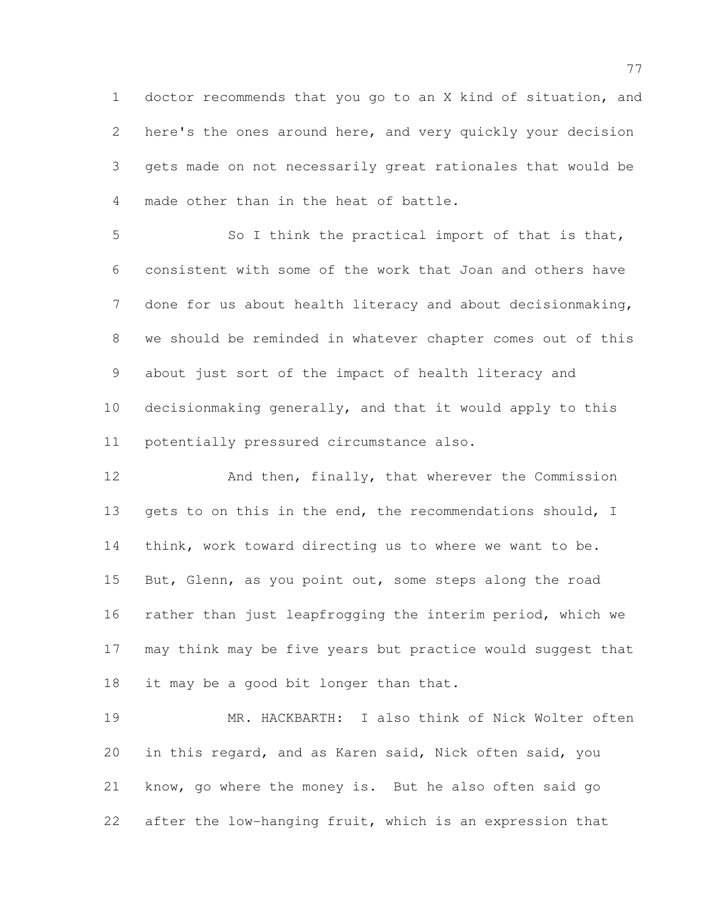doctor recommends that you go to an X kind of situation, and here's the ones around here, and very quickly your decision gets made on not necessarily great rationales that would be made other than in the heat of battle.

 So I think the practical import of that is that, consistent with some of the work that Joan and others have done for us about health literacy and about decisionmaking, we should be reminded in whatever chapter comes out of this about just sort of the impact of health literacy and decisionmaking generally, and that it would apply to this potentially pressured circumstance also.

 And then, finally, that wherever the Commission 13 gets to on this in the end, the recommendations should, I think, work toward directing us to where we want to be. But, Glenn, as you point out, some steps along the road rather than just leapfrogging the interim period, which we may think may be five years but practice would suggest that it may be a good bit longer than that.

 MR. HACKBARTH: I also think of Nick Wolter often in this regard, and as Karen said, Nick often said, you know, go where the money is. But he also often said go after the low-hanging fruit, which is an expression that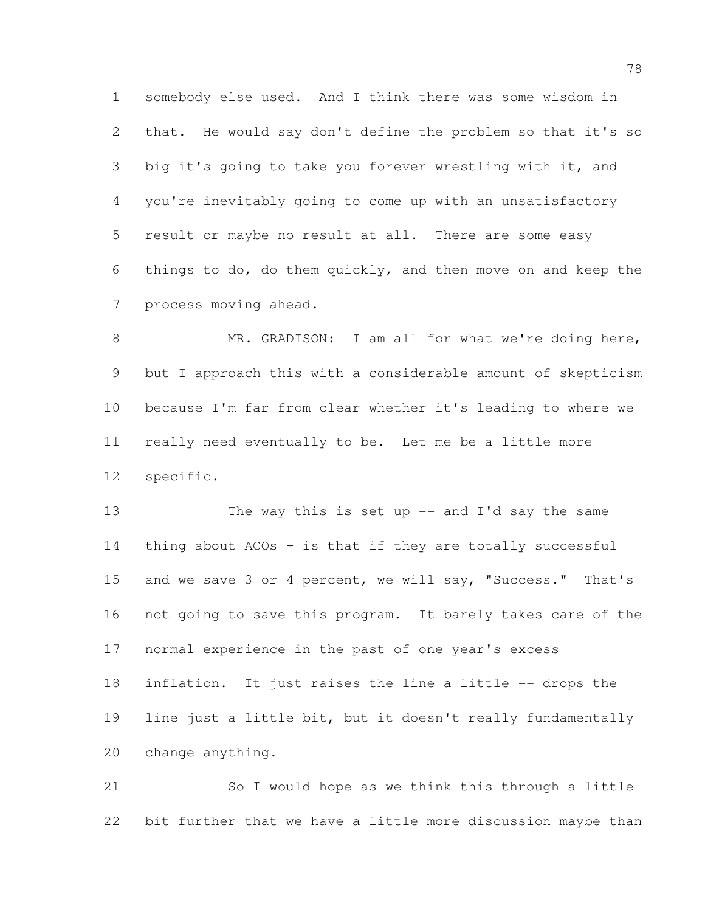somebody else used. And I think there was some wisdom in that. He would say don't define the problem so that it's so big it's going to take you forever wrestling with it, and you're inevitably going to come up with an unsatisfactory result or maybe no result at all. There are some easy things to do, do them quickly, and then move on and keep the process moving ahead.

8 MR. GRADISON: I am all for what we're doing here, but I approach this with a considerable amount of skepticism because I'm far from clear whether it's leading to where we really need eventually to be. Let me be a little more specific.

13 The way this is set up -- and I'd say the same thing about ACOs – is that if they are totally successful 15 and we save 3 or 4 percent, we will say, "Success." That's not going to save this program. It barely takes care of the normal experience in the past of one year's excess inflation. It just raises the line a little -- drops the line just a little bit, but it doesn't really fundamentally change anything.

 So I would hope as we think this through a little bit further that we have a little more discussion maybe than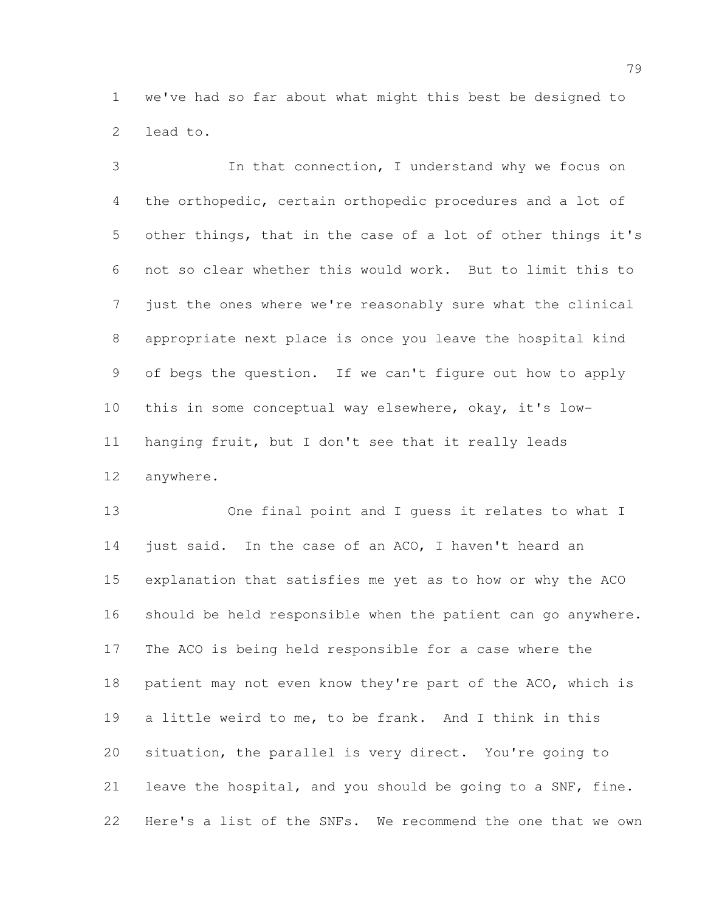we've had so far about what might this best be designed to lead to.

 In that connection, I understand why we focus on the orthopedic, certain orthopedic procedures and a lot of other things, that in the case of a lot of other things it's not so clear whether this would work. But to limit this to just the ones where we're reasonably sure what the clinical appropriate next place is once you leave the hospital kind of begs the question. If we can't figure out how to apply this in some conceptual way elsewhere, okay, it's low- hanging fruit, but I don't see that it really leads anywhere.

 One final point and I guess it relates to what I 14 just said. In the case of an ACO, I haven't heard an explanation that satisfies me yet as to how or why the ACO should be held responsible when the patient can go anywhere. The ACO is being held responsible for a case where the 18 patient may not even know they're part of the ACO, which is a little weird to me, to be frank. And I think in this situation, the parallel is very direct. You're going to leave the hospital, and you should be going to a SNF, fine. Here's a list of the SNFs. We recommend the one that we own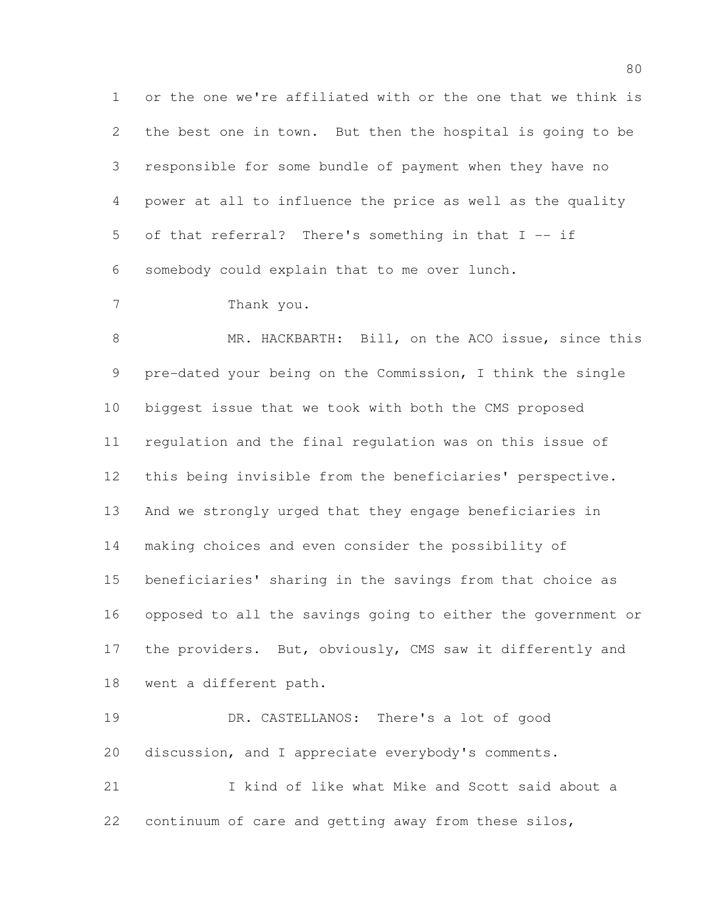or the one we're affiliated with or the one that we think is the best one in town. But then the hospital is going to be responsible for some bundle of payment when they have no power at all to influence the price as well as the quality of that referral? There's something in that I -- if somebody could explain that to me over lunch.

Thank you.

 MR. HACKBARTH: Bill, on the ACO issue, since this pre-dated your being on the Commission, I think the single biggest issue that we took with both the CMS proposed regulation and the final regulation was on this issue of this being invisible from the beneficiaries' perspective. And we strongly urged that they engage beneficiaries in making choices and even consider the possibility of beneficiaries' sharing in the savings from that choice as opposed to all the savings going to either the government or 17 the providers. But, obviously, CMS saw it differently and went a different path.

 DR. CASTELLANOS: There's a lot of good discussion, and I appreciate everybody's comments. I kind of like what Mike and Scott said about a

continuum of care and getting away from these silos,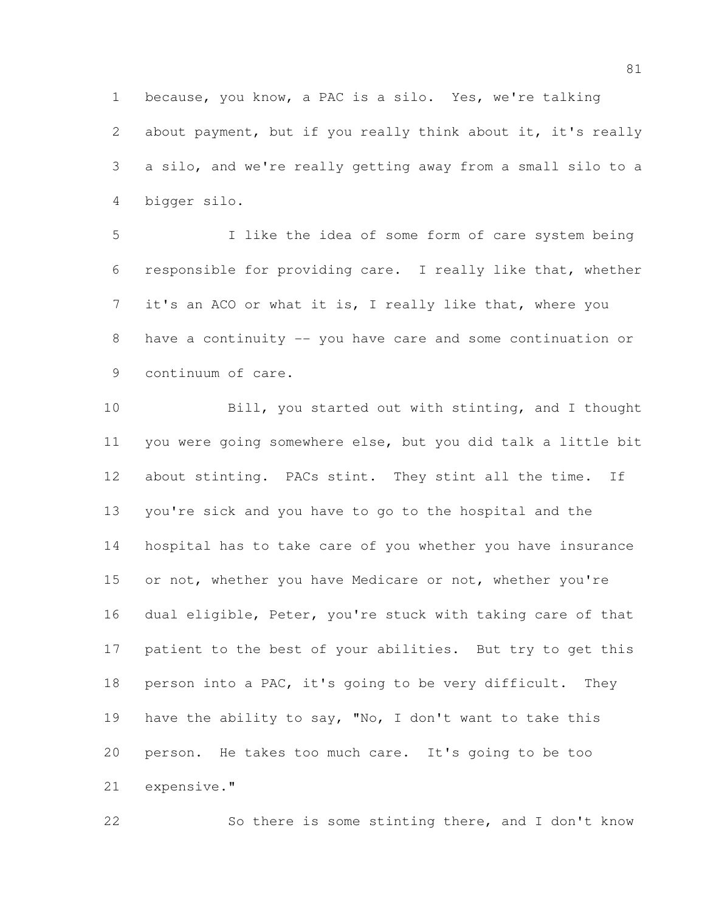because, you know, a PAC is a silo. Yes, we're talking about payment, but if you really think about it, it's really a silo, and we're really getting away from a small silo to a bigger silo.

 I like the idea of some form of care system being responsible for providing care. I really like that, whether it's an ACO or what it is, I really like that, where you have a continuity -- you have care and some continuation or continuum of care.

 Bill, you started out with stinting, and I thought you were going somewhere else, but you did talk a little bit about stinting. PACs stint. They stint all the time. If you're sick and you have to go to the hospital and the hospital has to take care of you whether you have insurance 15 or not, whether you have Medicare or not, whether you're dual eligible, Peter, you're stuck with taking care of that patient to the best of your abilities. But try to get this person into a PAC, it's going to be very difficult. They have the ability to say, "No, I don't want to take this person. He takes too much care. It's going to be too expensive."

So there is some stinting there, and I don't know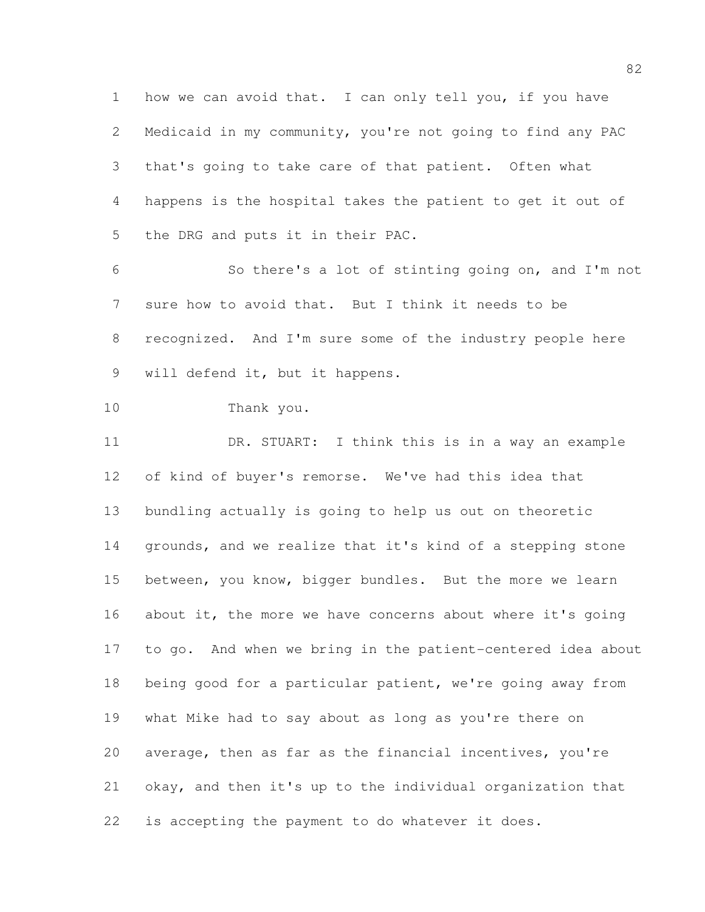how we can avoid that. I can only tell you, if you have Medicaid in my community, you're not going to find any PAC that's going to take care of that patient. Often what happens is the hospital takes the patient to get it out of the DRG and puts it in their PAC.

 So there's a lot of stinting going on, and I'm not sure how to avoid that. But I think it needs to be recognized. And I'm sure some of the industry people here will defend it, but it happens.

```
10 Thank you.
```
 DR. STUART: I think this is in a way an example of kind of buyer's remorse. We've had this idea that bundling actually is going to help us out on theoretic grounds, and we realize that it's kind of a stepping stone between, you know, bigger bundles. But the more we learn 16 about it, the more we have concerns about where it's going to go. And when we bring in the patient-centered idea about 18 being good for a particular patient, we're going away from what Mike had to say about as long as you're there on average, then as far as the financial incentives, you're okay, and then it's up to the individual organization that is accepting the payment to do whatever it does.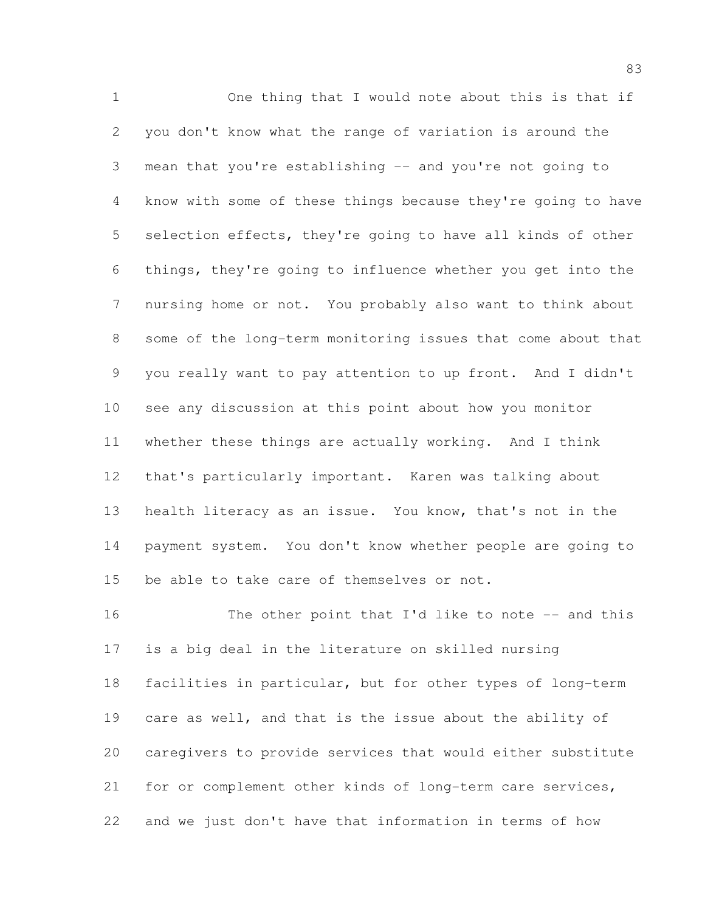One thing that I would note about this is that if you don't know what the range of variation is around the mean that you're establishing -- and you're not going to know with some of these things because they're going to have selection effects, they're going to have all kinds of other things, they're going to influence whether you get into the nursing home or not. You probably also want to think about some of the long-term monitoring issues that come about that you really want to pay attention to up front. And I didn't see any discussion at this point about how you monitor whether these things are actually working. And I think that's particularly important. Karen was talking about health literacy as an issue. You know, that's not in the payment system. You don't know whether people are going to be able to take care of themselves or not.

16 The other point that I'd like to note -- and this is a big deal in the literature on skilled nursing facilities in particular, but for other types of long-term care as well, and that is the issue about the ability of caregivers to provide services that would either substitute for or complement other kinds of long-term care services, and we just don't have that information in terms of how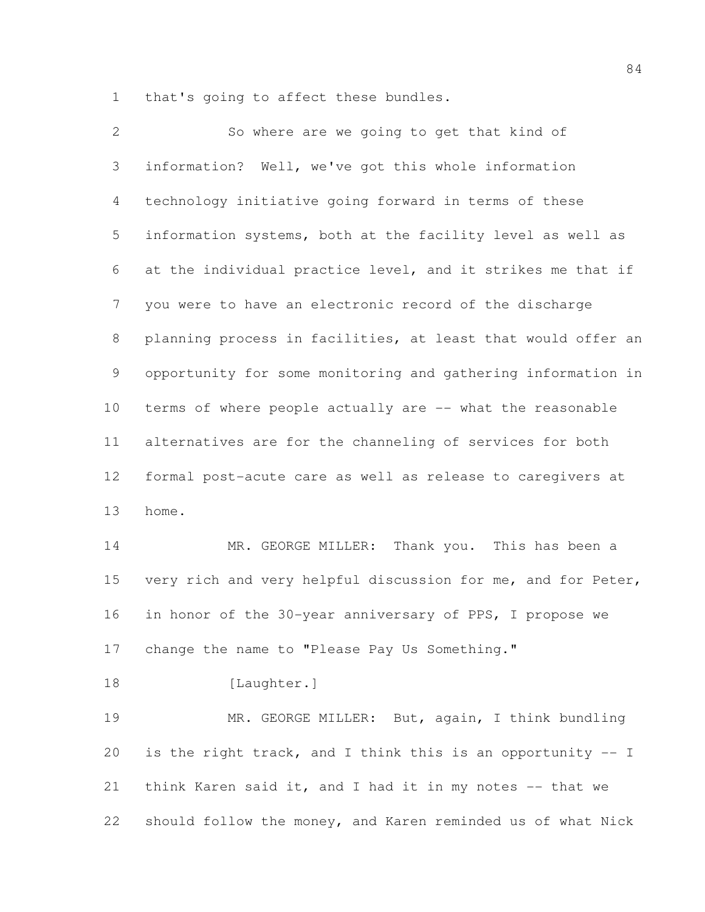that's going to affect these bundles.

| 2               | So where are we going to get that kind of                    |
|-----------------|--------------------------------------------------------------|
| 3               | information? Well, we've got this whole information          |
| $\overline{4}$  | technology initiative going forward in terms of these        |
| 5               | information systems, both at the facility level as well as   |
| 6               | at the individual practice level, and it strikes me that if  |
| 7               | you were to have an electronic record of the discharge       |
| 8               | planning process in facilities, at least that would offer an |
| 9               | opportunity for some monitoring and gathering information in |
| 10 <sub>o</sub> | terms of where people actually are -- what the reasonable    |
| 11              | alternatives are for the channeling of services for both     |
| 12              | formal post-acute care as well as release to caregivers at   |
| 13              | home.                                                        |
| 14              | MR. GEORGE MILLER: Thank you. This has been a                |
| 15              | very rich and very helpful discussion for me, and for Peter, |
| 16              | in honor of the 30-year anniversary of PPS, I propose we     |
| 17              | change the name to "Please Pay Us Something."                |
| 18              | [Laughter.]                                                  |
| 19              | MR. GEORGE MILLER: But, again, I think bundling              |
| 20              | is the right track, and I think this is an opportunity -- I  |
| 21              | think Karen said it, and I had it in my notes -- that we     |
| 22              | should follow the money, and Karen reminded us of what Nick  |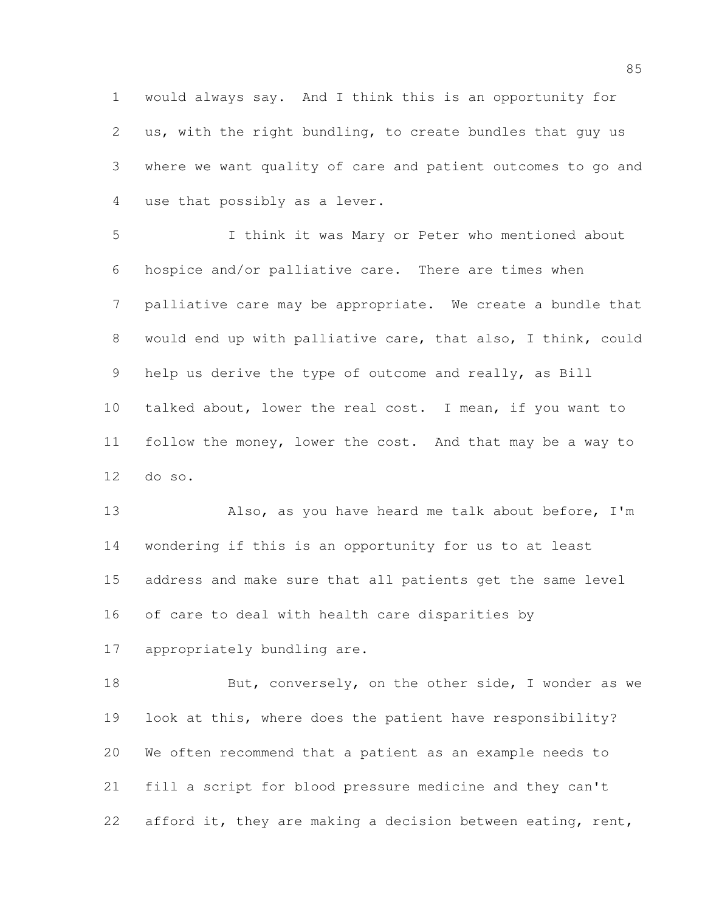would always say. And I think this is an opportunity for us, with the right bundling, to create bundles that guy us where we want quality of care and patient outcomes to go and use that possibly as a lever.

 I think it was Mary or Peter who mentioned about hospice and/or palliative care. There are times when palliative care may be appropriate. We create a bundle that would end up with palliative care, that also, I think, could help us derive the type of outcome and really, as Bill talked about, lower the real cost. I mean, if you want to follow the money, lower the cost. And that may be a way to do so.

 Also, as you have heard me talk about before, I'm wondering if this is an opportunity for us to at least address and make sure that all patients get the same level of care to deal with health care disparities by

appropriately bundling are.

18 But, conversely, on the other side, I wonder as we look at this, where does the patient have responsibility? We often recommend that a patient as an example needs to fill a script for blood pressure medicine and they can't 22 afford it, they are making a decision between eating, rent,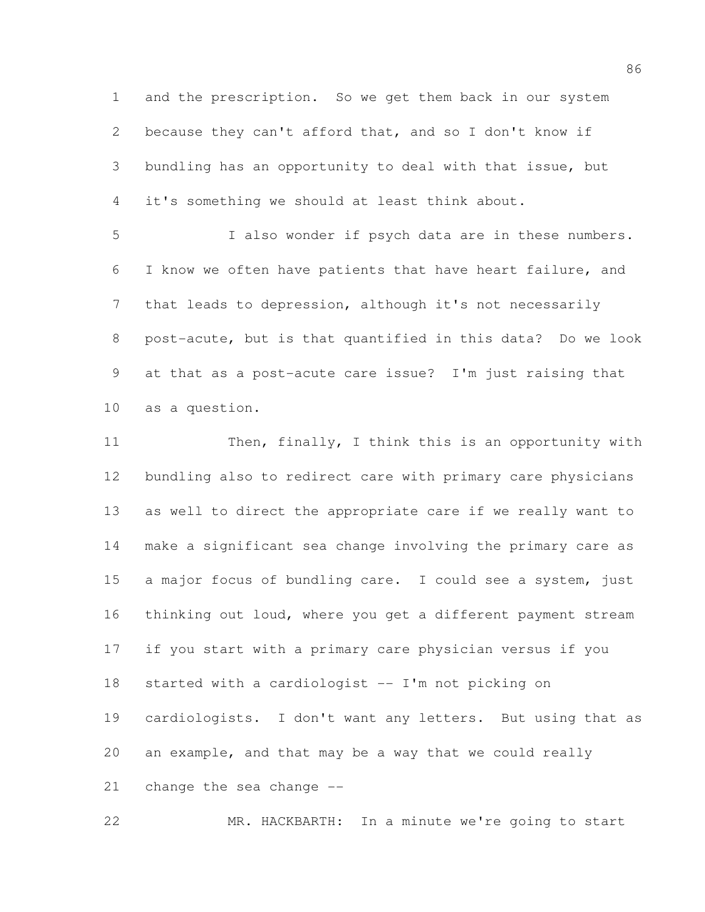and the prescription. So we get them back in our system because they can't afford that, and so I don't know if bundling has an opportunity to deal with that issue, but it's something we should at least think about.

 I also wonder if psych data are in these numbers. I know we often have patients that have heart failure, and that leads to depression, although it's not necessarily post-acute, but is that quantified in this data? Do we look at that as a post-acute care issue? I'm just raising that as a question.

11 Then, finally, I think this is an opportunity with bundling also to redirect care with primary care physicians as well to direct the appropriate care if we really want to make a significant sea change involving the primary care as a major focus of bundling care. I could see a system, just thinking out loud, where you get a different payment stream if you start with a primary care physician versus if you started with a cardiologist -- I'm not picking on cardiologists. I don't want any letters. But using that as an example, and that may be a way that we could really change the sea change --

MR. HACKBARTH: In a minute we're going to start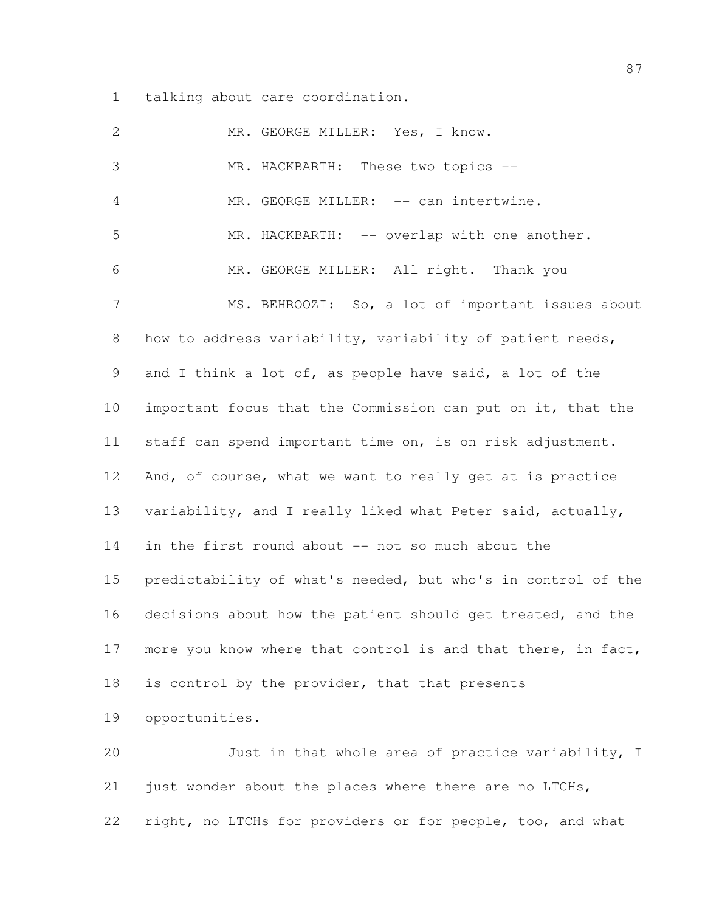talking about care coordination.

| $\mathbf{2}$    | MR. GEORGE MILLER: Yes, I know.                              |
|-----------------|--------------------------------------------------------------|
| 3               | MR. HACKBARTH: These two topics --                           |
| $\overline{4}$  | MR. GEORGE MILLER: -- can intertwine.                        |
| 5               | MR. HACKBARTH: -- overlap with one another.                  |
| 6               | MR. GEORGE MILLER: All right. Thank you                      |
| $7\phantom{.0}$ | MS. BEHROOZI: So, a lot of important issues about            |
| 8               | how to address variability, variability of patient needs,    |
| 9               | and I think a lot of, as people have said, a lot of the      |
| 10              | important focus that the Commission can put on it, that the  |
| 11              | staff can spend important time on, is on risk adjustment.    |
| 12              | And, of course, what we want to really get at is practice    |
| 13              | variability, and I really liked what Peter said, actually,   |
| 14              | in the first round about -- not so much about the            |
| 15              | predictability of what's needed, but who's in control of the |
| 16              | decisions about how the patient should get treated, and the  |
| 17              | more you know where that control is and that there, in fact, |
| 18              | is control by the provider, that that presents               |
| 19              | opportunities.                                               |
| 20              | Just in that whole area of practice variability, I           |
| 21              | just wonder about the places where there are no LTCHs,       |

right, no LTCHs for providers or for people, too, and what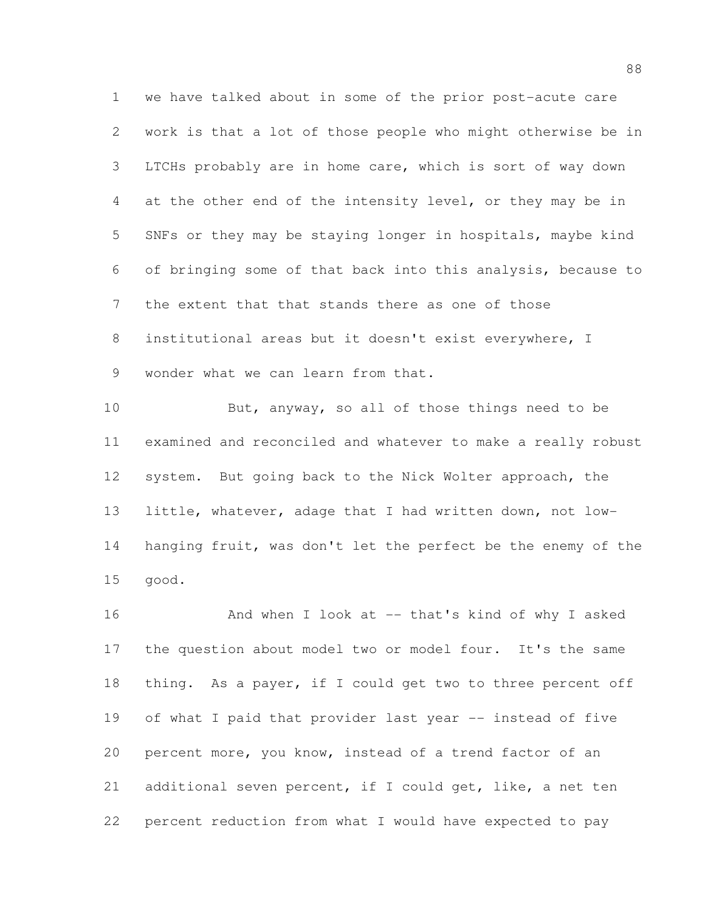we have talked about in some of the prior post-acute care work is that a lot of those people who might otherwise be in LTCHs probably are in home care, which is sort of way down at the other end of the intensity level, or they may be in SNFs or they may be staying longer in hospitals, maybe kind of bringing some of that back into this analysis, because to the extent that that stands there as one of those institutional areas but it doesn't exist everywhere, I wonder what we can learn from that.

10 But, anyway, so all of those things need to be examined and reconciled and whatever to make a really robust system. But going back to the Nick Wolter approach, the little, whatever, adage that I had written down, not low- hanging fruit, was don't let the perfect be the enemy of the good.

16 And when I look at -- that's kind of why I asked the question about model two or model four. It's the same thing. As a payer, if I could get two to three percent off of what I paid that provider last year -- instead of five percent more, you know, instead of a trend factor of an additional seven percent, if I could get, like, a net ten percent reduction from what I would have expected to pay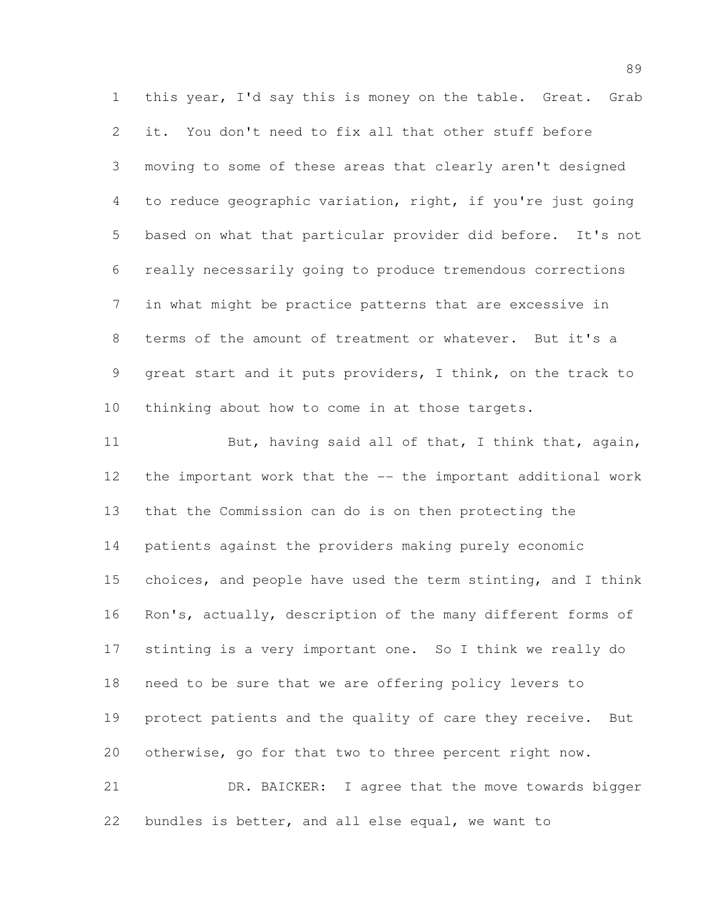this year, I'd say this is money on the table. Great. Grab it. You don't need to fix all that other stuff before moving to some of these areas that clearly aren't designed to reduce geographic variation, right, if you're just going based on what that particular provider did before. It's not really necessarily going to produce tremendous corrections in what might be practice patterns that are excessive in terms of the amount of treatment or whatever. But it's a great start and it puts providers, I think, on the track to thinking about how to come in at those targets. 11 But, having said all of that, I think that, again, the important work that the -- the important additional work that the Commission can do is on then protecting the patients against the providers making purely economic choices, and people have used the term stinting, and I think Ron's, actually, description of the many different forms of stinting is a very important one. So I think we really do

protect patients and the quality of care they receive. But

otherwise, go for that two to three percent right now.

need to be sure that we are offering policy levers to

 DR. BAICKER: I agree that the move towards bigger bundles is better, and all else equal, we want to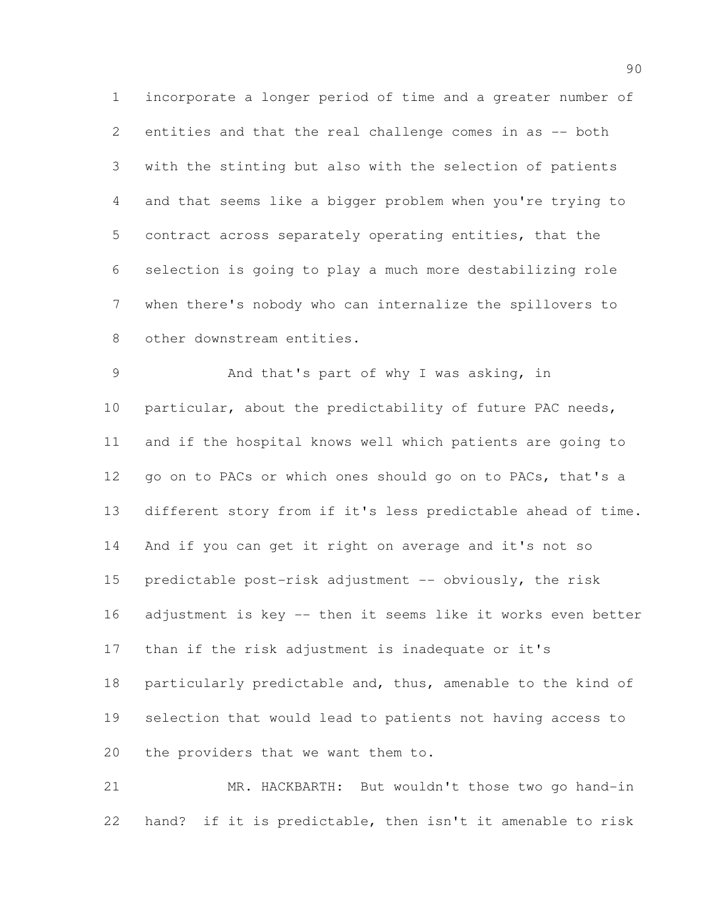incorporate a longer period of time and a greater number of entities and that the real challenge comes in as -- both with the stinting but also with the selection of patients and that seems like a bigger problem when you're trying to contract across separately operating entities, that the selection is going to play a much more destabilizing role when there's nobody who can internalize the spillovers to other downstream entities.

 And that's part of why I was asking, in particular, about the predictability of future PAC needs, and if the hospital knows well which patients are going to 12 go on to PACs or which ones should go on to PACs, that's a different story from if it's less predictable ahead of time. And if you can get it right on average and it's not so 15 predictable post-risk adjustment -- obviously, the risk adjustment is key -- then it seems like it works even better than if the risk adjustment is inadequate or it's 18 particularly predictable and, thus, amenable to the kind of selection that would lead to patients not having access to the providers that we want them to.

 MR. HACKBARTH: But wouldn't those two go hand-in hand? if it is predictable, then isn't it amenable to risk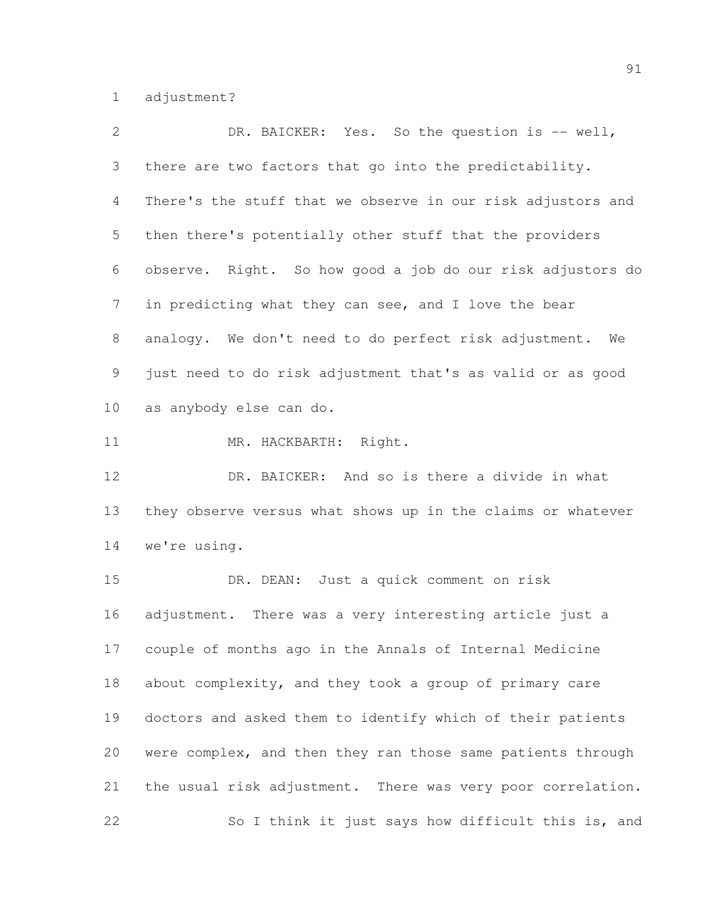adjustment?

| $\overline{2}$ | DR. BAICKER: Yes. So the question is -- well,               |
|----------------|-------------------------------------------------------------|
| 3 <sup>7</sup> | there are two factors that go into the predictability.      |
| 4              | There's the stuff that we observe in our risk adjustors and |
| 5              | then there's potentially other stuff that the providers     |
| 6              | observe. Right. So how good a job do our risk adjustors do  |
| 7 <sup>7</sup> | in predicting what they can see, and I love the bear        |
| 8              | analogy. We don't need to do perfect risk adjustment.<br>We |
| 9              | just need to do risk adjustment that's as valid or as good  |
| 10             | as anybody else can do.                                     |
|                |                                                             |

11 MR. HACKBARTH: Right.

12 DR. BAICKER: And so is there a divide in what they observe versus what shows up in the claims or whatever we're using.

 DR. DEAN: Just a quick comment on risk adjustment. There was a very interesting article just a couple of months ago in the Annals of Internal Medicine about complexity, and they took a group of primary care doctors and asked them to identify which of their patients were complex, and then they ran those same patients through the usual risk adjustment. There was very poor correlation. So I think it just says how difficult this is, and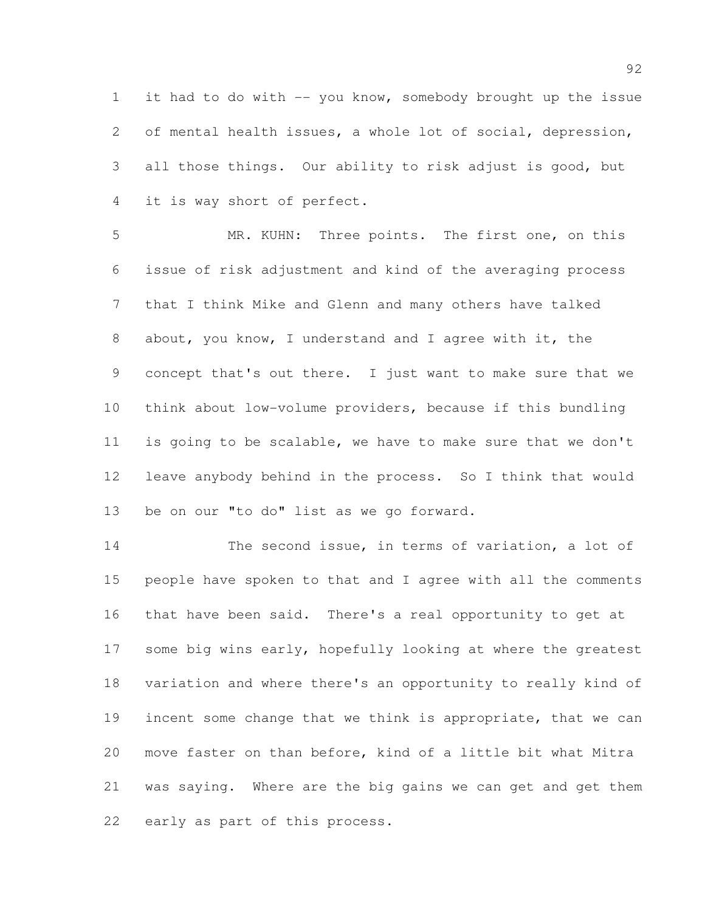it had to do with -- you know, somebody brought up the issue of mental health issues, a whole lot of social, depression, all those things. Our ability to risk adjust is good, but it is way short of perfect.

 MR. KUHN: Three points. The first one, on this issue of risk adjustment and kind of the averaging process that I think Mike and Glenn and many others have talked about, you know, I understand and I agree with it, the concept that's out there. I just want to make sure that we think about low-volume providers, because if this bundling is going to be scalable, we have to make sure that we don't leave anybody behind in the process. So I think that would be on our "to do" list as we go forward.

14 The second issue, in terms of variation, a lot of people have spoken to that and I agree with all the comments that have been said. There's a real opportunity to get at some big wins early, hopefully looking at where the greatest variation and where there's an opportunity to really kind of incent some change that we think is appropriate, that we can move faster on than before, kind of a little bit what Mitra was saying. Where are the big gains we can get and get them early as part of this process.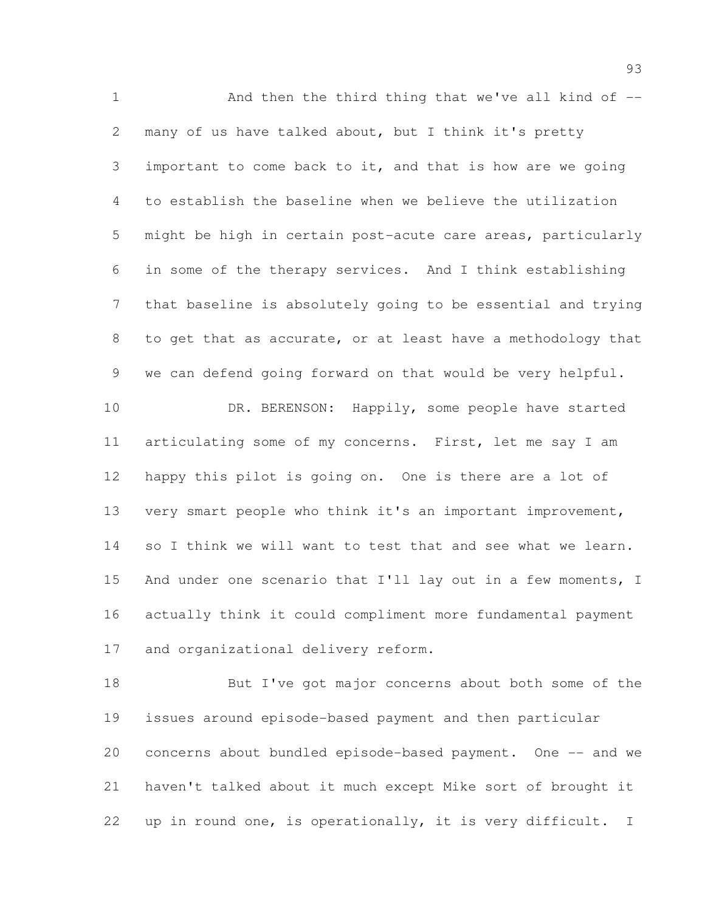1 And then the third thing that we've all kind of -- many of us have talked about, but I think it's pretty important to come back to it, and that is how are we going to establish the baseline when we believe the utilization might be high in certain post-acute care areas, particularly in some of the therapy services. And I think establishing that baseline is absolutely going to be essential and trying to get that as accurate, or at least have a methodology that we can defend going forward on that would be very helpful. 10 DR. BERENSON: Happily, some people have started articulating some of my concerns. First, let me say I am happy this pilot is going on. One is there are a lot of very smart people who think it's an important improvement, 14 so I think we will want to test that and see what we learn. 15 And under one scenario that I'll lay out in a few moments, I actually think it could compliment more fundamental payment

and organizational delivery reform.

 But I've got major concerns about both some of the issues around episode-based payment and then particular 20 concerns about bundled episode-based payment. One -- and we haven't talked about it much except Mike sort of brought it up in round one, is operationally, it is very difficult. I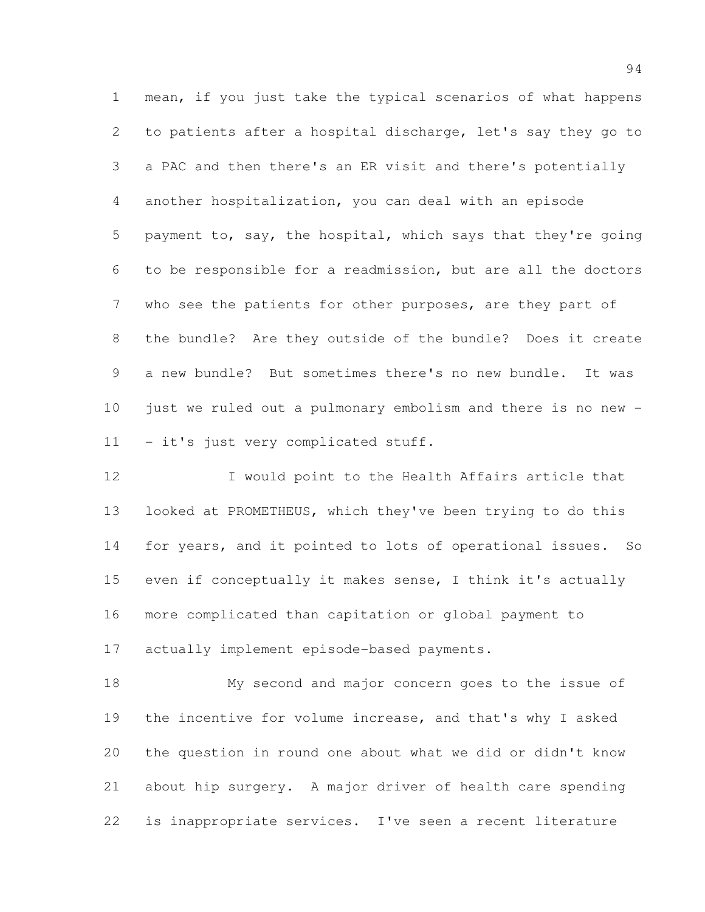mean, if you just take the typical scenarios of what happens to patients after a hospital discharge, let's say they go to a PAC and then there's an ER visit and there's potentially another hospitalization, you can deal with an episode payment to, say, the hospital, which says that they're going to be responsible for a readmission, but are all the doctors who see the patients for other purposes, are they part of the bundle? Are they outside of the bundle? Does it create a new bundle? But sometimes there's no new bundle. It was just we ruled out a pulmonary embolism and there is no new - 11 - it's just very complicated stuff.

 I would point to the Health Affairs article that looked at PROMETHEUS, which they've been trying to do this for years, and it pointed to lots of operational issues. So even if conceptually it makes sense, I think it's actually more complicated than capitation or global payment to actually implement episode-based payments.

 My second and major concern goes to the issue of the incentive for volume increase, and that's why I asked the question in round one about what we did or didn't know about hip surgery. A major driver of health care spending is inappropriate services. I've seen a recent literature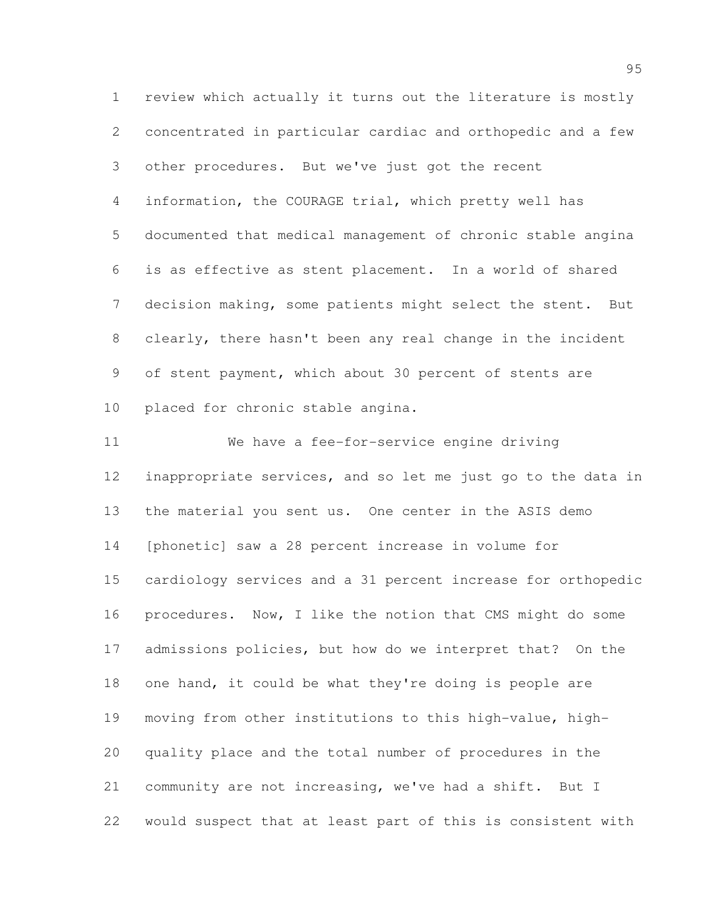review which actually it turns out the literature is mostly concentrated in particular cardiac and orthopedic and a few other procedures. But we've just got the recent information, the COURAGE trial, which pretty well has documented that medical management of chronic stable angina is as effective as stent placement. In a world of shared decision making, some patients might select the stent. But clearly, there hasn't been any real change in the incident of stent payment, which about 30 percent of stents are placed for chronic stable angina.

 We have a fee-for-service engine driving inappropriate services, and so let me just go to the data in the material you sent us. One center in the ASIS demo [phonetic] saw a 28 percent increase in volume for cardiology services and a 31 percent increase for orthopedic procedures. Now, I like the notion that CMS might do some admissions policies, but how do we interpret that? On the one hand, it could be what they're doing is people are moving from other institutions to this high-value, high- quality place and the total number of procedures in the community are not increasing, we've had a shift. But I would suspect that at least part of this is consistent with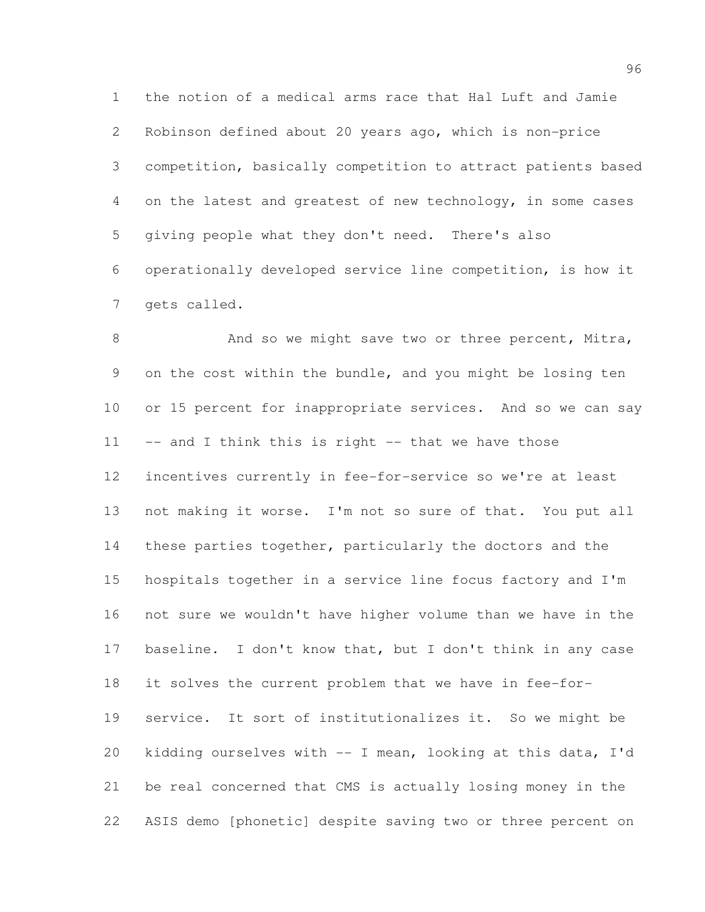the notion of a medical arms race that Hal Luft and Jamie Robinson defined about 20 years ago, which is non-price competition, basically competition to attract patients based on the latest and greatest of new technology, in some cases giving people what they don't need. There's also operationally developed service line competition, is how it gets called.

8 And so we might save two or three percent, Mitra, on the cost within the bundle, and you might be losing ten 10 or 15 percent for inappropriate services. And so we can say 11 -- and I think this is right -- that we have those incentives currently in fee-for-service so we're at least not making it worse. I'm not so sure of that. You put all these parties together, particularly the doctors and the hospitals together in a service line focus factory and I'm not sure we wouldn't have higher volume than we have in the baseline. I don't know that, but I don't think in any case it solves the current problem that we have in fee-for- service. It sort of institutionalizes it. So we might be kidding ourselves with -- I mean, looking at this data, I'd be real concerned that CMS is actually losing money in the ASIS demo [phonetic] despite saving two or three percent on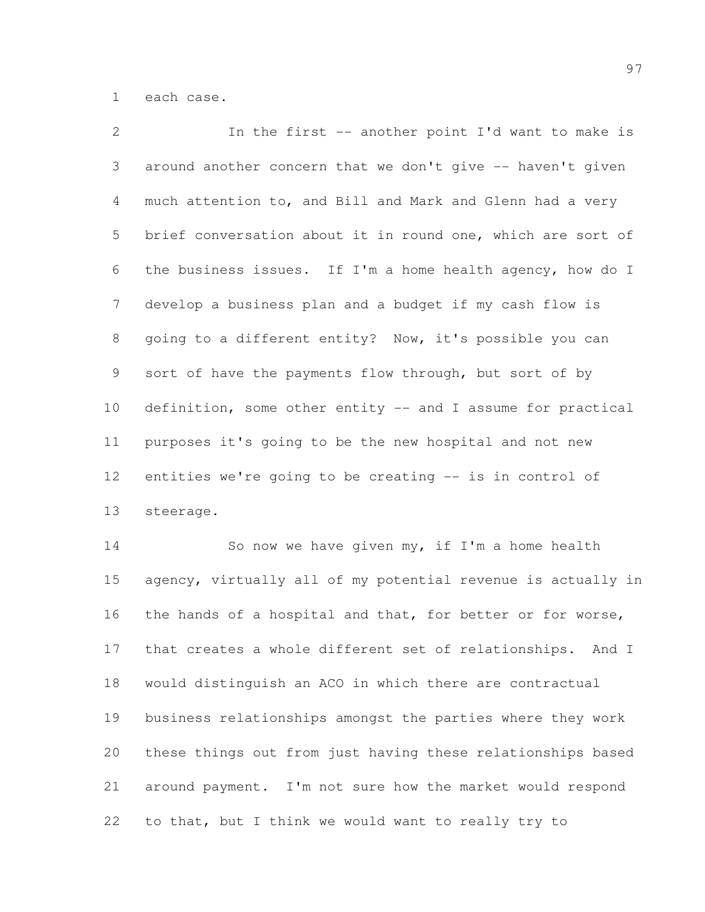each case.

| $\overline{2}$  | In the first -- another point I'd want to make is           |
|-----------------|-------------------------------------------------------------|
| 3               | around another concern that we don't give -- haven't given  |
| 4               | much attention to, and Bill and Mark and Glenn had a very   |
| 5               | brief conversation about it in round one, which are sort of |
| 6               | the business issues. If I'm a home health agency, how do I  |
| $7\phantom{.}$  | develop a business plan and a budget if my cash flow is     |
| 8               | going to a different entity? Now, it's possible you can     |
| 9               | sort of have the payments flow through, but sort of by      |
| 10 <sup>°</sup> | definition, some other entity -- and I assume for practical |
| 11              | purposes it's going to be the new hospital and not new      |
| 12              | entities we're going to be creating -- is in control of     |
| 13              | steerage.                                                   |

 So now we have given my, if I'm a home health agency, virtually all of my potential revenue is actually in the hands of a hospital and that, for better or for worse, that creates a whole different set of relationships. And I would distinguish an ACO in which there are contractual business relationships amongst the parties where they work these things out from just having these relationships based around payment. I'm not sure how the market would respond to that, but I think we would want to really try to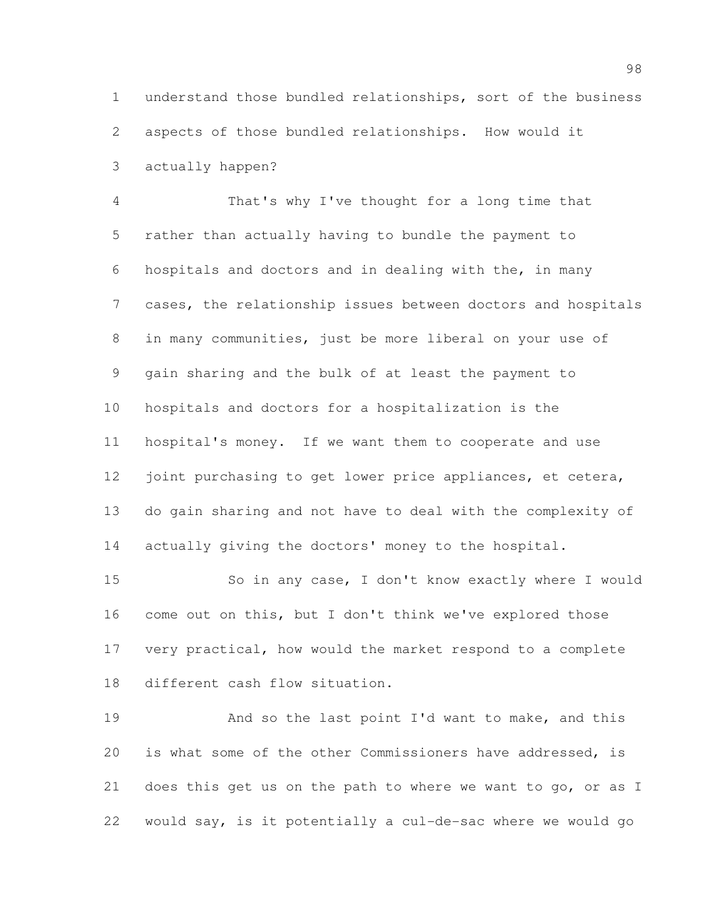understand those bundled relationships, sort of the business aspects of those bundled relationships. How would it actually happen?

 That's why I've thought for a long time that rather than actually having to bundle the payment to hospitals and doctors and in dealing with the, in many cases, the relationship issues between doctors and hospitals in many communities, just be more liberal on your use of gain sharing and the bulk of at least the payment to hospitals and doctors for a hospitalization is the hospital's money. If we want them to cooperate and use 12 joint purchasing to get lower price appliances, et cetera, do gain sharing and not have to deal with the complexity of 14 actually giving the doctors' money to the hospital.

 So in any case, I don't know exactly where I would come out on this, but I don't think we've explored those very practical, how would the market respond to a complete different cash flow situation.

19 And so the last point I'd want to make, and this is what some of the other Commissioners have addressed, is does this get us on the path to where we want to go, or as I would say, is it potentially a cul-de-sac where we would go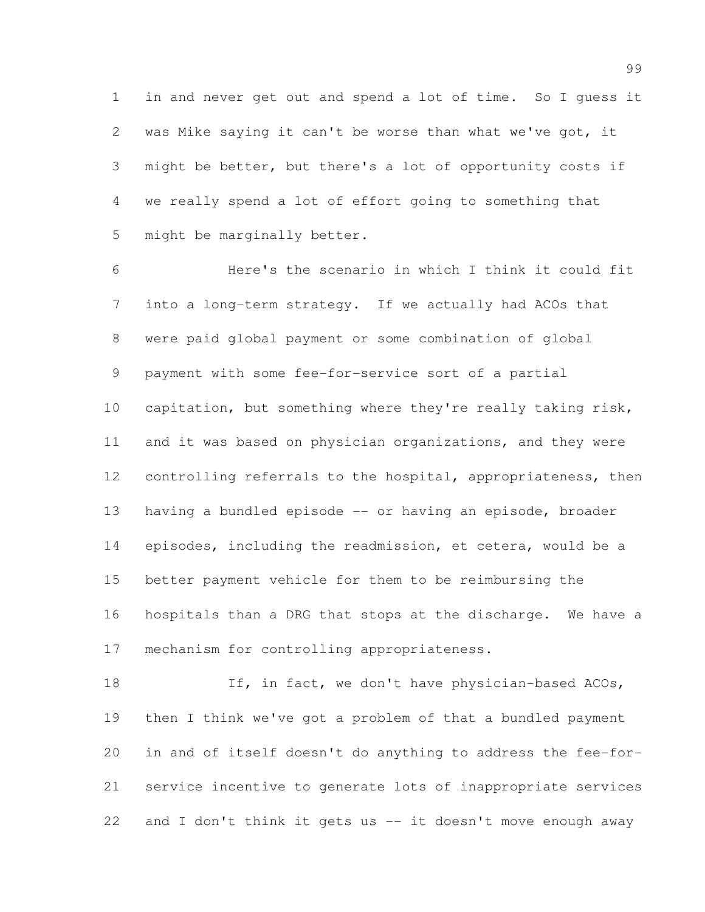in and never get out and spend a lot of time. So I guess it was Mike saying it can't be worse than what we've got, it might be better, but there's a lot of opportunity costs if we really spend a lot of effort going to something that might be marginally better.

 Here's the scenario in which I think it could fit into a long-term strategy. If we actually had ACOs that were paid global payment or some combination of global payment with some fee-for-service sort of a partial capitation, but something where they're really taking risk, and it was based on physician organizations, and they were 12 controlling referrals to the hospital, appropriateness, then having a bundled episode -- or having an episode, broader episodes, including the readmission, et cetera, would be a better payment vehicle for them to be reimbursing the hospitals than a DRG that stops at the discharge. We have a mechanism for controlling appropriateness.

18 If, in fact, we don't have physician-based ACOs, then I think we've got a problem of that a bundled payment in and of itself doesn't do anything to address the fee-for- service incentive to generate lots of inappropriate services and I don't think it gets us -- it doesn't move enough away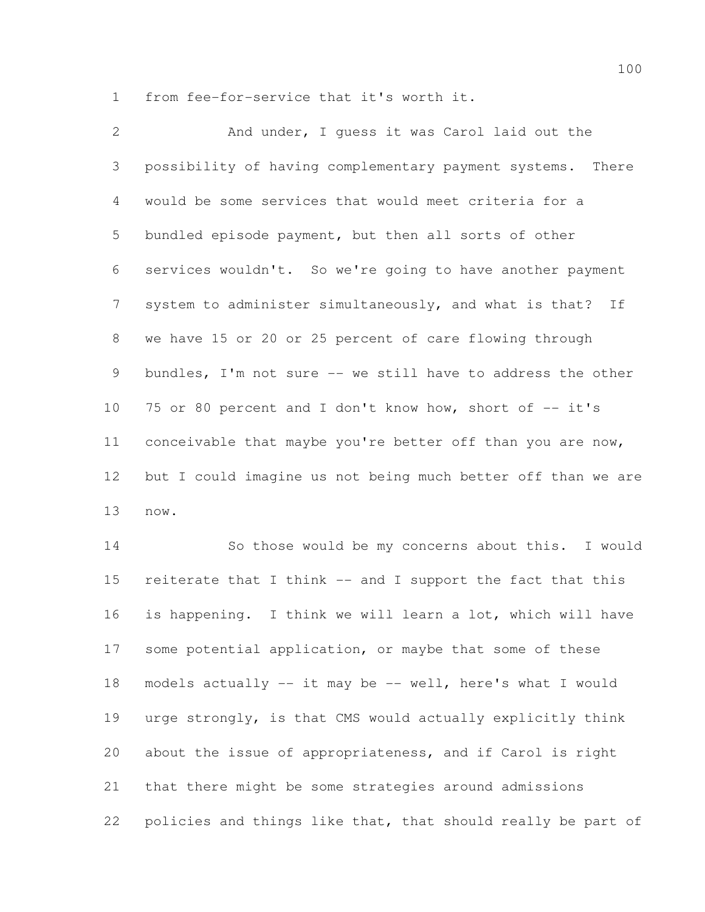from fee-for-service that it's worth it.

 And under, I guess it was Carol laid out the possibility of having complementary payment systems. There would be some services that would meet criteria for a bundled episode payment, but then all sorts of other services wouldn't. So we're going to have another payment system to administer simultaneously, and what is that? If we have 15 or 20 or 25 percent of care flowing through bundles, I'm not sure -- we still have to address the other 10 75 or 80 percent and I don't know how, short of -- it's conceivable that maybe you're better off than you are now, but I could imagine us not being much better off than we are now.

 So those would be my concerns about this. I would reiterate that I think -- and I support the fact that this is happening. I think we will learn a lot, which will have some potential application, or maybe that some of these models actually -- it may be -- well, here's what I would urge strongly, is that CMS would actually explicitly think about the issue of appropriateness, and if Carol is right that there might be some strategies around admissions policies and things like that, that should really be part of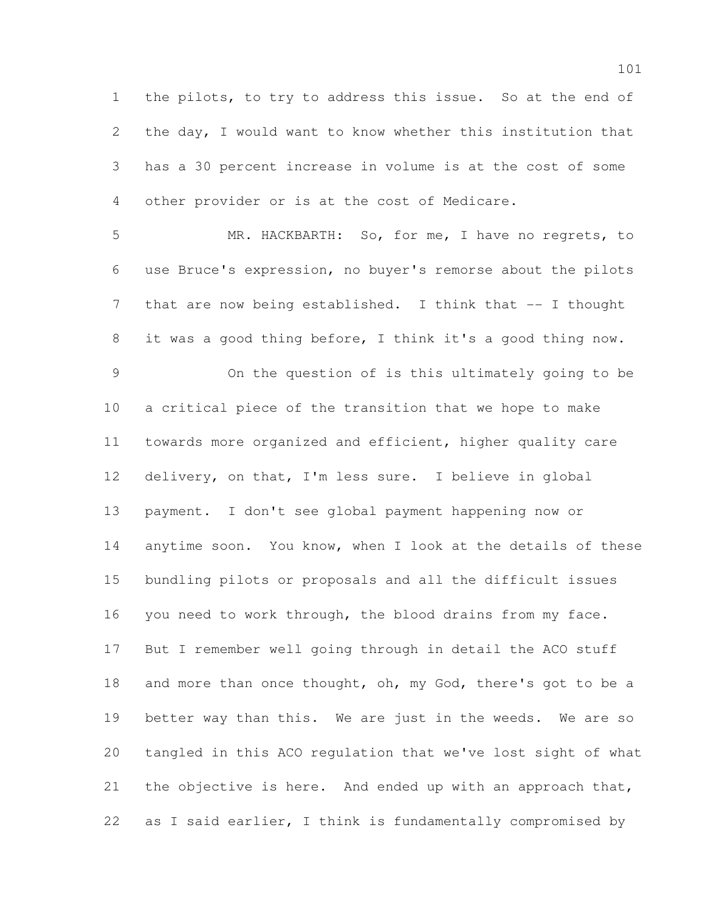the pilots, to try to address this issue. So at the end of the day, I would want to know whether this institution that has a 30 percent increase in volume is at the cost of some other provider or is at the cost of Medicare.

 MR. HACKBARTH: So, for me, I have no regrets, to use Bruce's expression, no buyer's remorse about the pilots 7 that are now being established. I think that -- I thought it was a good thing before, I think it's a good thing now.

 On the question of is this ultimately going to be a critical piece of the transition that we hope to make towards more organized and efficient, higher quality care delivery, on that, I'm less sure. I believe in global payment. I don't see global payment happening now or anytime soon. You know, when I look at the details of these bundling pilots or proposals and all the difficult issues you need to work through, the blood drains from my face. But I remember well going through in detail the ACO stuff 18 and more than once thought, oh, my God, there's got to be a better way than this. We are just in the weeds. We are so tangled in this ACO regulation that we've lost sight of what 21 the objective is here. And ended up with an approach that, as I said earlier, I think is fundamentally compromised by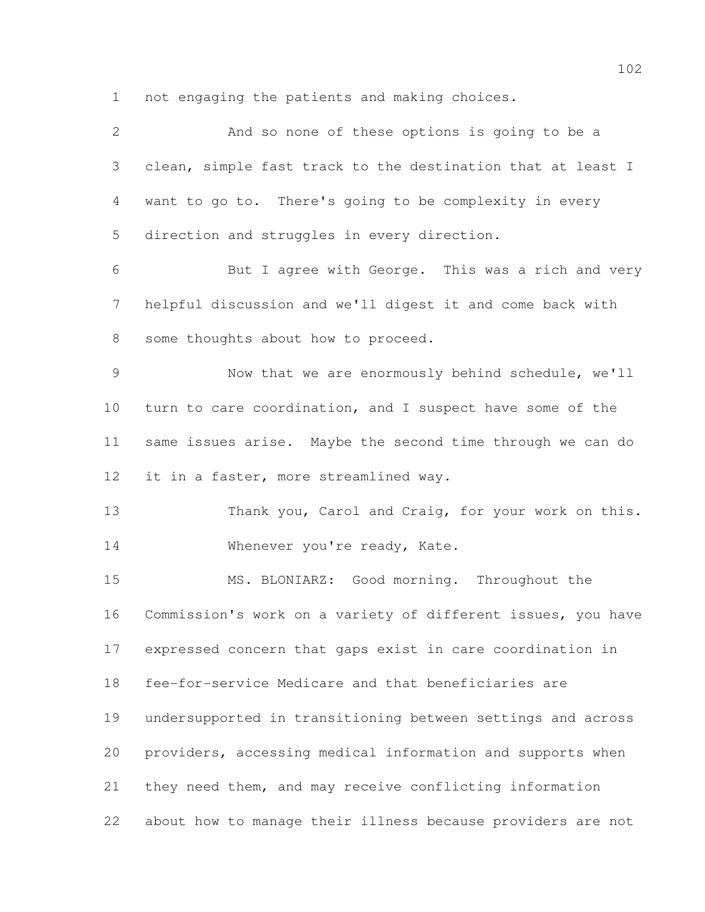not engaging the patients and making choices.

| $\mathbf{2}$    | And so none of these options is going to be a                |
|-----------------|--------------------------------------------------------------|
| 3               | clean, simple fast track to the destination that at least I  |
| 4               | want to go to. There's going to be complexity in every       |
| 5               | direction and struggles in every direction.                  |
| 6               | But I agree with George. This was a rich and very            |
| 7               | helpful discussion and we'll digest it and come back with    |
| $8\,$           | some thoughts about how to proceed.                          |
| $\mathcal{G}$   | Now that we are enormously behind schedule, we'll            |
| 10              | turn to care coordination, and I suspect have some of the    |
| 11              | same issues arise. Maybe the second time through we can do   |
| 12 <sup>°</sup> | it in a faster, more streamlined way.                        |
| 13              | Thank you, Carol and Craig, for your work on this.           |
| 14              | Whenever you're ready, Kate.                                 |
| 15              | MS. BLONIARZ: Good morning. Throughout the                   |
| 16              | Commission's work on a variety of different issues, you have |
| 17              | expressed concern that gaps exist in care coordination in    |
| 18              | fee-for-service Medicare and that beneficiaries are          |
| 19              | undersupported in transitioning between settings and across  |
| 20              | providers, accessing medical information and supports when   |
| 21              | they need them, and may receive conflicting information      |
| 22              | about how to manage their illness because providers are not  |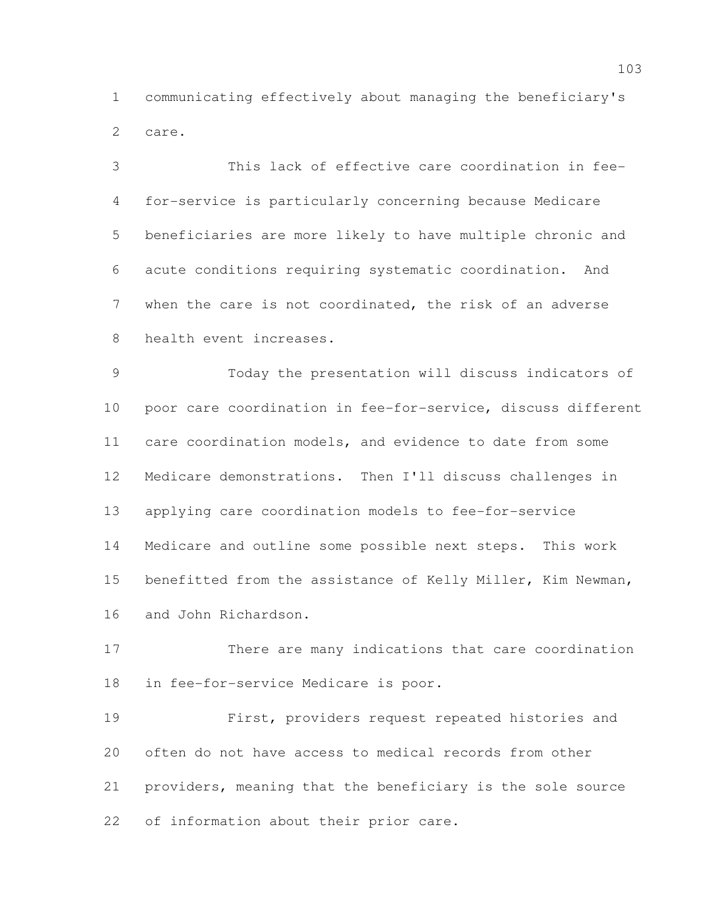communicating effectively about managing the beneficiary's care.

 This lack of effective care coordination in fee- for-service is particularly concerning because Medicare beneficiaries are more likely to have multiple chronic and acute conditions requiring systematic coordination. And when the care is not coordinated, the risk of an adverse health event increases.

 Today the presentation will discuss indicators of poor care coordination in fee-for-service, discuss different care coordination models, and evidence to date from some Medicare demonstrations. Then I'll discuss challenges in applying care coordination models to fee-for-service Medicare and outline some possible next steps. This work benefitted from the assistance of Kelly Miller, Kim Newman, and John Richardson.

 There are many indications that care coordination in fee-for-service Medicare is poor.

 First, providers request repeated histories and often do not have access to medical records from other providers, meaning that the beneficiary is the sole source of information about their prior care.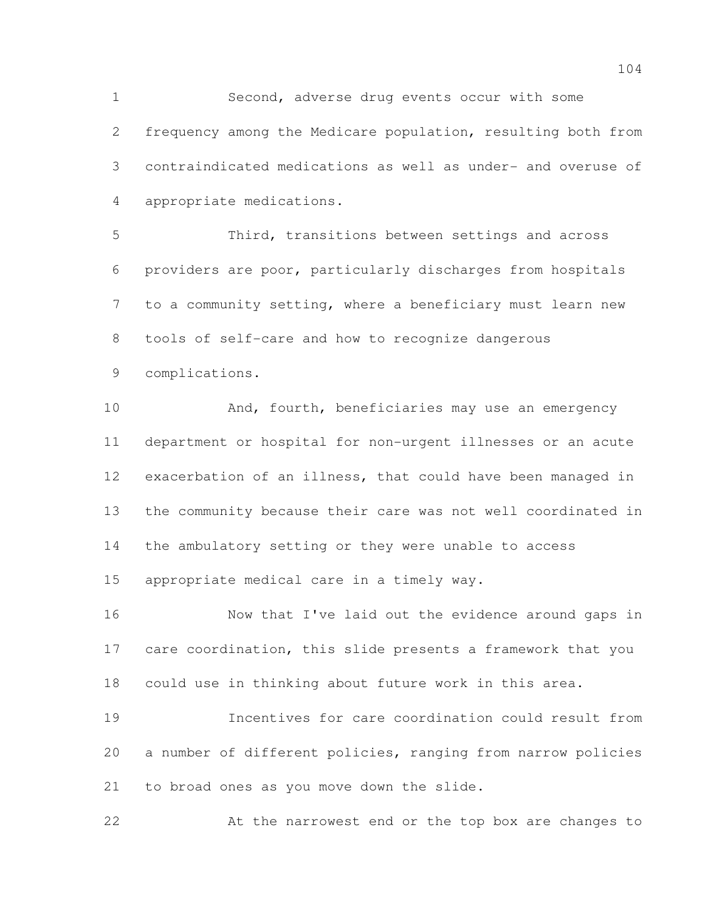Second, adverse drug events occur with some frequency among the Medicare population, resulting both from contraindicated medications as well as under- and overuse of appropriate medications.

 Third, transitions between settings and across providers are poor, particularly discharges from hospitals to a community setting, where a beneficiary must learn new tools of self-care and how to recognize dangerous complications.

10 And, fourth, beneficiaries may use an emergency department or hospital for non-urgent illnesses or an acute exacerbation of an illness, that could have been managed in the community because their care was not well coordinated in the ambulatory setting or they were unable to access appropriate medical care in a timely way.

 Now that I've laid out the evidence around gaps in care coordination, this slide presents a framework that you could use in thinking about future work in this area.

 Incentives for care coordination could result from a number of different policies, ranging from narrow policies to broad ones as you move down the slide.

At the narrowest end or the top box are changes to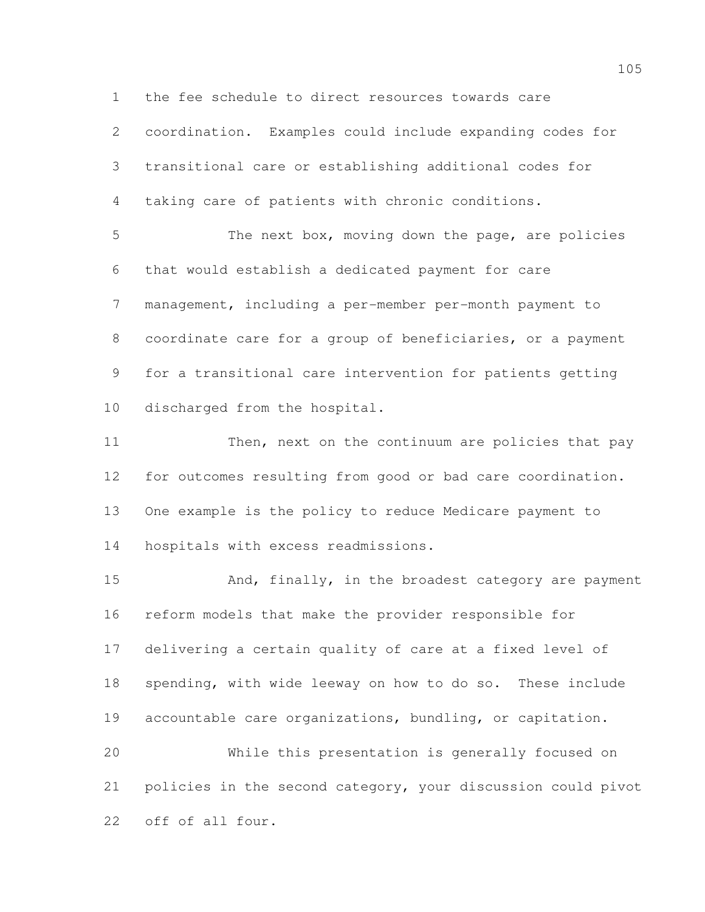the fee schedule to direct resources towards care

 coordination. Examples could include expanding codes for transitional care or establishing additional codes for taking care of patients with chronic conditions. The next box, moving down the page, are policies that would establish a dedicated payment for care management, including a per-member per-month payment to coordinate care for a group of beneficiaries, or a payment for a transitional care intervention for patients getting

discharged from the hospital.

11 Then, next on the continuum are policies that pay for outcomes resulting from good or bad care coordination. One example is the policy to reduce Medicare payment to hospitals with excess readmissions.

15 And, finally, in the broadest category are payment reform models that make the provider responsible for delivering a certain quality of care at a fixed level of spending, with wide leeway on how to do so. These include accountable care organizations, bundling, or capitation. While this presentation is generally focused on

 policies in the second category, your discussion could pivot off of all four.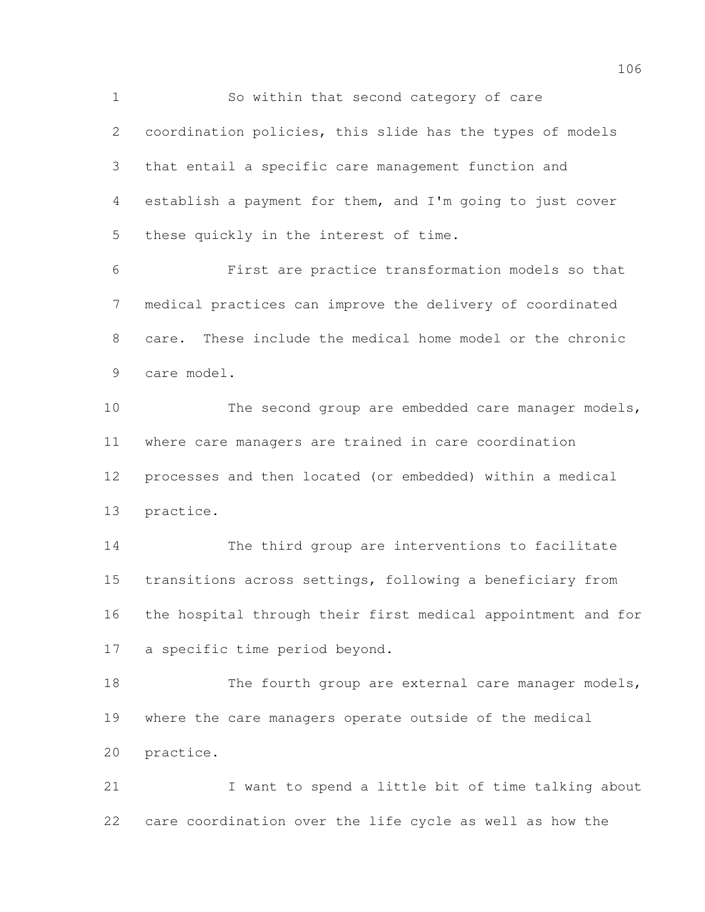So within that second category of care coordination policies, this slide has the types of models that entail a specific care management function and establish a payment for them, and I'm going to just cover these quickly in the interest of time.

 First are practice transformation models so that medical practices can improve the delivery of coordinated care. These include the medical home model or the chronic care model.

 The second group are embedded care manager models, where care managers are trained in care coordination processes and then located (or embedded) within a medical practice.

 The third group are interventions to facilitate transitions across settings, following a beneficiary from the hospital through their first medical appointment and for a specific time period beyond.

18 The fourth group are external care manager models, where the care managers operate outside of the medical practice.

21 I want to spend a little bit of time talking about care coordination over the life cycle as well as how the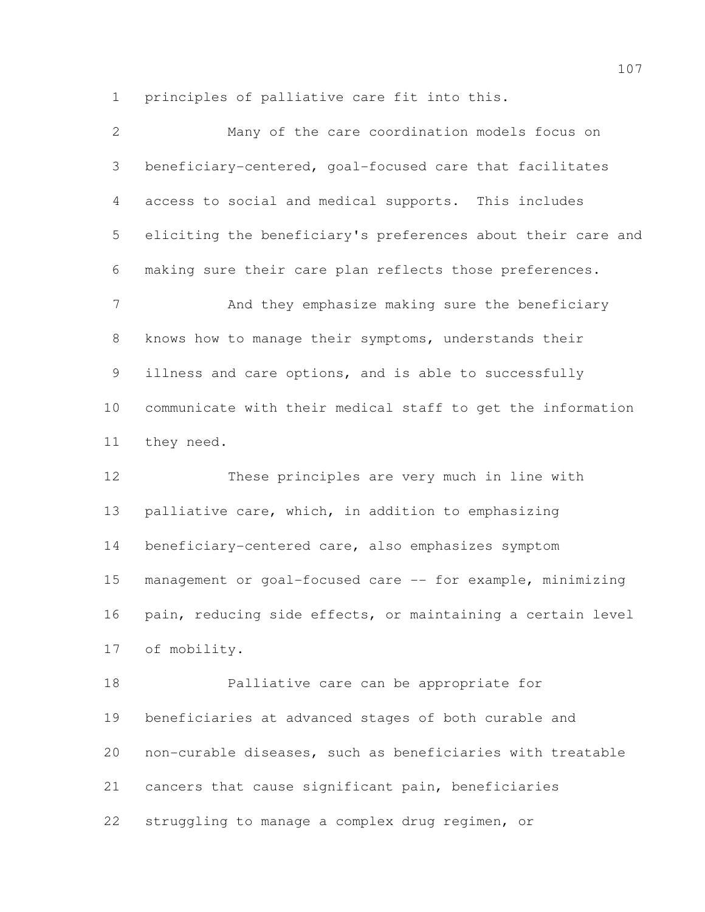principles of palliative care fit into this.

| $\overline{2}$ | Many of the care coordination models focus on                |
|----------------|--------------------------------------------------------------|
| 3              | beneficiary-centered, goal-focused care that facilitates     |
| 4              | access to social and medical supports. This includes         |
| 5              | eliciting the beneficiary's preferences about their care and |
| 6              | making sure their care plan reflects those preferences.      |
| 7              | And they emphasize making sure the beneficiary               |
| $8\,$          | knows how to manage their symptoms, understands their        |
| 9              | illness and care options, and is able to successfully        |
| 10             | communicate with their medical staff to get the information  |
| 11             | they need.                                                   |
| 12             | These principles are very much in line with                  |
| 13             | palliative care, which, in addition to emphasizing           |
| 14             | beneficiary-centered care, also emphasizes symptom           |

 management or goal-focused care -- for example, minimizing pain, reducing side effects, or maintaining a certain level of mobility.

 Palliative care can be appropriate for beneficiaries at advanced stages of both curable and non-curable diseases, such as beneficiaries with treatable cancers that cause significant pain, beneficiaries struggling to manage a complex drug regimen, or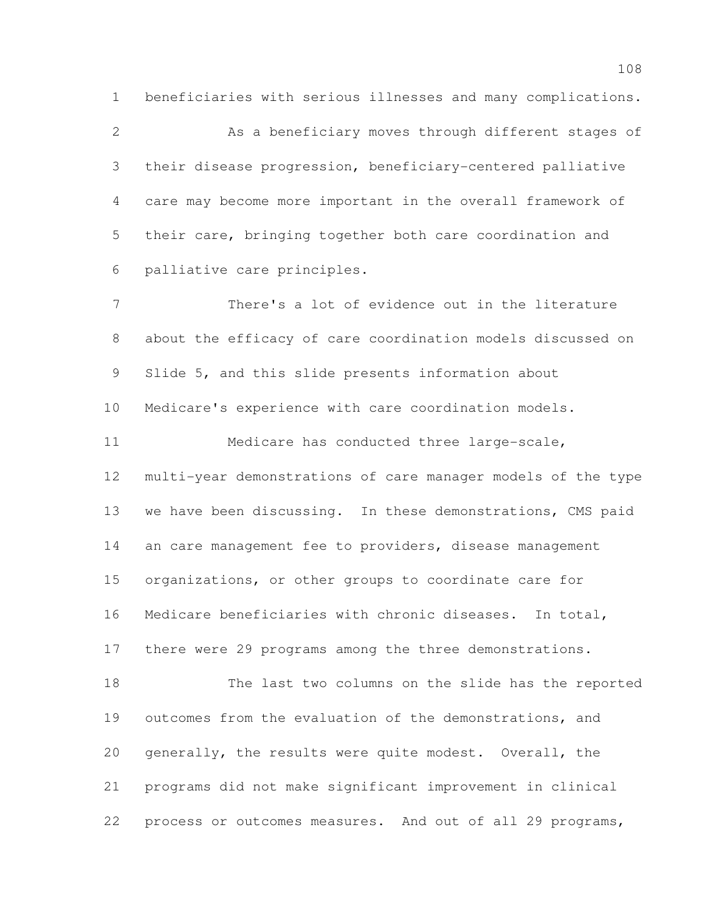beneficiaries with serious illnesses and many complications.

 As a beneficiary moves through different stages of their disease progression, beneficiary-centered palliative care may become more important in the overall framework of their care, bringing together both care coordination and palliative care principles.

 There's a lot of evidence out in the literature about the efficacy of care coordination models discussed on Slide 5, and this slide presents information about Medicare's experience with care coordination models. Medicare has conducted three large-scale, multi-year demonstrations of care manager models of the type we have been discussing. In these demonstrations, CMS paid 14 an care management fee to providers, disease management organizations, or other groups to coordinate care for Medicare beneficiaries with chronic diseases. In total, there were 29 programs among the three demonstrations. The last two columns on the slide has the reported outcomes from the evaluation of the demonstrations, and generally, the results were quite modest. Overall, the programs did not make significant improvement in clinical

process or outcomes measures. And out of all 29 programs,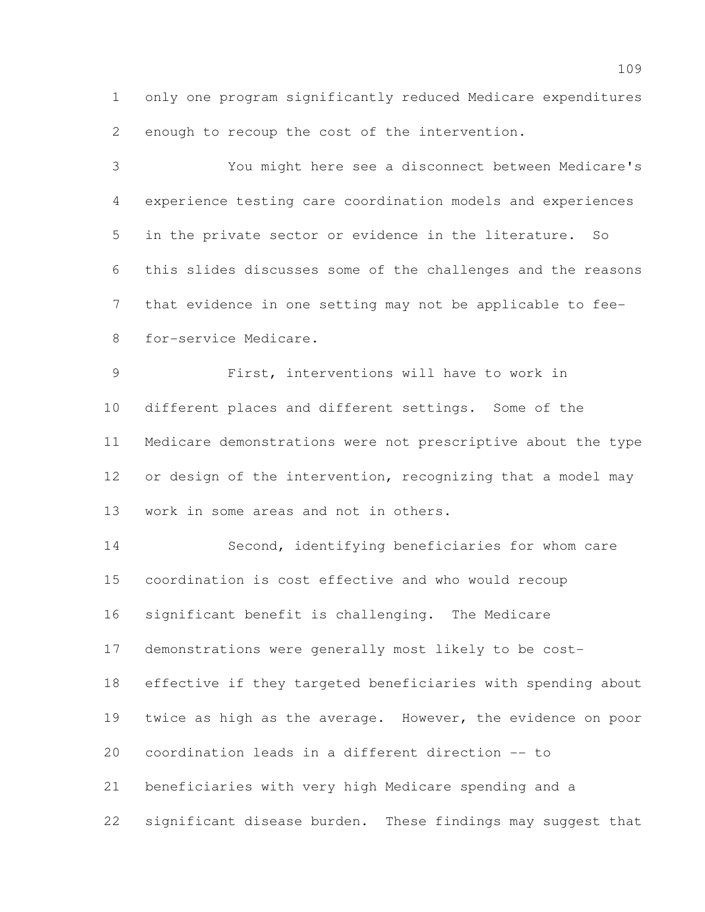only one program significantly reduced Medicare expenditures enough to recoup the cost of the intervention.

 You might here see a disconnect between Medicare's experience testing care coordination models and experiences in the private sector or evidence in the literature. So this slides discusses some of the challenges and the reasons that evidence in one setting may not be applicable to fee- for-service Medicare. First, interventions will have to work in different places and different settings. Some of the Medicare demonstrations were not prescriptive about the type 12 or design of the intervention, recognizing that a model may

work in some areas and not in others.

 Second, identifying beneficiaries for whom care coordination is cost effective and who would recoup significant benefit is challenging. The Medicare demonstrations were generally most likely to be cost- effective if they targeted beneficiaries with spending about twice as high as the average. However, the evidence on poor coordination leads in a different direction -- to beneficiaries with very high Medicare spending and a significant disease burden. These findings may suggest that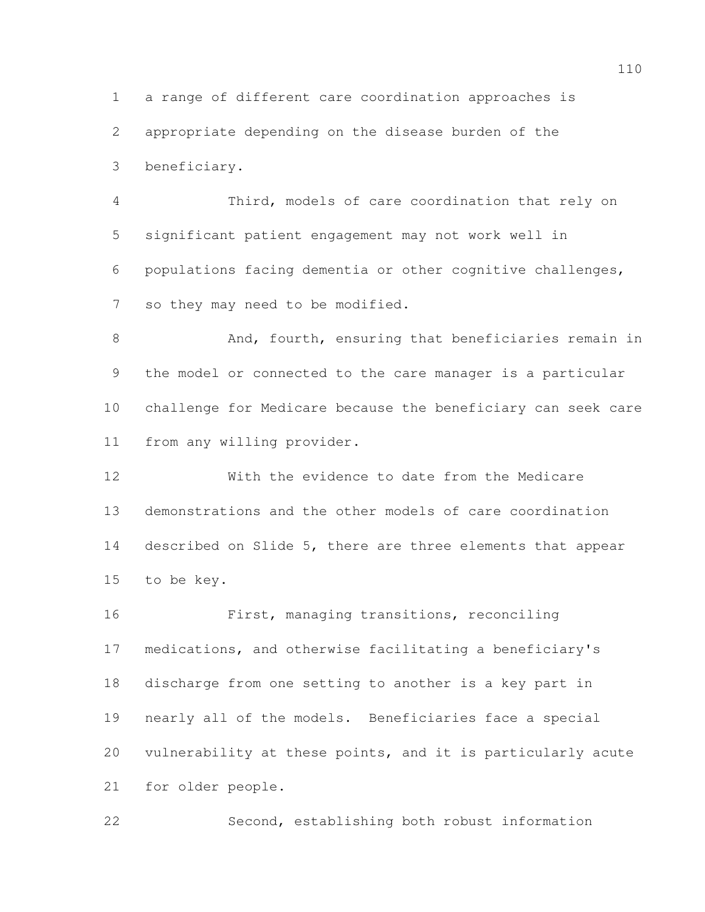a range of different care coordination approaches is appropriate depending on the disease burden of the beneficiary.

 Third, models of care coordination that rely on significant patient engagement may not work well in populations facing dementia or other cognitive challenges, so they may need to be modified.

 And, fourth, ensuring that beneficiaries remain in the model or connected to the care manager is a particular challenge for Medicare because the beneficiary can seek care from any willing provider.

 With the evidence to date from the Medicare demonstrations and the other models of care coordination described on Slide 5, there are three elements that appear to be key.

 First, managing transitions, reconciling medications, and otherwise facilitating a beneficiary's discharge from one setting to another is a key part in nearly all of the models. Beneficiaries face a special vulnerability at these points, and it is particularly acute for older people.

Second, establishing both robust information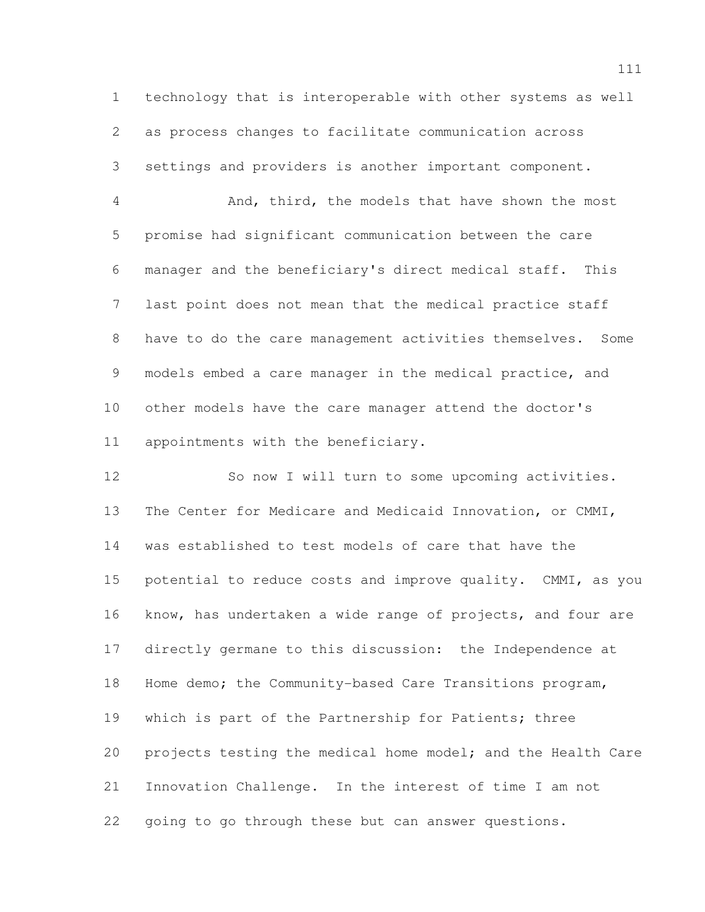technology that is interoperable with other systems as well as process changes to facilitate communication across settings and providers is another important component.

 And, third, the models that have shown the most promise had significant communication between the care manager and the beneficiary's direct medical staff. This last point does not mean that the medical practice staff have to do the care management activities themselves. Some models embed a care manager in the medical practice, and other models have the care manager attend the doctor's appointments with the beneficiary.

 So now I will turn to some upcoming activities. The Center for Medicare and Medicaid Innovation, or CMMI, was established to test models of care that have the potential to reduce costs and improve quality. CMMI, as you know, has undertaken a wide range of projects, and four are directly germane to this discussion: the Independence at Home demo; the Community-based Care Transitions program, 19 which is part of the Partnership for Patients; three projects testing the medical home model; and the Health Care Innovation Challenge. In the interest of time I am not going to go through these but can answer questions.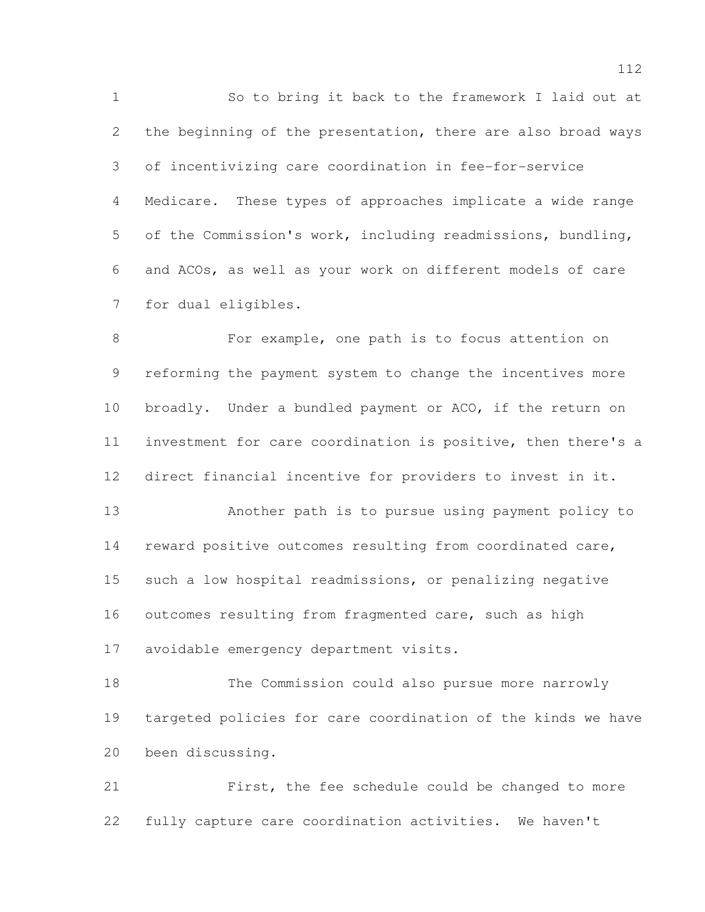So to bring it back to the framework I laid out at the beginning of the presentation, there are also broad ways of incentivizing care coordination in fee-for-service Medicare. These types of approaches implicate a wide range of the Commission's work, including readmissions, bundling, and ACOs, as well as your work on different models of care for dual eligibles.

 For example, one path is to focus attention on reforming the payment system to change the incentives more broadly. Under a bundled payment or ACO, if the return on investment for care coordination is positive, then there's a direct financial incentive for providers to invest in it.

 Another path is to pursue using payment policy to reward positive outcomes resulting from coordinated care, such a low hospital readmissions, or penalizing negative 16 outcomes resulting from fragmented care, such as high avoidable emergency department visits.

 The Commission could also pursue more narrowly targeted policies for care coordination of the kinds we have been discussing.

 First, the fee schedule could be changed to more fully capture care coordination activities. We haven't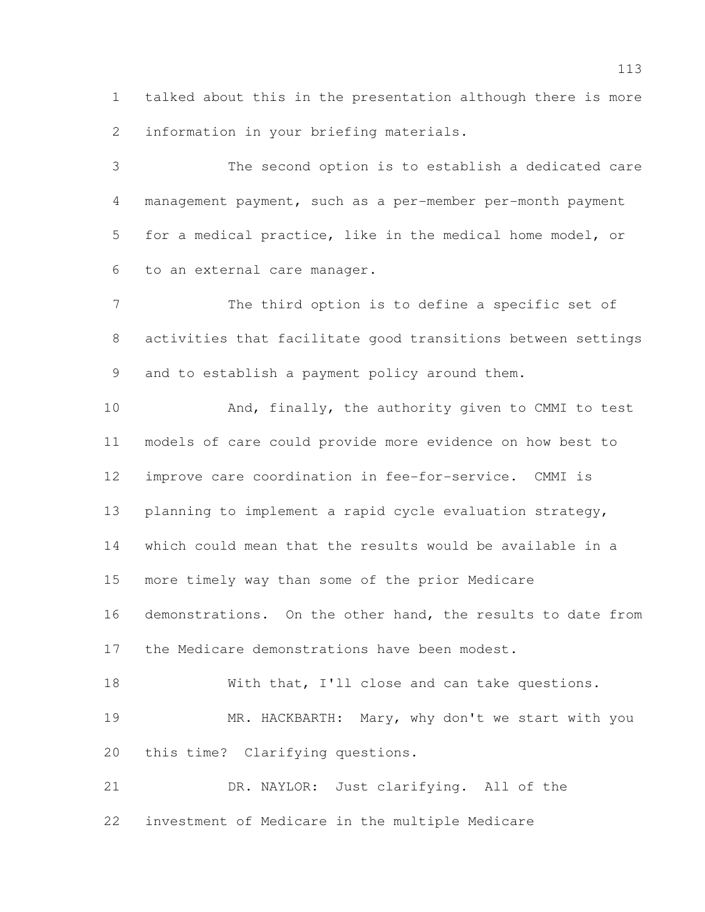talked about this in the presentation although there is more information in your briefing materials.

 The second option is to establish a dedicated care management payment, such as a per-member per-month payment for a medical practice, like in the medical home model, or to an external care manager.

 The third option is to define a specific set of activities that facilitate good transitions between settings and to establish a payment policy around them.

 And, finally, the authority given to CMMI to test models of care could provide more evidence on how best to improve care coordination in fee-for-service. CMMI is planning to implement a rapid cycle evaluation strategy, which could mean that the results would be available in a more timely way than some of the prior Medicare demonstrations. On the other hand, the results to date from the Medicare demonstrations have been modest. 18 With that, I'll close and can take questions.

 MR. HACKBARTH: Mary, why don't we start with you this time? Clarifying questions.

 DR. NAYLOR: Just clarifying. All of the investment of Medicare in the multiple Medicare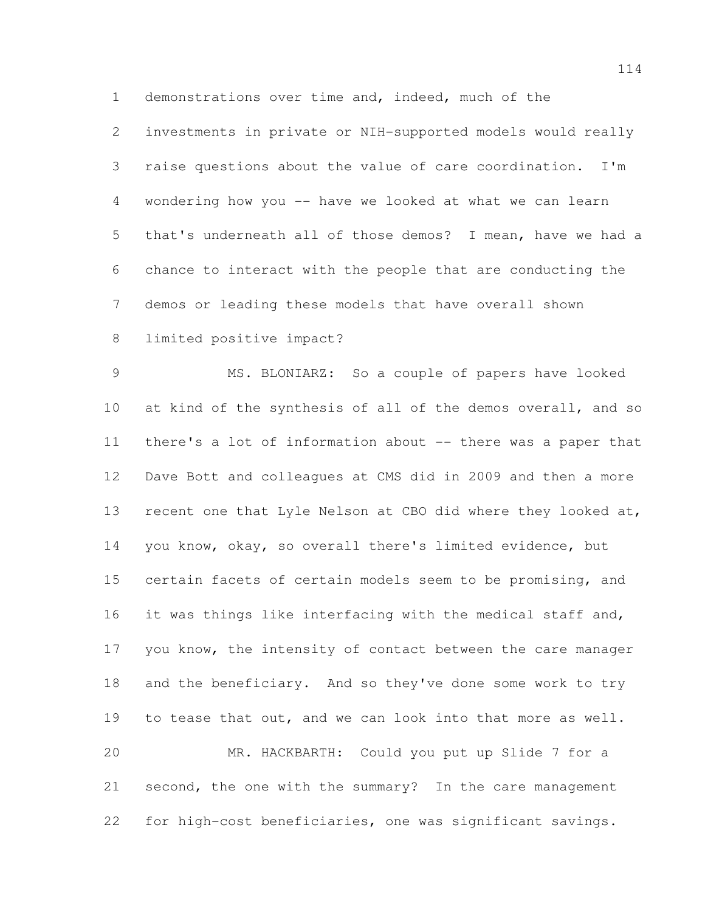demonstrations over time and, indeed, much of the

 investments in private or NIH-supported models would really raise questions about the value of care coordination. I'm wondering how you -- have we looked at what we can learn that's underneath all of those demos? I mean, have we had a chance to interact with the people that are conducting the demos or leading these models that have overall shown

limited positive impact?

 MS. BLONIARZ: So a couple of papers have looked at kind of the synthesis of all of the demos overall, and so there's a lot of information about -- there was a paper that Dave Bott and colleagues at CMS did in 2009 and then a more recent one that Lyle Nelson at CBO did where they looked at, you know, okay, so overall there's limited evidence, but certain facets of certain models seem to be promising, and 16 it was things like interfacing with the medical staff and, 17 you know, the intensity of contact between the care manager and the beneficiary. And so they've done some work to try to tease that out, and we can look into that more as well. MR. HACKBARTH: Could you put up Slide 7 for a second, the one with the summary? In the care management for high-cost beneficiaries, one was significant savings.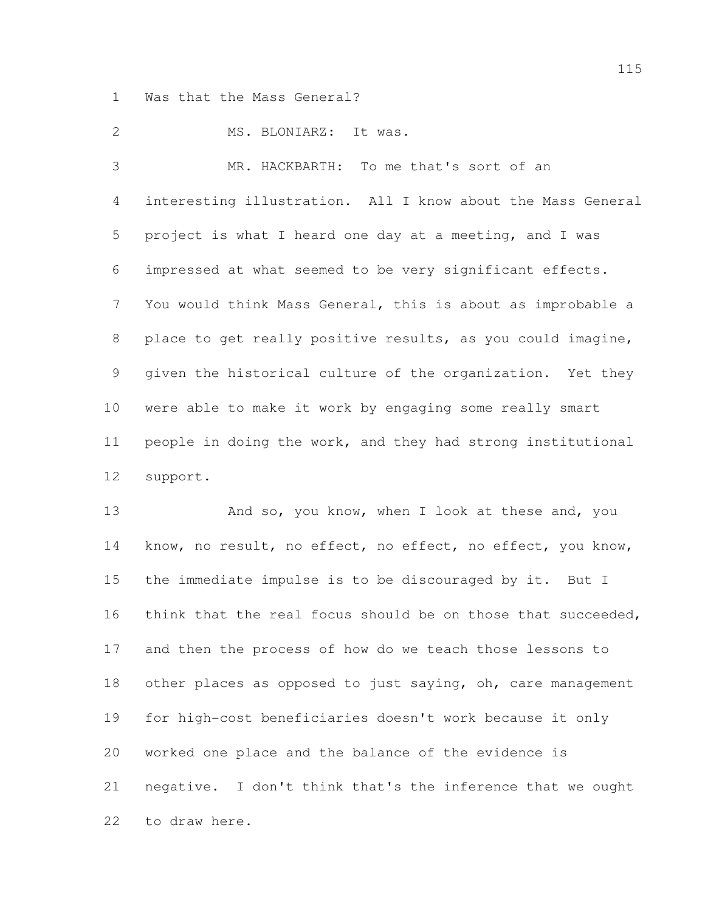Was that the Mass General?

2 MS. BLONIARZ: It was.

 MR. HACKBARTH: To me that's sort of an interesting illustration. All I know about the Mass General project is what I heard one day at a meeting, and I was impressed at what seemed to be very significant effects. You would think Mass General, this is about as improbable a 8 place to get really positive results, as you could imagine, given the historical culture of the organization. Yet they were able to make it work by engaging some really smart people in doing the work, and they had strong institutional support.

13 And so, you know, when I look at these and, you 14 know, no result, no effect, no effect, no effect, you know, the immediate impulse is to be discouraged by it. But I think that the real focus should be on those that succeeded, and then the process of how do we teach those lessons to 18 other places as opposed to just saying, oh, care management for high-cost beneficiaries doesn't work because it only worked one place and the balance of the evidence is negative. I don't think that's the inference that we ought to draw here.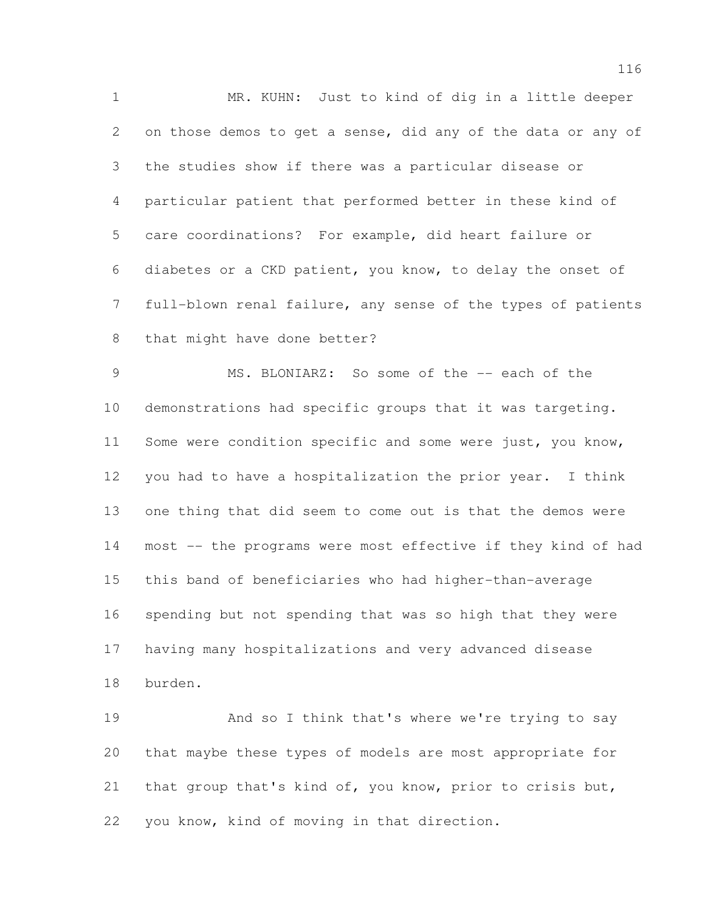MR. KUHN: Just to kind of dig in a little deeper on those demos to get a sense, did any of the data or any of the studies show if there was a particular disease or particular patient that performed better in these kind of care coordinations? For example, did heart failure or diabetes or a CKD patient, you know, to delay the onset of full-blown renal failure, any sense of the types of patients that might have done better?

 MS. BLONIARZ: So some of the -- each of the demonstrations had specific groups that it was targeting. 11 Some were condition specific and some were just, you know, you had to have a hospitalization the prior year. I think one thing that did seem to come out is that the demos were most -- the programs were most effective if they kind of had this band of beneficiaries who had higher-than-average spending but not spending that was so high that they were having many hospitalizations and very advanced disease burden.

 And so I think that's where we're trying to say that maybe these types of models are most appropriate for 21 that group that's kind of, you know, prior to crisis but, you know, kind of moving in that direction.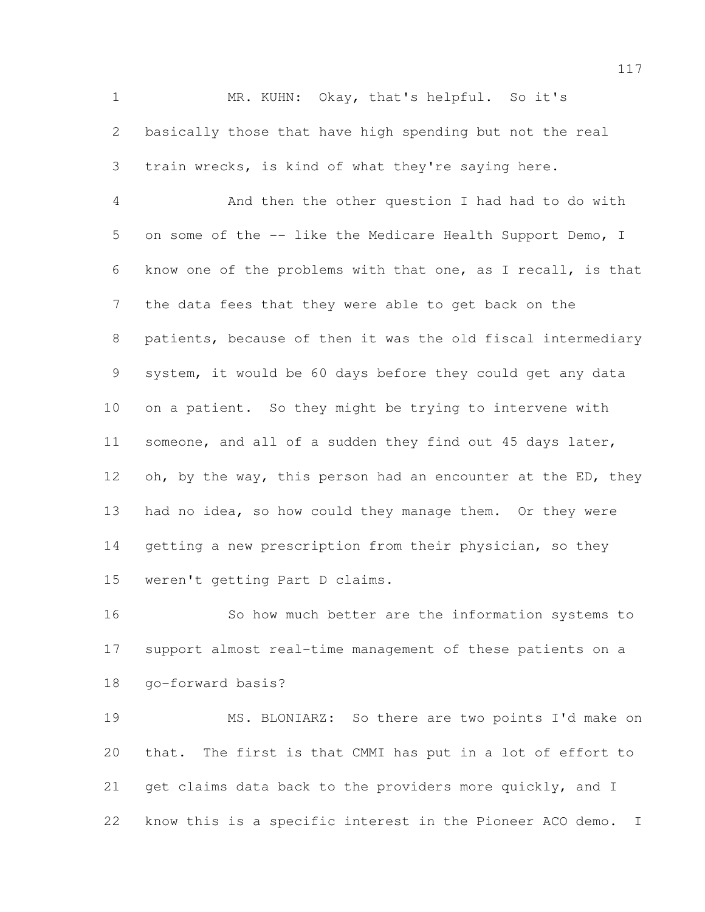MR. KUHN: Okay, that's helpful. So it's basically those that have high spending but not the real train wrecks, is kind of what they're saying here.

 And then the other question I had had to do with on some of the -- like the Medicare Health Support Demo, I know one of the problems with that one, as I recall, is that the data fees that they were able to get back on the patients, because of then it was the old fiscal intermediary system, it would be 60 days before they could get any data on a patient. So they might be trying to intervene with someone, and all of a sudden they find out 45 days later, 12 oh, by the way, this person had an encounter at the ED, they had no idea, so how could they manage them. Or they were 14 getting a new prescription from their physician, so they weren't getting Part D claims.

 So how much better are the information systems to support almost real-time management of these patients on a go-forward basis?

 MS. BLONIARZ: So there are two points I'd make on that. The first is that CMMI has put in a lot of effort to 21 get claims data back to the providers more quickly, and I know this is a specific interest in the Pioneer ACO demo. I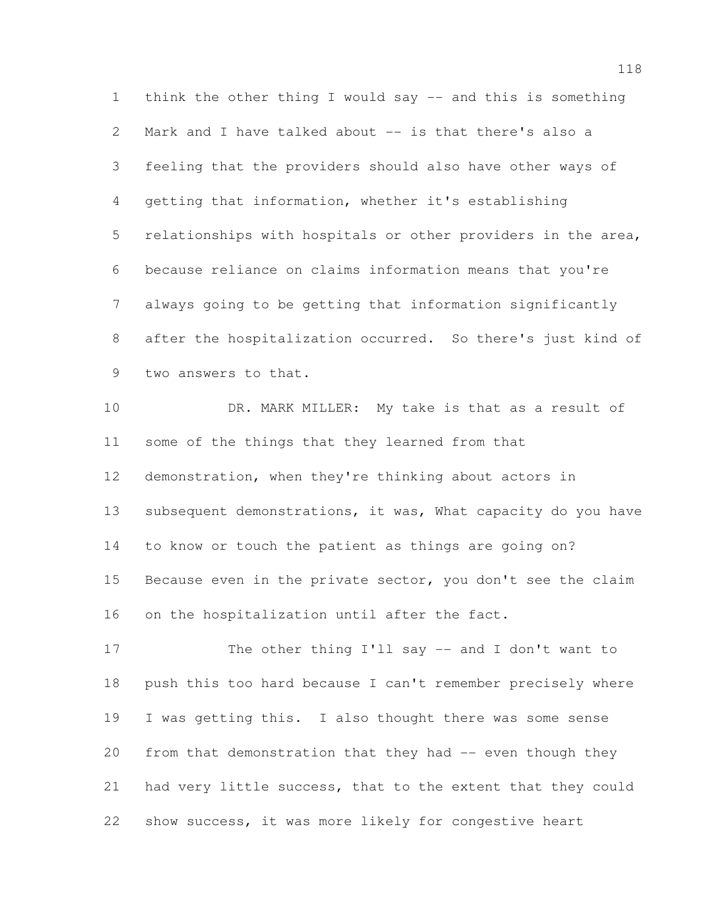think the other thing I would say -- and this is something Mark and I have talked about -- is that there's also a feeling that the providers should also have other ways of getting that information, whether it's establishing relationships with hospitals or other providers in the area, because reliance on claims information means that you're always going to be getting that information significantly after the hospitalization occurred. So there's just kind of two answers to that.

10 DR. MARK MILLER: My take is that as a result of some of the things that they learned from that demonstration, when they're thinking about actors in 13 subsequent demonstrations, it was, What capacity do you have to know or touch the patient as things are going on? 15 Because even in the private sector, you don't see the claim on the hospitalization until after the fact.

 The other thing I'll say -- and I don't want to push this too hard because I can't remember precisely where I was getting this. I also thought there was some sense 20 from that demonstration that they had -- even though they had very little success, that to the extent that they could show success, it was more likely for congestive heart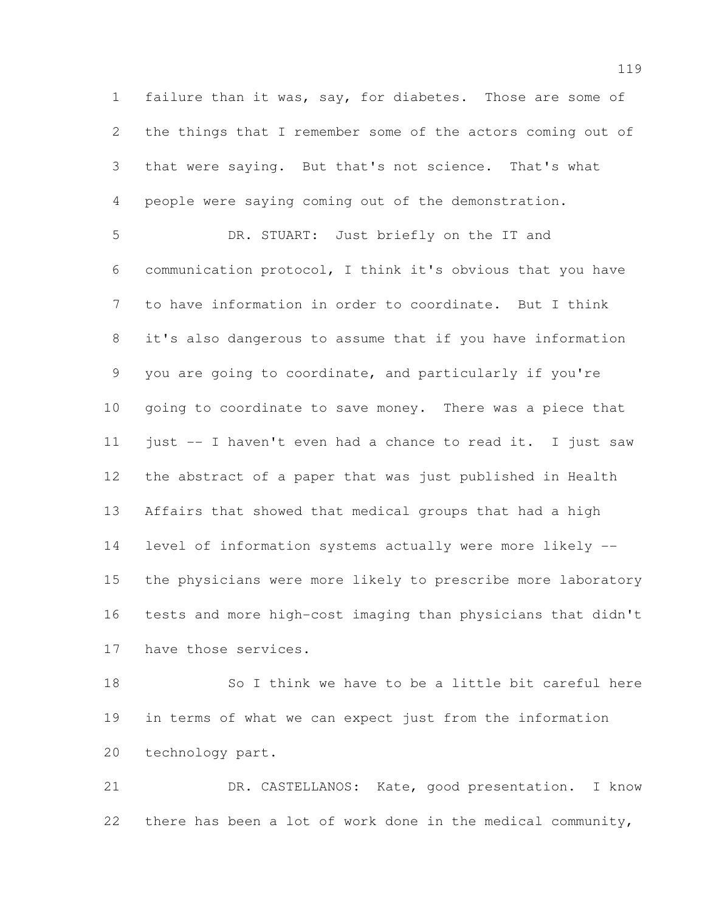failure than it was, say, for diabetes. Those are some of the things that I remember some of the actors coming out of that were saying. But that's not science. That's what people were saying coming out of the demonstration.

 DR. STUART: Just briefly on the IT and communication protocol, I think it's obvious that you have to have information in order to coordinate. But I think it's also dangerous to assume that if you have information you are going to coordinate, and particularly if you're going to coordinate to save money. There was a piece that just -- I haven't even had a chance to read it. I just saw the abstract of a paper that was just published in Health Affairs that showed that medical groups that had a high level of information systems actually were more likely -- the physicians were more likely to prescribe more laboratory tests and more high-cost imaging than physicians that didn't have those services.

 So I think we have to be a little bit careful here in terms of what we can expect just from the information technology part.

 DR. CASTELLANOS: Kate, good presentation. I know there has been a lot of work done in the medical community,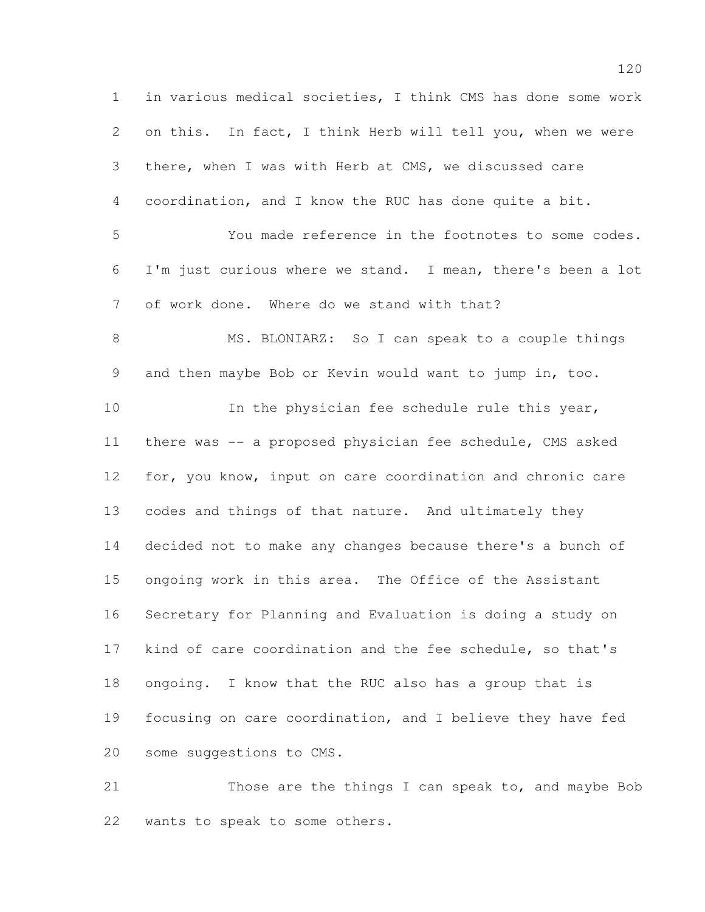in various medical societies, I think CMS has done some work on this. In fact, I think Herb will tell you, when we were there, when I was with Herb at CMS, we discussed care coordination, and I know the RUC has done quite a bit. You made reference in the footnotes to some codes. I'm just curious where we stand. I mean, there's been a lot of work done. Where do we stand with that? 8 MS. BLONIARZ: So I can speak to a couple things and then maybe Bob or Kevin would want to jump in, too. In the physician fee schedule rule this year, there was -- a proposed physician fee schedule, CMS asked for, you know, input on care coordination and chronic care codes and things of that nature. And ultimately they decided not to make any changes because there's a bunch of ongoing work in this area. The Office of the Assistant Secretary for Planning and Evaluation is doing a study on kind of care coordination and the fee schedule, so that's ongoing. I know that the RUC also has a group that is focusing on care coordination, and I believe they have fed some suggestions to CMS.

 Those are the things I can speak to, and maybe Bob wants to speak to some others.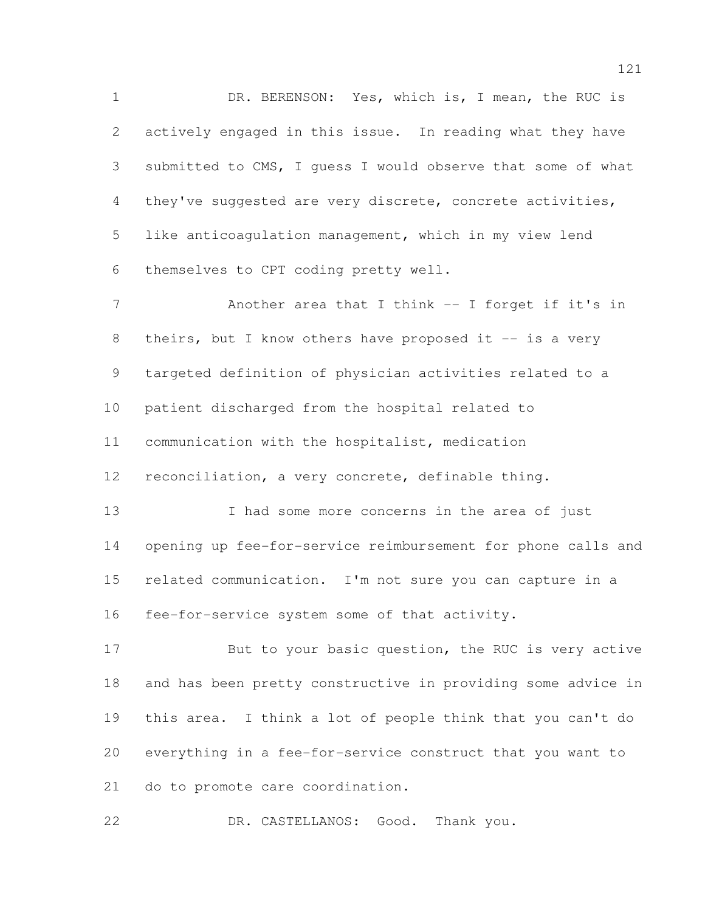DR. BERENSON: Yes, which is, I mean, the RUC is actively engaged in this issue. In reading what they have submitted to CMS, I guess I would observe that some of what they've suggested are very discrete, concrete activities, like anticoagulation management, which in my view lend themselves to CPT coding pretty well.

7 Another area that I think -- I forget if it's in 8 theirs, but I know others have proposed it -- is a very targeted definition of physician activities related to a patient discharged from the hospital related to communication with the hospitalist, medication reconciliation, a very concrete, definable thing. 13 I had some more concerns in the area of just

 opening up fee-for-service reimbursement for phone calls and related communication. I'm not sure you can capture in a fee-for-service system some of that activity.

17 But to your basic question, the RUC is very active and has been pretty constructive in providing some advice in this area. I think a lot of people think that you can't do everything in a fee-for-service construct that you want to do to promote care coordination.

DR. CASTELLANOS: Good. Thank you.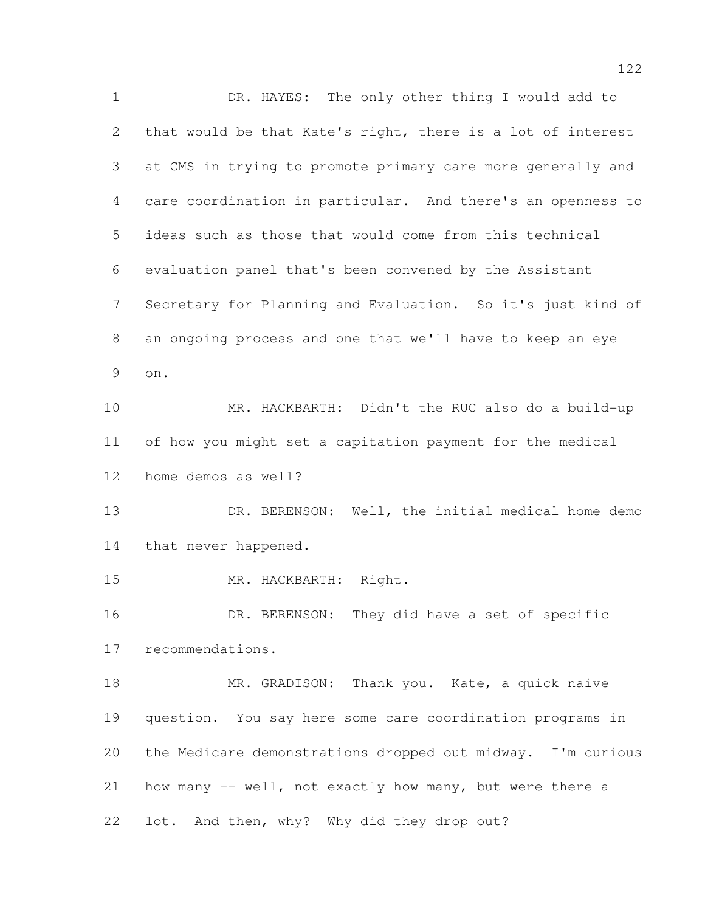DR. HAYES: The only other thing I would add to that would be that Kate's right, there is a lot of interest at CMS in trying to promote primary care more generally and care coordination in particular. And there's an openness to ideas such as those that would come from this technical evaluation panel that's been convened by the Assistant Secretary for Planning and Evaluation. So it's just kind of an ongoing process and one that we'll have to keep an eye on. MR. HACKBARTH: Didn't the RUC also do a build-up of how you might set a capitation payment for the medical home demos as well? 13 DR. BERENSON: Well, the initial medical home demo that never happened. MR. HACKBARTH: Right. DR. BERENSON: They did have a set of specific recommendations. 18 MR. GRADISON: Thank you. Kate, a quick naive question. You say here some care coordination programs in the Medicare demonstrations dropped out midway. I'm curious how many -- well, not exactly how many, but were there a lot. And then, why? Why did they drop out?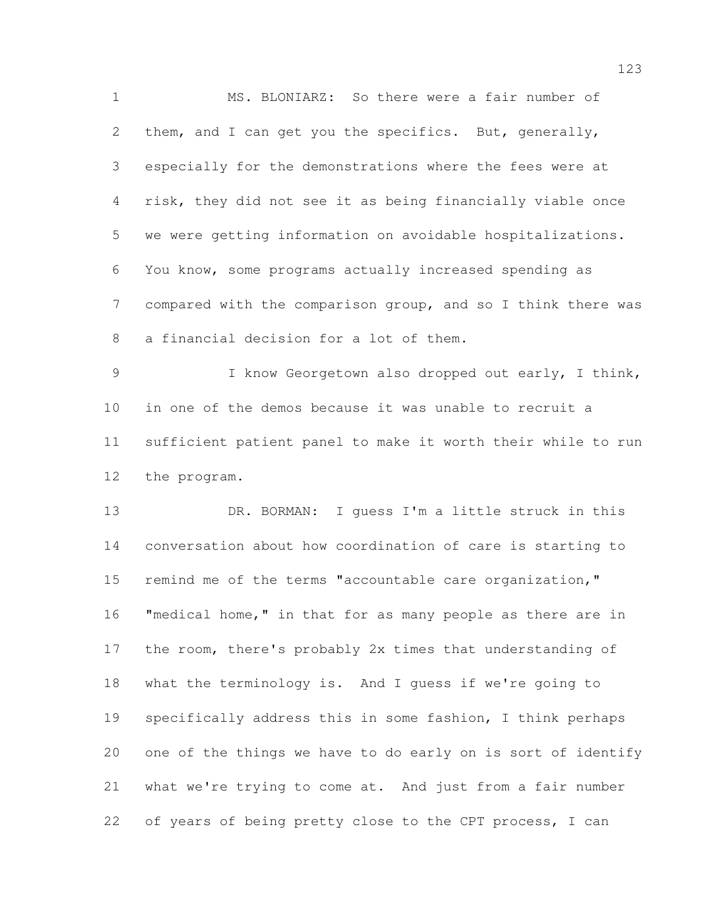MS. BLONIARZ: So there were a fair number of them, and I can get you the specifics. But, generally, especially for the demonstrations where the fees were at risk, they did not see it as being financially viable once we were getting information on avoidable hospitalizations. You know, some programs actually increased spending as compared with the comparison group, and so I think there was a financial decision for a lot of them. I know Georgetown also dropped out early, I think, in one of the demos because it was unable to recruit a sufficient patient panel to make it worth their while to run the program. DR. BORMAN: I guess I'm a little struck in this conversation about how coordination of care is starting to remind me of the terms "accountable care organization," "medical home," in that for as many people as there are in the room, there's probably 2x times that understanding of what the terminology is. And I guess if we're going to specifically address this in some fashion, I think perhaps one of the things we have to do early on is sort of identify what we're trying to come at. And just from a fair number of years of being pretty close to the CPT process, I can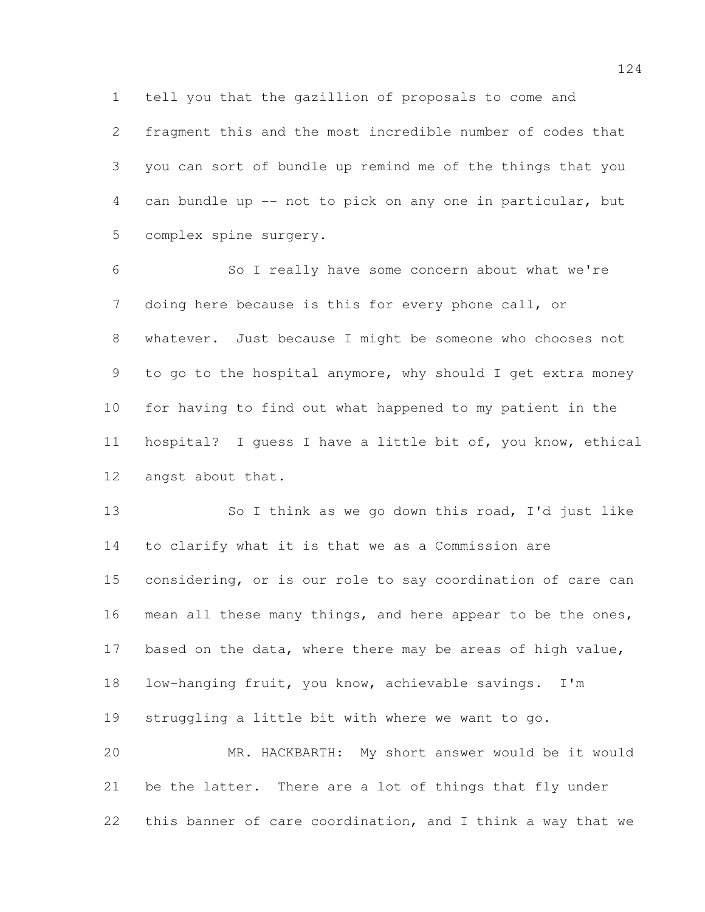tell you that the gazillion of proposals to come and

 fragment this and the most incredible number of codes that you can sort of bundle up remind me of the things that you can bundle up -- not to pick on any one in particular, but complex spine surgery.

 So I really have some concern about what we're doing here because is this for every phone call, or whatever. Just because I might be someone who chooses not 9 to go to the hospital anymore, why should I get extra money for having to find out what happened to my patient in the hospital? I guess I have a little bit of, you know, ethical angst about that.

 So I think as we go down this road, I'd just like to clarify what it is that we as a Commission are considering, or is our role to say coordination of care can 16 mean all these many things, and here appear to be the ones, based on the data, where there may be areas of high value, low-hanging fruit, you know, achievable savings. I'm struggling a little bit with where we want to go. MR. HACKBARTH: My short answer would be it would be the latter. There are a lot of things that fly under

this banner of care coordination, and I think a way that we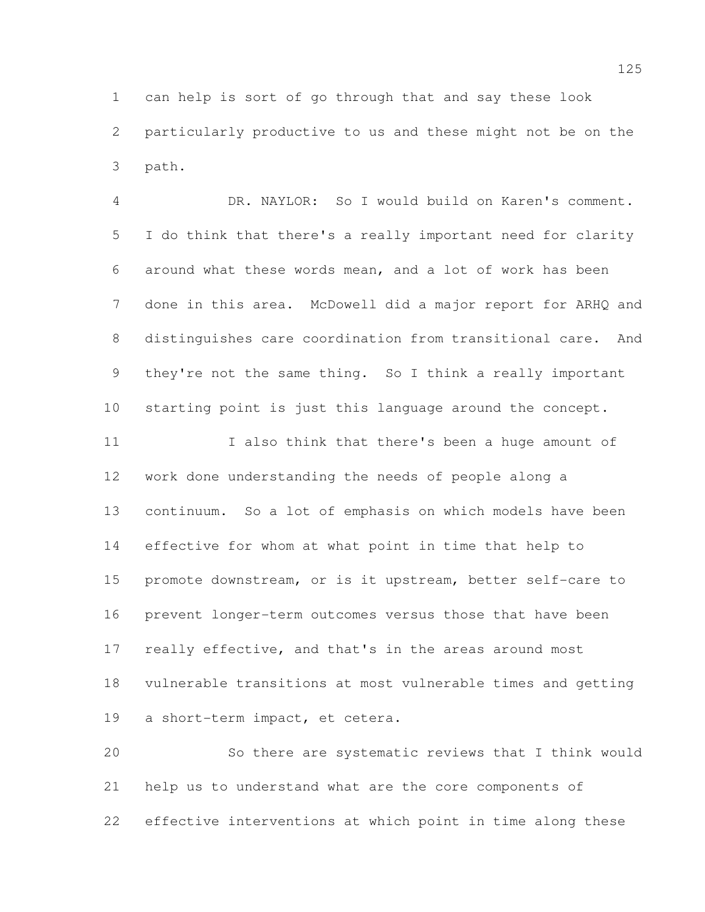can help is sort of go through that and say these look particularly productive to us and these might not be on the path.

 DR. NAYLOR: So I would build on Karen's comment. I do think that there's a really important need for clarity around what these words mean, and a lot of work has been done in this area. McDowell did a major report for ARHQ and distinguishes care coordination from transitional care. And they're not the same thing. So I think a really important starting point is just this language around the concept. 11 I also think that there's been a huge amount of

 work done understanding the needs of people along a continuum. So a lot of emphasis on which models have been effective for whom at what point in time that help to promote downstream, or is it upstream, better self-care to prevent longer-term outcomes versus those that have been really effective, and that's in the areas around most vulnerable transitions at most vulnerable times and getting a short-term impact, et cetera.

 So there are systematic reviews that I think would help us to understand what are the core components of effective interventions at which point in time along these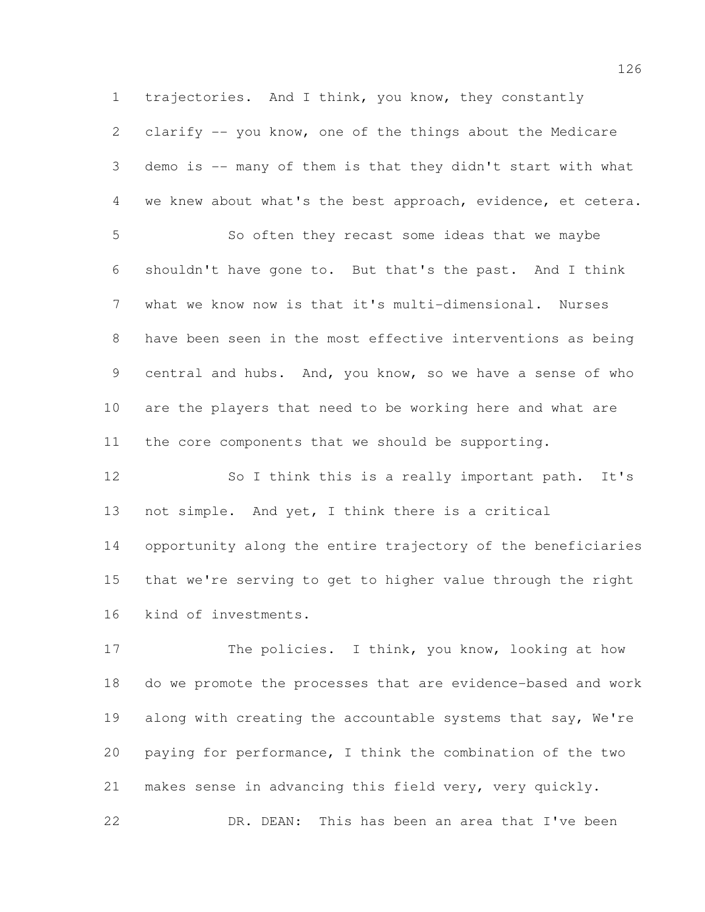trajectories. And I think, you know, they constantly clarify -- you know, one of the things about the Medicare demo is -- many of them is that they didn't start with what we knew about what's the best approach, evidence, et cetera.

 So often they recast some ideas that we maybe shouldn't have gone to. But that's the past. And I think what we know now is that it's multi-dimensional. Nurses have been seen in the most effective interventions as being central and hubs. And, you know, so we have a sense of who are the players that need to be working here and what are the core components that we should be supporting.

 So I think this is a really important path. It's not simple. And yet, I think there is a critical opportunity along the entire trajectory of the beneficiaries that we're serving to get to higher value through the right kind of investments.

17 The policies. I think, you know, looking at how do we promote the processes that are evidence-based and work 19 along with creating the accountable systems that say, We're paying for performance, I think the combination of the two makes sense in advancing this field very, very quickly. DR. DEAN: This has been an area that I've been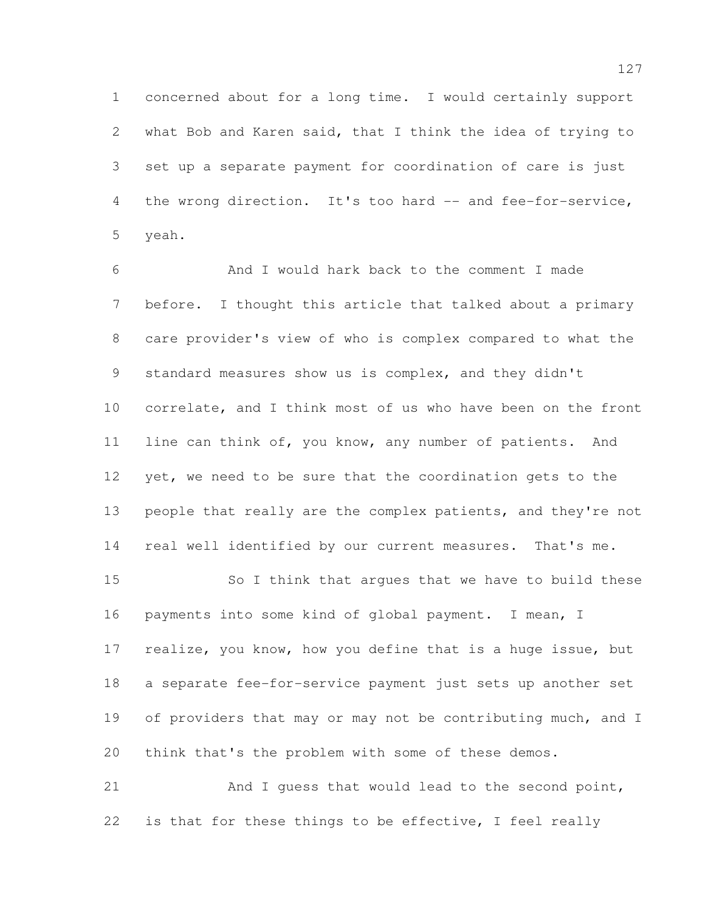concerned about for a long time. I would certainly support what Bob and Karen said, that I think the idea of trying to set up a separate payment for coordination of care is just 4 the wrong direction. It's too hard -- and fee-for-service, yeah.

 And I would hark back to the comment I made before. I thought this article that talked about a primary care provider's view of who is complex compared to what the 9 standard measures show us is complex, and they didn't correlate, and I think most of us who have been on the front line can think of, you know, any number of patients. And 12 yet, we need to be sure that the coordination gets to the people that really are the complex patients, and they're not real well identified by our current measures. That's me. So I think that argues that we have to build these payments into some kind of global payment. I mean, I

 realize, you know, how you define that is a huge issue, but a separate fee-for-service payment just sets up another set 19 of providers that may or may not be contributing much, and I think that's the problem with some of these demos.

21 And I quess that would lead to the second point, is that for these things to be effective, I feel really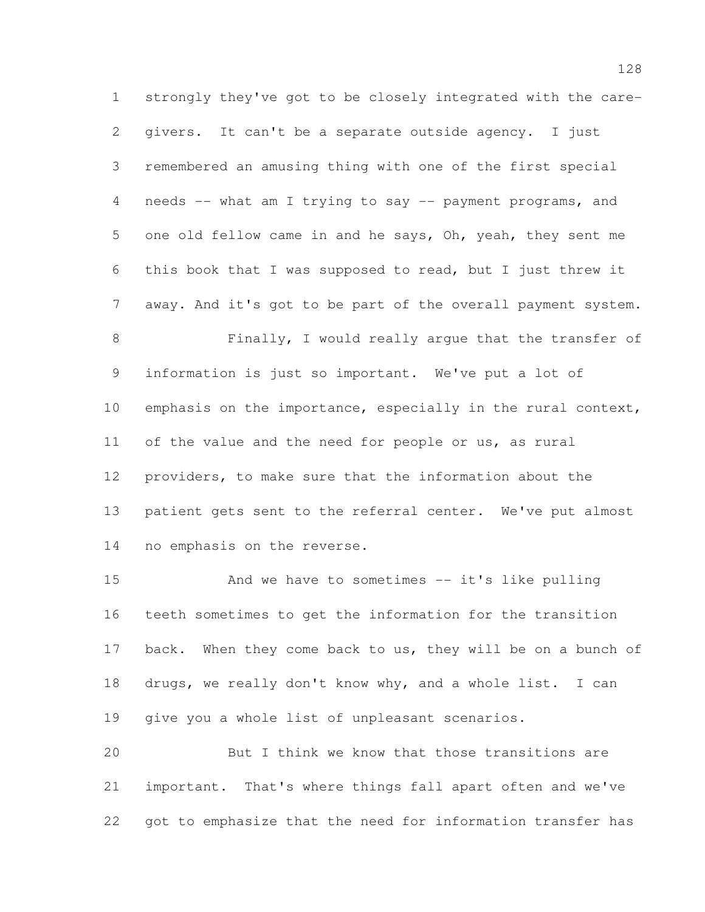strongly they've got to be closely integrated with the care- givers. It can't be a separate outside agency. I just remembered an amusing thing with one of the first special needs -- what am I trying to say -- payment programs, and one old fellow came in and he says, Oh, yeah, they sent me this book that I was supposed to read, but I just threw it away. And it's got to be part of the overall payment system. Finally, I would really argue that the transfer of information is just so important. We've put a lot of emphasis on the importance, especially in the rural context, of the value and the need for people or us, as rural providers, to make sure that the information about the patient gets sent to the referral center. We've put almost

no emphasis on the reverse.

 And we have to sometimes -- it's like pulling teeth sometimes to get the information for the transition 17 back. When they come back to us, they will be on a bunch of drugs, we really don't know why, and a whole list. I can give you a whole list of unpleasant scenarios.

 But I think we know that those transitions are important. That's where things fall apart often and we've got to emphasize that the need for information transfer has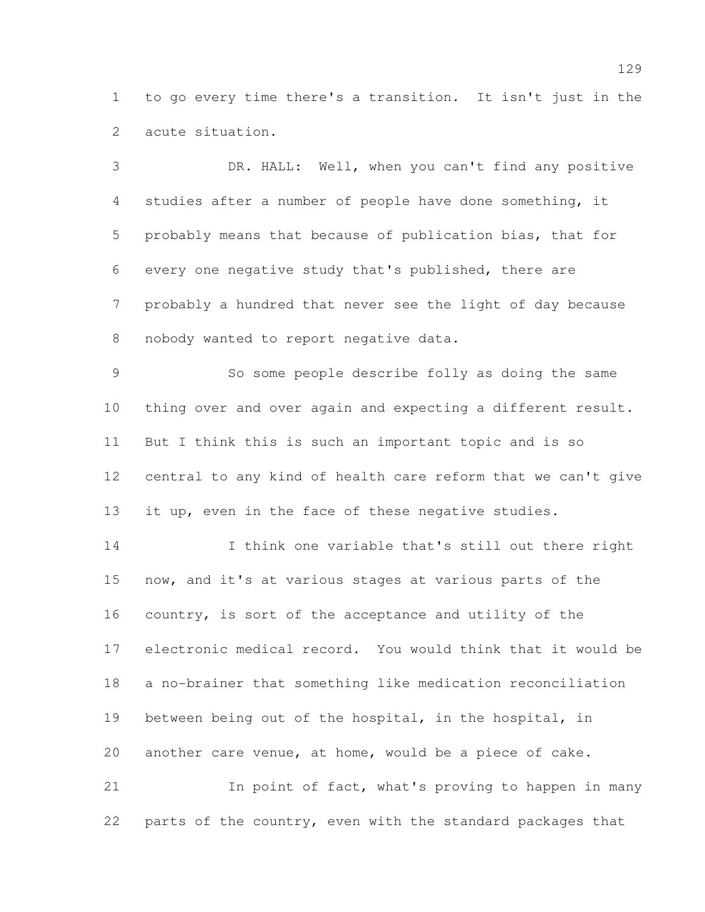to go every time there's a transition. It isn't just in the acute situation.

 DR. HALL: Well, when you can't find any positive studies after a number of people have done something, it probably means that because of publication bias, that for every one negative study that's published, there are probably a hundred that never see the light of day because nobody wanted to report negative data.

 So some people describe folly as doing the same thing over and over again and expecting a different result. But I think this is such an important topic and is so central to any kind of health care reform that we can't give it up, even in the face of these negative studies.

 I think one variable that's still out there right now, and it's at various stages at various parts of the country, is sort of the acceptance and utility of the electronic medical record. You would think that it would be a no-brainer that something like medication reconciliation between being out of the hospital, in the hospital, in another care venue, at home, would be a piece of cake. In point of fact, what's proving to happen in many

parts of the country, even with the standard packages that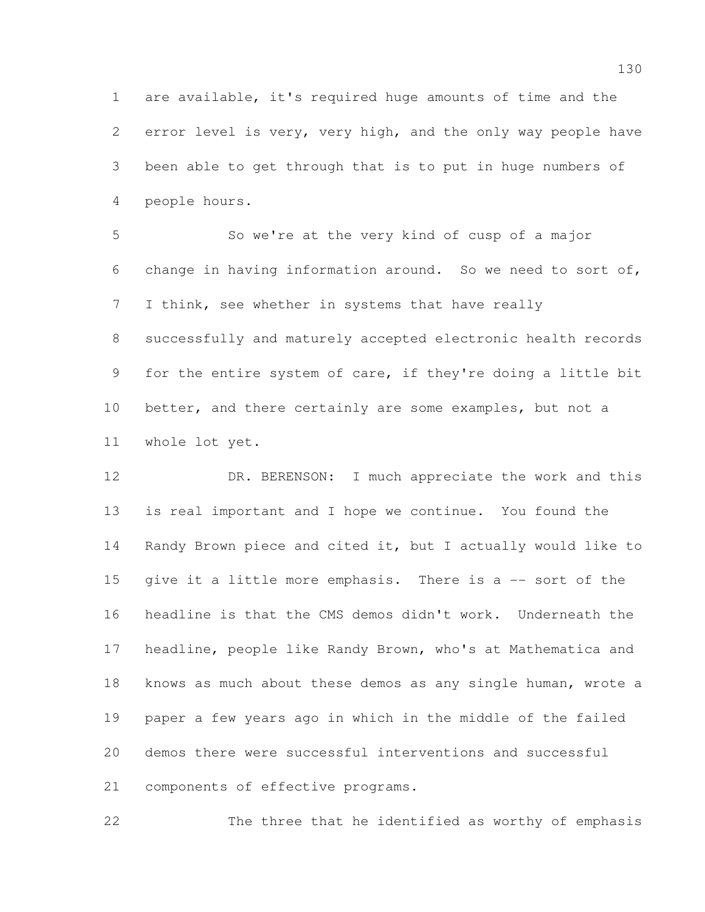are available, it's required huge amounts of time and the error level is very, very high, and the only way people have been able to get through that is to put in huge numbers of people hours.

 So we're at the very kind of cusp of a major change in having information around. So we need to sort of, I think, see whether in systems that have really successfully and maturely accepted electronic health records for the entire system of care, if they're doing a little bit better, and there certainly are some examples, but not a whole lot yet.

12 DR. BERENSON: I much appreciate the work and this is real important and I hope we continue. You found the Randy Brown piece and cited it, but I actually would like to 15 give it a little more emphasis. There is a -- sort of the headline is that the CMS demos didn't work. Underneath the headline, people like Randy Brown, who's at Mathematica and knows as much about these demos as any single human, wrote a paper a few years ago in which in the middle of the failed demos there were successful interventions and successful components of effective programs.

The three that he identified as worthy of emphasis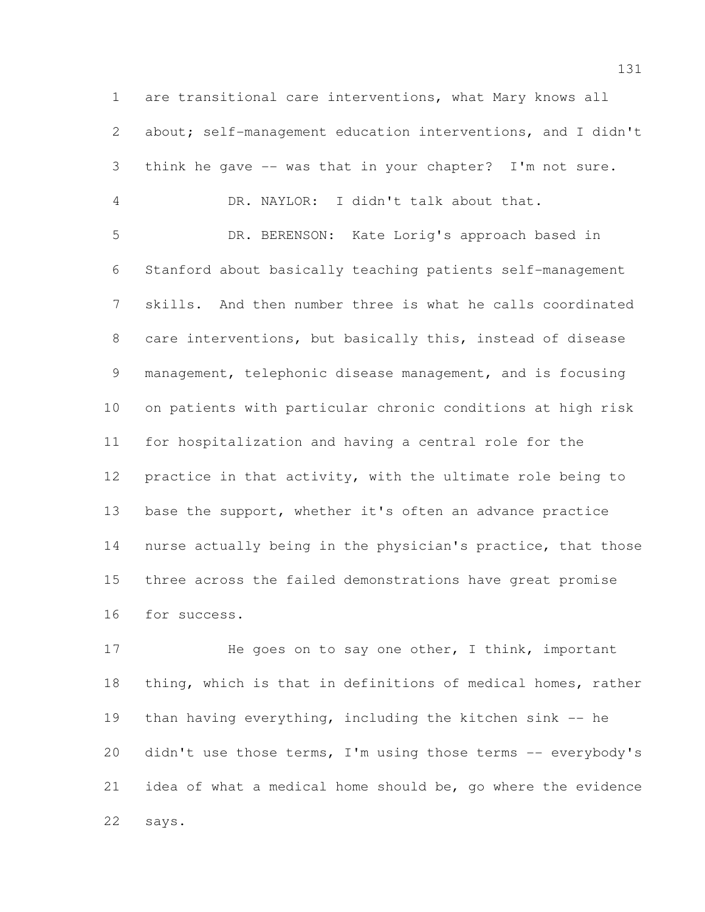are transitional care interventions, what Mary knows all about; self-management education interventions, and I didn't think he gave -- was that in your chapter? I'm not sure. DR. NAYLOR: I didn't talk about that. DR. BERENSON: Kate Lorig's approach based in Stanford about basically teaching patients self-management skills. And then number three is what he calls coordinated care interventions, but basically this, instead of disease management, telephonic disease management, and is focusing on patients with particular chronic conditions at high risk for hospitalization and having a central role for the practice in that activity, with the ultimate role being to 13 base the support, whether it's often an advance practice nurse actually being in the physician's practice, that those three across the failed demonstrations have great promise for success.

17 He goes on to say one other, I think, important thing, which is that in definitions of medical homes, rather than having everything, including the kitchen sink -- he 20 didn't use those terms, I'm using those terms -- everybody's idea of what a medical home should be, go where the evidence says.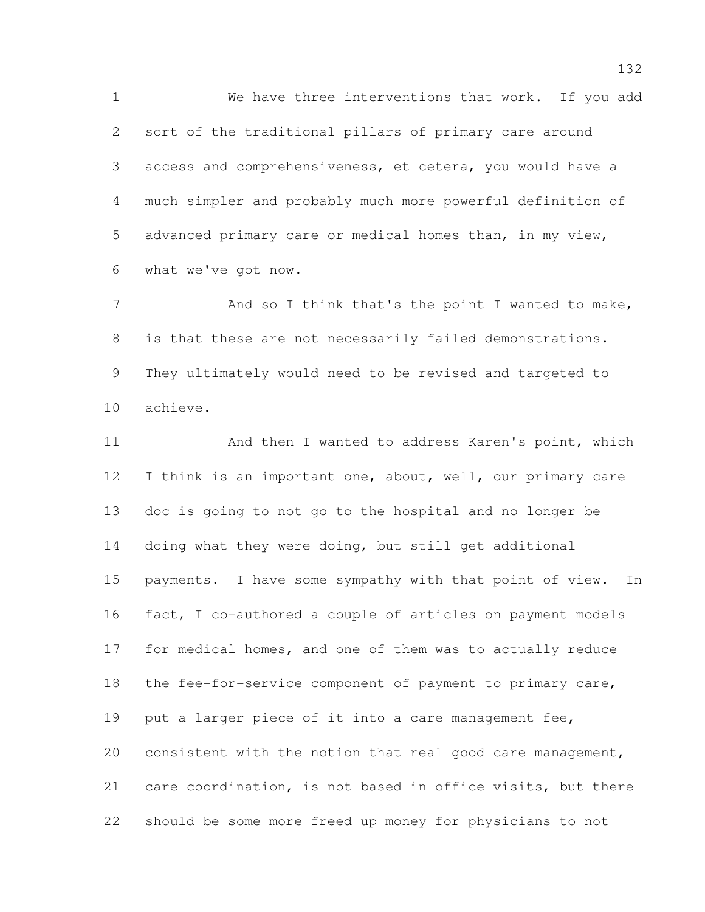We have three interventions that work. If you add sort of the traditional pillars of primary care around access and comprehensiveness, et cetera, you would have a much simpler and probably much more powerful definition of advanced primary care or medical homes than, in my view, what we've got now.

7 And so I think that's the point I wanted to make, is that these are not necessarily failed demonstrations. They ultimately would need to be revised and targeted to achieve.

11 And then I wanted to address Karen's point, which 12 I think is an important one, about, well, our primary care doc is going to not go to the hospital and no longer be doing what they were doing, but still get additional payments. I have some sympathy with that point of view. In fact, I co-authored a couple of articles on payment models for medical homes, and one of them was to actually reduce the fee-for-service component of payment to primary care, 19 put a larger piece of it into a care management fee, consistent with the notion that real good care management, care coordination, is not based in office visits, but there should be some more freed up money for physicians to not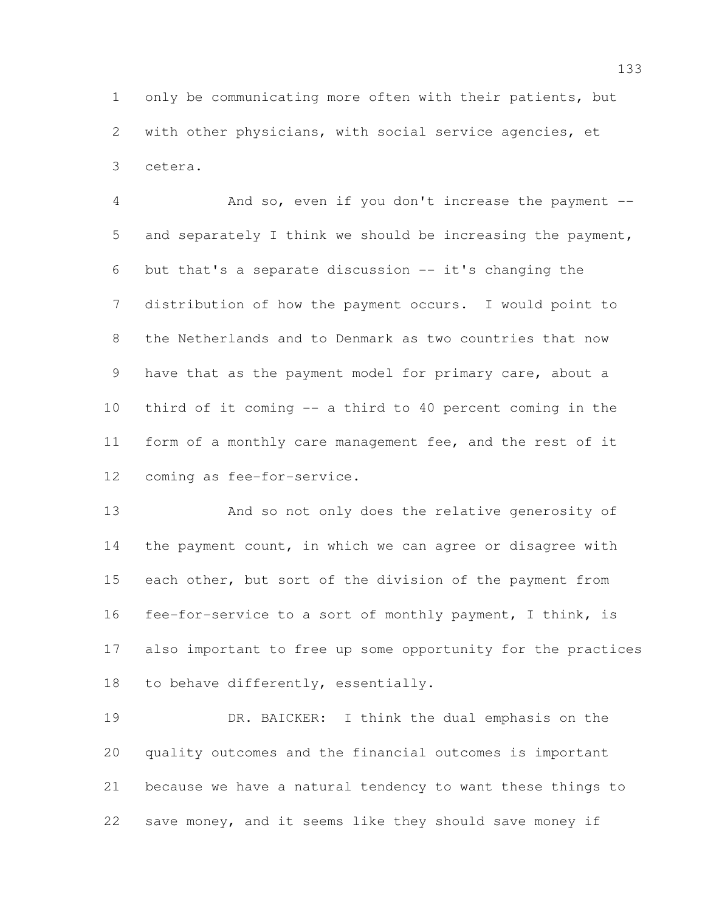only be communicating more often with their patients, but with other physicians, with social service agencies, et cetera.

 And so, even if you don't increase the payment -- and separately I think we should be increasing the payment, but that's a separate discussion -- it's changing the distribution of how the payment occurs. I would point to the Netherlands and to Denmark as two countries that now 9 have that as the payment model for primary care, about a third of it coming -- a third to 40 percent coming in the form of a monthly care management fee, and the rest of it coming as fee-for-service.

 And so not only does the relative generosity of the payment count, in which we can agree or disagree with each other, but sort of the division of the payment from fee-for-service to a sort of monthly payment, I think, is also important to free up some opportunity for the practices to behave differently, essentially.

 DR. BAICKER: I think the dual emphasis on the quality outcomes and the financial outcomes is important because we have a natural tendency to want these things to save money, and it seems like they should save money if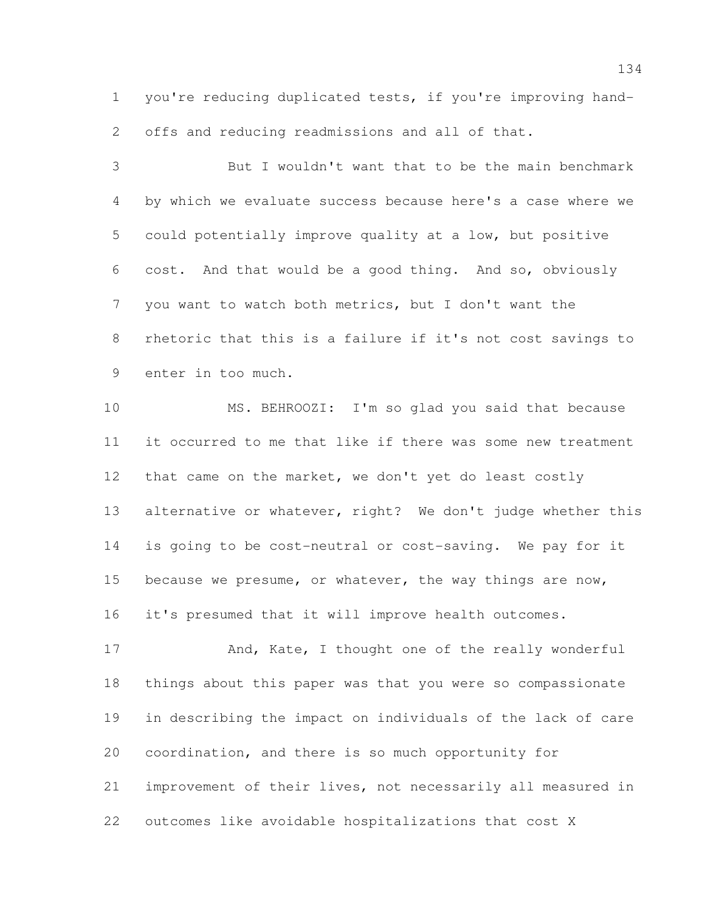you're reducing duplicated tests, if you're improving hand-offs and reducing readmissions and all of that.

 But I wouldn't want that to be the main benchmark by which we evaluate success because here's a case where we could potentially improve quality at a low, but positive cost. And that would be a good thing. And so, obviously you want to watch both metrics, but I don't want the rhetoric that this is a failure if it's not cost savings to enter in too much.

 MS. BEHROOZI: I'm so glad you said that because it occurred to me that like if there was some new treatment 12 that came on the market, we don't yet do least costly 13 alternative or whatever, right? We don't judge whether this is going to be cost-neutral or cost-saving. We pay for it 15 because we presume, or whatever, the way things are now, it's presumed that it will improve health outcomes.

17 And, Kate, I thought one of the really wonderful things about this paper was that you were so compassionate in describing the impact on individuals of the lack of care coordination, and there is so much opportunity for improvement of their lives, not necessarily all measured in outcomes like avoidable hospitalizations that cost X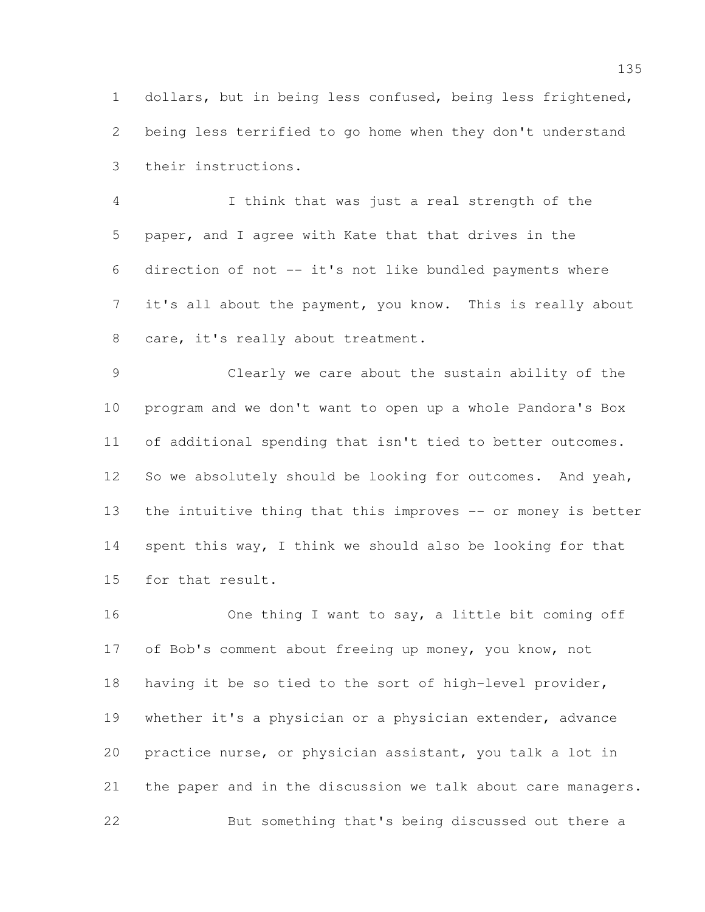dollars, but in being less confused, being less frightened, being less terrified to go home when they don't understand their instructions.

 I think that was just a real strength of the paper, and I agree with Kate that that drives in the direction of not -- it's not like bundled payments where it's all about the payment, you know. This is really about care, it's really about treatment.

 Clearly we care about the sustain ability of the program and we don't want to open up a whole Pandora's Box of additional spending that isn't tied to better outcomes. 12 So we absolutely should be looking for outcomes. And yeah, 13 the intuitive thing that this improves -- or money is better spent this way, I think we should also be looking for that for that result.

 One thing I want to say, a little bit coming off of Bob's comment about freeing up money, you know, not having it be so tied to the sort of high-level provider, whether it's a physician or a physician extender, advance practice nurse, or physician assistant, you talk a lot in the paper and in the discussion we talk about care managers. But something that's being discussed out there a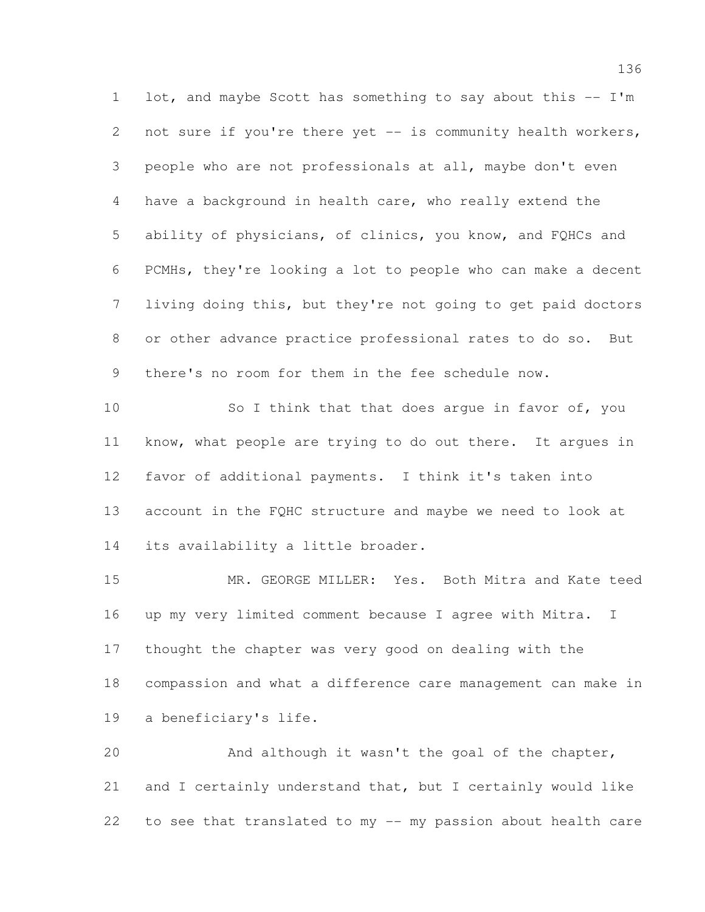1 lot, and maybe Scott has something to say about this -- I'm 2 not sure if you're there yet -- is community health workers, people who are not professionals at all, maybe don't even have a background in health care, who really extend the ability of physicians, of clinics, you know, and FQHCs and PCMHs, they're looking a lot to people who can make a decent living doing this, but they're not going to get paid doctors or other advance practice professional rates to do so. But there's no room for them in the fee schedule now.

10 So I think that that does argue in favor of, you know, what people are trying to do out there. It argues in favor of additional payments. I think it's taken into account in the FQHC structure and maybe we need to look at 14 its availability a little broader.

 MR. GEORGE MILLER: Yes. Both Mitra and Kate teed up my very limited comment because I agree with Mitra. I thought the chapter was very good on dealing with the compassion and what a difference care management can make in a beneficiary's life.

 And although it wasn't the goal of the chapter, and I certainly understand that, but I certainly would like to see that translated to my -- my passion about health care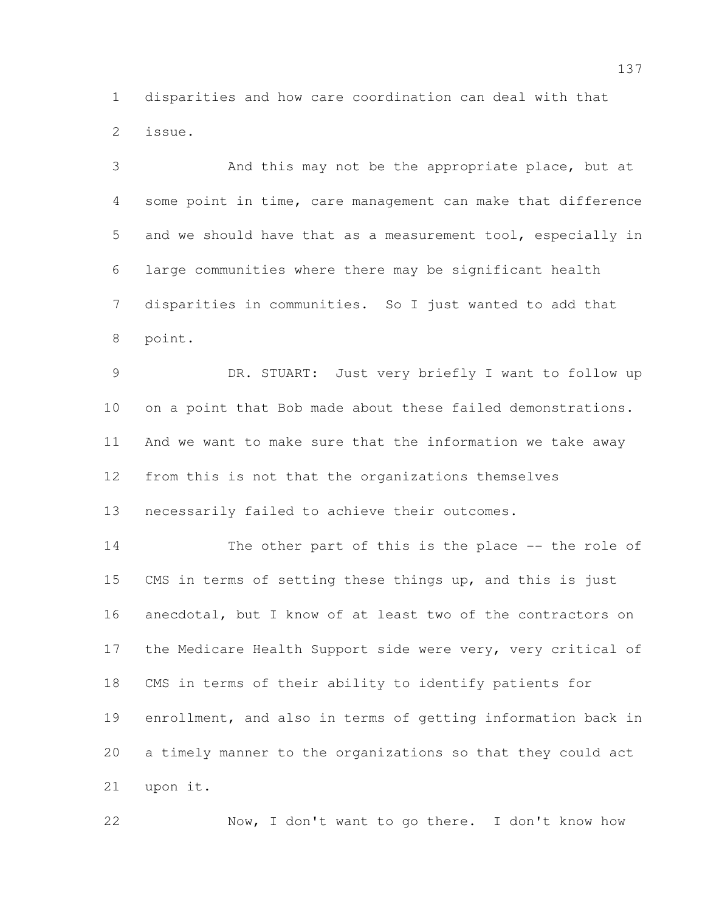disparities and how care coordination can deal with that issue.

 And this may not be the appropriate place, but at some point in time, care management can make that difference and we should have that as a measurement tool, especially in large communities where there may be significant health disparities in communities. So I just wanted to add that point.

 DR. STUART: Just very briefly I want to follow up 10 on a point that Bob made about these failed demonstrations. And we want to make sure that the information we take away from this is not that the organizations themselves necessarily failed to achieve their outcomes.

 The other part of this is the place -- the role of CMS in terms of setting these things up, and this is just anecdotal, but I know of at least two of the contractors on the Medicare Health Support side were very, very critical of CMS in terms of their ability to identify patients for enrollment, and also in terms of getting information back in a timely manner to the organizations so that they could act upon it.

Now, I don't want to go there. I don't know how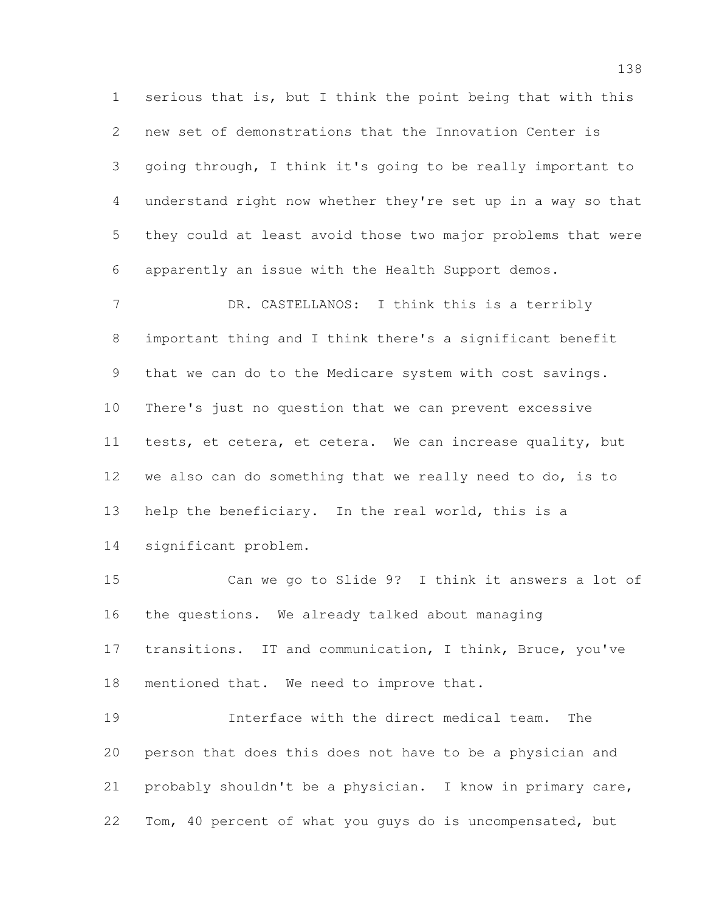serious that is, but I think the point being that with this new set of demonstrations that the Innovation Center is going through, I think it's going to be really important to understand right now whether they're set up in a way so that they could at least avoid those two major problems that were apparently an issue with the Health Support demos.

7 DR. CASTELLANOS: I think this is a terribly important thing and I think there's a significant benefit that we can do to the Medicare system with cost savings. There's just no question that we can prevent excessive tests, et cetera, et cetera. We can increase quality, but we also can do something that we really need to do, is to help the beneficiary. In the real world, this is a significant problem.

 Can we go to Slide 9? I think it answers a lot of the questions. We already talked about managing transitions. IT and communication, I think, Bruce, you've 18 mentioned that. We need to improve that.

 Interface with the direct medical team. The person that does this does not have to be a physician and probably shouldn't be a physician. I know in primary care, Tom, 40 percent of what you guys do is uncompensated, but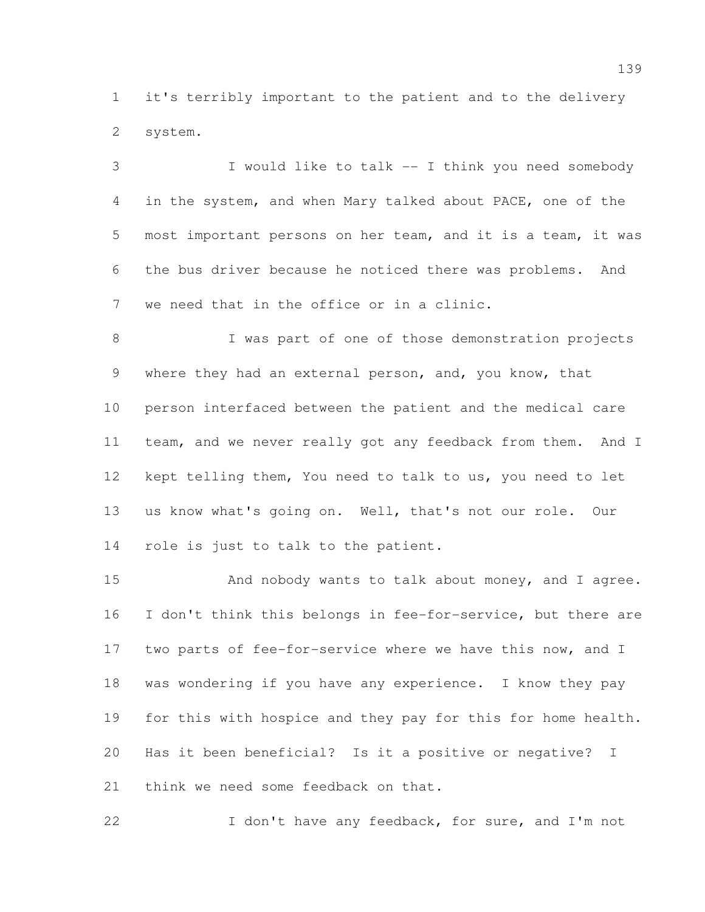it's terribly important to the patient and to the delivery system.

 I would like to talk -- I think you need somebody in the system, and when Mary talked about PACE, one of the most important persons on her team, and it is a team, it was the bus driver because he noticed there was problems. And we need that in the office or in a clinic.

8 I was part of one of those demonstration projects 9 where they had an external person, and, you know, that person interfaced between the patient and the medical care team, and we never really got any feedback from them. And I kept telling them, You need to talk to us, you need to let us know what's going on. Well, that's not our role. Our role is just to talk to the patient.

15 And nobody wants to talk about money, and I agree. I don't think this belongs in fee-for-service, but there are two parts of fee-for-service where we have this now, and I was wondering if you have any experience. I know they pay for this with hospice and they pay for this for home health. Has it been beneficial? Is it a positive or negative? I think we need some feedback on that.

22 I don't have any feedback, for sure, and I'm not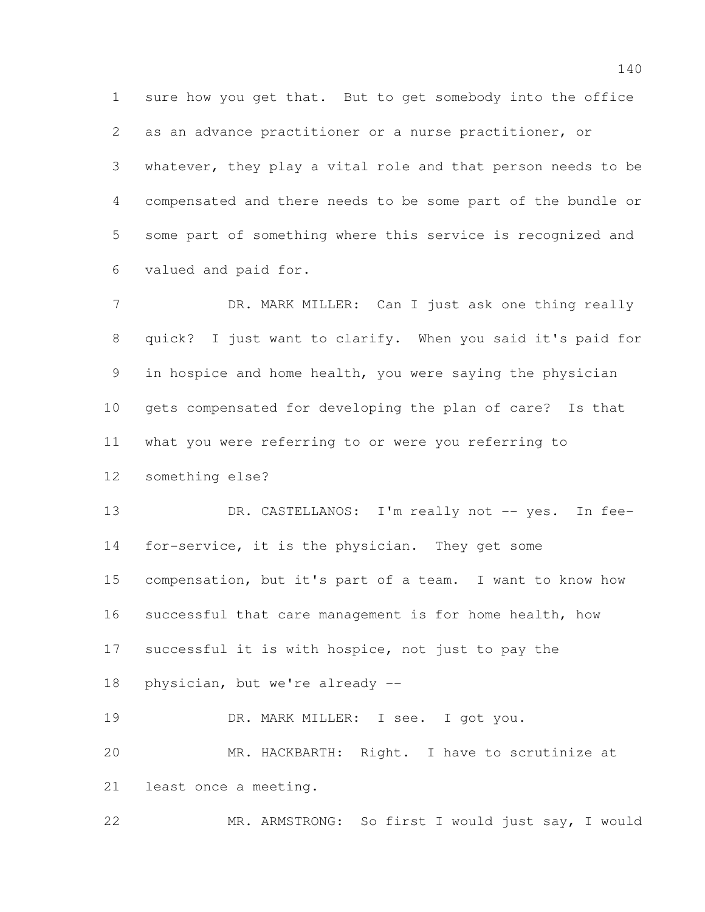sure how you get that. But to get somebody into the office as an advance practitioner or a nurse practitioner, or whatever, they play a vital role and that person needs to be compensated and there needs to be some part of the bundle or some part of something where this service is recognized and valued and paid for.

7 DR. MARK MILLER: Can I just ask one thing really quick? I just want to clarify. When you said it's paid for in hospice and home health, you were saying the physician gets compensated for developing the plan of care? Is that what you were referring to or were you referring to

something else?

13 DR. CASTELLANOS: I'm really not -- yes. In fee- for-service, it is the physician. They get some compensation, but it's part of a team. I want to know how successful that care management is for home health, how successful it is with hospice, not just to pay the physician, but we're already --

19 DR. MARK MILLER: I see. I got you. MR. HACKBARTH: Right. I have to scrutinize at least once a meeting.

MR. ARMSTRONG: So first I would just say, I would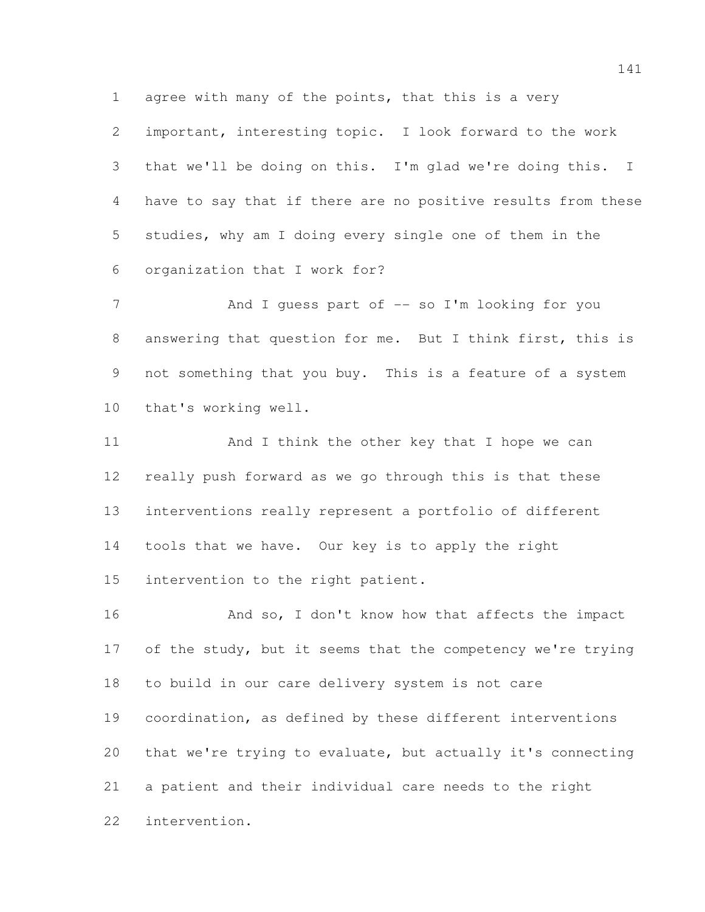agree with many of the points, that this is a very

 important, interesting topic. I look forward to the work that we'll be doing on this. I'm glad we're doing this. I have to say that if there are no positive results from these studies, why am I doing every single one of them in the organization that I work for?

7 And I guess part of -- so I'm looking for you answering that question for me. But I think first, this is not something that you buy. This is a feature of a system that's working well.

 And I think the other key that I hope we can really push forward as we go through this is that these interventions really represent a portfolio of different tools that we have. Our key is to apply the right intervention to the right patient.

16 And so, I don't know how that affects the impact 17 of the study, but it seems that the competency we're trying to build in our care delivery system is not care coordination, as defined by these different interventions that we're trying to evaluate, but actually it's connecting a patient and their individual care needs to the right intervention.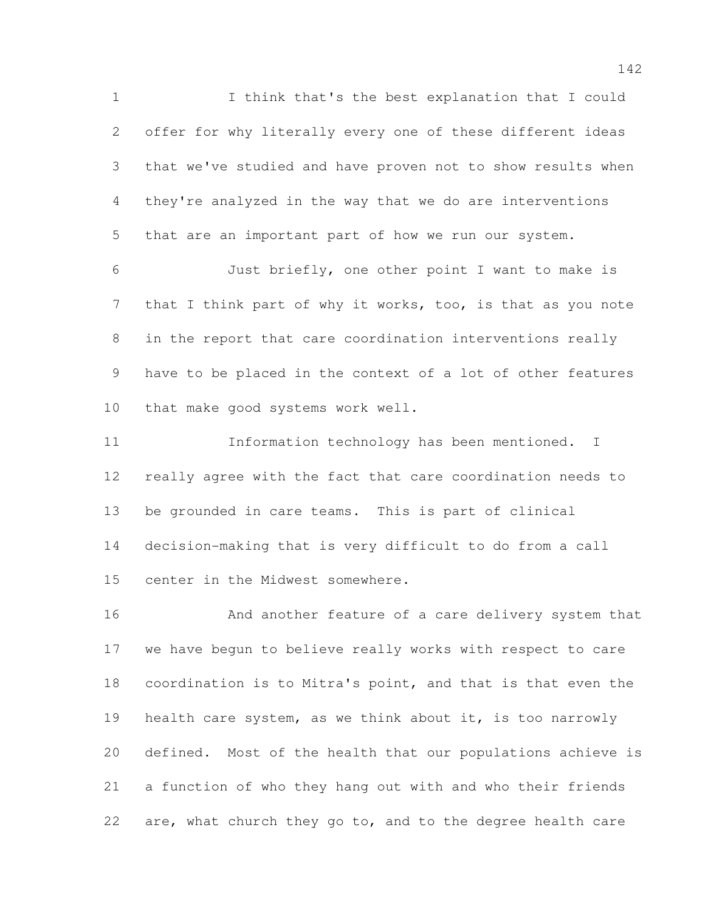I think that's the best explanation that I could offer for why literally every one of these different ideas that we've studied and have proven not to show results when they're analyzed in the way that we do are interventions that are an important part of how we run our system. Just briefly, one other point I want to make is

7 that I think part of why it works, too, is that as you note in the report that care coordination interventions really have to be placed in the context of a lot of other features that make good systems work well.

 Information technology has been mentioned. I really agree with the fact that care coordination needs to be grounded in care teams. This is part of clinical decision-making that is very difficult to do from a call center in the Midwest somewhere.

 And another feature of a care delivery system that we have begun to believe really works with respect to care coordination is to Mitra's point, and that is that even the health care system, as we think about it, is too narrowly defined. Most of the health that our populations achieve is a function of who they hang out with and who their friends 22 are, what church they go to, and to the degree health care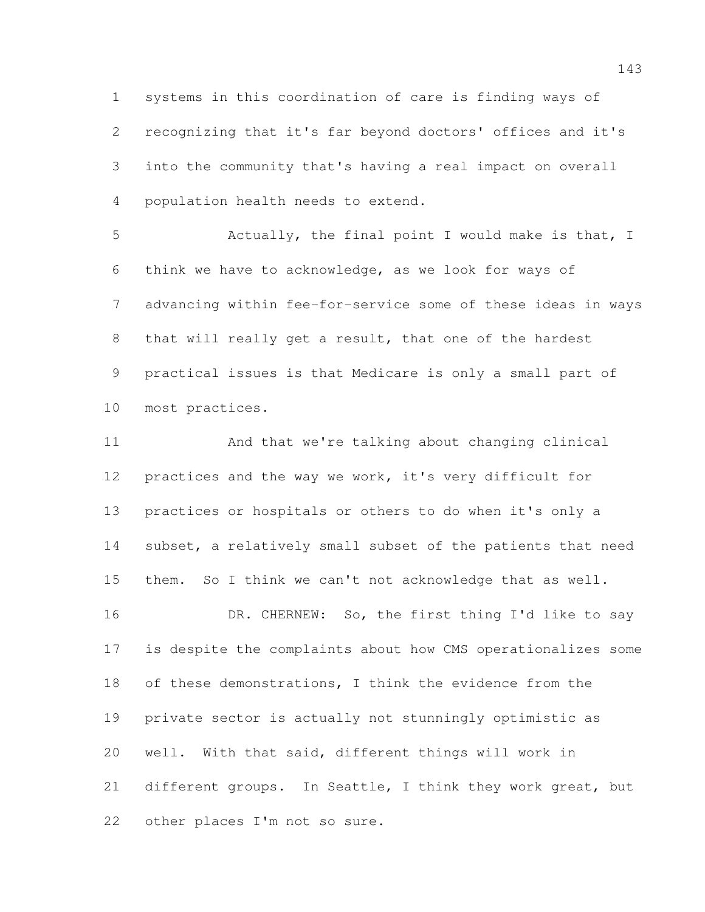systems in this coordination of care is finding ways of recognizing that it's far beyond doctors' offices and it's into the community that's having a real impact on overall population health needs to extend.

 Actually, the final point I would make is that, I think we have to acknowledge, as we look for ways of advancing within fee-for-service some of these ideas in ways that will really get a result, that one of the hardest practical issues is that Medicare is only a small part of most practices.

 And that we're talking about changing clinical practices and the way we work, it's very difficult for practices or hospitals or others to do when it's only a 14 subset, a relatively small subset of the patients that need them. So I think we can't not acknowledge that as well. 16 DR. CHERNEW: So, the first thing I'd like to say is despite the complaints about how CMS operationalizes some of these demonstrations, I think the evidence from the private sector is actually not stunningly optimistic as well. With that said, different things will work in 21 different groups. In Seattle, I think they work great, but other places I'm not so sure.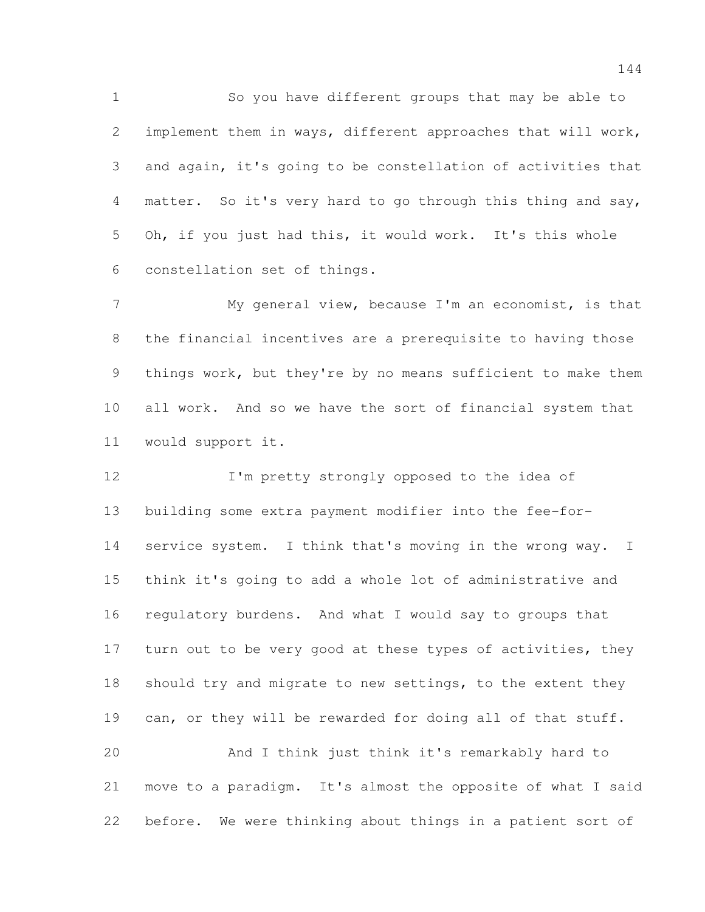So you have different groups that may be able to implement them in ways, different approaches that will work, and again, it's going to be constellation of activities that 4 matter. So it's very hard to go through this thing and say, Oh, if you just had this, it would work. It's this whole constellation set of things.

 My general view, because I'm an economist, is that the financial incentives are a prerequisite to having those things work, but they're by no means sufficient to make them all work. And so we have the sort of financial system that would support it.

12 I'm pretty strongly opposed to the idea of building some extra payment modifier into the fee-for-14 service system. I think that's moving in the wrong way. I think it's going to add a whole lot of administrative and regulatory burdens. And what I would say to groups that 17 turn out to be very good at these types of activities, they 18 should try and migrate to new settings, to the extent they 19 can, or they will be rewarded for doing all of that stuff. And I think just think it's remarkably hard to

 move to a paradigm. It's almost the opposite of what I said before. We were thinking about things in a patient sort of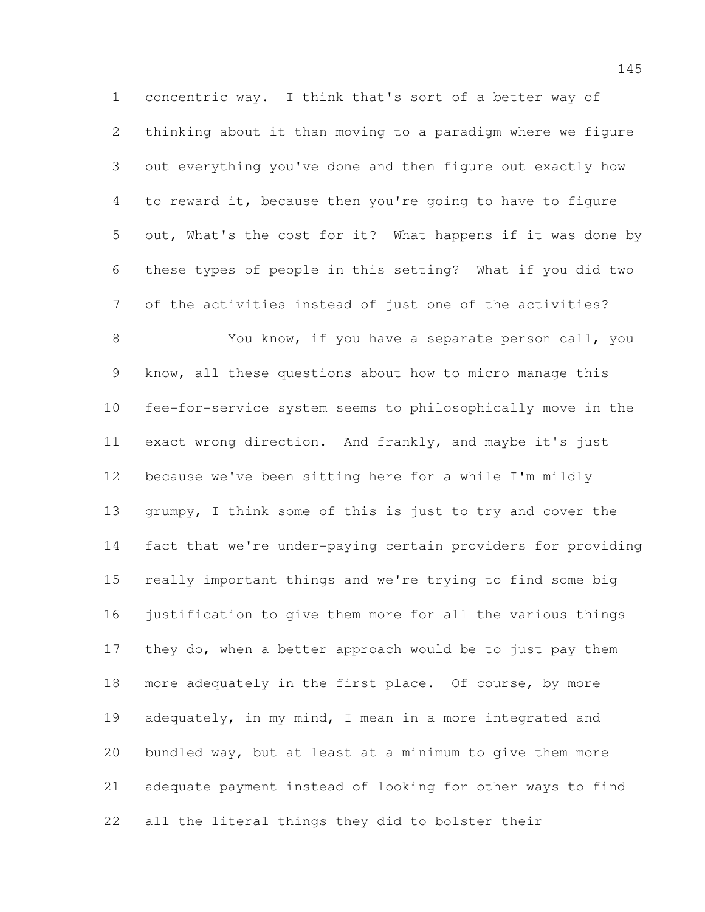concentric way. I think that's sort of a better way of thinking about it than moving to a paradigm where we figure out everything you've done and then figure out exactly how to reward it, because then you're going to have to figure out, What's the cost for it? What happens if it was done by these types of people in this setting? What if you did two of the activities instead of just one of the activities?

 You know, if you have a separate person call, you know, all these questions about how to micro manage this fee-for-service system seems to philosophically move in the exact wrong direction. And frankly, and maybe it's just because we've been sitting here for a while I'm mildly grumpy, I think some of this is just to try and cover the fact that we're under-paying certain providers for providing really important things and we're trying to find some big justification to give them more for all the various things they do, when a better approach would be to just pay them 18 more adequately in the first place. Of course, by more adequately, in my mind, I mean in a more integrated and bundled way, but at least at a minimum to give them more adequate payment instead of looking for other ways to find all the literal things they did to bolster their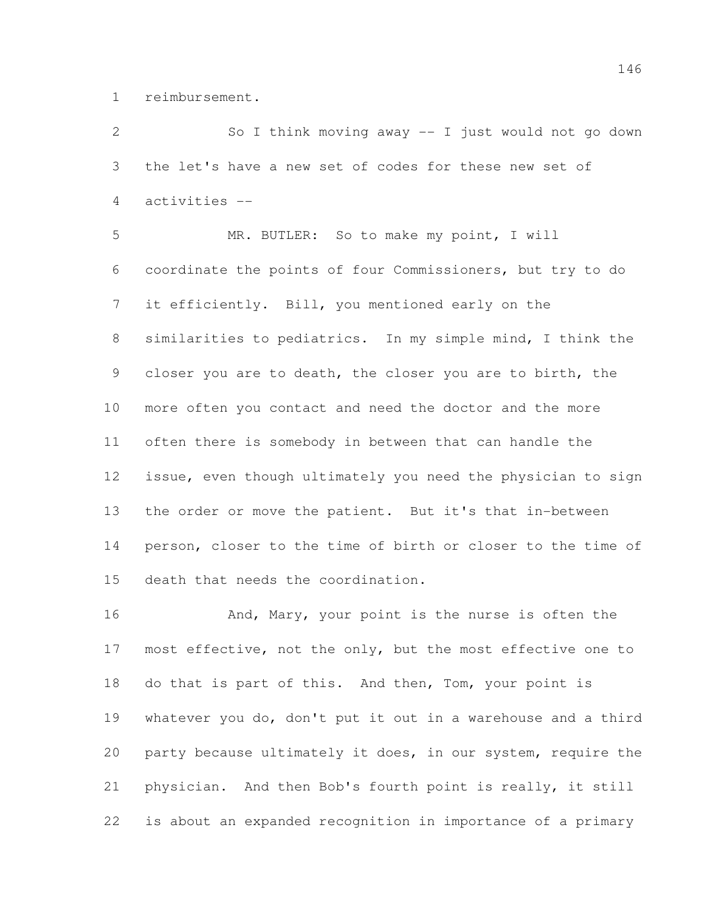reimbursement.

 So I think moving away -- I just would not go down the let's have a new set of codes for these new set of activities -- MR. BUTLER: So to make my point, I will coordinate the points of four Commissioners, but try to do it efficiently. Bill, you mentioned early on the similarities to pediatrics. In my simple mind, I think the closer you are to death, the closer you are to birth, the more often you contact and need the doctor and the more often there is somebody in between that can handle the issue, even though ultimately you need the physician to sign the order or move the patient. But it's that in-between person, closer to the time of birth or closer to the time of death that needs the coordination.

16 And, Mary, your point is the nurse is often the 17 most effective, not the only, but the most effective one to do that is part of this. And then, Tom, your point is whatever you do, don't put it out in a warehouse and a third party because ultimately it does, in our system, require the physician. And then Bob's fourth point is really, it still is about an expanded recognition in importance of a primary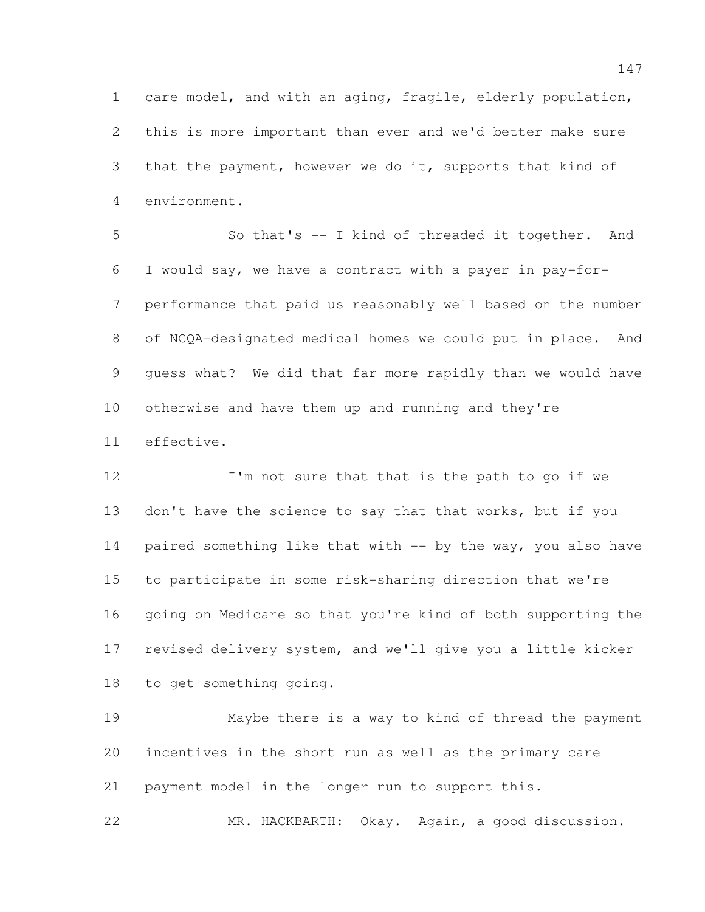care model, and with an aging, fragile, elderly population, this is more important than ever and we'd better make sure that the payment, however we do it, supports that kind of environment.

 So that's -- I kind of threaded it together. And I would say, we have a contract with a payer in pay-for- performance that paid us reasonably well based on the number of NCQA-designated medical homes we could put in place. And guess what? We did that far more rapidly than we would have otherwise and have them up and running and they're effective.

 I'm not sure that that is the path to go if we don't have the science to say that that works, but if you paired something like that with -- by the way, you also have to participate in some risk-sharing direction that we're going on Medicare so that you're kind of both supporting the revised delivery system, and we'll give you a little kicker to get something going.

 Maybe there is a way to kind of thread the payment incentives in the short run as well as the primary care payment model in the longer run to support this.

MR. HACKBARTH: Okay. Again, a good discussion.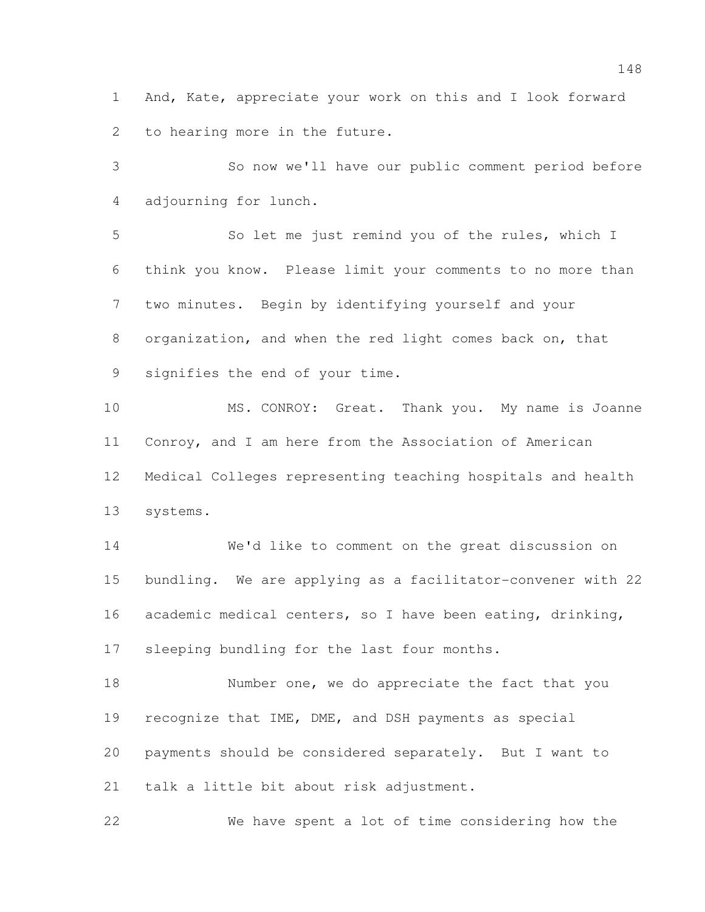And, Kate, appreciate your work on this and I look forward to hearing more in the future.

 So now we'll have our public comment period before adjourning for lunch.

 So let me just remind you of the rules, which I think you know. Please limit your comments to no more than two minutes. Begin by identifying yourself and your organization, and when the red light comes back on, that signifies the end of your time.

 MS. CONROY: Great. Thank you. My name is Joanne Conroy, and I am here from the Association of American Medical Colleges representing teaching hospitals and health systems.

 We'd like to comment on the great discussion on bundling. We are applying as a facilitator-convener with 22 academic medical centers, so I have been eating, drinking, sleeping bundling for the last four months.

18 Number one, we do appreciate the fact that you recognize that IME, DME, and DSH payments as special payments should be considered separately. But I want to talk a little bit about risk adjustment.

We have spent a lot of time considering how the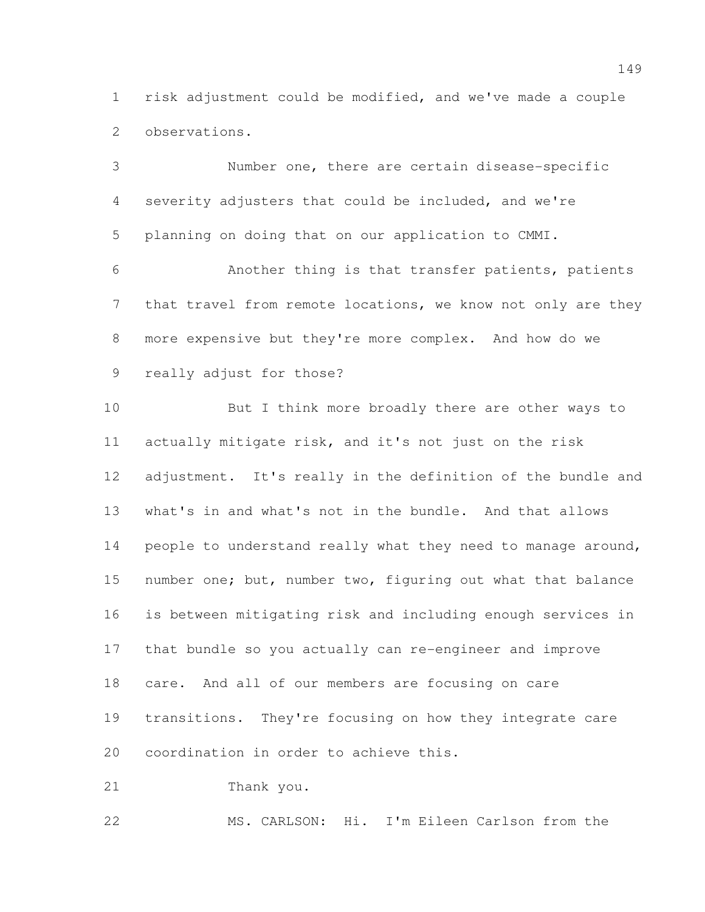risk adjustment could be modified, and we've made a couple observations.

 Number one, there are certain disease-specific severity adjusters that could be included, and we're planning on doing that on our application to CMMI. Another thing is that transfer patients, patients 7 that travel from remote locations, we know not only are they more expensive but they're more complex. And how do we really adjust for those? But I think more broadly there are other ways to actually mitigate risk, and it's not just on the risk adjustment. It's really in the definition of the bundle and what's in and what's not in the bundle. And that allows 14 people to understand really what they need to manage around, 15 number one; but, number two, figuring out what that balance is between mitigating risk and including enough services in that bundle so you actually can re-engineer and improve care. And all of our members are focusing on care transitions. They're focusing on how they integrate care coordination in order to achieve this. Thank you.

MS. CARLSON: Hi. I'm Eileen Carlson from the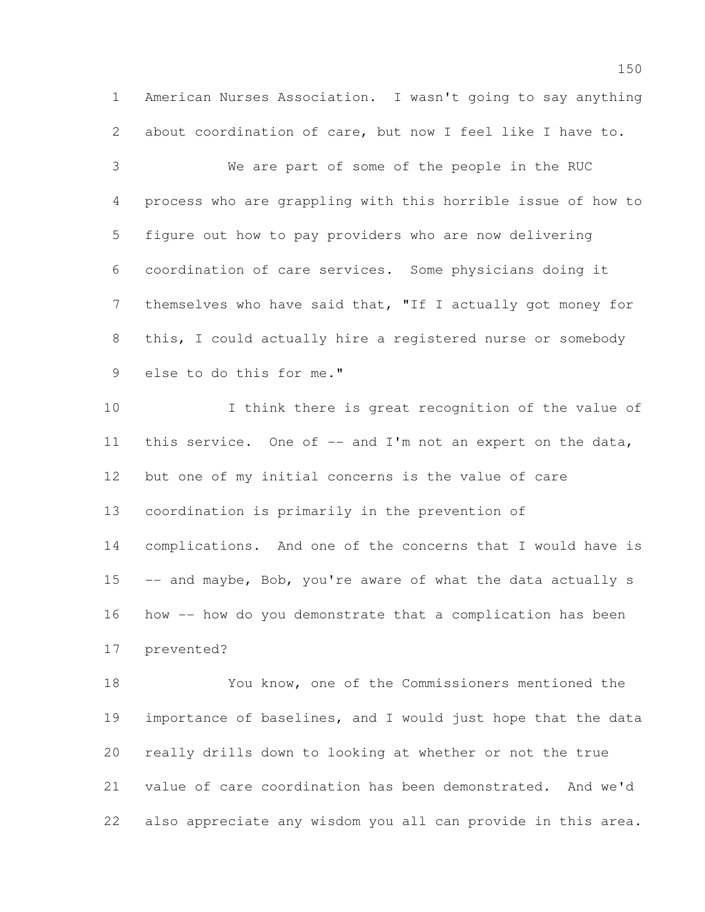American Nurses Association. I wasn't going to say anything about coordination of care, but now I feel like I have to.

 We are part of some of the people in the RUC process who are grappling with this horrible issue of how to figure out how to pay providers who are now delivering coordination of care services. Some physicians doing it themselves who have said that, "If I actually got money for this, I could actually hire a registered nurse or somebody else to do this for me."

 I think there is great recognition of the value of 11 this service. One of -- and I'm not an expert on the data, but one of my initial concerns is the value of care coordination is primarily in the prevention of complications. And one of the concerns that I would have is 15 -- and maybe, Bob, you're aware of what the data actually s how -- how do you demonstrate that a complication has been prevented?

 You know, one of the Commissioners mentioned the importance of baselines, and I would just hope that the data really drills down to looking at whether or not the true value of care coordination has been demonstrated. And we'd also appreciate any wisdom you all can provide in this area.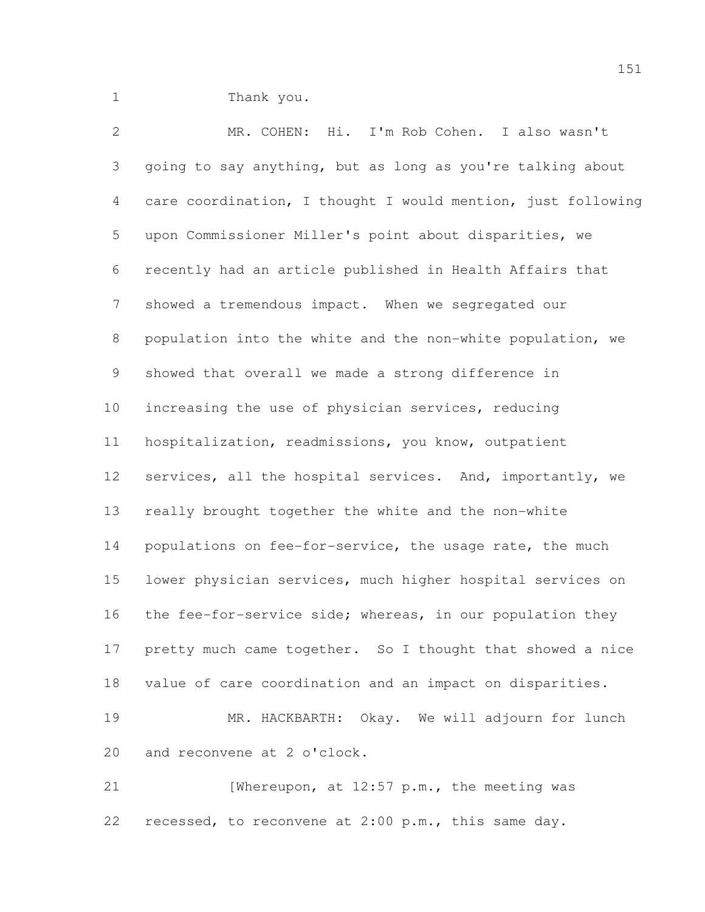Thank you.

 MR. COHEN: Hi. I'm Rob Cohen. I also wasn't going to say anything, but as long as you're talking about care coordination, I thought I would mention, just following upon Commissioner Miller's point about disparities, we recently had an article published in Health Affairs that showed a tremendous impact. When we segregated our population into the white and the non-white population, we showed that overall we made a strong difference in increasing the use of physician services, reducing hospitalization, readmissions, you know, outpatient 12 services, all the hospital services. And, importantly, we really brought together the white and the non-white 14 populations on fee-for-service, the usage rate, the much lower physician services, much higher hospital services on 16 the fee-for-service side; whereas, in our population they 17 pretty much came together. So I thought that showed a nice value of care coordination and an impact on disparities. MR. HACKBARTH: Okay. We will adjourn for lunch and reconvene at 2 o'clock.

21 [Whereupon, at 12:57 p.m., the meeting was recessed, to reconvene at 2:00 p.m., this same day.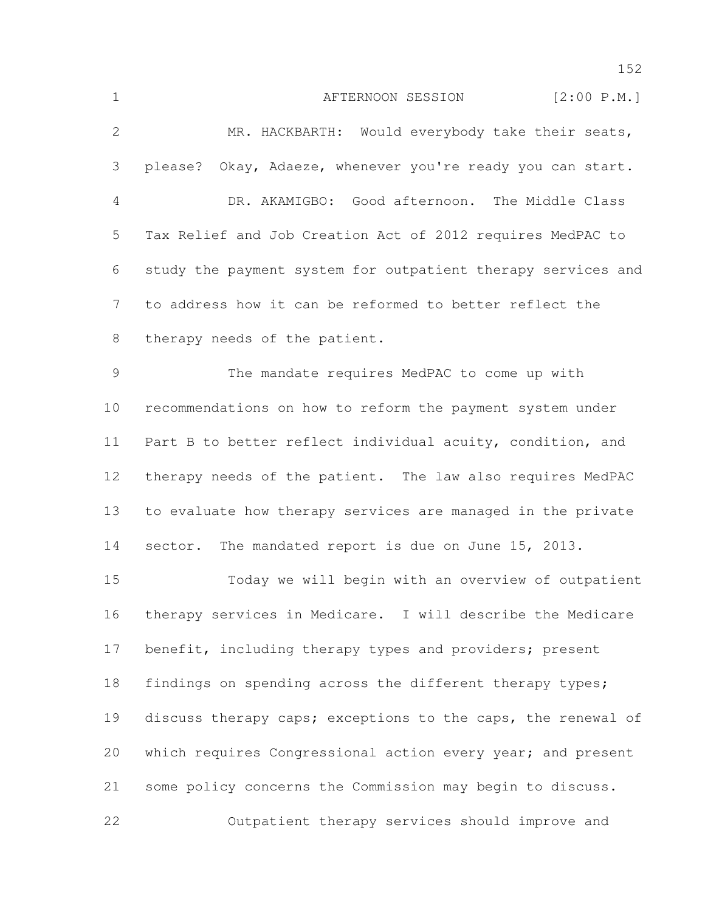1 AFTERNOON SESSION [2:00 P.M.] MR. HACKBARTH: Would everybody take their seats, please? Okay, Adaeze, whenever you're ready you can start. DR. AKAMIGBO: Good afternoon. The Middle Class Tax Relief and Job Creation Act of 2012 requires MedPAC to study the payment system for outpatient therapy services and to address how it can be reformed to better reflect the therapy needs of the patient. The mandate requires MedPAC to come up with recommendations on how to reform the payment system under Part B to better reflect individual acuity, condition, and therapy needs of the patient. The law also requires MedPAC to evaluate how therapy services are managed in the private 14 sector. The mandated report is due on June 15, 2013. Today we will begin with an overview of outpatient therapy services in Medicare. I will describe the Medicare 17 benefit, including therapy types and providers; present 18 findings on spending across the different therapy types; discuss therapy caps; exceptions to the caps, the renewal of 20 which requires Congressional action every year; and present some policy concerns the Commission may begin to discuss. Outpatient therapy services should improve and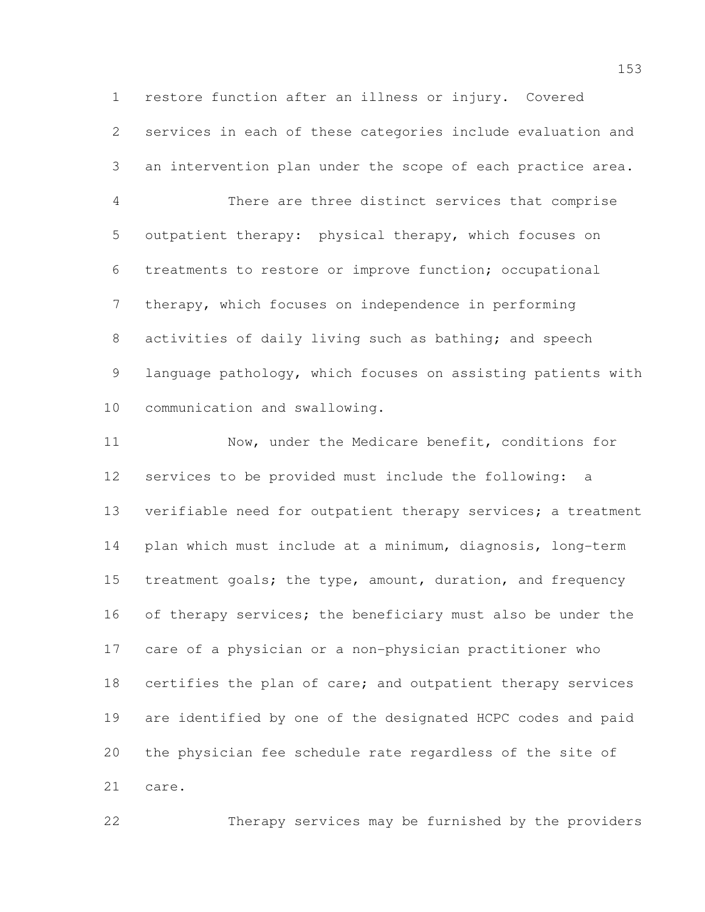restore function after an illness or injury. Covered services in each of these categories include evaluation and an intervention plan under the scope of each practice area.

 There are three distinct services that comprise outpatient therapy: physical therapy, which focuses on treatments to restore or improve function; occupational therapy, which focuses on independence in performing 8 activities of daily living such as bathing; and speech language pathology, which focuses on assisting patients with communication and swallowing.

 Now, under the Medicare benefit, conditions for services to be provided must include the following: a verifiable need for outpatient therapy services; a treatment plan which must include at a minimum, diagnosis, long-term treatment goals; the type, amount, duration, and frequency 16 of therapy services; the beneficiary must also be under the care of a physician or a non-physician practitioner who 18 certifies the plan of care; and outpatient therapy services are identified by one of the designated HCPC codes and paid the physician fee schedule rate regardless of the site of care.

Therapy services may be furnished by the providers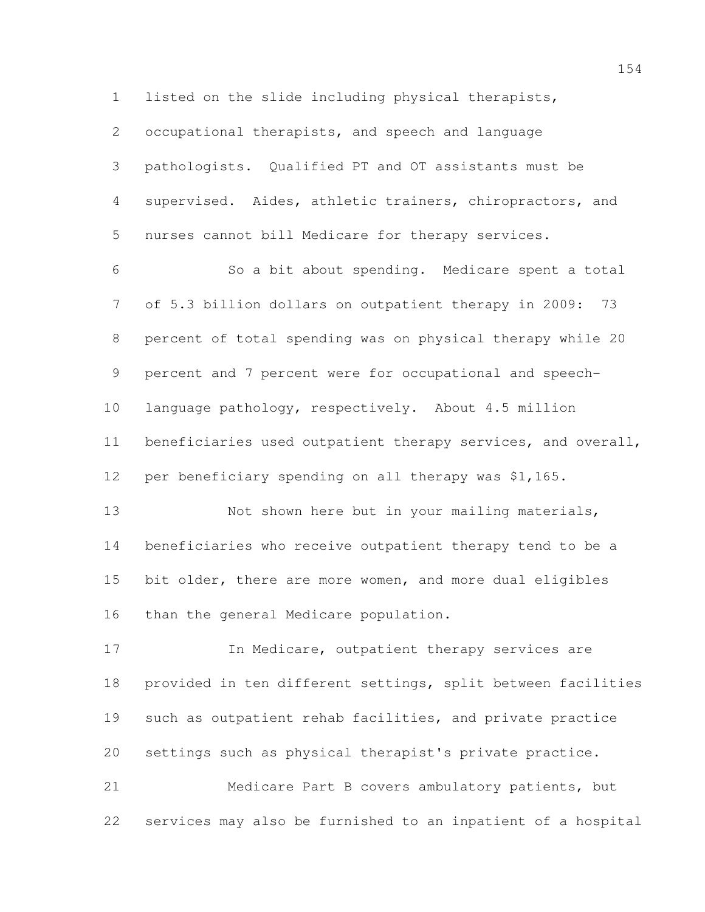listed on the slide including physical therapists,

 occupational therapists, and speech and language pathologists. Qualified PT and OT assistants must be supervised. Aides, athletic trainers, chiropractors, and nurses cannot bill Medicare for therapy services.

 So a bit about spending. Medicare spent a total of 5.3 billion dollars on outpatient therapy in 2009: 73 percent of total spending was on physical therapy while 20 percent and 7 percent were for occupational and speech- language pathology, respectively. About 4.5 million beneficiaries used outpatient therapy services, and overall, per beneficiary spending on all therapy was \$1,165.

13 Not shown here but in your mailing materials, beneficiaries who receive outpatient therapy tend to be a bit older, there are more women, and more dual eligibles than the general Medicare population.

**In Medicare, outpatient therapy services are**  provided in ten different settings, split between facilities such as outpatient rehab facilities, and private practice settings such as physical therapist's private practice.

 Medicare Part B covers ambulatory patients, but services may also be furnished to an inpatient of a hospital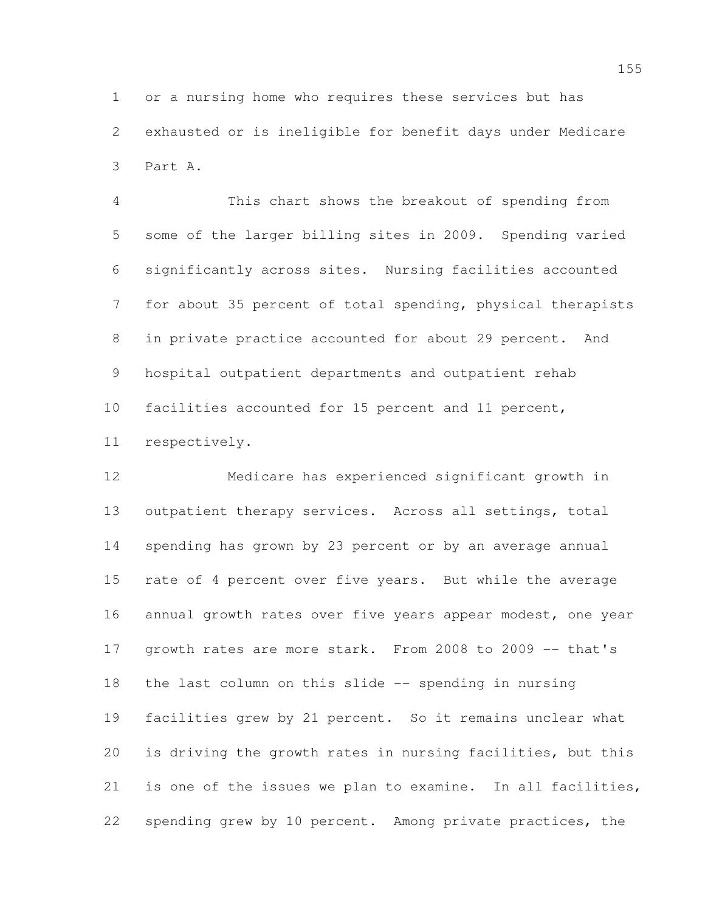or a nursing home who requires these services but has exhausted or is ineligible for benefit days under Medicare Part A.

 This chart shows the breakout of spending from some of the larger billing sites in 2009. Spending varied significantly across sites. Nursing facilities accounted for about 35 percent of total spending, physical therapists in private practice accounted for about 29 percent. And hospital outpatient departments and outpatient rehab facilities accounted for 15 percent and 11 percent, respectively.

 Medicare has experienced significant growth in outpatient therapy services. Across all settings, total spending has grown by 23 percent or by an average annual rate of 4 percent over five years. But while the average annual growth rates over five years appear modest, one year 17 growth rates are more stark. From 2008 to 2009 -- that's the last column on this slide -- spending in nursing facilities grew by 21 percent. So it remains unclear what is driving the growth rates in nursing facilities, but this is one of the issues we plan to examine. In all facilities, spending grew by 10 percent. Among private practices, the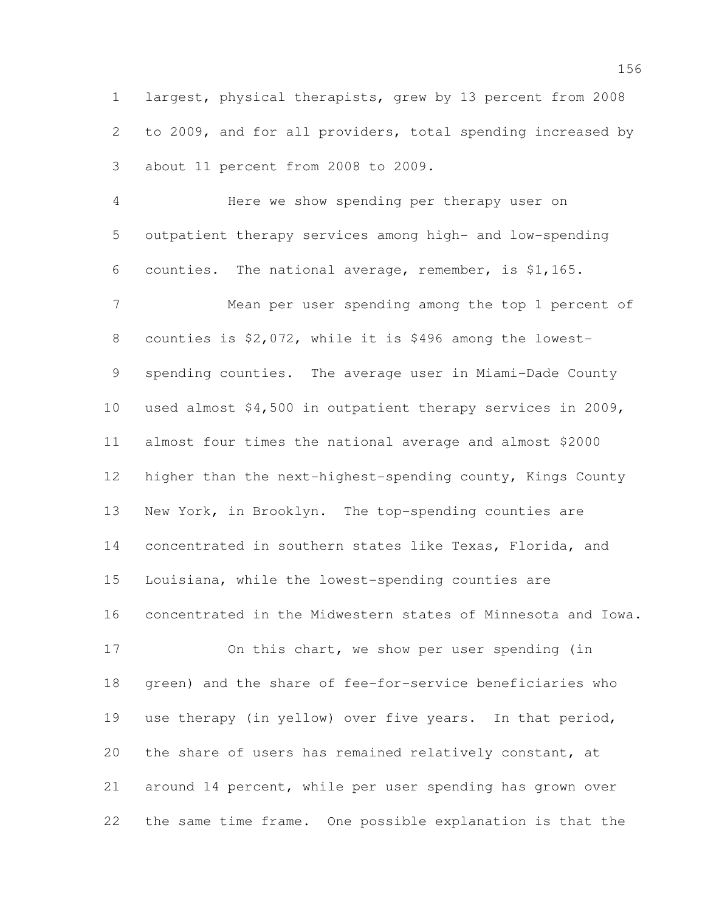largest, physical therapists, grew by 13 percent from 2008 to 2009, and for all providers, total spending increased by about 11 percent from 2008 to 2009.

 Here we show spending per therapy user on outpatient therapy services among high- and low-spending counties. The national average, remember, is \$1,165. Mean per user spending among the top 1 percent of counties is \$2,072, while it is \$496 among the lowest- spending counties. The average user in Miami-Dade County used almost \$4,500 in outpatient therapy services in 2009, almost four times the national average and almost \$2000 higher than the next-highest-spending county, Kings County New York, in Brooklyn. The top-spending counties are concentrated in southern states like Texas, Florida, and Louisiana, while the lowest-spending counties are concentrated in the Midwestern states of Minnesota and Iowa.

 On this chart, we show per user spending (in green) and the share of fee-for-service beneficiaries who use therapy (in yellow) over five years. In that period, the share of users has remained relatively constant, at around 14 percent, while per user spending has grown over the same time frame. One possible explanation is that the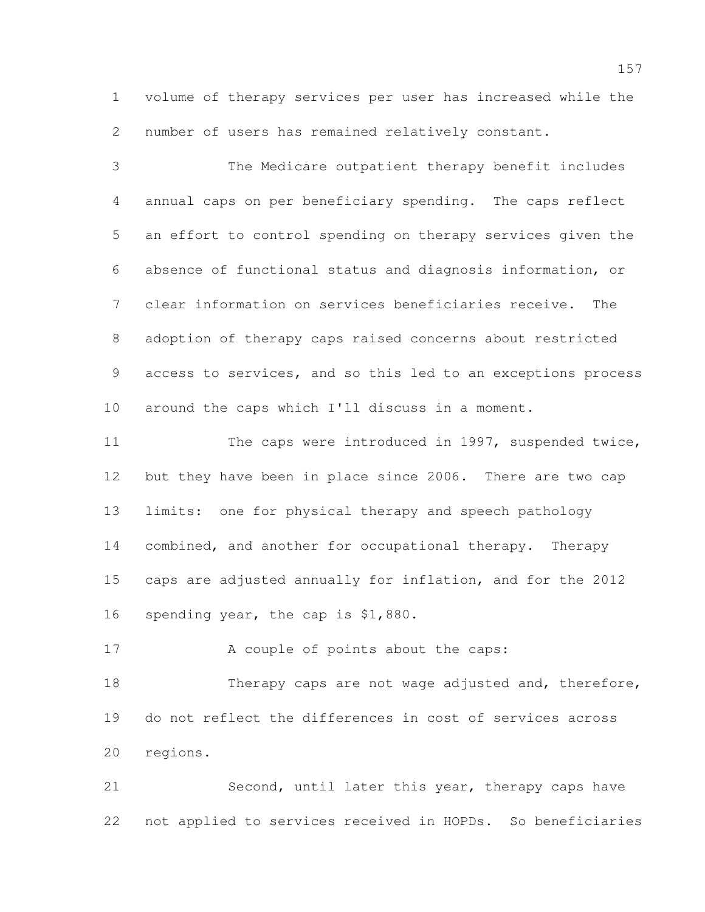volume of therapy services per user has increased while the number of users has remained relatively constant.

 The Medicare outpatient therapy benefit includes annual caps on per beneficiary spending. The caps reflect an effort to control spending on therapy services given the absence of functional status and diagnosis information, or clear information on services beneficiaries receive. The adoption of therapy caps raised concerns about restricted access to services, and so this led to an exceptions process around the caps which I'll discuss in a moment.

11 The caps were introduced in 1997, suspended twice, 12 but they have been in place since 2006. There are two cap limits: one for physical therapy and speech pathology combined, and another for occupational therapy. Therapy caps are adjusted annually for inflation, and for the 2012 16 spending year, the cap is \$1,880.

17 A couple of points about the caps:

18 Therapy caps are not wage adjusted and, therefore, do not reflect the differences in cost of services across regions.

 Second, until later this year, therapy caps have not applied to services received in HOPDs. So beneficiaries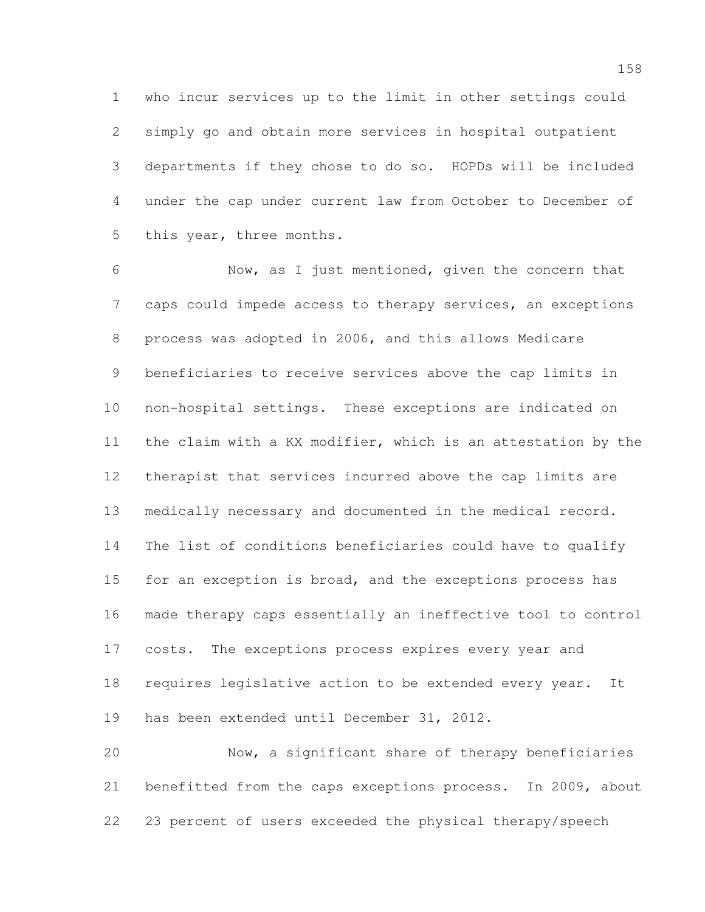who incur services up to the limit in other settings could simply go and obtain more services in hospital outpatient departments if they chose to do so. HOPDs will be included under the cap under current law from October to December of this year, three months.

 Now, as I just mentioned, given the concern that caps could impede access to therapy services, an exceptions process was adopted in 2006, and this allows Medicare beneficiaries to receive services above the cap limits in non-hospital settings. These exceptions are indicated on the claim with a KX modifier, which is an attestation by the therapist that services incurred above the cap limits are medically necessary and documented in the medical record. The list of conditions beneficiaries could have to qualify 15 for an exception is broad, and the exceptions process has made therapy caps essentially an ineffective tool to control 17 costs. The exceptions process expires every year and requires legislative action to be extended every year. It has been extended until December 31, 2012.

 Now, a significant share of therapy beneficiaries benefitted from the caps exceptions process. In 2009, about 23 percent of users exceeded the physical therapy/speech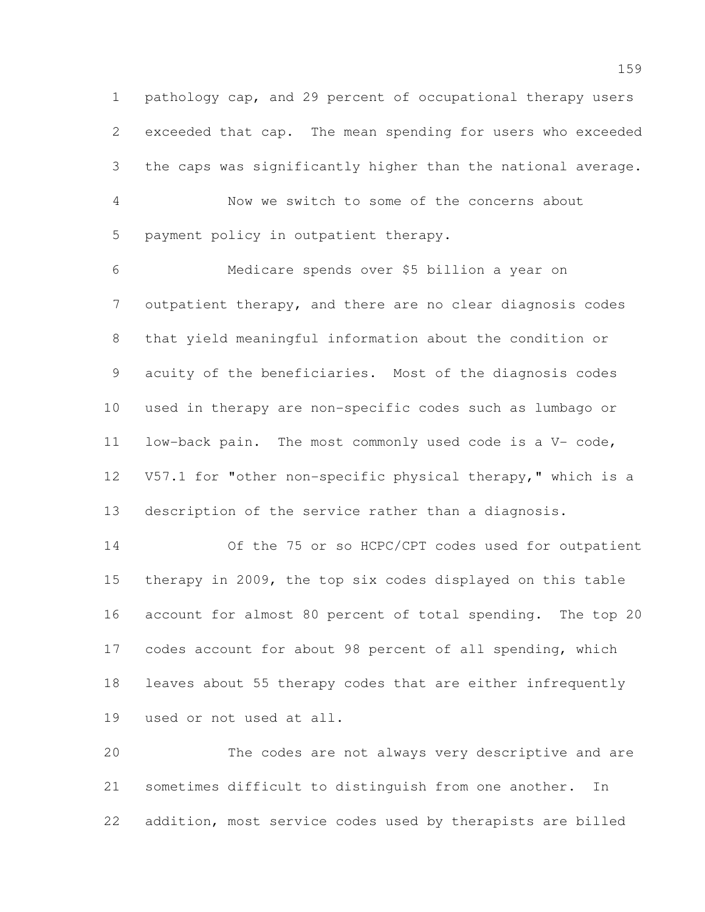pathology cap, and 29 percent of occupational therapy users exceeded that cap. The mean spending for users who exceeded the caps was significantly higher than the national average.

 Now we switch to some of the concerns about payment policy in outpatient therapy.

 Medicare spends over \$5 billion a year on outpatient therapy, and there are no clear diagnosis codes that yield meaningful information about the condition or acuity of the beneficiaries. Most of the diagnosis codes used in therapy are non-specific codes such as lumbago or low-back pain. The most commonly used code is a V- code, V57.1 for "other non-specific physical therapy," which is a description of the service rather than a diagnosis.

 Of the 75 or so HCPC/CPT codes used for outpatient therapy in 2009, the top six codes displayed on this table account for almost 80 percent of total spending. The top 20 codes account for about 98 percent of all spending, which leaves about 55 therapy codes that are either infrequently used or not used at all.

 The codes are not always very descriptive and are sometimes difficult to distinguish from one another. In addition, most service codes used by therapists are billed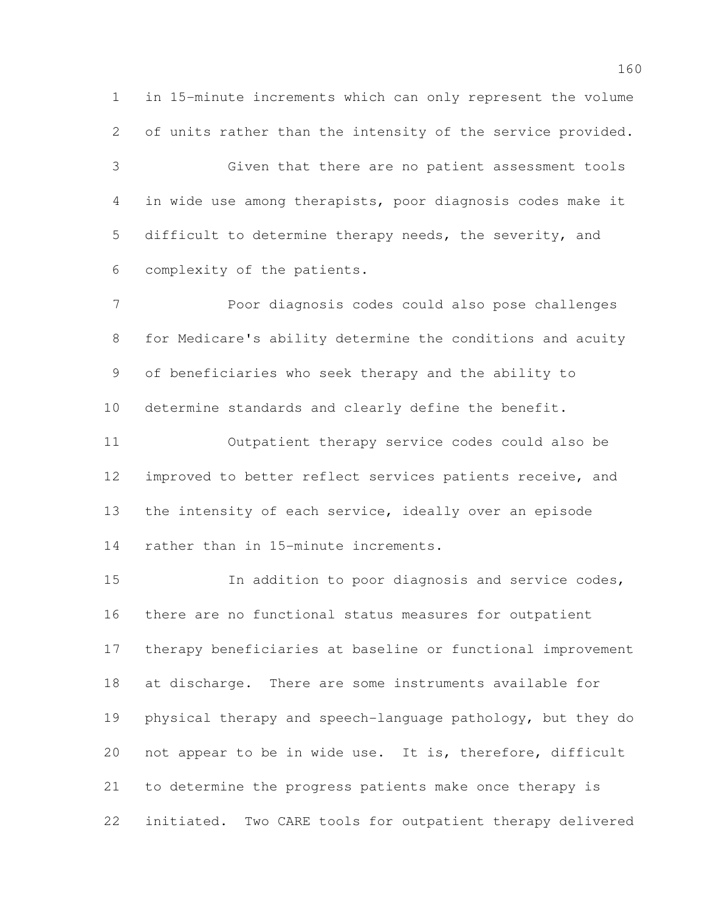in 15-minute increments which can only represent the volume of units rather than the intensity of the service provided. Given that there are no patient assessment tools in wide use among therapists, poor diagnosis codes make it difficult to determine therapy needs, the severity, and complexity of the patients.

 Poor diagnosis codes could also pose challenges for Medicare's ability determine the conditions and acuity of beneficiaries who seek therapy and the ability to determine standards and clearly define the benefit. Outpatient therapy service codes could also be

 improved to better reflect services patients receive, and the intensity of each service, ideally over an episode rather than in 15-minute increments.

 In addition to poor diagnosis and service codes, there are no functional status measures for outpatient therapy beneficiaries at baseline or functional improvement at discharge. There are some instruments available for physical therapy and speech-language pathology, but they do not appear to be in wide use. It is, therefore, difficult to determine the progress patients make once therapy is initiated. Two CARE tools for outpatient therapy delivered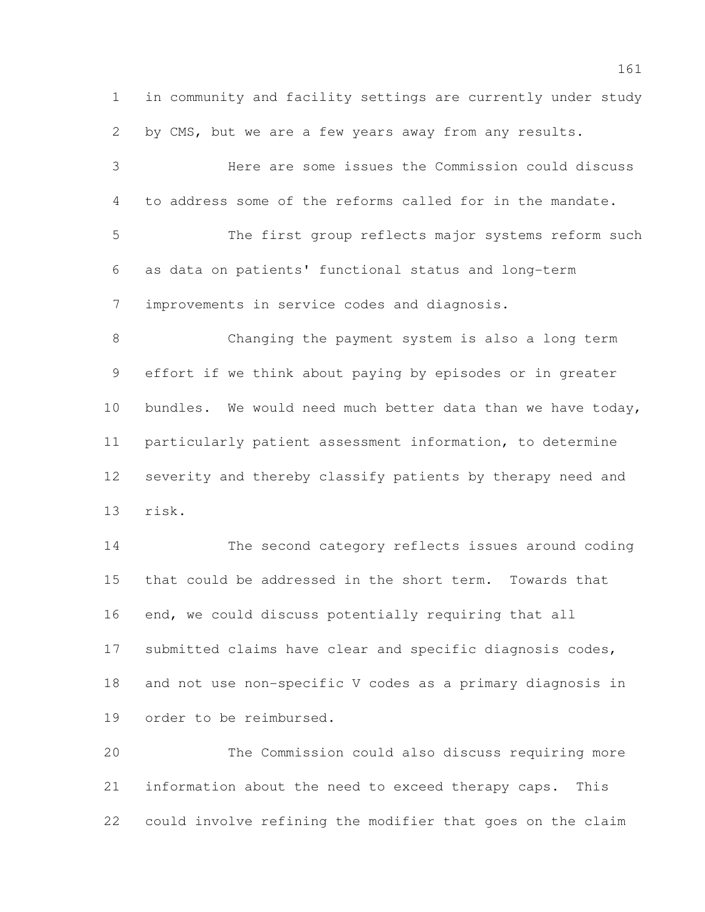in community and facility settings are currently under study by CMS, but we are a few years away from any results. Here are some issues the Commission could discuss to address some of the reforms called for in the mandate. The first group reflects major systems reform such as data on patients' functional status and long-term improvements in service codes and diagnosis. Changing the payment system is also a long term effort if we think about paying by episodes or in greater 10 bundles. We would need much better data than we have today, particularly patient assessment information, to determine severity and thereby classify patients by therapy need and risk. The second category reflects issues around coding

 that could be addressed in the short term. Towards that end, we could discuss potentially requiring that all submitted claims have clear and specific diagnosis codes, and not use non-specific V codes as a primary diagnosis in order to be reimbursed.

 The Commission could also discuss requiring more information about the need to exceed therapy caps. This could involve refining the modifier that goes on the claim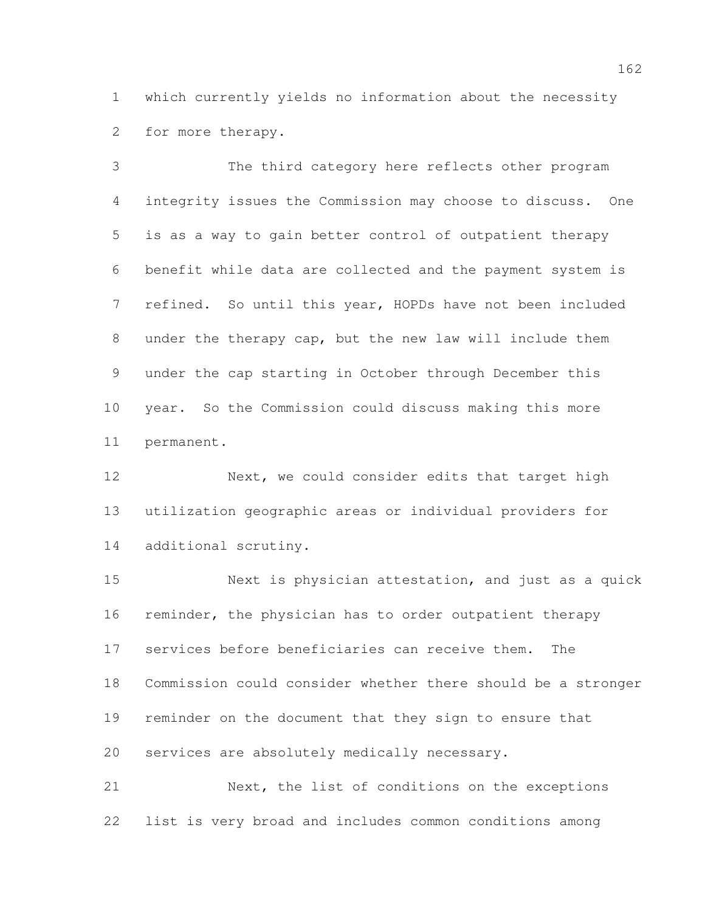which currently yields no information about the necessity for more therapy.

 The third category here reflects other program integrity issues the Commission may choose to discuss. One is as a way to gain better control of outpatient therapy benefit while data are collected and the payment system is refined. So until this year, HOPDs have not been included under the therapy cap, but the new law will include them under the cap starting in October through December this year. So the Commission could discuss making this more permanent.

 Next, we could consider edits that target high utilization geographic areas or individual providers for additional scrutiny.

 Next is physician attestation, and just as a quick reminder, the physician has to order outpatient therapy services before beneficiaries can receive them. The Commission could consider whether there should be a stronger reminder on the document that they sign to ensure that services are absolutely medically necessary.

 Next, the list of conditions on the exceptions list is very broad and includes common conditions among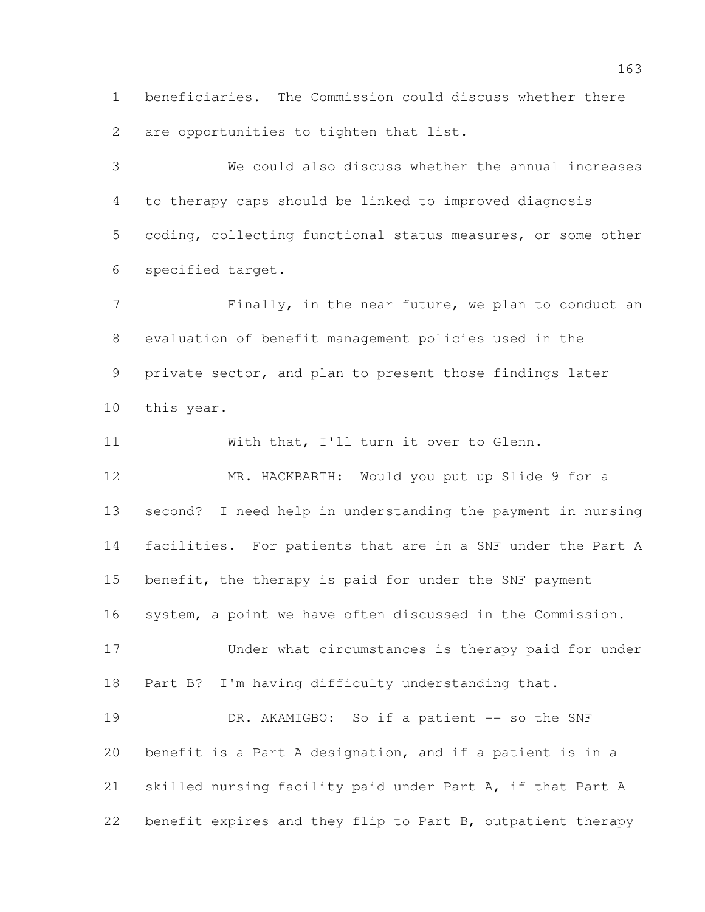beneficiaries. The Commission could discuss whether there are opportunities to tighten that list.

 We could also discuss whether the annual increases to therapy caps should be linked to improved diagnosis coding, collecting functional status measures, or some other specified target.

7 Finally, in the near future, we plan to conduct an evaluation of benefit management policies used in the private sector, and plan to present those findings later this year.

 With that, I'll turn it over to Glenn. MR. HACKBARTH: Would you put up Slide 9 for a second? I need help in understanding the payment in nursing facilities. For patients that are in a SNF under the Part A benefit, the therapy is paid for under the SNF payment system, a point we have often discussed in the Commission. Under what circumstances is therapy paid for under Part B? I'm having difficulty understanding that. 19 DR. AKAMIGBO: So if a patient -- so the SNF benefit is a Part A designation, and if a patient is in a skilled nursing facility paid under Part A, if that Part A benefit expires and they flip to Part B, outpatient therapy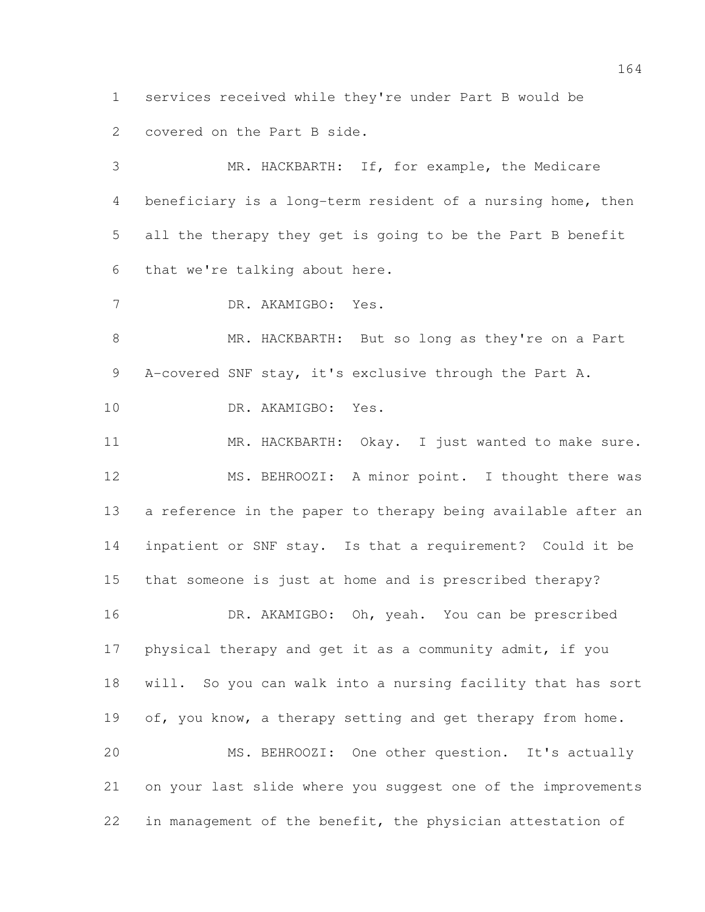services received while they're under Part B would be covered on the Part B side.

 MR. HACKBARTH: If, for example, the Medicare beneficiary is a long-term resident of a nursing home, then all the therapy they get is going to be the Part B benefit that we're talking about here.

DR. AKAMIGBO: Yes.

 MR. HACKBARTH: But so long as they're on a Part A-covered SNF stay, it's exclusive through the Part A.

DR. AKAMIGBO: Yes.

 MR. HACKBARTH: Okay. I just wanted to make sure. MS. BEHROOZI: A minor point. I thought there was a reference in the paper to therapy being available after an inpatient or SNF stay. Is that a requirement? Could it be that someone is just at home and is prescribed therapy?

 DR. AKAMIGBO: Oh, yeah. You can be prescribed physical therapy and get it as a community admit, if you will. So you can walk into a nursing facility that has sort 19 of, you know, a therapy setting and get therapy from home. MS. BEHROOZI: One other question. It's actually on your last slide where you suggest one of the improvements

in management of the benefit, the physician attestation of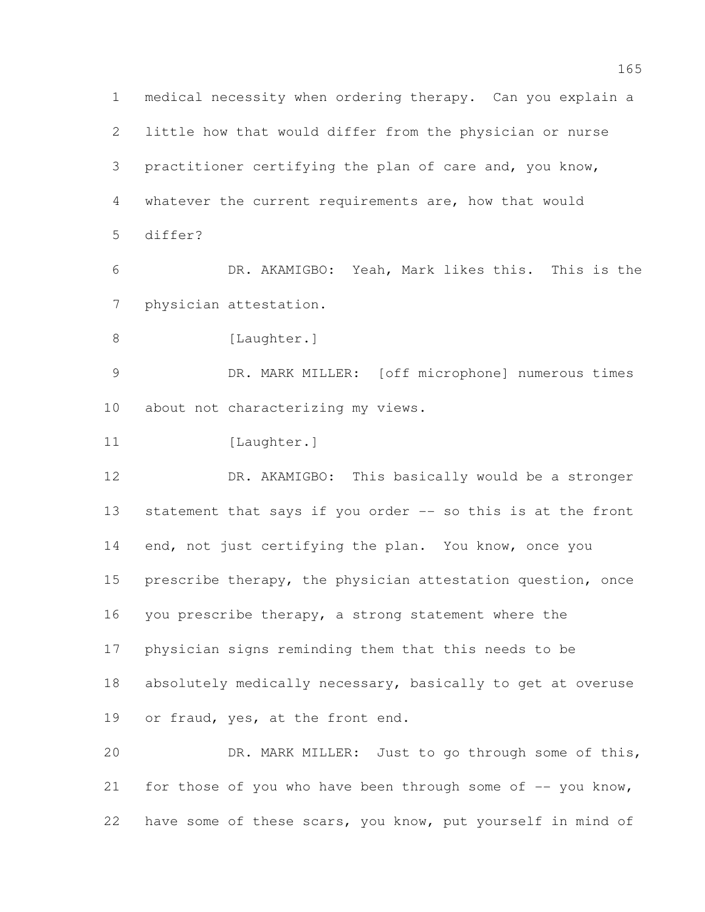medical necessity when ordering therapy. Can you explain a little how that would differ from the physician or nurse practitioner certifying the plan of care and, you know, whatever the current requirements are, how that would differ? DR. AKAMIGBO: Yeah, Mark likes this. This is the physician attestation. 8 [Laughter.] DR. MARK MILLER: [off microphone] numerous times about not characterizing my views. 11 [Laughter.] DR. AKAMIGBO: This basically would be a stronger 13 statement that says if you order -- so this is at the front 14 end, not just certifying the plan. You know, once you prescribe therapy, the physician attestation question, once you prescribe therapy, a strong statement where the physician signs reminding them that this needs to be absolutely medically necessary, basically to get at overuse or fraud, yes, at the front end. DR. MARK MILLER: Just to go through some of this, 21 for those of you who have been through some of  $-$ - you know,

have some of these scars, you know, put yourself in mind of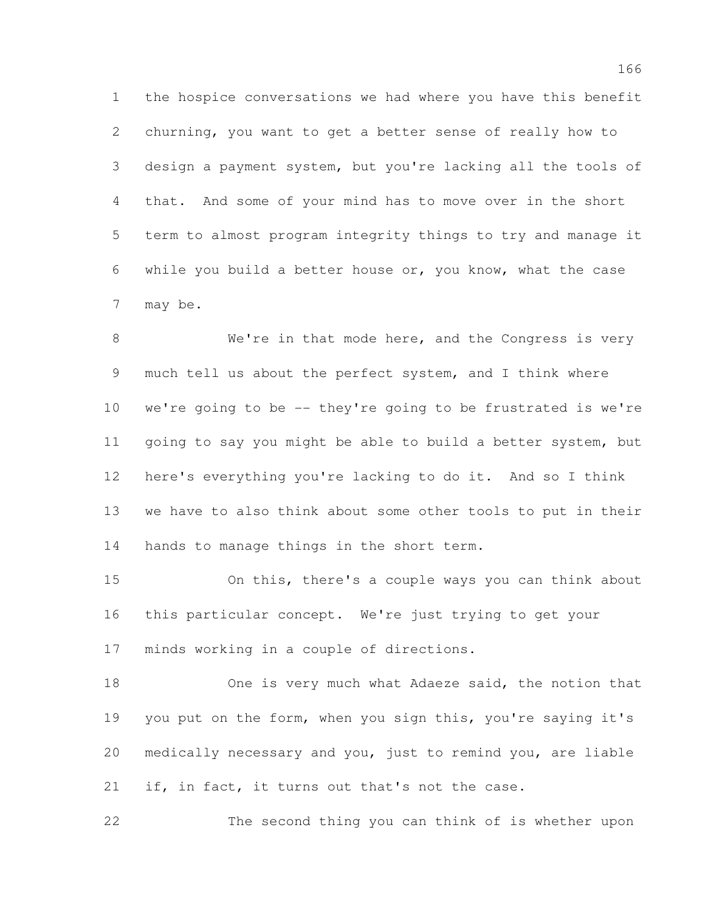the hospice conversations we had where you have this benefit churning, you want to get a better sense of really how to design a payment system, but you're lacking all the tools of that. And some of your mind has to move over in the short term to almost program integrity things to try and manage it while you build a better house or, you know, what the case may be.

8 We're in that mode here, and the Congress is very much tell us about the perfect system, and I think where we're going to be -- they're going to be frustrated is we're going to say you might be able to build a better system, but here's everything you're lacking to do it. And so I think we have to also think about some other tools to put in their 14 hands to manage things in the short term.

 On this, there's a couple ways you can think about this particular concept. We're just trying to get your minds working in a couple of directions.

 One is very much what Adaeze said, the notion that 19 you put on the form, when you sign this, you're saying it's medically necessary and you, just to remind you, are liable 21 if, in fact, it turns out that's not the case.

The second thing you can think of is whether upon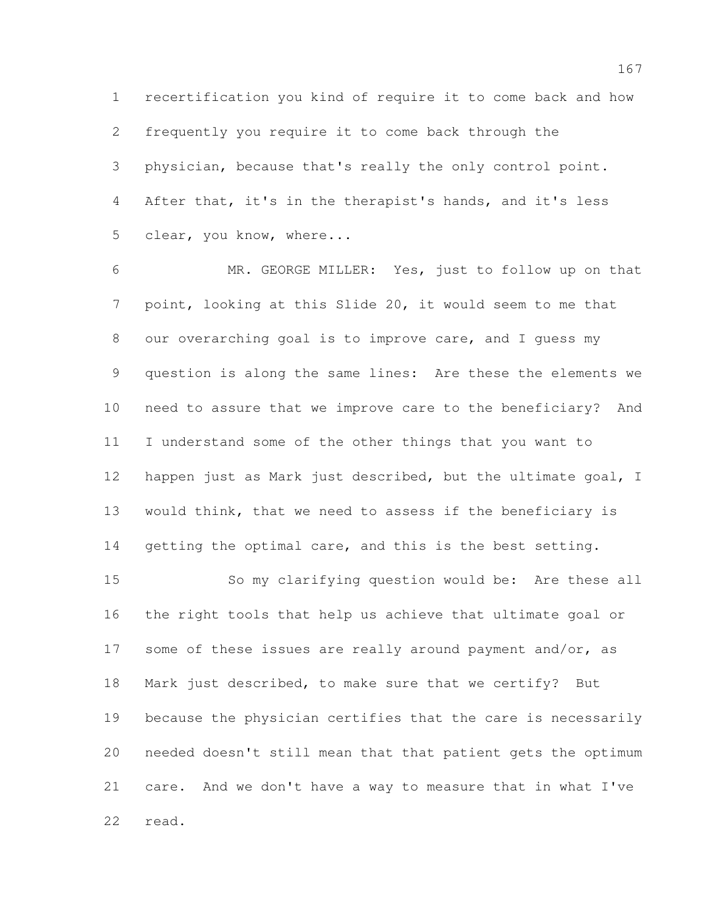recertification you kind of require it to come back and how frequently you require it to come back through the physician, because that's really the only control point. After that, it's in the therapist's hands, and it's less clear, you know, where...

 MR. GEORGE MILLER: Yes, just to follow up on that point, looking at this Slide 20, it would seem to me that our overarching goal is to improve care, and I guess my question is along the same lines: Are these the elements we need to assure that we improve care to the beneficiary? And I understand some of the other things that you want to happen just as Mark just described, but the ultimate goal, I would think, that we need to assess if the beneficiary is 14 getting the optimal care, and this is the best setting.

 So my clarifying question would be: Are these all the right tools that help us achieve that ultimate goal or 17 some of these issues are really around payment and/or, as Mark just described, to make sure that we certify? But because the physician certifies that the care is necessarily needed doesn't still mean that that patient gets the optimum care. And we don't have a way to measure that in what I've read.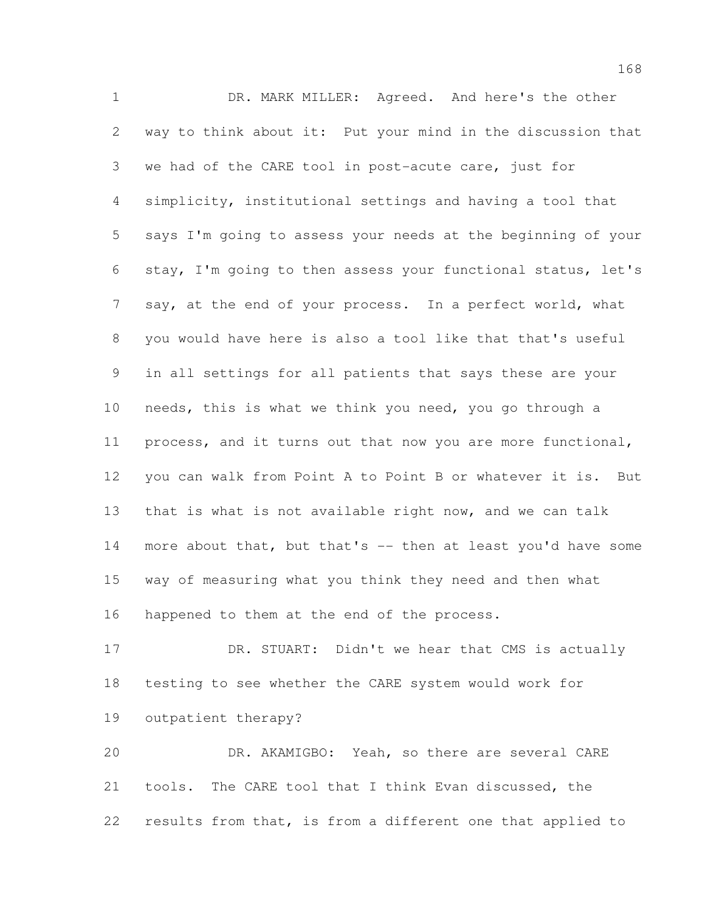DR. MARK MILLER: Agreed. And here's the other way to think about it: Put your mind in the discussion that we had of the CARE tool in post-acute care, just for simplicity, institutional settings and having a tool that says I'm going to assess your needs at the beginning of your stay, I'm going to then assess your functional status, let's 7 say, at the end of your process. In a perfect world, what you would have here is also a tool like that that's useful in all settings for all patients that says these are your needs, this is what we think you need, you go through a process, and it turns out that now you are more functional, you can walk from Point A to Point B or whatever it is. But that is what is not available right now, and we can talk 14 more about that, but that's -- then at least you'd have some way of measuring what you think they need and then what happened to them at the end of the process.

 DR. STUART: Didn't we hear that CMS is actually testing to see whether the CARE system would work for outpatient therapy?

 DR. AKAMIGBO: Yeah, so there are several CARE tools. The CARE tool that I think Evan discussed, the results from that, is from a different one that applied to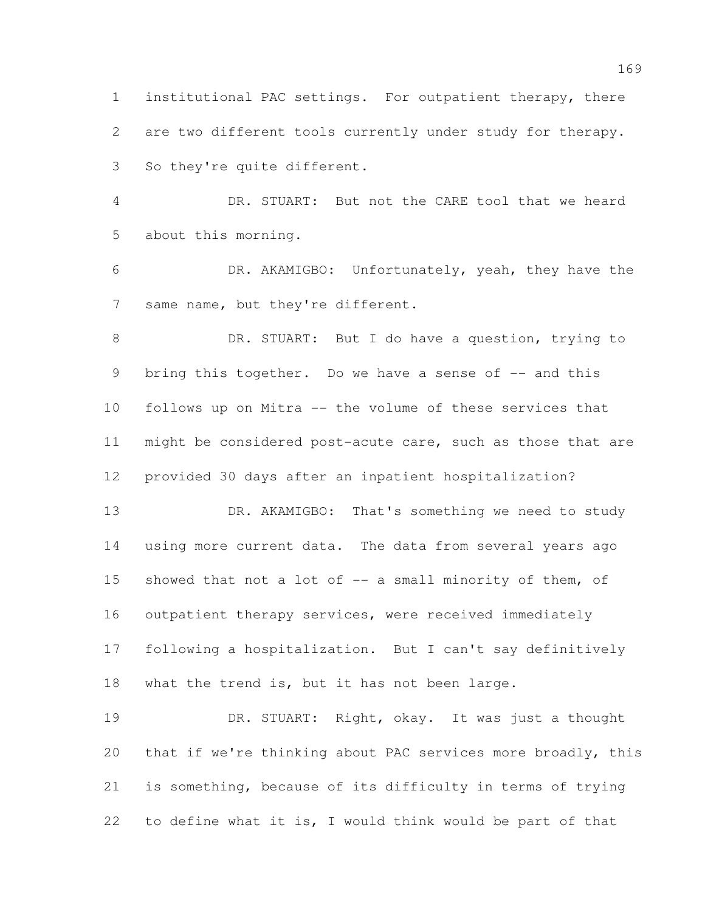institutional PAC settings. For outpatient therapy, there are two different tools currently under study for therapy. So they're quite different.

 DR. STUART: But not the CARE tool that we heard about this morning.

 DR. AKAMIGBO: Unfortunately, yeah, they have the 7 same name, but they're different.

8 DR. STUART: But I do have a question, trying to 9 bring this together. Do we have a sense of -- and this follows up on Mitra -- the volume of these services that might be considered post-acute care, such as those that are provided 30 days after an inpatient hospitalization?

13 DR. AKAMIGBO: That's something we need to study using more current data. The data from several years ago 15 showed that not a lot of -- a small minority of them, of outpatient therapy services, were received immediately following a hospitalization. But I can't say definitively what the trend is, but it has not been large.

 DR. STUART: Right, okay. It was just a thought that if we're thinking about PAC services more broadly, this is something, because of its difficulty in terms of trying to define what it is, I would think would be part of that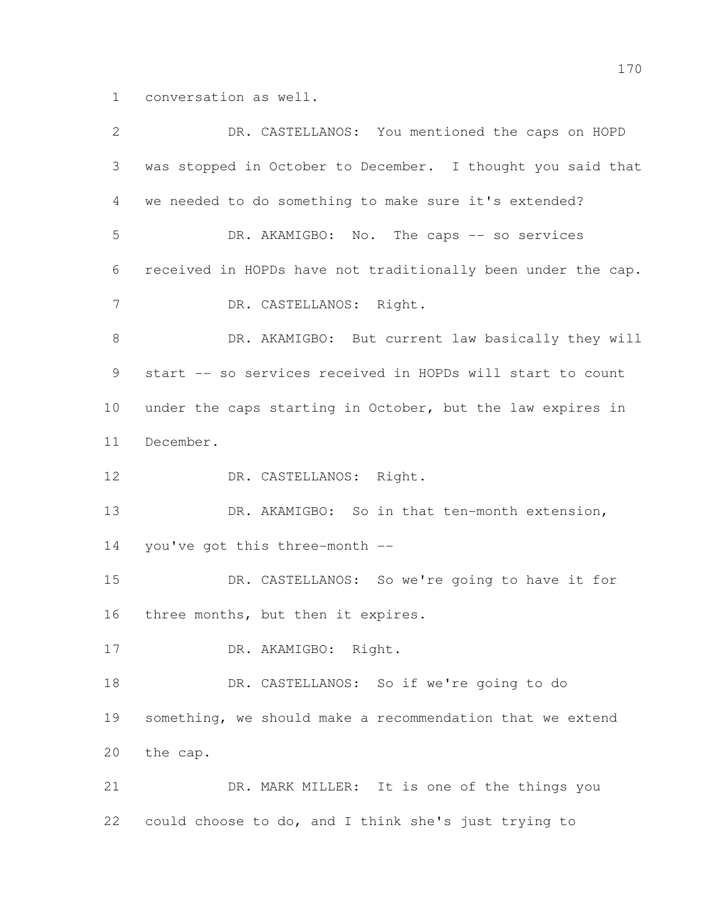conversation as well.

| $\overline{2}$  | DR. CASTELLANOS: You mentioned the caps on HOPD              |
|-----------------|--------------------------------------------------------------|
| 3               | was stopped in October to December. I thought you said that  |
| 4               | we needed to do something to make sure it's extended?        |
| 5               | DR. AKAMIGBO: No. The caps -- so services                    |
| 6               | received in HOPDs have not traditionally been under the cap. |
| $7\phantom{.0}$ | DR. CASTELLANOS: Right.                                      |
| 8               | DR. AKAMIGBO: But current law basically they will            |
| 9               | start -- so services received in HOPDs will start to count   |
| 10              | under the caps starting in October, but the law expires in   |
| 11              | December.                                                    |
| 12              | DR. CASTELLANOS: Right.                                      |
| 13              | DR. AKAMIGBO: So in that ten-month extension,                |
| 14              | you've got this three-month --                               |
| 15              | DR. CASTELLANOS: So we're going to have it for               |
| 16              | three months, but then it expires.                           |
| 17              | DR. AKAMIGBO: Right.                                         |
| 18              | DR. CASTELLANOS: So if we're going to do                     |
| 19              | something, we should make a recommendation that we extend    |
| 20              | the cap.                                                     |
| 21              | DR. MARK MILLER: It is one of the things you                 |
| 22              | could choose to do, and I think she's just trying to         |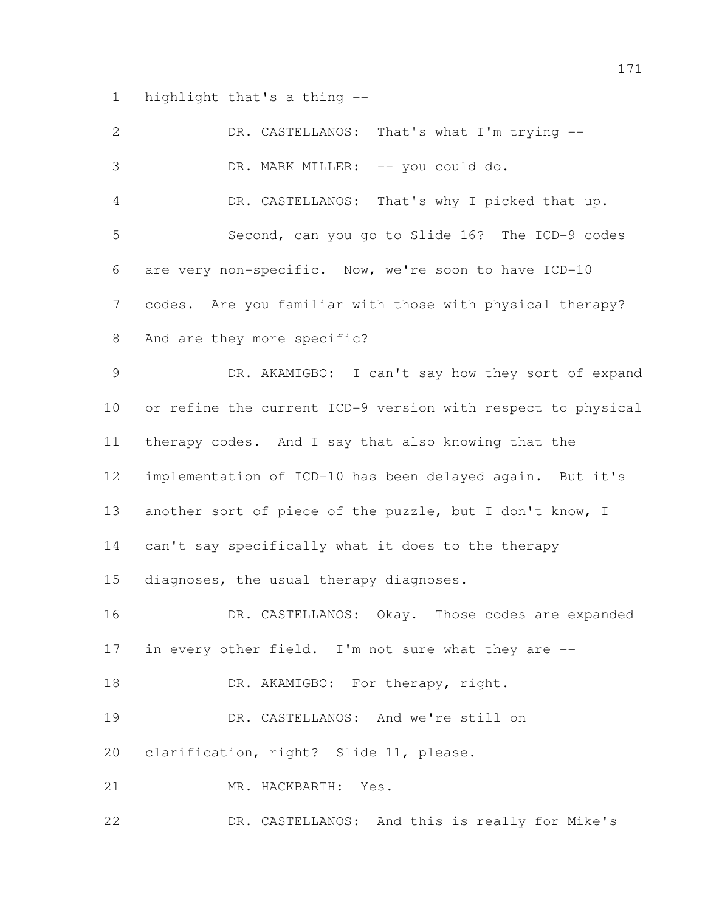highlight that's a thing --

| 2               | DR. CASTELLANOS: That's what I'm trying --                   |
|-----------------|--------------------------------------------------------------|
| 3               | DR. MARK MILLER: -- you could do.                            |
| $\overline{4}$  | DR. CASTELLANOS: That's why I picked that up.                |
| 5               | Second, can you go to Slide 16? The ICD-9 codes              |
| 6               | are very non-specific. Now, we're soon to have ICD-10        |
| 7               | codes. Are you familiar with those with physical therapy?    |
| 8               | And are they more specific?                                  |
| 9               | DR. AKAMIGBO: I can't say how they sort of expand            |
| 10 <sub>o</sub> | or refine the current ICD-9 version with respect to physical |
| 11              | therapy codes. And I say that also knowing that the          |
| 12              | implementation of ICD-10 has been delayed again. But it's    |
| 13              | another sort of piece of the puzzle, but I don't know, I     |
| 14              | can't say specifically what it does to the therapy           |
| 15              | diagnoses, the usual therapy diagnoses.                      |
| 16              | DR. CASTELLANOS: Okay. Those codes are expanded              |
| 17              | in every other field. I'm not sure what they are --          |
| 18              | DR. AKAMIGBO: For therapy, right.                            |
| 19              | DR. CASTELLANOS: And we're still on                          |
| 20              | clarification, right? Slide 11, please.                      |
| 21              | MR. HACKBARTH: Yes.                                          |
| 22              | DR. CASTELLANOS: And this is really for Mike's               |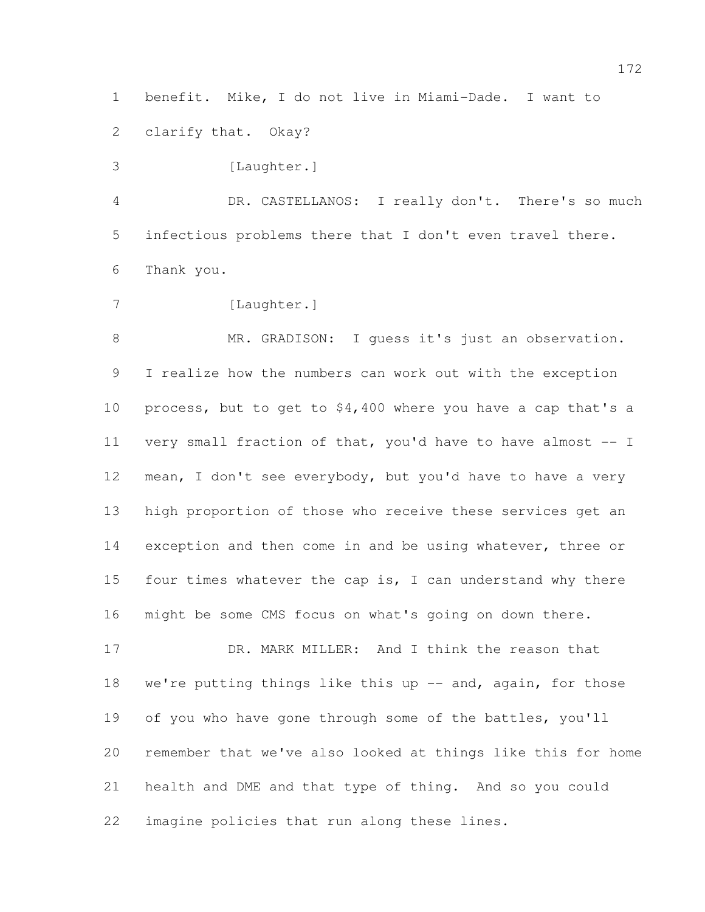benefit. Mike, I do not live in Miami-Dade. I want to

clarify that. Okay?

3 [Laughter.]

 DR. CASTELLANOS: I really don't. There's so much infectious problems there that I don't even travel there. Thank you.

7 [Laughter.]

8 MR. GRADISON: I quess it's just an observation. I realize how the numbers can work out with the exception process, but to get to \$4,400 where you have a cap that's a very small fraction of that, you'd have to have almost -- I mean, I don't see everybody, but you'd have to have a very high proportion of those who receive these services get an exception and then come in and be using whatever, three or 15 four times whatever the cap is, I can understand why there might be some CMS focus on what's going on down there.

 DR. MARK MILLER: And I think the reason that 18 we're putting things like this up -- and, again, for those of you who have gone through some of the battles, you'll remember that we've also looked at things like this for home health and DME and that type of thing. And so you could imagine policies that run along these lines.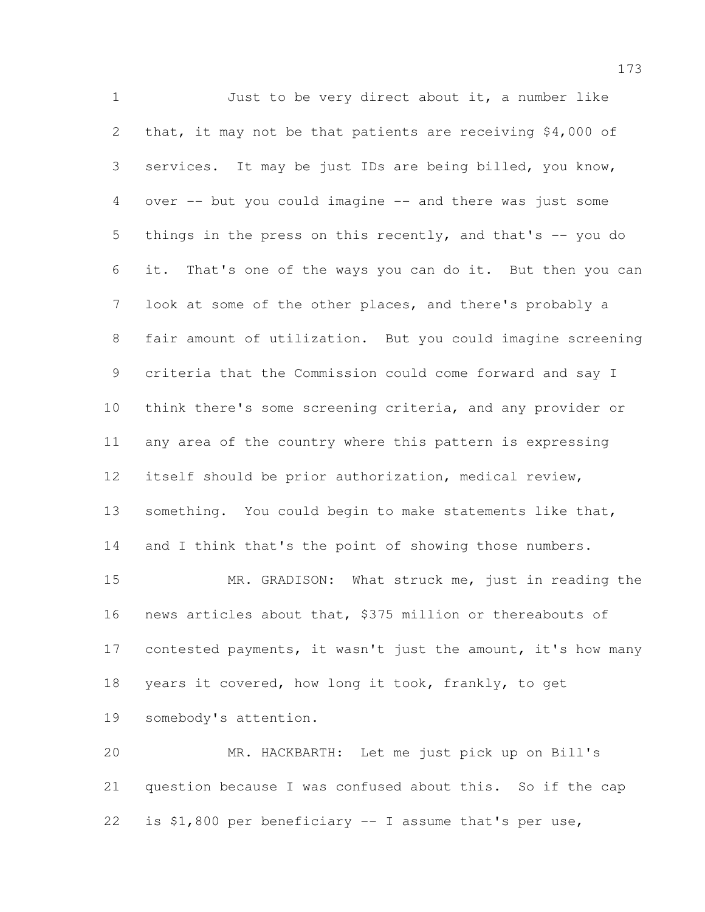Just to be very direct about it, a number like that, it may not be that patients are receiving \$4,000 of services. It may be just IDs are being billed, you know, over -- but you could imagine -- and there was just some things in the press on this recently, and that's -- you do it. That's one of the ways you can do it. But then you can look at some of the other places, and there's probably a fair amount of utilization. But you could imagine screening criteria that the Commission could come forward and say I think there's some screening criteria, and any provider or any area of the country where this pattern is expressing itself should be prior authorization, medical review, 13 something. You could begin to make statements like that, 14 and I think that's the point of showing those numbers. MR. GRADISON: What struck me, just in reading the news articles about that, \$375 million or thereabouts of 17 contested payments, it wasn't just the amount, it's how many years it covered, how long it took, frankly, to get somebody's attention.

 MR. HACKBARTH: Let me just pick up on Bill's question because I was confused about this. So if the cap is \$1,800 per beneficiary -- I assume that's per use,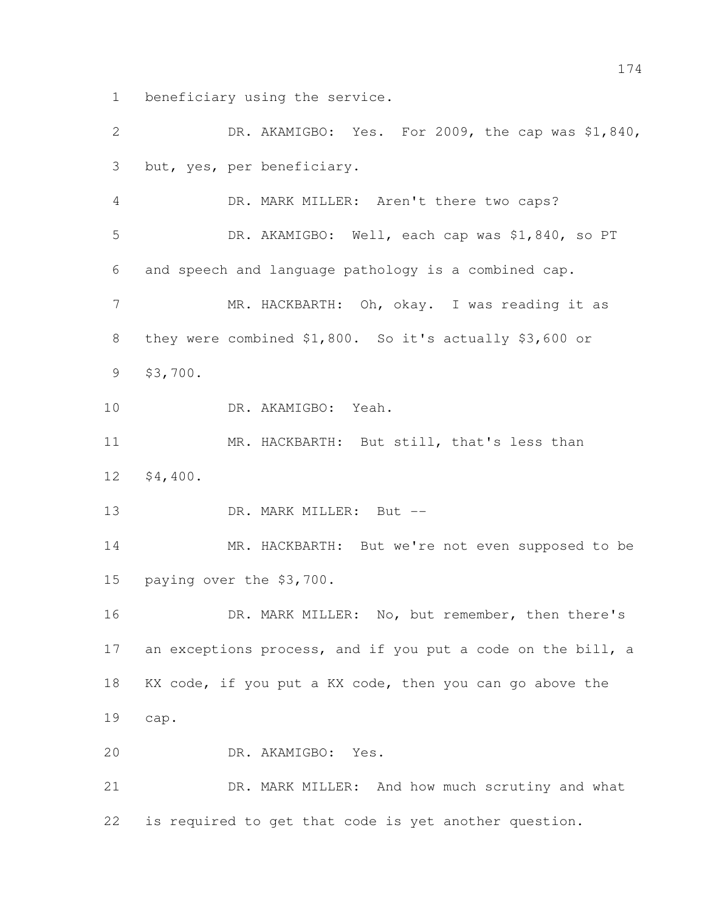beneficiary using the service.

 DR. AKAMIGBO: Yes. For 2009, the cap was \$1,840, but, yes, per beneficiary. DR. MARK MILLER: Aren't there two caps? DR. AKAMIGBO: Well, each cap was \$1,840, so PT and speech and language pathology is a combined cap. MR. HACKBARTH: Oh, okay. I was reading it as they were combined \$1,800. So it's actually \$3,600 or \$3,700. DR. AKAMIGBO: Yeah. 11 MR. HACKBARTH: But still, that's less than \$4,400. 13 DR. MARK MILLER: But -- MR. HACKBARTH: But we're not even supposed to be paying over the \$3,700. DR. MARK MILLER: No, but remember, then there's 17 an exceptions process, and if you put a code on the bill, a KX code, if you put a KX code, then you can go above the cap. DR. AKAMIGBO: Yes. DR. MARK MILLER: And how much scrutiny and what is required to get that code is yet another question.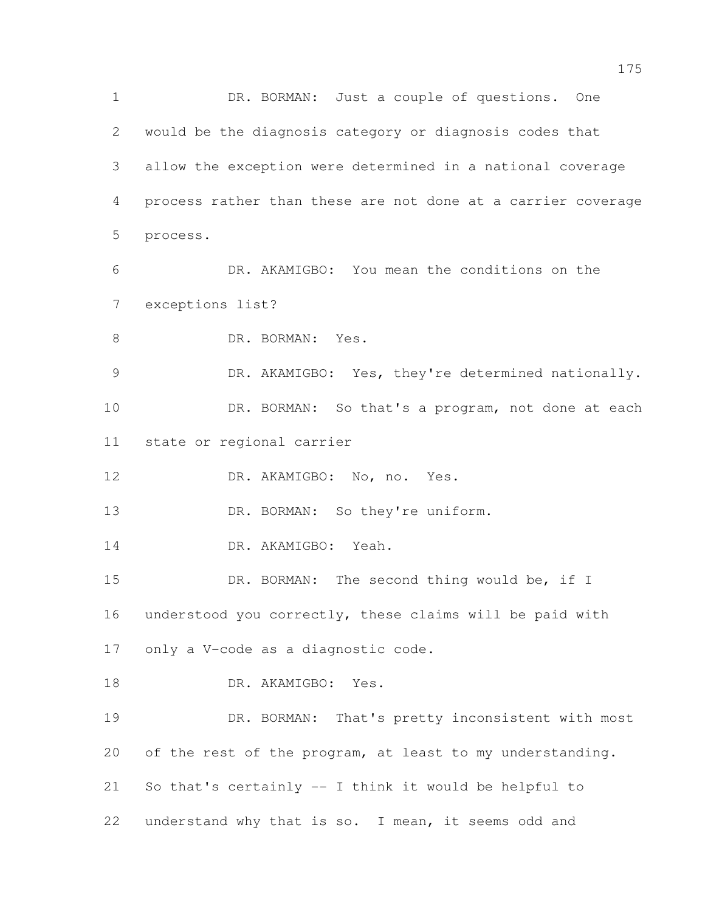1 DR. BORMAN: Just a couple of questions. One would be the diagnosis category or diagnosis codes that allow the exception were determined in a national coverage process rather than these are not done at a carrier coverage process. DR. AKAMIGBO: You mean the conditions on the exceptions list? 8 DR. BORMAN: Yes. 9 DR. AKAMIGBO: Yes, they're determined nationally. DR. BORMAN: So that's a program, not done at each state or regional carrier DR. AKAMIGBO: No, no. Yes. 13 DR. BORMAN: So they're uniform. 14 DR. AKAMIGBO: Yeah. 15 DR. BORMAN: The second thing would be, if I understood you correctly, these claims will be paid with only a V-code as a diagnostic code. 18 DR. AKAMIGBO: Yes. DR. BORMAN: That's pretty inconsistent with most of the rest of the program, at least to my understanding. So that's certainly -- I think it would be helpful to understand why that is so. I mean, it seems odd and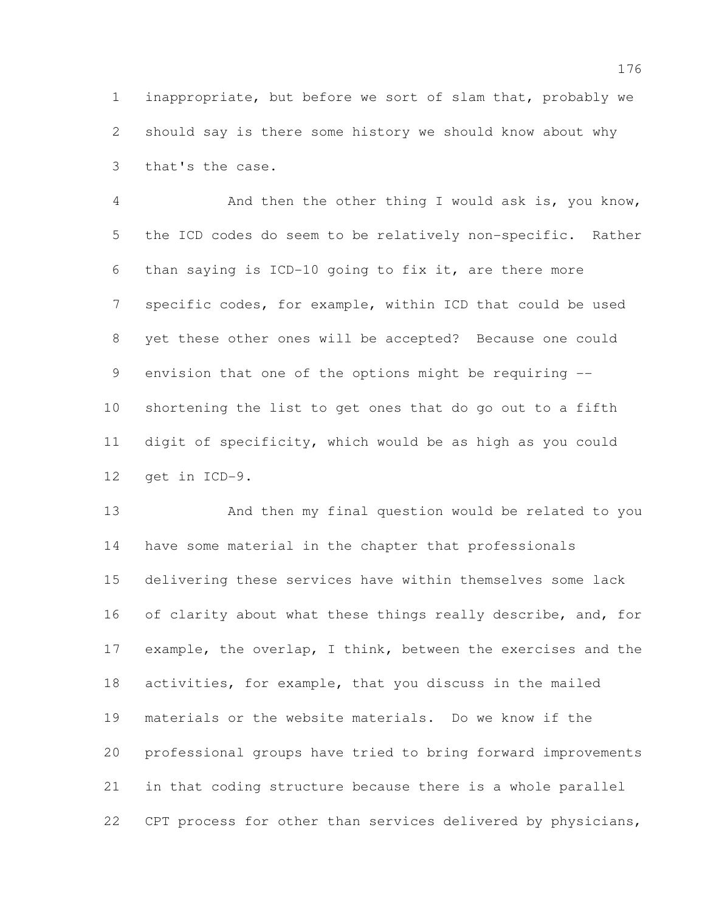inappropriate, but before we sort of slam that, probably we should say is there some history we should know about why that's the case.

 And then the other thing I would ask is, you know, the ICD codes do seem to be relatively non-specific. Rather than saying is ICD-10 going to fix it, are there more specific codes, for example, within ICD that could be used yet these other ones will be accepted? Because one could envision that one of the options might be requiring -- shortening the list to get ones that do go out to a fifth digit of specificity, which would be as high as you could get in ICD-9.

 And then my final question would be related to you have some material in the chapter that professionals delivering these services have within themselves some lack 16 of clarity about what these things really describe, and, for example, the overlap, I think, between the exercises and the activities, for example, that you discuss in the mailed materials or the website materials. Do we know if the professional groups have tried to bring forward improvements in that coding structure because there is a whole parallel CPT process for other than services delivered by physicians,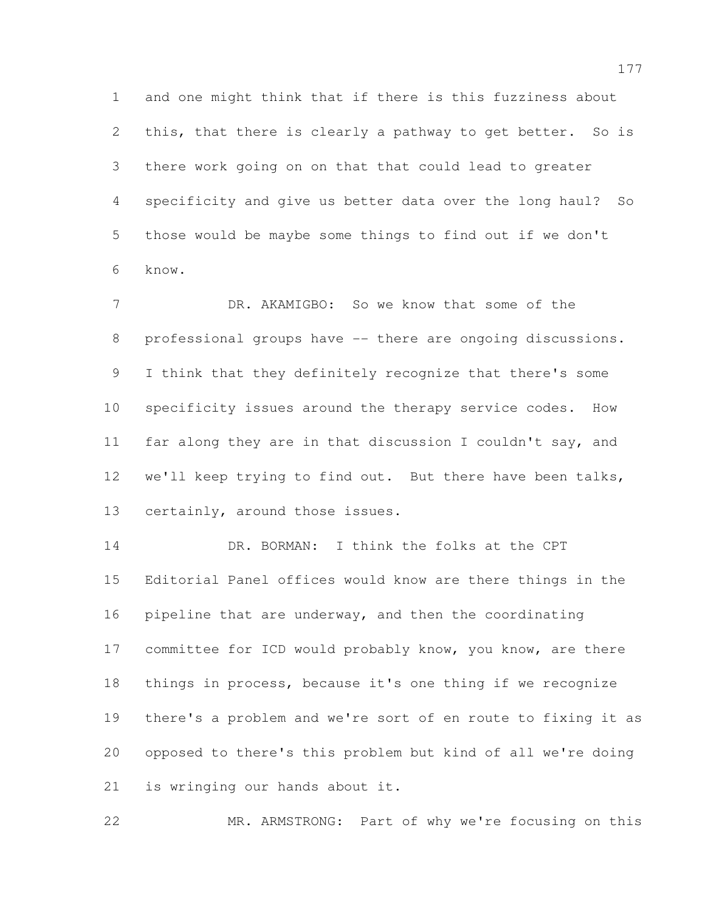and one might think that if there is this fuzziness about 2 this, that there is clearly a pathway to get better. So is there work going on on that that could lead to greater specificity and give us better data over the long haul? So those would be maybe some things to find out if we don't know.

7 DR. AKAMIGBO: So we know that some of the 8 professional groups have -- there are ongoing discussions. I think that they definitely recognize that there's some specificity issues around the therapy service codes. How far along they are in that discussion I couldn't say, and we'll keep trying to find out. But there have been talks, certainly, around those issues.

 DR. BORMAN: I think the folks at the CPT Editorial Panel offices would know are there things in the pipeline that are underway, and then the coordinating 17 committee for ICD would probably know, you know, are there things in process, because it's one thing if we recognize there's a problem and we're sort of en route to fixing it as opposed to there's this problem but kind of all we're doing is wringing our hands about it.

MR. ARMSTRONG: Part of why we're focusing on this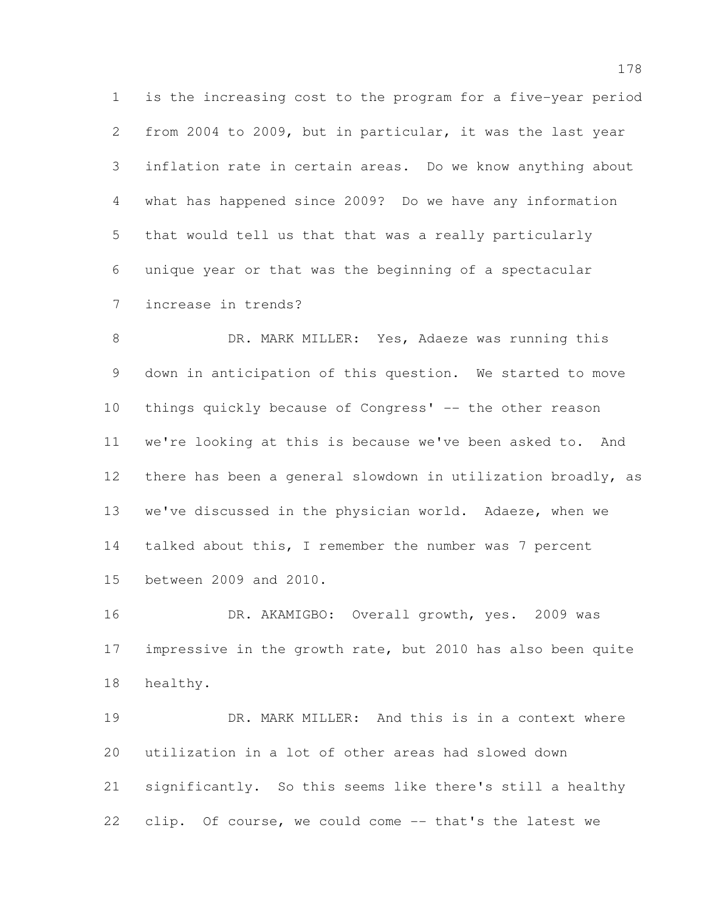is the increasing cost to the program for a five-year period from 2004 to 2009, but in particular, it was the last year inflation rate in certain areas. Do we know anything about what has happened since 2009? Do we have any information that would tell us that that was a really particularly unique year or that was the beginning of a spectacular increase in trends?

8 DR. MARK MILLER: Yes, Adaeze was running this down in anticipation of this question. We started to move things quickly because of Congress' -- the other reason we're looking at this is because we've been asked to. And there has been a general slowdown in utilization broadly, as we've discussed in the physician world. Adaeze, when we talked about this, I remember the number was 7 percent between 2009 and 2010.

 DR. AKAMIGBO: Overall growth, yes. 2009 was impressive in the growth rate, but 2010 has also been quite healthy.

 DR. MARK MILLER: And this is in a context where utilization in a lot of other areas had slowed down significantly. So this seems like there's still a healthy clip. Of course, we could come -- that's the latest we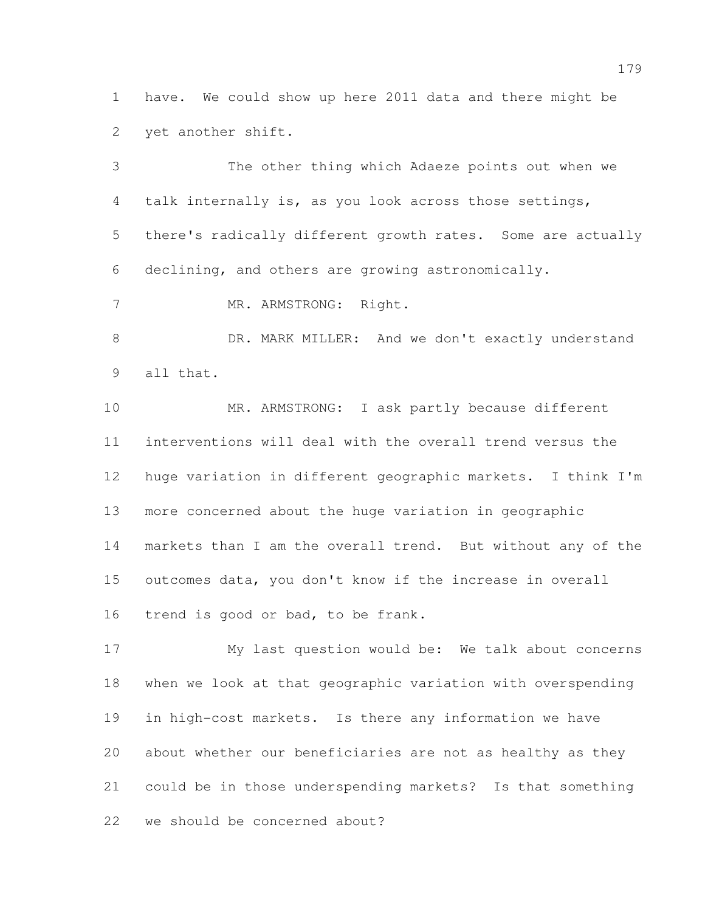have. We could show up here 2011 data and there might be yet another shift.

 The other thing which Adaeze points out when we talk internally is, as you look across those settings, there's radically different growth rates. Some are actually declining, and others are growing astronomically. 7 MR. ARMSTRONG: Right. 8 DR. MARK MILLER: And we don't exactly understand all that. MR. ARMSTRONG: I ask partly because different interventions will deal with the overall trend versus the huge variation in different geographic markets. I think I'm more concerned about the huge variation in geographic markets than I am the overall trend. But without any of the outcomes data, you don't know if the increase in overall trend is good or bad, to be frank. My last question would be: We talk about concerns

 when we look at that geographic variation with overspending in high-cost markets. Is there any information we have about whether our beneficiaries are not as healthy as they could be in those underspending markets? Is that something we should be concerned about?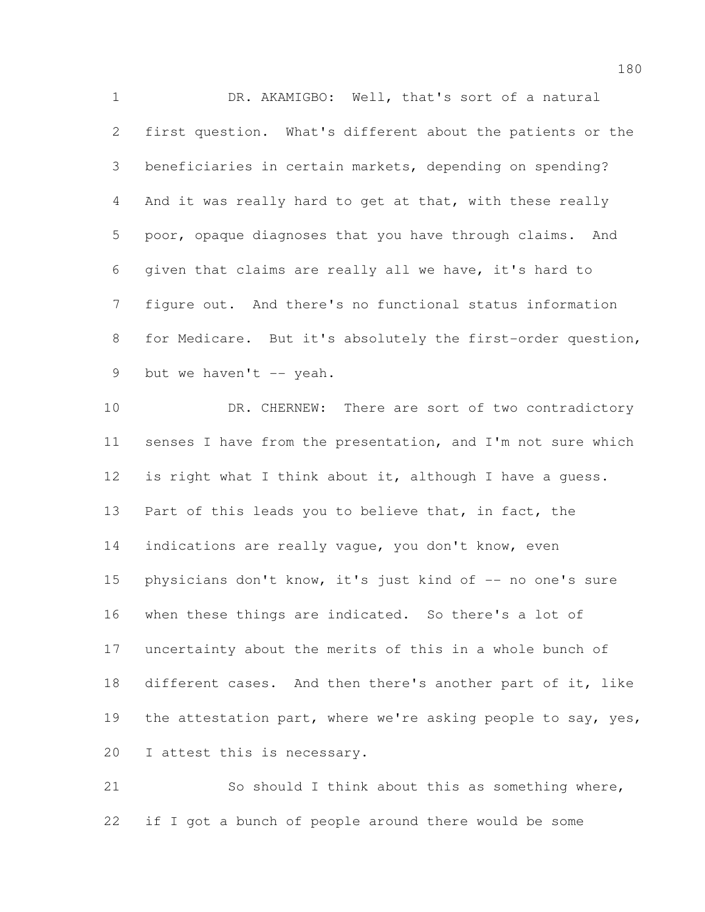DR. AKAMIGBO: Well, that's sort of a natural first question. What's different about the patients or the beneficiaries in certain markets, depending on spending? And it was really hard to get at that, with these really poor, opaque diagnoses that you have through claims. And given that claims are really all we have, it's hard to figure out. And there's no functional status information for Medicare. But it's absolutely the first-order question, 9 but we haven't  $-$  yeah.

10 DR. CHERNEW: There are sort of two contradictory senses I have from the presentation, and I'm not sure which is right what I think about it, although I have a guess. 13 Part of this leads you to believe that, in fact, the 14 indications are really vaque, you don't know, even 15 physicians don't know, it's just kind of -- no one's sure when these things are indicated. So there's a lot of uncertainty about the merits of this in a whole bunch of different cases. And then there's another part of it, like 19 the attestation part, where we're asking people to say, yes, 20 I attest this is necessary.

 So should I think about this as something where, if I got a bunch of people around there would be some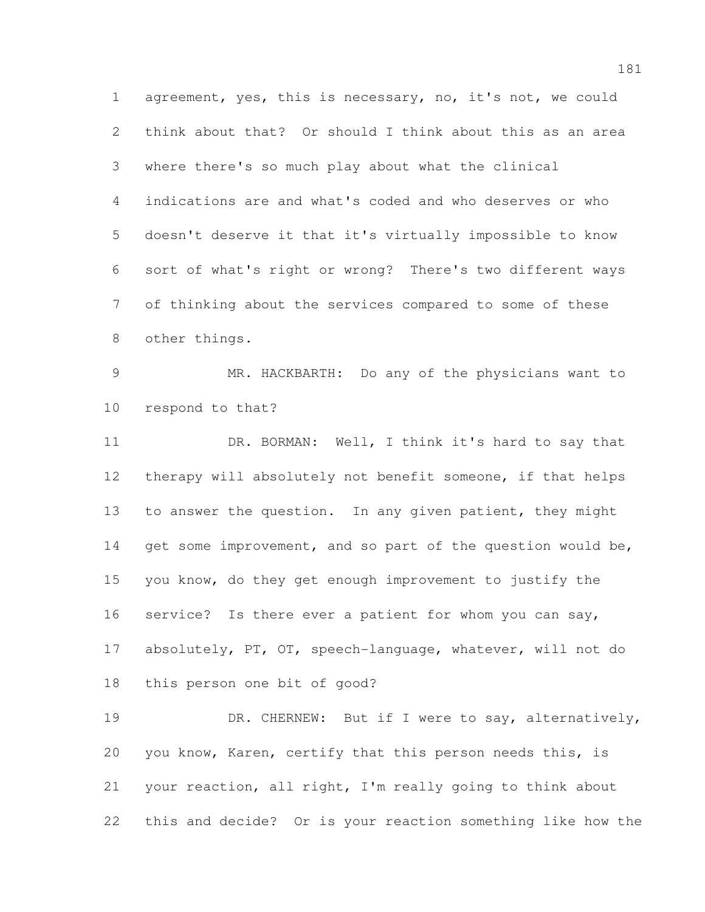agreement, yes, this is necessary, no, it's not, we could think about that? Or should I think about this as an area where there's so much play about what the clinical indications are and what's coded and who deserves or who doesn't deserve it that it's virtually impossible to know sort of what's right or wrong? There's two different ways of thinking about the services compared to some of these other things.

 MR. HACKBARTH: Do any of the physicians want to respond to that?

11 DR. BORMAN: Well, I think it's hard to say that therapy will absolutely not benefit someone, if that helps to answer the question. In any given patient, they might 14 get some improvement, and so part of the question would be, you know, do they get enough improvement to justify the service? Is there ever a patient for whom you can say, absolutely, PT, OT, speech-language, whatever, will not do this person one bit of good?

19 DR. CHERNEW: But if I were to say, alternatively, you know, Karen, certify that this person needs this, is your reaction, all right, I'm really going to think about this and decide? Or is your reaction something like how the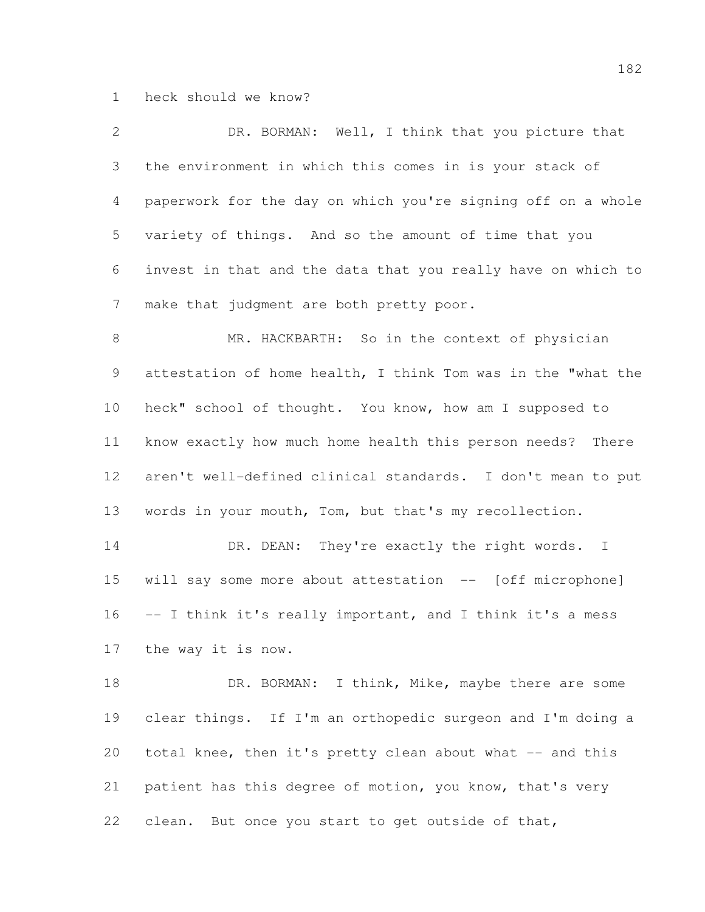heck should we know?

| $\overline{2}$ | DR. BORMAN: Well, I think that you picture that               |
|----------------|---------------------------------------------------------------|
| 3              | the environment in which this comes in is your stack of       |
| 4              | paperwork for the day on which you're signing off on a whole  |
| 5              | variety of things. And so the amount of time that you         |
| 6              | invest in that and the data that you really have on which to  |
| 7              | make that judgment are both pretty poor.                      |
| $8\,$          | MR. HACKBARTH: So in the context of physician                 |
| 9              | attestation of home health, I think Tom was in the "what the  |
| 10             | heck" school of thought. You know, how am I supposed to       |
| 11             | know exactly how much home health this person needs?<br>There |
| 12             | aren't well-defined clinical standards. I don't mean to put   |
| 13             | words in your mouth, Tom, but that's my recollection.         |
| 14             | DR. DEAN: They're exactly the right words. I                  |
| 15             | will say some more about attestation -- [off microphone]      |
| 16             | -- I think it's really important, and I think it's a mess     |
| 17             | the way it is now.                                            |
| 18             | DR. BORMAN: I think, Mike, maybe there are some               |
| 19             | clear things. If I'm an orthopedic surgeon and I'm doing a    |
| 20             | total knee, then it's pretty clean about what -- and this     |
| 21             | patient has this degree of motion, you know, that's very      |
| 22             | But once you start to get outside of that,<br>clean.          |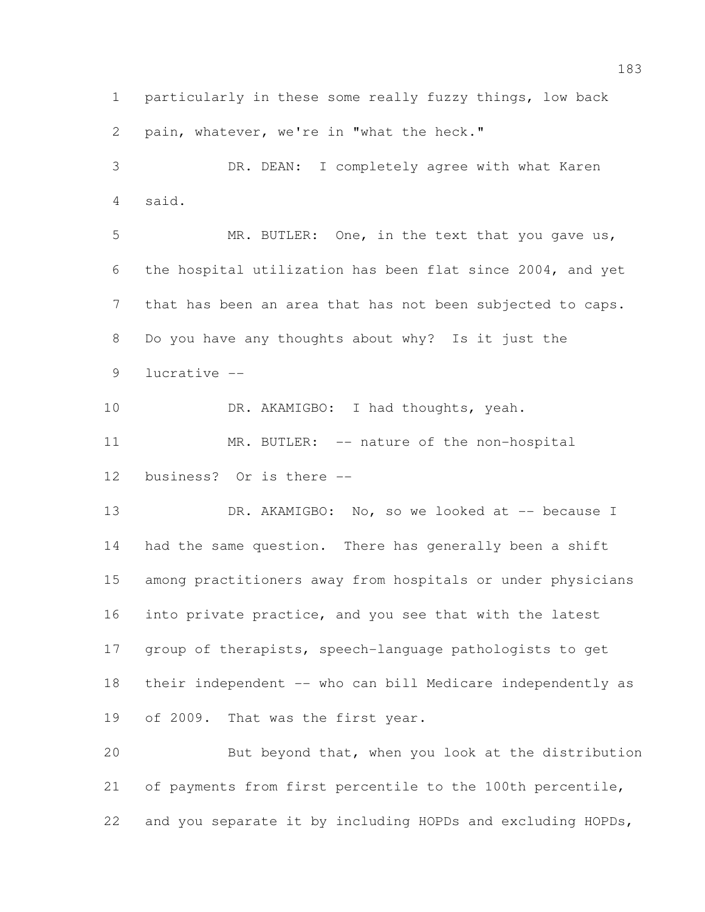particularly in these some really fuzzy things, low back pain, whatever, we're in "what the heck."

 DR. DEAN: I completely agree with what Karen said.

 MR. BUTLER: One, in the text that you gave us, the hospital utilization has been flat since 2004, and yet that has been an area that has not been subjected to caps. Do you have any thoughts about why? Is it just the lucrative --

10 DR. AKAMIGBO: I had thoughts, yeah.

11 MR. BUTLER: -- nature of the non-hospital business? Or is there --

13 DR. AKAMIGBO: No, so we looked at -- because I had the same question. There has generally been a shift among practitioners away from hospitals or under physicians into private practice, and you see that with the latest group of therapists, speech-language pathologists to get their independent -- who can bill Medicare independently as of 2009. That was the first year.

 But beyond that, when you look at the distribution of payments from first percentile to the 100th percentile, and you separate it by including HOPDs and excluding HOPDs,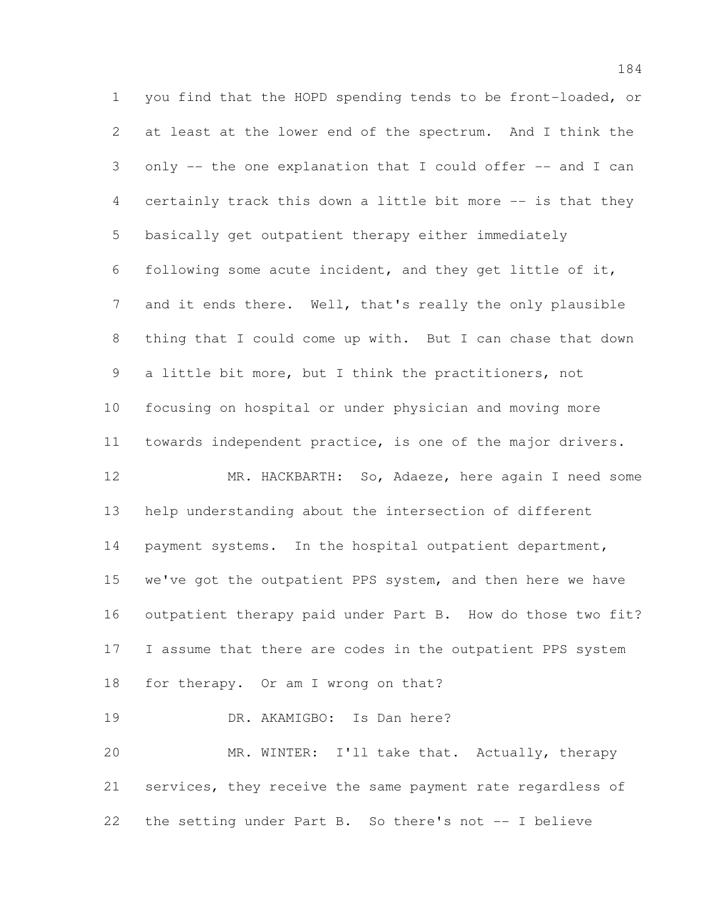you find that the HOPD spending tends to be front-loaded, or at least at the lower end of the spectrum. And I think the only -- the one explanation that I could offer -- and I can certainly track this down a little bit more -- is that they basically get outpatient therapy either immediately following some acute incident, and they get little of it, and it ends there. Well, that's really the only plausible thing that I could come up with. But I can chase that down a little bit more, but I think the practitioners, not focusing on hospital or under physician and moving more towards independent practice, is one of the major drivers. MR. HACKBARTH: So, Adaeze, here again I need some help understanding about the intersection of different payment systems. In the hospital outpatient department, we've got the outpatient PPS system, and then here we have outpatient therapy paid under Part B. How do those two fit? I assume that there are codes in the outpatient PPS system for therapy. Or am I wrong on that? DR. AKAMIGBO: Is Dan here? MR. WINTER: I'll take that. Actually, therapy

 services, they receive the same payment rate regardless of the setting under Part B. So there's not -- I believe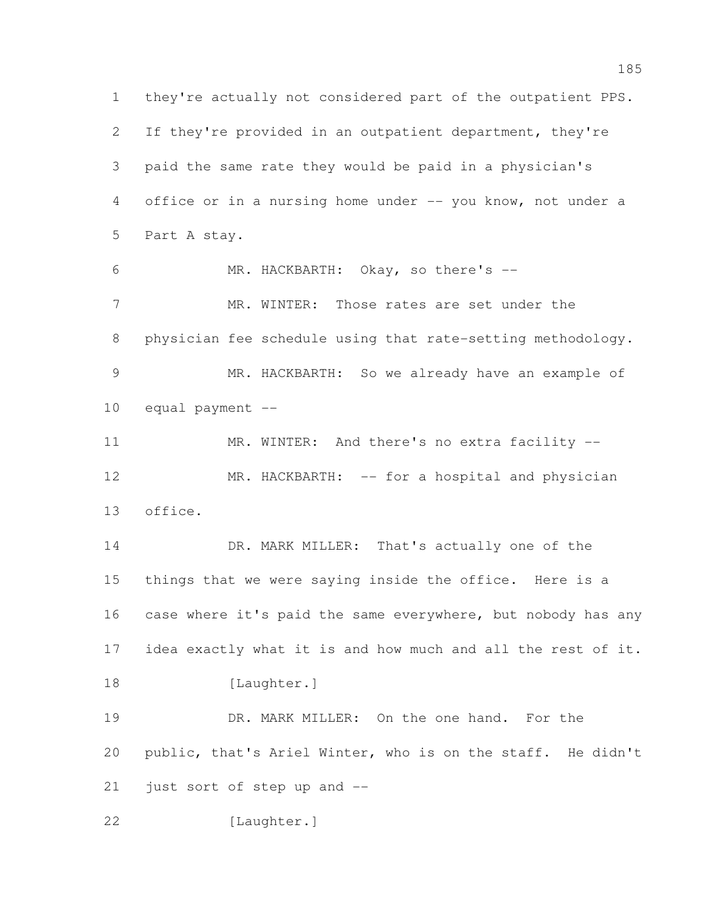they're actually not considered part of the outpatient PPS. If they're provided in an outpatient department, they're paid the same rate they would be paid in a physician's office or in a nursing home under -- you know, not under a Part A stay. MR. HACKBARTH: Okay, so there's -- 7 MR. WINTER: Those rates are set under the physician fee schedule using that rate-setting methodology. MR. HACKBARTH: So we already have an example of equal payment -- 11 MR. WINTER: And there's no extra facility -- MR. HACKBARTH: -- for a hospital and physician office. DR. MARK MILLER: That's actually one of the things that we were saying inside the office. Here is a case where it's paid the same everywhere, but nobody has any idea exactly what it is and how much and all the rest of it. 18 [Laughter.] 19 DR. MARK MILLER: On the one hand. For the public, that's Ariel Winter, who is on the staff. He didn't just sort of step up and -- [Laughter.]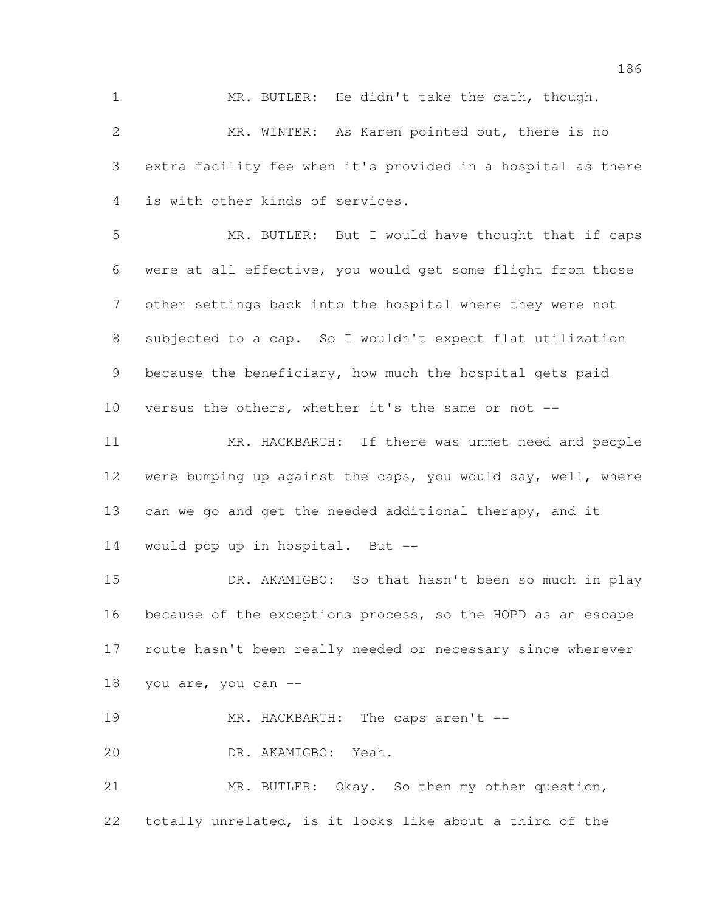MR. BUTLER: He didn't take the oath, though.

 MR. WINTER: As Karen pointed out, there is no extra facility fee when it's provided in a hospital as there is with other kinds of services.

 MR. BUTLER: But I would have thought that if caps were at all effective, you would get some flight from those other settings back into the hospital where they were not subjected to a cap. So I wouldn't expect flat utilization because the beneficiary, how much the hospital gets paid versus the others, whether it's the same or not --

 MR. HACKBARTH: If there was unmet need and people were bumping up against the caps, you would say, well, where can we go and get the needed additional therapy, and it

would pop up in hospital. But --

 DR. AKAMIGBO: So that hasn't been so much in play because of the exceptions process, so the HOPD as an escape route hasn't been really needed or necessary since wherever you are, you can --

19 MR. HACKBARTH: The caps aren't --

DR. AKAMIGBO: Yeah.

 MR. BUTLER: Okay. So then my other question, totally unrelated, is it looks like about a third of the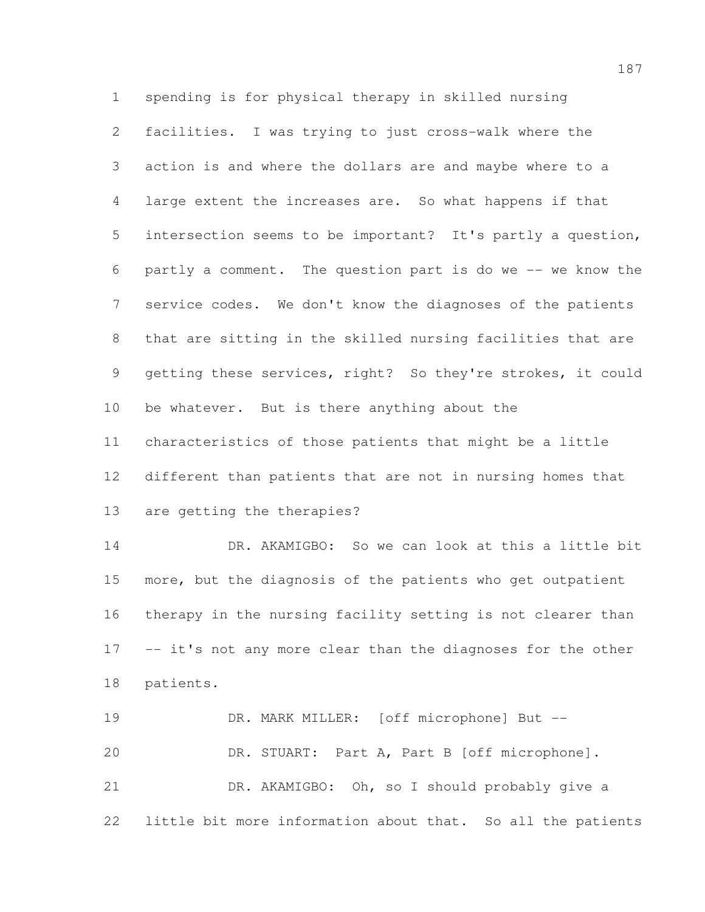spending is for physical therapy in skilled nursing facilities. I was trying to just cross-walk where the action is and where the dollars are and maybe where to a large extent the increases are. So what happens if that intersection seems to be important? It's partly a question, partly a comment. The question part is do we -- we know the service codes. We don't know the diagnoses of the patients that are sitting in the skilled nursing facilities that are getting these services, right? So they're strokes, it could be whatever. But is there anything about the characteristics of those patients that might be a little different than patients that are not in nursing homes that are getting the therapies?

 DR. AKAMIGBO: So we can look at this a little bit more, but the diagnosis of the patients who get outpatient therapy in the nursing facility setting is not clearer than 17 -- it's not any more clear than the diagnoses for the other patients.

 DR. MARK MILLER: [off microphone] But -- DR. STUART: Part A, Part B [off microphone]. DR. AKAMIGBO: Oh, so I should probably give a little bit more information about that. So all the patients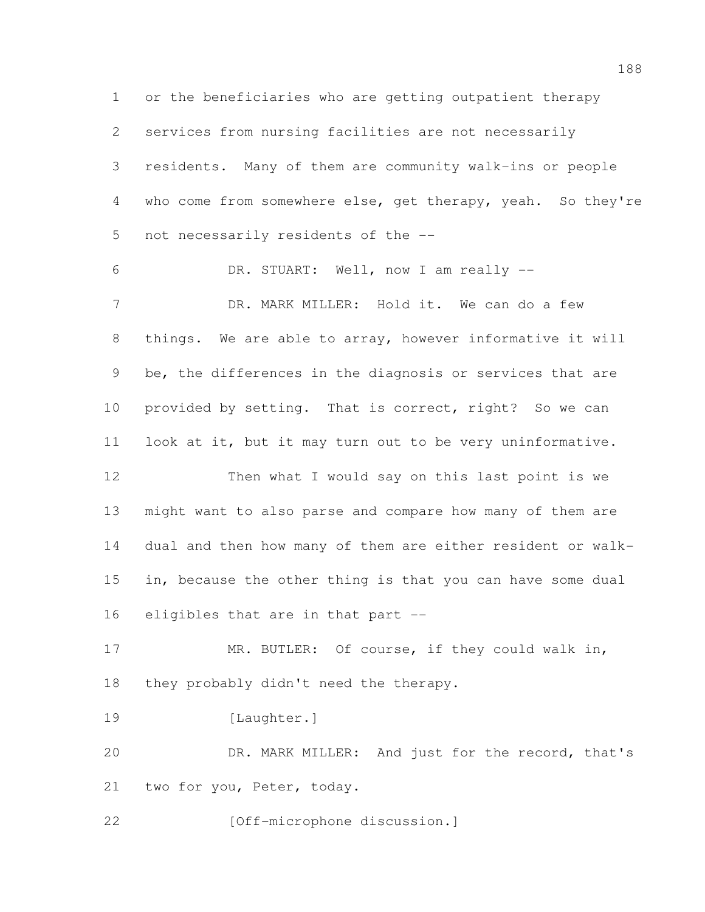or the beneficiaries who are getting outpatient therapy services from nursing facilities are not necessarily residents. Many of them are community walk-ins or people 4 who come from somewhere else, get therapy, yeah. So they're not necessarily residents of the -- DR. STUART: Well, now I am really -- 7 DR. MARK MILLER: Hold it. We can do a few things. We are able to array, however informative it will be, the differences in the diagnosis or services that are provided by setting. That is correct, right? So we can look at it, but it may turn out to be very uninformative. Then what I would say on this last point is we might want to also parse and compare how many of them are dual and then how many of them are either resident or walk-15 in, because the other thing is that you can have some dual eligibles that are in that part -- 17 MR. BUTLER: Of course, if they could walk in, 18 they probably didn't need the therapy. 19 [Laughter.] DR. MARK MILLER: And just for the record, that's two for you, Peter, today. **[Off-microphone discussion.]**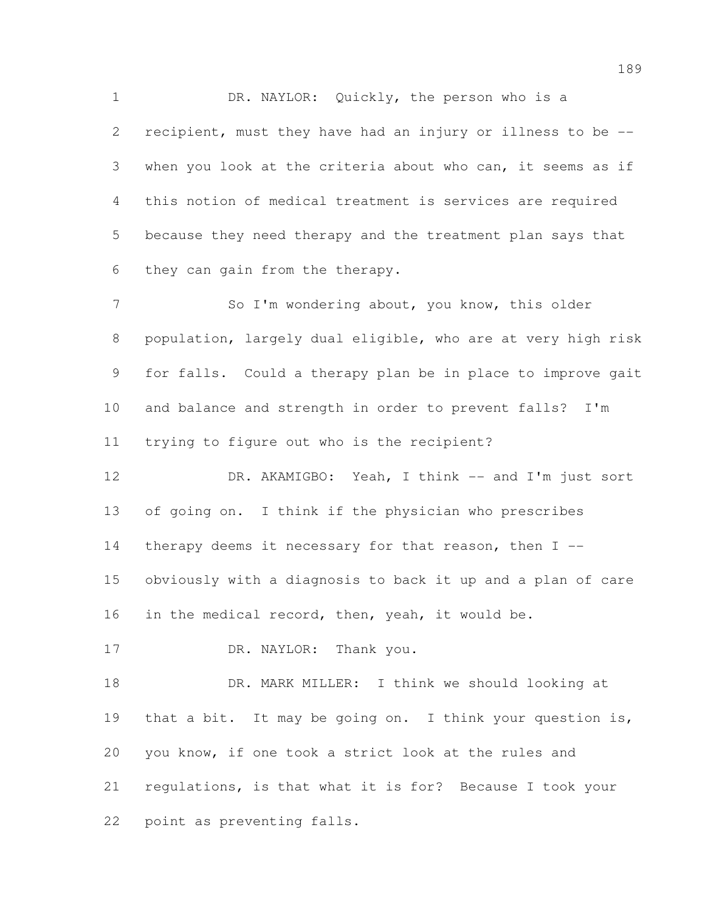DR. NAYLOR: Quickly, the person who is a recipient, must they have had an injury or illness to be -- when you look at the criteria about who can, it seems as if this notion of medical treatment is services are required because they need therapy and the treatment plan says that they can gain from the therapy.

7 So I'm wondering about, you know, this older population, largely dual eligible, who are at very high risk for falls. Could a therapy plan be in place to improve gait and balance and strength in order to prevent falls? I'm trying to figure out who is the recipient?

12 DR. AKAMIGBO: Yeah, I think -- and I'm just sort of going on. I think if the physician who prescribes 14 therapy deems it necessary for that reason, then  $I$  -- obviously with a diagnosis to back it up and a plan of care 16 in the medical record, then, yeah, it would be.

17 DR. NAYLOR: Thank you.

 DR. MARK MILLER: I think we should looking at 19 that a bit. It may be going on. I think your question is, you know, if one took a strict look at the rules and regulations, is that what it is for? Because I took your point as preventing falls.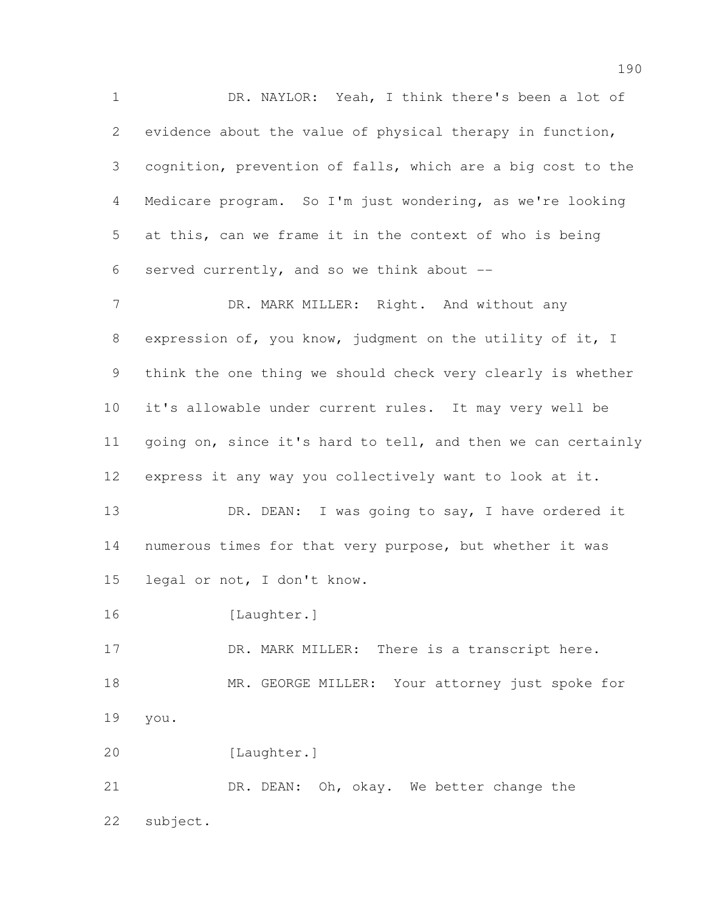DR. NAYLOR: Yeah, I think there's been a lot of evidence about the value of physical therapy in function, cognition, prevention of falls, which are a big cost to the Medicare program. So I'm just wondering, as we're looking at this, can we frame it in the context of who is being 6 served currently, and so we think about  $-$ 

7 DR. MARK MILLER: Right. And without any expression of, you know, judgment on the utility of it, I think the one thing we should check very clearly is whether it's allowable under current rules. It may very well be going on, since it's hard to tell, and then we can certainly express it any way you collectively want to look at it.

13 DR. DEAN: I was going to say, I have ordered it numerous times for that very purpose, but whether it was legal or not, I don't know.

16 [Laughter.]

17 DR. MARK MILLER: There is a transcript here. 18 MR. GEORGE MILLER: Your attorney just spoke for you.

[Laughter.]

21 DR. DEAN: Oh, okay. We better change the subject.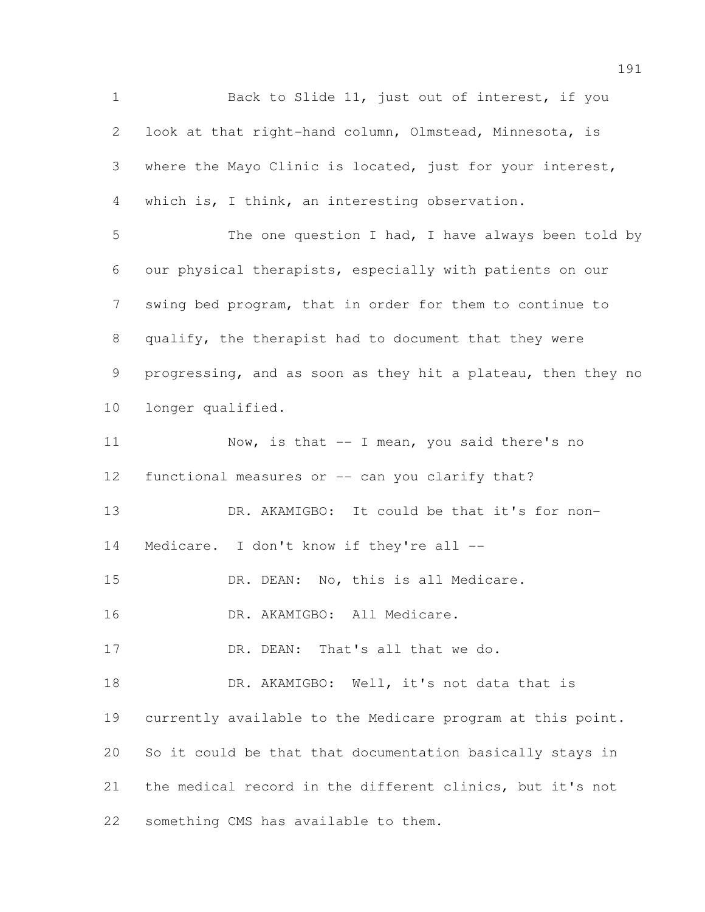1 Back to Slide 11, just out of interest, if you look at that right-hand column, Olmstead, Minnesota, is where the Mayo Clinic is located, just for your interest, which is, I think, an interesting observation. 5 The one question I had, I have always been told by our physical therapists, especially with patients on our swing bed program, that in order for them to continue to qualify, the therapist had to document that they were progressing, and as soon as they hit a plateau, then they no longer qualified. 11 Now, is that -- I mean, you said there's no 12 functional measures or -- can you clarify that? DR. AKAMIGBO: It could be that it's for non-14 Medicare. I don't know if they're all --15 DR. DEAN: No, this is all Medicare. 16 DR. AKAMIGBO: All Medicare. 17 DR. DEAN: That's all that we do. 18 DR. AKAMIGBO: Well, it's not data that is currently available to the Medicare program at this point. So it could be that that documentation basically stays in the medical record in the different clinics, but it's not something CMS has available to them.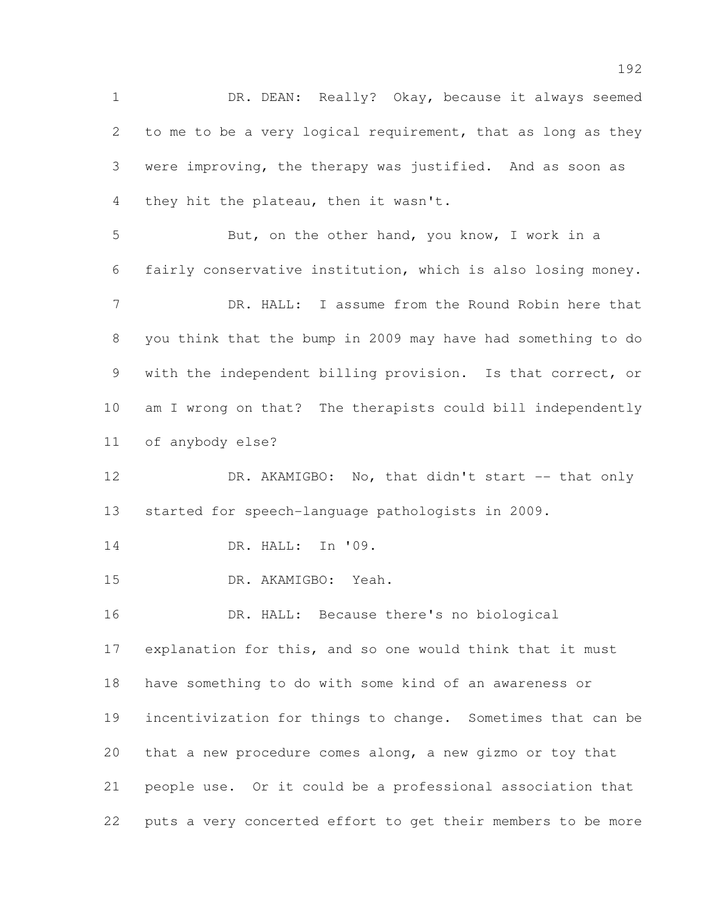DR. DEAN: Really? Okay, because it always seemed to me to be a very logical requirement, that as long as they were improving, the therapy was justified. And as soon as they hit the plateau, then it wasn't. But, on the other hand, you know, I work in a fairly conservative institution, which is also losing money. DR. HALL: I assume from the Round Robin here that you think that the bump in 2009 may have had something to do with the independent billing provision. Is that correct, or am I wrong on that? The therapists could bill independently of anybody else? 12 DR. AKAMIGBO: No, that didn't start -- that only started for speech-language pathologists in 2009. DR. HALL: In '09. DR. AKAMIGBO: Yeah. DR. HALL: Because there's no biological explanation for this, and so one would think that it must have something to do with some kind of an awareness or incentivization for things to change. Sometimes that can be that a new procedure comes along, a new gizmo or toy that people use. Or it could be a professional association that puts a very concerted effort to get their members to be more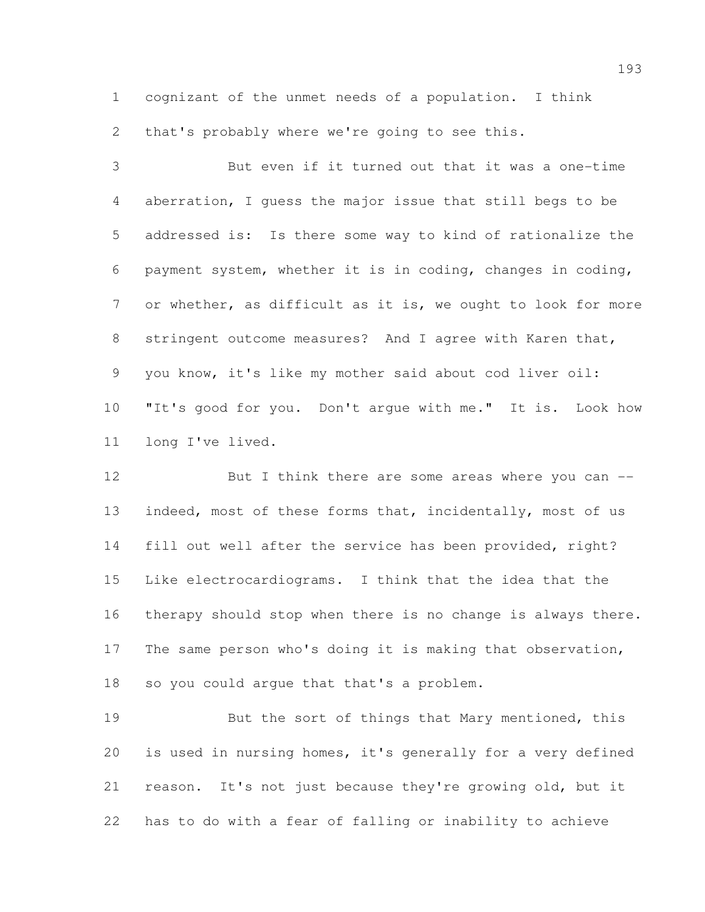cognizant of the unmet needs of a population. I think

that's probably where we're going to see this.

 But even if it turned out that it was a one-time aberration, I guess the major issue that still begs to be addressed is: Is there some way to kind of rationalize the payment system, whether it is in coding, changes in coding, or whether, as difficult as it is, we ought to look for more stringent outcome measures? And I agree with Karen that, you know, it's like my mother said about cod liver oil: "It's good for you. Don't argue with me." It is. Look how long I've lived.

12 But I think there are some areas where you can --13 indeed, most of these forms that, incidentally, most of us fill out well after the service has been provided, right? Like electrocardiograms. I think that the idea that the therapy should stop when there is no change is always there. The same person who's doing it is making that observation, so you could argue that that's a problem.

19 But the sort of things that Mary mentioned, this is used in nursing homes, it's generally for a very defined reason. It's not just because they're growing old, but it has to do with a fear of falling or inability to achieve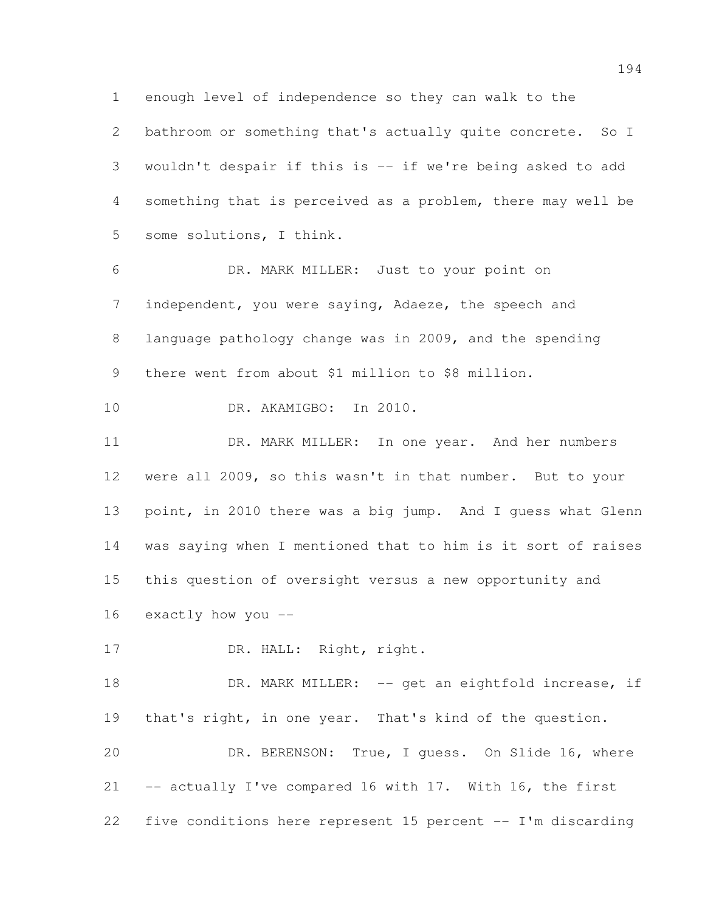enough level of independence so they can walk to the bathroom or something that's actually quite concrete. So I wouldn't despair if this is -- if we're being asked to add something that is perceived as a problem, there may well be some solutions, I think.

 DR. MARK MILLER: Just to your point on independent, you were saying, Adaeze, the speech and language pathology change was in 2009, and the spending there went from about \$1 million to \$8 million.

DR. AKAMIGBO: In 2010.

11 DR. MARK MILLER: In one year. And her numbers were all 2009, so this wasn't in that number. But to your point, in 2010 there was a big jump. And I guess what Glenn was saying when I mentioned that to him is it sort of raises this question of oversight versus a new opportunity and exactly how you --

17 DR. HALL: Right, right.

18 DR. MARK MILLER: -- get an eightfold increase, if that's right, in one year. That's kind of the question.

 DR. BERENSON: True, I guess. On Slide 16, where -- actually I've compared 16 with 17. With 16, the first five conditions here represent 15 percent -- I'm discarding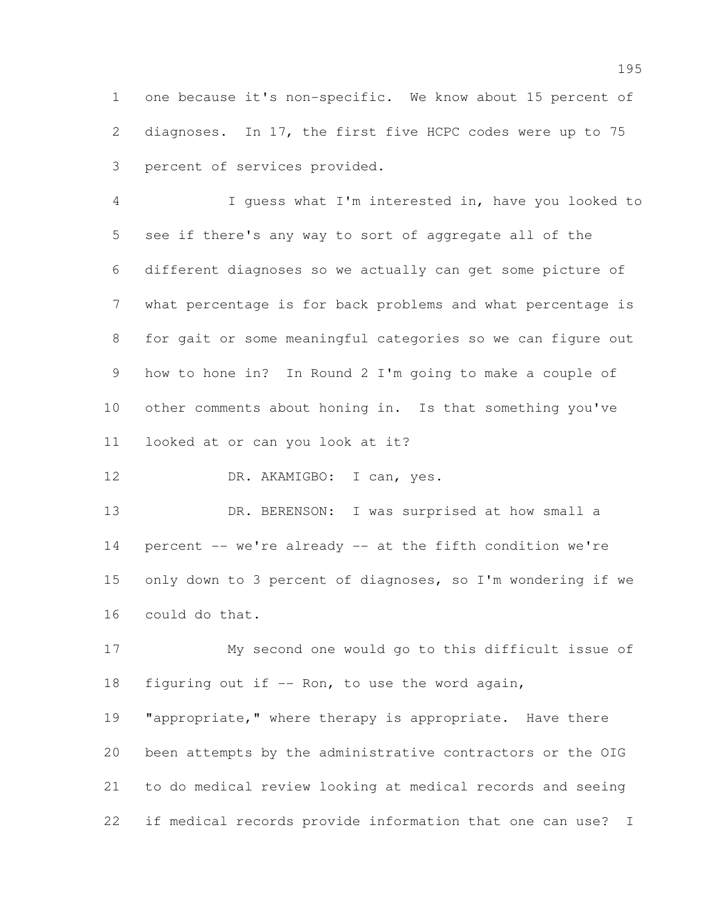one because it's non-specific. We know about 15 percent of diagnoses. In 17, the first five HCPC codes were up to 75 percent of services provided.

 I guess what I'm interested in, have you looked to see if there's any way to sort of aggregate all of the different diagnoses so we actually can get some picture of what percentage is for back problems and what percentage is for gait or some meaningful categories so we can figure out how to hone in? In Round 2 I'm going to make a couple of other comments about honing in. Is that something you've looked at or can you look at it?

12 DR. AKAMIGBO: I can, yes.

 DR. BERENSON: I was surprised at how small a percent -- we're already -- at the fifth condition we're only down to 3 percent of diagnoses, so I'm wondering if we could do that.

 My second one would go to this difficult issue of 18 figuring out if -- Ron, to use the word again,

19 "appropriate," where therapy is appropriate. Have there been attempts by the administrative contractors or the OIG to do medical review looking at medical records and seeing if medical records provide information that one can use? I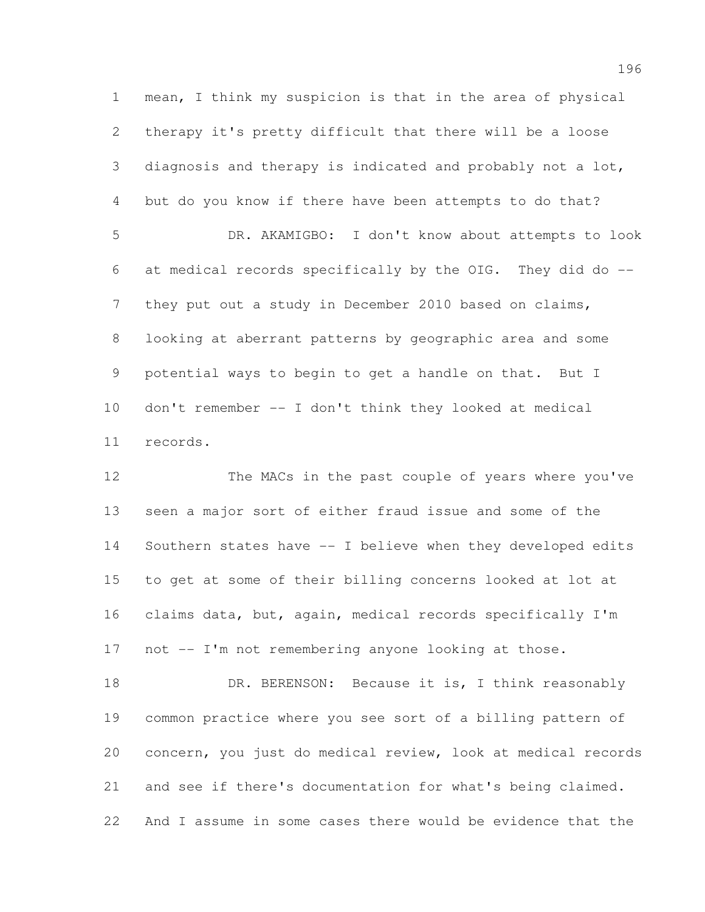mean, I think my suspicion is that in the area of physical therapy it's pretty difficult that there will be a loose diagnosis and therapy is indicated and probably not a lot, but do you know if there have been attempts to do that? DR. AKAMIGBO: I don't know about attempts to look at medical records specifically by the OIG. They did do -- 7 they put out a study in December 2010 based on claims, looking at aberrant patterns by geographic area and some potential ways to begin to get a handle on that. But I don't remember -- I don't think they looked at medical records.

 The MACs in the past couple of years where you've seen a major sort of either fraud issue and some of the Southern states have -- I believe when they developed edits to get at some of their billing concerns looked at lot at claims data, but, again, medical records specifically I'm not -- I'm not remembering anyone looking at those.

18 DR. BERENSON: Because it is, I think reasonably common practice where you see sort of a billing pattern of concern, you just do medical review, look at medical records and see if there's documentation for what's being claimed. And I assume in some cases there would be evidence that the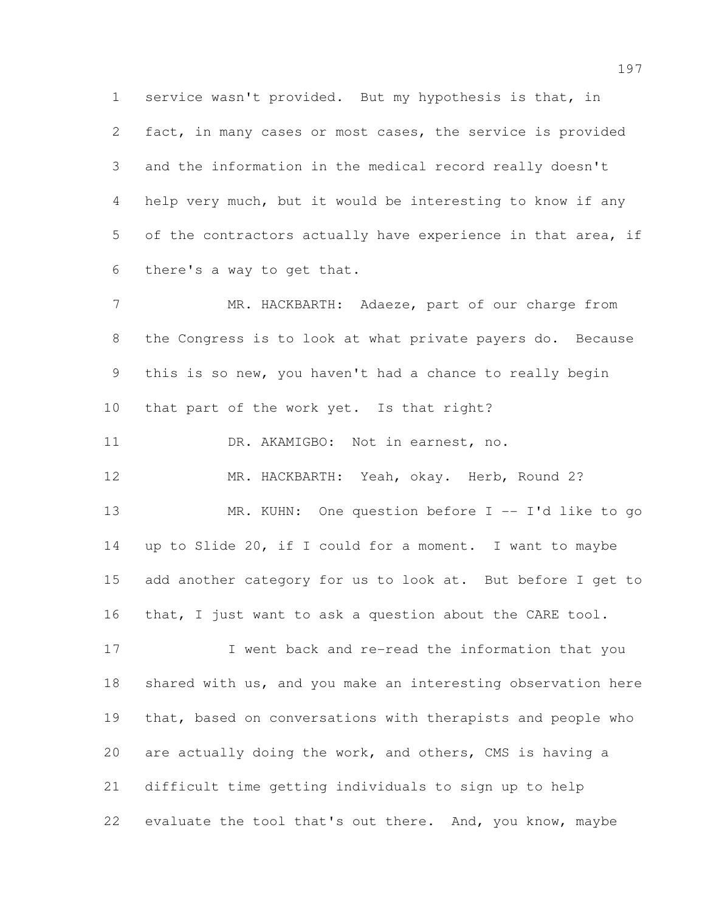service wasn't provided. But my hypothesis is that, in fact, in many cases or most cases, the service is provided and the information in the medical record really doesn't help very much, but it would be interesting to know if any of the contractors actually have experience in that area, if there's a way to get that.

 MR. HACKBARTH: Adaeze, part of our charge from the Congress is to look at what private payers do. Because this is so new, you haven't had a chance to really begin that part of the work yet. Is that right?

11 DR. AKAMIGBO: Not in earnest, no.

MR. HACKBARTH: Yeah, okay. Herb, Round 2?

 MR. KUHN: One question before I -- I'd like to go up to Slide 20, if I could for a moment. I want to maybe add another category for us to look at. But before I get to that, I just want to ask a question about the CARE tool.

17 I went back and re-read the information that you shared with us, and you make an interesting observation here 19 that, based on conversations with therapists and people who are actually doing the work, and others, CMS is having a difficult time getting individuals to sign up to help evaluate the tool that's out there. And, you know, maybe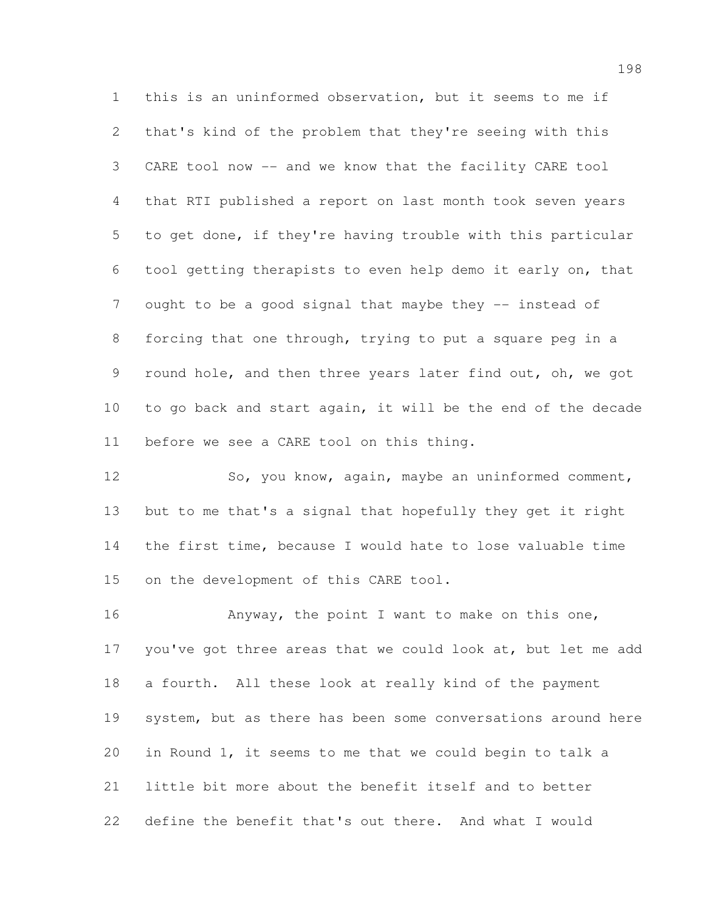this is an uninformed observation, but it seems to me if that's kind of the problem that they're seeing with this CARE tool now -- and we know that the facility CARE tool that RTI published a report on last month took seven years to get done, if they're having trouble with this particular tool getting therapists to even help demo it early on, that 7 ought to be a good signal that maybe they -- instead of forcing that one through, trying to put a square peg in a round hole, and then three years later find out, oh, we got to go back and start again, it will be the end of the decade before we see a CARE tool on this thing.

 So, you know, again, maybe an uninformed comment, but to me that's a signal that hopefully they get it right the first time, because I would hate to lose valuable time on the development of this CARE tool.

16 Anyway, the point I want to make on this one, 17 you've got three areas that we could look at, but let me add a fourth. All these look at really kind of the payment system, but as there has been some conversations around here in Round 1, it seems to me that we could begin to talk a little bit more about the benefit itself and to better define the benefit that's out there. And what I would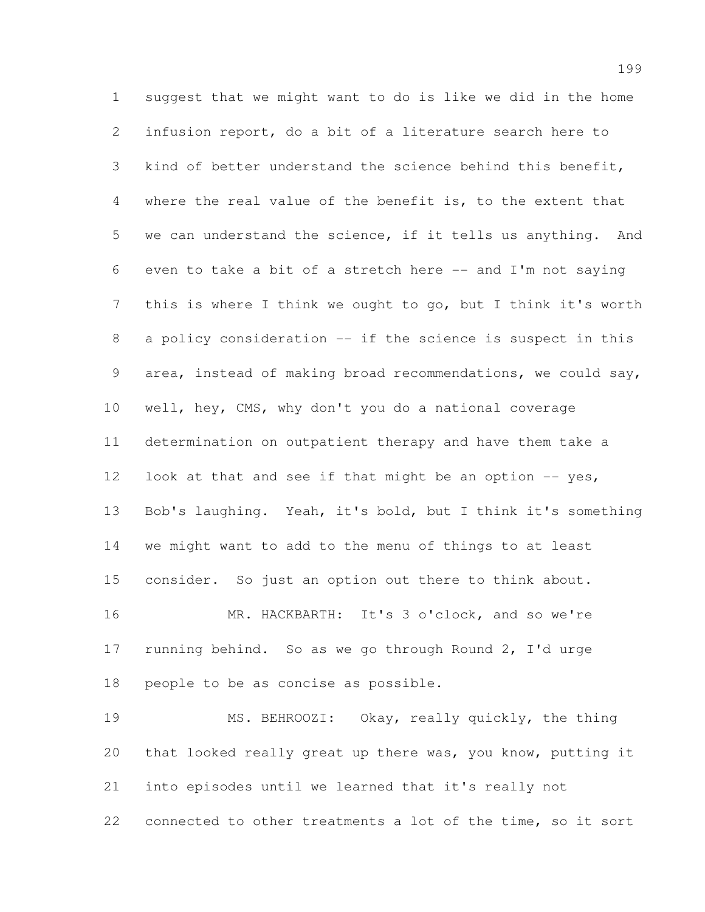suggest that we might want to do is like we did in the home infusion report, do a bit of a literature search here to kind of better understand the science behind this benefit, where the real value of the benefit is, to the extent that we can understand the science, if it tells us anything. And even to take a bit of a stretch here -- and I'm not saying this is where I think we ought to go, but I think it's worth 8 a policy consideration -- if the science is suspect in this area, instead of making broad recommendations, we could say, well, hey, CMS, why don't you do a national coverage determination on outpatient therapy and have them take a 12 look at that and see if that might be an option -- yes, Bob's laughing. Yeah, it's bold, but I think it's something we might want to add to the menu of things to at least consider. So just an option out there to think about. MR. HACKBARTH: It's 3 o'clock, and so we're running behind. So as we go through Round 2, I'd urge people to be as concise as possible. MS. BEHROOZI: Okay, really quickly, the thing

 that looked really great up there was, you know, putting it into episodes until we learned that it's really not connected to other treatments a lot of the time, so it sort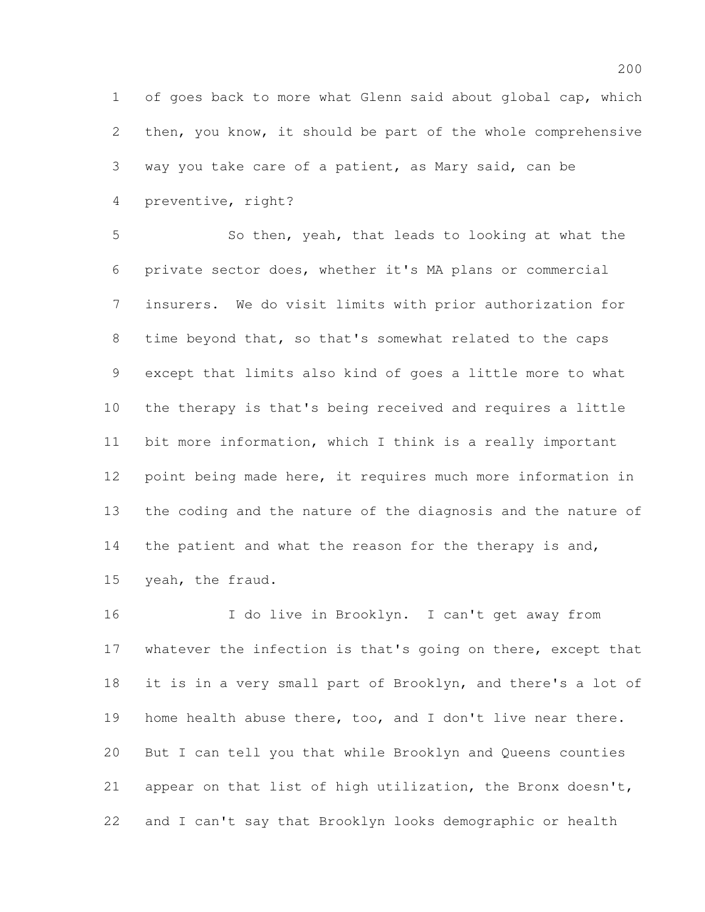of goes back to more what Glenn said about global cap, which then, you know, it should be part of the whole comprehensive way you take care of a patient, as Mary said, can be preventive, right?

 So then, yeah, that leads to looking at what the private sector does, whether it's MA plans or commercial insurers. We do visit limits with prior authorization for time beyond that, so that's somewhat related to the caps except that limits also kind of goes a little more to what the therapy is that's being received and requires a little bit more information, which I think is a really important point being made here, it requires much more information in the coding and the nature of the diagnosis and the nature of 14 the patient and what the reason for the therapy is and, yeah, the fraud.

 I do live in Brooklyn. I can't get away from 17 whatever the infection is that's going on there, except that it is in a very small part of Brooklyn, and there's a lot of home health abuse there, too, and I don't live near there. But I can tell you that while Brooklyn and Queens counties appear on that list of high utilization, the Bronx doesn't, and I can't say that Brooklyn looks demographic or health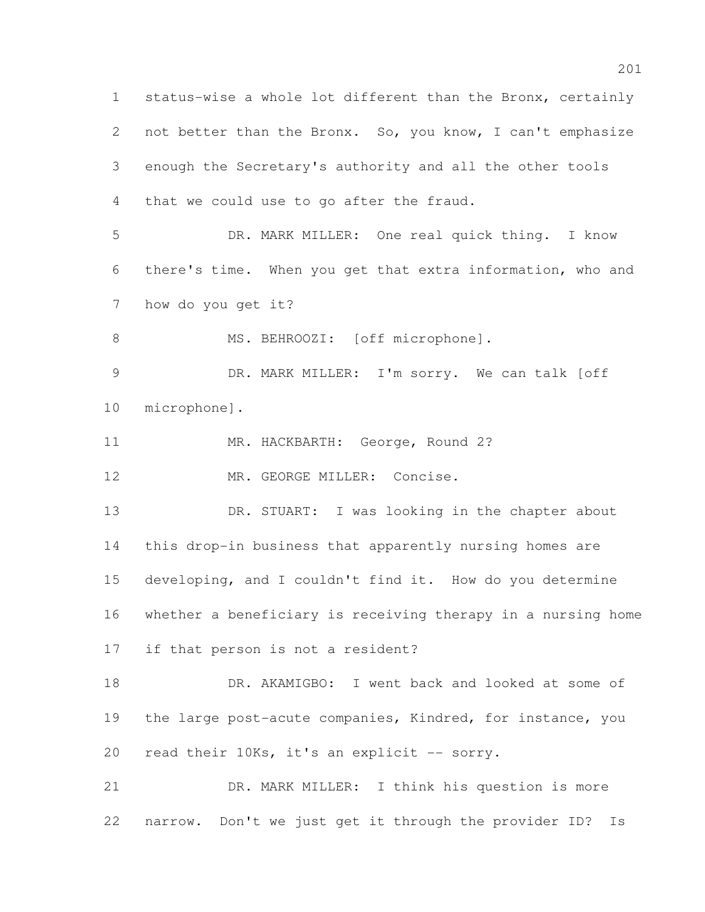status-wise a whole lot different than the Bronx, certainly 2 not better than the Bronx. So, you know, I can't emphasize enough the Secretary's authority and all the other tools that we could use to go after the fraud. DR. MARK MILLER: One real quick thing. I know there's time. When you get that extra information, who and how do you get it? 8 MS. BEHROOZI: [off microphone]. DR. MARK MILLER: I'm sorry. We can talk [off microphone]. 11 MR. HACKBARTH: George, Round 2? 12 MR. GEORGE MILLER: Concise. DR. STUART: I was looking in the chapter about this drop-in business that apparently nursing homes are developing, and I couldn't find it. How do you determine whether a beneficiary is receiving therapy in a nursing home if that person is not a resident? DR. AKAMIGBO: I went back and looked at some of 19 the large post-acute companies, Kindred, for instance, you 20 read their 10Ks, it's an explicit -- sorry. DR. MARK MILLER: I think his question is more narrow. Don't we just get it through the provider ID? Is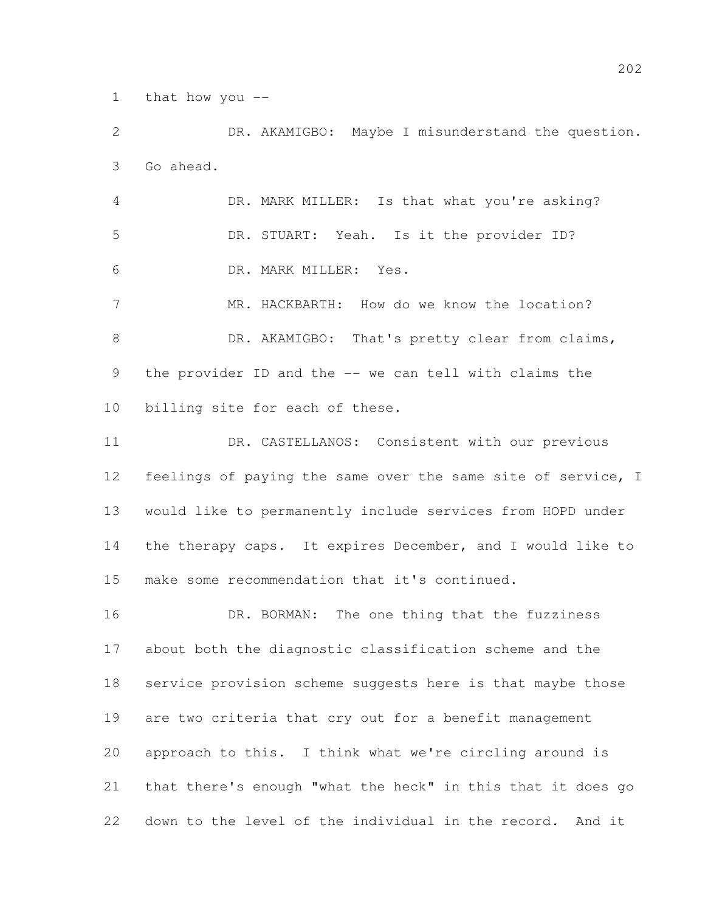that how you --

 DR. AKAMIGBO: Maybe I misunderstand the question. Go ahead.

 DR. MARK MILLER: Is that what you're asking? DR. STUART: Yeah. Is it the provider ID? DR. MARK MILLER: Yes.

7 MR. HACKBARTH: How do we know the location? 8 DR. AKAMIGBO: That's pretty clear from claims, the provider ID and the -- we can tell with claims the billing site for each of these.

 DR. CASTELLANOS: Consistent with our previous feelings of paying the same over the same site of service, I would like to permanently include services from HOPD under 14 the therapy caps. It expires December, and I would like to make some recommendation that it's continued.

16 DR. BORMAN: The one thing that the fuzziness about both the diagnostic classification scheme and the service provision scheme suggests here is that maybe those are two criteria that cry out for a benefit management approach to this. I think what we're circling around is that there's enough "what the heck" in this that it does go down to the level of the individual in the record. And it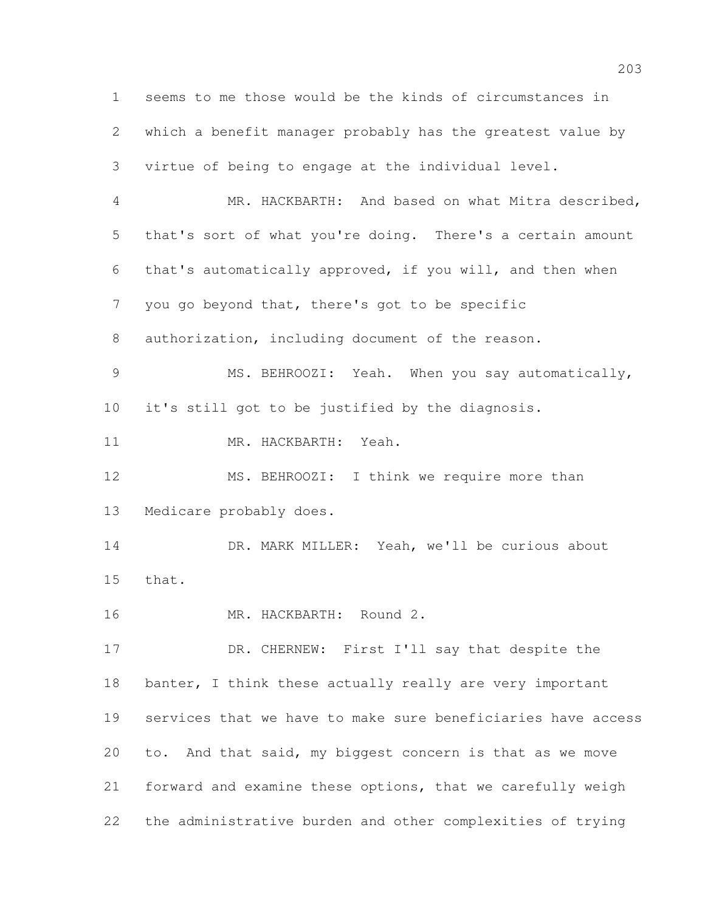seems to me those would be the kinds of circumstances in which a benefit manager probably has the greatest value by virtue of being to engage at the individual level. MR. HACKBARTH: And based on what Mitra described, that's sort of what you're doing. There's a certain amount that's automatically approved, if you will, and then when you go beyond that, there's got to be specific authorization, including document of the reason. MS. BEHROOZI: Yeah. When you say automatically, it's still got to be justified by the diagnosis. MR. HACKBARTH: Yeah. 12 MS. BEHROOZI: I think we require more than Medicare probably does. 14 DR. MARK MILLER: Yeah, we'll be curious about that. MR. HACKBARTH: Round 2. 17 DR. CHERNEW: First I'll say that despite the 18 banter, I think these actually really are very important services that we have to make sure beneficiaries have access to. And that said, my biggest concern is that as we move forward and examine these options, that we carefully weigh the administrative burden and other complexities of trying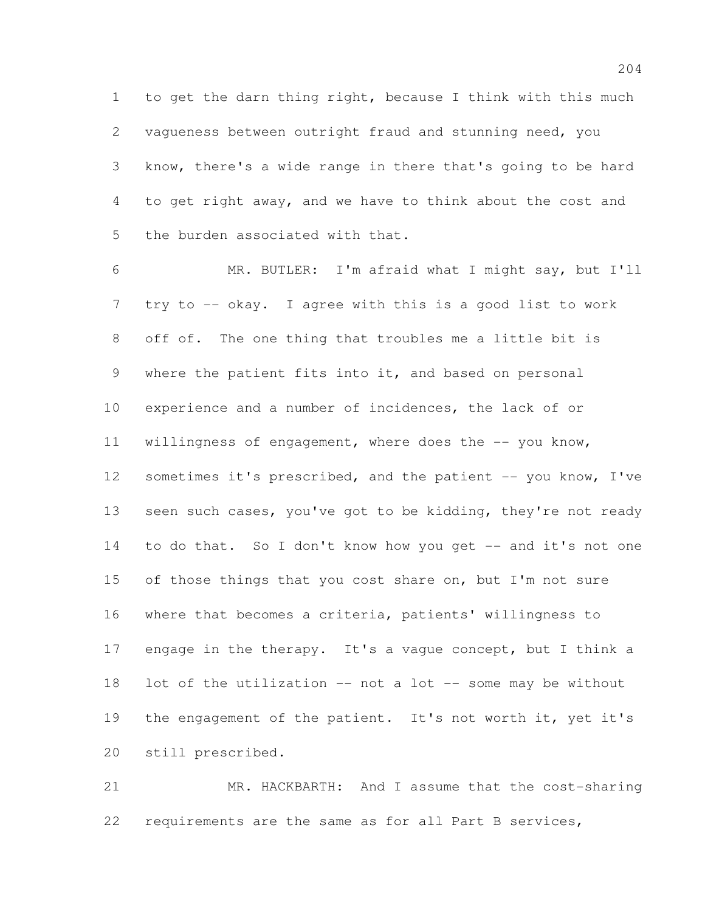to get the darn thing right, because I think with this much vagueness between outright fraud and stunning need, you know, there's a wide range in there that's going to be hard to get right away, and we have to think about the cost and the burden associated with that.

 MR. BUTLER: I'm afraid what I might say, but I'll try to -- okay. I agree with this is a good list to work off of. The one thing that troubles me a little bit is where the patient fits into it, and based on personal experience and a number of incidences, the lack of or 11 willingness of engagement, where does the -- you know, 12 sometimes it's prescribed, and the patient -- you know, I've 13 seen such cases, you've got to be kidding, they're not ready to do that. So I don't know how you get -- and it's not one 15 of those things that you cost share on, but I'm not sure where that becomes a criteria, patients' willingness to 17 engage in the therapy. It's a vague concept, but I think a lot of the utilization -- not a lot -- some may be without 19 the engagement of the patient. It's not worth it, yet it's still prescribed.

 MR. HACKBARTH: And I assume that the cost-sharing requirements are the same as for all Part B services,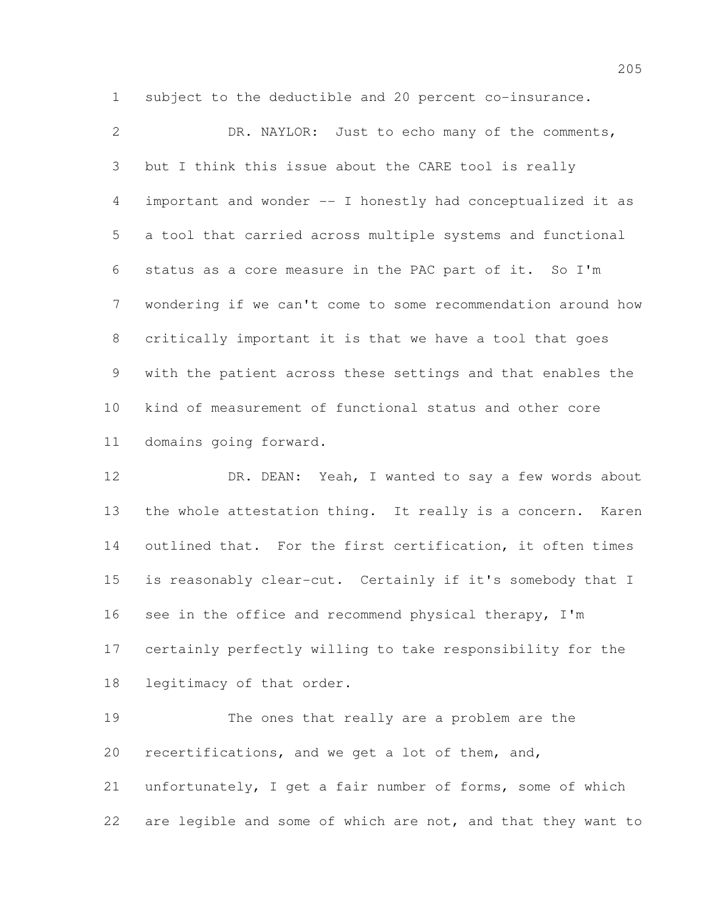DR. NAYLOR: Just to echo many of the comments, but I think this issue about the CARE tool is really important and wonder -- I honestly had conceptualized it as a tool that carried across multiple systems and functional status as a core measure in the PAC part of it. So I'm wondering if we can't come to some recommendation around how critically important it is that we have a tool that goes with the patient across these settings and that enables the kind of measurement of functional status and other core domains going forward.

subject to the deductible and 20 percent co-insurance.

12 DR. DEAN: Yeah, I wanted to say a few words about the whole attestation thing. It really is a concern. Karen outlined that. For the first certification, it often times is reasonably clear-cut. Certainly if it's somebody that I see in the office and recommend physical therapy, I'm certainly perfectly willing to take responsibility for the legitimacy of that order.

 The ones that really are a problem are the recertifications, and we get a lot of them, and, unfortunately, I get a fair number of forms, some of which are legible and some of which are not, and that they want to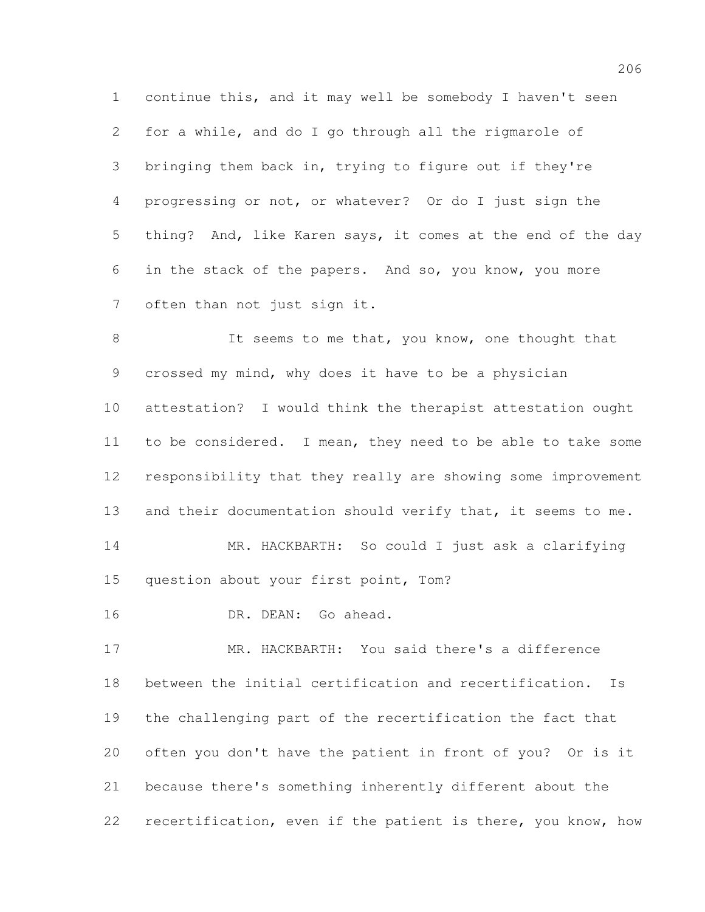continue this, and it may well be somebody I haven't seen for a while, and do I go through all the rigmarole of bringing them back in, trying to figure out if they're progressing or not, or whatever? Or do I just sign the thing? And, like Karen says, it comes at the end of the day in the stack of the papers. And so, you know, you more often than not just sign it.

8 It seems to me that, you know, one thought that crossed my mind, why does it have to be a physician attestation? I would think the therapist attestation ought 11 to be considered. I mean, they need to be able to take some responsibility that they really are showing some improvement 13 and their documentation should verify that, it seems to me. MR. HACKBARTH: So could I just ask a clarifying question about your first point, Tom?

DR. DEAN: Go ahead.

 MR. HACKBARTH: You said there's a difference between the initial certification and recertification. Is the challenging part of the recertification the fact that often you don't have the patient in front of you? Or is it because there's something inherently different about the recertification, even if the patient is there, you know, how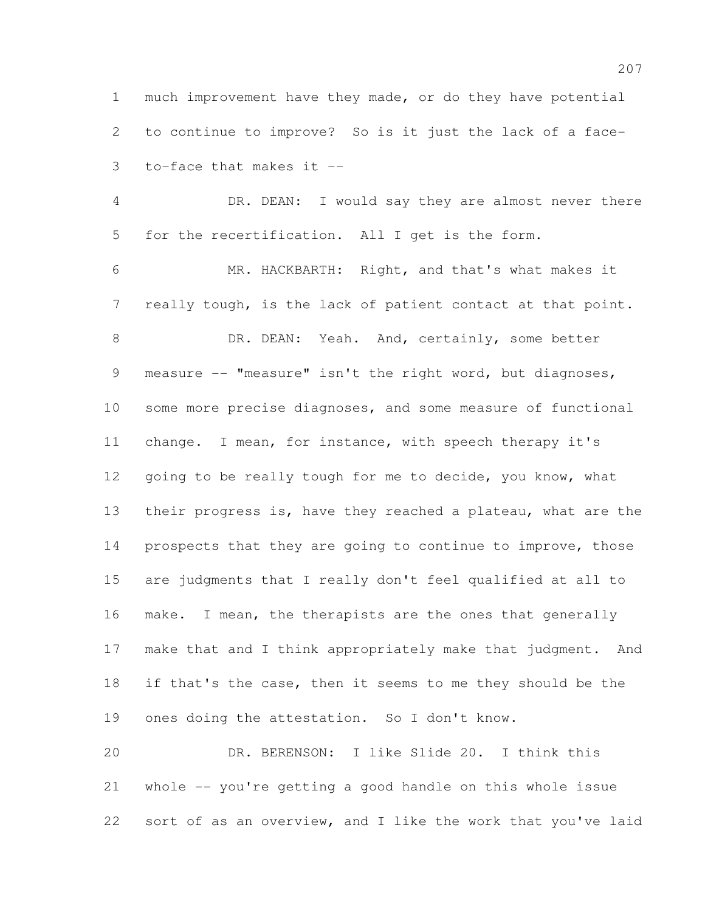much improvement have they made, or do they have potential to continue to improve? So is it just the lack of a face-to-face that makes it --

 DR. DEAN: I would say they are almost never there for the recertification. All I get is the form.

 MR. HACKBARTH: Right, and that's what makes it really tough, is the lack of patient contact at that point. 8 DR. DEAN: Yeah. And, certainly, some better measure -- "measure" isn't the right word, but diagnoses, some more precise diagnoses, and some measure of functional change. I mean, for instance, with speech therapy it's 12 going to be really tough for me to decide, you know, what their progress is, have they reached a plateau, what are the 14 prospects that they are going to continue to improve, those are judgments that I really don't feel qualified at all to make. I mean, the therapists are the ones that generally make that and I think appropriately make that judgment. And if that's the case, then it seems to me they should be the ones doing the attestation. So I don't know.

 DR. BERENSON: I like Slide 20. I think this whole -- you're getting a good handle on this whole issue sort of as an overview, and I like the work that you've laid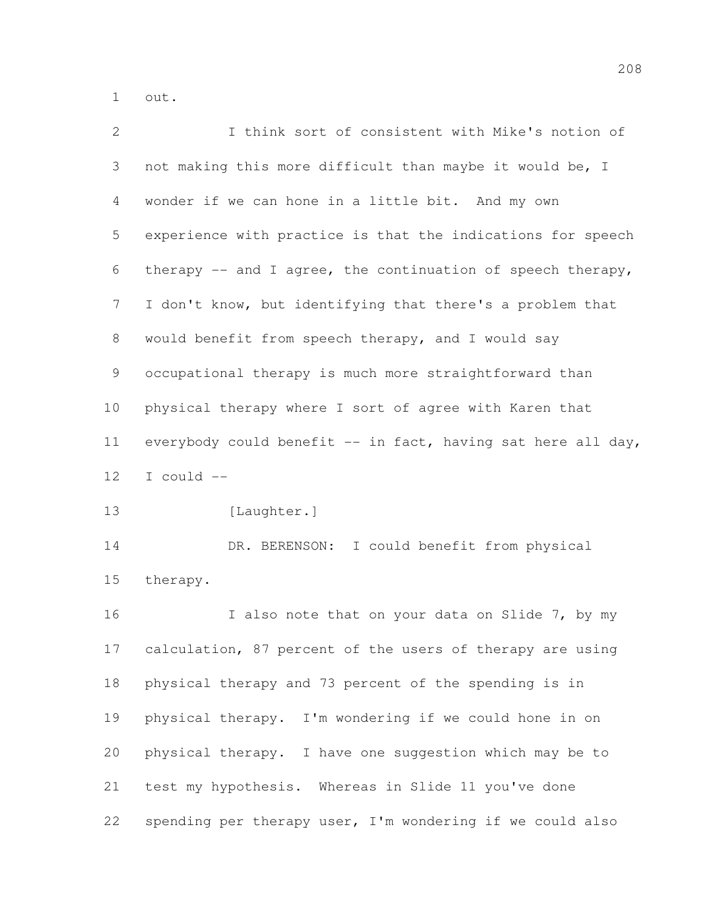out.

| $\mathbf{2}$    | I think sort of consistent with Mike's notion of              |
|-----------------|---------------------------------------------------------------|
| 3               | not making this more difficult than maybe it would be, I      |
| 4               | wonder if we can hone in a little bit. And my own             |
| 5               | experience with practice is that the indications for speech   |
| 6               | therapy $--$ and I agree, the continuation of speech therapy, |
| 7               | I don't know, but identifying that there's a problem that     |
| 8               | would benefit from speech therapy, and I would say            |
| 9               | occupational therapy is much more straightforward than        |
| 10 <sub>o</sub> | physical therapy where I sort of agree with Karen that        |
| 11              | everybody could benefit -- in fact, having sat here all day,  |
| 12              | I could --                                                    |
| 13              | [Laughter.]                                                   |
| 14              | DR. BERENSON: I could benefit from physical                   |
| 15              | therapy.                                                      |
| 16              | I also note that on your data on Slide 7, by my               |
| 17              | calculation, 87 percent of the users of therapy are using     |
| 18              | physical therapy and 73 percent of the spending is in         |
| 19              | physical therapy. I'm wondering if we could hone in on        |
| 20              | physical therapy. I have one suggestion which may be to       |
| 21              | test my hypothesis. Whereas in Slide 11 you've done           |
| 22              | spending per therapy user, I'm wondering if we could also     |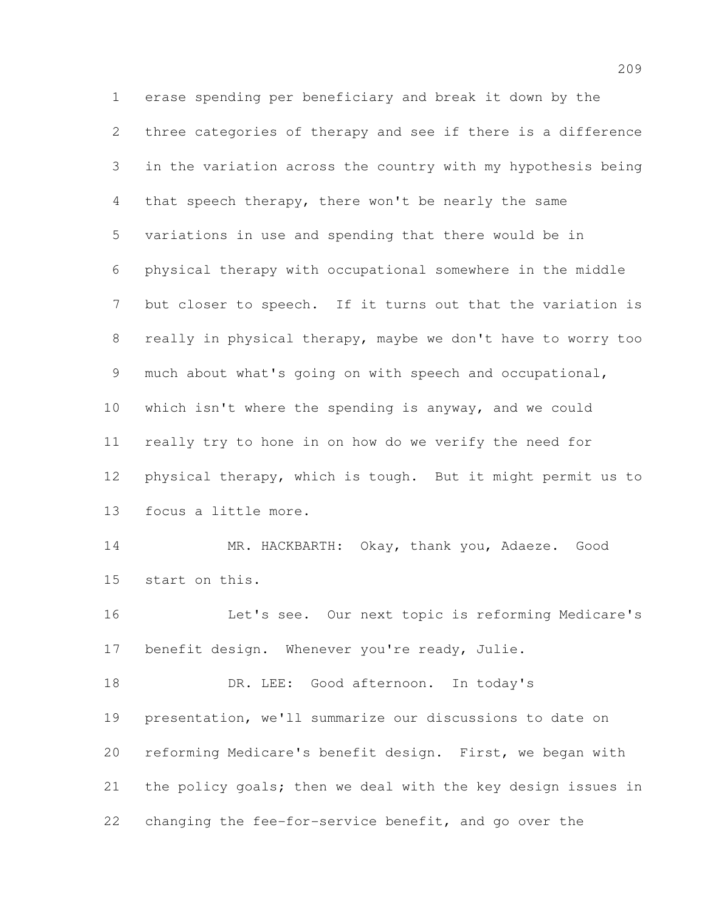erase spending per beneficiary and break it down by the three categories of therapy and see if there is a difference in the variation across the country with my hypothesis being that speech therapy, there won't be nearly the same variations in use and spending that there would be in physical therapy with occupational somewhere in the middle but closer to speech. If it turns out that the variation is really in physical therapy, maybe we don't have to worry too much about what's going on with speech and occupational, which isn't where the spending is anyway, and we could really try to hone in on how do we verify the need for physical therapy, which is tough. But it might permit us to focus a little more. MR. HACKBARTH: Okay, thank you, Adaeze. Good start on this. Let's see. Our next topic is reforming Medicare's benefit design. Whenever you're ready, Julie. 18 DR. LEE: Good afternoon. In today's presentation, we'll summarize our discussions to date on reforming Medicare's benefit design. First, we began with the policy goals; then we deal with the key design issues in changing the fee-for-service benefit, and go over the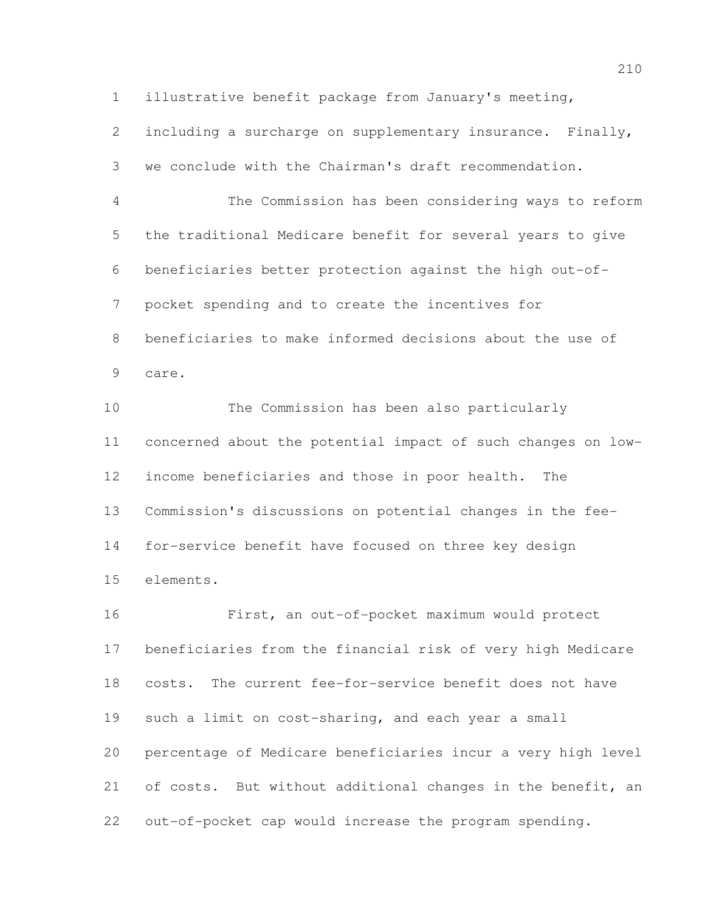illustrative benefit package from January's meeting,

 including a surcharge on supplementary insurance. Finally, we conclude with the Chairman's draft recommendation.

 The Commission has been considering ways to reform the traditional Medicare benefit for several years to give beneficiaries better protection against the high out-of- pocket spending and to create the incentives for beneficiaries to make informed decisions about the use of care.

 The Commission has been also particularly concerned about the potential impact of such changes on low- income beneficiaries and those in poor health. The Commission's discussions on potential changes in the fee- for-service benefit have focused on three key design elements.

 First, an out-of-pocket maximum would protect beneficiaries from the financial risk of very high Medicare costs. The current fee-for-service benefit does not have such a limit on cost-sharing, and each year a small percentage of Medicare beneficiaries incur a very high level of costs. But without additional changes in the benefit, an out-of-pocket cap would increase the program spending.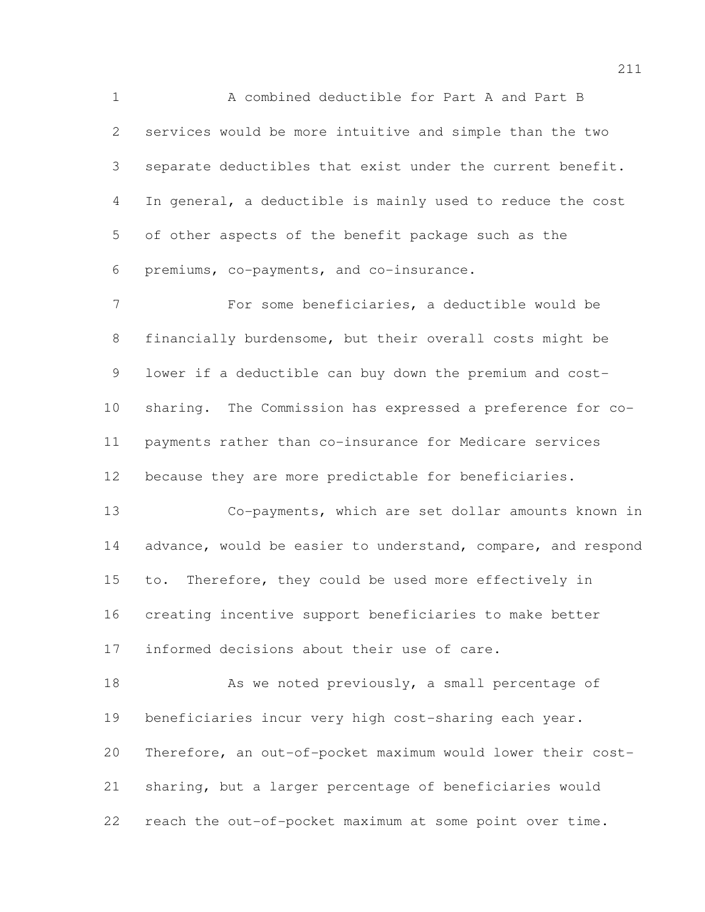A combined deductible for Part A and Part B services would be more intuitive and simple than the two separate deductibles that exist under the current benefit. In general, a deductible is mainly used to reduce the cost of other aspects of the benefit package such as the premiums, co-payments, and co-insurance.

 For some beneficiaries, a deductible would be financially burdensome, but their overall costs might be lower if a deductible can buy down the premium and cost- sharing. The Commission has expressed a preference for co- payments rather than co-insurance for Medicare services because they are more predictable for beneficiaries.

 Co-payments, which are set dollar amounts known in 14 advance, would be easier to understand, compare, and respond to. Therefore, they could be used more effectively in creating incentive support beneficiaries to make better informed decisions about their use of care.

18 As we noted previously, a small percentage of beneficiaries incur very high cost-sharing each year. Therefore, an out-of-pocket maximum would lower their cost- sharing, but a larger percentage of beneficiaries would reach the out-of-pocket maximum at some point over time.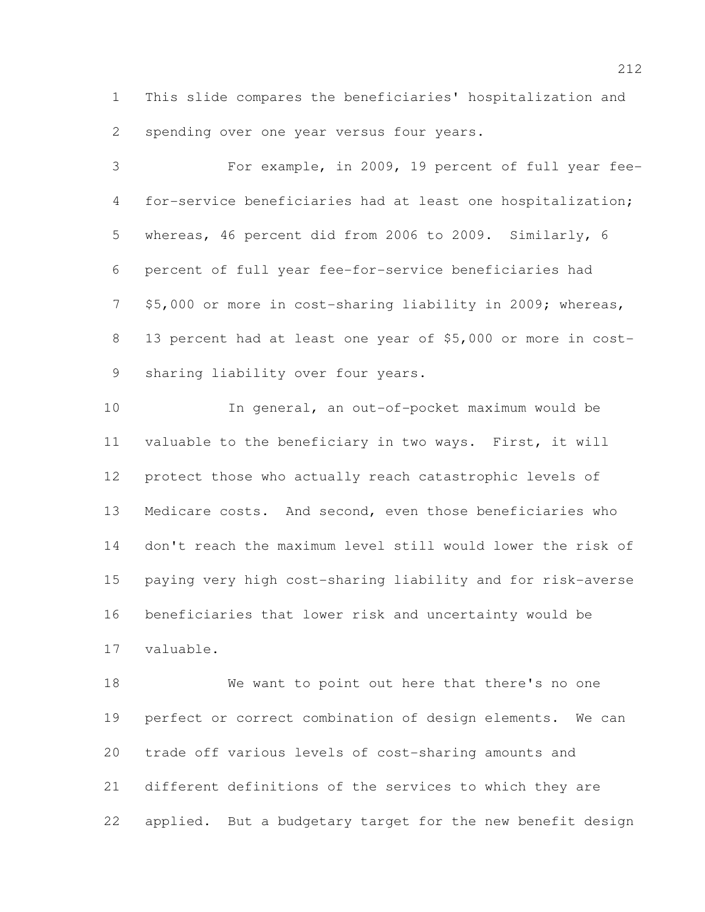This slide compares the beneficiaries' hospitalization and spending over one year versus four years.

 For example, in 2009, 19 percent of full year fee- for-service beneficiaries had at least one hospitalization; whereas, 46 percent did from 2006 to 2009. Similarly, 6 percent of full year fee-for-service beneficiaries had \$5,000 or more in cost-sharing liability in 2009; whereas, 13 percent had at least one year of \$5,000 or more in cost-sharing liability over four years.

 In general, an out-of-pocket maximum would be valuable to the beneficiary in two ways. First, it will protect those who actually reach catastrophic levels of Medicare costs. And second, even those beneficiaries who don't reach the maximum level still would lower the risk of paying very high cost-sharing liability and for risk-averse beneficiaries that lower risk and uncertainty would be valuable.

 We want to point out here that there's no one perfect or correct combination of design elements. We can trade off various levels of cost-sharing amounts and different definitions of the services to which they are applied. But a budgetary target for the new benefit design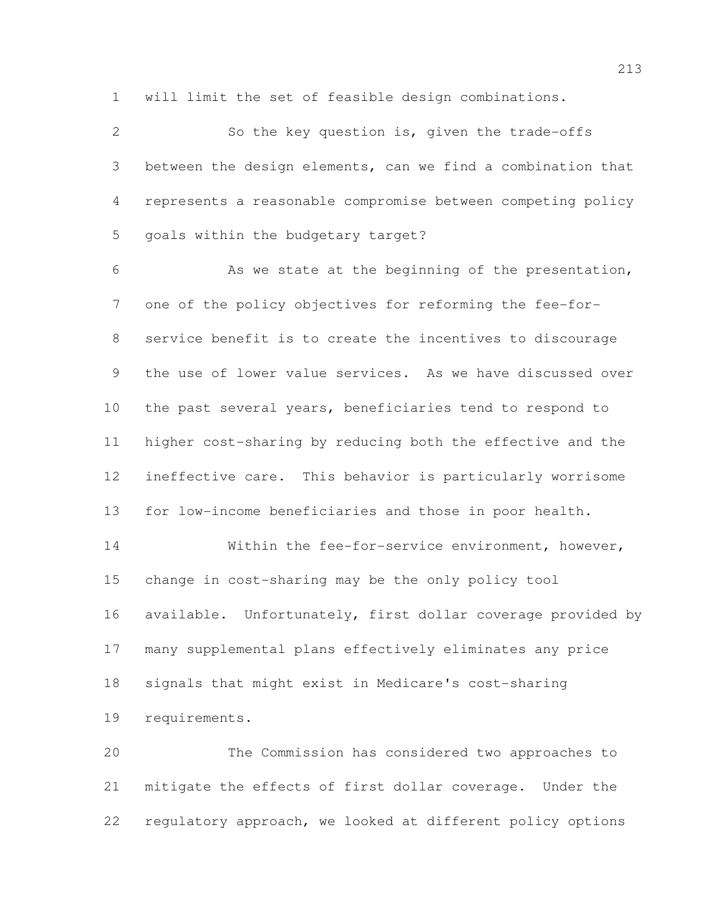will limit the set of feasible design combinations.

 So the key question is, given the trade-offs between the design elements, can we find a combination that represents a reasonable compromise between competing policy goals within the budgetary target? 6 As we state at the beginning of the presentation, one of the policy objectives for reforming the fee-for- service benefit is to create the incentives to discourage the use of lower value services. As we have discussed over the past several years, beneficiaries tend to respond to higher cost-sharing by reducing both the effective and the ineffective care. This behavior is particularly worrisome for low-income beneficiaries and those in poor health. Within the fee-for-service environment, however, change in cost-sharing may be the only policy tool available. Unfortunately, first dollar coverage provided by many supplemental plans effectively eliminates any price signals that might exist in Medicare's cost-sharing requirements. The Commission has considered two approaches to mitigate the effects of first dollar coverage. Under the

regulatory approach, we looked at different policy options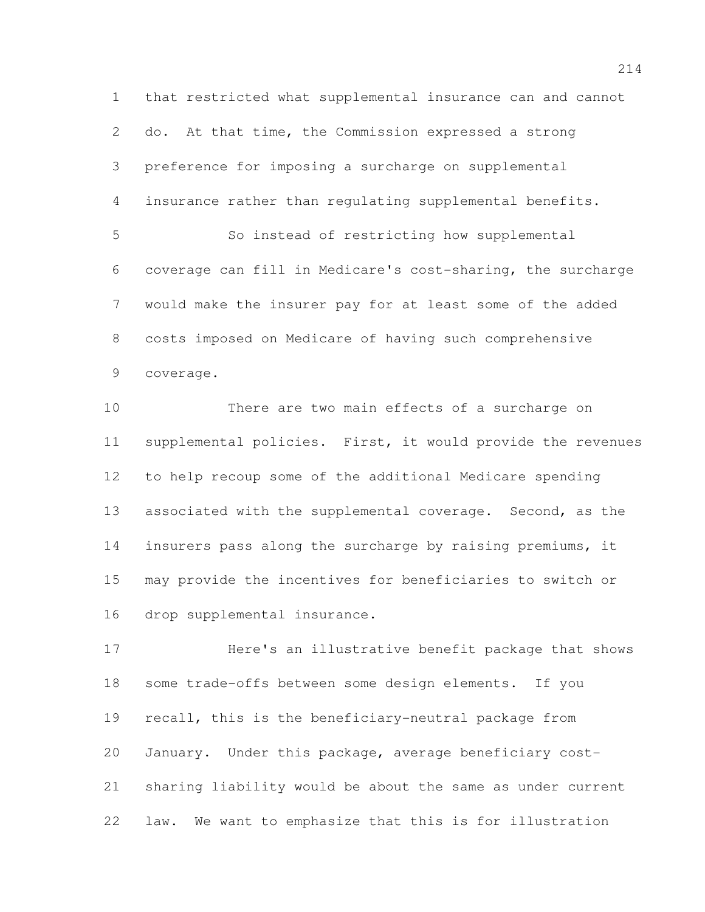that restricted what supplemental insurance can and cannot do. At that time, the Commission expressed a strong preference for imposing a surcharge on supplemental insurance rather than regulating supplemental benefits. So instead of restricting how supplemental coverage can fill in Medicare's cost-sharing, the surcharge would make the insurer pay for at least some of the added costs imposed on Medicare of having such comprehensive coverage.

 There are two main effects of a surcharge on supplemental policies. First, it would provide the revenues to help recoup some of the additional Medicare spending associated with the supplemental coverage. Second, as the insurers pass along the surcharge by raising premiums, it may provide the incentives for beneficiaries to switch or drop supplemental insurance.

 Here's an illustrative benefit package that shows some trade-offs between some design elements. If you recall, this is the beneficiary-neutral package from January. Under this package, average beneficiary cost- sharing liability would be about the same as under current law. We want to emphasize that this is for illustration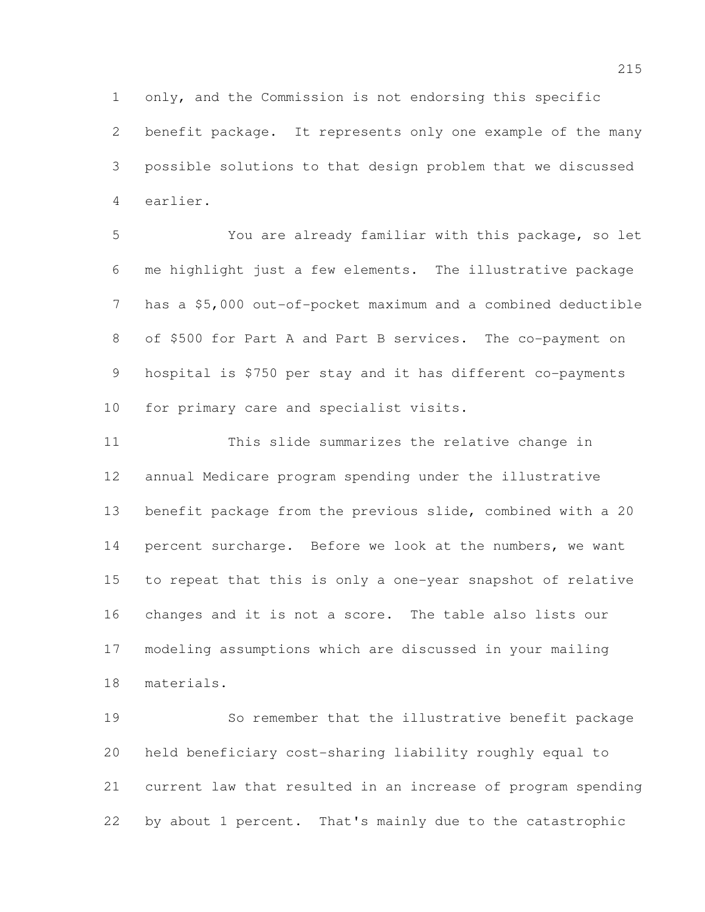only, and the Commission is not endorsing this specific benefit package. It represents only one example of the many possible solutions to that design problem that we discussed earlier.

 You are already familiar with this package, so let me highlight just a few elements. The illustrative package has a \$5,000 out-of-pocket maximum and a combined deductible of \$500 for Part A and Part B services. The co-payment on hospital is \$750 per stay and it has different co-payments for primary care and specialist visits.

 This slide summarizes the relative change in annual Medicare program spending under the illustrative benefit package from the previous slide, combined with a 20 percent surcharge. Before we look at the numbers, we want to repeat that this is only a one-year snapshot of relative changes and it is not a score. The table also lists our modeling assumptions which are discussed in your mailing materials.

 So remember that the illustrative benefit package held beneficiary cost-sharing liability roughly equal to current law that resulted in an increase of program spending by about 1 percent. That's mainly due to the catastrophic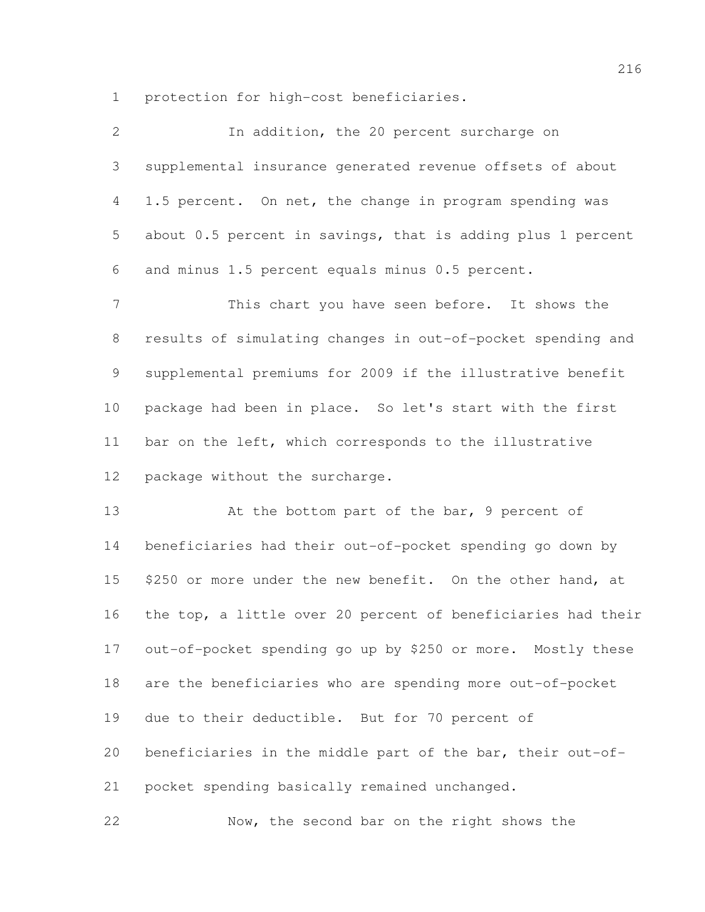protection for high-cost beneficiaries.

| $\mathbf{2}$ | In addition, the 20 percent surcharge on                     |
|--------------|--------------------------------------------------------------|
| 3            | supplemental insurance generated revenue offsets of about    |
| 4            | 1.5 percent. On net, the change in program spending was      |
| 5            | about 0.5 percent in savings, that is adding plus 1 percent  |
| 6            | and minus 1.5 percent equals minus 0.5 percent.              |
| 7            | This chart you have seen before. It shows the                |
| $8\,$        | results of simulating changes in out-of-pocket spending and  |
| 9            | supplemental premiums for 2009 if the illustrative benefit   |
| 10           | package had been in place. So let's start with the first     |
| 11           | bar on the left, which corresponds to the illustrative       |
| 12           | package without the surcharge.                               |
| 13           | At the bottom part of the bar, 9 percent of                  |
| 14           | beneficiaries had their out-of-pocket spending go down by    |
| 15           | \$250 or more under the new benefit. On the other hand, at   |
| 16           | the top, a little over 20 percent of beneficiaries had their |
| 17           | out-of-pocket spending go up by \$250 or more. Mostly these  |
| 18           | are the beneficiaries who are spending more out-of-pocket    |
| 19           | due to their deductible. But for 70 percent of               |
| 20           | beneficiaries in the middle part of the bar, their out-of-   |
| 21           | pocket spending basically remained unchanged.                |
| 22           | Now, the second bar on the right shows the                   |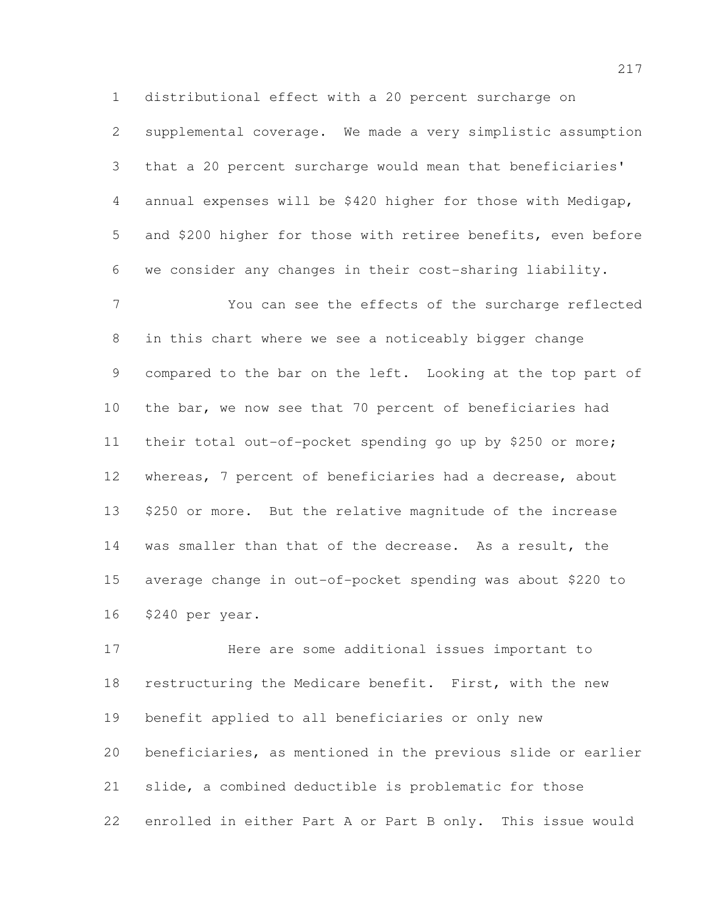distributional effect with a 20 percent surcharge on supplemental coverage. We made a very simplistic assumption that a 20 percent surcharge would mean that beneficiaries' annual expenses will be \$420 higher for those with Medigap, and \$200 higher for those with retiree benefits, even before we consider any changes in their cost-sharing liability.

 You can see the effects of the surcharge reflected in this chart where we see a noticeably bigger change 9 compared to the bar on the left. Looking at the top part of the bar, we now see that 70 percent of beneficiaries had their total out-of-pocket spending go up by \$250 or more; whereas, 7 percent of beneficiaries had a decrease, about \$250 or more. But the relative magnitude of the increase was smaller than that of the decrease. As a result, the average change in out-of-pocket spending was about \$220 to \$240 per year.

 Here are some additional issues important to restructuring the Medicare benefit. First, with the new benefit applied to all beneficiaries or only new beneficiaries, as mentioned in the previous slide or earlier slide, a combined deductible is problematic for those enrolled in either Part A or Part B only. This issue would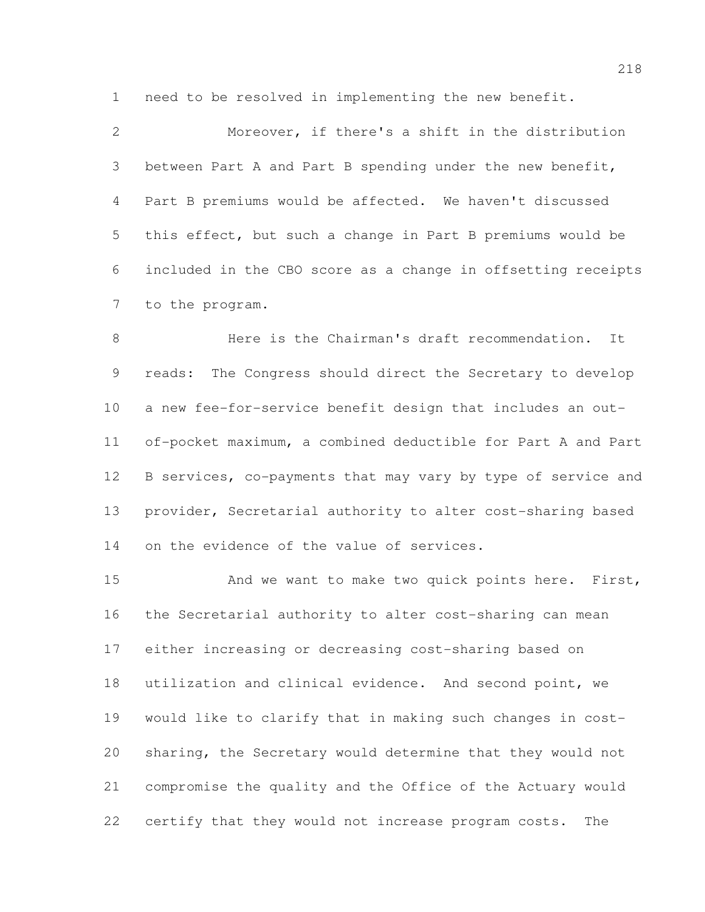need to be resolved in implementing the new benefit.

 Moreover, if there's a shift in the distribution between Part A and Part B spending under the new benefit, Part B premiums would be affected. We haven't discussed this effect, but such a change in Part B premiums would be included in the CBO score as a change in offsetting receipts to the program.

 Here is the Chairman's draft recommendation. It reads: The Congress should direct the Secretary to develop a new fee-for-service benefit design that includes an out- of-pocket maximum, a combined deductible for Part A and Part B services, co-payments that may vary by type of service and provider, Secretarial authority to alter cost-sharing based 14 on the evidence of the value of services.

15 And we want to make two quick points here. First, the Secretarial authority to alter cost-sharing can mean either increasing or decreasing cost-sharing based on utilization and clinical evidence. And second point, we would like to clarify that in making such changes in cost- sharing, the Secretary would determine that they would not compromise the quality and the Office of the Actuary would certify that they would not increase program costs. The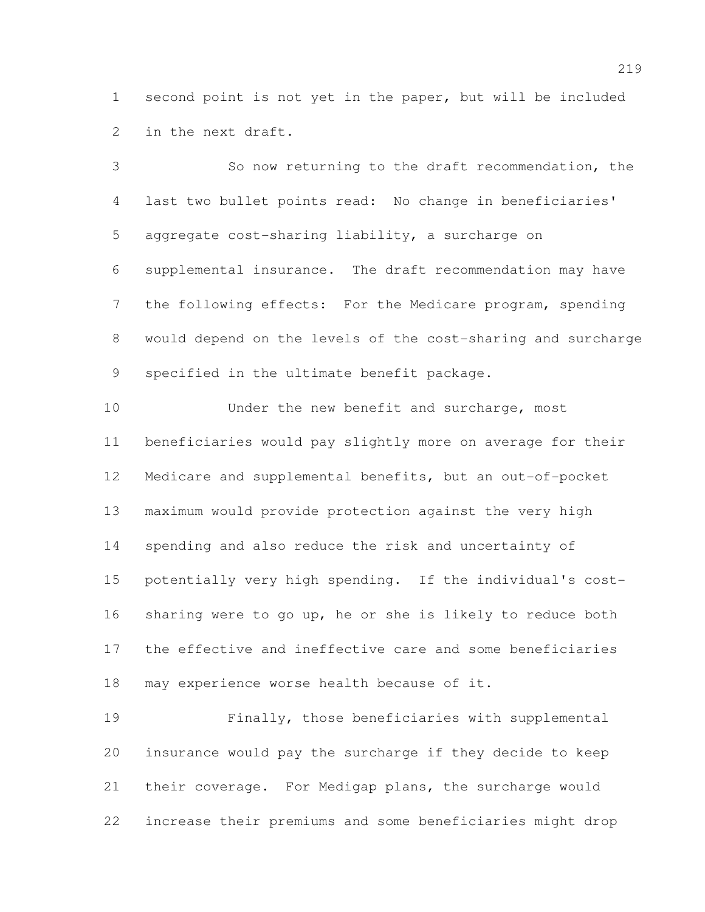second point is not yet in the paper, but will be included in the next draft.

 So now returning to the draft recommendation, the last two bullet points read: No change in beneficiaries' aggregate cost-sharing liability, a surcharge on supplemental insurance. The draft recommendation may have the following effects: For the Medicare program, spending would depend on the levels of the cost-sharing and surcharge specified in the ultimate benefit package.

10 Under the new benefit and surcharge, most beneficiaries would pay slightly more on average for their Medicare and supplemental benefits, but an out-of-pocket maximum would provide protection against the very high spending and also reduce the risk and uncertainty of potentially very high spending. If the individual's cost- sharing were to go up, he or she is likely to reduce both the effective and ineffective care and some beneficiaries may experience worse health because of it.

 Finally, those beneficiaries with supplemental insurance would pay the surcharge if they decide to keep their coverage. For Medigap plans, the surcharge would increase their premiums and some beneficiaries might drop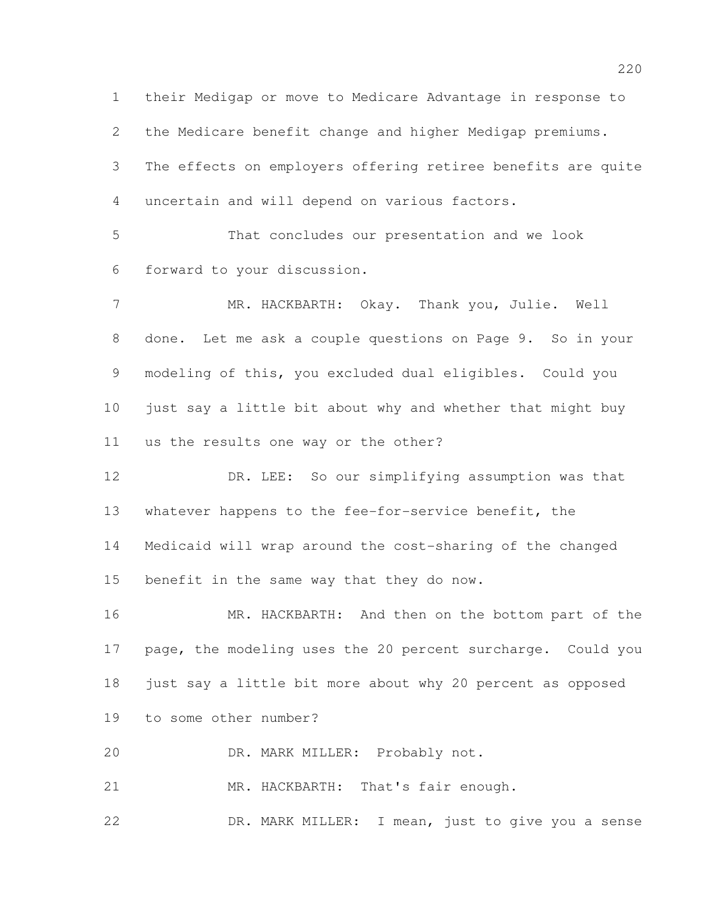their Medigap or move to Medicare Advantage in response to the Medicare benefit change and higher Medigap premiums. The effects on employers offering retiree benefits are quite uncertain and will depend on various factors.

 That concludes our presentation and we look forward to your discussion.

 MR. HACKBARTH: Okay. Thank you, Julie. Well done. Let me ask a couple questions on Page 9. So in your modeling of this, you excluded dual eligibles. Could you just say a little bit about why and whether that might buy us the results one way or the other?

 DR. LEE: So our simplifying assumption was that whatever happens to the fee-for-service benefit, the Medicaid will wrap around the cost-sharing of the changed benefit in the same way that they do now.

16 MR. HACKBARTH: And then on the bottom part of the page, the modeling uses the 20 percent surcharge. Could you just say a little bit more about why 20 percent as opposed to some other number?

DR. MARK MILLER: Probably not.

21 MR. HACKBARTH: That's fair enough.

DR. MARK MILLER: I mean, just to give you a sense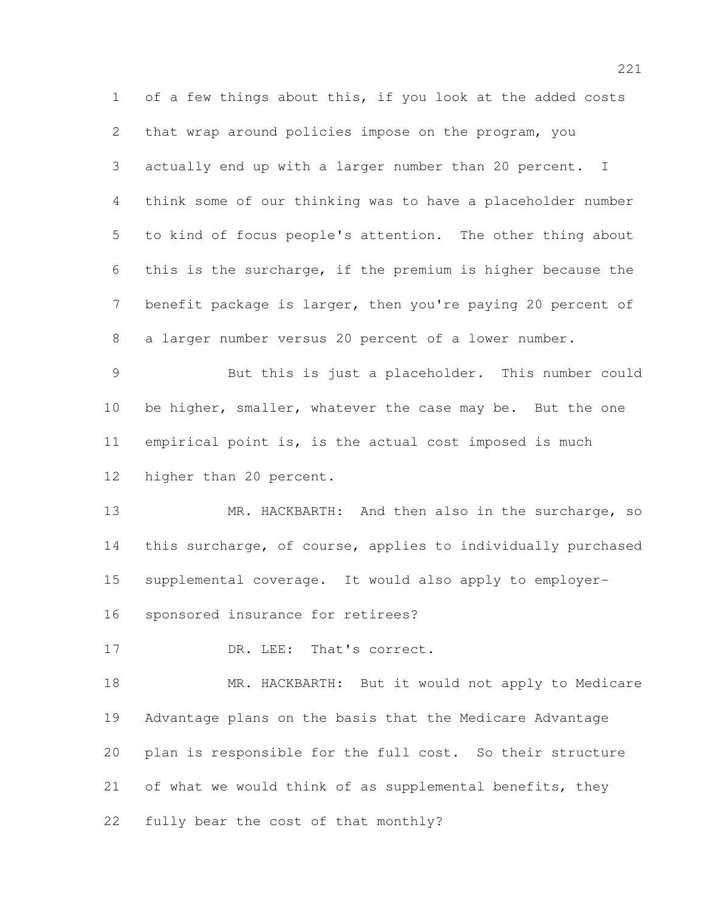of a few things about this, if you look at the added costs that wrap around policies impose on the program, you actually end up with a larger number than 20 percent. I think some of our thinking was to have a placeholder number to kind of focus people's attention. The other thing about this is the surcharge, if the premium is higher because the benefit package is larger, then you're paying 20 percent of a larger number versus 20 percent of a lower number. But this is just a placeholder. This number could 10 be higher, smaller, whatever the case may be. But the one empirical point is, is the actual cost imposed is much higher than 20 percent. 13 MR. HACKBARTH: And then also in the surcharge, so this surcharge, of course, applies to individually purchased supplemental coverage. It would also apply to employer- sponsored insurance for retirees? 17 DR. LEE: That's correct. 18 MR. HACKBARTH: But it would not apply to Medicare Advantage plans on the basis that the Medicare Advantage plan is responsible for the full cost. So their structure of what we would think of as supplemental benefits, they fully bear the cost of that monthly?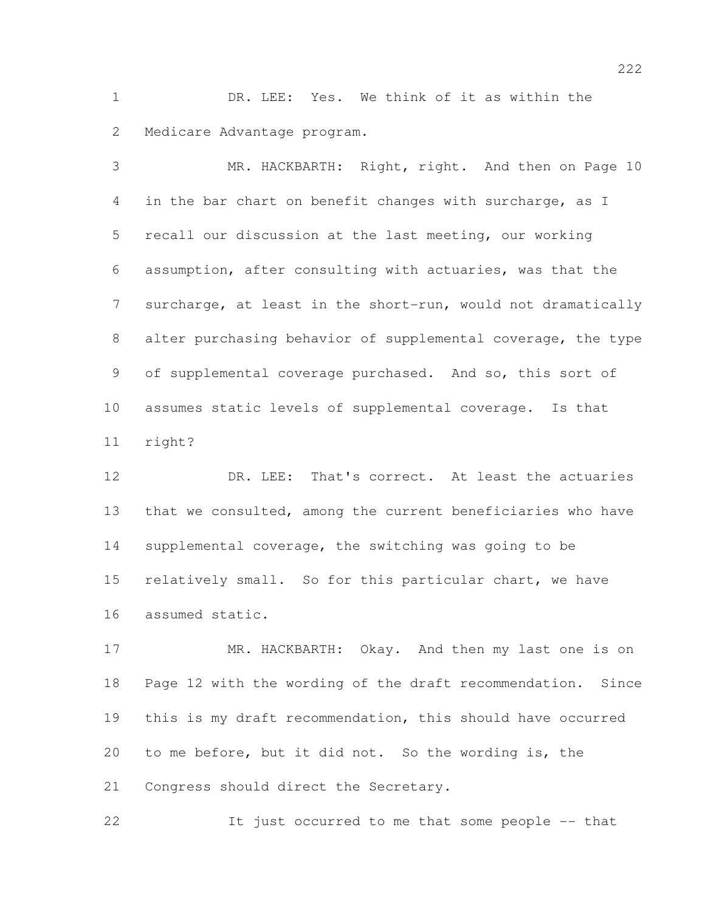DR. LEE: Yes. We think of it as within the Medicare Advantage program.

 MR. HACKBARTH: Right, right. And then on Page 10 in the bar chart on benefit changes with surcharge, as I recall our discussion at the last meeting, our working assumption, after consulting with actuaries, was that the surcharge, at least in the short-run, would not dramatically alter purchasing behavior of supplemental coverage, the type of supplemental coverage purchased. And so, this sort of assumes static levels of supplemental coverage. Is that right?

 DR. LEE: That's correct. At least the actuaries that we consulted, among the current beneficiaries who have supplemental coverage, the switching was going to be relatively small. So for this particular chart, we have assumed static.

17 MR. HACKBARTH: Okay. And then my last one is on Page 12 with the wording of the draft recommendation. Since this is my draft recommendation, this should have occurred to me before, but it did not. So the wording is, the Congress should direct the Secretary.

It just occurred to me that some people -- that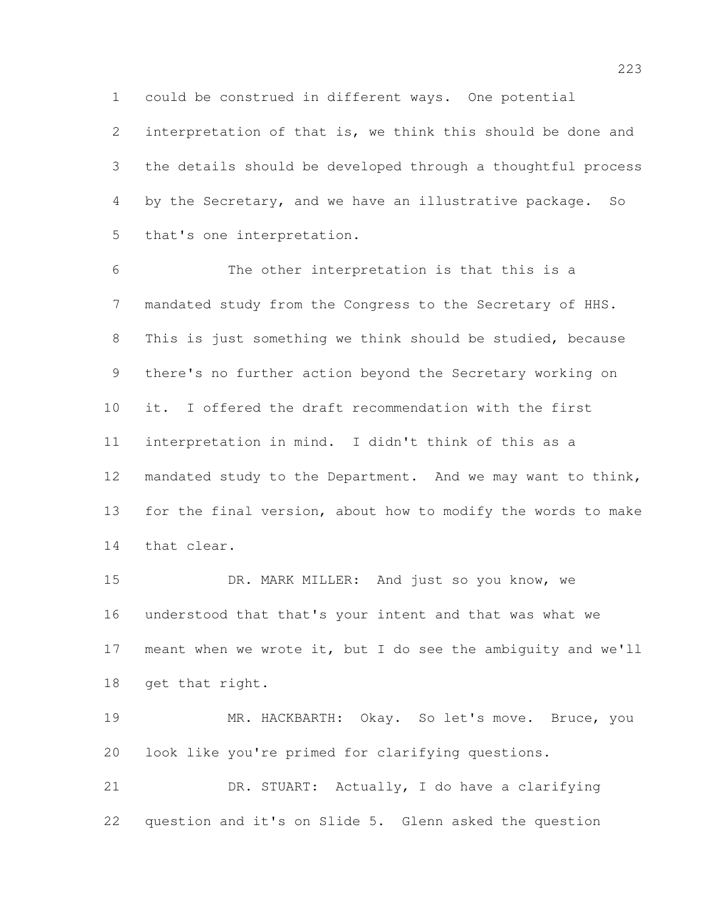could be construed in different ways. One potential

 interpretation of that is, we think this should be done and the details should be developed through a thoughtful process by the Secretary, and we have an illustrative package. So that's one interpretation.

 The other interpretation is that this is a mandated study from the Congress to the Secretary of HHS. This is just something we think should be studied, because there's no further action beyond the Secretary working on it. I offered the draft recommendation with the first interpretation in mind. I didn't think of this as a mandated study to the Department. And we may want to think, for the final version, about how to modify the words to make that clear.

 DR. MARK MILLER: And just so you know, we understood that that's your intent and that was what we meant when we wrote it, but I do see the ambiguity and we'll get that right.

 MR. HACKBARTH: Okay. So let's move. Bruce, you look like you're primed for clarifying questions.

 DR. STUART: Actually, I do have a clarifying question and it's on Slide 5. Glenn asked the question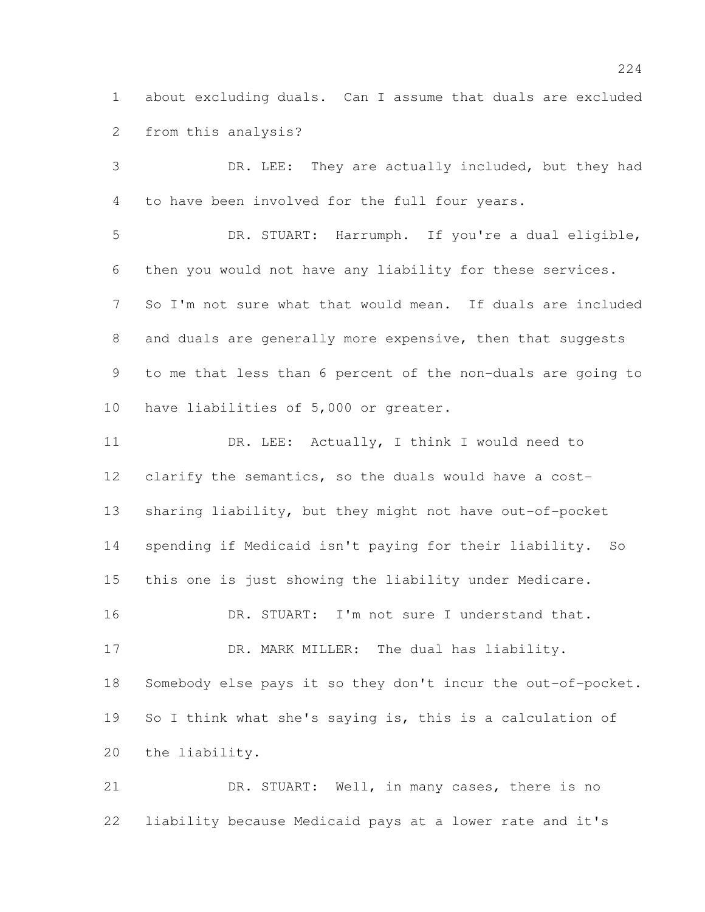about excluding duals. Can I assume that duals are excluded from this analysis?

 DR. LEE: They are actually included, but they had to have been involved for the full four years. DR. STUART: Harrumph. If you're a dual eligible, then you would not have any liability for these services. So I'm not sure what that would mean. If duals are included 8 and duals are generally more expensive, then that suggests to me that less than 6 percent of the non-duals are going to have liabilities of 5,000 or greater. 11 DR. LEE: Actually, I think I would need to clarify the semantics, so the duals would have a cost- sharing liability, but they might not have out-of-pocket spending if Medicaid isn't paying for their liability. So this one is just showing the liability under Medicare. DR. STUART: I'm not sure I understand that. 17 DR. MARK MILLER: The dual has liability. Somebody else pays it so they don't incur the out-of-pocket. So I think what she's saying is, this is a calculation of

 DR. STUART: Well, in many cases, there is no liability because Medicaid pays at a lower rate and it's

the liability.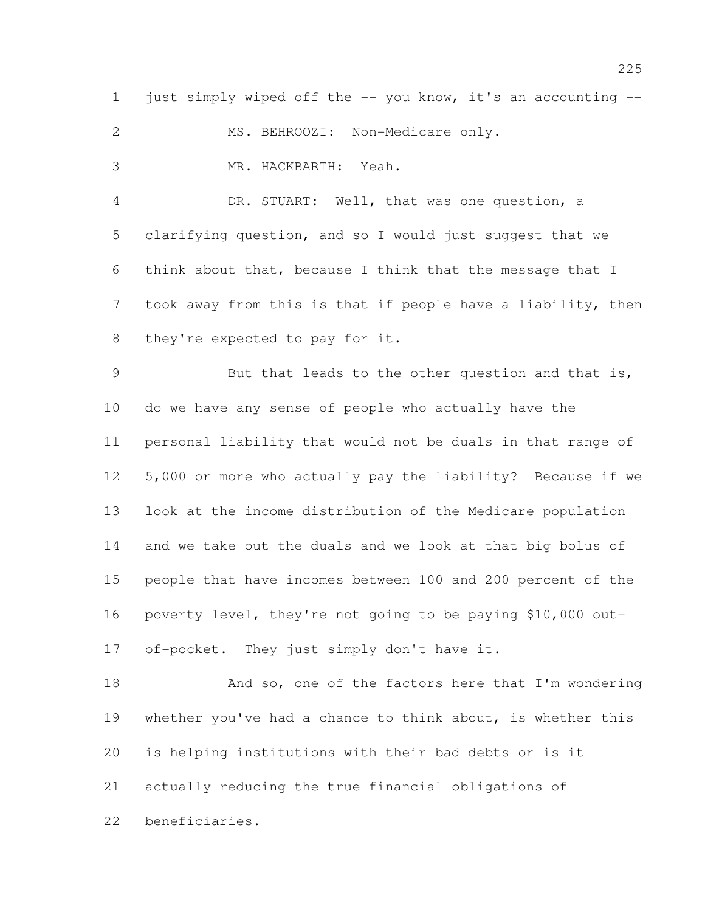1 just simply wiped off the -- you know, it's an accounting --

2 MS. BEHROOZI: Non-Medicare only.

MR. HACKBARTH: Yeah.

 DR. STUART: Well, that was one question, a clarifying question, and so I would just suggest that we think about that, because I think that the message that I took away from this is that if people have a liability, then they're expected to pay for it.

 But that leads to the other question and that is, do we have any sense of people who actually have the personal liability that would not be duals in that range of 5,000 or more who actually pay the liability? Because if we look at the income distribution of the Medicare population and we take out the duals and we look at that big bolus of people that have incomes between 100 and 200 percent of the poverty level, they're not going to be paying \$10,000 out-of-pocket. They just simply don't have it.

18 And so, one of the factors here that I'm wondering whether you've had a chance to think about, is whether this is helping institutions with their bad debts or is it actually reducing the true financial obligations of beneficiaries.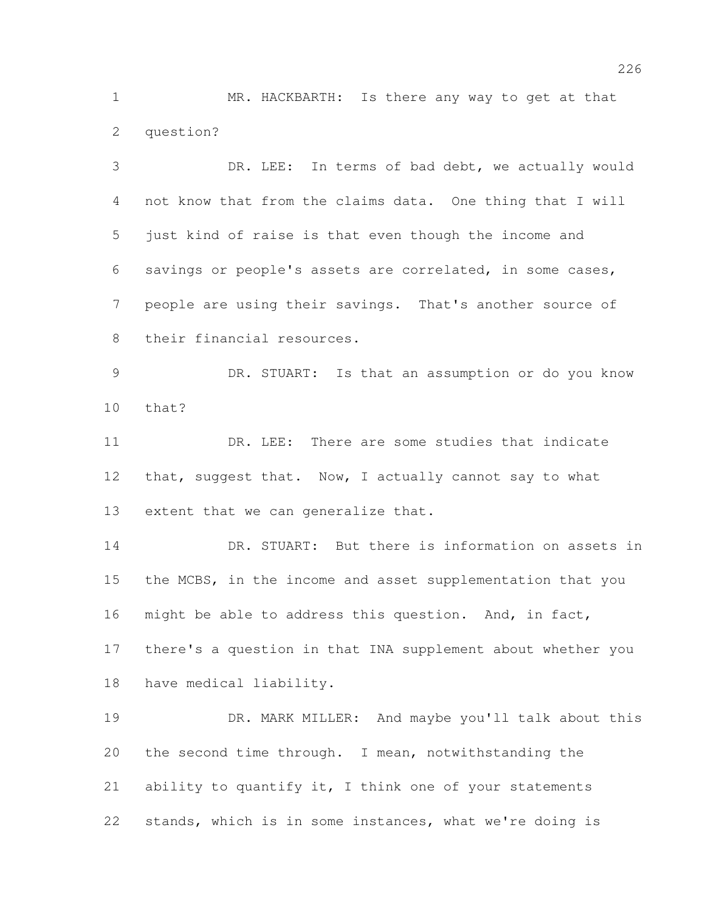MR. HACKBARTH: Is there any way to get at that question?

 DR. LEE: In terms of bad debt, we actually would not know that from the claims data. One thing that I will just kind of raise is that even though the income and savings or people's assets are correlated, in some cases, people are using their savings. That's another source of their financial resources. DR. STUART: Is that an assumption or do you know that? DR. LEE: There are some studies that indicate 12 that, suggest that. Now, I actually cannot say to what extent that we can generalize that. DR. STUART: But there is information on assets in the MCBS, in the income and asset supplementation that you might be able to address this question. And, in fact, there's a question in that INA supplement about whether you have medical liability.

 DR. MARK MILLER: And maybe you'll talk about this the second time through. I mean, notwithstanding the 21 ability to quantify it, I think one of your statements stands, which is in some instances, what we're doing is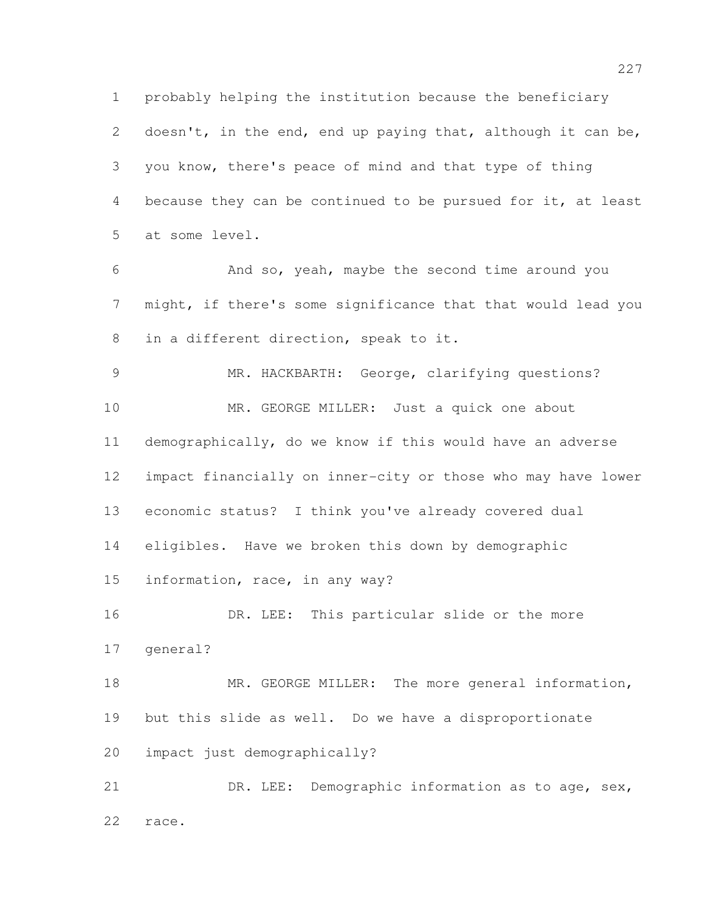probably helping the institution because the beneficiary 2 doesn't, in the end, end up paying that, although it can be, you know, there's peace of mind and that type of thing because they can be continued to be pursued for it, at least at some level.

 And so, yeah, maybe the second time around you might, if there's some significance that that would lead you in a different direction, speak to it.

 MR. HACKBARTH: George, clarifying questions? 10 MR. GEORGE MILLER: Just a quick one about demographically, do we know if this would have an adverse impact financially on inner-city or those who may have lower economic status? I think you've already covered dual eligibles. Have we broken this down by demographic information, race, in any way? DR. LEE: This particular slide or the more

18 MR. GEORGE MILLER: The more general information, but this slide as well. Do we have a disproportionate impact just demographically?

general?

21 DR. LEE: Demographic information as to age, sex, race.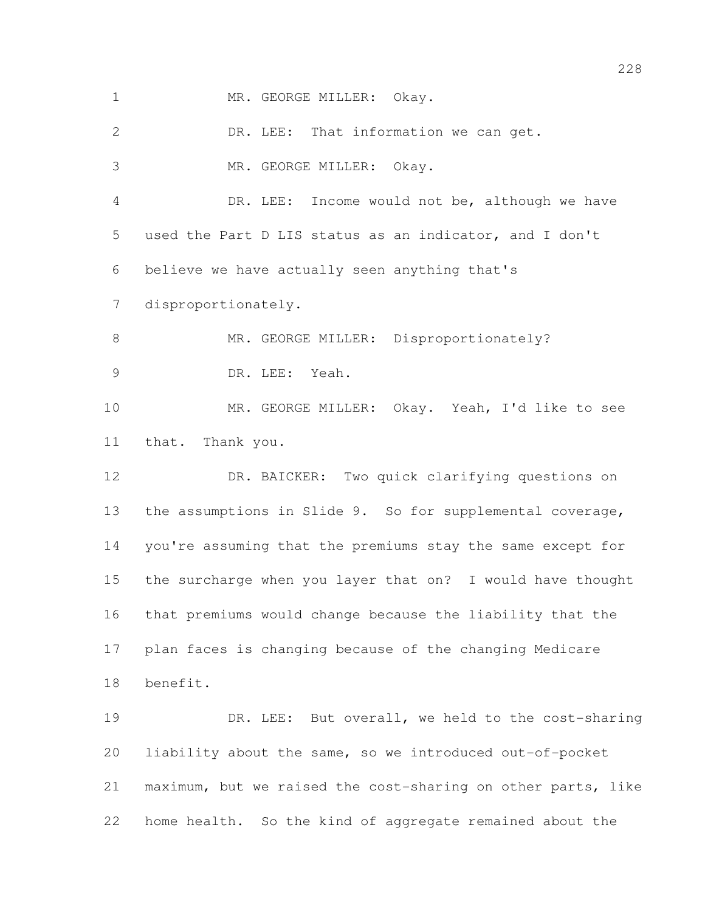1 MR. GEORGE MILLER: Okay.

 DR. LEE: That information we can get. MR. GEORGE MILLER: Okay. DR. LEE: Income would not be, although we have used the Part D LIS status as an indicator, and I don't believe we have actually seen anything that's disproportionately. 8 MR. GEORGE MILLER: Disproportionately? DR. LEE: Yeah. MR. GEORGE MILLER: Okay. Yeah, I'd like to see that. Thank you. DR. BAICKER: Two quick clarifying questions on the assumptions in Slide 9. So for supplemental coverage, you're assuming that the premiums stay the same except for the surcharge when you layer that on? I would have thought that premiums would change because the liability that the plan faces is changing because of the changing Medicare benefit. 19 DR. LEE: But overall, we held to the cost-sharing liability about the same, so we introduced out-of-pocket maximum, but we raised the cost-sharing on other parts, like

home health. So the kind of aggregate remained about the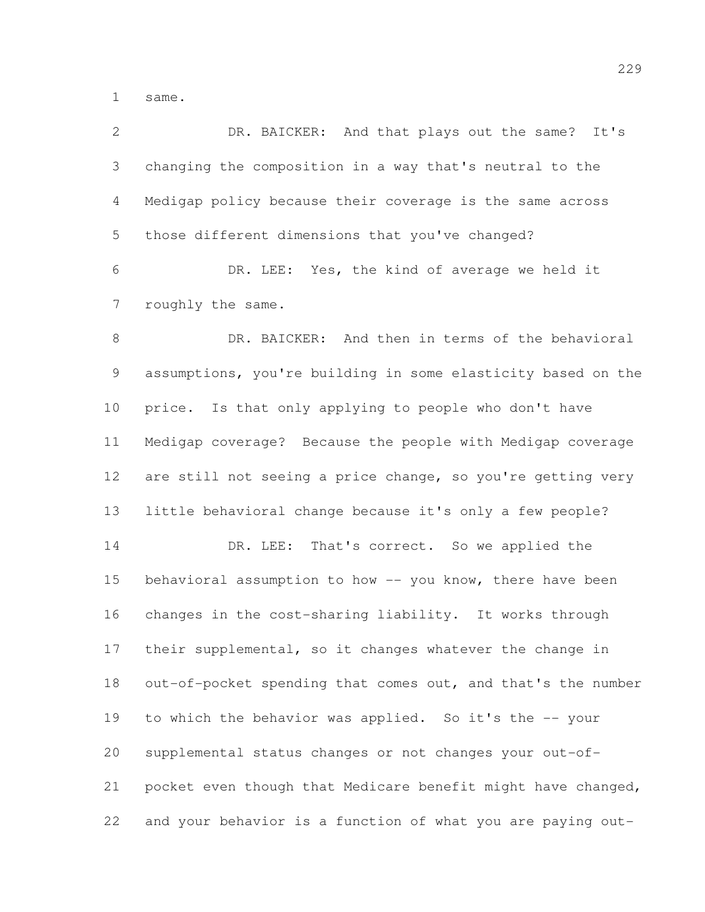same.

| $\overline{2}$ | DR. BAICKER: And that plays out the same? It's               |
|----------------|--------------------------------------------------------------|
| 3              | changing the composition in a way that's neutral to the      |
| 4              | Medigap policy because their coverage is the same across     |
| 5              | those different dimensions that you've changed?              |
| 6              | DR. LEE: Yes, the kind of average we held it                 |
| 7              | roughly the same.                                            |
| $8\,$          | DR. BAICKER: And then in terms of the behavioral             |
| 9              | assumptions, you're building in some elasticity based on the |
| 10             | price. Is that only applying to people who don't have        |
| 11             | Medigap coverage? Because the people with Medigap coverage   |
| 12             | are still not seeing a price change, so you're getting very  |
| 13             | little behavioral change because it's only a few people?     |
| 14             | DR. LEE: That's correct. So we applied the                   |
| 15             | behavioral assumption to how -- you know, there have been    |
| 16             | changes in the cost-sharing liability. It works through      |
| 17             | their supplemental, so it changes whatever the change in     |
| 18             | out-of-pocket spending that comes out, and that's the number |
| 19             | to which the behavior was applied. So it's the -- your       |
| 20             | supplemental status changes or not changes your out-of-      |
| 21             | pocket even though that Medicare benefit might have changed, |
| 22             | and your behavior is a function of what you are paying out-  |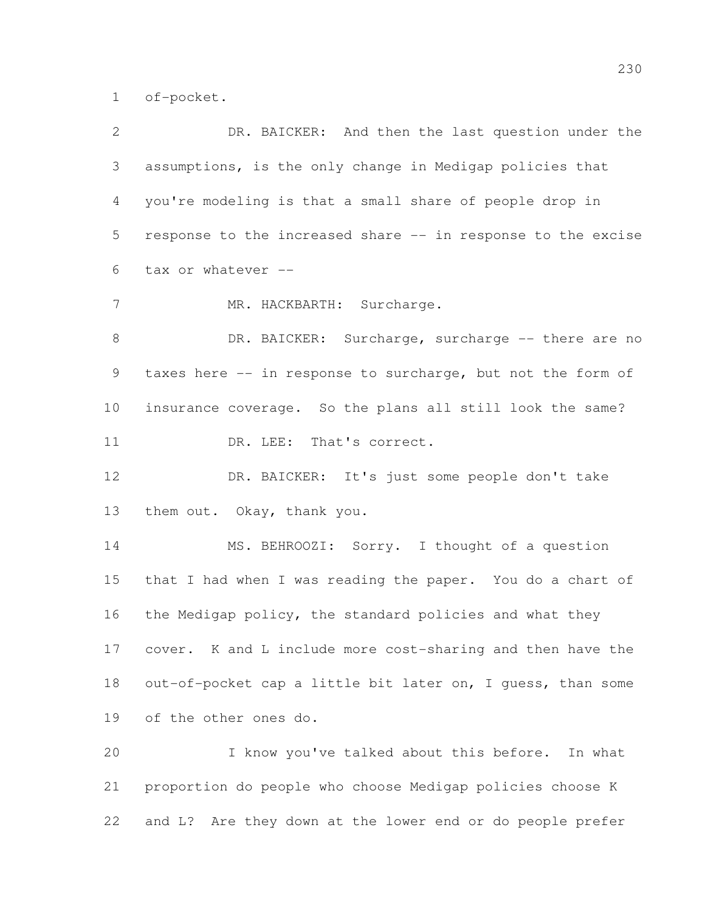of-pocket.

| $\mathbf{2}$    | DR. BAICKER: And then the last question under the            |
|-----------------|--------------------------------------------------------------|
| 3               | assumptions, is the only change in Medigap policies that     |
| 4               | you're modeling is that a small share of people drop in      |
| 5               | response to the increased share -- in response to the excise |
| 6               | tax or whatever --                                           |
| 7               | MR. HACKBARTH: Surcharge.                                    |
| $8\,$           | DR. BAICKER: Surcharge, surcharge -- there are no            |
| 9               | taxes here -- in response to surcharge, but not the form of  |
| 10 <sub>o</sub> | insurance coverage. So the plans all still look the same?    |
| 11              | DR. LEE: That's correct.                                     |
| 12              | DR. BAICKER: It's just some people don't take                |
| 13              | them out. Okay, thank you.                                   |
| 14              | MS. BEHROOZI: Sorry. I thought of a question                 |
| 15              | that I had when I was reading the paper. You do a chart of   |
| 16              | the Medigap policy, the standard policies and what they      |
| 17              | cover. K and L include more cost-sharing and then have the   |
| 18              | out-of-pocket cap a little bit later on, I guess, than some  |
| 19              | of the other ones do.                                        |
| 20              | I know you've talked about this before.<br>In what           |
| 21              | proportion do people who choose Medigap policies choose K    |
|                 |                                                              |

and L? Are they down at the lower end or do people prefer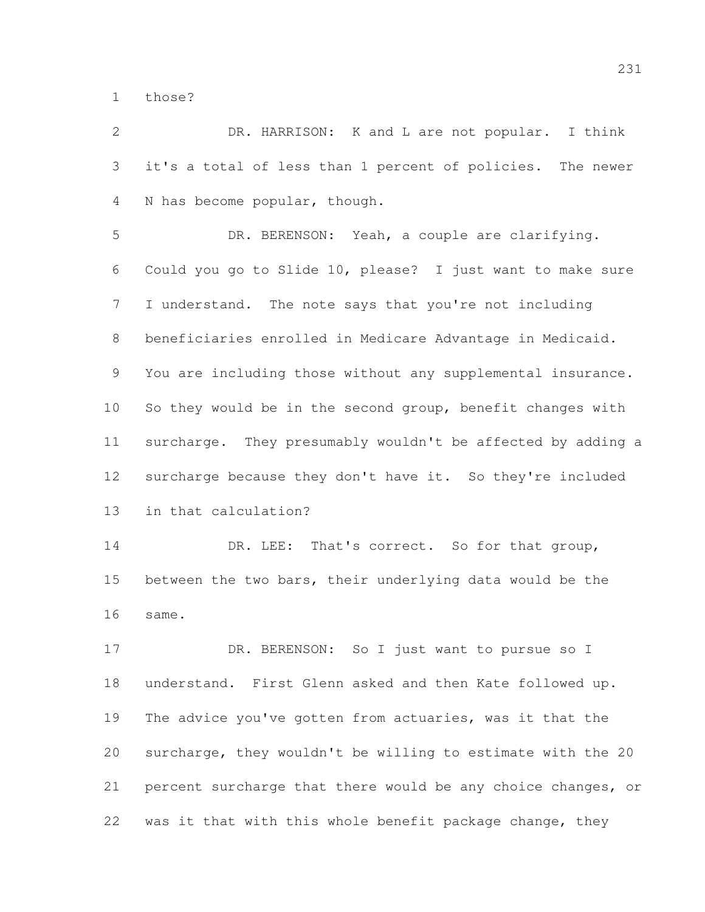those?

 DR. HARRISON: K and L are not popular. I think it's a total of less than 1 percent of policies. The newer N has become popular, though. DR. BERENSON: Yeah, a couple are clarifying. Could you go to Slide 10, please? I just want to make sure I understand. The note says that you're not including beneficiaries enrolled in Medicare Advantage in Medicaid. You are including those without any supplemental insurance. So they would be in the second group, benefit changes with surcharge. They presumably wouldn't be affected by adding a surcharge because they don't have it. So they're included in that calculation? 14 DR. LEE: That's correct. So for that group, between the two bars, their underlying data would be the same. 17 DR. BERENSON: So I just want to pursue so I understand. First Glenn asked and then Kate followed up. The advice you've gotten from actuaries, was it that the surcharge, they wouldn't be willing to estimate with the 20 percent surcharge that there would be any choice changes, or was it that with this whole benefit package change, they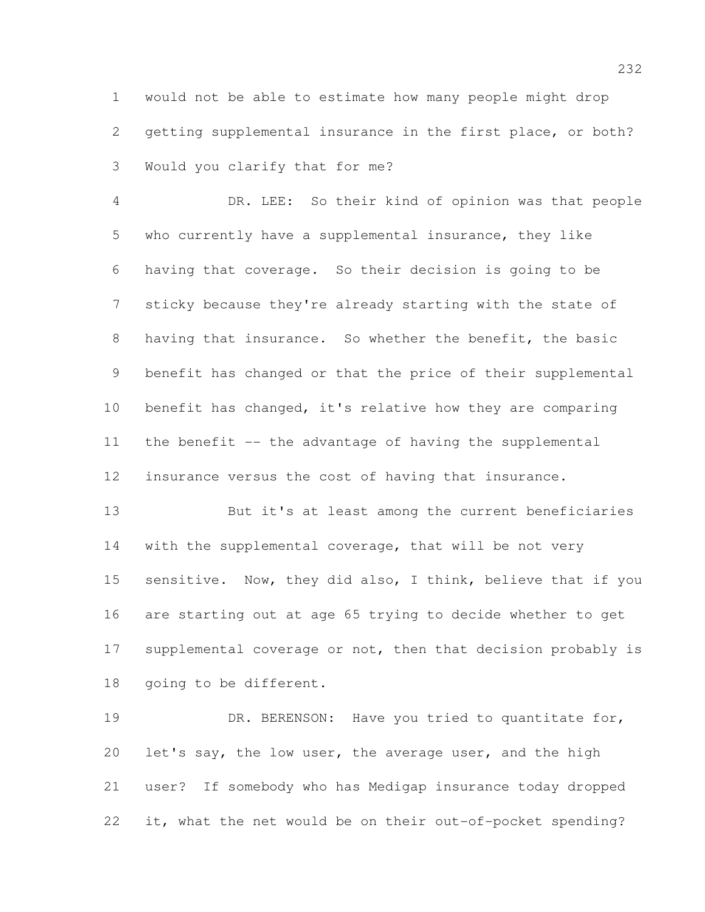would not be able to estimate how many people might drop getting supplemental insurance in the first place, or both? Would you clarify that for me?

 DR. LEE: So their kind of opinion was that people who currently have a supplemental insurance, they like having that coverage. So their decision is going to be sticky because they're already starting with the state of having that insurance. So whether the benefit, the basic benefit has changed or that the price of their supplemental benefit has changed, it's relative how they are comparing the benefit -- the advantage of having the supplemental insurance versus the cost of having that insurance.

 But it's at least among the current beneficiaries 14 with the supplemental coverage, that will be not very 15 sensitive. Now, they did also, I think, believe that if you are starting out at age 65 trying to decide whether to get 17 supplemental coverage or not, then that decision probably is going to be different.

19 DR. BERENSON: Have you tried to quantitate for, let's say, the low user, the average user, and the high user? If somebody who has Medigap insurance today dropped it, what the net would be on their out-of-pocket spending?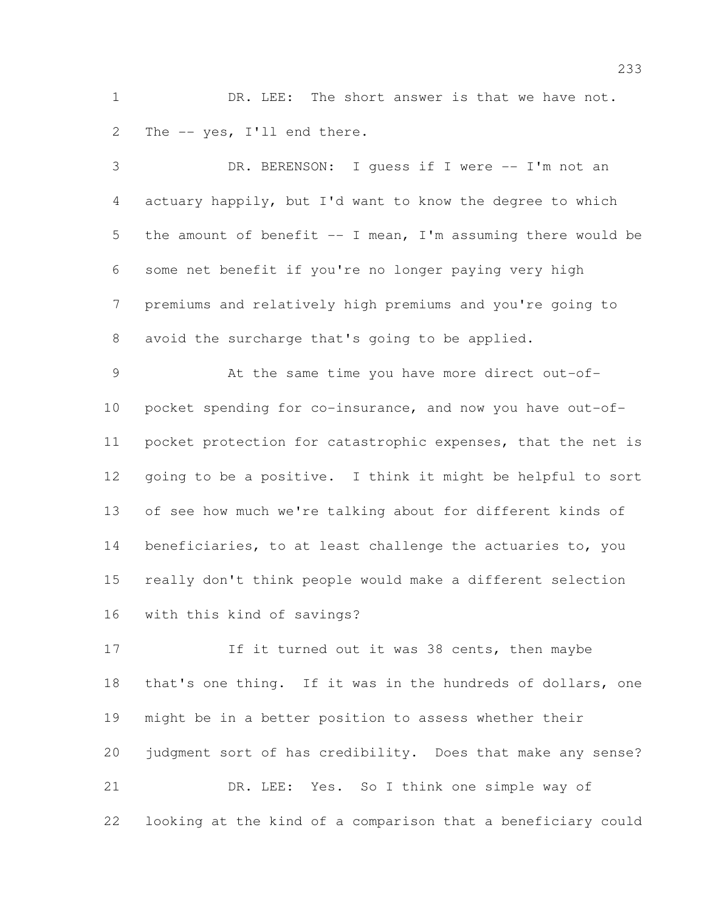1 DR. LEE: The short answer is that we have not. The -- yes, I'll end there.

| 3              | DR. BERENSON: I quess if I were -- I'm not an                |
|----------------|--------------------------------------------------------------|
| 4              | actuary happily, but I'd want to know the degree to which    |
| 5              | the amount of benefit -- I mean, I'm assuming there would be |
| 6              | some net benefit if you're no longer paying very high        |
| 7              | premiums and relatively high premiums and you're going to    |
| 8              | avoid the surcharge that's going to be applied.              |
| $\overline{9}$ | At the same time you have more direct out-of-                |
| 10             | pocket spending for co-insurance, and now you have out-of-   |
| 11             | pocket protection for catastrophic expenses, that the net is |
| 12             | going to be a positive. I think it might be helpful to sort  |
| 13             | of see how much we're talking about for different kinds of   |
| 14             | beneficiaries, to at least challenge the actuaries to, you   |
| 15             | really don't think people would make a different selection   |
| 16             | with this kind of savings?                                   |
| 17             | If it turned out it was 38 cents, then maybe                 |
| 18             | that's one thing. If it was in the hundreds of dollars, one  |
| 19             | might be in a better position to assess whether their        |
| 20             | judgment sort of has credibility. Does that make any sense?  |
| 21             | DR. LEE: Yes. So I think one simple way of                   |
|                |                                                              |

looking at the kind of a comparison that a beneficiary could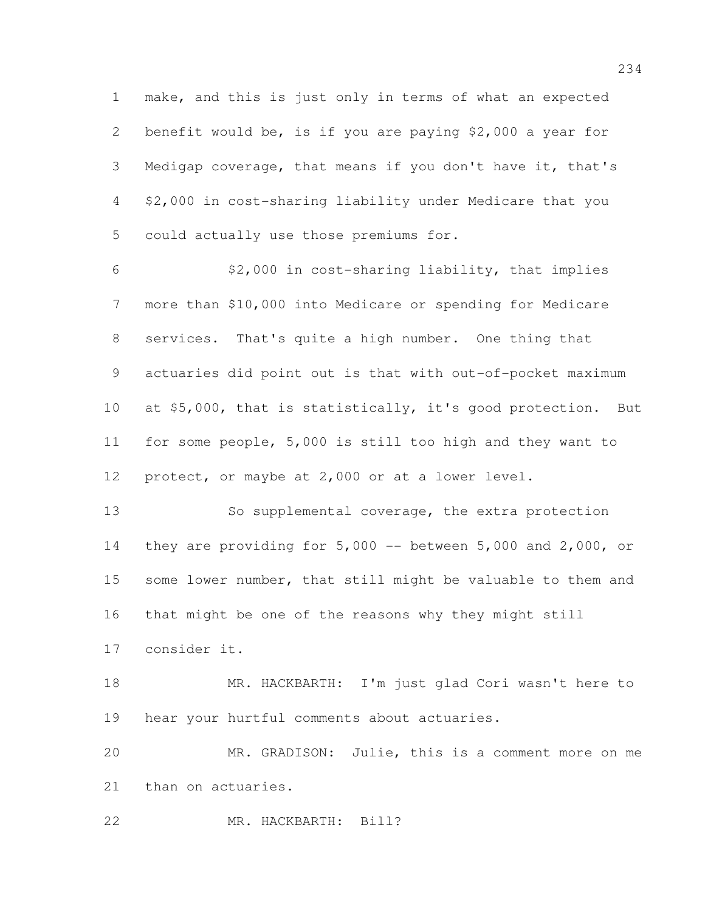make, and this is just only in terms of what an expected benefit would be, is if you are paying \$2,000 a year for Medigap coverage, that means if you don't have it, that's \$2,000 in cost-sharing liability under Medicare that you could actually use those premiums for.

 \$2,000 in cost-sharing liability, that implies more than \$10,000 into Medicare or spending for Medicare services. That's quite a high number. One thing that actuaries did point out is that with out-of-pocket maximum at \$5,000, that is statistically, it's good protection. But for some people, 5,000 is still too high and they want to protect, or maybe at 2,000 or at a lower level.

 So supplemental coverage, the extra protection they are providing for 5,000 -- between 5,000 and 2,000, or some lower number, that still might be valuable to them and that might be one of the reasons why they might still consider it.

 MR. HACKBARTH: I'm just glad Cori wasn't here to hear your hurtful comments about actuaries.

 MR. GRADISON: Julie, this is a comment more on me than on actuaries.

MR. HACKBARTH: Bill?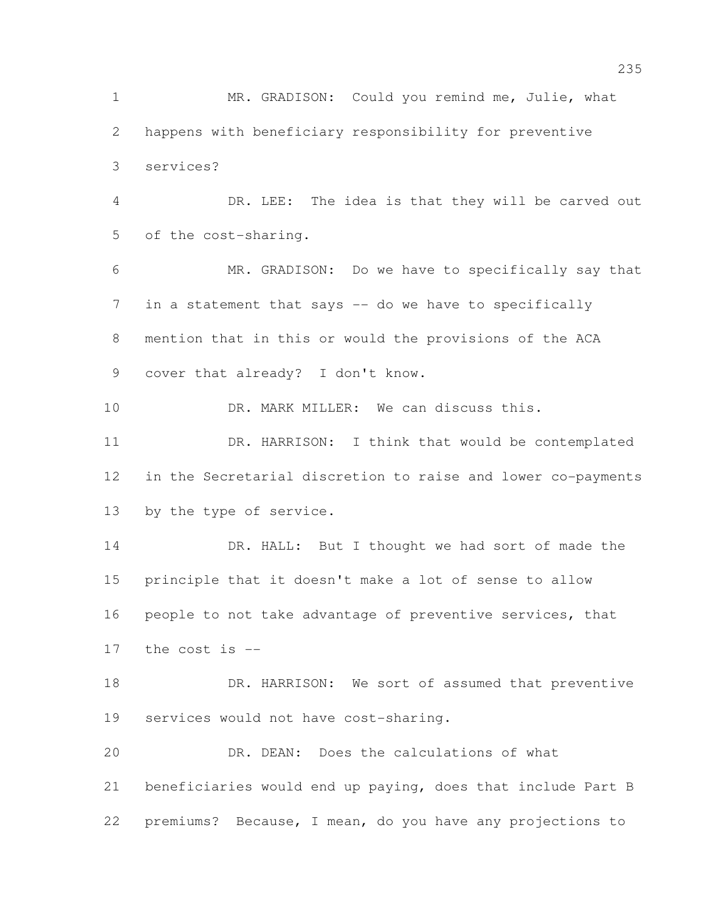MR. GRADISON: Could you remind me, Julie, what happens with beneficiary responsibility for preventive services? DR. LEE: The idea is that they will be carved out of the cost-sharing. MR. GRADISON: Do we have to specifically say that 7 in a statement that says -- do we have to specifically mention that in this or would the provisions of the ACA cover that already? I don't know. 10 DR. MARK MILLER: We can discuss this. DR. HARRISON: I think that would be contemplated in the Secretarial discretion to raise and lower co-payments by the type of service. 14 DR. HALL: But I thought we had sort of made the principle that it doesn't make a lot of sense to allow people to not take advantage of preventive services, that the cost is -- 18 DR. HARRISON: We sort of assumed that preventive services would not have cost-sharing. DR. DEAN: Does the calculations of what beneficiaries would end up paying, does that include Part B premiums? Because, I mean, do you have any projections to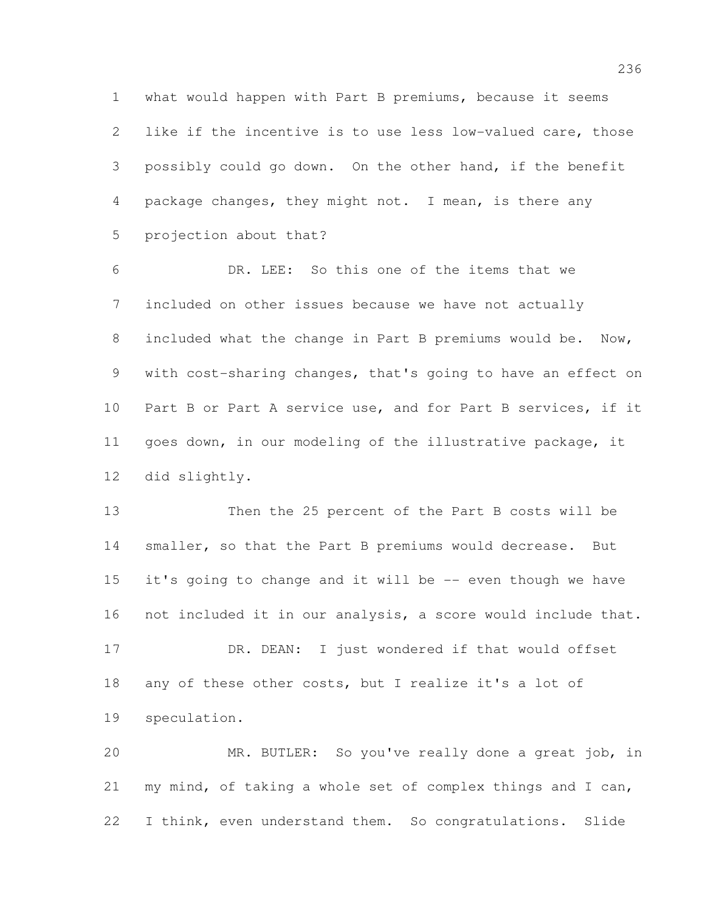what would happen with Part B premiums, because it seems like if the incentive is to use less low-valued care, those possibly could go down. On the other hand, if the benefit 4 package changes, they might not. I mean, is there any projection about that?

 DR. LEE: So this one of the items that we included on other issues because we have not actually included what the change in Part B premiums would be. Now, with cost-sharing changes, that's going to have an effect on Part B or Part A service use, and for Part B services, if it goes down, in our modeling of the illustrative package, it did slightly.

 Then the 25 percent of the Part B costs will be smaller, so that the Part B premiums would decrease. But it's going to change and it will be -- even though we have not included it in our analysis, a score would include that. DR. DEAN: I just wondered if that would offset

 any of these other costs, but I realize it's a lot of speculation.

 MR. BUTLER: So you've really done a great job, in my mind, of taking a whole set of complex things and I can, I think, even understand them. So congratulations. Slide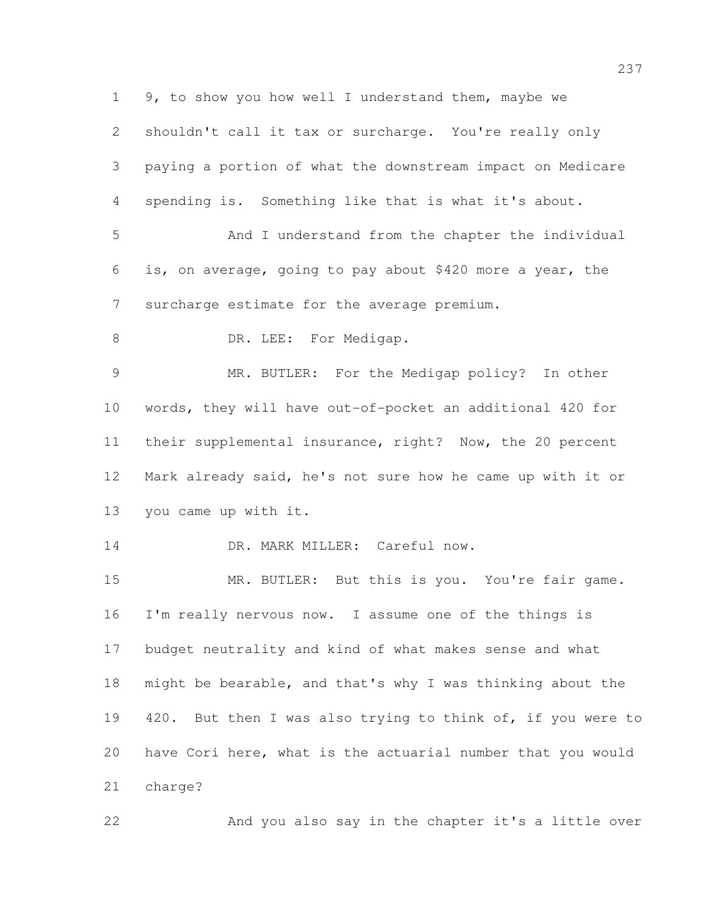9, to show you how well I understand them, maybe we shouldn't call it tax or surcharge. You're really only paying a portion of what the downstream impact on Medicare spending is. Something like that is what it's about. And I understand from the chapter the individual is, on average, going to pay about \$420 more a year, the surcharge estimate for the average premium. 8 DR. LEE: For Medigap. MR. BUTLER: For the Medigap policy? In other words, they will have out-of-pocket an additional 420 for their supplemental insurance, right? Now, the 20 percent Mark already said, he's not sure how he came up with it or you came up with it. 14 DR. MARK MILLER: Careful now. MR. BUTLER: But this is you. You're fair game. I'm really nervous now. I assume one of the things is budget neutrality and kind of what makes sense and what might be bearable, and that's why I was thinking about the 19 420. But then I was also trying to think of, if you were to have Cori here, what is the actuarial number that you would charge? And you also say in the chapter it's a little over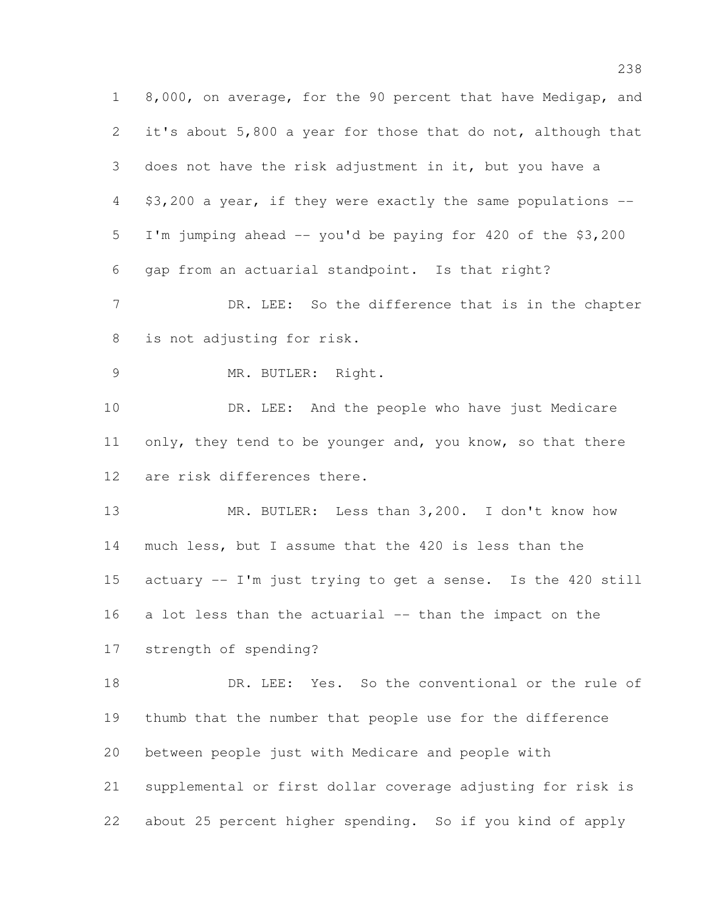8,000, on average, for the 90 percent that have Medigap, and it's about 5,800 a year for those that do not, although that does not have the risk adjustment in it, but you have a \$3,200 a year, if they were exactly the same populations -- I'm jumping ahead -- you'd be paying for 420 of the \$3,200 gap from an actuarial standpoint. Is that right? 7 DR. LEE: So the difference that is in the chapter is not adjusting for risk. 9 MR. BUTLER: Right. DR. LEE: And the people who have just Medicare 11 only, they tend to be younger and, you know, so that there are risk differences there. MR. BUTLER: Less than 3,200. I don't know how much less, but I assume that the 420 is less than the actuary -- I'm just trying to get a sense. Is the 420 still a lot less than the actuarial -- than the impact on the strength of spending? DR. LEE: Yes. So the conventional or the rule of thumb that the number that people use for the difference between people just with Medicare and people with supplemental or first dollar coverage adjusting for risk is about 25 percent higher spending. So if you kind of apply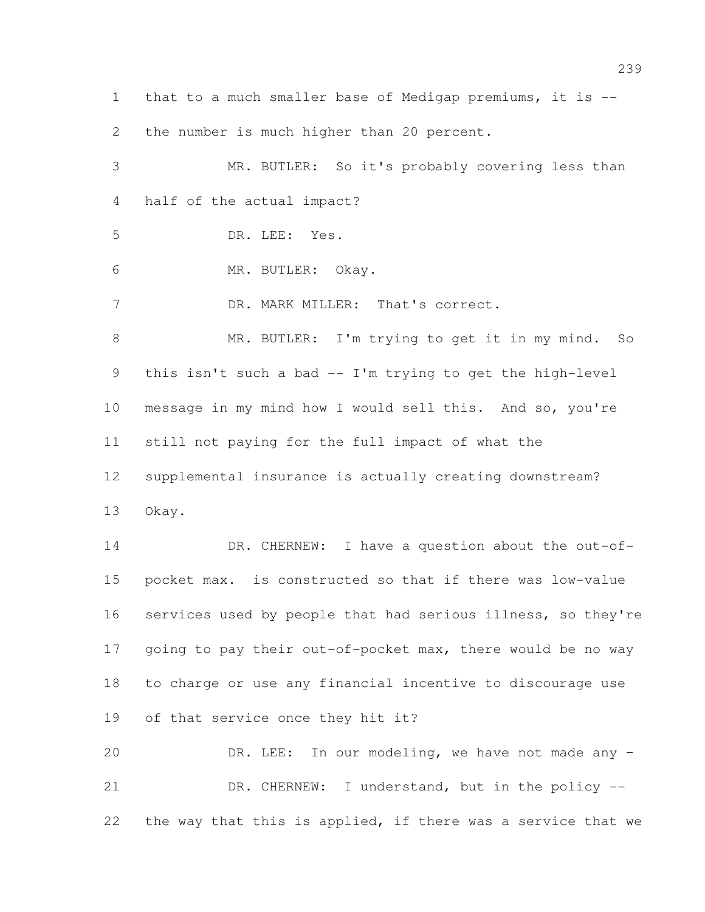that to a much smaller base of Medigap premiums, it is --

2 the number is much higher than 20 percent.

 MR. BUTLER: So it's probably covering less than half of the actual impact? DR. LEE: Yes. MR. BUTLER: Okay. DR. MARK MILLER: That's correct. 8 MR. BUTLER: I'm trying to get it in my mind. So this isn't such a bad -- I'm trying to get the high-level message in my mind how I would sell this. And so, you're still not paying for the full impact of what the supplemental insurance is actually creating downstream? Okay. 14 DR. CHERNEW: I have a question about the out-of- pocket max. is constructed so that if there was low-value services used by people that had serious illness, so they're 17 going to pay their out-of-pocket max, there would be no way to charge or use any financial incentive to discourage use of that service once they hit it? DR. LEE: In our modeling, we have not made any – 21 DR. CHERNEW: I understand, but in the policy --

the way that this is applied, if there was a service that we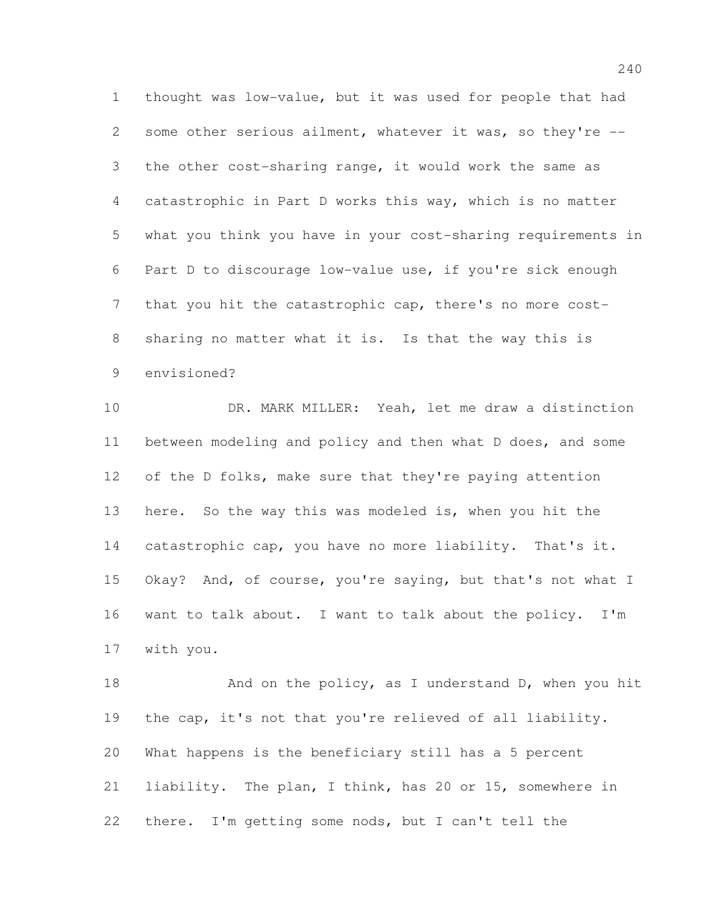thought was low-value, but it was used for people that had some other serious ailment, whatever it was, so they're -- the other cost-sharing range, it would work the same as catastrophic in Part D works this way, which is no matter what you think you have in your cost-sharing requirements in Part D to discourage low-value use, if you're sick enough that you hit the catastrophic cap, there's no more cost- sharing no matter what it is. Is that the way this is envisioned?

 DR. MARK MILLER: Yeah, let me draw a distinction between modeling and policy and then what D does, and some 12 of the D folks, make sure that they're paying attention here. So the way this was modeled is, when you hit the catastrophic cap, you have no more liability. That's it. Okay? And, of course, you're saying, but that's not what I want to talk about. I want to talk about the policy. I'm with you.

18 And on the policy, as I understand D, when you hit the cap, it's not that you're relieved of all liability. What happens is the beneficiary still has a 5 percent liability. The plan, I think, has 20 or 15, somewhere in there. I'm getting some nods, but I can't tell the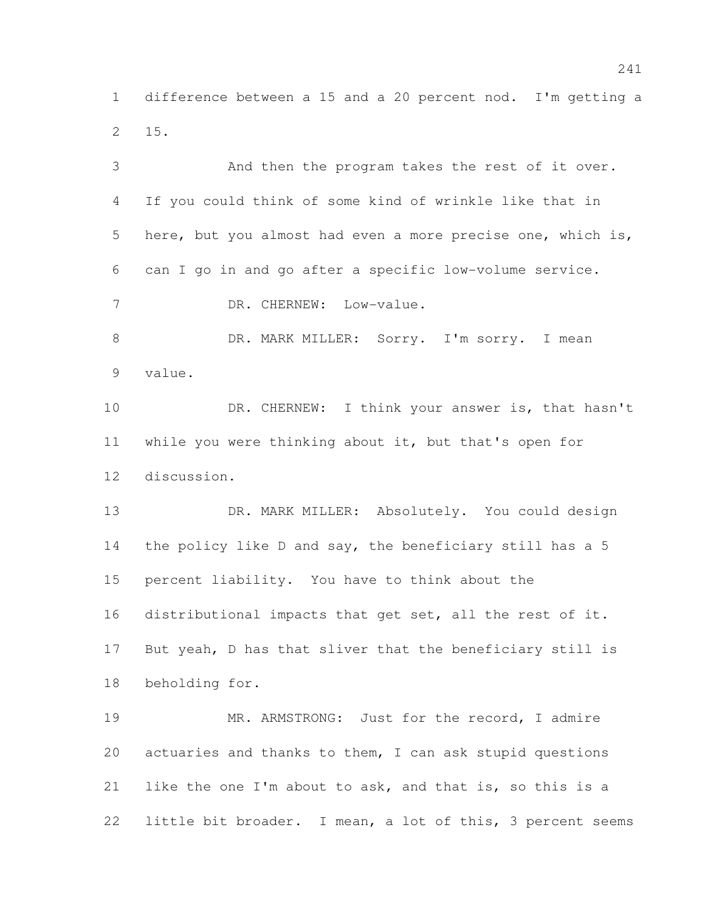difference between a 15 and a 20 percent nod. I'm getting a 15.

 And then the program takes the rest of it over. If you could think of some kind of wrinkle like that in here, but you almost had even a more precise one, which is, can I go in and go after a specific low-volume service. 7 DR. CHERNEW: Low-value. 8 DR. MARK MILLER: Sorry. I'm sorry. I mean value. 10 DR. CHERNEW: I think your answer is, that hasn't while you were thinking about it, but that's open for discussion. 13 DR. MARK MILLER: Absolutely. You could design the policy like D and say, the beneficiary still has a 5 percent liability. You have to think about the distributional impacts that get set, all the rest of it. But yeah, D has that sliver that the beneficiary still is beholding for. 19 MR. ARMSTRONG: Just for the record, I admire actuaries and thanks to them, I can ask stupid questions like the one I'm about to ask, and that is, so this is a little bit broader. I mean, a lot of this, 3 percent seems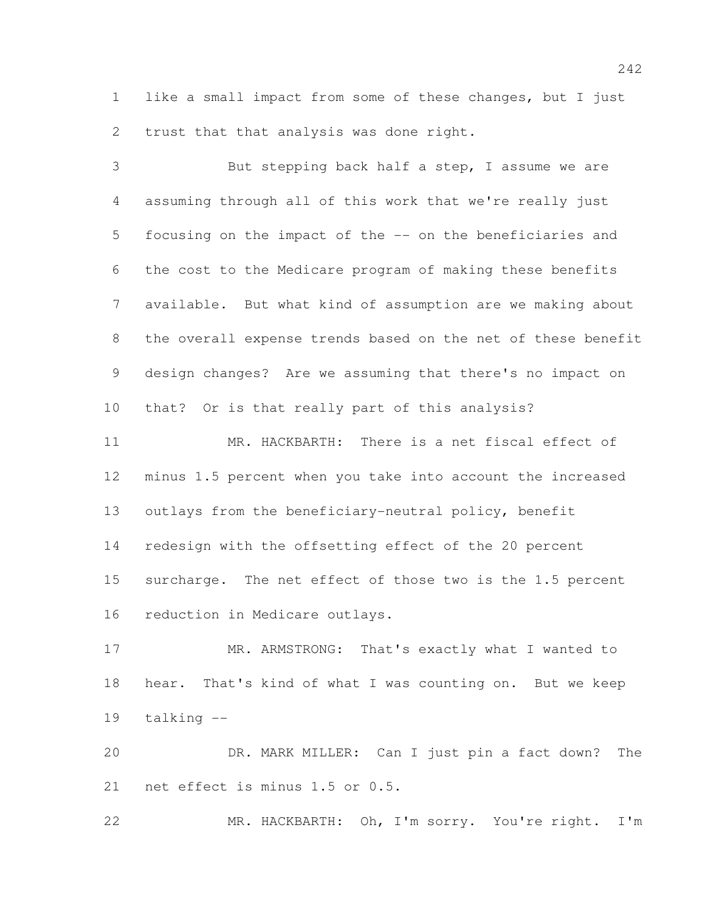like a small impact from some of these changes, but I just trust that that analysis was done right.

 But stepping back half a step, I assume we are assuming through all of this work that we're really just focusing on the impact of the -- on the beneficiaries and the cost to the Medicare program of making these benefits available. But what kind of assumption are we making about the overall expense trends based on the net of these benefit design changes? Are we assuming that there's no impact on that? Or is that really part of this analysis?

 MR. HACKBARTH: There is a net fiscal effect of minus 1.5 percent when you take into account the increased outlays from the beneficiary-neutral policy, benefit redesign with the offsetting effect of the 20 percent surcharge. The net effect of those two is the 1.5 percent reduction in Medicare outlays.

 MR. ARMSTRONG: That's exactly what I wanted to hear. That's kind of what I was counting on. But we keep talking --

 DR. MARK MILLER: Can I just pin a fact down? The net effect is minus 1.5 or 0.5.

MR. HACKBARTH: Oh, I'm sorry. You're right. I'm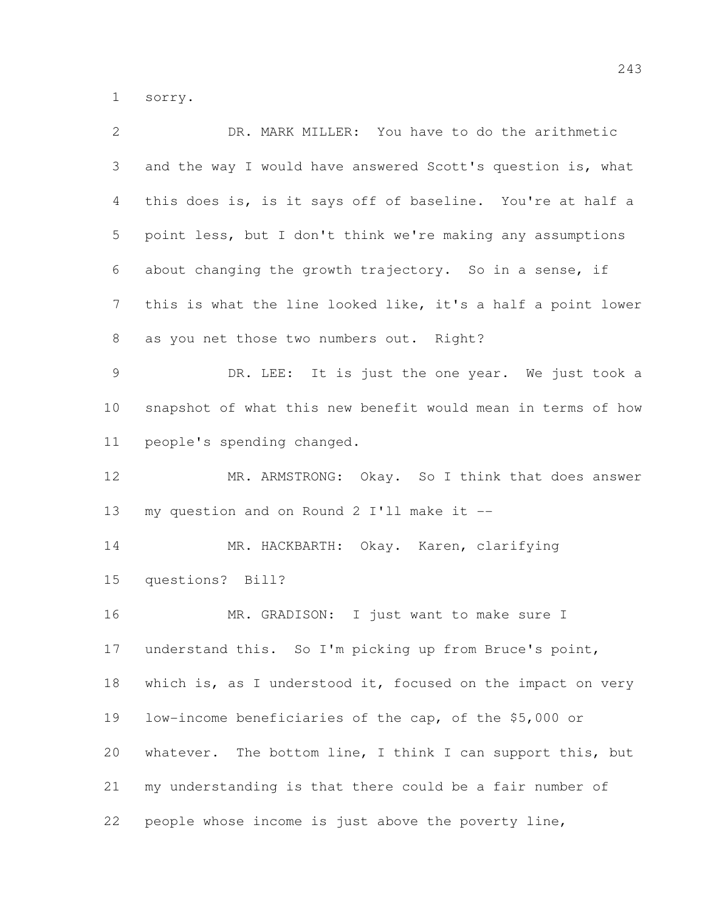sorry.

| 2              | DR. MARK MILLER: You have to do the arithmetic               |
|----------------|--------------------------------------------------------------|
| 3              | and the way I would have answered Scott's question is, what  |
| $\overline{4}$ | this does is, is it says off of baseline. You're at half a   |
| 5              | point less, but I don't think we're making any assumptions   |
| 6              | about changing the growth trajectory. So in a sense, if      |
| $7\phantom{.}$ | this is what the line looked like, it's a half a point lower |
| 8              | as you net those two numbers out. Right?                     |
| 9              | DR. LEE: It is just the one year. We just took a             |
| 10             | snapshot of what this new benefit would mean in terms of how |
| 11             | people's spending changed.                                   |
| 12             | MR. ARMSTRONG: Okay. So I think that does answer             |
| 13             | my question and on Round 2 I'll make it --                   |
| 14             | MR. HACKBARTH: Okay. Karen, clarifying                       |
| 15             | questions? Bill?                                             |
| 16             | MR. GRADISON: I just want to make sure I                     |
| 17             | understand this. So I'm picking up from Bruce's point,       |
| 18             | which is, as I understood it, focused on the impact on very  |
| 19             | low-income beneficiaries of the cap, of the \$5,000 or       |
| 20             | whatever. The bottom line, I think I can support this, but   |
| 21             | my understanding is that there could be a fair number of     |
| 22             | people whose income is just above the poverty line,          |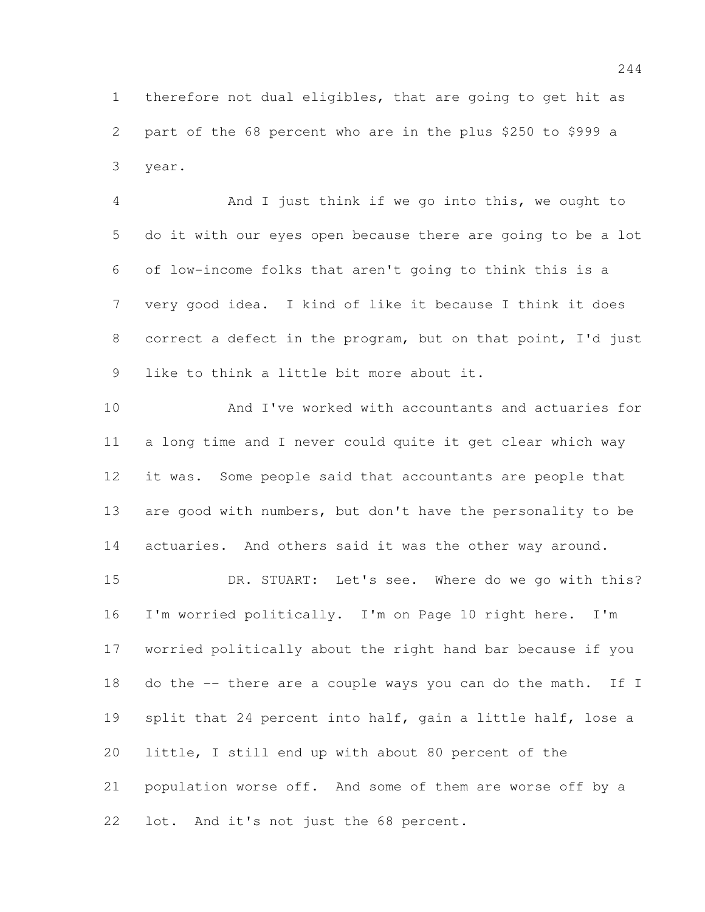therefore not dual eligibles, that are going to get hit as part of the 68 percent who are in the plus \$250 to \$999 a year.

 And I just think if we go into this, we ought to do it with our eyes open because there are going to be a lot of low-income folks that aren't going to think this is a very good idea. I kind of like it because I think it does correct a defect in the program, but on that point, I'd just like to think a little bit more about it.

 And I've worked with accountants and actuaries for a long time and I never could quite it get clear which way it was. Some people said that accountants are people that are good with numbers, but don't have the personality to be actuaries. And others said it was the other way around.

 DR. STUART: Let's see. Where do we go with this? I'm worried politically. I'm on Page 10 right here. I'm worried politically about the right hand bar because if you 18 do the -- there are a couple ways you can do the math. If I split that 24 percent into half, gain a little half, lose a little, I still end up with about 80 percent of the population worse off. And some of them are worse off by a lot. And it's not just the 68 percent.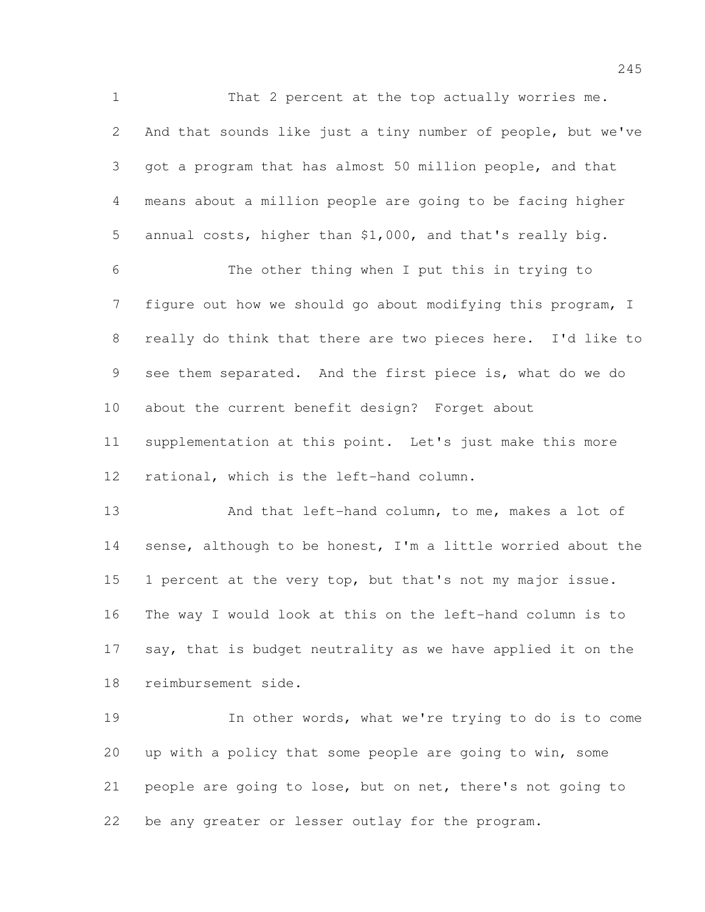1 That 2 percent at the top actually worries me. And that sounds like just a tiny number of people, but we've got a program that has almost 50 million people, and that means about a million people are going to be facing higher annual costs, higher than \$1,000, and that's really big. The other thing when I put this in trying to figure out how we should go about modifying this program, I really do think that there are two pieces here. I'd like to see them separated. And the first piece is, what do we do about the current benefit design? Forget about supplementation at this point. Let's just make this more rational, which is the left-hand column.

13 And that left-hand column, to me, makes a lot of sense, although to be honest, I'm a little worried about the 1 percent at the very top, but that's not my major issue. The way I would look at this on the left-hand column is to say, that is budget neutrality as we have applied it on the reimbursement side.

 In other words, what we're trying to do is to come up with a policy that some people are going to win, some people are going to lose, but on net, there's not going to be any greater or lesser outlay for the program.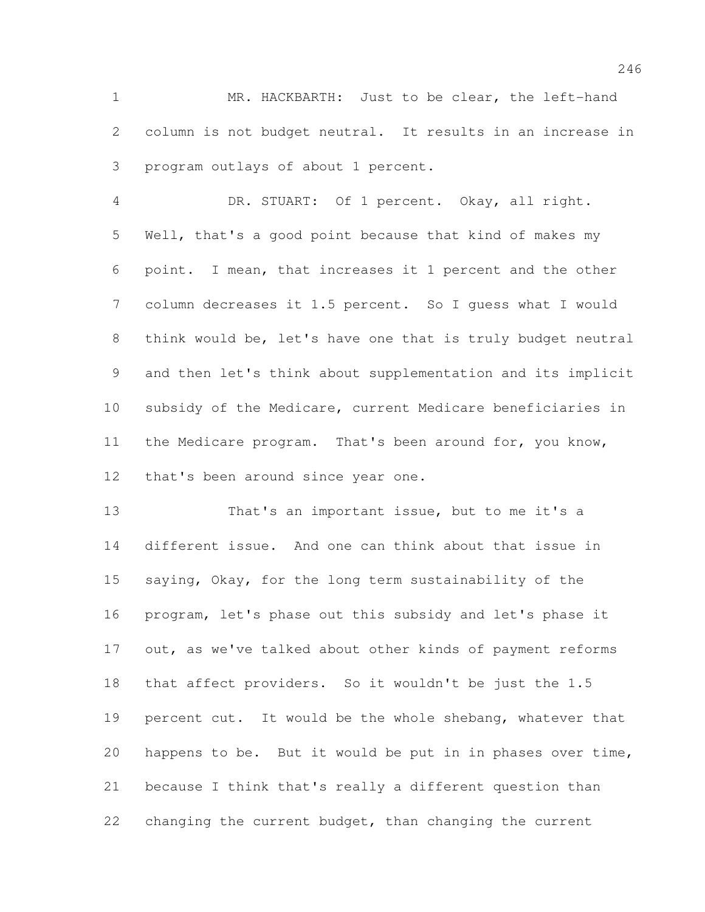MR. HACKBARTH: Just to be clear, the left-hand column is not budget neutral. It results in an increase in program outlays of about 1 percent.

 DR. STUART: Of 1 percent. Okay, all right. Well, that's a good point because that kind of makes my point. I mean, that increases it 1 percent and the other column decreases it 1.5 percent. So I guess what I would think would be, let's have one that is truly budget neutral and then let's think about supplementation and its implicit subsidy of the Medicare, current Medicare beneficiaries in the Medicare program. That's been around for, you know, that's been around since year one.

 That's an important issue, but to me it's a different issue. And one can think about that issue in saying, Okay, for the long term sustainability of the program, let's phase out this subsidy and let's phase it 17 out, as we've talked about other kinds of payment reforms that affect providers. So it wouldn't be just the 1.5 percent cut. It would be the whole shebang, whatever that happens to be. But it would be put in in phases over time, because I think that's really a different question than changing the current budget, than changing the current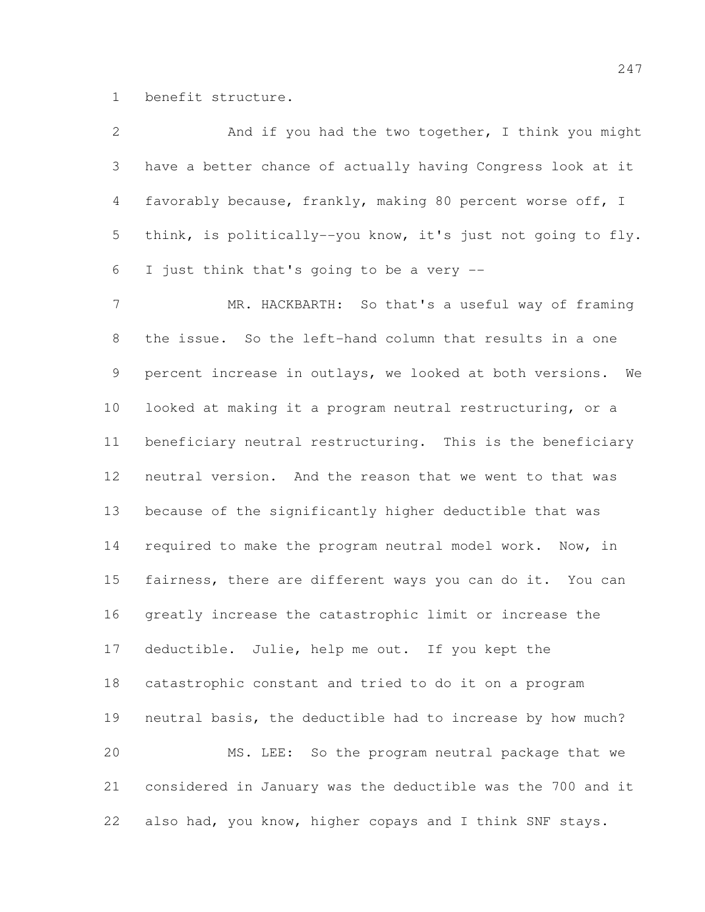benefit structure.

| $\overline{2}$  | And if you had the two together, I think you might           |
|-----------------|--------------------------------------------------------------|
| 3               | have a better chance of actually having Congress look at it  |
| $\overline{4}$  | favorably because, frankly, making 80 percent worse off, I   |
| 5               | think, is politically--you know, it's just not going to fly. |
| 6               | I just think that's going to be a very --                    |
| $7\phantom{.}$  | MR. HACKBARTH: So that's a useful way of framing             |
| 8               | the issue. So the left-hand column that results in a one     |
| 9               | percent increase in outlays, we looked at both versions. We  |
| 10              | looked at making it a program neutral restructuring, or a    |
| 11              | beneficiary neutral restructuring. This is the beneficiary   |
| 12 <sup>°</sup> | neutral version. And the reason that we went to that was     |
| 13              | because of the significantly higher deductible that was      |
| 14              | required to make the program neutral model work. Now, in     |
| 15              | fairness, there are different ways you can do it. You can    |
| 16              | greatly increase the catastrophic limit or increase the      |
| 17              | deductible. Julie, help me out. If you kept the              |
| 18              | catastrophic constant and tried to do it on a program        |
| 19              | neutral basis, the deductible had to increase by how much?   |
| 20              | MS. LEE: So the program neutral package that we              |
| 21              | considered in January was the deductible was the 700 and it  |
| 22              | also had, you know, higher copays and I think SNF stays.     |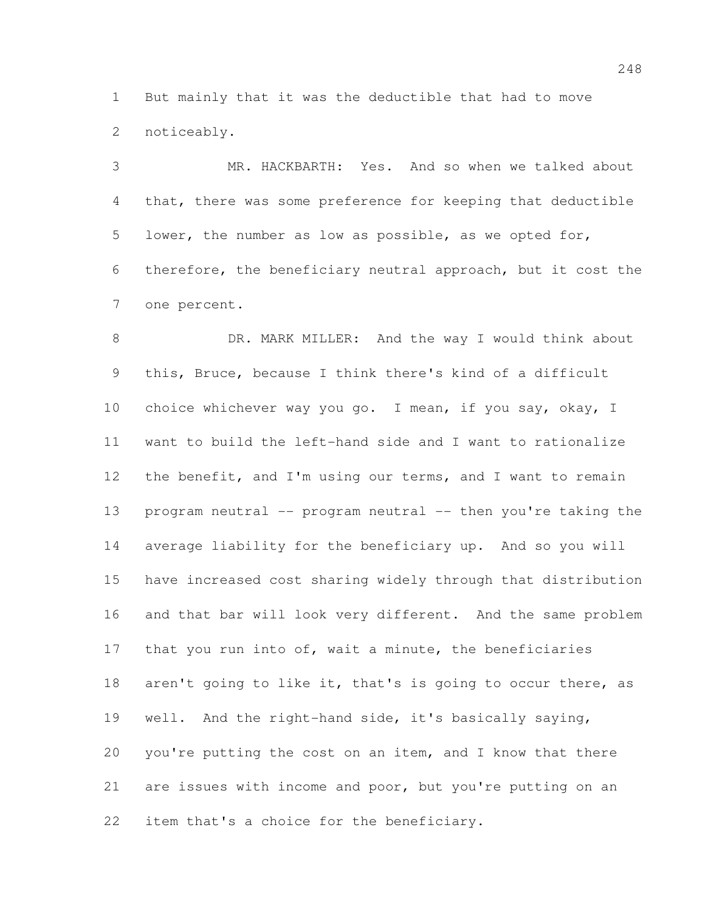But mainly that it was the deductible that had to move noticeably.

 MR. HACKBARTH: Yes. And so when we talked about that, there was some preference for keeping that deductible lower, the number as low as possible, as we opted for, therefore, the beneficiary neutral approach, but it cost the one percent.

8 DR. MARK MILLER: And the way I would think about this, Bruce, because I think there's kind of a difficult 10 choice whichever way you go. I mean, if you say, okay, I want to build the left-hand side and I want to rationalize 12 the benefit, and I'm using our terms, and I want to remain 13 program neutral -- program neutral -- then you're taking the average liability for the beneficiary up. And so you will have increased cost sharing widely through that distribution and that bar will look very different. And the same problem 17 that you run into of, wait a minute, the beneficiaries 18 aren't going to like it, that's is going to occur there, as well. And the right-hand side, it's basically saying, you're putting the cost on an item, and I know that there are issues with income and poor, but you're putting on an item that's a choice for the beneficiary.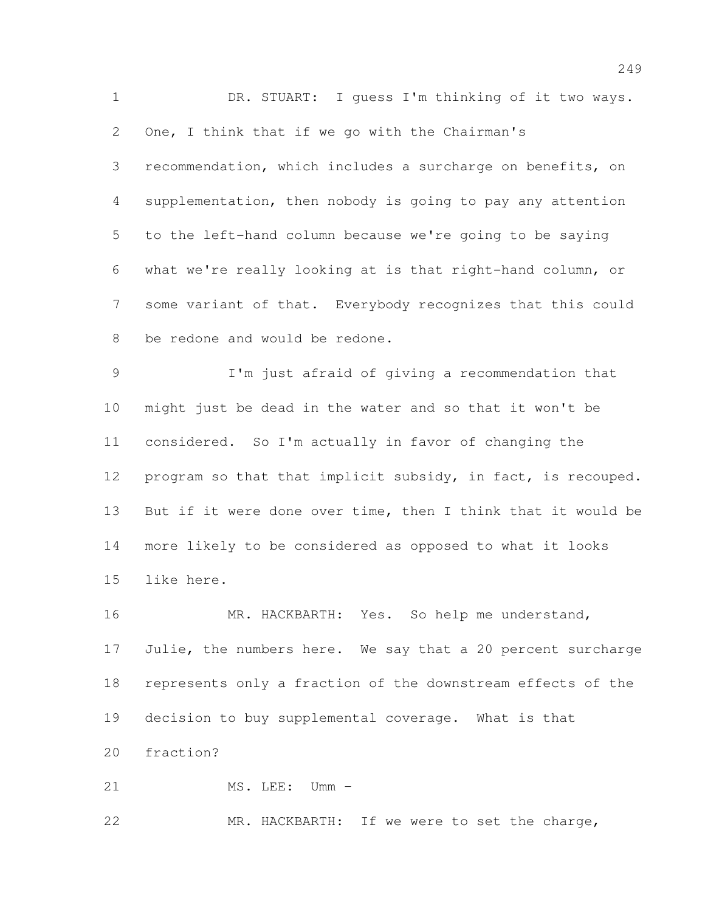DR. STUART: I guess I'm thinking of it two ways. One, I think that if we go with the Chairman's recommendation, which includes a surcharge on benefits, on supplementation, then nobody is going to pay any attention to the left-hand column because we're going to be saying what we're really looking at is that right-hand column, or some variant of that. Everybody recognizes that this could be redone and would be redone. I'm just afraid of giving a recommendation that might just be dead in the water and so that it won't be considered. So I'm actually in favor of changing the program so that that implicit subsidy, in fact, is recouped. But if it were done over time, then I think that it would be more likely to be considered as opposed to what it looks like here. 16 MR. HACKBARTH: Yes. So help me understand, 17 Julie, the numbers here. We say that a 20 percent surcharge

decision to buy supplemental coverage. What is that

represents only a fraction of the downstream effects of the

fraction?

21 MS. LEE: Umm –

MR. HACKBARTH: If we were to set the charge,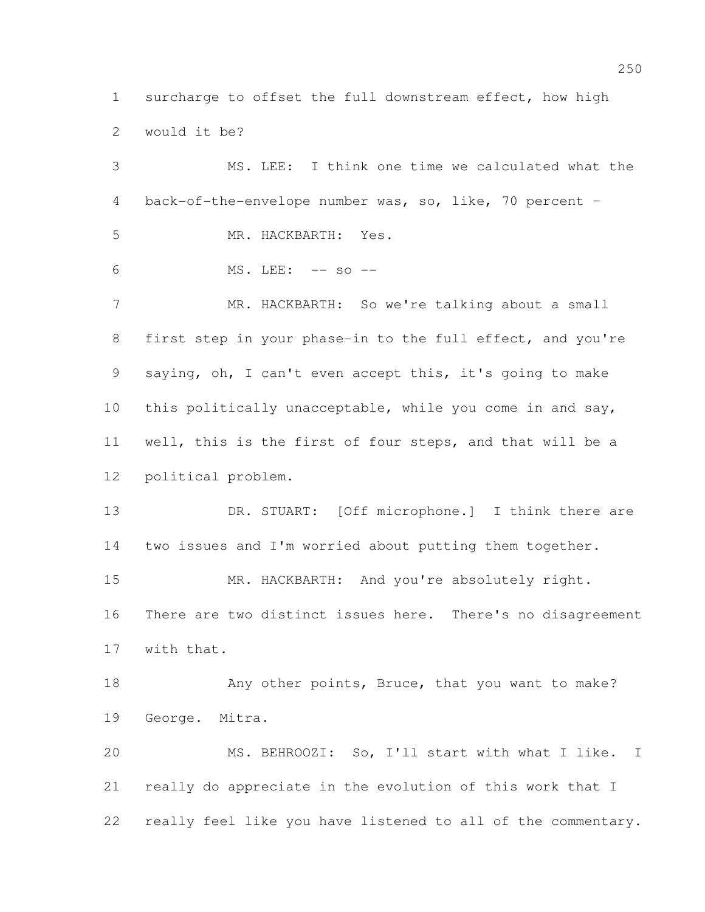surcharge to offset the full downstream effect, how high would it be?

 MS. LEE: I think one time we calculated what the back-of-the-envelope number was, so, like, 70 percent – MR. HACKBARTH: Yes. MS. LEE: -- so -- MR. HACKBARTH: So we're talking about a small first step in your phase-in to the full effect, and you're saying, oh, I can't even accept this, it's going to make this politically unacceptable, while you come in and say, well, this is the first of four steps, and that will be a political problem. DR. STUART: [Off microphone.] I think there are two issues and I'm worried about putting them together. 15 MR. HACKBARTH: And you're absolutely right. There are two distinct issues here. There's no disagreement with that. 18 Any other points, Bruce, that you want to make? George. Mitra. MS. BEHROOZI: So, I'll start with what I like. I really do appreciate in the evolution of this work that I really feel like you have listened to all of the commentary.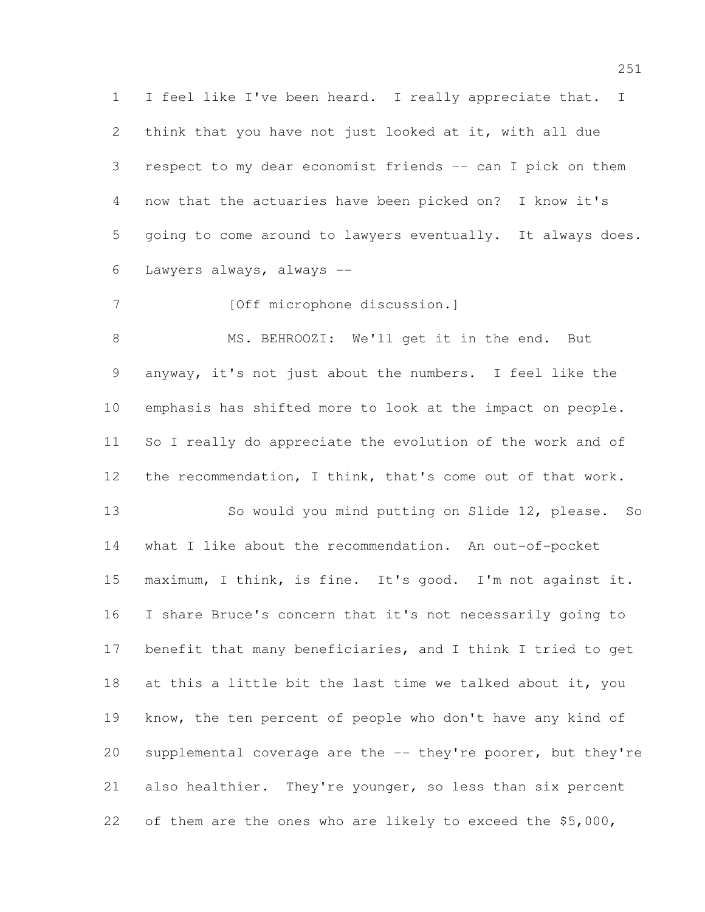I feel like I've been heard. I really appreciate that. I think that you have not just looked at it, with all due respect to my dear economist friends -- can I pick on them now that the actuaries have been picked on? I know it's going to come around to lawyers eventually. It always does. Lawyers always, always --

7 [Off microphone discussion.]

8 MS. BEHROOZI: We'll get it in the end. But anyway, it's not just about the numbers. I feel like the emphasis has shifted more to look at the impact on people. So I really do appreciate the evolution of the work and of the recommendation, I think, that's come out of that work.

 So would you mind putting on Slide 12, please. So what I like about the recommendation. An out-of-pocket maximum, I think, is fine. It's good. I'm not against it. I share Bruce's concern that it's not necessarily going to 17 benefit that many beneficiaries, and I think I tried to get 18 at this a little bit the last time we talked about it, you know, the ten percent of people who don't have any kind of supplemental coverage are the -- they're poorer, but they're also healthier. They're younger, so less than six percent of them are the ones who are likely to exceed the \$5,000,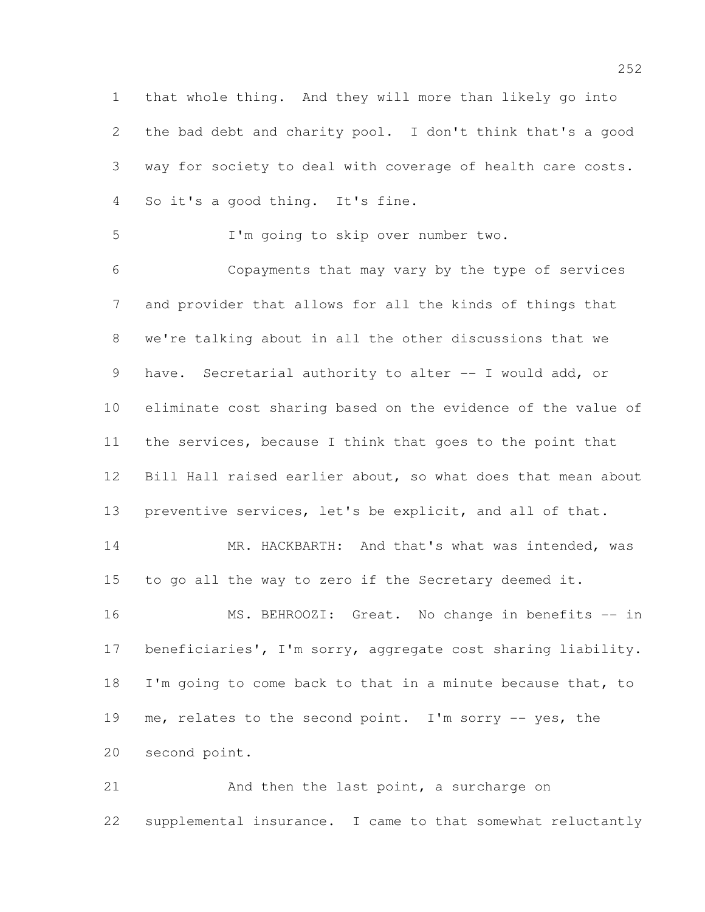that whole thing. And they will more than likely go into the bad debt and charity pool. I don't think that's a good way for society to deal with coverage of health care costs. So it's a good thing. It's fine.

I'm going to skip over number two.

 Copayments that may vary by the type of services and provider that allows for all the kinds of things that we're talking about in all the other discussions that we 9 have. Secretarial authority to alter -- I would add, or eliminate cost sharing based on the evidence of the value of the services, because I think that goes to the point that Bill Hall raised earlier about, so what does that mean about preventive services, let's be explicit, and all of that.

14 MR. HACKBARTH: And that's what was intended, was to go all the way to zero if the Secretary deemed it.

 MS. BEHROOZI: Great. No change in benefits -- in beneficiaries', I'm sorry, aggregate cost sharing liability. 18 I'm going to come back to that in a minute because that, to me, relates to the second point. I'm sorry -- yes, the second point.

21 And then the last point, a surcharge on supplemental insurance. I came to that somewhat reluctantly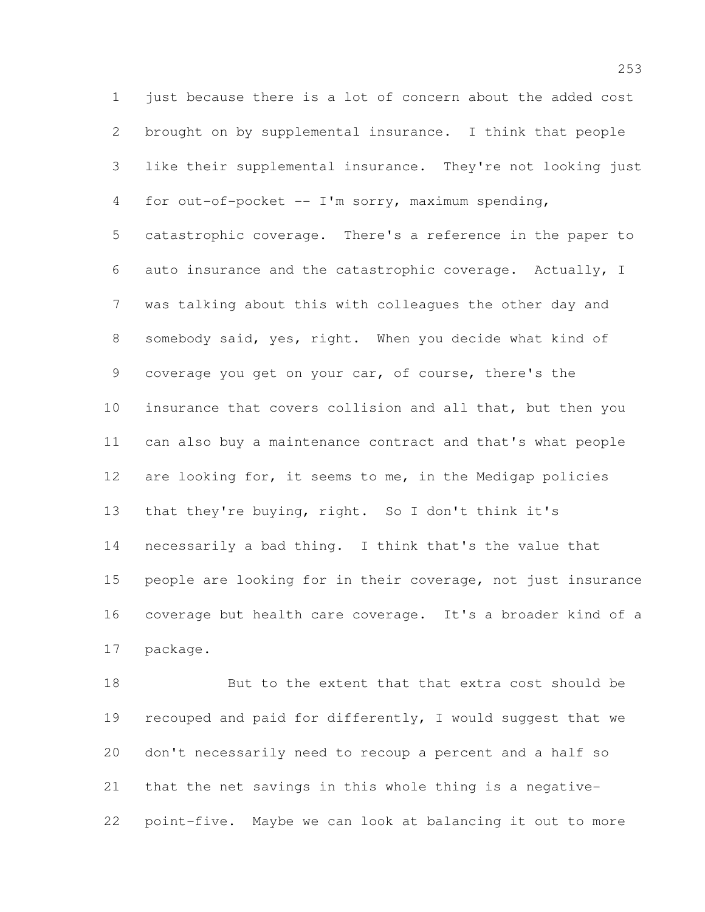1 just because there is a lot of concern about the added cost brought on by supplemental insurance. I think that people like their supplemental insurance. They're not looking just for out-of-pocket -- I'm sorry, maximum spending, catastrophic coverage. There's a reference in the paper to auto insurance and the catastrophic coverage. Actually, I was talking about this with colleagues the other day and somebody said, yes, right. When you decide what kind of coverage you get on your car, of course, there's the insurance that covers collision and all that, but then you can also buy a maintenance contract and that's what people are looking for, it seems to me, in the Medigap policies that they're buying, right. So I don't think it's necessarily a bad thing. I think that's the value that people are looking for in their coverage, not just insurance coverage but health care coverage. It's a broader kind of a package.

 But to the extent that that extra cost should be recouped and paid for differently, I would suggest that we don't necessarily need to recoup a percent and a half so that the net savings in this whole thing is a negative-point-five. Maybe we can look at balancing it out to more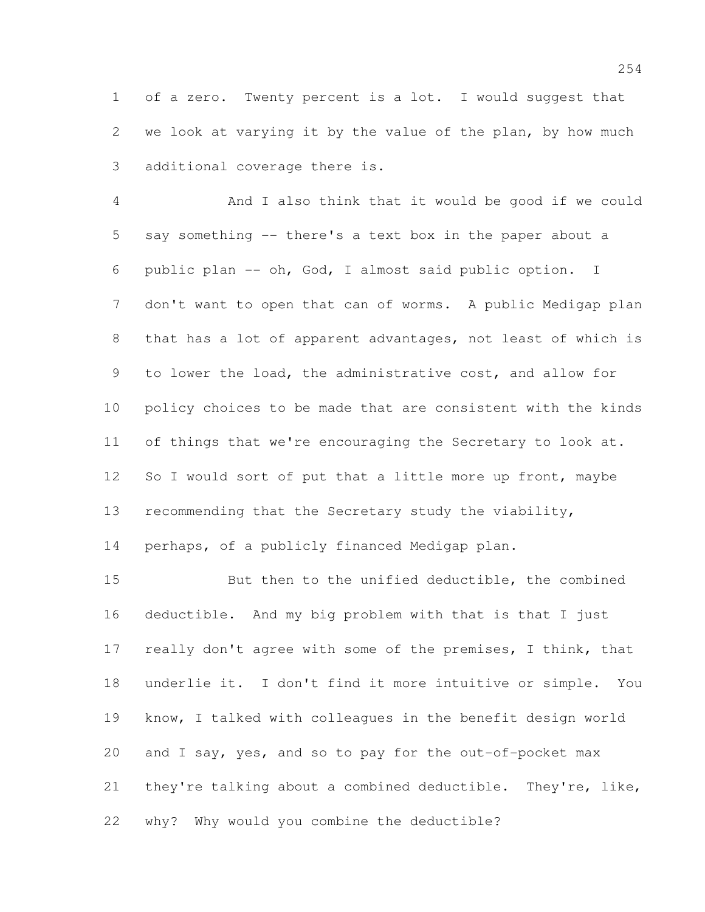of a zero. Twenty percent is a lot. I would suggest that we look at varying it by the value of the plan, by how much additional coverage there is.

 And I also think that it would be good if we could say something -- there's a text box in the paper about a public plan -- oh, God, I almost said public option. I don't want to open that can of worms. A public Medigap plan that has a lot of apparent advantages, not least of which is to lower the load, the administrative cost, and allow for policy choices to be made that are consistent with the kinds 11 of things that we're encouraging the Secretary to look at. 12 So I would sort of put that a little more up front, maybe recommending that the Secretary study the viability,

perhaps, of a publicly financed Medigap plan.

 But then to the unified deductible, the combined deductible. And my big problem with that is that I just 17 really don't agree with some of the premises, I think, that underlie it. I don't find it more intuitive or simple. You know, I talked with colleagues in the benefit design world and I say, yes, and so to pay for the out-of-pocket max they're talking about a combined deductible. They're, like, why? Why would you combine the deductible?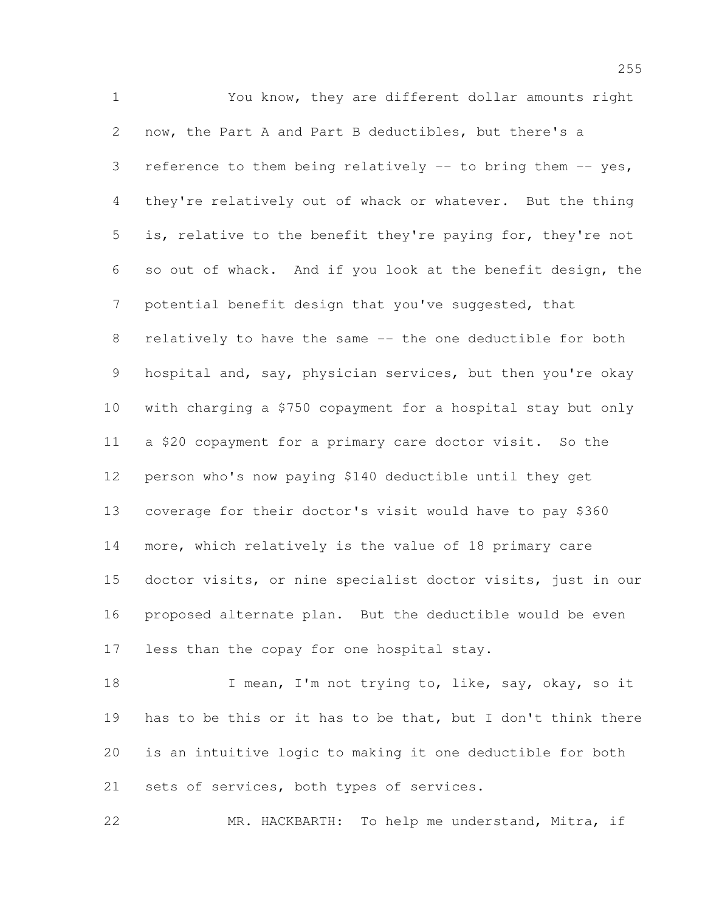You know, they are different dollar amounts right now, the Part A and Part B deductibles, but there's a reference to them being relatively -- to bring them -- yes, they're relatively out of whack or whatever. But the thing is, relative to the benefit they're paying for, they're not so out of whack. And if you look at the benefit design, the potential benefit design that you've suggested, that relatively to have the same -- the one deductible for both 9 hospital and, say, physician services, but then you're okay with charging a \$750 copayment for a hospital stay but only a \$20 copayment for a primary care doctor visit. So the person who's now paying \$140 deductible until they get coverage for their doctor's visit would have to pay \$360 more, which relatively is the value of 18 primary care doctor visits, or nine specialist doctor visits, just in our proposed alternate plan. But the deductible would be even less than the copay for one hospital stay.

18 I mean, I'm not trying to, like, say, okay, so it has to be this or it has to be that, but I don't think there is an intuitive logic to making it one deductible for both 21 sets of services, both types of services.

MR. HACKBARTH: To help me understand, Mitra, if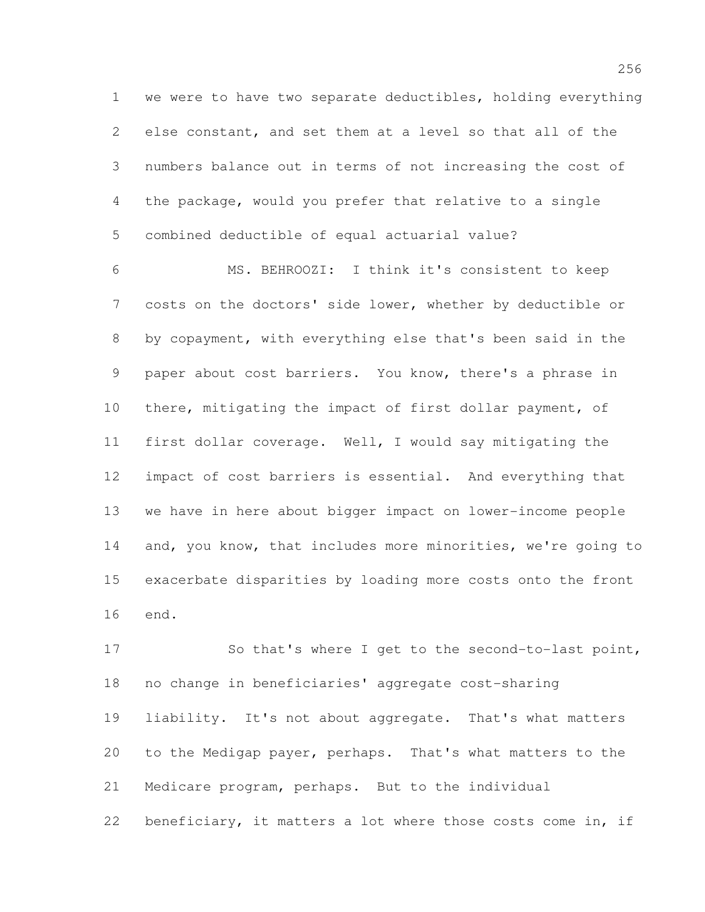we were to have two separate deductibles, holding everything else constant, and set them at a level so that all of the numbers balance out in terms of not increasing the cost of the package, would you prefer that relative to a single combined deductible of equal actuarial value?

 MS. BEHROOZI: I think it's consistent to keep costs on the doctors' side lower, whether by deductible or by copayment, with everything else that's been said in the paper about cost barriers. You know, there's a phrase in there, mitigating the impact of first dollar payment, of first dollar coverage. Well, I would say mitigating the impact of cost barriers is essential. And everything that we have in here about bigger impact on lower-income people 14 and, you know, that includes more minorities, we're going to exacerbate disparities by loading more costs onto the front end.

 So that's where I get to the second-to-last point, no change in beneficiaries' aggregate cost-sharing liability. It's not about aggregate. That's what matters to the Medigap payer, perhaps. That's what matters to the Medicare program, perhaps. But to the individual beneficiary, it matters a lot where those costs come in, if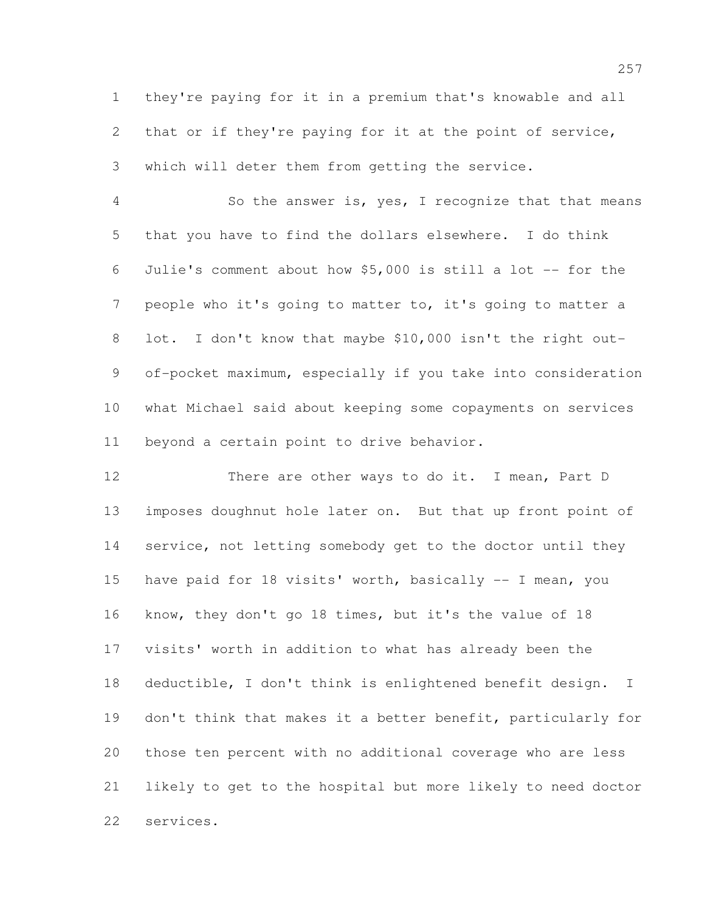they're paying for it in a premium that's knowable and all that or if they're paying for it at the point of service, which will deter them from getting the service.

 So the answer is, yes, I recognize that that means that you have to find the dollars elsewhere. I do think Julie's comment about how \$5,000 is still a lot -- for the people who it's going to matter to, it's going to matter a 8 lot. I don't know that maybe \$10,000 isn't the right out- of-pocket maximum, especially if you take into consideration what Michael said about keeping some copayments on services beyond a certain point to drive behavior.

12 There are other ways to do it. I mean, Part D imposes doughnut hole later on. But that up front point of service, not letting somebody get to the doctor until they have paid for 18 visits' worth, basically -- I mean, you know, they don't go 18 times, but it's the value of 18 visits' worth in addition to what has already been the deductible, I don't think is enlightened benefit design. I don't think that makes it a better benefit, particularly for those ten percent with no additional coverage who are less likely to get to the hospital but more likely to need doctor services.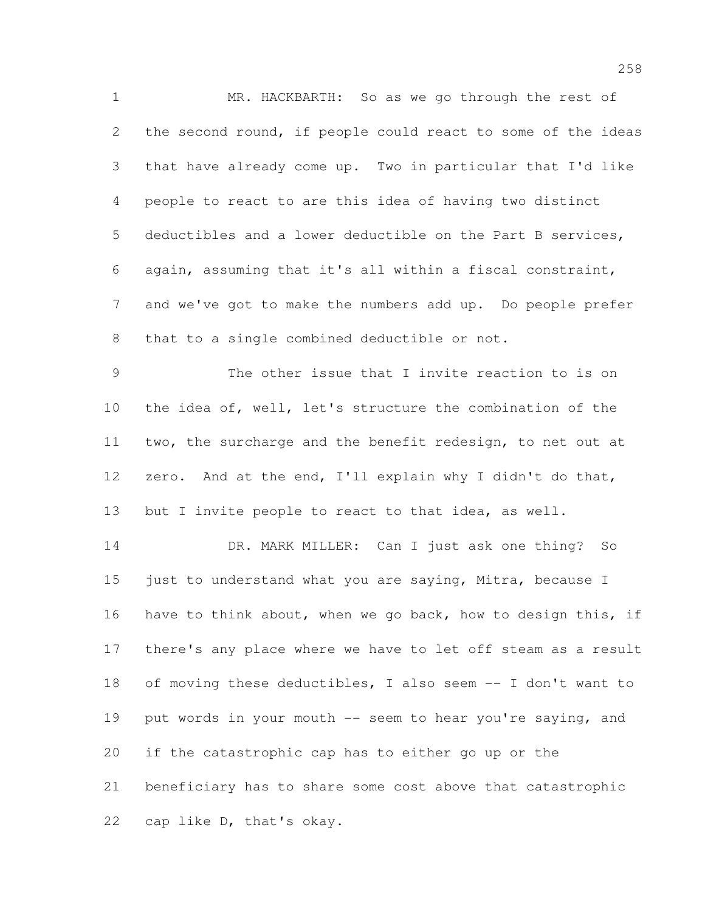MR. HACKBARTH: So as we go through the rest of the second round, if people could react to some of the ideas that have already come up. Two in particular that I'd like people to react to are this idea of having two distinct deductibles and a lower deductible on the Part B services, again, assuming that it's all within a fiscal constraint, and we've got to make the numbers add up. Do people prefer that to a single combined deductible or not.

 The other issue that I invite reaction to is on the idea of, well, let's structure the combination of the two, the surcharge and the benefit redesign, to net out at zero. And at the end, I'll explain why I didn't do that, but I invite people to react to that idea, as well.

14 DR. MARK MILLER: Can I just ask one thing? So 15 just to understand what you are saying, Mitra, because I have to think about, when we go back, how to design this, if there's any place where we have to let off steam as a result of moving these deductibles, I also seem -- I don't want to 19 put words in your mouth -- seem to hear you're saying, and if the catastrophic cap has to either go up or the beneficiary has to share some cost above that catastrophic cap like D, that's okay.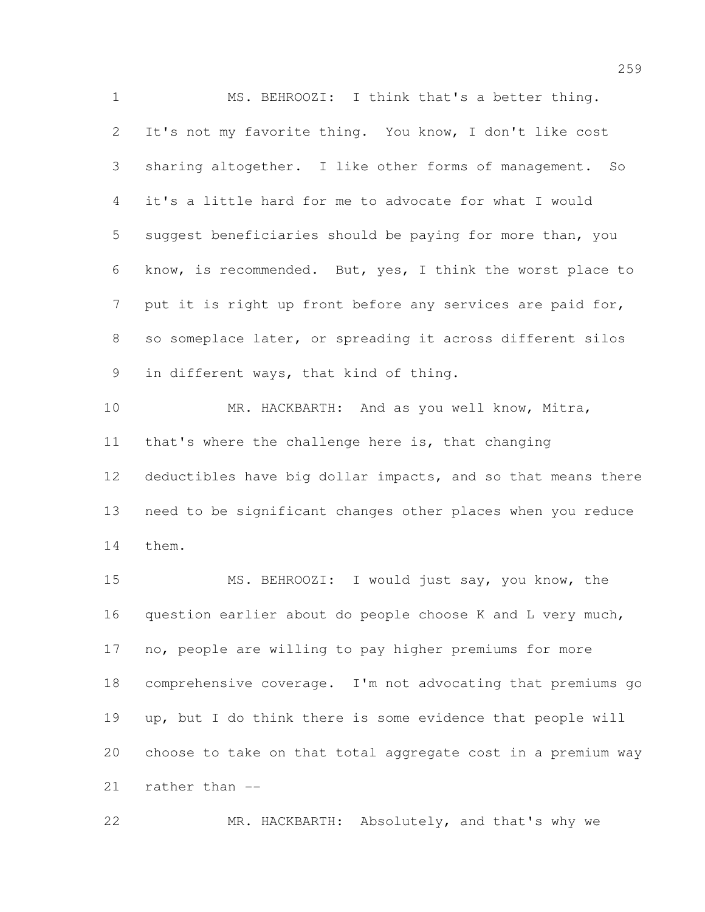MS. BEHROOZI: I think that's a better thing. It's not my favorite thing. You know, I don't like cost sharing altogether. I like other forms of management. So it's a little hard for me to advocate for what I would suggest beneficiaries should be paying for more than, you know, is recommended. But, yes, I think the worst place to 7 put it is right up front before any services are paid for, so someplace later, or spreading it across different silos in different ways, that kind of thing. MR. HACKBARTH: And as you well know, Mitra, that's where the challenge here is, that changing deductibles have big dollar impacts, and so that means there need to be significant changes other places when you reduce them. MS. BEHROOZI: I would just say, you know, the question earlier about do people choose K and L very much, no, people are willing to pay higher premiums for more comprehensive coverage. I'm not advocating that premiums go

 choose to take on that total aggregate cost in a premium way rather than --

up, but I do think there is some evidence that people will

MR. HACKBARTH: Absolutely, and that's why we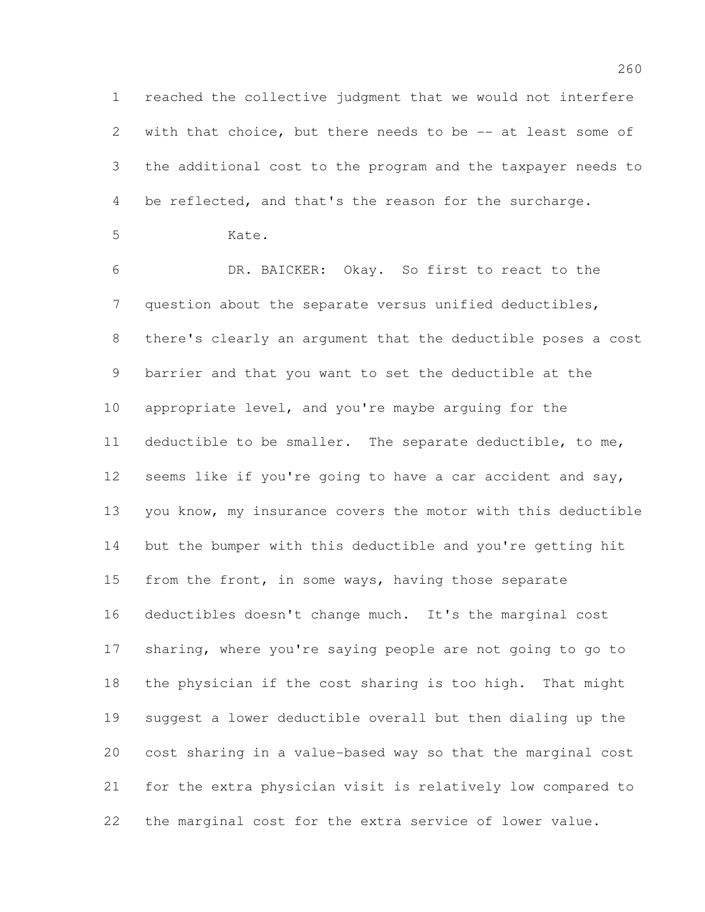reached the collective judgment that we would not interfere 2 with that choice, but there needs to be -- at least some of the additional cost to the program and the taxpayer needs to be reflected, and that's the reason for the surcharge.

Kate.

 DR. BAICKER: Okay. So first to react to the question about the separate versus unified deductibles, there's clearly an argument that the deductible poses a cost barrier and that you want to set the deductible at the appropriate level, and you're maybe arguing for the deductible to be smaller. The separate deductible, to me, seems like if you're going to have a car accident and say, you know, my insurance covers the motor with this deductible but the bumper with this deductible and you're getting hit 15 from the front, in some ways, having those separate deductibles doesn't change much. It's the marginal cost sharing, where you're saying people are not going to go to the physician if the cost sharing is too high. That might suggest a lower deductible overall but then dialing up the cost sharing in a value-based way so that the marginal cost for the extra physician visit is relatively low compared to the marginal cost for the extra service of lower value.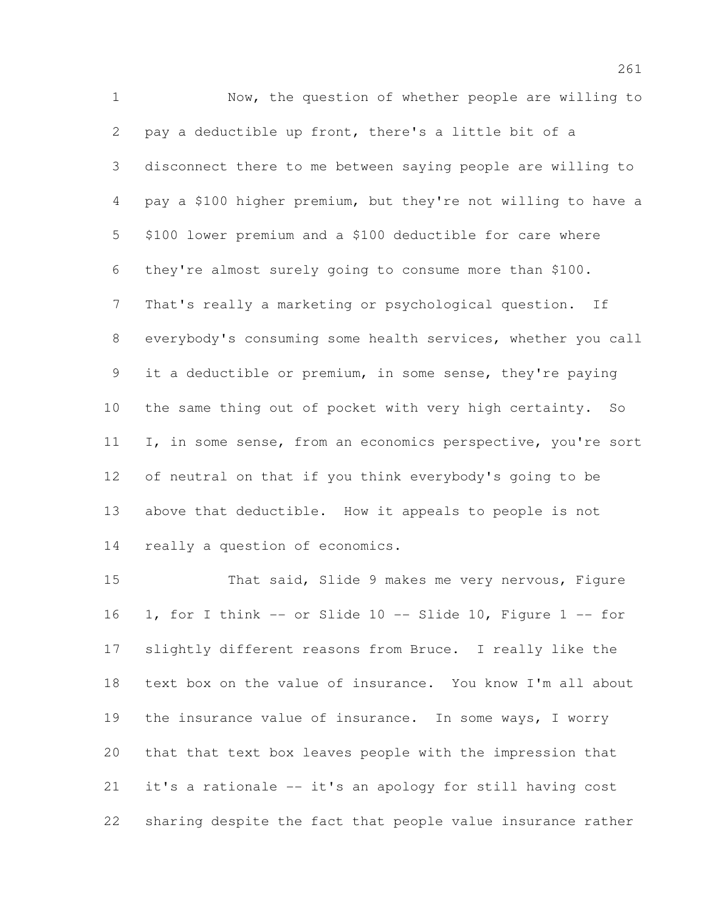Now, the question of whether people are willing to pay a deductible up front, there's a little bit of a disconnect there to me between saying people are willing to pay a \$100 higher premium, but they're not willing to have a \$100 lower premium and a \$100 deductible for care where they're almost surely going to consume more than \$100. That's really a marketing or psychological question. If everybody's consuming some health services, whether you call it a deductible or premium, in some sense, they're paying the same thing out of pocket with very high certainty. So I, in some sense, from an economics perspective, you're sort of neutral on that if you think everybody's going to be above that deductible. How it appeals to people is not really a question of economics.

 That said, Slide 9 makes me very nervous, Figure 1, for I think -- or Slide 10 -- Slide 10, Figure 1 -- for slightly different reasons from Bruce. I really like the text box on the value of insurance. You know I'm all about 19 the insurance value of insurance. In some ways, I worry that that text box leaves people with the impression that it's a rationale -- it's an apology for still having cost sharing despite the fact that people value insurance rather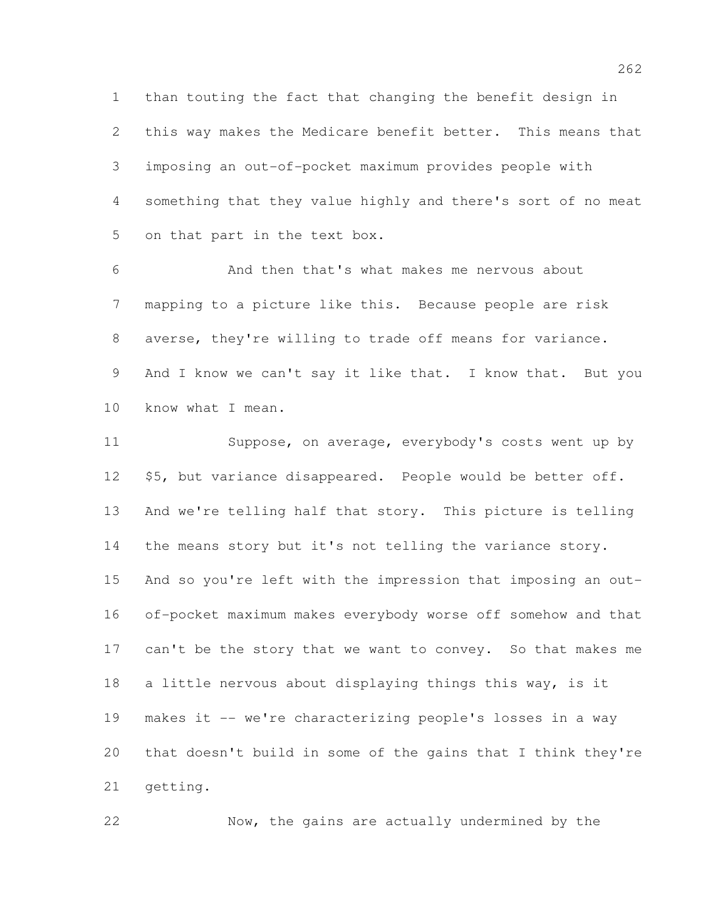than touting the fact that changing the benefit design in this way makes the Medicare benefit better. This means that imposing an out-of-pocket maximum provides people with something that they value highly and there's sort of no meat on that part in the text box.

 And then that's what makes me nervous about mapping to a picture like this. Because people are risk averse, they're willing to trade off means for variance. 9 And I know we can't say it like that. I know that. But you know what I mean.

 Suppose, on average, everybody's costs went up by 12 \$5, but variance disappeared. People would be better off. And we're telling half that story. This picture is telling the means story but it's not telling the variance story. And so you're left with the impression that imposing an out- of-pocket maximum makes everybody worse off somehow and that 17 can't be the story that we want to convey. So that makes me a little nervous about displaying things this way, is it makes it -- we're characterizing people's losses in a way that doesn't build in some of the gains that I think they're getting.

Now, the gains are actually undermined by the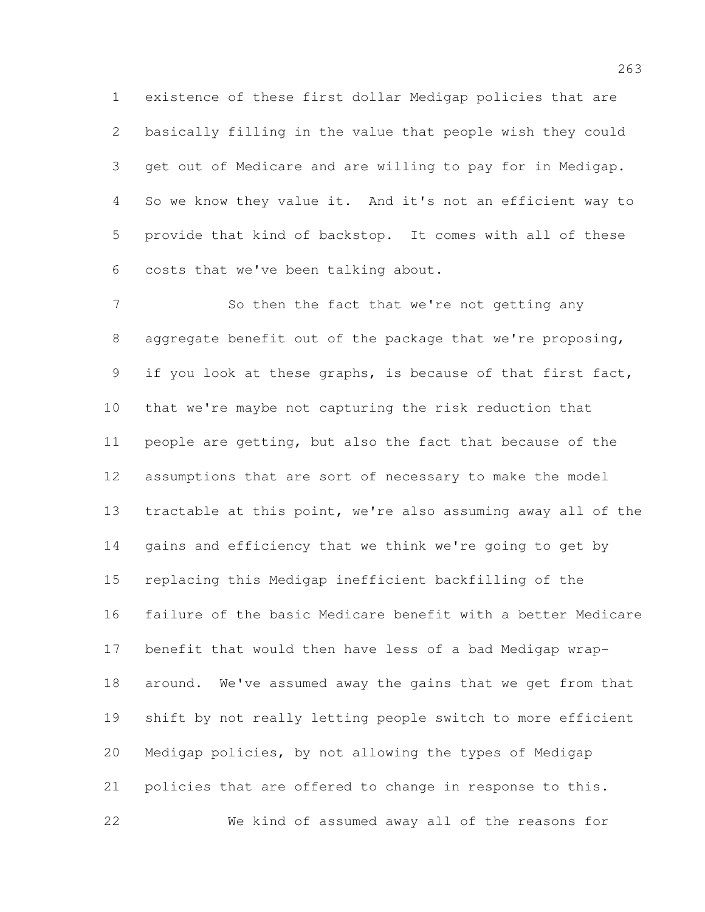existence of these first dollar Medigap policies that are basically filling in the value that people wish they could get out of Medicare and are willing to pay for in Medigap. So we know they value it. And it's not an efficient way to provide that kind of backstop. It comes with all of these costs that we've been talking about.

7 So then the fact that we're not getting any aggregate benefit out of the package that we're proposing, 9 if you look at these graphs, is because of that first fact, that we're maybe not capturing the risk reduction that people are getting, but also the fact that because of the assumptions that are sort of necessary to make the model tractable at this point, we're also assuming away all of the gains and efficiency that we think we're going to get by replacing this Medigap inefficient backfilling of the failure of the basic Medicare benefit with a better Medicare benefit that would then have less of a bad Medigap wrap- around. We've assumed away the gains that we get from that shift by not really letting people switch to more efficient Medigap policies, by not allowing the types of Medigap policies that are offered to change in response to this. We kind of assumed away all of the reasons for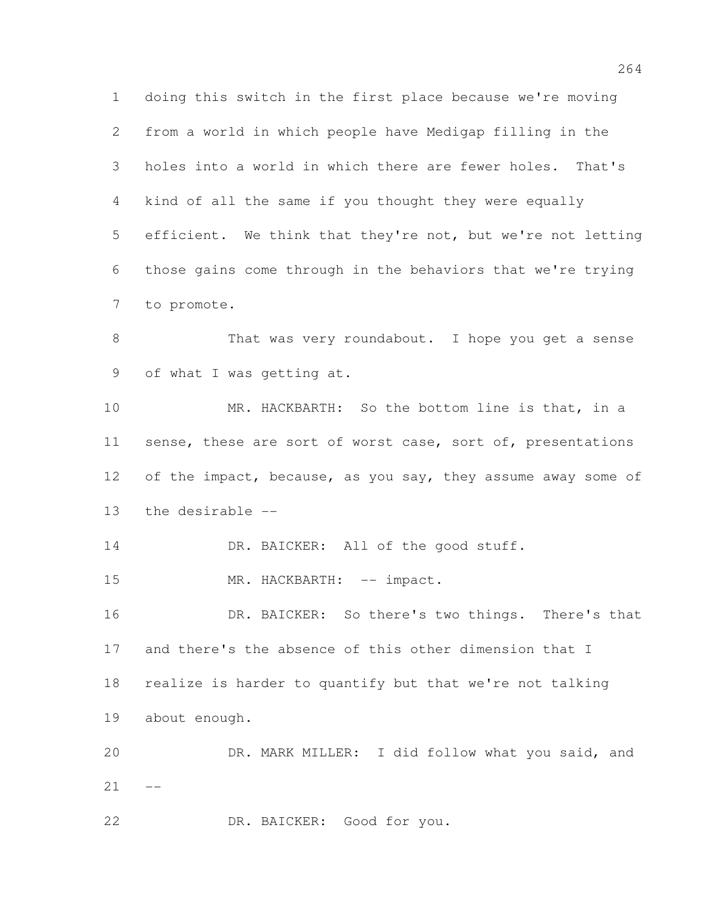doing this switch in the first place because we're moving from a world in which people have Medigap filling in the holes into a world in which there are fewer holes. That's kind of all the same if you thought they were equally efficient. We think that they're not, but we're not letting those gains come through in the behaviors that we're trying to promote.

8 That was very roundabout. I hope you get a sense of what I was getting at.

 MR. HACKBARTH: So the bottom line is that, in a 11 sense, these are sort of worst case, sort of, presentations 12 of the impact, because, as you say, they assume away some of the desirable --

14 DR. BAICKER: All of the good stuff.

15 MR. HACKBARTH: -- impact.

 DR. BAICKER: So there's two things. There's that and there's the absence of this other dimension that I realize is harder to quantify but that we're not talking about enough. DR. MARK MILLER: I did follow what you said, and

 $21 - -$ 

DR. BAICKER: Good for you.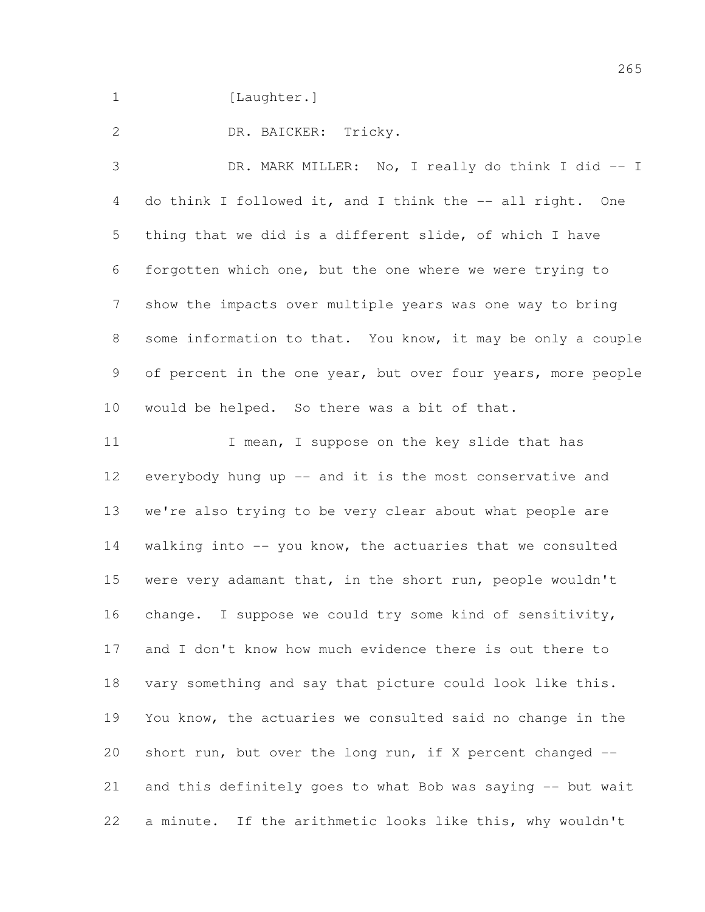1 [Laughter.]

DR. BAICKER: Tricky.

 DR. MARK MILLER: No, I really do think I did -- I 4 do think I followed it, and I think the -- all right. One thing that we did is a different slide, of which I have forgotten which one, but the one where we were trying to show the impacts over multiple years was one way to bring some information to that. You know, it may be only a couple 9 of percent in the one year, but over four years, more people would be helped. So there was a bit of that.

11 I mean, I suppose on the key slide that has everybody hung up -- and it is the most conservative and we're also trying to be very clear about what people are walking into -- you know, the actuaries that we consulted 15 were very adamant that, in the short run, people wouldn't change. I suppose we could try some kind of sensitivity, and I don't know how much evidence there is out there to vary something and say that picture could look like this. You know, the actuaries we consulted said no change in the short run, but over the long run, if X percent changed -- and this definitely goes to what Bob was saying -- but wait a minute. If the arithmetic looks like this, why wouldn't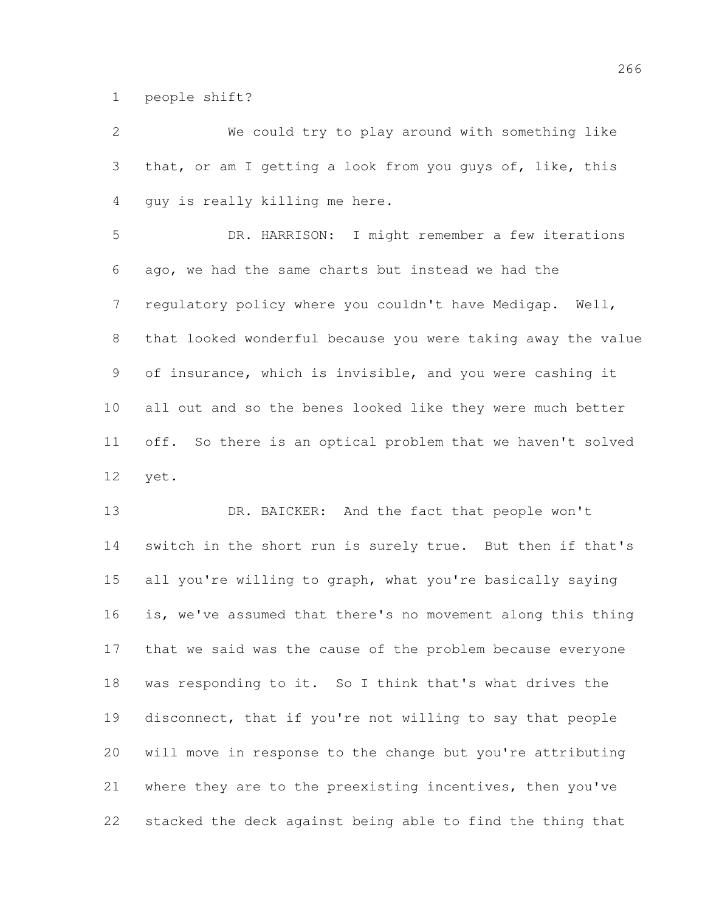people shift?

 We could try to play around with something like that, or am I getting a look from you guys of, like, this guy is really killing me here.

 DR. HARRISON: I might remember a few iterations ago, we had the same charts but instead we had the regulatory policy where you couldn't have Medigap. Well, that looked wonderful because you were taking away the value of insurance, which is invisible, and you were cashing it all out and so the benes looked like they were much better off. So there is an optical problem that we haven't solved yet.

 DR. BAICKER: And the fact that people won't switch in the short run is surely true. But then if that's all you're willing to graph, what you're basically saying is, we've assumed that there's no movement along this thing that we said was the cause of the problem because everyone was responding to it. So I think that's what drives the disconnect, that if you're not willing to say that people will move in response to the change but you're attributing where they are to the preexisting incentives, then you've stacked the deck against being able to find the thing that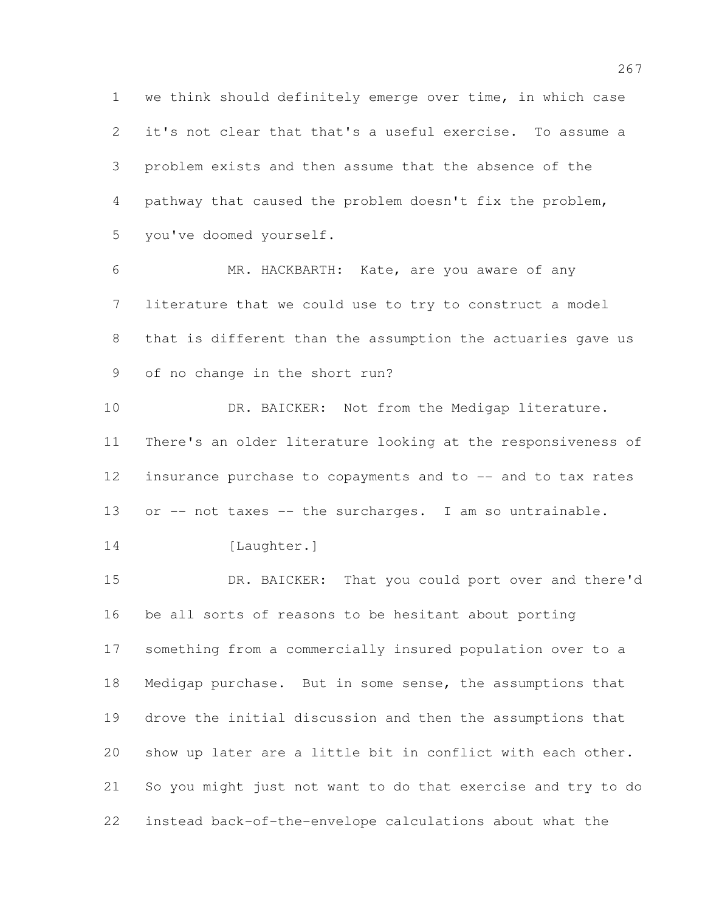we think should definitely emerge over time, in which case it's not clear that that's a useful exercise. To assume a problem exists and then assume that the absence of the pathway that caused the problem doesn't fix the problem, you've doomed yourself.

 MR. HACKBARTH: Kate, are you aware of any literature that we could use to try to construct a model that is different than the assumption the actuaries gave us of no change in the short run?

 DR. BAICKER: Not from the Medigap literature. There's an older literature looking at the responsiveness of 12 insurance purchase to copayments and to -- and to tax rates 13 or -- not taxes -- the surcharges. I am so untrainable.

```
14 [Laughter.]
```
 DR. BAICKER: That you could port over and there'd be all sorts of reasons to be hesitant about porting something from a commercially insured population over to a Medigap purchase. But in some sense, the assumptions that drove the initial discussion and then the assumptions that show up later are a little bit in conflict with each other. So you might just not want to do that exercise and try to do instead back-of-the-envelope calculations about what the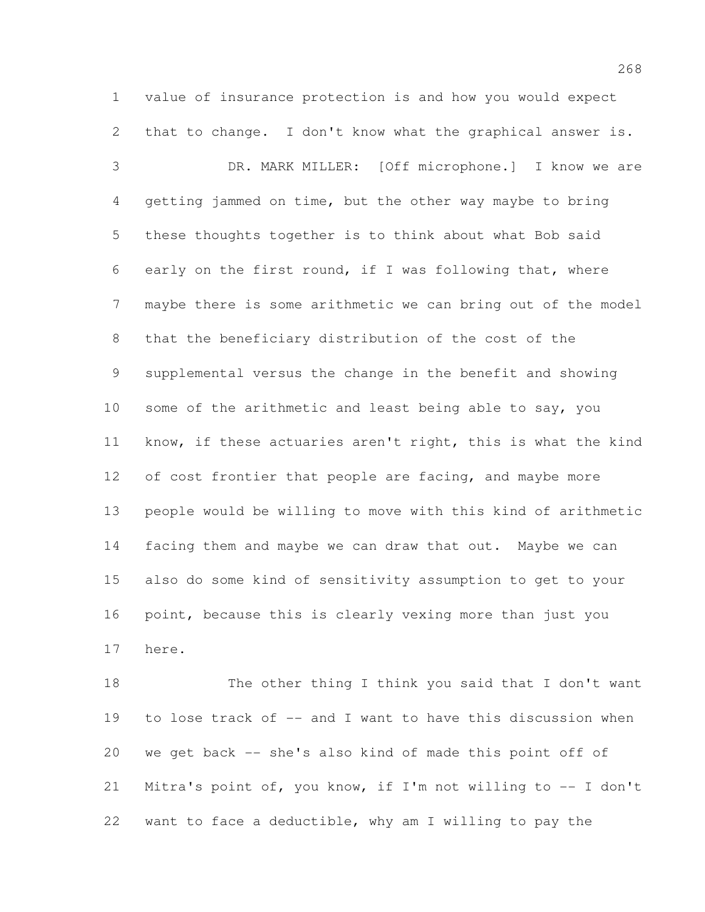value of insurance protection is and how you would expect that to change. I don't know what the graphical answer is.

 DR. MARK MILLER: [Off microphone.] I know we are getting jammed on time, but the other way maybe to bring these thoughts together is to think about what Bob said early on the first round, if I was following that, where maybe there is some arithmetic we can bring out of the model that the beneficiary distribution of the cost of the supplemental versus the change in the benefit and showing some of the arithmetic and least being able to say, you know, if these actuaries aren't right, this is what the kind 12 of cost frontier that people are facing, and maybe more people would be willing to move with this kind of arithmetic facing them and maybe we can draw that out. Maybe we can also do some kind of sensitivity assumption to get to your point, because this is clearly vexing more than just you here.

 The other thing I think you said that I don't want to lose track of -- and I want to have this discussion when we get back -- she's also kind of made this point off of Mitra's point of, you know, if I'm not willing to -- I don't want to face a deductible, why am I willing to pay the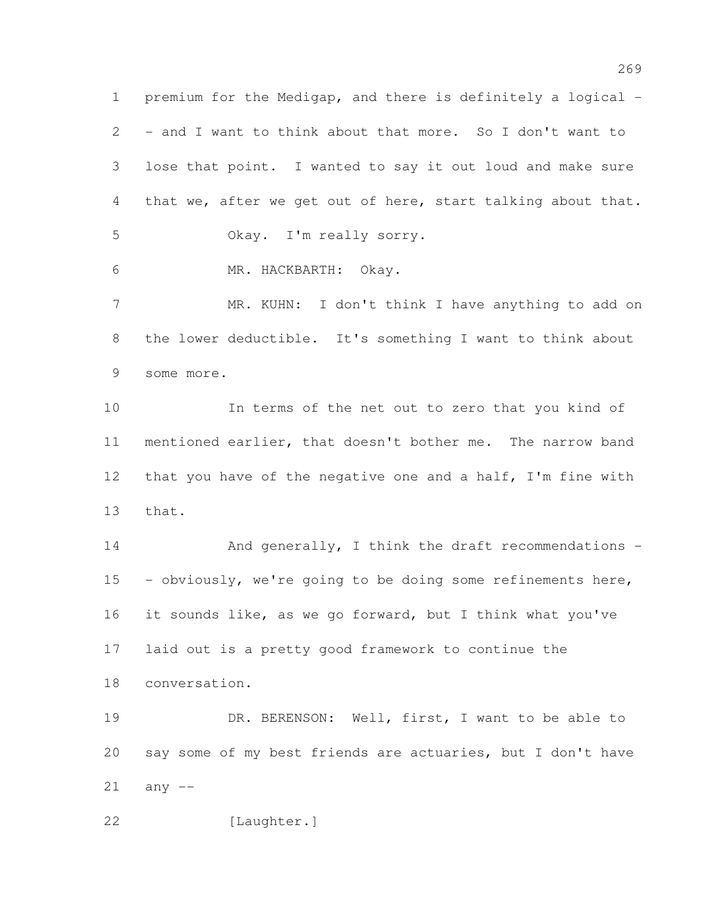premium for the Medigap, and there is definitely a logical - - and I want to think about that more. So I don't want to lose that point. I wanted to say it out loud and make sure that we, after we get out of here, start talking about that. Okay. I'm really sorry.

MR. HACKBARTH: Okay.

 MR. KUHN: I don't think I have anything to add on the lower deductible. It's something I want to think about some more.

 In terms of the net out to zero that you kind of mentioned earlier, that doesn't bother me. The narrow band that you have of the negative one and a half, I'm fine with that.

14 And generally, I think the draft recommendations - - obviously, we're going to be doing some refinements here, it sounds like, as we go forward, but I think what you've laid out is a pretty good framework to continue the conversation.

 DR. BERENSON: Well, first, I want to be able to say some of my best friends are actuaries, but I don't have any  $-$ 

[Laughter.]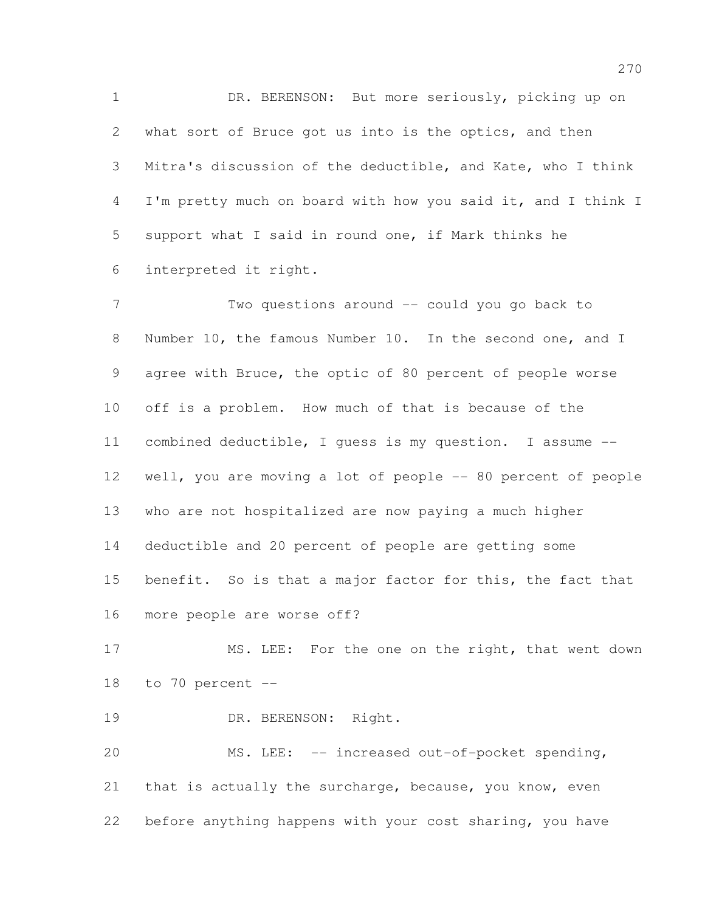DR. BERENSON: But more seriously, picking up on what sort of Bruce got us into is the optics, and then Mitra's discussion of the deductible, and Kate, who I think I'm pretty much on board with how you said it, and I think I support what I said in round one, if Mark thinks he interpreted it right.

 Two questions around -- could you go back to Number 10, the famous Number 10. In the second one, and I agree with Bruce, the optic of 80 percent of people worse off is a problem. How much of that is because of the combined deductible, I guess is my question. I assume -- well, you are moving a lot of people -- 80 percent of people who are not hospitalized are now paying a much higher deductible and 20 percent of people are getting some benefit. So is that a major factor for this, the fact that more people are worse off?

17 MS. LEE: For the one on the right, that went down to 70 percent --

19 DR. BERENSON: Right.

 MS. LEE: -- increased out-of-pocket spending, that is actually the surcharge, because, you know, even before anything happens with your cost sharing, you have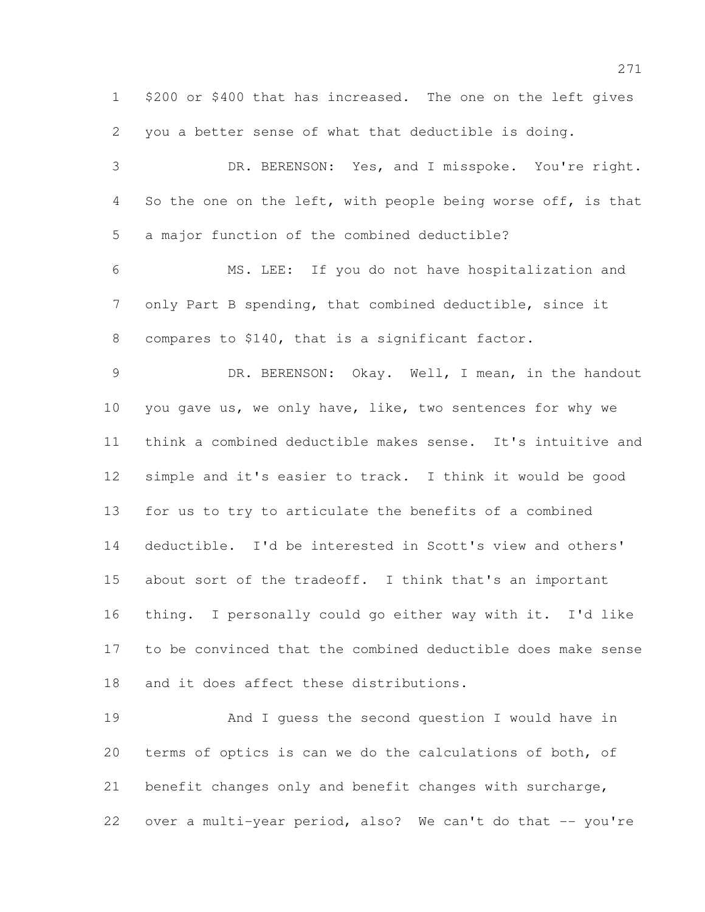\$200 or \$400 that has increased. The one on the left gives you a better sense of what that deductible is doing.

 DR. BERENSON: Yes, and I misspoke. You're right. 4 So the one on the left, with people being worse off, is that a major function of the combined deductible?

 MS. LEE: If you do not have hospitalization and only Part B spending, that combined deductible, since it compares to \$140, that is a significant factor.

 DR. BERENSON: Okay. Well, I mean, in the handout you gave us, we only have, like, two sentences for why we think a combined deductible makes sense. It's intuitive and simple and it's easier to track. I think it would be good for us to try to articulate the benefits of a combined deductible. I'd be interested in Scott's view and others' about sort of the tradeoff. I think that's an important thing. I personally could go either way with it. I'd like to be convinced that the combined deductible does make sense and it does affect these distributions.

 And I guess the second question I would have in terms of optics is can we do the calculations of both, of benefit changes only and benefit changes with surcharge, 22 over a multi-year period, also? We can't do that -- you're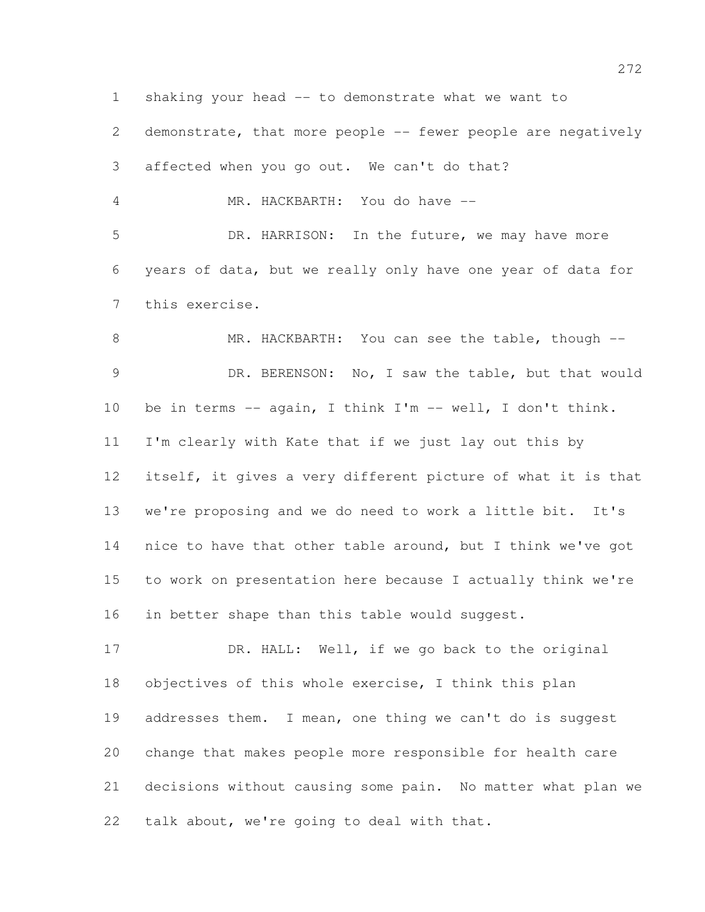shaking your head -- to demonstrate what we want to demonstrate, that more people -- fewer people are negatively affected when you go out. We can't do that? MR. HACKBARTH: You do have -- DR. HARRISON: In the future, we may have more years of data, but we really only have one year of data for this exercise. 8 MR. HACKBARTH: You can see the table, though -- DR. BERENSON: No, I saw the table, but that would be in terms -- again, I think I'm -- well, I don't think. I'm clearly with Kate that if we just lay out this by itself, it gives a very different picture of what it is that we're proposing and we do need to work a little bit. It's nice to have that other table around, but I think we've got to work on presentation here because I actually think we're 16 in better shape than this table would suggest. 17 DR. HALL: Well, if we go back to the original objectives of this whole exercise, I think this plan 19 addresses them. I mean, one thing we can't do is suggest change that makes people more responsible for health care

 decisions without causing some pain. No matter what plan we talk about, we're going to deal with that.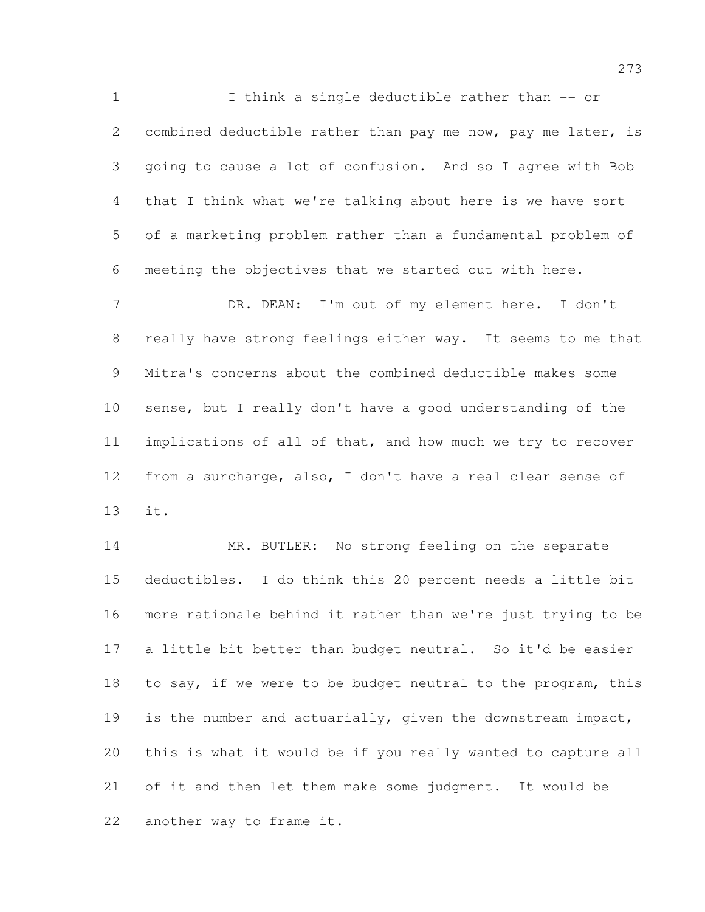I think a single deductible rather than -- or 2 combined deductible rather than pay me now, pay me later, is going to cause a lot of confusion. And so I agree with Bob that I think what we're talking about here is we have sort of a marketing problem rather than a fundamental problem of meeting the objectives that we started out with here.

 DR. DEAN: I'm out of my element here. I don't really have strong feelings either way. It seems to me that Mitra's concerns about the combined deductible makes some sense, but I really don't have a good understanding of the implications of all of that, and how much we try to recover from a surcharge, also, I don't have a real clear sense of it.

 MR. BUTLER: No strong feeling on the separate deductibles. I do think this 20 percent needs a little bit more rationale behind it rather than we're just trying to be a little bit better than budget neutral. So it'd be easier 18 to say, if we were to be budget neutral to the program, this is the number and actuarially, given the downstream impact, this is what it would be if you really wanted to capture all of it and then let them make some judgment. It would be another way to frame it.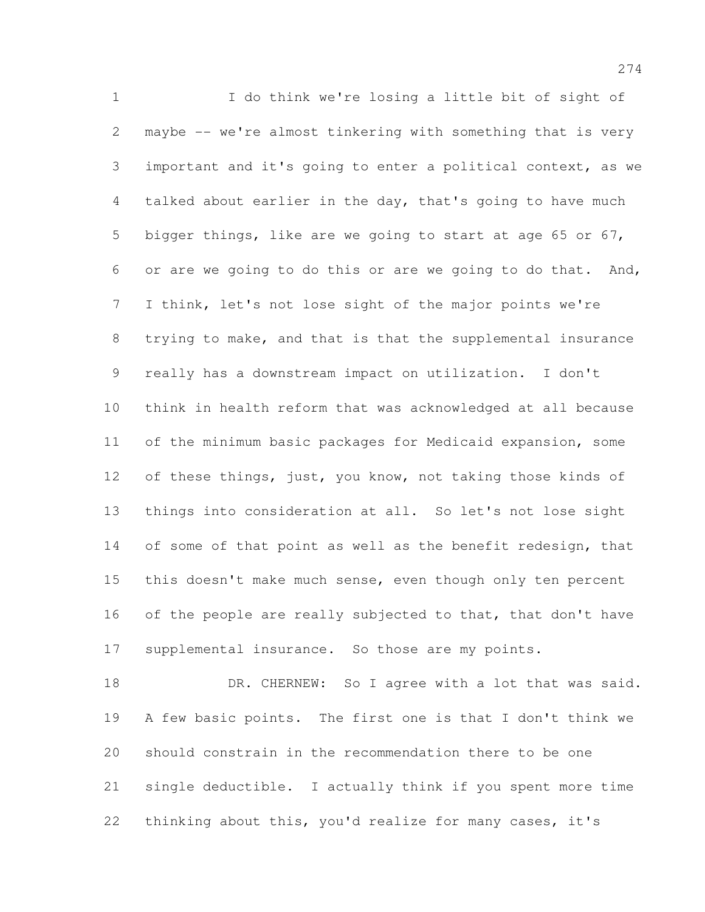I do think we're losing a little bit of sight of maybe -- we're almost tinkering with something that is very important and it's going to enter a political context, as we talked about earlier in the day, that's going to have much bigger things, like are we going to start at age 65 or 67, or are we going to do this or are we going to do that. And, I think, let's not lose sight of the major points we're trying to make, and that is that the supplemental insurance really has a downstream impact on utilization. I don't think in health reform that was acknowledged at all because of the minimum basic packages for Medicaid expansion, some 12 of these things, just, you know, not taking those kinds of things into consideration at all. So let's not lose sight 14 of some of that point as well as the benefit redesign, that 15 this doesn't make much sense, even though only ten percent 16 of the people are really subjected to that, that don't have supplemental insurance. So those are my points.

18 DR. CHERNEW: So I agree with a lot that was said. A few basic points. The first one is that I don't think we should constrain in the recommendation there to be one single deductible. I actually think if you spent more time thinking about this, you'd realize for many cases, it's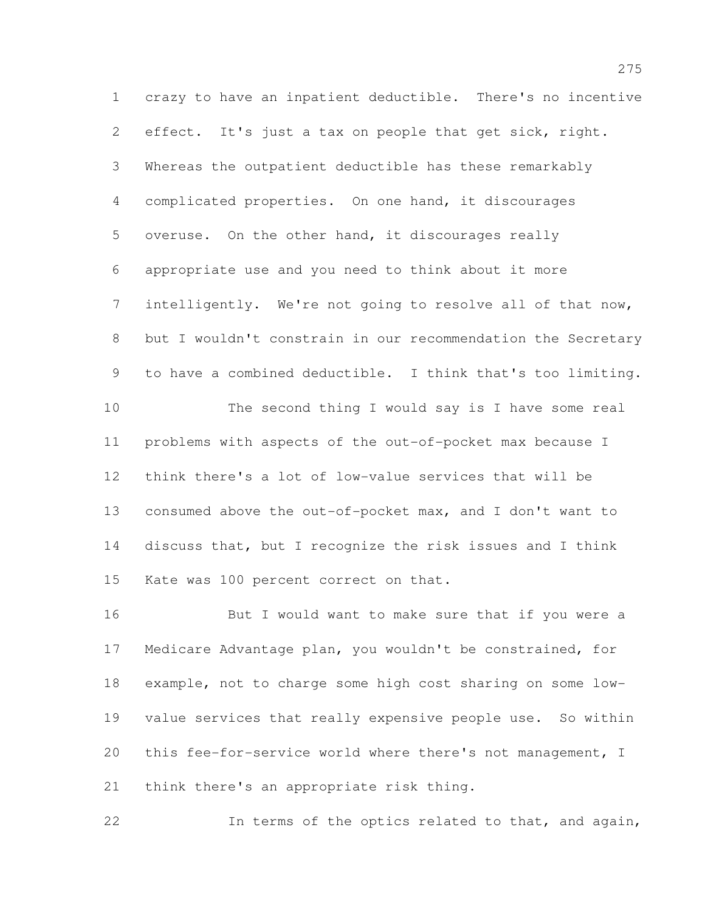crazy to have an inpatient deductible. There's no incentive effect. It's just a tax on people that get sick, right. Whereas the outpatient deductible has these remarkably complicated properties. On one hand, it discourages overuse. On the other hand, it discourages really appropriate use and you need to think about it more intelligently. We're not going to resolve all of that now, but I wouldn't constrain in our recommendation the Secretary to have a combined deductible. I think that's too limiting. The second thing I would say is I have some real problems with aspects of the out-of-pocket max because I think there's a lot of low-value services that will be consumed above the out-of-pocket max, and I don't want to discuss that, but I recognize the risk issues and I think Kate was 100 percent correct on that.

 But I would want to make sure that if you were a Medicare Advantage plan, you wouldn't be constrained, for example, not to charge some high cost sharing on some low- value services that really expensive people use. So within this fee-for-service world where there's not management, I think there's an appropriate risk thing.

In terms of the optics related to that, and again,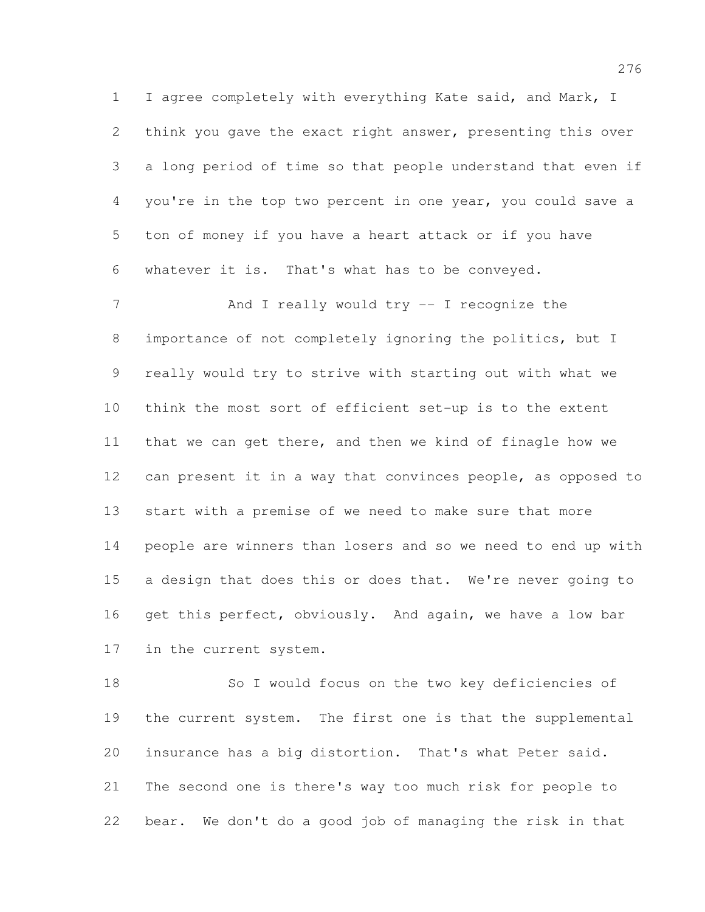I agree completely with everything Kate said, and Mark, I think you gave the exact right answer, presenting this over a long period of time so that people understand that even if you're in the top two percent in one year, you could save a ton of money if you have a heart attack or if you have whatever it is. That's what has to be conveyed.

7 And I really would try -- I recognize the importance of not completely ignoring the politics, but I really would try to strive with starting out with what we think the most sort of efficient set-up is to the extent that we can get there, and then we kind of finagle how we can present it in a way that convinces people, as opposed to start with a premise of we need to make sure that more people are winners than losers and so we need to end up with 15 a design that does this or does that. We're never going to 16 get this perfect, obviously. And again, we have a low bar in the current system.

 So I would focus on the two key deficiencies of 19 the current system. The first one is that the supplemental insurance has a big distortion. That's what Peter said. The second one is there's way too much risk for people to bear. We don't do a good job of managing the risk in that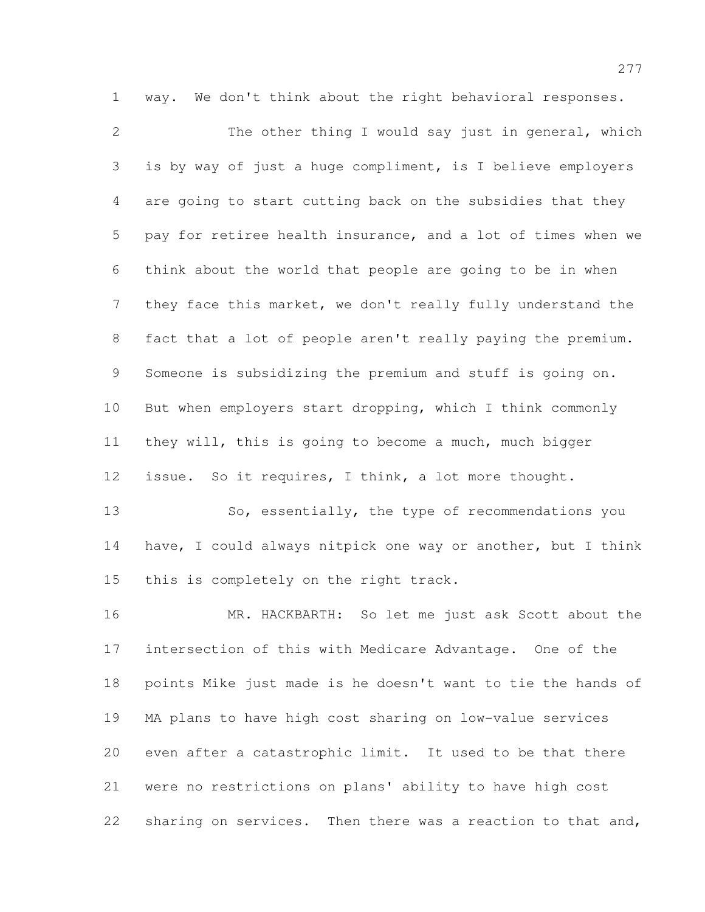way. We don't think about the right behavioral responses. 2 The other thing I would say just in general, which is by way of just a huge compliment, is I believe employers are going to start cutting back on the subsidies that they pay for retiree health insurance, and a lot of times when we think about the world that people are going to be in when they face this market, we don't really fully understand the fact that a lot of people aren't really paying the premium. Someone is subsidizing the premium and stuff is going on. But when employers start dropping, which I think commonly they will, this is going to become a much, much bigger issue. So it requires, I think, a lot more thought. 13 So, essentially, the type of recommendations you have, I could always nitpick one way or another, but I think

15 this is completely on the right track.

 MR. HACKBARTH: So let me just ask Scott about the intersection of this with Medicare Advantage. One of the points Mike just made is he doesn't want to tie the hands of MA plans to have high cost sharing on low-value services even after a catastrophic limit. It used to be that there were no restrictions on plans' ability to have high cost 22 sharing on services. Then there was a reaction to that and,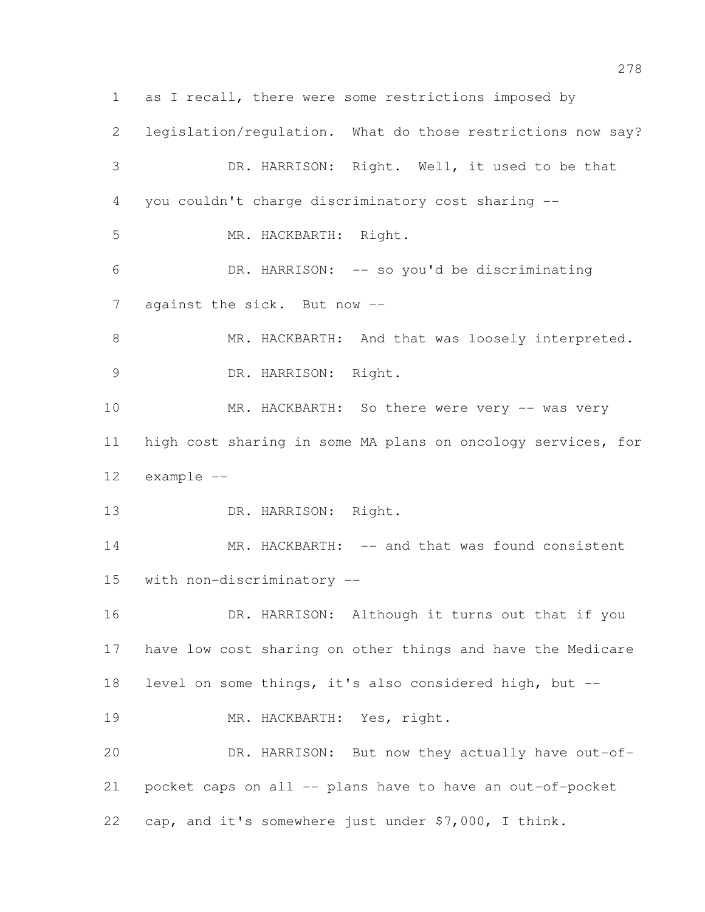as I recall, there were some restrictions imposed by legislation/regulation. What do those restrictions now say? DR. HARRISON: Right. Well, it used to be that you couldn't charge discriminatory cost sharing -- MR. HACKBARTH: Right. DR. HARRISON: -- so you'd be discriminating 7 against the sick. But now --8 MR. HACKBARTH: And that was loosely interpreted. DR. HARRISON: Right. 10 MR. HACKBARTH: So there were very -- was very high cost sharing in some MA plans on oncology services, for example -- DR. HARRISON: Right. 14 MR. HACKBARTH: -- and that was found consistent with non-discriminatory -- 16 DR. HARRISON: Although it turns out that if you have low cost sharing on other things and have the Medicare level on some things, it's also considered high, but -- 19 MR. HACKBARTH: Yes, right. DR. HARRISON: But now they actually have out-of- pocket caps on all -- plans have to have an out-of-pocket cap, and it's somewhere just under \$7,000, I think.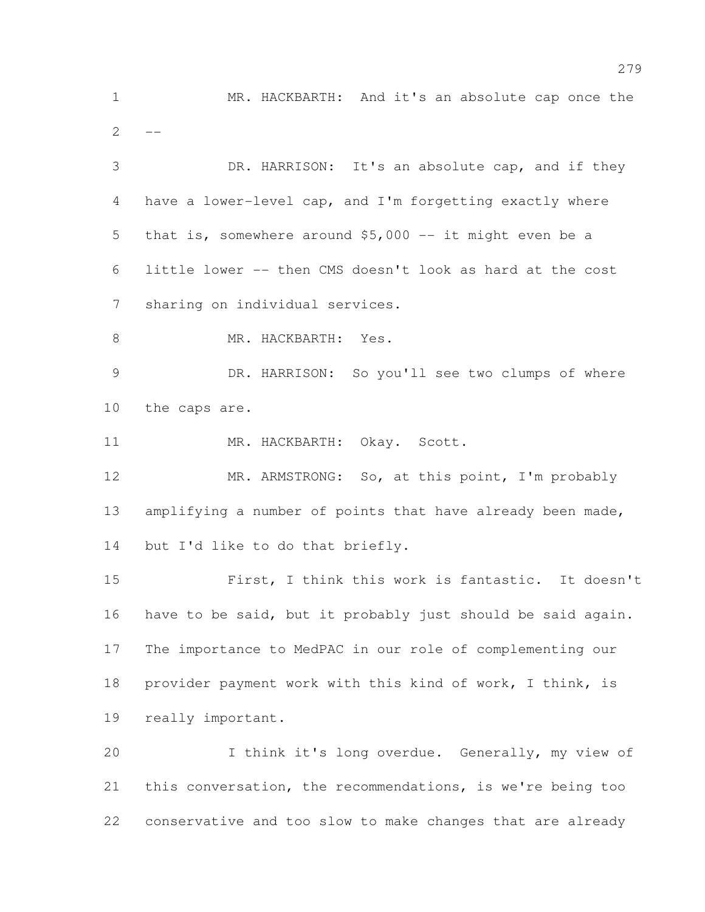MR. HACKBARTH: And it's an absolute cap once the  $\overline{2}$  DR. HARRISON: It's an absolute cap, and if they have a lower-level cap, and I'm forgetting exactly where that is, somewhere around \$5,000 -- it might even be a little lower -- then CMS doesn't look as hard at the cost sharing on individual services. 8 MR. HACKBARTH: Yes. DR. HARRISON: So you'll see two clumps of where the caps are. 11 MR. HACKBARTH: Okay. Scott. MR. ARMSTRONG: So, at this point, I'm probably 13 amplifying a number of points that have already been made, but I'd like to do that briefly. First, I think this work is fantastic. It doesn't have to be said, but it probably just should be said again. The importance to MedPAC in our role of complementing our provider payment work with this kind of work, I think, is really important. I think it's long overdue. Generally, my view of this conversation, the recommendations, is we're being too conservative and too slow to make changes that are already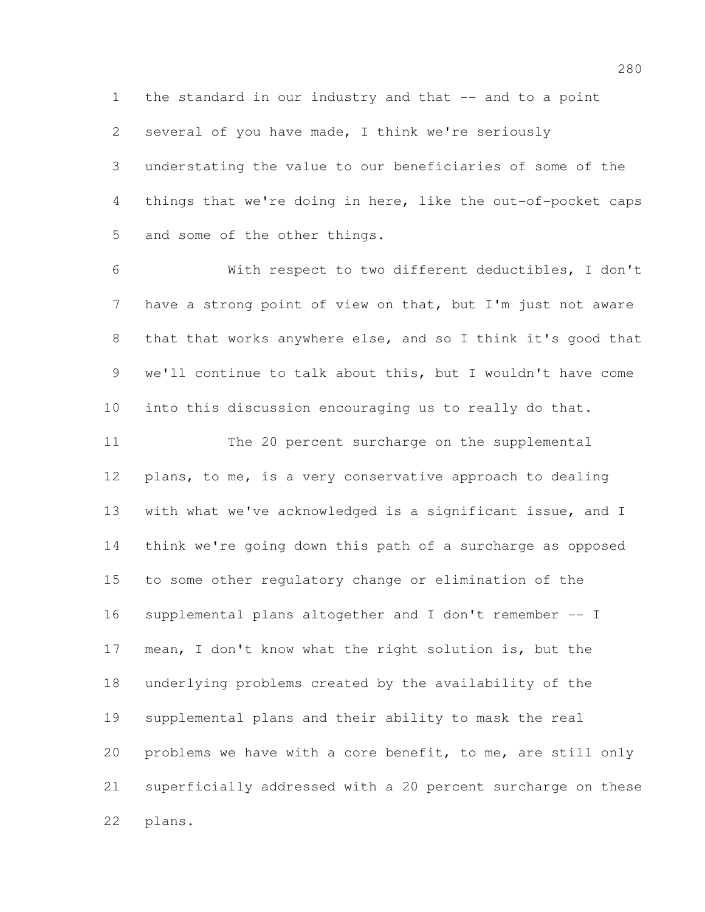the standard in our industry and that -- and to a point

several of you have made, I think we're seriously

 understating the value to our beneficiaries of some of the things that we're doing in here, like the out-of-pocket caps and some of the other things.

 With respect to two different deductibles, I don't have a strong point of view on that, but I'm just not aware 8 that that works anywhere else, and so I think it's good that we'll continue to talk about this, but I wouldn't have come into this discussion encouraging us to really do that. The 20 percent surcharge on the supplemental plans, to me, is a very conservative approach to dealing with what we've acknowledged is a significant issue, and I think we're going down this path of a surcharge as opposed to some other regulatory change or elimination of the supplemental plans altogether and I don't remember -- I mean, I don't know what the right solution is, but the underlying problems created by the availability of the supplemental plans and their ability to mask the real problems we have with a core benefit, to me, are still only superficially addressed with a 20 percent surcharge on these plans.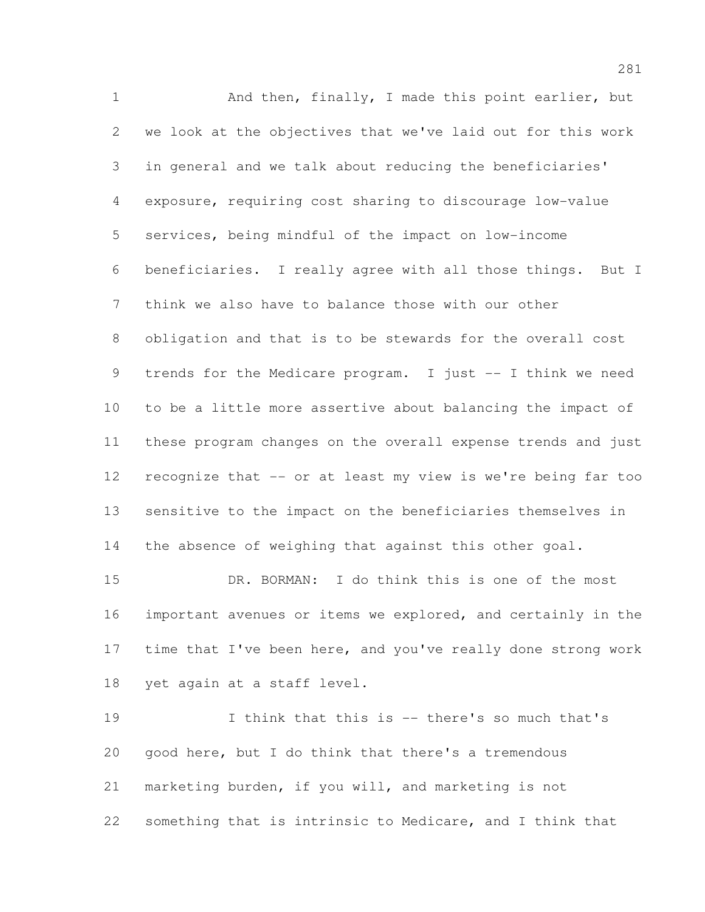1 And then, finally, I made this point earlier, but we look at the objectives that we've laid out for this work in general and we talk about reducing the beneficiaries' exposure, requiring cost sharing to discourage low-value services, being mindful of the impact on low-income beneficiaries. I really agree with all those things. But I think we also have to balance those with our other obligation and that is to be stewards for the overall cost trends for the Medicare program. I just -- I think we need to be a little more assertive about balancing the impact of these program changes on the overall expense trends and just recognize that -- or at least my view is we're being far too sensitive to the impact on the beneficiaries themselves in 14 the absence of weighing that against this other goal.

 DR. BORMAN: I do think this is one of the most important avenues or items we explored, and certainly in the 17 time that I've been here, and you've really done strong work yet again at a staff level.

 I think that this is -- there's so much that's good here, but I do think that there's a tremendous marketing burden, if you will, and marketing is not something that is intrinsic to Medicare, and I think that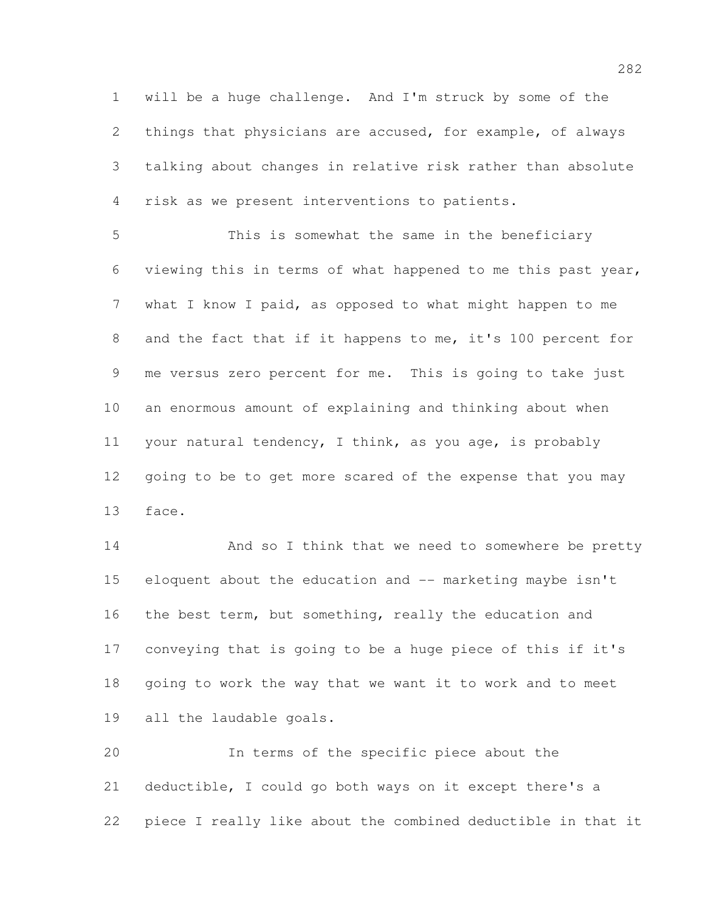will be a huge challenge. And I'm struck by some of the things that physicians are accused, for example, of always talking about changes in relative risk rather than absolute risk as we present interventions to patients.

 This is somewhat the same in the beneficiary viewing this in terms of what happened to me this past year, what I know I paid, as opposed to what might happen to me 8 and the fact that if it happens to me, it's 100 percent for me versus zero percent for me. This is going to take just an enormous amount of explaining and thinking about when your natural tendency, I think, as you age, is probably 12 going to be to get more scared of the expense that you may face.

14 And so I think that we need to somewhere be pretty eloquent about the education and -- marketing maybe isn't 16 the best term, but something, really the education and conveying that is going to be a huge piece of this if it's going to work the way that we want it to work and to meet all the laudable goals.

 In terms of the specific piece about the deductible, I could go both ways on it except there's a piece I really like about the combined deductible in that it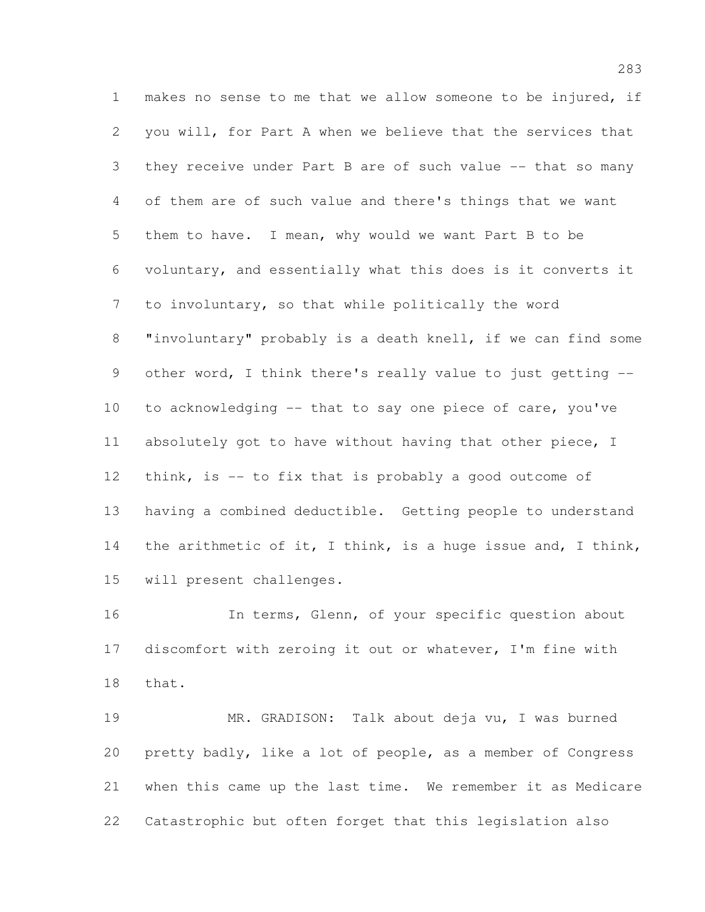makes no sense to me that we allow someone to be injured, if you will, for Part A when we believe that the services that they receive under Part B are of such value -- that so many of them are of such value and there's things that we want them to have. I mean, why would we want Part B to be voluntary, and essentially what this does is it converts it to involuntary, so that while politically the word "involuntary" probably is a death knell, if we can find some 9 other word, I think there's really value to just getting -- to acknowledging -- that to say one piece of care, you've absolutely got to have without having that other piece, I 12 think, is -- to fix that is probably a good outcome of having a combined deductible. Getting people to understand the arithmetic of it, I think, is a huge issue and, I think, will present challenges.

 In terms, Glenn, of your specific question about discomfort with zeroing it out or whatever, I'm fine with that.

 MR. GRADISON: Talk about deja vu, I was burned pretty badly, like a lot of people, as a member of Congress when this came up the last time. We remember it as Medicare Catastrophic but often forget that this legislation also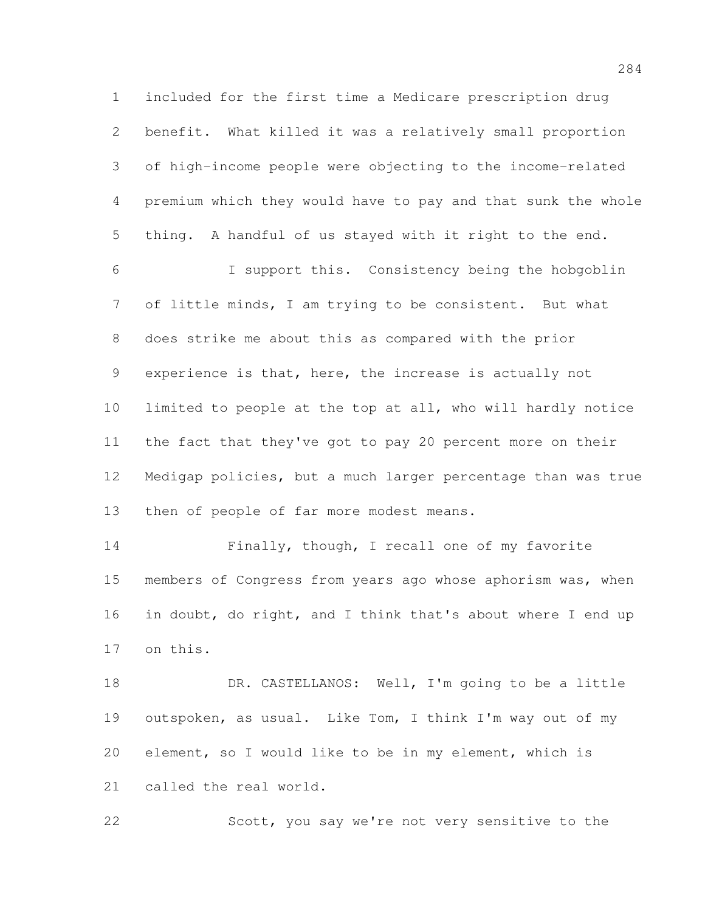included for the first time a Medicare prescription drug benefit. What killed it was a relatively small proportion of high-income people were objecting to the income-related premium which they would have to pay and that sunk the whole thing. A handful of us stayed with it right to the end. I support this. Consistency being the hobgoblin

 of little minds, I am trying to be consistent. But what does strike me about this as compared with the prior experience is that, here, the increase is actually not limited to people at the top at all, who will hardly notice the fact that they've got to pay 20 percent more on their Medigap policies, but a much larger percentage than was true 13 then of people of far more modest means.

 Finally, though, I recall one of my favorite members of Congress from years ago whose aphorism was, when in doubt, do right, and I think that's about where I end up on this.

18 DR. CASTELLANOS: Well, I'm going to be a little outspoken, as usual. Like Tom, I think I'm way out of my element, so I would like to be in my element, which is called the real world.

Scott, you say we're not very sensitive to the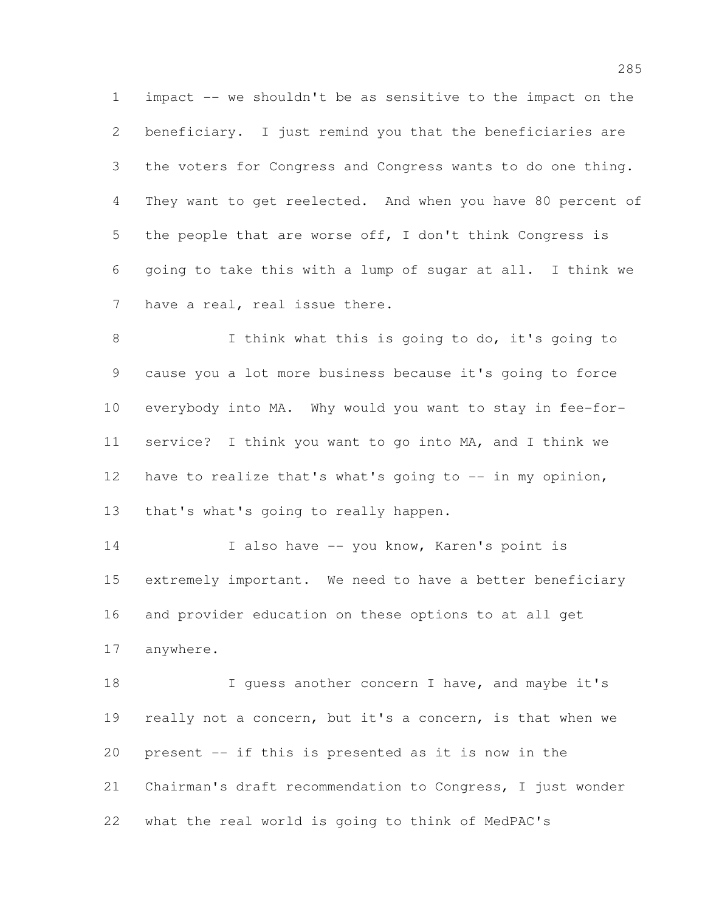impact -- we shouldn't be as sensitive to the impact on the beneficiary. I just remind you that the beneficiaries are the voters for Congress and Congress wants to do one thing. They want to get reelected. And when you have 80 percent of the people that are worse off, I don't think Congress is going to take this with a lump of sugar at all. I think we have a real, real issue there.

 I think what this is going to do, it's going to cause you a lot more business because it's going to force everybody into MA. Why would you want to stay in fee-for- service? I think you want to go into MA, and I think we have to realize that's what's going to -- in my opinion, that's what's going to really happen.

14 I also have -- you know, Karen's point is extremely important. We need to have a better beneficiary and provider education on these options to at all get anywhere.

18 I guess another concern I have, and maybe it's really not a concern, but it's a concern, is that when we present -- if this is presented as it is now in the Chairman's draft recommendation to Congress, I just wonder what the real world is going to think of MedPAC's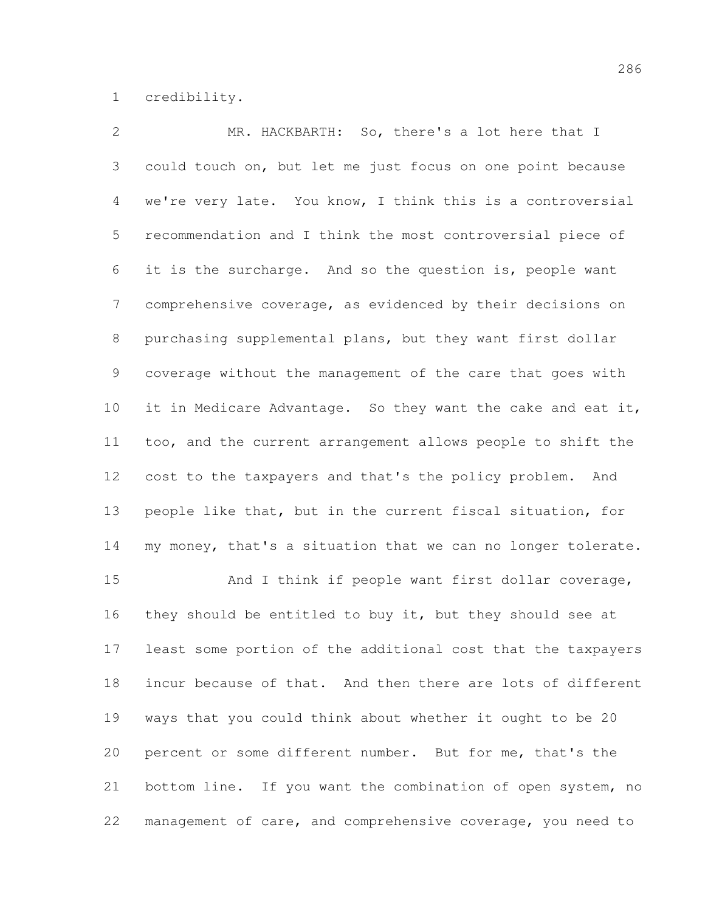credibility.

 MR. HACKBARTH: So, there's a lot here that I could touch on, but let me just focus on one point because we're very late. You know, I think this is a controversial recommendation and I think the most controversial piece of it is the surcharge. And so the question is, people want comprehensive coverage, as evidenced by their decisions on purchasing supplemental plans, but they want first dollar coverage without the management of the care that goes with it in Medicare Advantage. So they want the cake and eat it, too, and the current arrangement allows people to shift the cost to the taxpayers and that's the policy problem. And people like that, but in the current fiscal situation, for my money, that's a situation that we can no longer tolerate. And I think if people want first dollar coverage, 16 they should be entitled to buy it, but they should see at least some portion of the additional cost that the taxpayers incur because of that. And then there are lots of different ways that you could think about whether it ought to be 20 percent or some different number. But for me, that's the bottom line. If you want the combination of open system, no management of care, and comprehensive coverage, you need to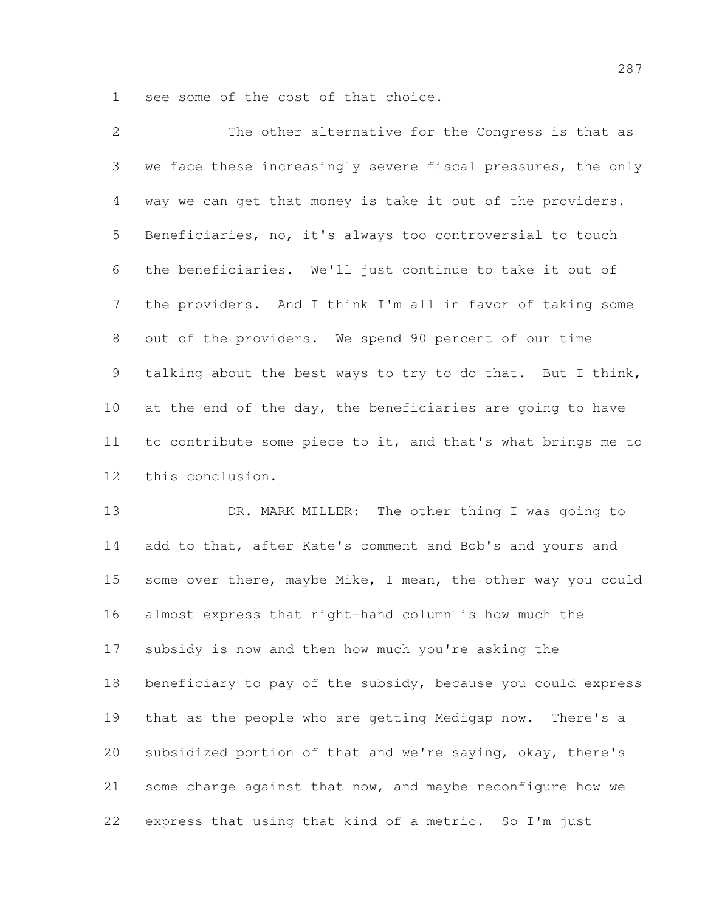see some of the cost of that choice.

 The other alternative for the Congress is that as we face these increasingly severe fiscal pressures, the only way we can get that money is take it out of the providers. Beneficiaries, no, it's always too controversial to touch the beneficiaries. We'll just continue to take it out of the providers. And I think I'm all in favor of taking some out of the providers. We spend 90 percent of our time talking about the best ways to try to do that. But I think, 10 at the end of the day, the beneficiaries are going to have to contribute some piece to it, and that's what brings me to this conclusion.

13 DR. MARK MILLER: The other thing I was going to 14 add to that, after Kate's comment and Bob's and yours and some over there, maybe Mike, I mean, the other way you could almost express that right-hand column is how much the subsidy is now and then how much you're asking the beneficiary to pay of the subsidy, because you could express that as the people who are getting Medigap now. There's a subsidized portion of that and we're saying, okay, there's some charge against that now, and maybe reconfigure how we express that using that kind of a metric. So I'm just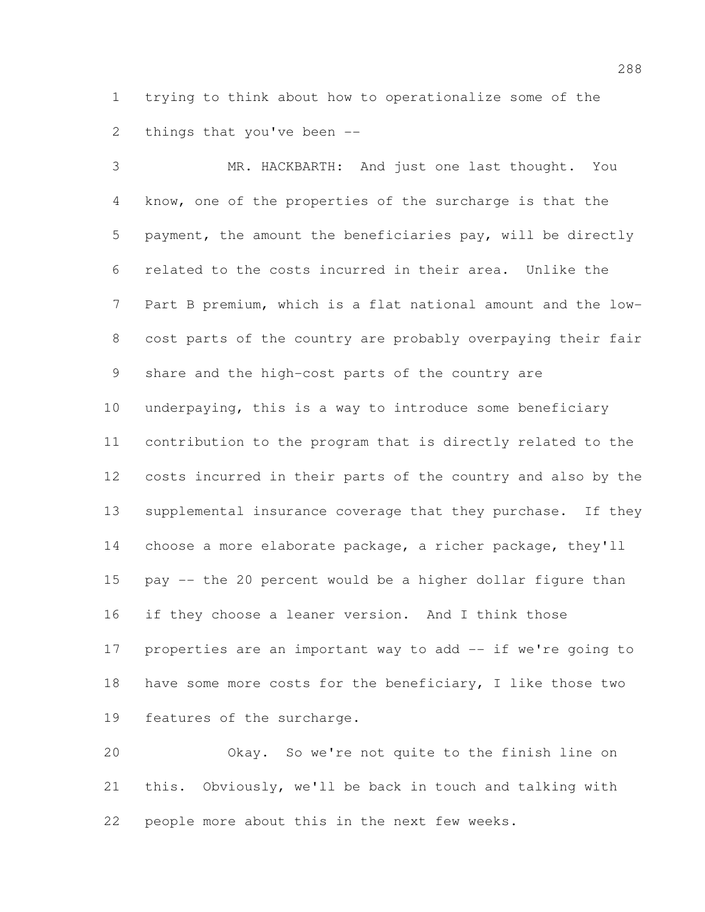trying to think about how to operationalize some of the things that you've been --

 MR. HACKBARTH: And just one last thought. You know, one of the properties of the surcharge is that the payment, the amount the beneficiaries pay, will be directly related to the costs incurred in their area. Unlike the Part B premium, which is a flat national amount and the low- cost parts of the country are probably overpaying their fair share and the high-cost parts of the country are underpaying, this is a way to introduce some beneficiary contribution to the program that is directly related to the costs incurred in their parts of the country and also by the supplemental insurance coverage that they purchase. If they choose a more elaborate package, a richer package, they'll pay -- the 20 percent would be a higher dollar figure than if they choose a leaner version. And I think those properties are an important way to add -- if we're going to 18 have some more costs for the beneficiary, I like those two features of the surcharge. Okay. So we're not quite to the finish line on

 this. Obviously, we'll be back in touch and talking with people more about this in the next few weeks.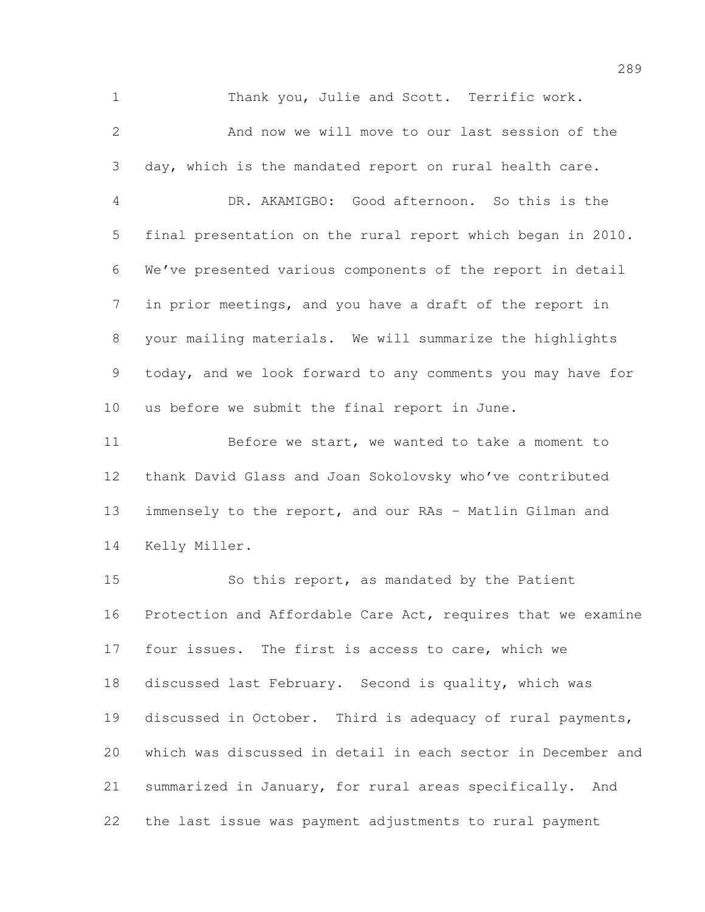Thank you, Julie and Scott. Terrific work.

 And now we will move to our last session of the day, which is the mandated report on rural health care. DR. AKAMIGBO: Good afternoon. So this is the final presentation on the rural report which began in 2010. We've presented various components of the report in detail in prior meetings, and you have a draft of the report in your mailing materials. We will summarize the highlights today, and we look forward to any comments you may have for us before we submit the final report in June.

11 Before we start, we wanted to take a moment to thank David Glass and Joan Sokolovsky who've contributed immensely to the report, and our RAs – Matlin Gilman and Kelly Miller.

 So this report, as mandated by the Patient Protection and Affordable Care Act, requires that we examine 17 four issues. The first is access to care, which we discussed last February. Second is quality, which was discussed in October. Third is adequacy of rural payments, which was discussed in detail in each sector in December and summarized in January, for rural areas specifically. And the last issue was payment adjustments to rural payment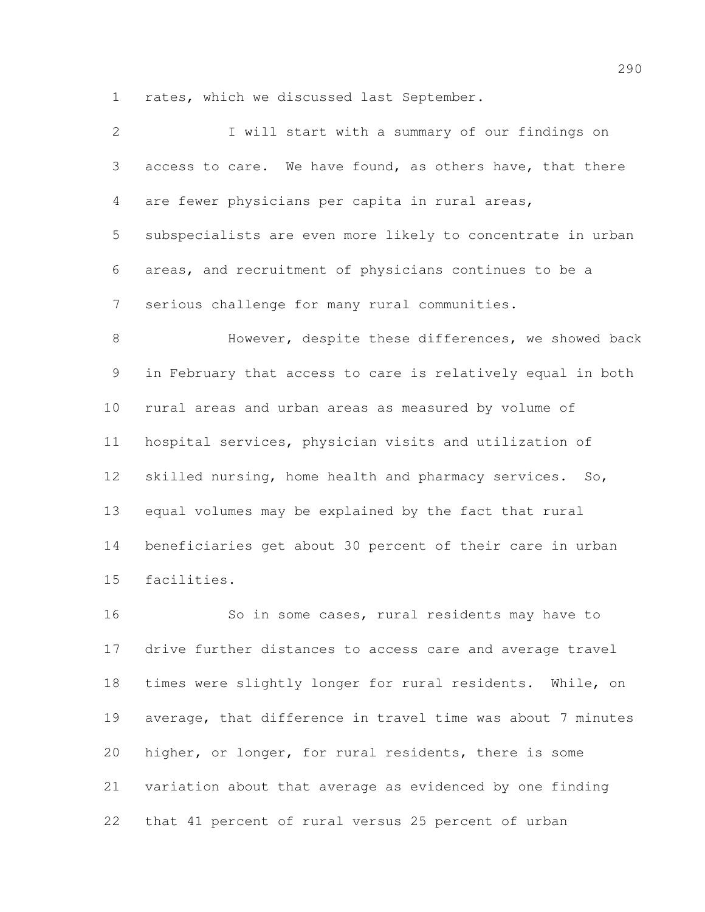rates, which we discussed last September.

| $\overline{2}$ | I will start with a summary of our findings on              |
|----------------|-------------------------------------------------------------|
| 3              | access to care. We have found, as others have, that there   |
| $\overline{4}$ | are fewer physicians per capita in rural areas,             |
| 5              | subspecialists are even more likely to concentrate in urban |
| 6              | areas, and recruitment of physicians continues to be a      |
| $\overline{7}$ | serious challenge for many rural communities.               |
| 8              | However, despite these differences, we showed back          |
| 9              | in February that access to care is relatively equal in both |
| 10             | rural areas and urban areas as measured by volume of        |
| 11             | hospital services, physician visits and utilization of      |
| 12             | skilled nursing, home health and pharmacy services. So,     |
| 13             | equal volumes may be explained by the fact that rural       |
| 14             | beneficiaries get about 30 percent of their care in urban   |
| 15             | facilities.                                                 |
| 16             | So in some cases, rural residents may have to               |
| 17             | drive further distances to access care and average travel   |
| 18             | times were slightly longer for rural residents. While, on   |
| 19             | average, that difference in travel time was about 7 minutes |
| 20             | higher, or longer, for rural residents, there is some       |

variation about that average as evidenced by one finding

that 41 percent of rural versus 25 percent of urban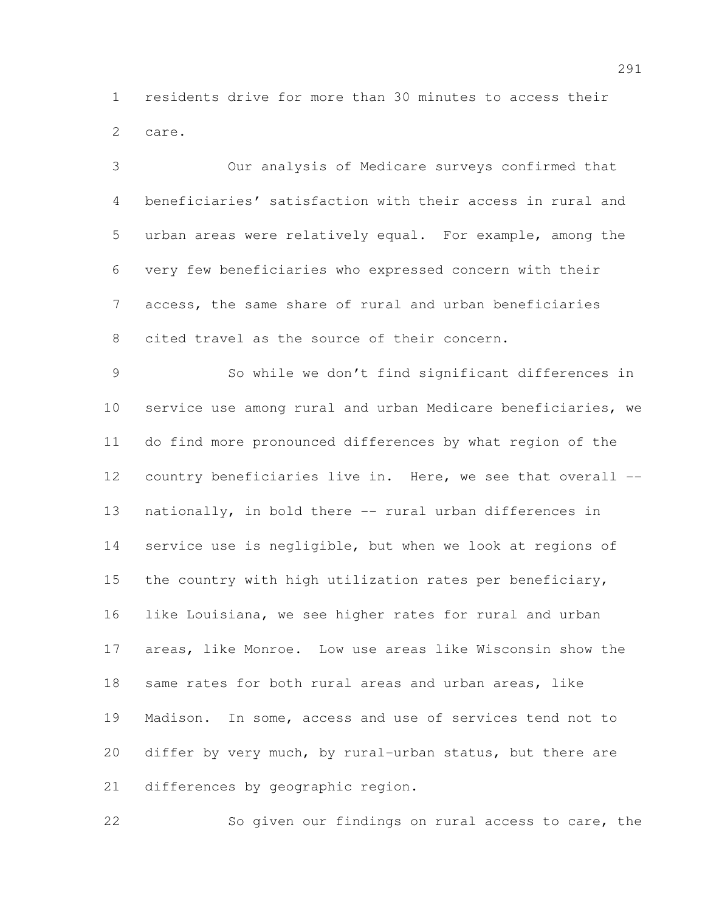residents drive for more than 30 minutes to access their care.

 Our analysis of Medicare surveys confirmed that beneficiaries' satisfaction with their access in rural and urban areas were relatively equal. For example, among the very few beneficiaries who expressed concern with their access, the same share of rural and urban beneficiaries cited travel as the source of their concern.

 So while we don't find significant differences in service use among rural and urban Medicare beneficiaries, we do find more pronounced differences by what region of the country beneficiaries live in. Here, we see that overall -- nationally, in bold there -- rural urban differences in service use is negligible, but when we look at regions of the country with high utilization rates per beneficiary, like Louisiana, we see higher rates for rural and urban areas, like Monroe. Low use areas like Wisconsin show the same rates for both rural areas and urban areas, like Madison. In some, access and use of services tend not to differ by very much, by rural-urban status, but there are 21 differences by geographic region.

So given our findings on rural access to care, the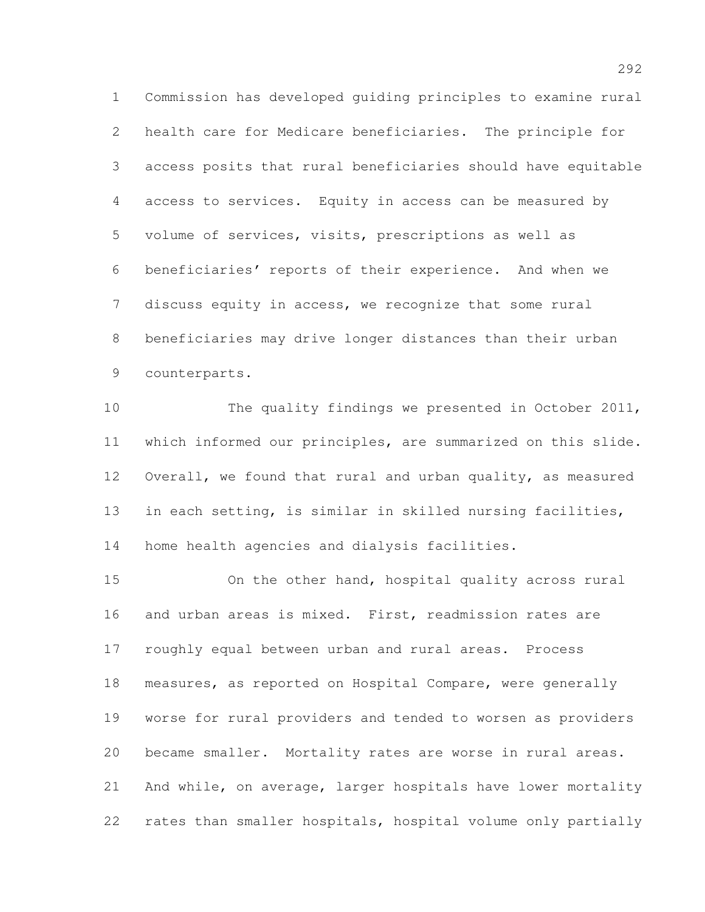Commission has developed guiding principles to examine rural health care for Medicare beneficiaries. The principle for access posits that rural beneficiaries should have equitable access to services. Equity in access can be measured by volume of services, visits, prescriptions as well as beneficiaries' reports of their experience. And when we discuss equity in access, we recognize that some rural beneficiaries may drive longer distances than their urban counterparts.

 The quality findings we presented in October 2011, which informed our principles, are summarized on this slide. Overall, we found that rural and urban quality, as measured in each setting, is similar in skilled nursing facilities, home health agencies and dialysis facilities.

 On the other hand, hospital quality across rural and urban areas is mixed. First, readmission rates are roughly equal between urban and rural areas. Process measures, as reported on Hospital Compare, were generally worse for rural providers and tended to worsen as providers became smaller. Mortality rates are worse in rural areas. And while, on average, larger hospitals have lower mortality rates than smaller hospitals, hospital volume only partially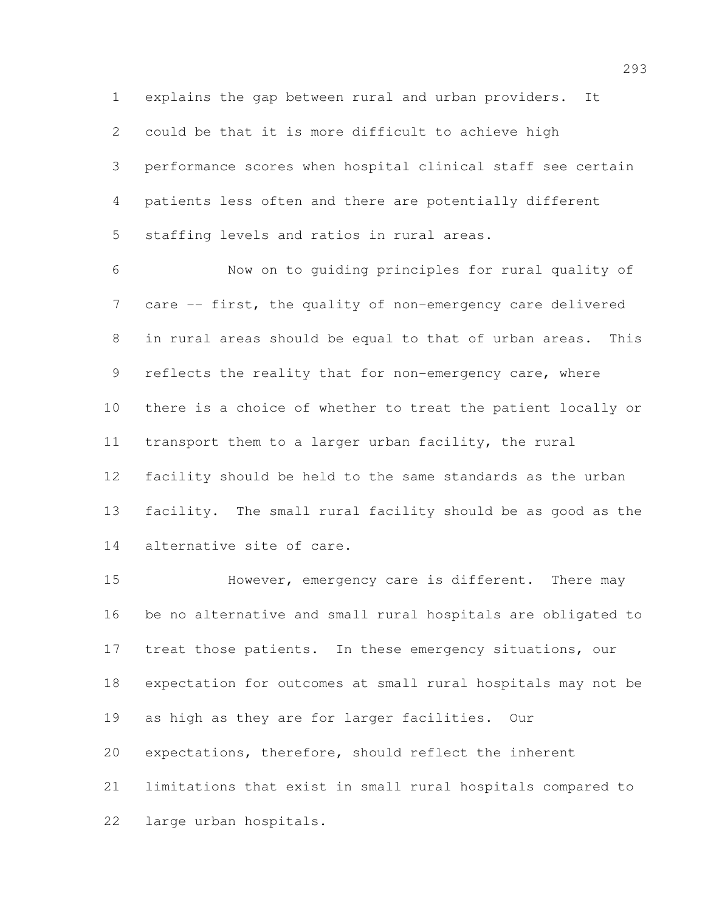explains the gap between rural and urban providers. It

could be that it is more difficult to achieve high

 performance scores when hospital clinical staff see certain patients less often and there are potentially different staffing levels and ratios in rural areas.

 Now on to guiding principles for rural quality of care -- first, the quality of non-emergency care delivered in rural areas should be equal to that of urban areas. This 9 reflects the reality that for non-emergency care, where there is a choice of whether to treat the patient locally or transport them to a larger urban facility, the rural facility should be held to the same standards as the urban facility. The small rural facility should be as good as the alternative site of care.

 However, emergency care is different. There may be no alternative and small rural hospitals are obligated to treat those patients. In these emergency situations, our expectation for outcomes at small rural hospitals may not be as high as they are for larger facilities. Our expectations, therefore, should reflect the inherent limitations that exist in small rural hospitals compared to large urban hospitals.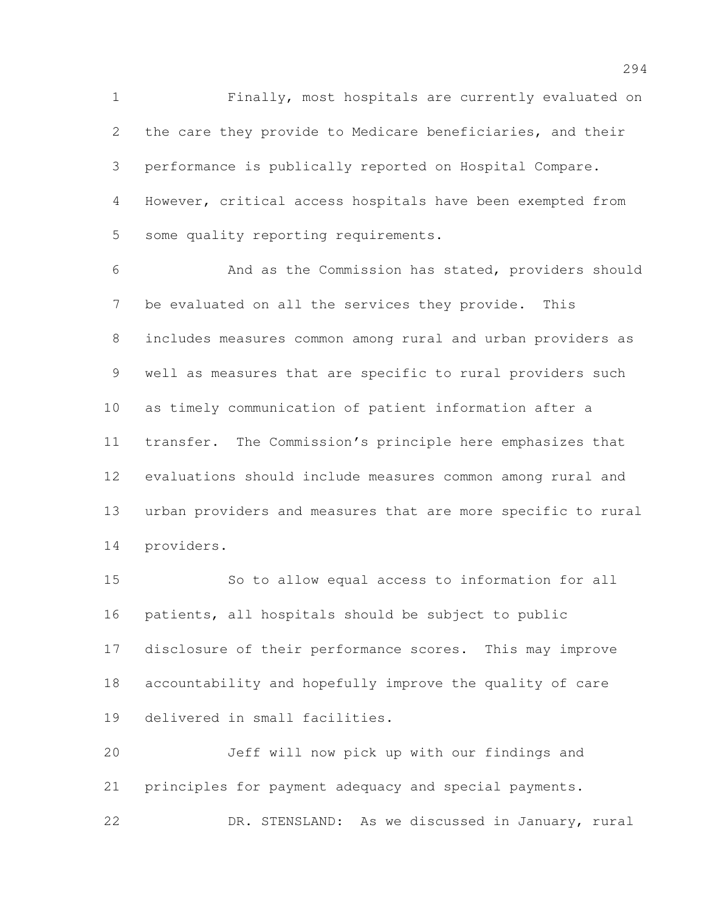Finally, most hospitals are currently evaluated on the care they provide to Medicare beneficiaries, and their performance is publically reported on Hospital Compare. However, critical access hospitals have been exempted from some quality reporting requirements.

 And as the Commission has stated, providers should be evaluated on all the services they provide. This includes measures common among rural and urban providers as well as measures that are specific to rural providers such as timely communication of patient information after a transfer. The Commission's principle here emphasizes that evaluations should include measures common among rural and urban providers and measures that are more specific to rural providers.

 So to allow equal access to information for all patients, all hospitals should be subject to public disclosure of their performance scores. This may improve accountability and hopefully improve the quality of care delivered in small facilities.

 Jeff will now pick up with our findings and principles for payment adequacy and special payments. DR. STENSLAND: As we discussed in January, rural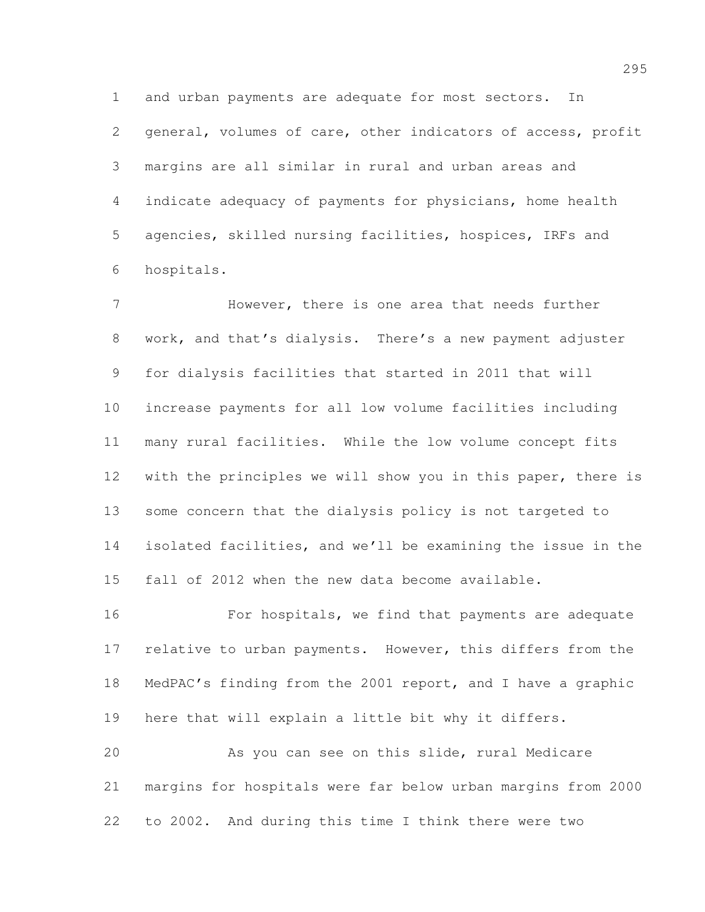and urban payments are adequate for most sectors. In general, volumes of care, other indicators of access, profit margins are all similar in rural and urban areas and indicate adequacy of payments for physicians, home health agencies, skilled nursing facilities, hospices, IRFs and hospitals.

 However, there is one area that needs further work, and that's dialysis. There's a new payment adjuster for dialysis facilities that started in 2011 that will increase payments for all low volume facilities including many rural facilities. While the low volume concept fits with the principles we will show you in this paper, there is some concern that the dialysis policy is not targeted to isolated facilities, and we'll be examining the issue in the fall of 2012 when the new data become available.

16 For hospitals, we find that payments are adequate 17 relative to urban payments. However, this differs from the MedPAC's finding from the 2001 report, and I have a graphic here that will explain a little bit why it differs.

 As you can see on this slide, rural Medicare margins for hospitals were far below urban margins from 2000 to 2002. And during this time I think there were two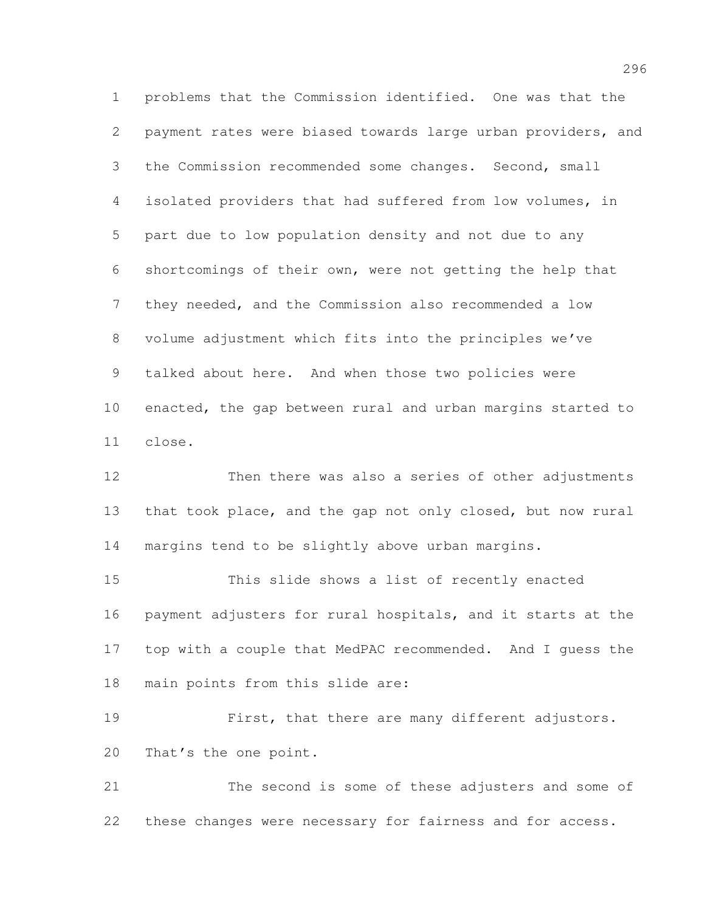problems that the Commission identified. One was that the payment rates were biased towards large urban providers, and the Commission recommended some changes. Second, small isolated providers that had suffered from low volumes, in part due to low population density and not due to any shortcomings of their own, were not getting the help that they needed, and the Commission also recommended a low volume adjustment which fits into the principles we've talked about here. And when those two policies were enacted, the gap between rural and urban margins started to close.

 Then there was also a series of other adjustments that took place, and the gap not only closed, but now rural margins tend to be slightly above urban margins.

 This slide shows a list of recently enacted payment adjusters for rural hospitals, and it starts at the top with a couple that MedPAC recommended. And I guess the main points from this slide are:

 First, that there are many different adjustors. That's the one point.

 The second is some of these adjusters and some of these changes were necessary for fairness and for access.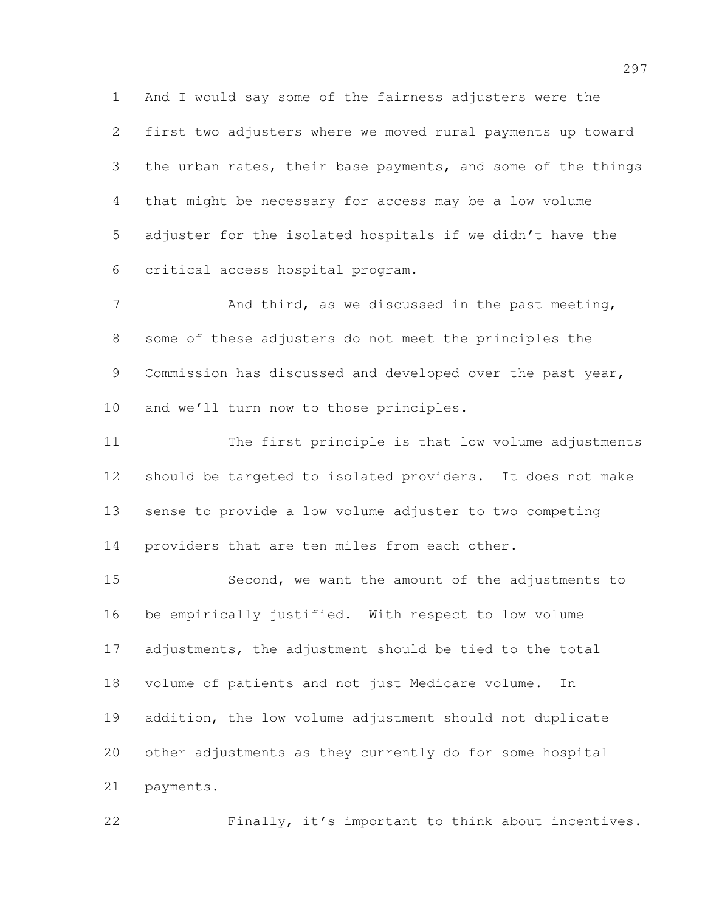And I would say some of the fairness adjusters were the first two adjusters where we moved rural payments up toward the urban rates, their base payments, and some of the things that might be necessary for access may be a low volume adjuster for the isolated hospitals if we didn't have the critical access hospital program.

7 And third, as we discussed in the past meeting, some of these adjusters do not meet the principles the 9 Commission has discussed and developed over the past year, and we'll turn now to those principles.

 The first principle is that low volume adjustments should be targeted to isolated providers. It does not make sense to provide a low volume adjuster to two competing 14 providers that are ten miles from each other.

 Second, we want the amount of the adjustments to be empirically justified. With respect to low volume adjustments, the adjustment should be tied to the total volume of patients and not just Medicare volume. In addition, the low volume adjustment should not duplicate other adjustments as they currently do for some hospital payments.

Finally, it's important to think about incentives.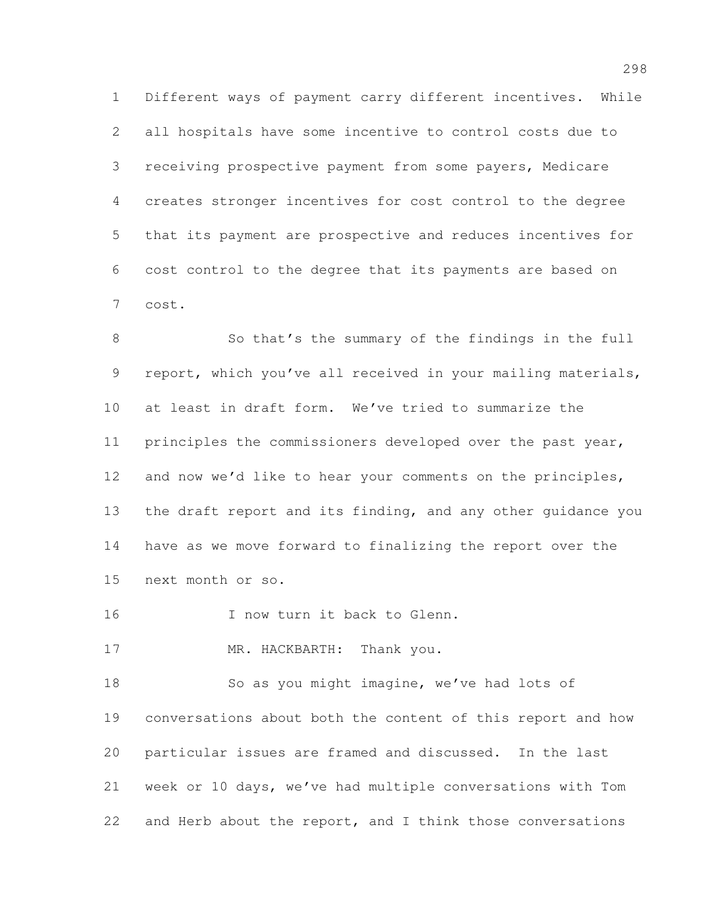Different ways of payment carry different incentives. While all hospitals have some incentive to control costs due to receiving prospective payment from some payers, Medicare creates stronger incentives for cost control to the degree that its payment are prospective and reduces incentives for cost control to the degree that its payments are based on cost.

8 So that's the summary of the findings in the full 9 report, which you've all received in your mailing materials, at least in draft form. We've tried to summarize the principles the commissioners developed over the past year, and now we'd like to hear your comments on the principles, the draft report and its finding, and any other guidance you have as we move forward to finalizing the report over the next month or so.

16 I now turn it back to Glenn.

17 MR. HACKBARTH: Thank you.

 So as you might imagine, we've had lots of conversations about both the content of this report and how particular issues are framed and discussed. In the last week or 10 days, we've had multiple conversations with Tom 22 and Herb about the report, and I think those conversations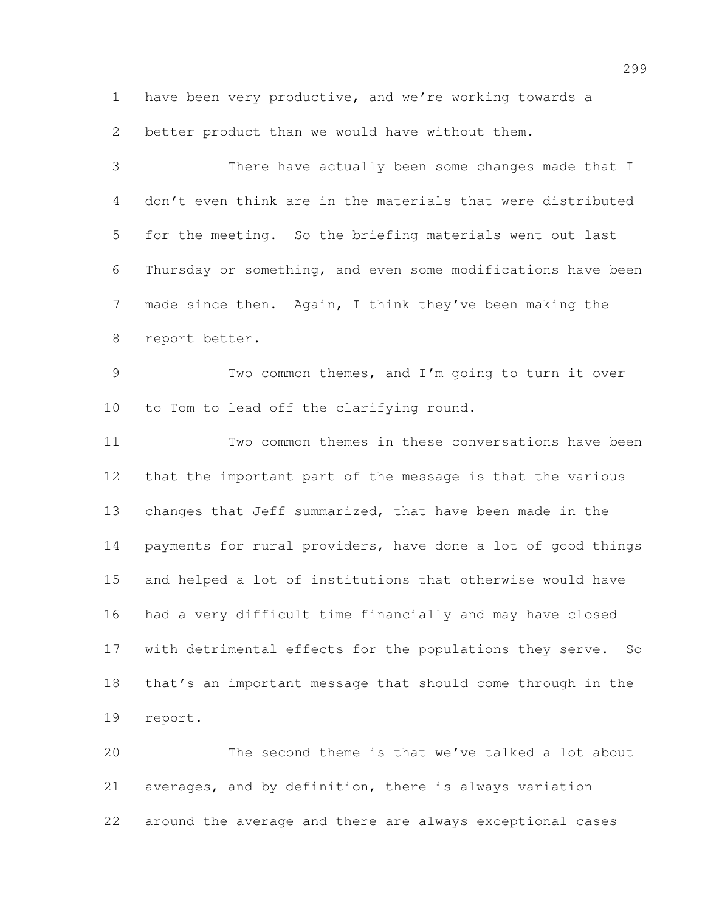have been very productive, and we're working towards a better product than we would have without them.

 There have actually been some changes made that I don't even think are in the materials that were distributed for the meeting. So the briefing materials went out last Thursday or something, and even some modifications have been made since then. Again, I think they've been making the report better. Two common themes, and I'm going to turn it over to Tom to lead off the clarifying round. Two common themes in these conversations have been that the important part of the message is that the various changes that Jeff summarized, that have been made in the payments for rural providers, have done a lot of good things and helped a lot of institutions that otherwise would have had a very difficult time financially and may have closed

 with detrimental effects for the populations they serve. So that's an important message that should come through in the report.

 The second theme is that we've talked a lot about averages, and by definition, there is always variation around the average and there are always exceptional cases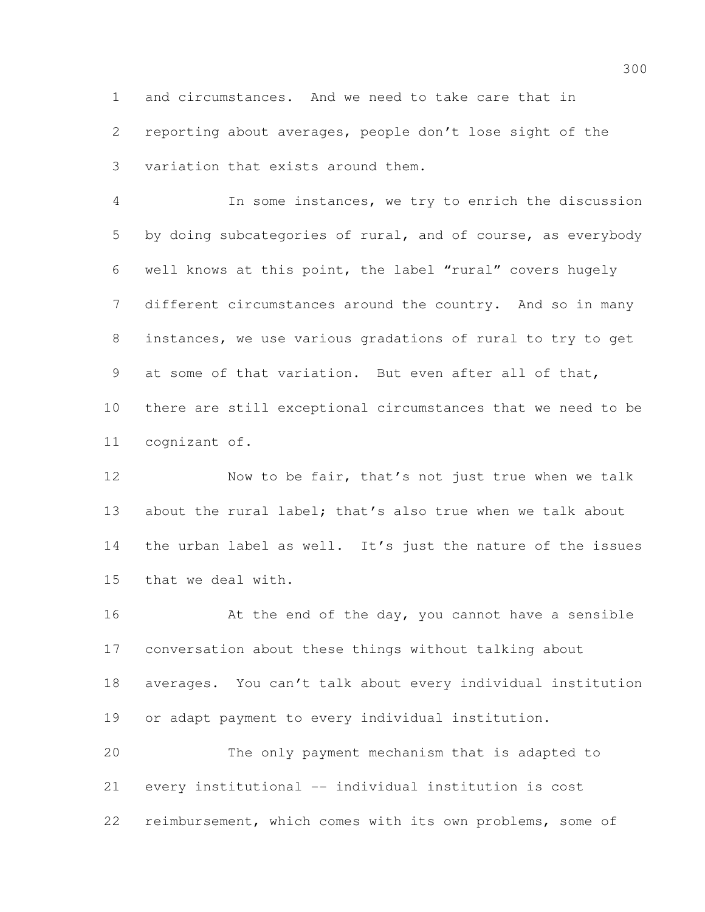and circumstances. And we need to take care that in reporting about averages, people don't lose sight of the variation that exists around them.

 In some instances, we try to enrich the discussion by doing subcategories of rural, and of course, as everybody well knows at this point, the label "rural" covers hugely different circumstances around the country. And so in many instances, we use various gradations of rural to try to get at some of that variation. But even after all of that, there are still exceptional circumstances that we need to be cognizant of.

12 Now to be fair, that's not just true when we talk 13 about the rural label; that's also true when we talk about the urban label as well. It's just the nature of the issues that we deal with.

16 At the end of the day, you cannot have a sensible conversation about these things without talking about averages. You can't talk about every individual institution or adapt payment to every individual institution. The only payment mechanism that is adapted to every institutional -- individual institution is cost

reimbursement, which comes with its own problems, some of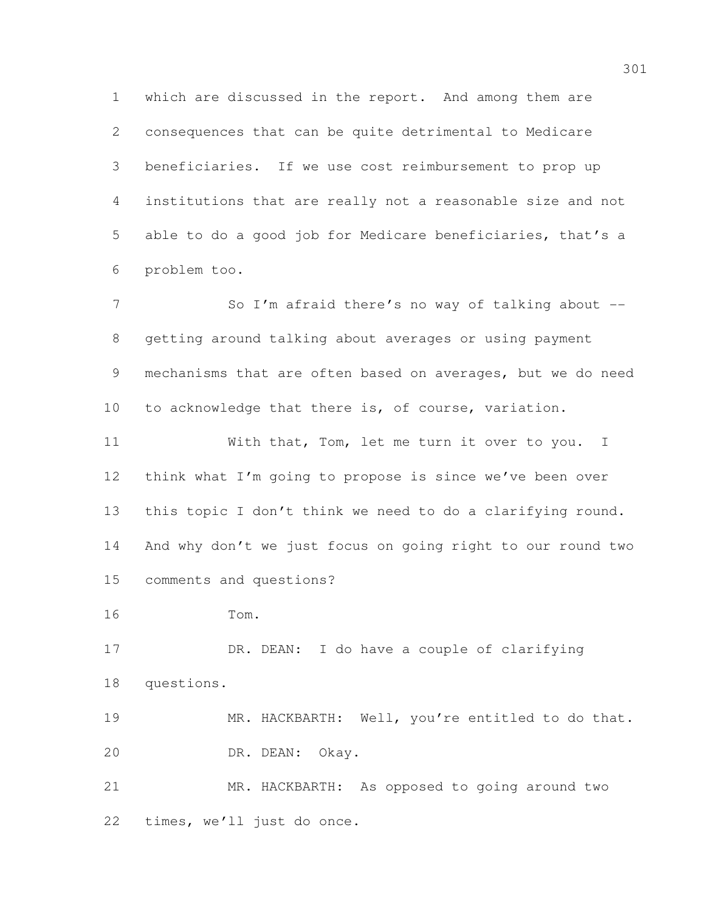which are discussed in the report. And among them are consequences that can be quite detrimental to Medicare beneficiaries. If we use cost reimbursement to prop up institutions that are really not a reasonable size and not able to do a good job for Medicare beneficiaries, that's a problem too.

7 So I'm afraid there's no way of talking about -- getting around talking about averages or using payment mechanisms that are often based on averages, but we do need to acknowledge that there is, of course, variation.

11 With that, Tom, let me turn it over to you. I think what I'm going to propose is since we've been over this topic I don't think we need to do a clarifying round. And why don't we just focus on going right to our round two comments and questions?

Tom.

17 DR. DEAN: I do have a couple of clarifying questions.

 MR. HACKBARTH: Well, you're entitled to do that. DR. DEAN: Okay.

 MR. HACKBARTH: As opposed to going around two times, we'll just do once.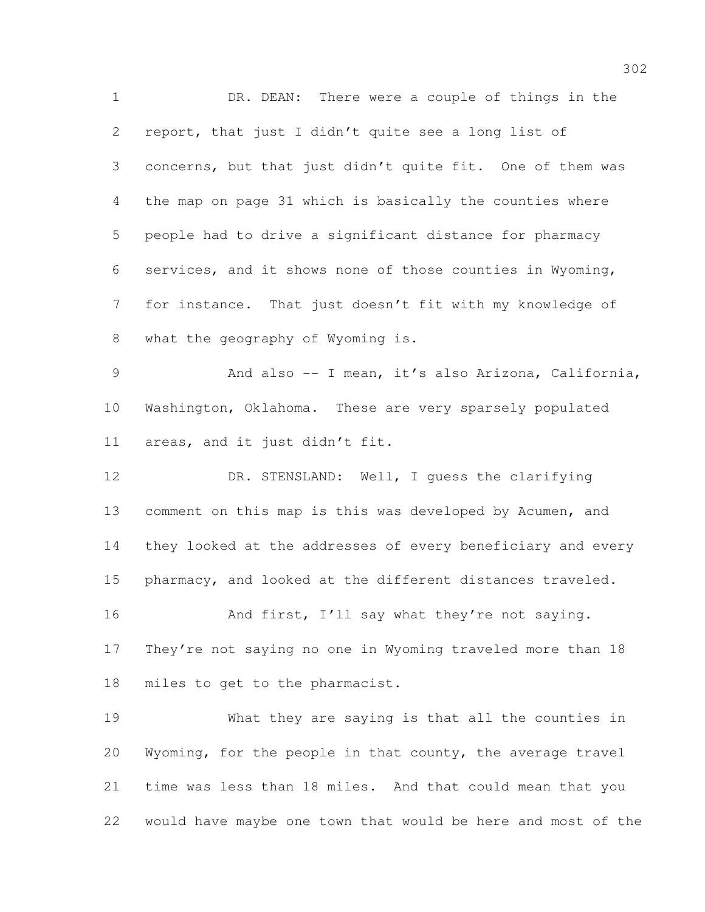DR. DEAN: There were a couple of things in the report, that just I didn't quite see a long list of concerns, but that just didn't quite fit. One of them was the map on page 31 which is basically the counties where people had to drive a significant distance for pharmacy services, and it shows none of those counties in Wyoming, for instance. That just doesn't fit with my knowledge of what the geography of Wyoming is. And also -- I mean, it's also Arizona, California, Washington, Oklahoma. These are very sparsely populated areas, and it just didn't fit.

 DR. STENSLAND: Well, I guess the clarifying comment on this map is this was developed by Acumen, and they looked at the addresses of every beneficiary and every pharmacy, and looked at the different distances traveled.

16 And first, I'll say what they're not saying. They're not saying no one in Wyoming traveled more than 18 miles to get to the pharmacist.

 What they are saying is that all the counties in Wyoming, for the people in that county, the average travel time was less than 18 miles. And that could mean that you would have maybe one town that would be here and most of the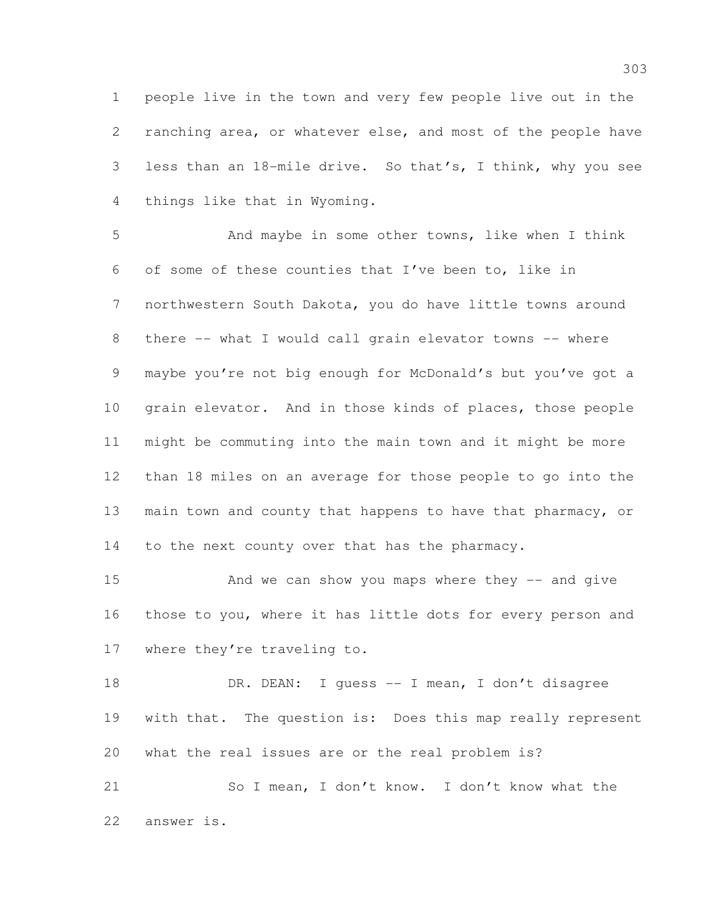people live in the town and very few people live out in the ranching area, or whatever else, and most of the people have less than an 18-mile drive. So that's, I think, why you see things like that in Wyoming.

 And maybe in some other towns, like when I think of some of these counties that I've been to, like in northwestern South Dakota, you do have little towns around 8 there -- what I would call grain elevator towns -- where maybe you're not big enough for McDonald's but you've got a grain elevator. And in those kinds of places, those people might be commuting into the main town and it might be more than 18 miles on an average for those people to go into the main town and county that happens to have that pharmacy, or 14 to the next county over that has the pharmacy.

15 And we can show you maps where they -- and give those to you, where it has little dots for every person and where they're traveling to.

18 DR. DEAN: I guess -- I mean, I don't disagree with that. The question is: Does this map really represent what the real issues are or the real problem is?

 So I mean, I don't know. I don't know what the answer is.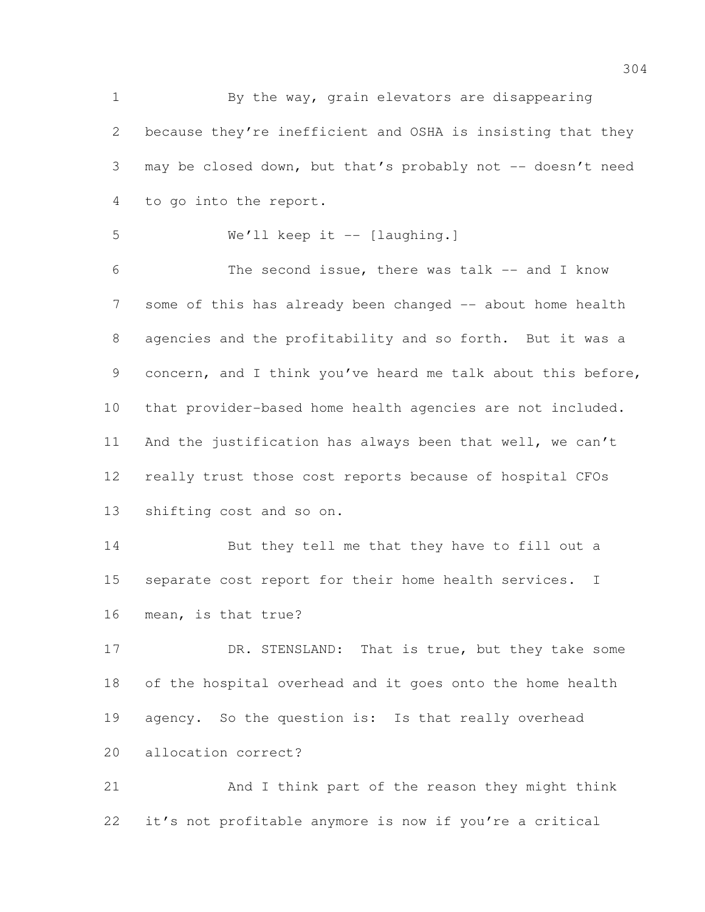By the way, grain elevators are disappearing because they're inefficient and OSHA is insisting that they may be closed down, but that's probably not -- doesn't need to go into the report. We'll keep it -- [laughing.] The second issue, there was talk -- and I know 7 some of this has already been changed -- about home health agencies and the profitability and so forth. But it was a concern, and I think you've heard me talk about this before, that provider-based home health agencies are not included. And the justification has always been that well, we can't really trust those cost reports because of hospital CFOs shifting cost and so on. But they tell me that they have to fill out a separate cost report for their home health services. I mean, is that true? 17 DR. STENSLAND: That is true, but they take some of the hospital overhead and it goes onto the home health 19 agency. So the question is: Is that really overhead allocation correct? And I think part of the reason they might think it's not profitable anymore is now if you're a critical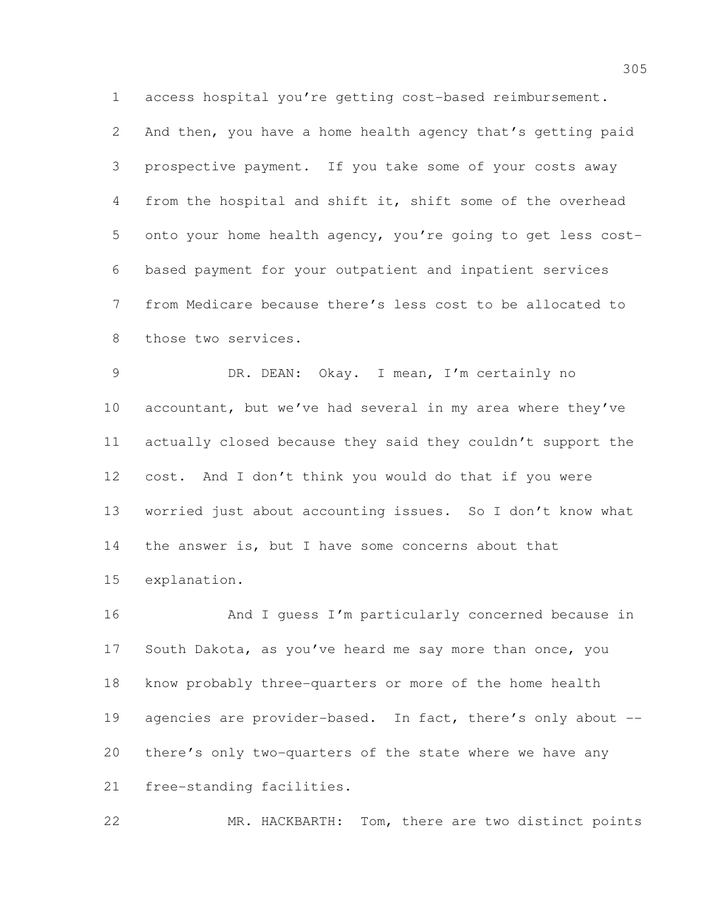access hospital you're getting cost-based reimbursement.

 And then, you have a home health agency that's getting paid prospective payment. If you take some of your costs away from the hospital and shift it, shift some of the overhead onto your home health agency, you're going to get less cost- based payment for your outpatient and inpatient services from Medicare because there's less cost to be allocated to 8 those two services.

 DR. DEAN: Okay. I mean, I'm certainly no 10 accountant, but we've had several in my area where they've actually closed because they said they couldn't support the cost. And I don't think you would do that if you were worried just about accounting issues. So I don't know what the answer is, but I have some concerns about that explanation.

16 And I quess I'm particularly concerned because in South Dakota, as you've heard me say more than once, you know probably three-quarters or more of the home health 19 agencies are provider-based. In fact, there's only about -- there's only two-quarters of the state where we have any free-standing facilities.

MR. HACKBARTH: Tom, there are two distinct points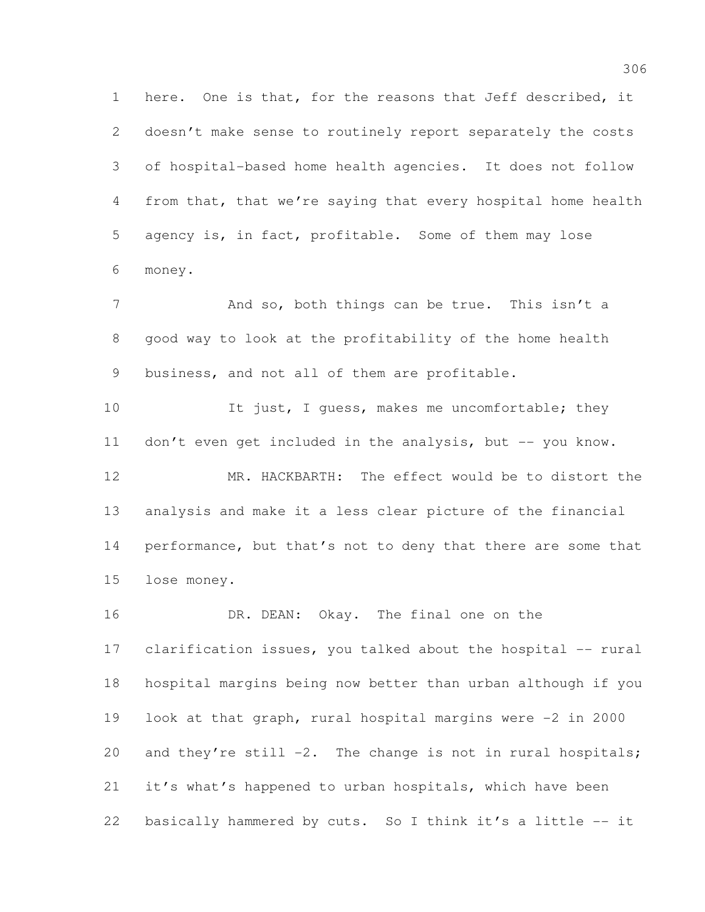here. One is that, for the reasons that Jeff described, it doesn't make sense to routinely report separately the costs of hospital-based home health agencies. It does not follow from that, that we're saying that every hospital home health agency is, in fact, profitable. Some of them may lose money.

7 And so, both things can be true. This isn't a good way to look at the profitability of the home health business, and not all of them are profitable.

10 It just, I guess, makes me uncomfortable; they 11 don't even get included in the analysis, but -- you know. MR. HACKBARTH: The effect would be to distort the analysis and make it a less clear picture of the financial

14 performance, but that's not to deny that there are some that lose money.

16 DR. DEAN: Okay. The final one on the clarification issues, you talked about the hospital -- rural hospital margins being now better than urban although if you look at that graph, rural hospital margins were -2 in 2000 20 and they're still -2. The change is not in rural hospitals; it's what's happened to urban hospitals, which have been basically hammered by cuts. So I think it's a little -- it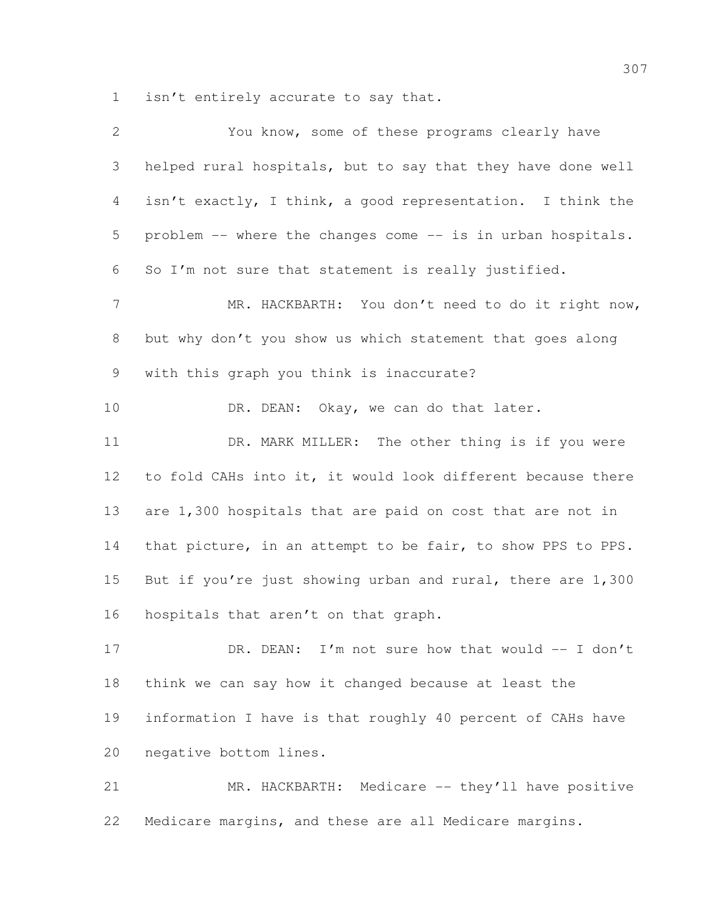isn't entirely accurate to say that.

| $\mathbf{2}$    | You know, some of these programs clearly have               |
|-----------------|-------------------------------------------------------------|
| 3               | helped rural hospitals, but to say that they have done well |
| $\overline{4}$  | isn't exactly, I think, a good representation. I think the  |
| 5               | problem -- where the changes come -- is in urban hospitals. |
| 6               | So I'm not sure that statement is really justified.         |
| $7\phantom{.0}$ | MR. HACKBARTH: You don't need to do it right now,           |
| 8               | but why don't you show us which statement that goes along   |
| 9               | with this graph you think is inaccurate?                    |
| 10              | DR. DEAN: Okay, we can do that later.                       |
| 11              | DR. MARK MILLER: The other thing is if you were             |
| 12              | to fold CAHs into it, it would look different because there |
| 13              | are 1,300 hospitals that are paid on cost that are not in   |
| 14              | that picture, in an attempt to be fair, to show PPS to PPS. |
| 15              | But if you're just showing urban and rural, there are 1,300 |
| 16              | hospitals that aren't on that graph.                        |
| 17              | DR. DEAN: I'm not sure how that would -- I don't            |
| 18              | think we can say how it changed because at least the        |
| 19              | information I have is that roughly 40 percent of CAHs have  |
| 20              | negative bottom lines.                                      |
| 21              | MR. HACKBARTH: Medicare -- they'll have positive            |

Medicare margins, and these are all Medicare margins.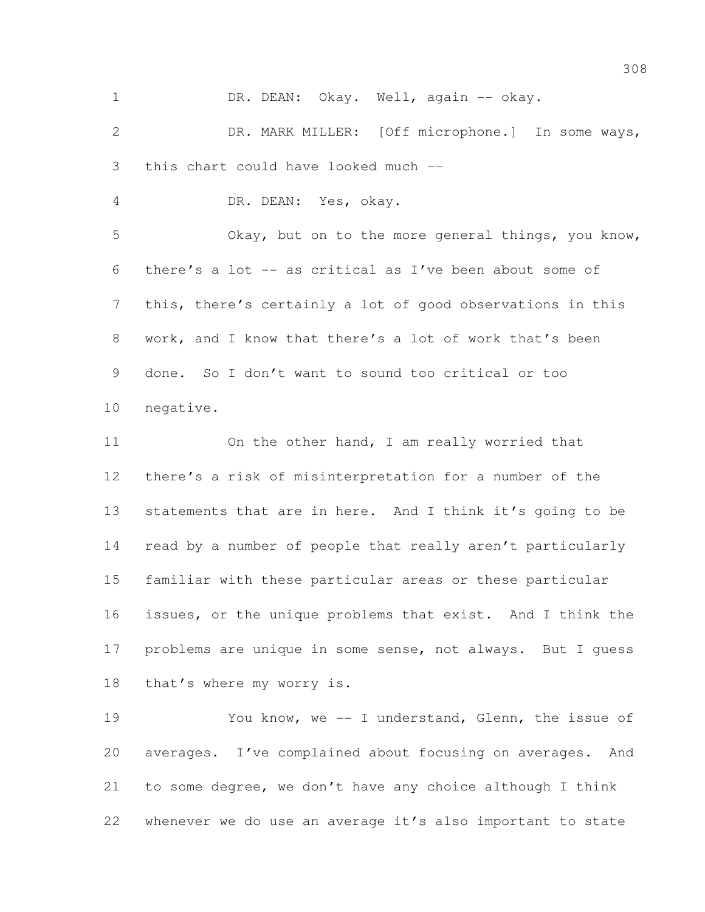1 DR. DEAN: Okay. Well, again -- okay.

 DR. MARK MILLER: [Off microphone.] In some ways, this chart could have looked much --

DR. DEAN: Yes, okay.

 Okay, but on to the more general things, you know, there's a lot -- as critical as I've been about some of this, there's certainly a lot of good observations in this work, and I know that there's a lot of work that's been done. So I don't want to sound too critical or too negative.

11 On the other hand, I am really worried that there's a risk of misinterpretation for a number of the statements that are in here. And I think it's going to be read by a number of people that really aren't particularly familiar with these particular areas or these particular issues, or the unique problems that exist. And I think the problems are unique in some sense, not always. But I guess that's where my worry is.

 You know, we -- I understand, Glenn, the issue of averages. I've complained about focusing on averages. And to some degree, we don't have any choice although I think whenever we do use an average it's also important to state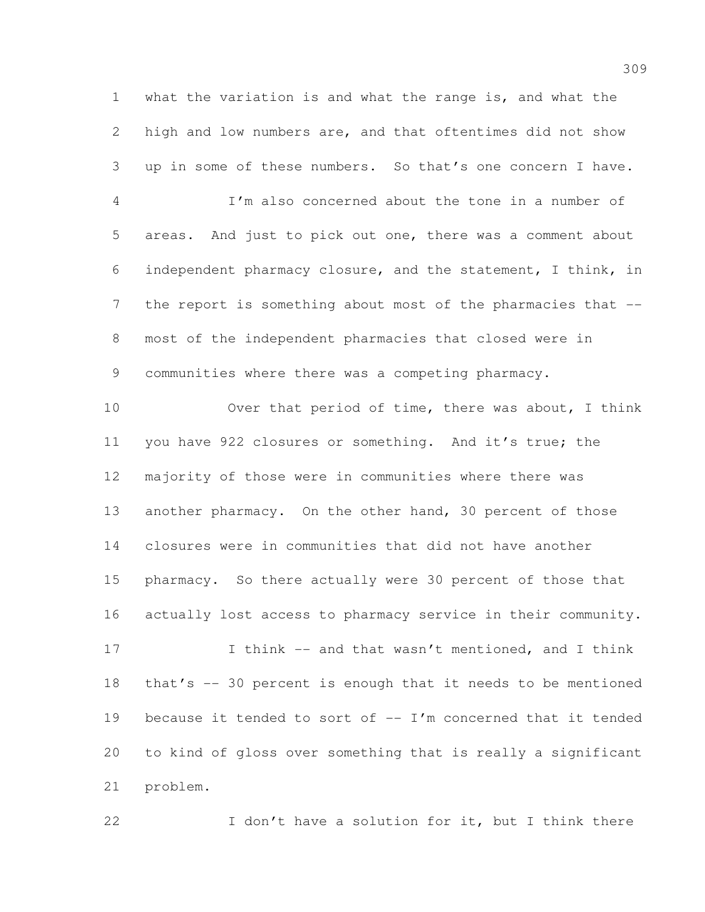what the variation is and what the range is, and what the high and low numbers are, and that oftentimes did not show up in some of these numbers. So that's one concern I have.

 I'm also concerned about the tone in a number of areas. And just to pick out one, there was a comment about independent pharmacy closure, and the statement, I think, in 7 the report is something about most of the pharmacies that -- most of the independent pharmacies that closed were in communities where there was a competing pharmacy.

 Over that period of time, there was about, I think 11 you have 922 closures or something. And it's true; the majority of those were in communities where there was 13 another pharmacy. On the other hand, 30 percent of those closures were in communities that did not have another pharmacy. So there actually were 30 percent of those that actually lost access to pharmacy service in their community.

 I think -- and that wasn't mentioned, and I think that's -- 30 percent is enough that it needs to be mentioned 19 because it tended to sort of  $-$  I'm concerned that it tended to kind of gloss over something that is really a significant problem.

22 I don't have a solution for it, but I think there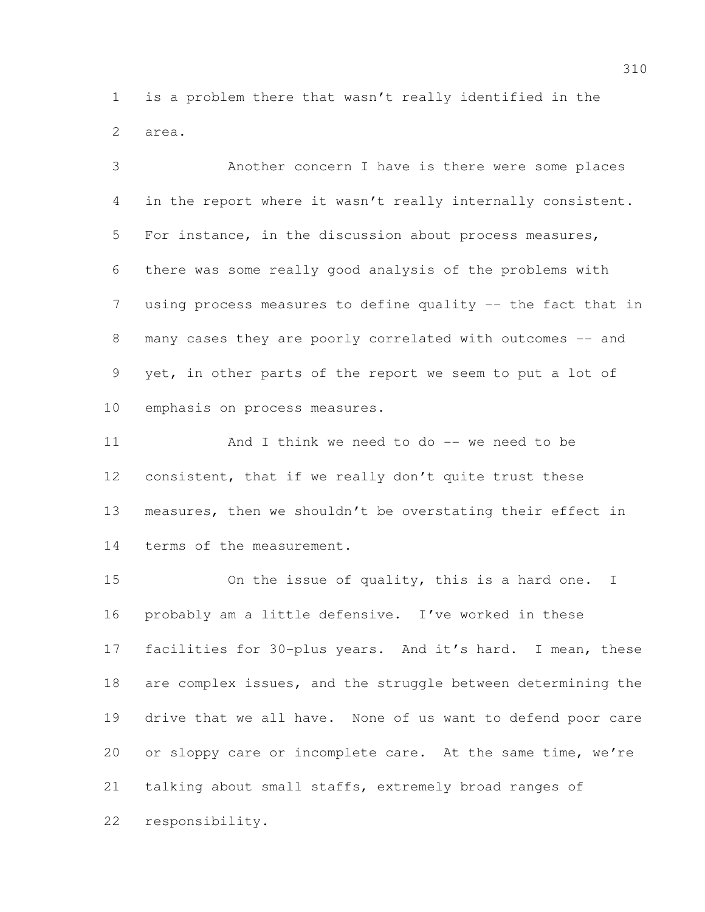is a problem there that wasn't really identified in the area.

 Another concern I have is there were some places in the report where it wasn't really internally consistent. For instance, in the discussion about process measures, there was some really good analysis of the problems with using process measures to define quality -- the fact that in 8 many cases they are poorly correlated with outcomes -- and yet, in other parts of the report we seem to put a lot of emphasis on process measures.

11 And I think we need to do -- we need to be consistent, that if we really don't quite trust these measures, then we shouldn't be overstating their effect in 14 terms of the measurement.

 On the issue of quality, this is a hard one. I probably am a little defensive. I've worked in these facilities for 30-plus years. And it's hard. I mean, these are complex issues, and the struggle between determining the drive that we all have. None of us want to defend poor care 20 or sloppy care or incomplete care. At the same time, we're talking about small staffs, extremely broad ranges of responsibility.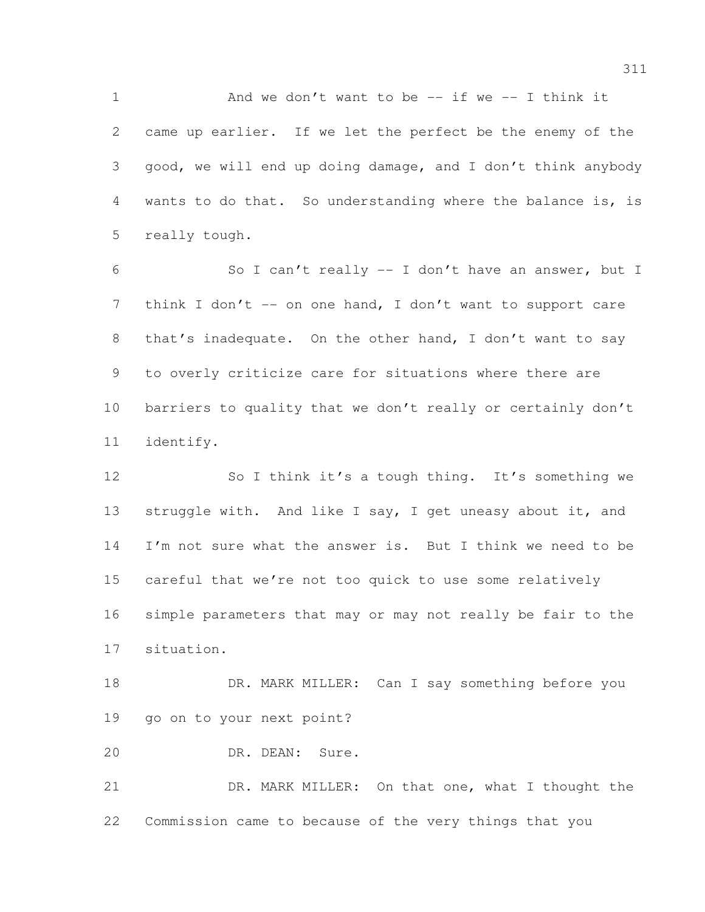1 And we don't want to be -- if we -- I think it came up earlier. If we let the perfect be the enemy of the good, we will end up doing damage, and I don't think anybody wants to do that. So understanding where the balance is, is really tough.

 So I can't really -- I don't have an answer, but I 7 think I don't -- on one hand, I don't want to support care that's inadequate. On the other hand, I don't want to say to overly criticize care for situations where there are barriers to quality that we don't really or certainly don't identify.

12 So I think it's a tough thing. It's something we 13 struggle with. And like I say, I get uneasy about it, and 14 I'm not sure what the answer is. But I think we need to be careful that we're not too quick to use some relatively simple parameters that may or may not really be fair to the situation.

18 DR. MARK MILLER: Can I say something before you go on to your next point?

DR. DEAN: Sure.

 DR. MARK MILLER: On that one, what I thought the Commission came to because of the very things that you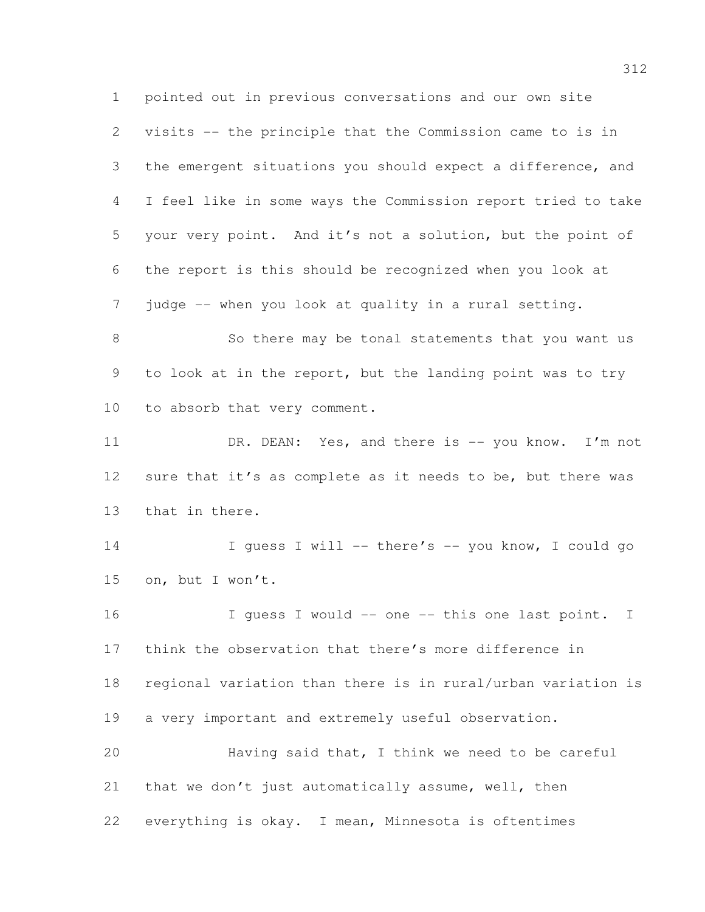pointed out in previous conversations and our own site visits -- the principle that the Commission came to is in the emergent situations you should expect a difference, and I feel like in some ways the Commission report tried to take your very point. And it's not a solution, but the point of the report is this should be recognized when you look at judge -- when you look at quality in a rural setting.

8 So there may be tonal statements that you want us 9 to look at in the report, but the landing point was to try 10 to absorb that very comment.

11 DR. DEAN: Yes, and there is -- you know. I'm not 12 sure that it's as complete as it needs to be, but there was that in there.

 I guess I will -- there's -- you know, I could go on, but I won't.

16 I guess I would -- one -- this one last point. I think the observation that there's more difference in regional variation than there is in rural/urban variation is a very important and extremely useful observation. Having said that, I think we need to be careful 21 that we don't just automatically assume, well, then

everything is okay. I mean, Minnesota is oftentimes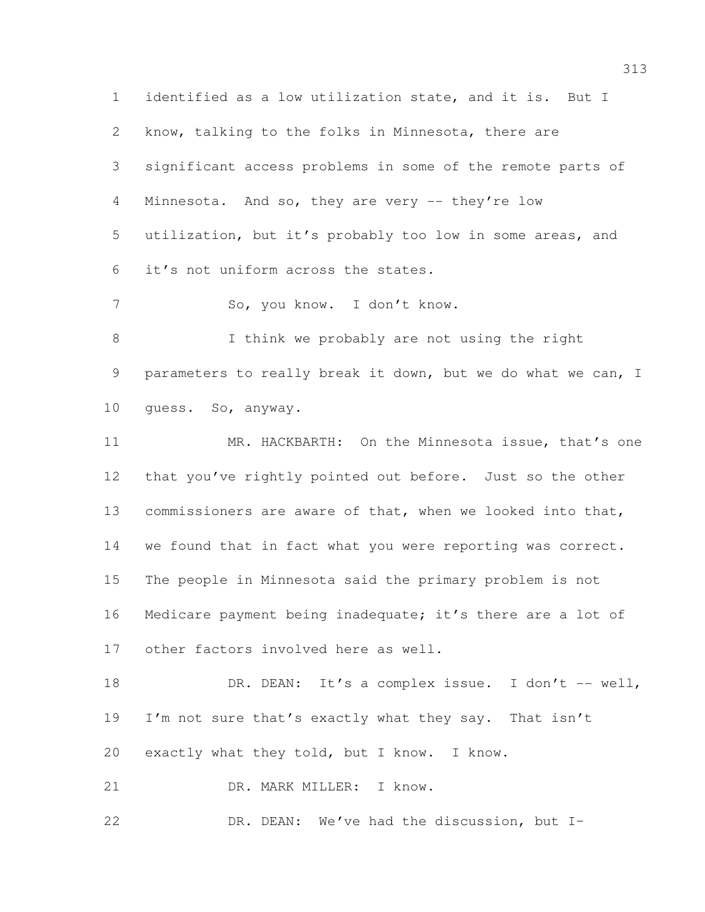identified as a low utilization state, and it is. But I know, talking to the folks in Minnesota, there are significant access problems in some of the remote parts of Minnesota. And so, they are very -- they're low utilization, but it's probably too low in some areas, and it's not uniform across the states. So, you know. I don't know. I think we probably are not using the right parameters to really break it down, but we do what we can, I guess. So, anyway. MR. HACKBARTH: On the Minnesota issue, that's one that you've rightly pointed out before. Just so the other commissioners are aware of that, when we looked into that, 14 we found that in fact what you were reporting was correct. The people in Minnesota said the primary problem is not Medicare payment being inadequate; it's there are a lot of other factors involved here as well. 18 DR. DEAN: It's a complex issue. I don't -- well, 19 I'm not sure that's exactly what they say. That isn't exactly what they told, but I know. I know. DR. MARK MILLER: I know.

DR. DEAN: We've had the discussion, but I–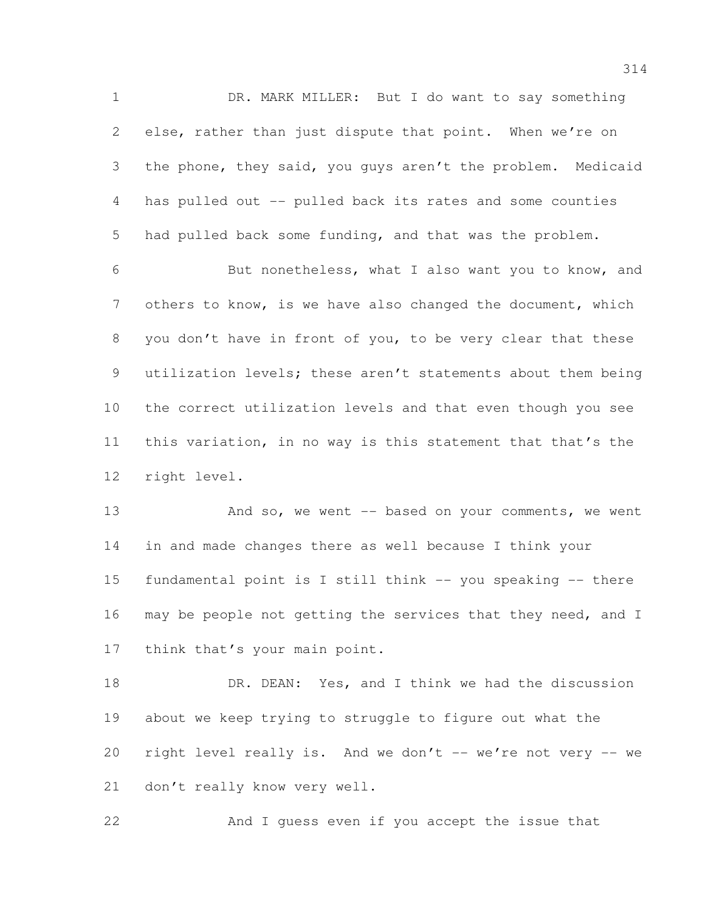DR. MARK MILLER: But I do want to say something else, rather than just dispute that point. When we're on the phone, they said, you guys aren't the problem. Medicaid has pulled out -- pulled back its rates and some counties had pulled back some funding, and that was the problem.

 But nonetheless, what I also want you to know, and others to know, is we have also changed the document, which you don't have in front of you, to be very clear that these utilization levels; these aren't statements about them being the correct utilization levels and that even though you see this variation, in no way is this statement that that's the right level.

13 And so, we went -- based on your comments, we went in and made changes there as well because I think your fundamental point is I still think -- you speaking -- there may be people not getting the services that they need, and I 17 think that's your main point.

18 DR. DEAN: Yes, and I think we had the discussion about we keep trying to struggle to figure out what the right level really is. And we don't -- we're not very -- we don't really know very well.

And I guess even if you accept the issue that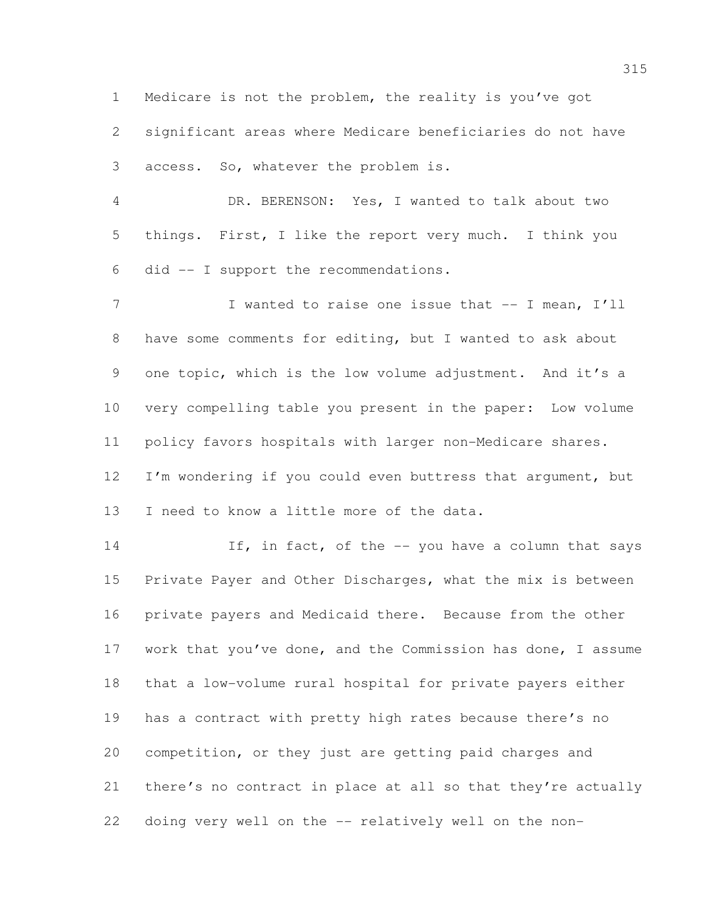Medicare is not the problem, the reality is you've got

 significant areas where Medicare beneficiaries do not have access. So, whatever the problem is.

 DR. BERENSON: Yes, I wanted to talk about two things. First, I like the report very much. I think you did -- I support the recommendations.

7 I wanted to raise one issue that -- I mean, I'll have some comments for editing, but I wanted to ask about one topic, which is the low volume adjustment. And it's a very compelling table you present in the paper: Low volume policy favors hospitals with larger non-Medicare shares. 12 I'm wondering if you could even buttress that argument, but

13 I need to know a little more of the data.

14 If, in fact, of the -- you have a column that says Private Payer and Other Discharges, what the mix is between private payers and Medicaid there. Because from the other work that you've done, and the Commission has done, I assume that a low-volume rural hospital for private payers either has a contract with pretty high rates because there's no competition, or they just are getting paid charges and there's no contract in place at all so that they're actually doing very well on the -- relatively well on the non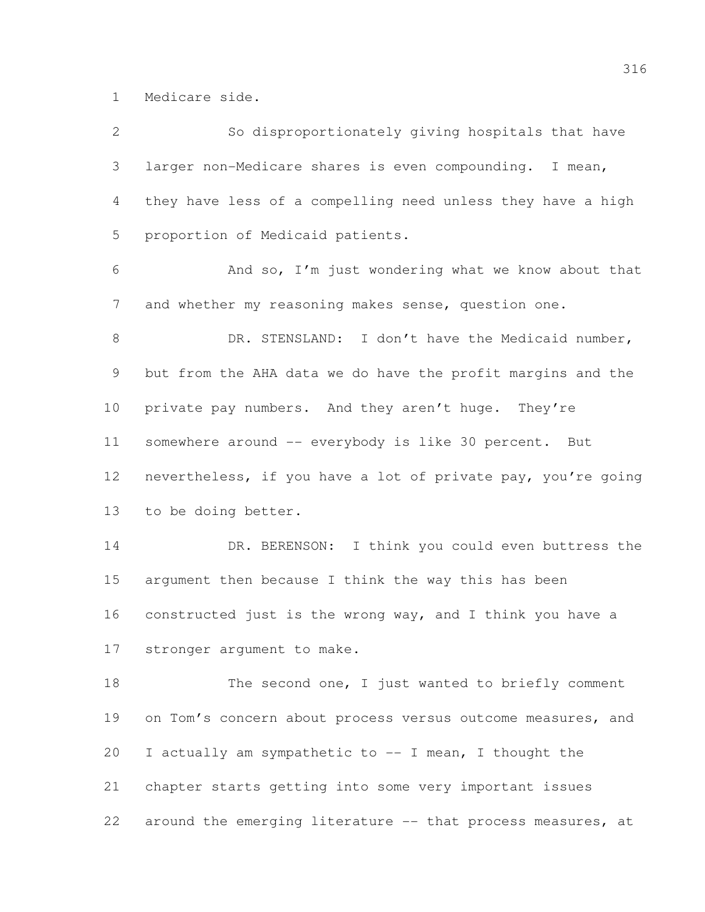Medicare side.

| $\mathbf{2}$ | So disproportionately giving hospitals that have             |
|--------------|--------------------------------------------------------------|
| 3            | larger non-Medicare shares is even compounding. I mean,      |
| 4            | they have less of a compelling need unless they have a high  |
| 5            | proportion of Medicaid patients.                             |
| 6            | And so, I'm just wondering what we know about that           |
| 7            | and whether my reasoning makes sense, question one.          |
| $\,8\,$      | DR. STENSLAND: I don't have the Medicaid number,             |
| 9            | but from the AHA data we do have the profit margins and the  |
| 10           | private pay numbers. And they aren't huge. They're           |
| 11           | somewhere around -- everybody is like 30 percent. But        |
| 12           | nevertheless, if you have a lot of private pay, you're going |
| 13           | to be doing better.                                          |
| 14           | DR. BERENSON: I think you could even buttress the            |
| 15           | argument then because I think the way this has been          |
| 16           | constructed just is the wrong way, and I think you have a    |
| 17           | stronger argument to make.                                   |
| 18           | The second one, I just wanted to briefly comment             |
| 19           | on Tom's concern about process versus outcome measures, and  |
| 20           | I actually am sympathetic to -- I mean, I thought the        |
| 21           | chapter starts getting into some very important issues       |
| 22           | around the emerging literature -- that process measures, at  |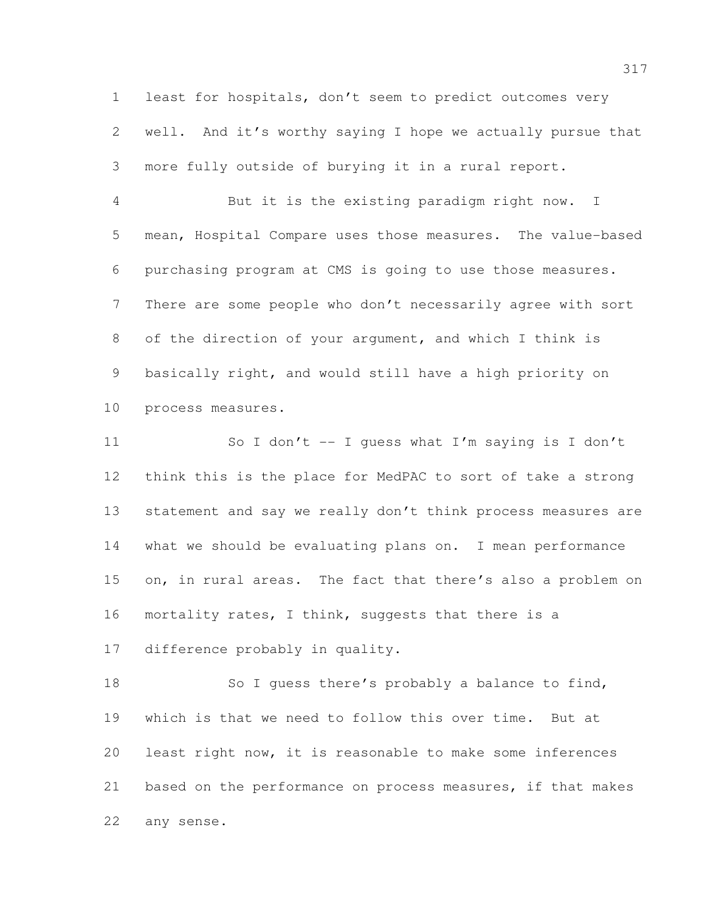least for hospitals, don't seem to predict outcomes very well. And it's worthy saying I hope we actually pursue that more fully outside of burying it in a rural report.

 But it is the existing paradigm right now. I mean, Hospital Compare uses those measures. The value-based purchasing program at CMS is going to use those measures. There are some people who don't necessarily agree with sort of the direction of your argument, and which I think is basically right, and would still have a high priority on process measures.

 So I don't -- I guess what I'm saying is I don't think this is the place for MedPAC to sort of take a strong 13 statement and say we really don't think process measures are what we should be evaluating plans on. I mean performance on, in rural areas. The fact that there's also a problem on 16 mortality rates, I think, suggests that there is a difference probably in quality.

18 So I guess there's probably a balance to find, which is that we need to follow this over time. But at least right now, it is reasonable to make some inferences based on the performance on process measures, if that makes any sense.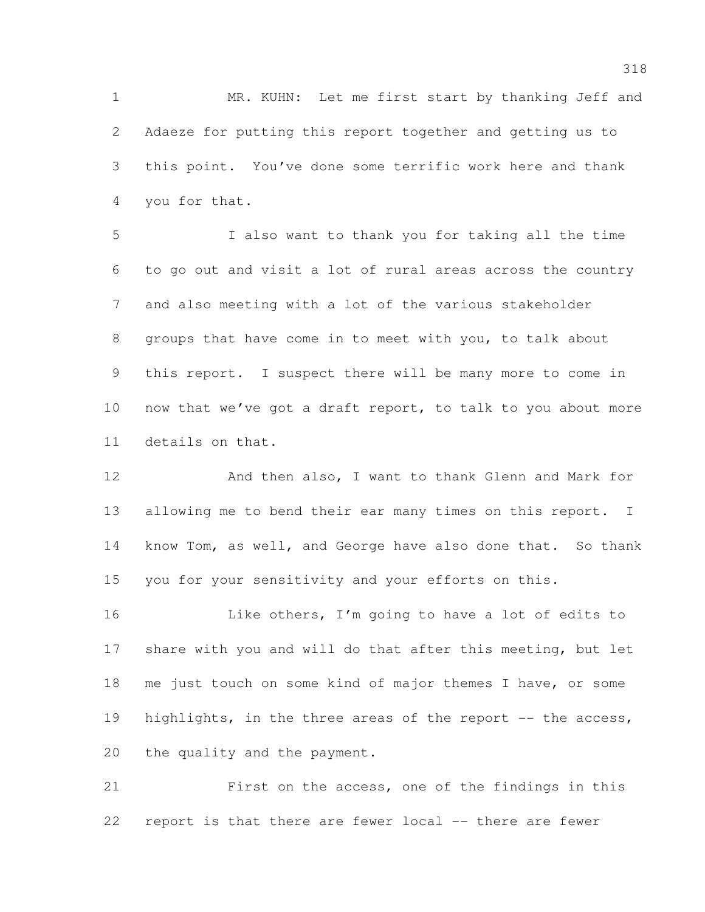1 MR. KUHN: Let me first start by thanking Jeff and Adaeze for putting this report together and getting us to this point. You've done some terrific work here and thank you for that.

 I also want to thank you for taking all the time to go out and visit a lot of rural areas across the country and also meeting with a lot of the various stakeholder groups that have come in to meet with you, to talk about this report. I suspect there will be many more to come in now that we've got a draft report, to talk to you about more details on that.

12 And then also, I want to thank Glenn and Mark for 13 allowing me to bend their ear many times on this report. I know Tom, as well, and George have also done that. So thank you for your sensitivity and your efforts on this.

 Like others, I'm going to have a lot of edits to 17 share with you and will do that after this meeting, but let me just touch on some kind of major themes I have, or some 19 highlights, in the three areas of the report -- the access, the quality and the payment.

 First on the access, one of the findings in this report is that there are fewer local -- there are fewer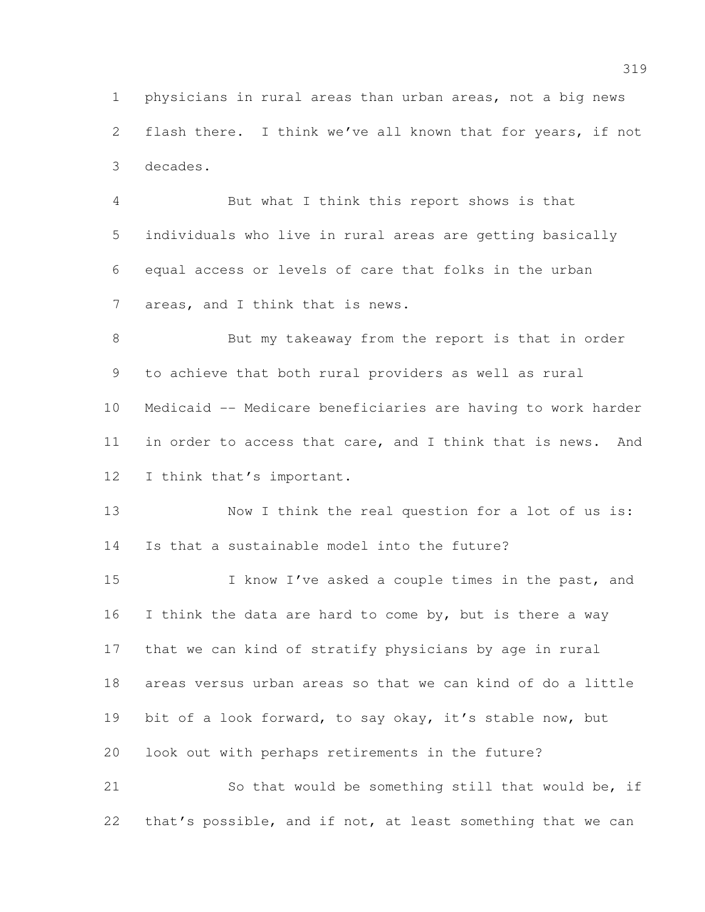physicians in rural areas than urban areas, not a big news flash there. I think we've all known that for years, if not decades.

 But what I think this report shows is that individuals who live in rural areas are getting basically equal access or levels of care that folks in the urban 7 areas, and I think that is news.

 But my takeaway from the report is that in order to achieve that both rural providers as well as rural Medicaid -- Medicare beneficiaries are having to work harder in order to access that care, and I think that is news. And I think that's important.

 Now I think the real question for a lot of us is: Is that a sustainable model into the future?

15 I know I've asked a couple times in the past, and 16 I think the data are hard to come by, but is there a way that we can kind of stratify physicians by age in rural areas versus urban areas so that we can kind of do a little bit of a look forward, to say okay, it's stable now, but look out with perhaps retirements in the future?

 So that would be something still that would be, if that's possible, and if not, at least something that we can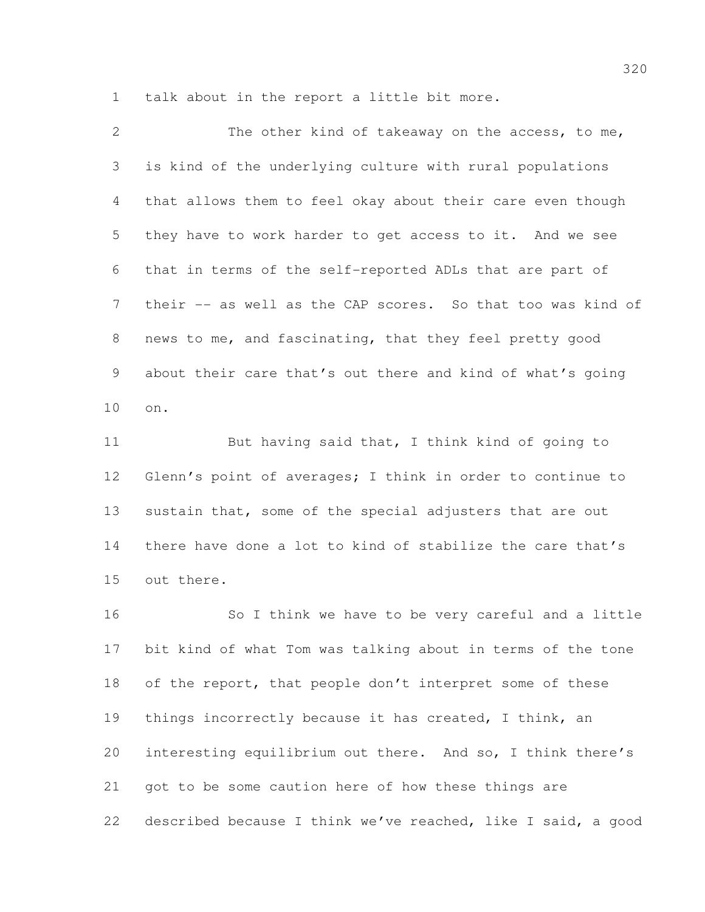talk about in the report a little bit more.

| 2               | The other kind of takeaway on the access, to me,            |
|-----------------|-------------------------------------------------------------|
| 3               | is kind of the underlying culture with rural populations    |
| 4               | that allows them to feel okay about their care even though  |
| 5               | they have to work harder to get access to it. And we see    |
| 6               | that in terms of the self-reported ADLs that are part of    |
| $7\phantom{.0}$ | their -- as well as the CAP scores. So that too was kind of |
| 8               | news to me, and fascinating, that they feel pretty good     |
| 9               | about their care that's out there and kind of what's going  |
| 10              | on.                                                         |
|                 |                                                             |

11 But having said that, I think kind of going to Glenn's point of averages; I think in order to continue to 13 sustain that, some of the special adjusters that are out there have done a lot to kind of stabilize the care that's out there.

 So I think we have to be very careful and a little bit kind of what Tom was talking about in terms of the tone of the report, that people don't interpret some of these things incorrectly because it has created, I think, an interesting equilibrium out there. And so, I think there's got to be some caution here of how these things are described because I think we've reached, like I said, a good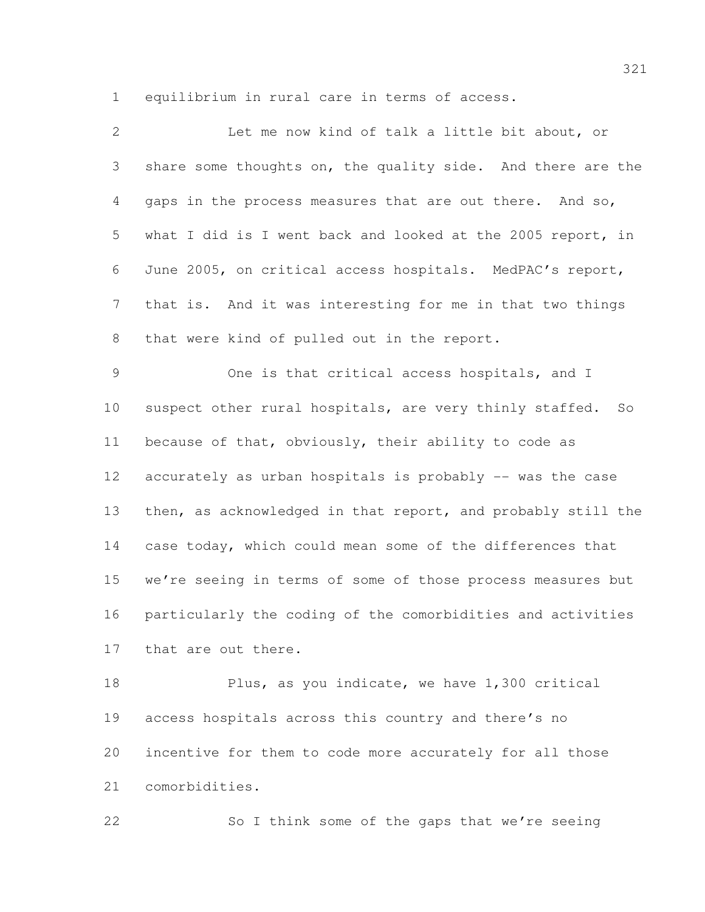equilibrium in rural care in terms of access.

| $\mathbf{2}$   | Let me now kind of talk a little bit about, or                |
|----------------|---------------------------------------------------------------|
| 3              | share some thoughts on, the quality side. And there are the   |
| 4              | gaps in the process measures that are out there. And so,      |
| 5              | what I did is I went back and looked at the 2005 report, in   |
| 6              | June 2005, on critical access hospitals. MedPAC's report,     |
| $7\phantom{.}$ | that is. And it was interesting for me in that two things     |
| 8              | that were kind of pulled out in the report.                   |
| $\mathcal{G}$  | One is that critical access hospitals, and I                  |
| 10             | suspect other rural hospitals, are very thinly staffed.<br>SO |
| 11             | because of that, obviously, their ability to code as          |
| 12             | accurately as urban hospitals is probably -- was the case     |
| 13             | then, as acknowledged in that report, and probably still the  |
| 14             | case today, which could mean some of the differences that     |
| 15             | we're seeing in terms of some of those process measures but   |
| 16             | particularly the coding of the comorbidities and activities   |
| 17             | that are out there.                                           |
| 18             | Plus, as you indicate, we have 1,300 critical                 |
| 19             | access hospitals across this country and there's no           |
| 20             | incentive for them to code more accurately for all those      |

comorbidities.

So I think some of the gaps that we're seeing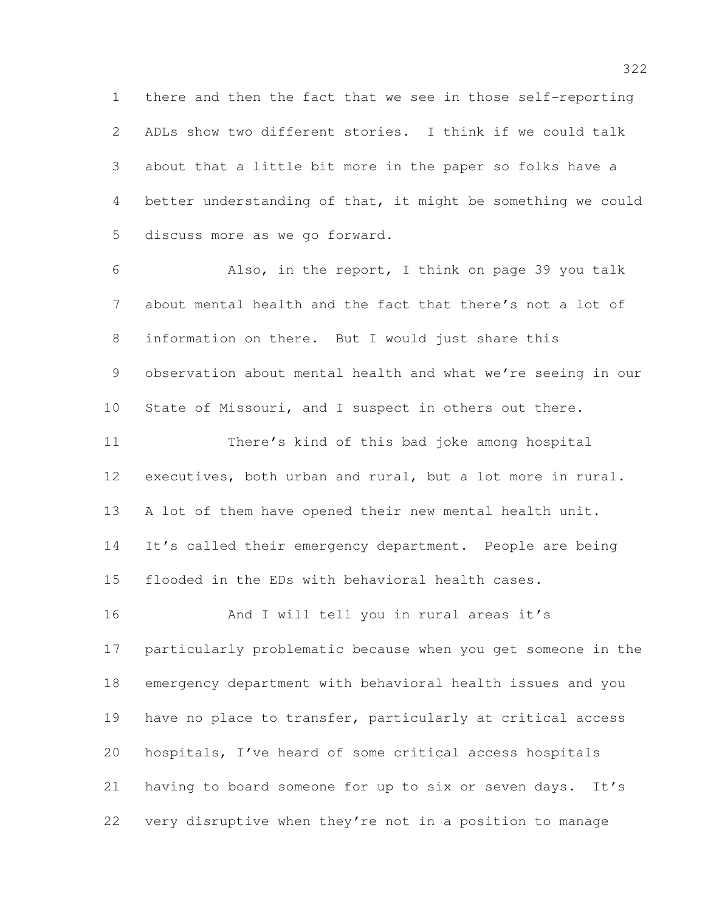there and then the fact that we see in those self-reporting ADLs show two different stories. I think if we could talk about that a little bit more in the paper so folks have a better understanding of that, it might be something we could discuss more as we go forward.

 Also, in the report, I think on page 39 you talk about mental health and the fact that there's not a lot of information on there. But I would just share this observation about mental health and what we're seeing in our State of Missouri, and I suspect in others out there. There's kind of this bad joke among hospital executives, both urban and rural, but a lot more in rural. A lot of them have opened their new mental health unit. 14 It's called their emergency department. People are being flooded in the EDs with behavioral health cases.

16 And I will tell you in rural areas it's particularly problematic because when you get someone in the emergency department with behavioral health issues and you have no place to transfer, particularly at critical access hospitals, I've heard of some critical access hospitals having to board someone for up to six or seven days. It's very disruptive when they're not in a position to manage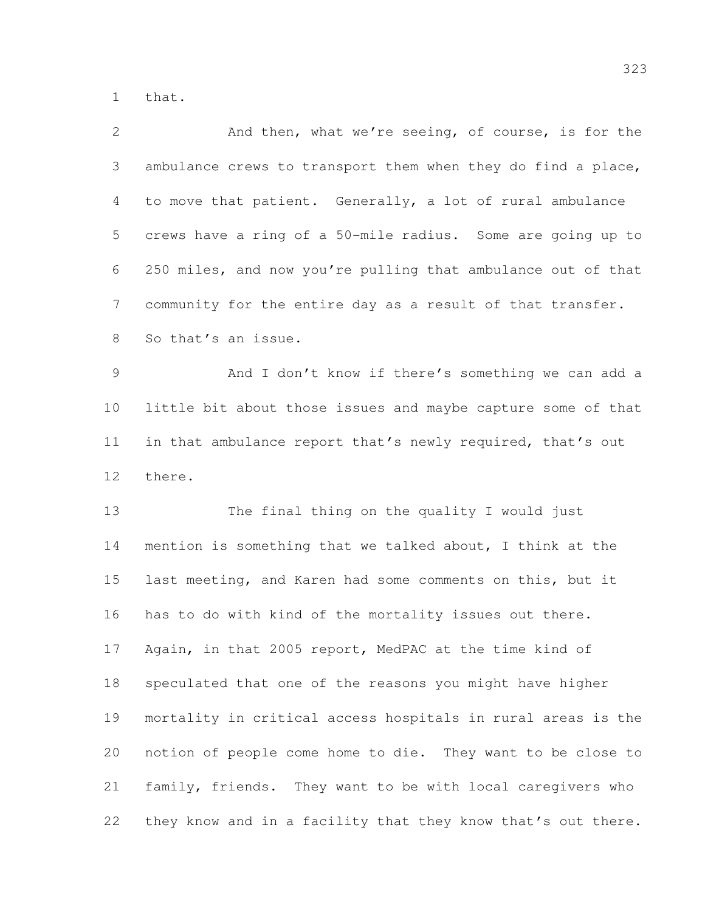that.

| $\mathbf{2}$    | And then, what we're seeing, of course, is for the           |
|-----------------|--------------------------------------------------------------|
| 3               | ambulance crews to transport them when they do find a place, |
| 4               | to move that patient. Generally, a lot of rural ambulance    |
| 5               | crews have a ring of a 50-mile radius. Some are going up to  |
| 6               | 250 miles, and now you're pulling that ambulance out of that |
| 7               | community for the entire day as a result of that transfer.   |
| 8               | So that's an issue.                                          |
| 9               | And I don't know if there's something we can add a           |
| 10 <sub>o</sub> | little bit about those issues and maybe capture some of that |
| 11              | in that ambulance report that's newly required, that's out   |
| 12              | there.                                                       |
| 13              | The final thing on the quality I would just                  |
| 14              | mention is something that we talked about, I think at the    |
| 15              | last meeting, and Karen had some comments on this, but it    |
| 16              | has to do with kind of the mortality issues out there.       |
| 17              | Again, in that 2005 report, MedPAC at the time kind of       |
| 18              | speculated that one of the reasons you might have higher     |
| 19              | mortality in critical access hospitals in rural areas is the |
| 20              | notion of people come home to die. They want to be close to  |
| 21              | family, friends. They want to be with local caregivers who   |
| 22              | they know and in a facility that they know that's out there. |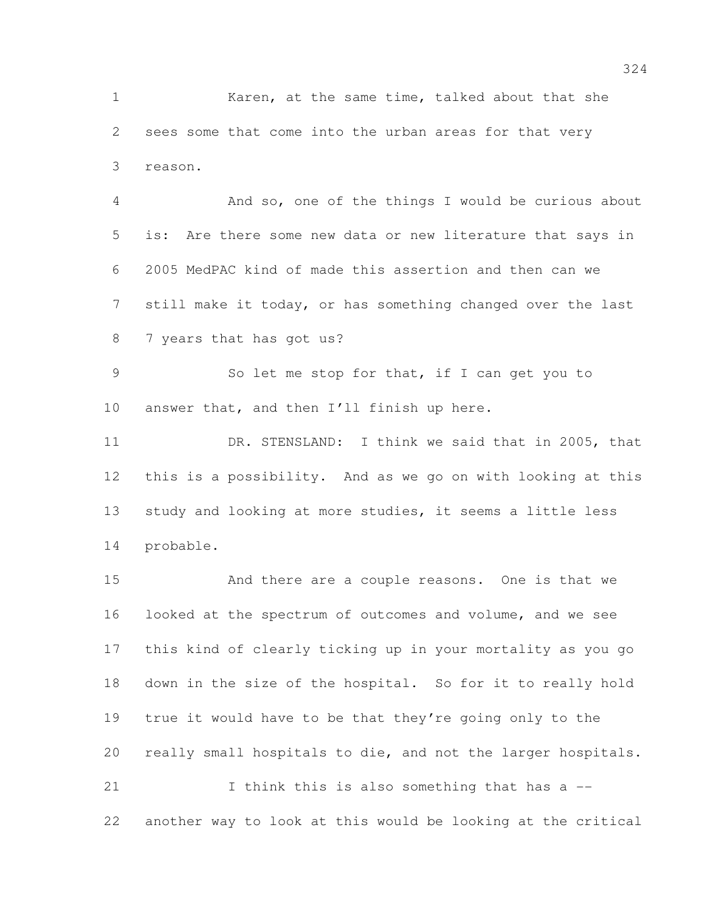Karen, at the same time, talked about that she sees some that come into the urban areas for that very reason.

 And so, one of the things I would be curious about is: Are there some new data or new literature that says in 2005 MedPAC kind of made this assertion and then can we still make it today, or has something changed over the last 7 years that has got us?

 So let me stop for that, if I can get you to answer that, and then I'll finish up here.

11 DR. STENSLAND: I think we said that in 2005, that this is a possibility. And as we go on with looking at this study and looking at more studies, it seems a little less probable.

 And there are a couple reasons. One is that we looked at the spectrum of outcomes and volume, and we see this kind of clearly ticking up in your mortality as you go down in the size of the hospital. So for it to really hold true it would have to be that they're going only to the really small hospitals to die, and not the larger hospitals. I think this is also something that has a -- another way to look at this would be looking at the critical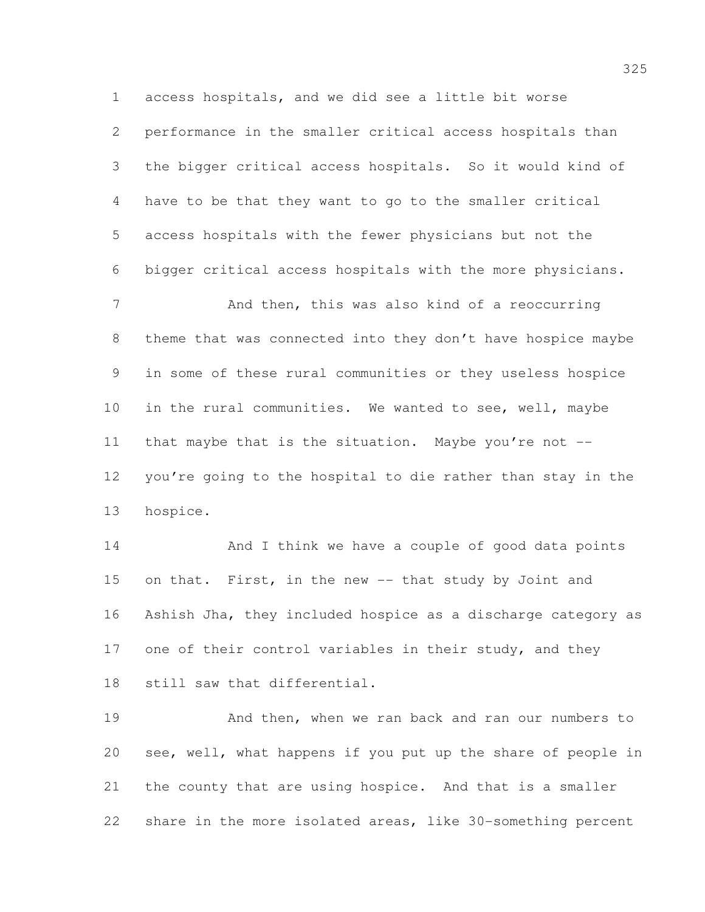access hospitals, and we did see a little bit worse performance in the smaller critical access hospitals than the bigger critical access hospitals. So it would kind of have to be that they want to go to the smaller critical access hospitals with the fewer physicians but not the bigger critical access hospitals with the more physicians. And then, this was also kind of a reoccurring theme that was connected into they don't have hospice maybe in some of these rural communities or they useless hospice in the rural communities. We wanted to see, well, maybe

11 that maybe that is the situation. Maybe you're not -- you're going to the hospital to die rather than stay in the hospice.

14 And I think we have a couple of good data points on that. First, in the new -- that study by Joint and Ashish Jha, they included hospice as a discharge category as 17 one of their control variables in their study, and they still saw that differential.

 And then, when we ran back and ran our numbers to see, well, what happens if you put up the share of people in the county that are using hospice. And that is a smaller share in the more isolated areas, like 30-something percent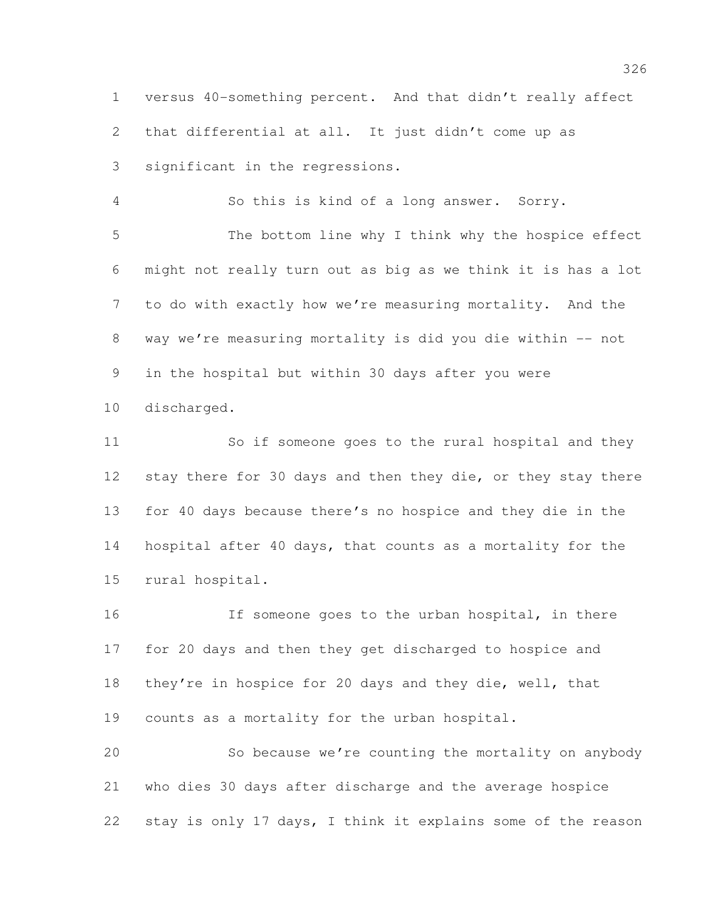versus 40-something percent. And that didn't really affect that differential at all. It just didn't come up as significant in the regressions.

So this is kind of a long answer. Sorry.

 The bottom line why I think why the hospice effect might not really turn out as big as we think it is has a lot to do with exactly how we're measuring mortality. And the 8 way we're measuring mortality is did you die within -- not in the hospital but within 30 days after you were

discharged.

 So if someone goes to the rural hospital and they 12 stay there for 30 days and then they die, or they stay there for 40 days because there's no hospice and they die in the hospital after 40 days, that counts as a mortality for the rural hospital.

 If someone goes to the urban hospital, in there for 20 days and then they get discharged to hospice and they're in hospice for 20 days and they die, well, that counts as a mortality for the urban hospital.

 So because we're counting the mortality on anybody who dies 30 days after discharge and the average hospice stay is only 17 days, I think it explains some of the reason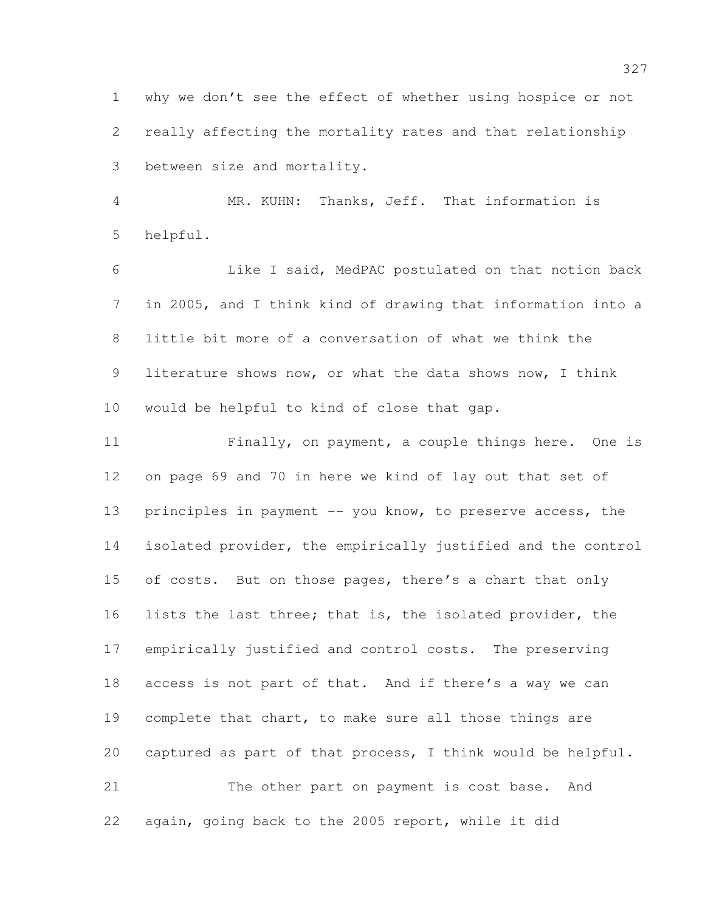why we don't see the effect of whether using hospice or not really affecting the mortality rates and that relationship between size and mortality.

 MR. KUHN: Thanks, Jeff. That information is helpful.

 Like I said, MedPAC postulated on that notion back in 2005, and I think kind of drawing that information into a little bit more of a conversation of what we think the literature shows now, or what the data shows now, I think would be helpful to kind of close that gap.

 Finally, on payment, a couple things here. One is on page 69 and 70 in here we kind of lay out that set of 13 principles in payment -- you know, to preserve access, the isolated provider, the empirically justified and the control 15 of costs. But on those pages, there's a chart that only lists the last three; that is, the isolated provider, the empirically justified and control costs. The preserving access is not part of that. And if there's a way we can complete that chart, to make sure all those things are captured as part of that process, I think would be helpful. The other part on payment is cost base. And

again, going back to the 2005 report, while it did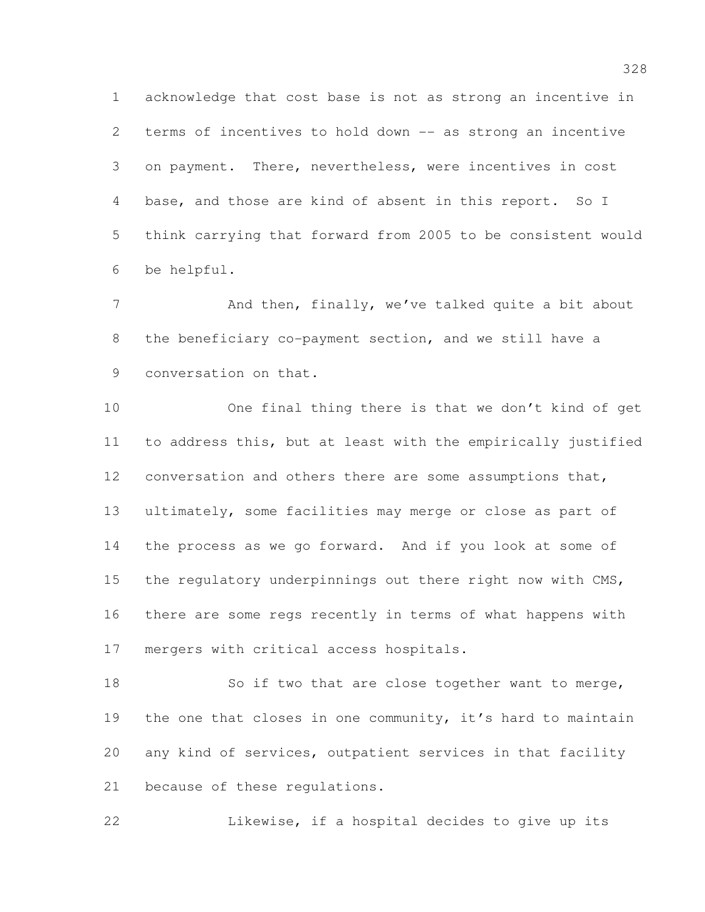acknowledge that cost base is not as strong an incentive in terms of incentives to hold down -- as strong an incentive on payment. There, nevertheless, were incentives in cost base, and those are kind of absent in this report. So I think carrying that forward from 2005 to be consistent would be helpful.

7 And then, finally, we've talked quite a bit about the beneficiary co-payment section, and we still have a conversation on that.

 One final thing there is that we don't kind of get to address this, but at least with the empirically justified conversation and others there are some assumptions that, ultimately, some facilities may merge or close as part of the process as we go forward. And if you look at some of 15 the regulatory underpinnings out there right now with CMS, there are some regs recently in terms of what happens with mergers with critical access hospitals.

18 So if two that are close together want to merge, 19 the one that closes in one community, it's hard to maintain any kind of services, outpatient services in that facility because of these regulations.

Likewise, if a hospital decides to give up its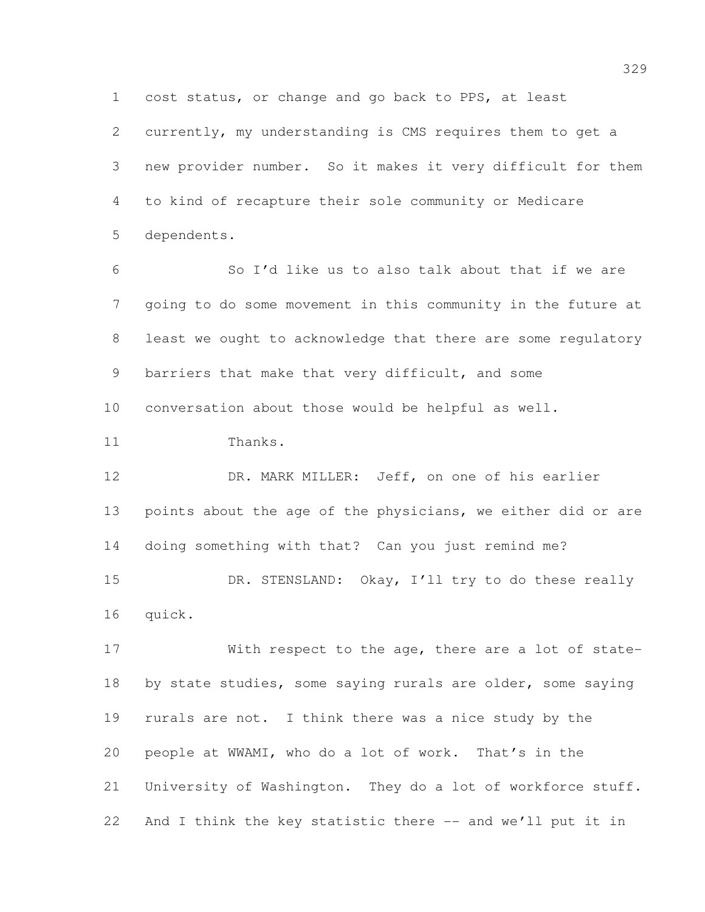cost status, or change and go back to PPS, at least

 currently, my understanding is CMS requires them to get a new provider number. So it makes it very difficult for them to kind of recapture their sole community or Medicare dependents.

 So I'd like us to also talk about that if we are going to do some movement in this community in the future at least we ought to acknowledge that there are some regulatory barriers that make that very difficult, and some conversation about those would be helpful as well.

Thanks.

 DR. MARK MILLER: Jeff, on one of his earlier points about the age of the physicians, we either did or are doing something with that? Can you just remind me? 15 DR. STENSLAND: Okay, I'll try to do these really

quick.

 With respect to the age, there are a lot of state-18 by state studies, some saying rurals are older, some saying rurals are not. I think there was a nice study by the people at WWAMI, who do a lot of work. That's in the University of Washington. They do a lot of workforce stuff. 22 And I think the key statistic there -- and we'll put it in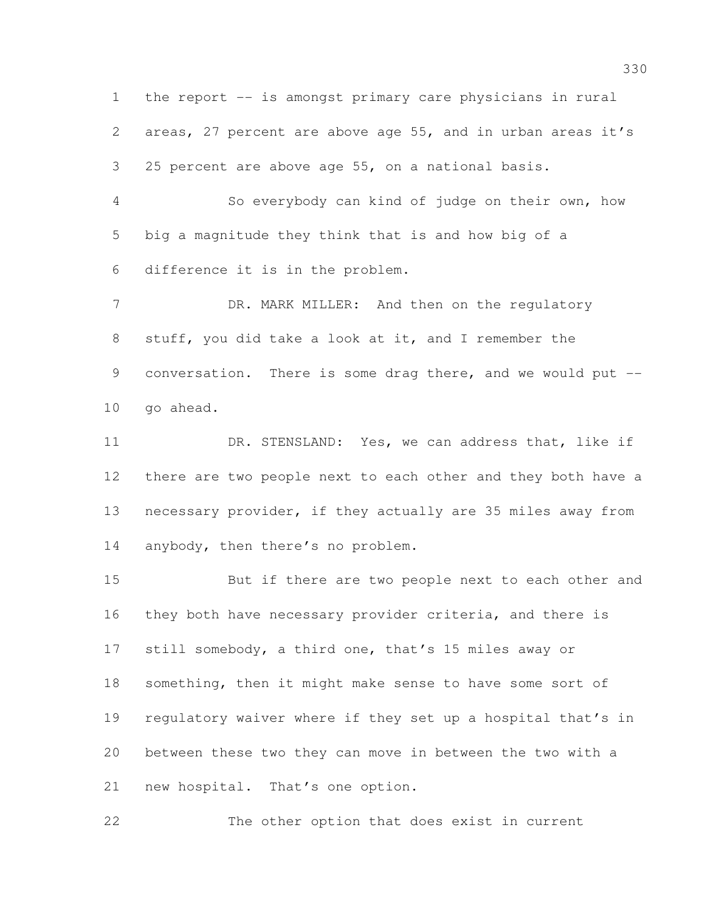the report -- is amongst primary care physicians in rural areas, 27 percent are above age 55, and in urban areas it's 25 percent are above age 55, on a national basis.

 So everybody can kind of judge on their own, how big a magnitude they think that is and how big of a difference it is in the problem.

7 DR. MARK MILLER: And then on the regulatory stuff, you did take a look at it, and I remember the 9 conversation. There is some drag there, and we would put --go ahead.

11 DR. STENSLAND: Yes, we can address that, like if there are two people next to each other and they both have a necessary provider, if they actually are 35 miles away from 14 anybody, then there's no problem.

 But if there are two people next to each other and they both have necessary provider criteria, and there is still somebody, a third one, that's 15 miles away or something, then it might make sense to have some sort of regulatory waiver where if they set up a hospital that's in between these two they can move in between the two with a 21 new hospital. That's one option.

The other option that does exist in current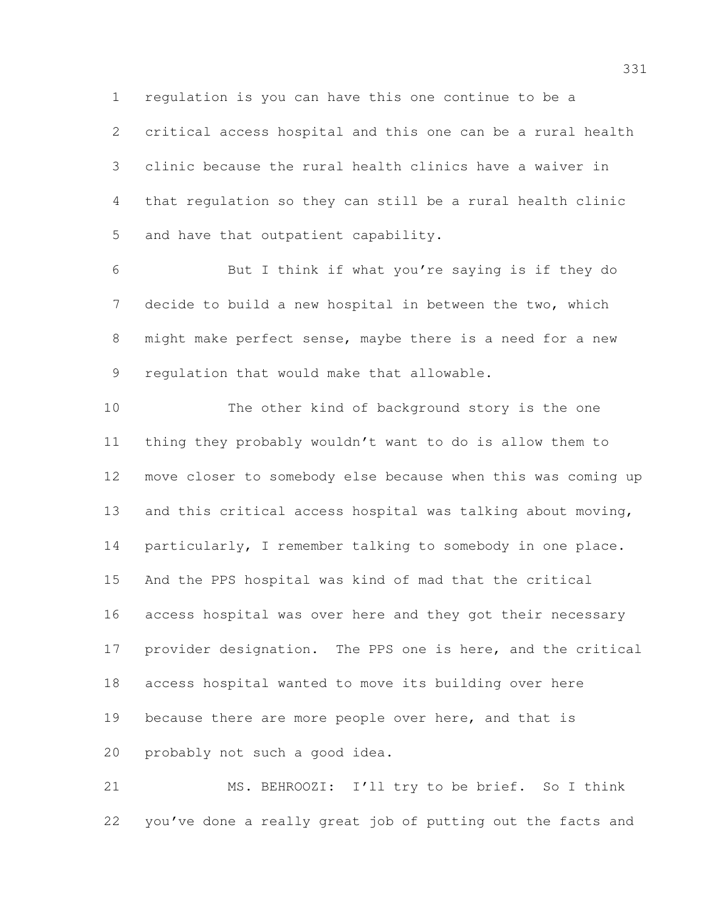regulation is you can have this one continue to be a

 critical access hospital and this one can be a rural health clinic because the rural health clinics have a waiver in that regulation so they can still be a rural health clinic and have that outpatient capability.

 But I think if what you're saying is if they do decide to build a new hospital in between the two, which might make perfect sense, maybe there is a need for a new regulation that would make that allowable.

 The other kind of background story is the one thing they probably wouldn't want to do is allow them to move closer to somebody else because when this was coming up 13 and this critical access hospital was talking about moving, 14 particularly, I remember talking to somebody in one place. And the PPS hospital was kind of mad that the critical access hospital was over here and they got their necessary provider designation. The PPS one is here, and the critical access hospital wanted to move its building over here 19 because there are more people over here, and that is probably not such a good idea.

 MS. BEHROOZI: I'll try to be brief. So I think you've done a really great job of putting out the facts and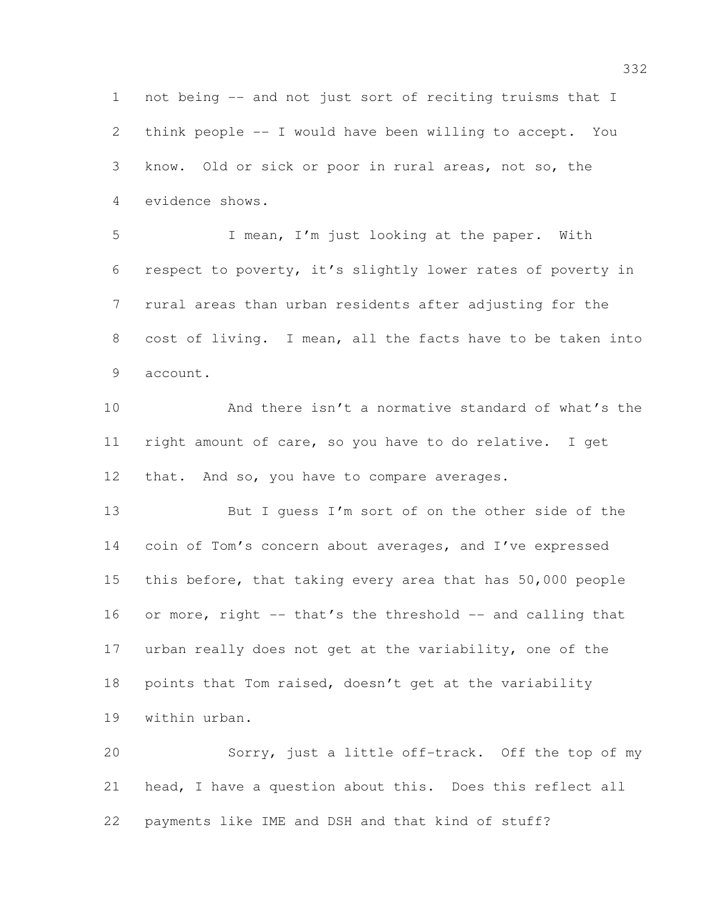not being -- and not just sort of reciting truisms that I think people -- I would have been willing to accept. You know. Old or sick or poor in rural areas, not so, the evidence shows.

 I mean, I'm just looking at the paper. With respect to poverty, it's slightly lower rates of poverty in rural areas than urban residents after adjusting for the cost of living. I mean, all the facts have to be taken into account.

 And there isn't a normative standard of what's the right amount of care, so you have to do relative. I get that. And so, you have to compare averages.

 But I guess I'm sort of on the other side of the coin of Tom's concern about averages, and I've expressed this before, that taking every area that has 50,000 people 16 or more, right -- that's the threshold -- and calling that urban really does not get at the variability, one of the points that Tom raised, doesn't get at the variability within urban.

 Sorry, just a little off-track. Off the top of my head, I have a question about this. Does this reflect all payments like IME and DSH and that kind of stuff?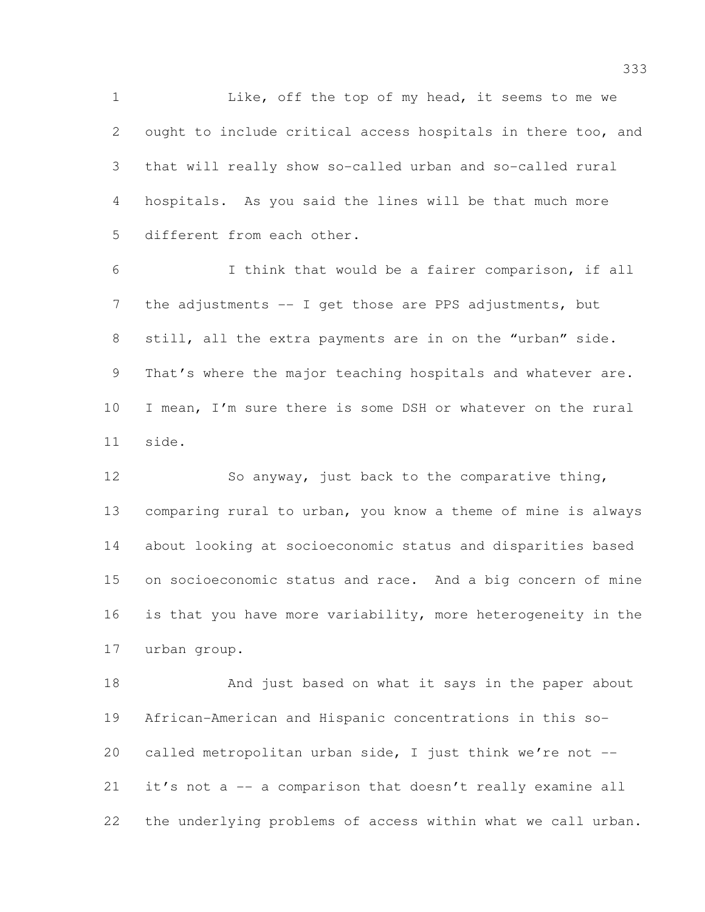1 Like, off the top of my head, it seems to me we ought to include critical access hospitals in there too, and that will really show so-called urban and so-called rural hospitals. As you said the lines will be that much more different from each other.

 I think that would be a fairer comparison, if all 7 the adjustments -- I get those are PPS adjustments, but still, all the extra payments are in on the "urban" side. 9 That's where the major teaching hospitals and whatever are. I mean, I'm sure there is some DSH or whatever on the rural side.

 So anyway, just back to the comparative thing, comparing rural to urban, you know a theme of mine is always about looking at socioeconomic status and disparities based on socioeconomic status and race. And a big concern of mine is that you have more variability, more heterogeneity in the urban group.

 And just based on what it says in the paper about African-American and Hispanic concentrations in this so- called metropolitan urban side, I just think we're not -- it's not a -- a comparison that doesn't really examine all the underlying problems of access within what we call urban.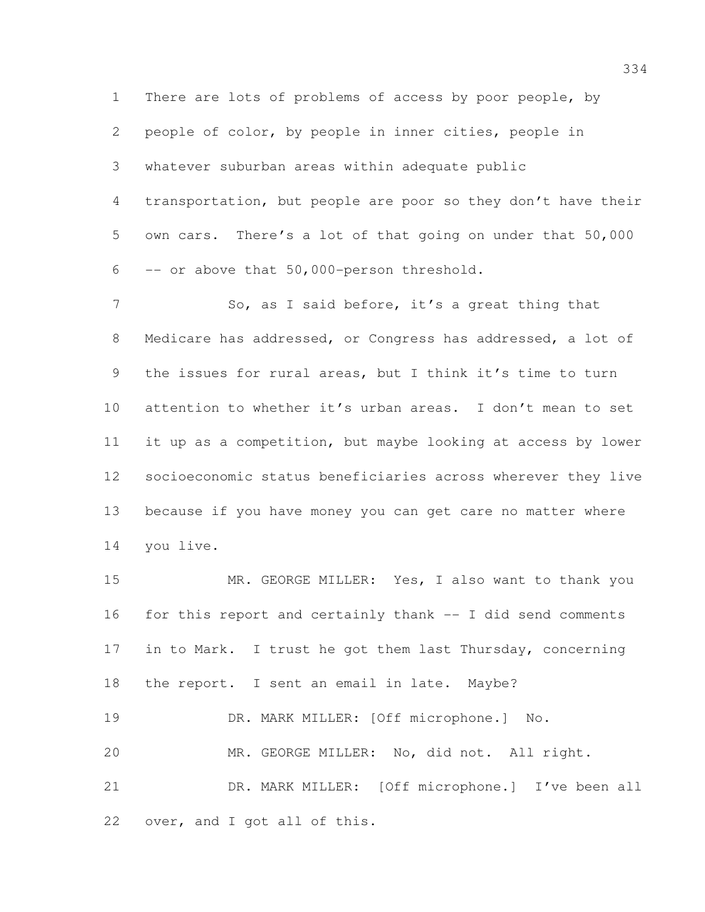There are lots of problems of access by poor people, by people of color, by people in inner cities, people in whatever suburban areas within adequate public transportation, but people are poor so they don't have their own cars. There's a lot of that going on under that 50,000 -- or above that 50,000-person threshold.

7 So, as I said before, it's a great thing that Medicare has addressed, or Congress has addressed, a lot of the issues for rural areas, but I think it's time to turn attention to whether it's urban areas. I don't mean to set it up as a competition, but maybe looking at access by lower socioeconomic status beneficiaries across wherever they live because if you have money you can get care no matter where you live.

 MR. GEORGE MILLER: Yes, I also want to thank you for this report and certainly thank -- I did send comments in to Mark. I trust he got them last Thursday, concerning the report. I sent an email in late. Maybe? DR. MARK MILLER: [Off microphone.] No. MR. GEORGE MILLER: No, did not. All right.

 DR. MARK MILLER: [Off microphone.] I've been all over, and I got all of this.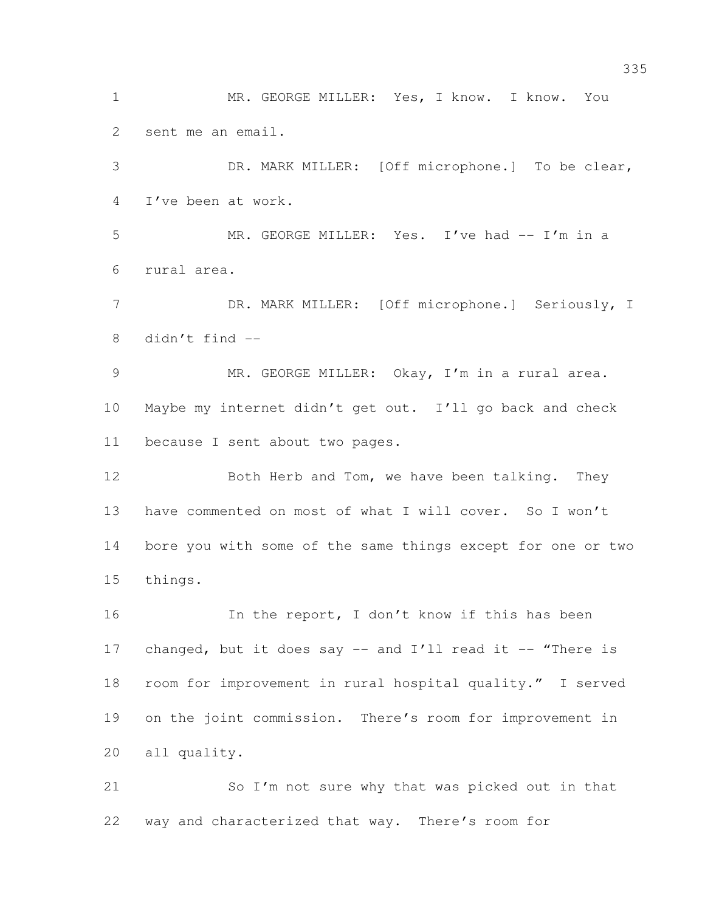MR. GEORGE MILLER: Yes, I know. I know. You sent me an email.

 DR. MARK MILLER: [Off microphone.] To be clear, I've been at work.

 MR. GEORGE MILLER: Yes. I've had -- I'm in a rural area.

7 DR. MARK MILLER: [Off microphone.] Seriously, I 8 didn't find  $-$ 

 MR. GEORGE MILLER: Okay, I'm in a rural area. Maybe my internet didn't get out. I'll go back and check because I sent about two pages.

12 Both Herb and Tom, we have been talking. They have commented on most of what I will cover. So I won't bore you with some of the same things except for one or two things.

16 In the report, I don't know if this has been 17 changed, but it does say -- and I'll read it -- "There is room for improvement in rural hospital quality." I served on the joint commission. There's room for improvement in all quality.

 So I'm not sure why that was picked out in that way and characterized that way. There's room for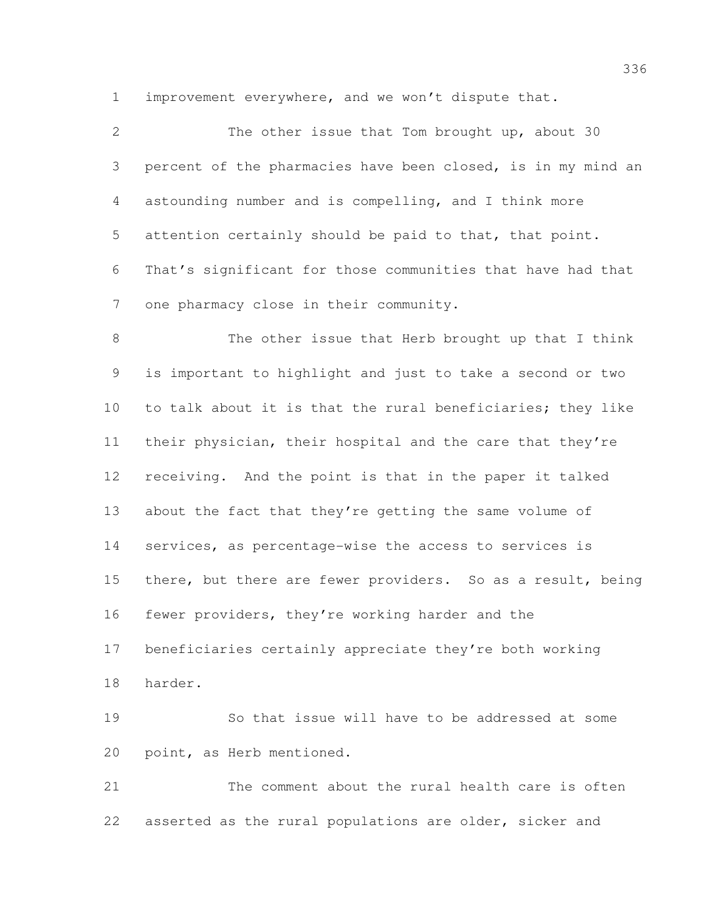improvement everywhere, and we won't dispute that.

 The other issue that Tom brought up, about 30 percent of the pharmacies have been closed, is in my mind an astounding number and is compelling, and I think more attention certainly should be paid to that, that point. That's significant for those communities that have had that one pharmacy close in their community.

 The other issue that Herb brought up that I think is important to highlight and just to take a second or two to talk about it is that the rural beneficiaries; they like their physician, their hospital and the care that they're receiving. And the point is that in the paper it talked 13 about the fact that they're getting the same volume of services, as percentage-wise the access to services is 15 there, but there are fewer providers. So as a result, being fewer providers, they're working harder and the beneficiaries certainly appreciate they're both working harder.

 So that issue will have to be addressed at some point, as Herb mentioned.

 The comment about the rural health care is often asserted as the rural populations are older, sicker and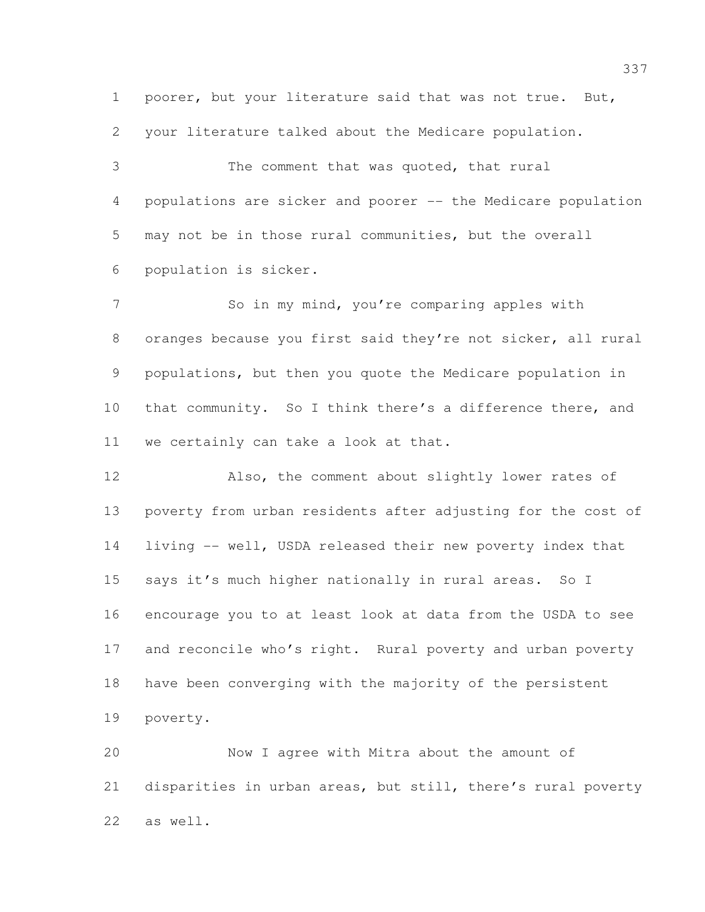poorer, but your literature said that was not true. But,

your literature talked about the Medicare population.

 The comment that was quoted, that rural populations are sicker and poorer -- the Medicare population may not be in those rural communities, but the overall population is sicker.

7 So in my mind, you're comparing apples with oranges because you first said they're not sicker, all rural populations, but then you quote the Medicare population in that community. So I think there's a difference there, and we certainly can take a look at that.

 Also, the comment about slightly lower rates of poverty from urban residents after adjusting for the cost of living -- well, USDA released their new poverty index that says it's much higher nationally in rural areas. So I encourage you to at least look at data from the USDA to see 17 and reconcile who's right. Rural poverty and urban poverty have been converging with the majority of the persistent poverty.

 Now I agree with Mitra about the amount of disparities in urban areas, but still, there's rural poverty as well.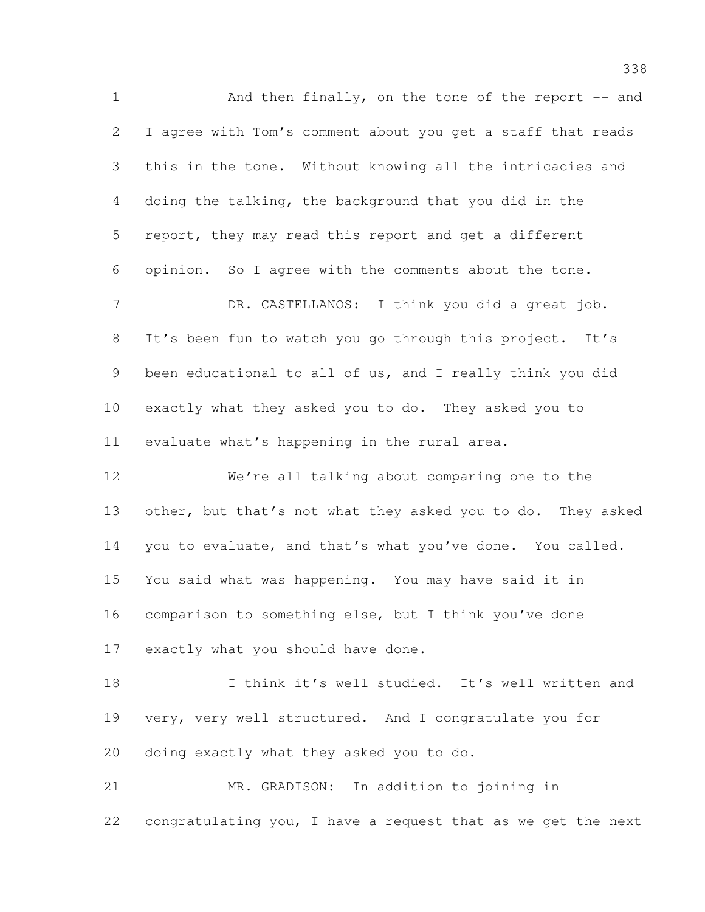1 And then finally, on the tone of the report -- and I agree with Tom's comment about you get a staff that reads this in the tone. Without knowing all the intricacies and doing the talking, the background that you did in the report, they may read this report and get a different opinion. So I agree with the comments about the tone. 7 DR. CASTELLANOS: I think you did a great job. It's been fun to watch you go through this project. It's been educational to all of us, and I really think you did exactly what they asked you to do. They asked you to evaluate what's happening in the rural area. We're all talking about comparing one to the 13 other, but that's not what they asked you to do. They asked you to evaluate, and that's what you've done. You called. You said what was happening. You may have said it in comparison to something else, but I think you've done exactly what you should have done. I think it's well studied. It's well written and very, very well structured. And I congratulate you for

doing exactly what they asked you to do.

 MR. GRADISON: In addition to joining in congratulating you, I have a request that as we get the next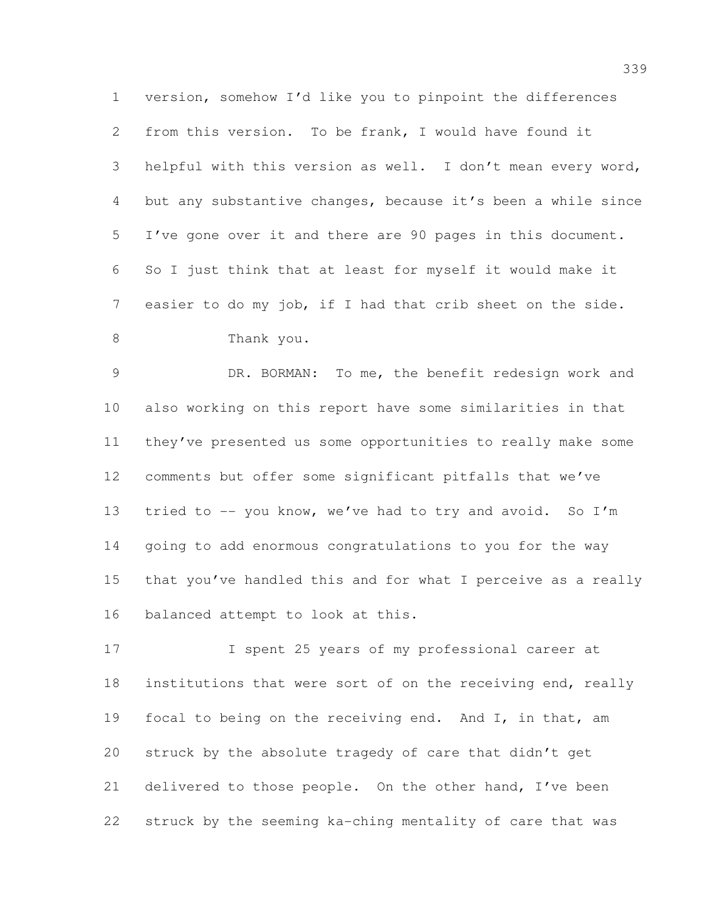version, somehow I'd like you to pinpoint the differences from this version. To be frank, I would have found it helpful with this version as well. I don't mean every word, but any substantive changes, because it's been a while since I've gone over it and there are 90 pages in this document. So I just think that at least for myself it would make it easier to do my job, if I had that crib sheet on the side. Thank you.

 DR. BORMAN: To me, the benefit redesign work and also working on this report have some similarities in that they've presented us some opportunities to really make some comments but offer some significant pitfalls that we've 13 tried to -- you know, we've had to try and avoid. So I'm going to add enormous congratulations to you for the way that you've handled this and for what I perceive as a really balanced attempt to look at this.

 I spent 25 years of my professional career at institutions that were sort of on the receiving end, really 19 focal to being on the receiving end. And I, in that, am struck by the absolute tragedy of care that didn't get delivered to those people. On the other hand, I've been struck by the seeming ka-ching mentality of care that was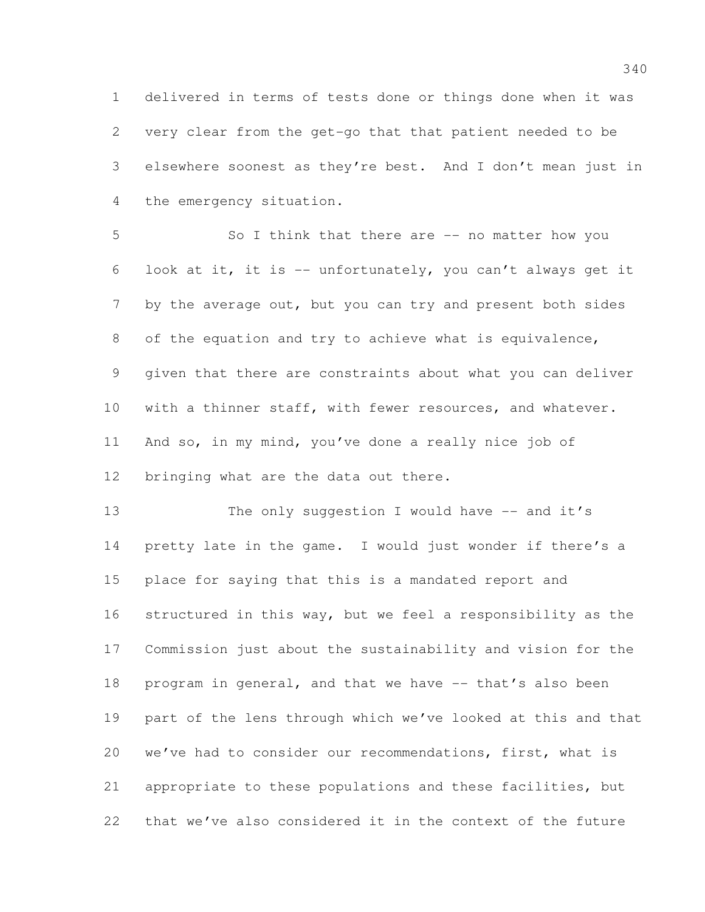delivered in terms of tests done or things done when it was very clear from the get-go that that patient needed to be elsewhere soonest as they're best. And I don't mean just in the emergency situation.

 So I think that there are -- no matter how you look at it, it is -- unfortunately, you can't always get it 7 by the average out, but you can try and present both sides of the equation and try to achieve what is equivalence, given that there are constraints about what you can deliver with a thinner staff, with fewer resources, and whatever. And so, in my mind, you've done a really nice job of bringing what are the data out there.

13 The only suggestion I would have -- and it's pretty late in the game. I would just wonder if there's a place for saying that this is a mandated report and structured in this way, but we feel a responsibility as the Commission just about the sustainability and vision for the program in general, and that we have -- that's also been part of the lens through which we've looked at this and that we've had to consider our recommendations, first, what is appropriate to these populations and these facilities, but that we've also considered it in the context of the future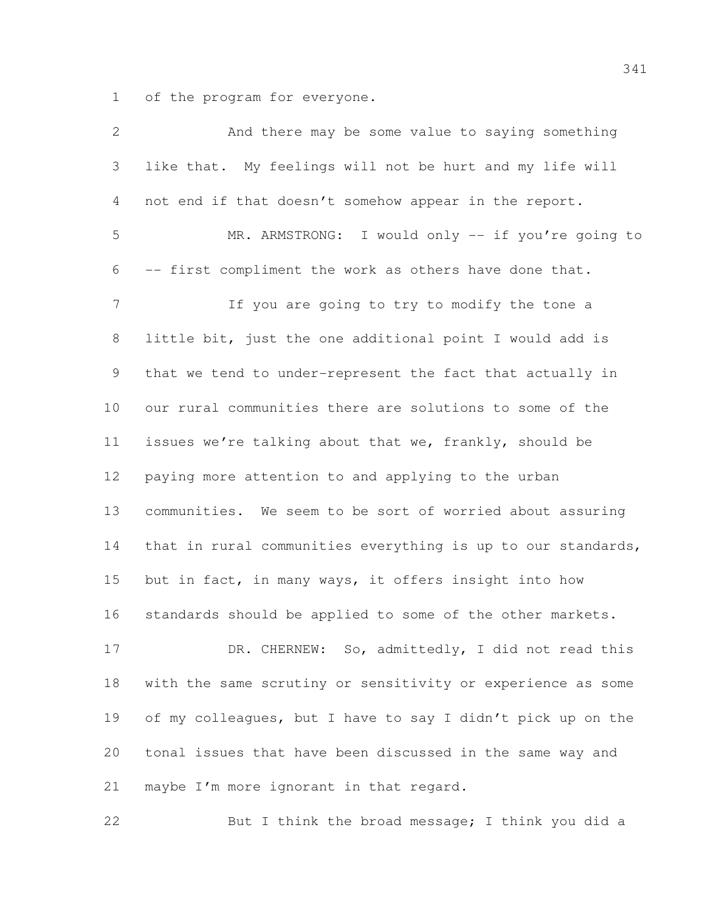of the program for everyone.

| $\mathbf{2}$   | And there may be some value to saying something              |
|----------------|--------------------------------------------------------------|
| 3              | like that. My feelings will not be hurt and my life will     |
| 4              | not end if that doesn't somehow appear in the report.        |
| 5              | MR. ARMSTRONG: I would only -- if you're going to            |
| 6              | -- first compliment the work as others have done that.       |
| $\overline{7}$ | If you are going to try to modify the tone a                 |
| $\,8\,$        | little bit, just the one additional point I would add is     |
| 9              | that we tend to under-represent the fact that actually in    |
| 10             | our rural communities there are solutions to some of the     |
| 11             | issues we're talking about that we, frankly, should be       |
| 12             | paying more attention to and applying to the urban           |
| 13             | communities. We seem to be sort of worried about assuring    |
| 14             | that in rural communities everything is up to our standards, |
| 15             | but in fact, in many ways, it offers insight into how        |
| 16             | standards should be applied to some of the other markets.    |
| 17             | DR. CHERNEW: So, admittedly, I did not read this             |
| 18             | with the same scrutiny or sensitivity or experience as some  |
| 19             | of my colleagues, but I have to say I didn't pick up on the  |
| 20             | tonal issues that have been discussed in the same way and    |
| 21             | maybe I'm more ignorant in that regard.                      |
| 22             | But I think the broad message; I think you did a             |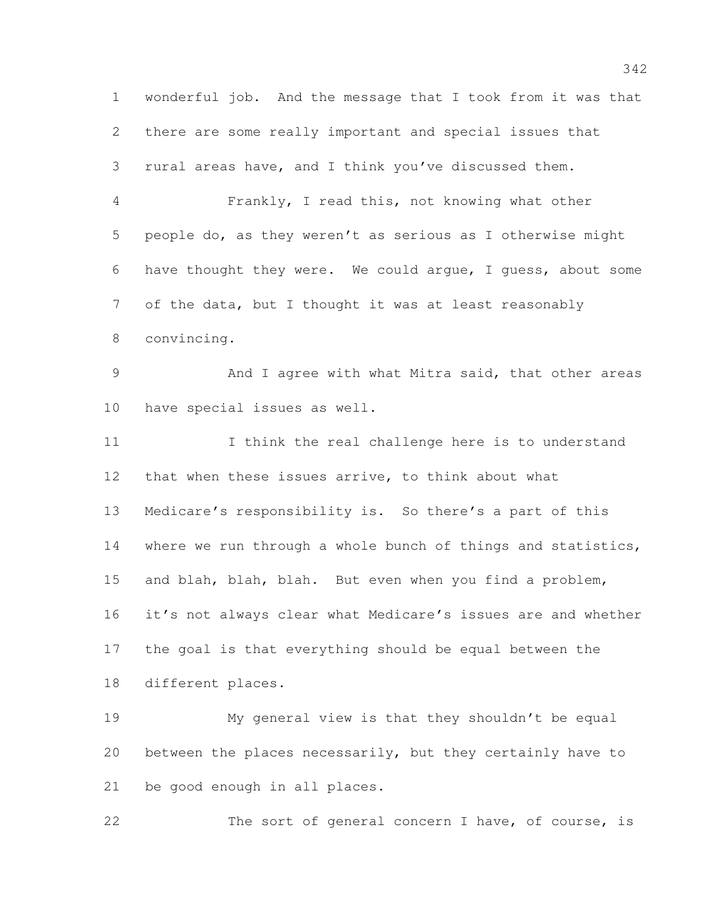wonderful job. And the message that I took from it was that there are some really important and special issues that rural areas have, and I think you've discussed them. Frankly, I read this, not knowing what other people do, as they weren't as serious as I otherwise might have thought they were. We could argue, I guess, about some of the data, but I thought it was at least reasonably convincing. And I agree with what Mitra said, that other areas have special issues as well. I think the real challenge here is to understand that when these issues arrive, to think about what Medicare's responsibility is. So there's a part of this where we run through a whole bunch of things and statistics, and blah, blah, blah. But even when you find a problem, it's not always clear what Medicare's issues are and whether the goal is that everything should be equal between the different places. My general view is that they shouldn't be equal between the places necessarily, but they certainly have to be good enough in all places.

The sort of general concern I have, of course, is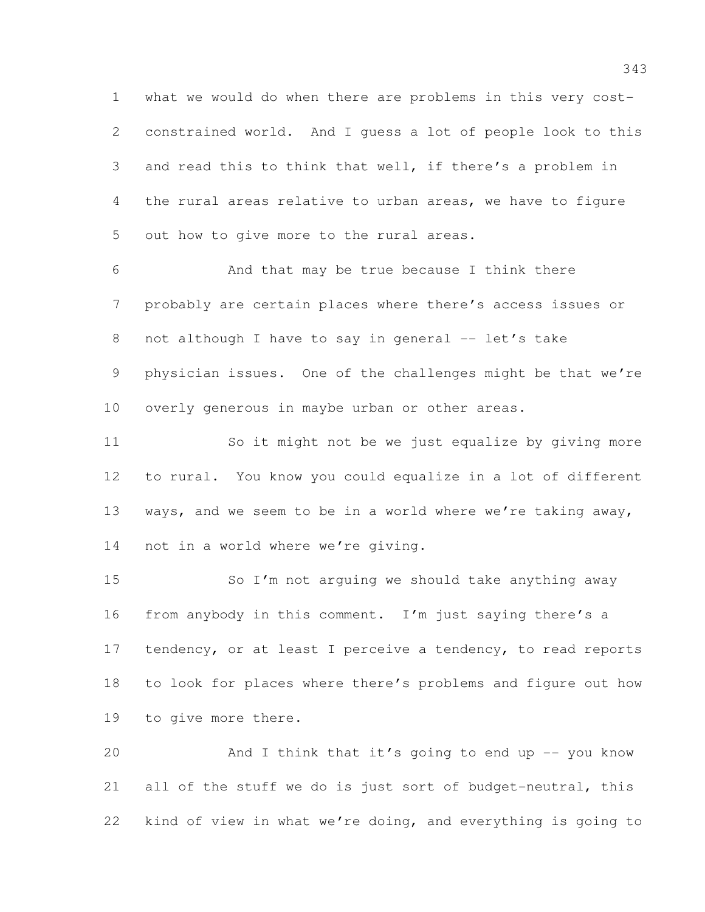what we would do when there are problems in this very cost- constrained world. And I guess a lot of people look to this and read this to think that well, if there's a problem in the rural areas relative to urban areas, we have to figure out how to give more to the rural areas.

 And that may be true because I think there probably are certain places where there's access issues or 8 not although I have to say in general -- let's take physician issues. One of the challenges might be that we're overly generous in maybe urban or other areas.

 So it might not be we just equalize by giving more to rural. You know you could equalize in a lot of different ways, and we seem to be in a world where we're taking away, not in a world where we're giving.

 So I'm not arguing we should take anything away from anybody in this comment. I'm just saying there's a 17 tendency, or at least I perceive a tendency, to read reports to look for places where there's problems and figure out how to give more there.

 And I think that it's going to end up -- you know all of the stuff we do is just sort of budget-neutral, this kind of view in what we're doing, and everything is going to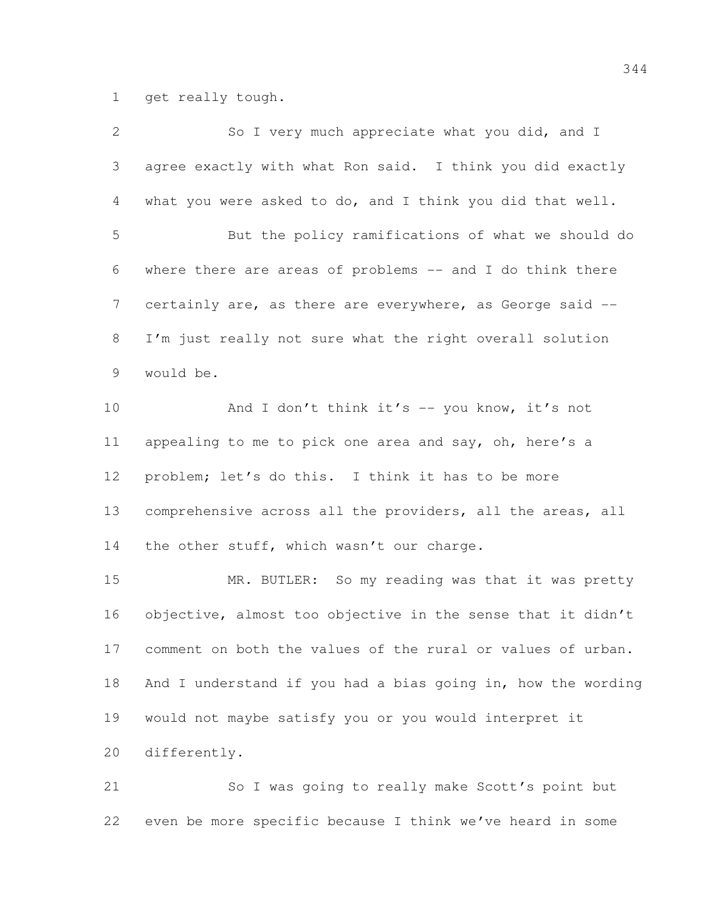get really tough.

| $\mathbf{2}$ | So I very much appreciate what you did, and I                |
|--------------|--------------------------------------------------------------|
| 3            | agree exactly with what Ron said. I think you did exactly    |
| 4            | what you were asked to do, and I think you did that well.    |
| 5            | But the policy ramifications of what we should do            |
| 6            | where there are areas of problems -- and I do think there    |
| 7            | certainly are, as there are everywhere, as George said --    |
| 8            | I'm just really not sure what the right overall solution     |
| 9            | would be.                                                    |
| 10           | And I don't think it's -- you know, it's not                 |
| 11           | appealing to me to pick one area and say, oh, here's a       |
| 12           | problem; let's do this. I think it has to be more            |
| 13           | comprehensive across all the providers, all the areas, all   |
| 14           | the other stuff, which wasn't our charge.                    |
| 15           | MR. BUTLER: So my reading was that it was pretty             |
| 16           | objective, almost too objective in the sense that it didn't  |
| 17           | comment on both the values of the rural or values of urban.  |
| 18           | And I understand if you had a bias going in, how the wording |
| 19           | would not maybe satisfy you or you would interpret it        |
| 20           | differently.                                                 |
|              |                                                              |

 So I was going to really make Scott's point but even be more specific because I think we've heard in some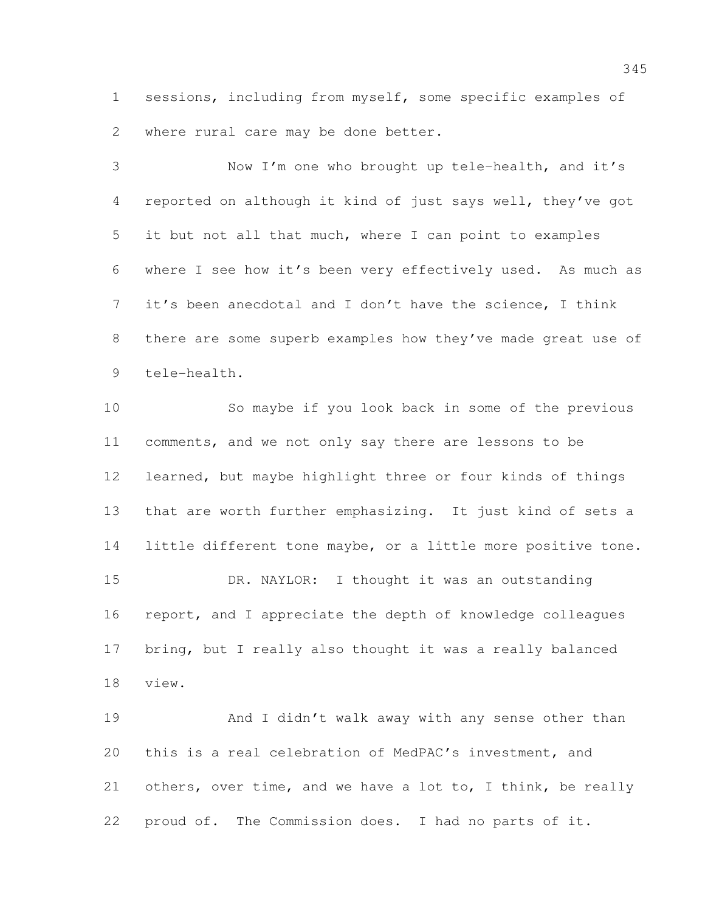sessions, including from myself, some specific examples of where rural care may be done better.

 Now I'm one who brought up tele-health, and it's reported on although it kind of just says well, they've got it but not all that much, where I can point to examples where I see how it's been very effectively used. As much as it's been anecdotal and I don't have the science, I think 8 there are some superb examples how they've made great use of tele-health.

 So maybe if you look back in some of the previous comments, and we not only say there are lessons to be learned, but maybe highlight three or four kinds of things that are worth further emphasizing. It just kind of sets a little different tone maybe, or a little more positive tone. DR. NAYLOR: I thought it was an outstanding 16 report, and I appreciate the depth of knowledge colleagues bring, but I really also thought it was a really balanced view.

19 And I didn't walk away with any sense other than this is a real celebration of MedPAC's investment, and others, over time, and we have a lot to, I think, be really proud of. The Commission does. I had no parts of it.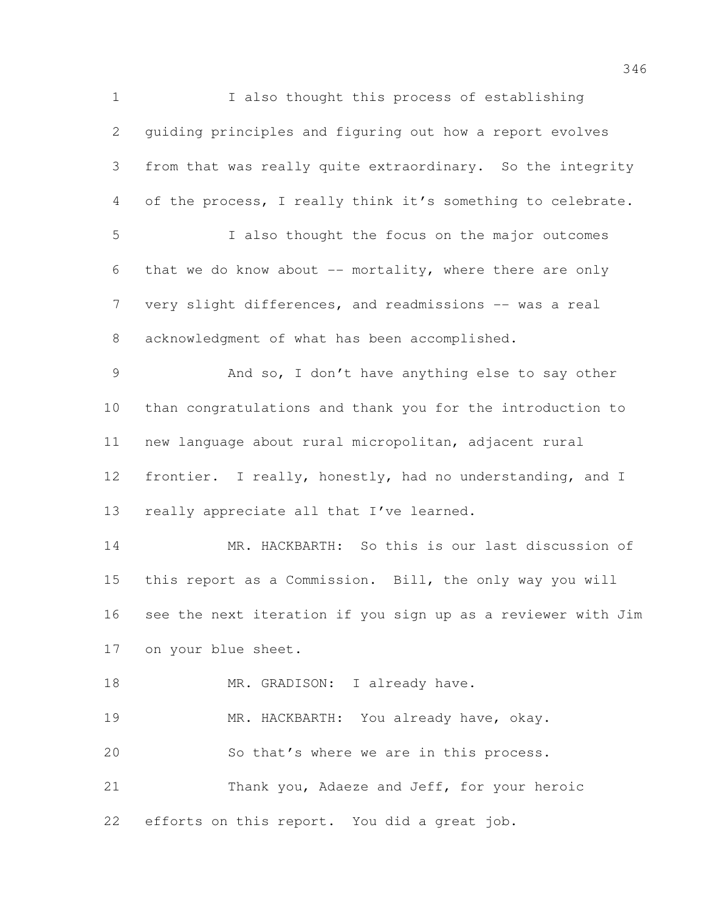I also thought this process of establishing guiding principles and figuring out how a report evolves from that was really quite extraordinary. So the integrity of the process, I really think it's something to celebrate. I also thought the focus on the major outcomes that we do know about -- mortality, where there are only 7 very slight differences, and readmissions -- was a real acknowledgment of what has been accomplished. And so, I don't have anything else to say other than congratulations and thank you for the introduction to new language about rural micropolitan, adjacent rural frontier. I really, honestly, had no understanding, and I 13 really appreciate all that I've learned. MR. HACKBARTH: So this is our last discussion of this report as a Commission. Bill, the only way you will see the next iteration if you sign up as a reviewer with Jim on your blue sheet. 18 MR. GRADISON: I already have. 19 MR. HACKBARTH: You already have, okay. So that's where we are in this process. Thank you, Adaeze and Jeff, for your heroic efforts on this report. You did a great job.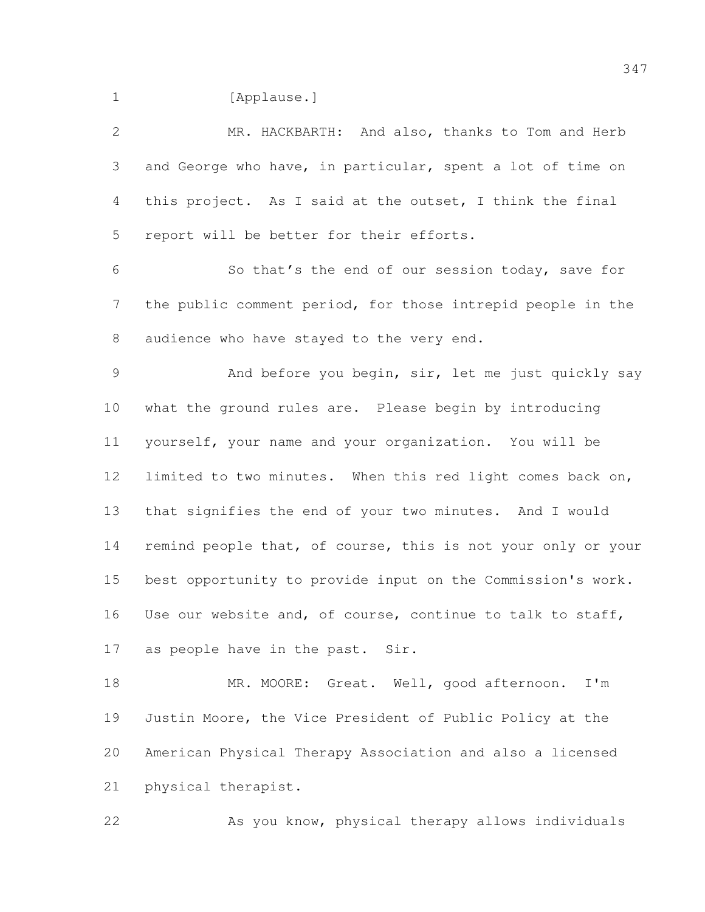1 [Applause.]

| 2               | MR. HACKBARTH: And also, thanks to Tom and Herb              |
|-----------------|--------------------------------------------------------------|
| 3               | and George who have, in particular, spent a lot of time on   |
| 4               | this project. As I said at the outset, I think the final     |
| 5               | report will be better for their efforts.                     |
| 6               | So that's the end of our session today, save for             |
| 7               | the public comment period, for those intrepid people in the  |
| 8               | audience who have stayed to the very end.                    |
| 9               | And before you begin, sir, let me just quickly say           |
| 10 <sub>o</sub> | what the ground rules are. Please begin by introducing       |
| 11              | yourself, your name and your organization. You will be       |
| 12              | limited to two minutes. When this red light comes back on,   |
| 13              | that signifies the end of your two minutes. And I would      |
| 14              | remind people that, of course, this is not your only or your |
| 15              | best opportunity to provide input on the Commission's work.  |
| 16              | Use our website and, of course, continue to talk to staff,   |
| 17              | as people have in the past. Sir.                             |
| 18              | MR. MOORE: Great. Well, good afternoon. I'm                  |
| 19              | Justin Moore, the Vice President of Public Policy at the     |
| 20              | American Physical Therapy Association and also a licensed    |
| 21              | physical therapist.                                          |

As you know, physical therapy allows individuals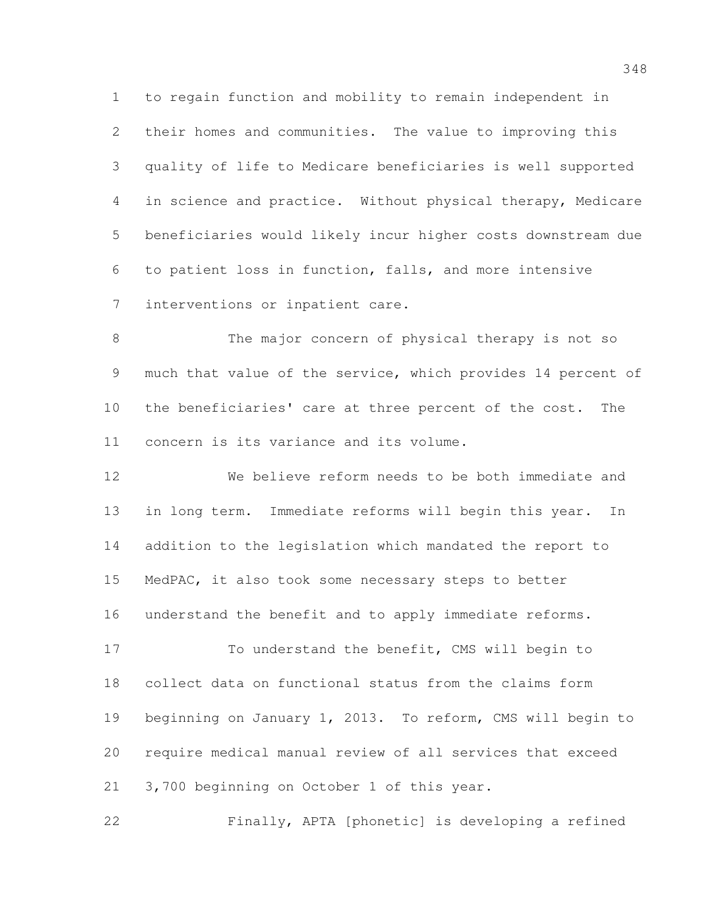to regain function and mobility to remain independent in their homes and communities. The value to improving this quality of life to Medicare beneficiaries is well supported in science and practice. Without physical therapy, Medicare beneficiaries would likely incur higher costs downstream due to patient loss in function, falls, and more intensive interventions or inpatient care.

 The major concern of physical therapy is not so much that value of the service, which provides 14 percent of the beneficiaries' care at three percent of the cost. The concern is its variance and its volume.

 We believe reform needs to be both immediate and in long term. Immediate reforms will begin this year. In addition to the legislation which mandated the report to MedPAC, it also took some necessary steps to better understand the benefit and to apply immediate reforms.

 To understand the benefit, CMS will begin to collect data on functional status from the claims form beginning on January 1, 2013. To reform, CMS will begin to require medical manual review of all services that exceed 3,700 beginning on October 1 of this year.

Finally, APTA [phonetic] is developing a refined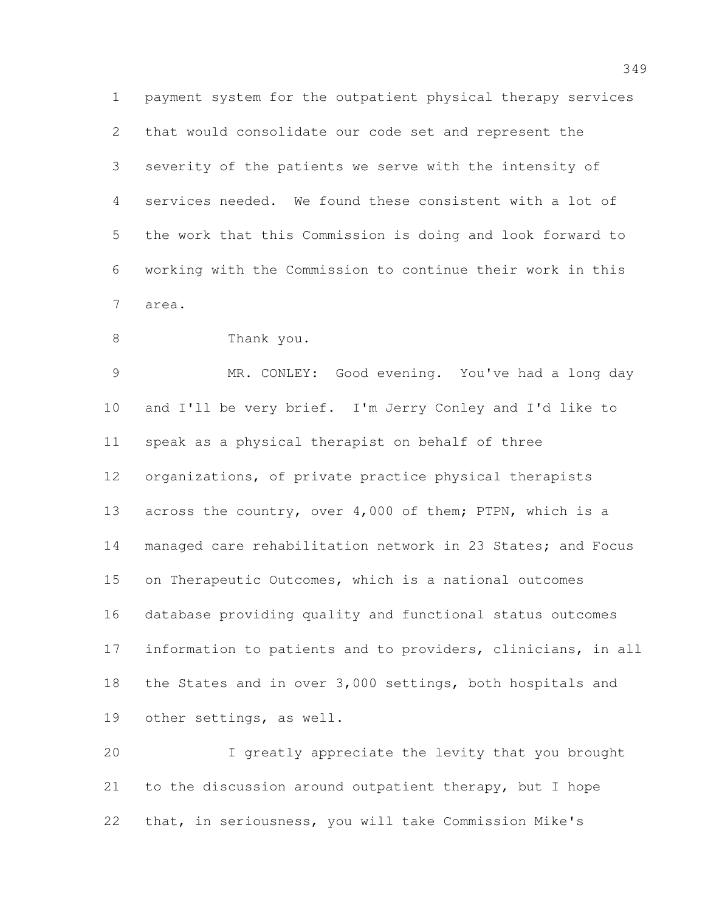payment system for the outpatient physical therapy services that would consolidate our code set and represent the severity of the patients we serve with the intensity of services needed. We found these consistent with a lot of the work that this Commission is doing and look forward to working with the Commission to continue their work in this area.

Thank you.

 MR. CONLEY: Good evening. You've had a long day and I'll be very brief. I'm Jerry Conley and I'd like to speak as a physical therapist on behalf of three organizations, of private practice physical therapists 13 across the country, over 4,000 of them; PTPN, which is a 14 managed care rehabilitation network in 23 States; and Focus on Therapeutic Outcomes, which is a national outcomes database providing quality and functional status outcomes information to patients and to providers, clinicians, in all the States and in over 3,000 settings, both hospitals and other settings, as well.

 I greatly appreciate the levity that you brought to the discussion around outpatient therapy, but I hope that, in seriousness, you will take Commission Mike's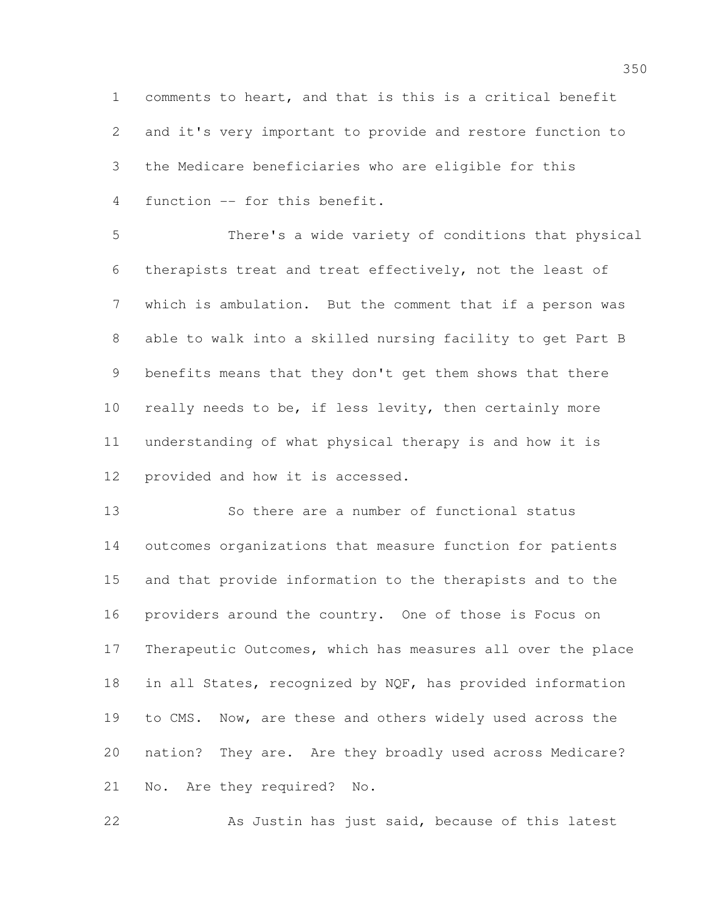comments to heart, and that is this is a critical benefit and it's very important to provide and restore function to the Medicare beneficiaries who are eligible for this function -- for this benefit.

 There's a wide variety of conditions that physical therapists treat and treat effectively, not the least of which is ambulation. But the comment that if a person was able to walk into a skilled nursing facility to get Part B benefits means that they don't get them shows that there really needs to be, if less levity, then certainly more understanding of what physical therapy is and how it is provided and how it is accessed.

 So there are a number of functional status outcomes organizations that measure function for patients and that provide information to the therapists and to the providers around the country. One of those is Focus on Therapeutic Outcomes, which has measures all over the place 18 in all States, recognized by NQF, has provided information to CMS. Now, are these and others widely used across the nation? They are. Are they broadly used across Medicare? No. Are they required? No.

As Justin has just said, because of this latest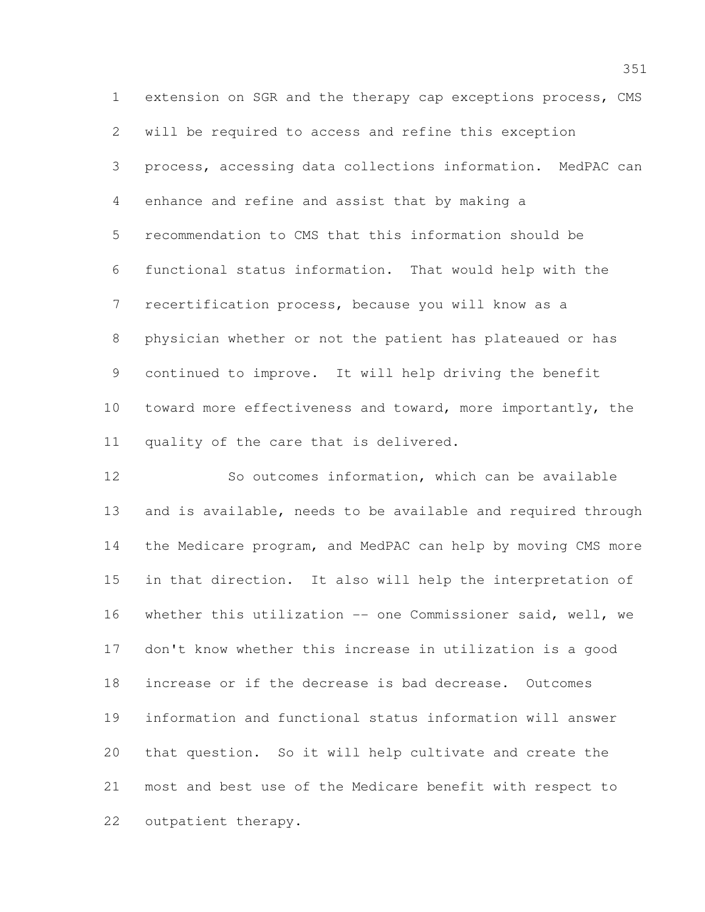extension on SGR and the therapy cap exceptions process, CMS will be required to access and refine this exception process, accessing data collections information. MedPAC can enhance and refine and assist that by making a recommendation to CMS that this information should be functional status information. That would help with the recertification process, because you will know as a physician whether or not the patient has plateaued or has continued to improve. It will help driving the benefit toward more effectiveness and toward, more importantly, the quality of the care that is delivered.

 So outcomes information, which can be available and is available, needs to be available and required through the Medicare program, and MedPAC can help by moving CMS more in that direction. It also will help the interpretation of whether this utilization -- one Commissioner said, well, we don't know whether this increase in utilization is a good increase or if the decrease is bad decrease. Outcomes information and functional status information will answer that question. So it will help cultivate and create the most and best use of the Medicare benefit with respect to outpatient therapy.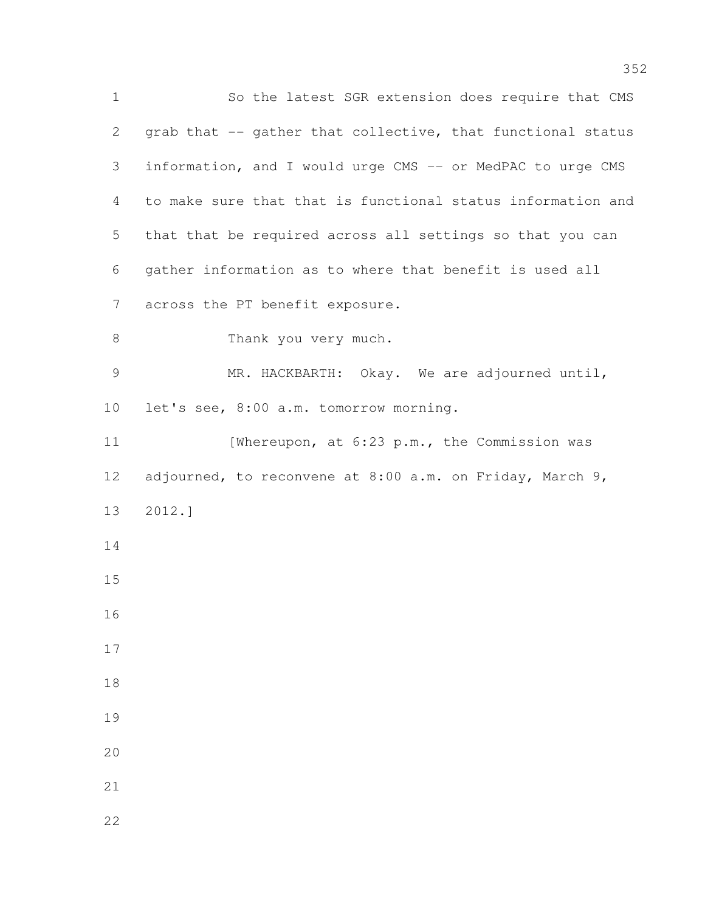So the latest SGR extension does require that CMS grab that -- gather that collective, that functional status information, and I would urge CMS -- or MedPAC to urge CMS to make sure that that is functional status information and that that be required across all settings so that you can gather information as to where that benefit is used all across the PT benefit exposure. 8 Thank you very much. MR. HACKBARTH: Okay. We are adjourned until, let's see, 8:00 a.m. tomorrow morning. 11 [Whereupon, at 6:23 p.m., the Commission was adjourned, to reconvene at 8:00 a.m. on Friday, March 9, 2012.]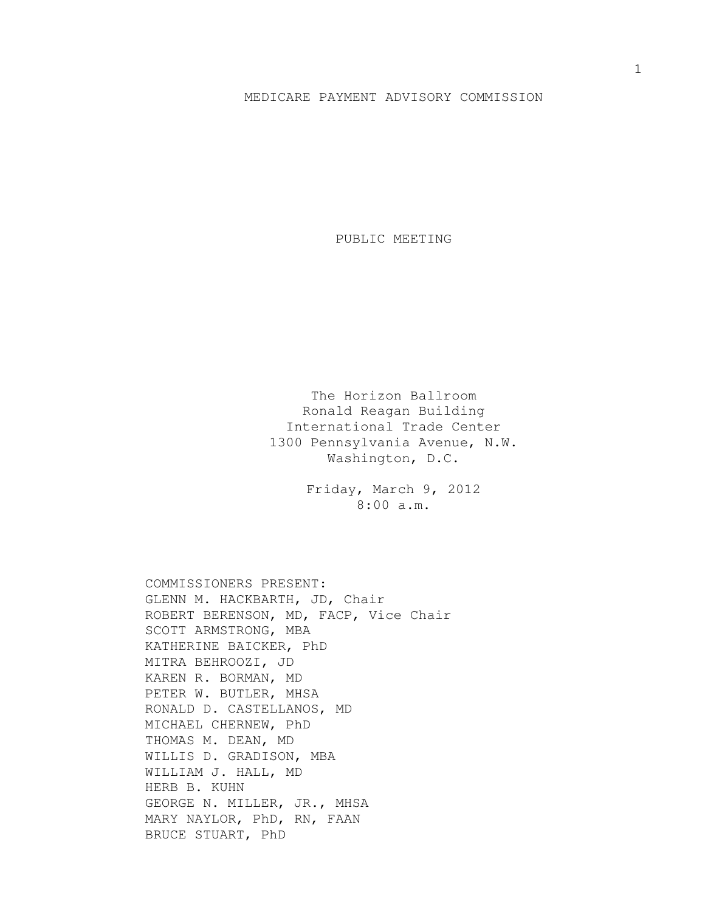## MEDICARE PAYMENT ADVISORY COMMISSION

PUBLIC MEETING

The Horizon Ballroom Ronald Reagan Building International Trade Center 1300 Pennsylvania Avenue, N.W. Washington, D.C.

> Friday, March 9, 2012 8:00 a.m.

COMMISSIONERS PRESENT: GLENN M. HACKBARTH, JD, Chair ROBERT BERENSON, MD, FACP, Vice Chair SCOTT ARMSTRONG, MBA KATHERINE BAICKER, PhD MITRA BEHROOZI, JD KAREN R. BORMAN, MD PETER W. BUTLER, MHSA RONALD D. CASTELLANOS, MD MICHAEL CHERNEW, PhD THOMAS M. DEAN, MD WILLIS D. GRADISON, MBA WILLIAM J. HALL, MD HERB B. KUHN GEORGE N. MILLER, JR., MHSA MARY NAYLOR, PhD, RN, FAAN BRUCE STUART, PhD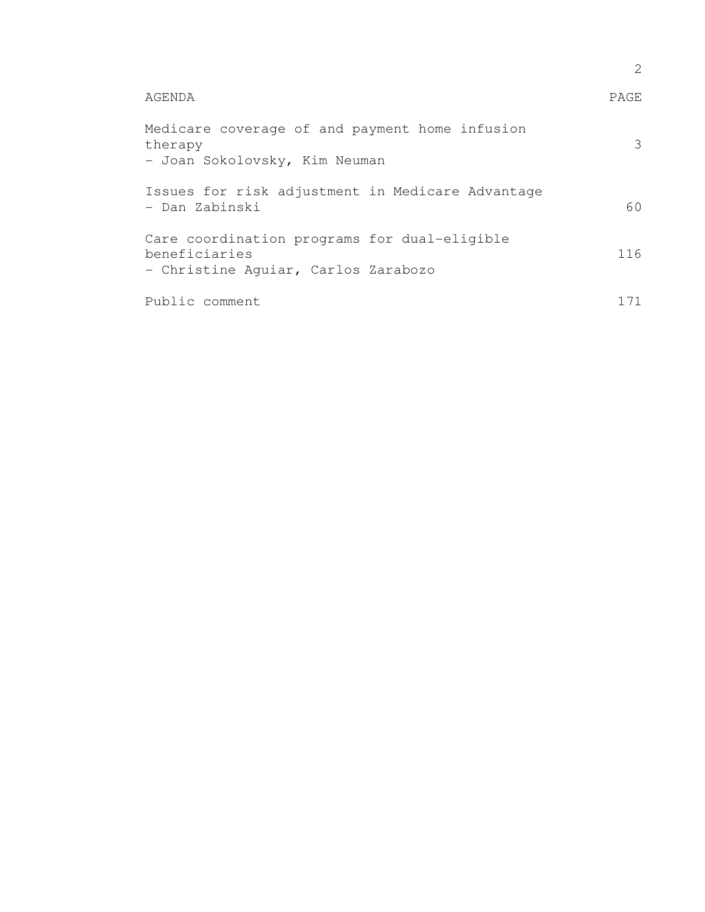|                                                                                                      | 2     |
|------------------------------------------------------------------------------------------------------|-------|
| AGENDA                                                                                               | PAGE  |
| Medicare coverage of and payment home infusion<br>therapy<br>- Joan Sokolovsky, Kim Neuman           | 3     |
| Issues for risk adjustment in Medicare Advantage<br>- Dan Zabinski                                   | 60    |
| Care coordination programs for dual-eligible<br>beneficiaries<br>- Christine Aquiar, Carlos Zarabozo | 116   |
| Public comment                                                                                       | 1 7 1 |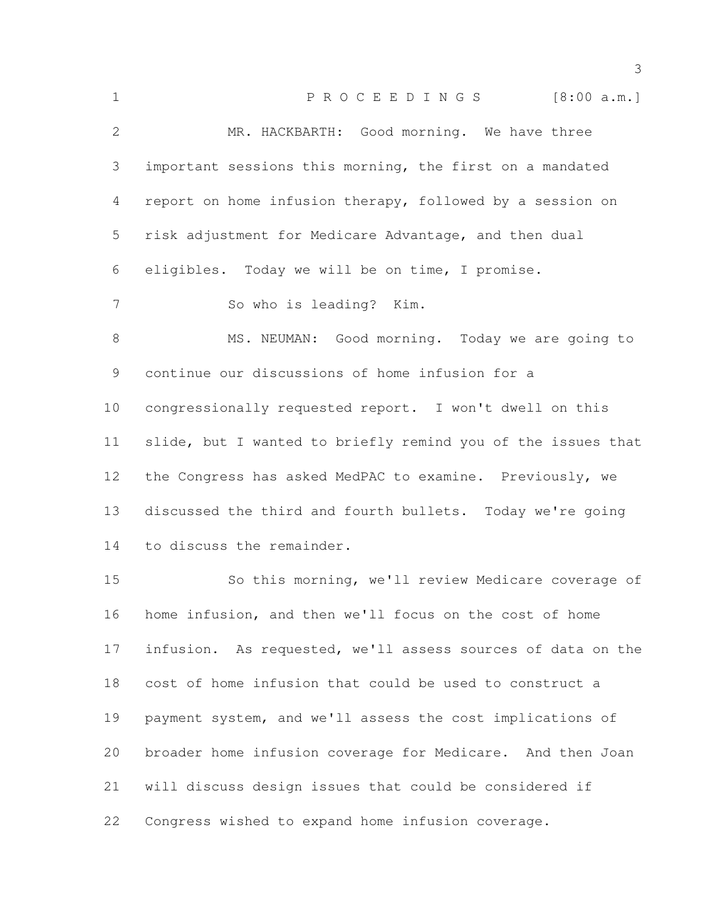| $\mathbf 1$     | PROCEEDINGS [8:00 a.m.]                                      |
|-----------------|--------------------------------------------------------------|
| $\overline{2}$  | MR. HACKBARTH: Good morning. We have three                   |
| 3               | important sessions this morning, the first on a mandated     |
| 4               | report on home infusion therapy, followed by a session on    |
| 5               | risk adjustment for Medicare Advantage, and then dual        |
| 6               | eligibles. Today we will be on time, I promise.              |
| 7               | So who is leading? Kim.                                      |
| 8               | MS. NEUMAN: Good morning. Today we are going to              |
| 9               | continue our discussions of home infusion for a              |
| 10 <sub>o</sub> | congressionally requested report. I won't dwell on this      |
| 11              | slide, but I wanted to briefly remind you of the issues that |
| 12              | the Congress has asked MedPAC to examine. Previously, we     |
| 13              | discussed the third and fourth bullets. Today we're going    |
| 14              | to discuss the remainder.                                    |
| 15              | So this morning, we'll review Medicare coverage of           |
| 16              | home infusion, and then we'll focus on the cost of home      |
| 17              | infusion. As requested, we'll assess sources of data on the  |
| 18              | cost of home infusion that could be used to construct a      |
| 19              | payment system, and we'll assess the cost implications of    |
| 20              | broader home infusion coverage for Medicare. And then Joan   |
| 21              | will discuss design issues that could be considered if       |

Congress wished to expand home infusion coverage.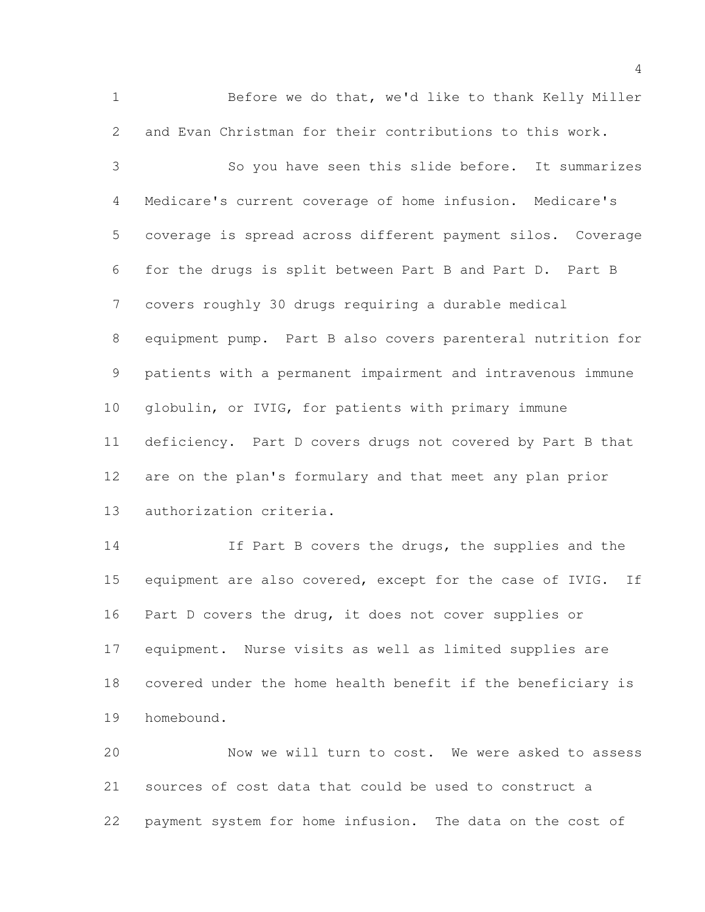Before we do that, we'd like to thank Kelly Miller and Evan Christman for their contributions to this work.

 So you have seen this slide before. It summarizes Medicare's current coverage of home infusion. Medicare's coverage is spread across different payment silos. Coverage for the drugs is split between Part B and Part D. Part B covers roughly 30 drugs requiring a durable medical equipment pump. Part B also covers parenteral nutrition for patients with a permanent impairment and intravenous immune globulin, or IVIG, for patients with primary immune deficiency. Part D covers drugs not covered by Part B that are on the plan's formulary and that meet any plan prior authorization criteria.

 If Part B covers the drugs, the supplies and the equipment are also covered, except for the case of IVIG. If Part D covers the drug, it does not cover supplies or equipment. Nurse visits as well as limited supplies are covered under the home health benefit if the beneficiary is homebound.

 Now we will turn to cost. We were asked to assess sources of cost data that could be used to construct a payment system for home infusion. The data on the cost of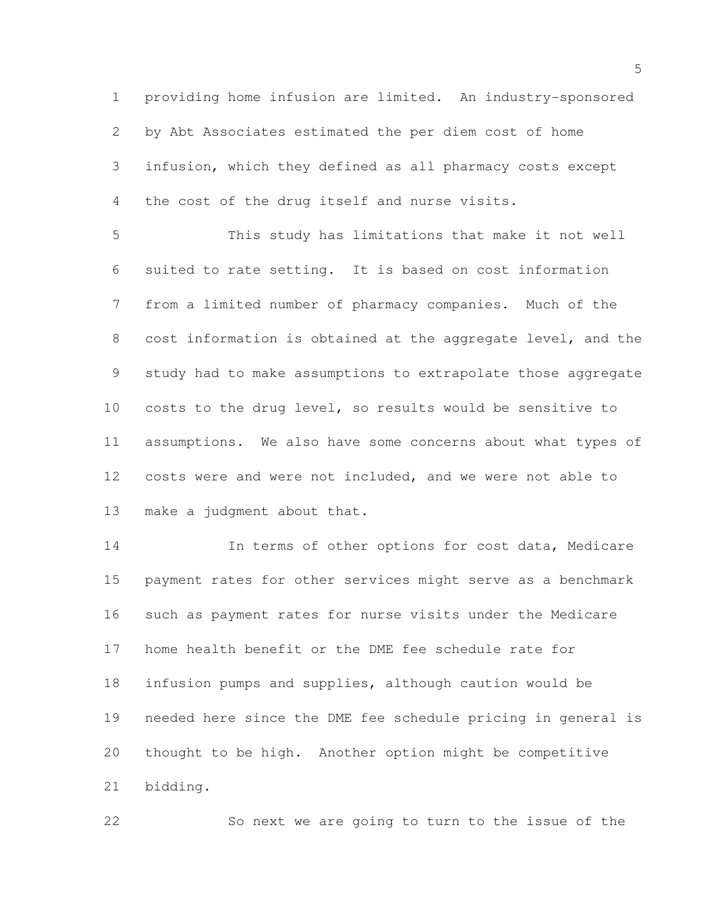providing home infusion are limited. An industry-sponsored by Abt Associates estimated the per diem cost of home infusion, which they defined as all pharmacy costs except the cost of the drug itself and nurse visits.

 This study has limitations that make it not well suited to rate setting. It is based on cost information from a limited number of pharmacy companies. Much of the cost information is obtained at the aggregate level, and the study had to make assumptions to extrapolate those aggregate costs to the drug level, so results would be sensitive to assumptions. We also have some concerns about what types of costs were and were not included, and we were not able to make a judgment about that.

14 14 In terms of other options for cost data, Medicare payment rates for other services might serve as a benchmark such as payment rates for nurse visits under the Medicare home health benefit or the DME fee schedule rate for infusion pumps and supplies, although caution would be needed here since the DME fee schedule pricing in general is thought to be high. Another option might be competitive bidding.

So next we are going to turn to the issue of the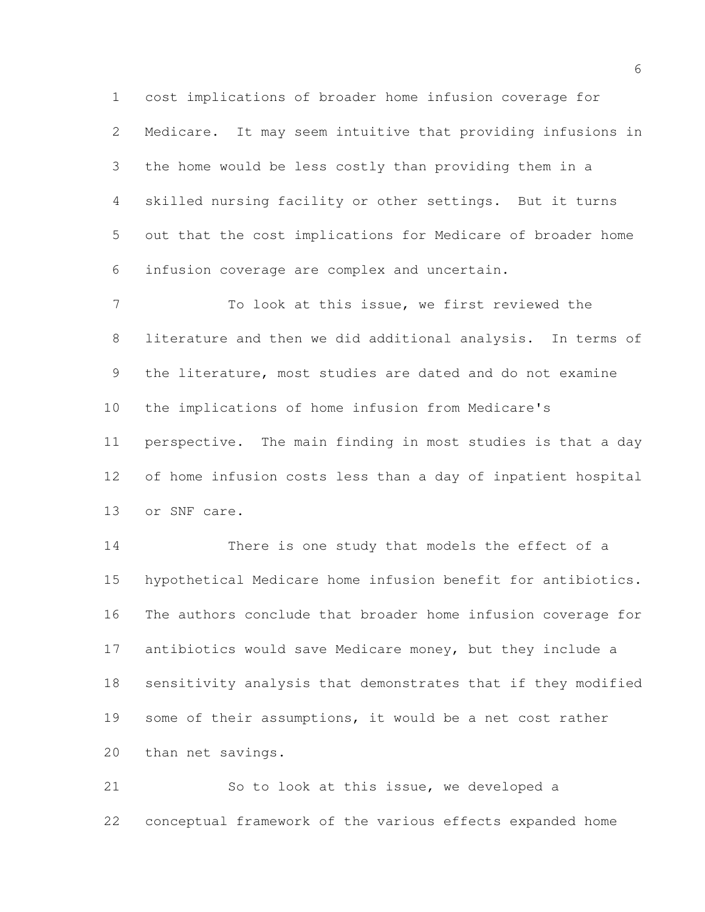cost implications of broader home infusion coverage for Medicare. It may seem intuitive that providing infusions in the home would be less costly than providing them in a skilled nursing facility or other settings. But it turns out that the cost implications for Medicare of broader home infusion coverage are complex and uncertain.

 To look at this issue, we first reviewed the literature and then we did additional analysis. In terms of the literature, most studies are dated and do not examine the implications of home infusion from Medicare's perspective. The main finding in most studies is that a day of home infusion costs less than a day of inpatient hospital or SNF care.

 There is one study that models the effect of a hypothetical Medicare home infusion benefit for antibiotics. The authors conclude that broader home infusion coverage for antibiotics would save Medicare money, but they include a sensitivity analysis that demonstrates that if they modified some of their assumptions, it would be a net cost rather than net savings.

 So to look at this issue, we developed a conceptual framework of the various effects expanded home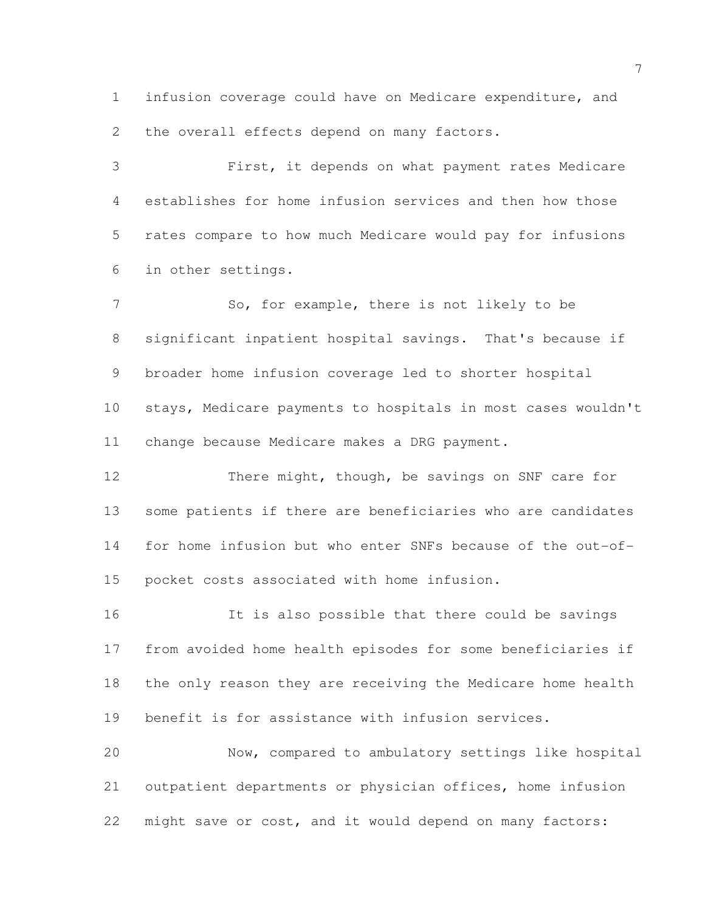infusion coverage could have on Medicare expenditure, and 2 the overall effects depend on many factors.

 First, it depends on what payment rates Medicare establishes for home infusion services and then how those rates compare to how much Medicare would pay for infusions in other settings.

7 So, for example, there is not likely to be significant inpatient hospital savings. That's because if broader home infusion coverage led to shorter hospital stays, Medicare payments to hospitals in most cases wouldn't change because Medicare makes a DRG payment.

 There might, though, be savings on SNF care for some patients if there are beneficiaries who are candidates for home infusion but who enter SNFs because of the out-of-pocket costs associated with home infusion.

 It is also possible that there could be savings from avoided home health episodes for some beneficiaries if the only reason they are receiving the Medicare home health benefit is for assistance with infusion services.

 Now, compared to ambulatory settings like hospital outpatient departments or physician offices, home infusion might save or cost, and it would depend on many factors: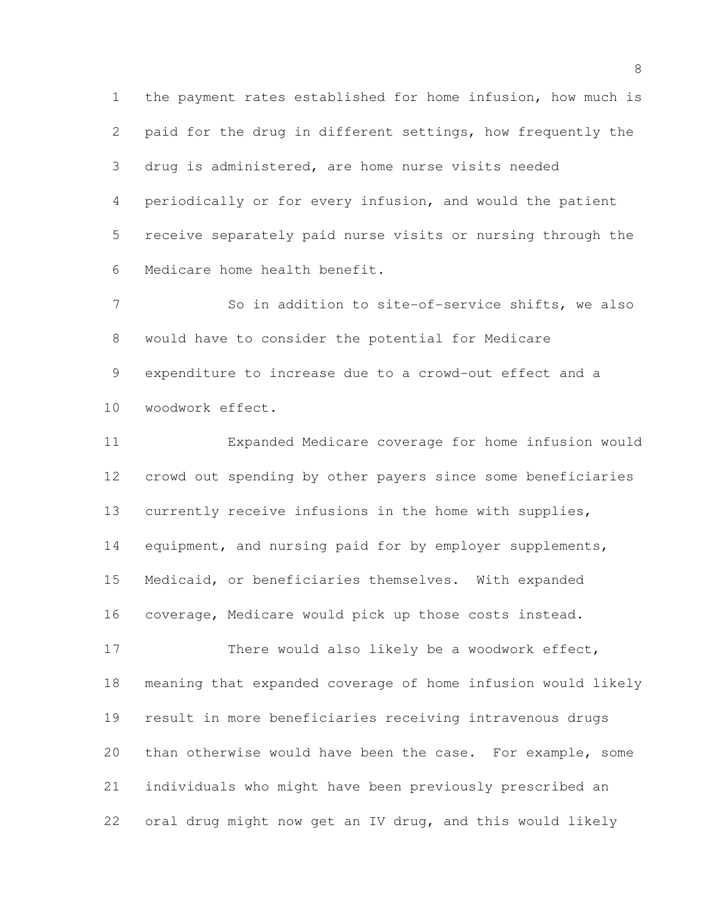the payment rates established for home infusion, how much is paid for the drug in different settings, how frequently the drug is administered, are home nurse visits needed periodically or for every infusion, and would the patient receive separately paid nurse visits or nursing through the Medicare home health benefit.

 So in addition to site-of-service shifts, we also would have to consider the potential for Medicare expenditure to increase due to a crowd-out effect and a woodwork effect.

 Expanded Medicare coverage for home infusion would crowd out spending by other payers since some beneficiaries currently receive infusions in the home with supplies, 14 equipment, and nursing paid for by employer supplements, Medicaid, or beneficiaries themselves. With expanded coverage, Medicare would pick up those costs instead.

 There would also likely be a woodwork effect, meaning that expanded coverage of home infusion would likely result in more beneficiaries receiving intravenous drugs than otherwise would have been the case. For example, some individuals who might have been previously prescribed an oral drug might now get an IV drug, and this would likely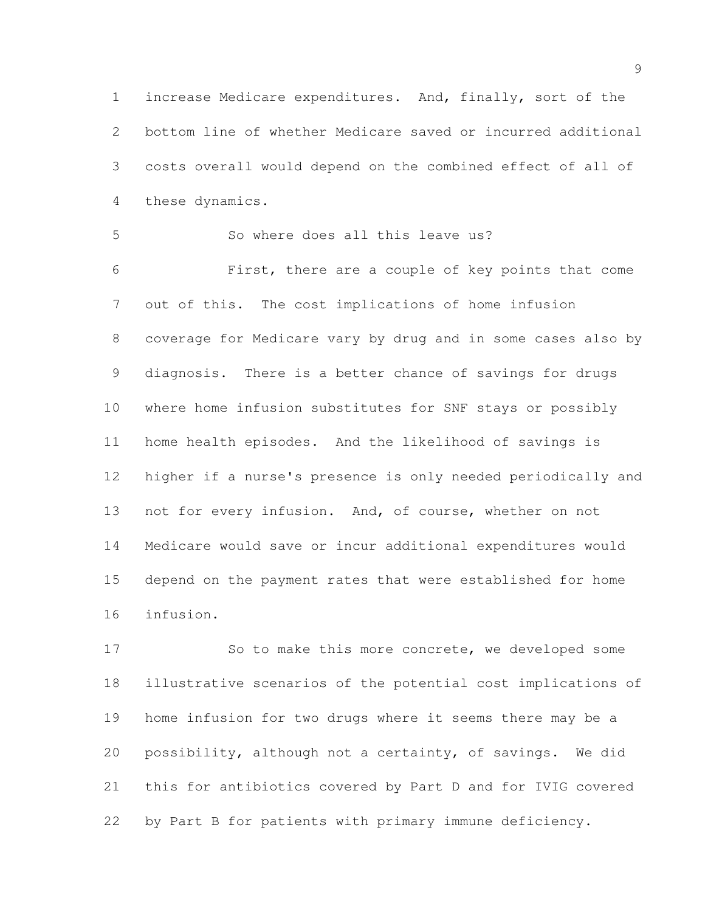increase Medicare expenditures. And, finally, sort of the bottom line of whether Medicare saved or incurred additional costs overall would depend on the combined effect of all of these dynamics.

 So where does all this leave us? First, there are a couple of key points that come out of this. The cost implications of home infusion coverage for Medicare vary by drug and in some cases also by diagnosis. There is a better chance of savings for drugs where home infusion substitutes for SNF stays or possibly home health episodes. And the likelihood of savings is higher if a nurse's presence is only needed periodically and not for every infusion. And, of course, whether on not Medicare would save or incur additional expenditures would depend on the payment rates that were established for home infusion.

 So to make this more concrete, we developed some illustrative scenarios of the potential cost implications of home infusion for two drugs where it seems there may be a possibility, although not a certainty, of savings. We did this for antibiotics covered by Part D and for IVIG covered by Part B for patients with primary immune deficiency.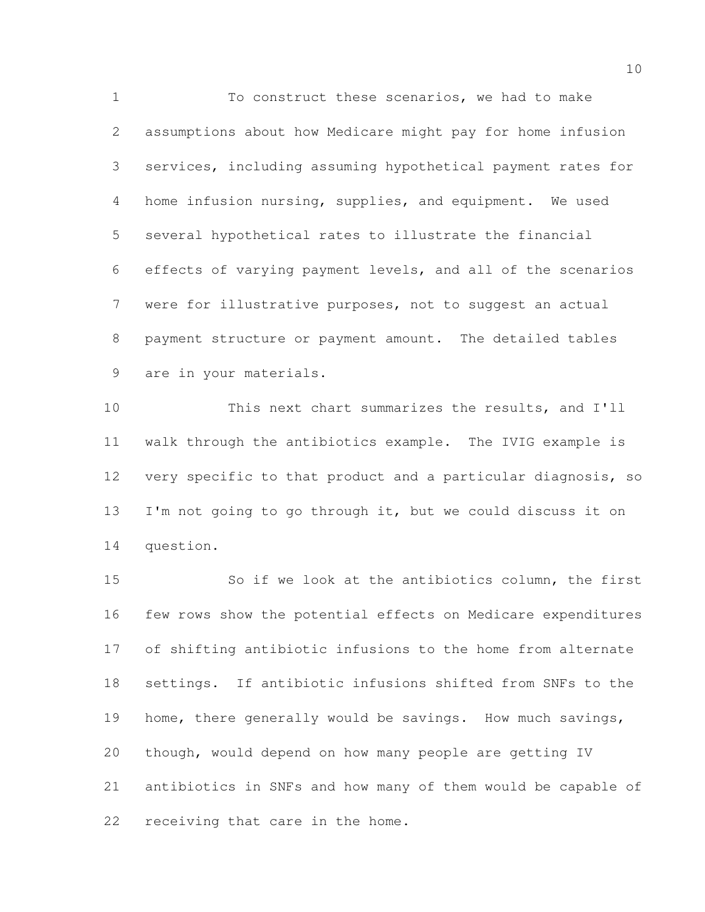To construct these scenarios, we had to make assumptions about how Medicare might pay for home infusion services, including assuming hypothetical payment rates for home infusion nursing, supplies, and equipment. We used several hypothetical rates to illustrate the financial effects of varying payment levels, and all of the scenarios were for illustrative purposes, not to suggest an actual payment structure or payment amount. The detailed tables are in your materials.

 This next chart summarizes the results, and I'll walk through the antibiotics example. The IVIG example is very specific to that product and a particular diagnosis, so 13 I'm not going to go through it, but we could discuss it on question.

 So if we look at the antibiotics column, the first few rows show the potential effects on Medicare expenditures of shifting antibiotic infusions to the home from alternate settings. If antibiotic infusions shifted from SNFs to the 19 home, there generally would be savings. How much savings, though, would depend on how many people are getting IV antibiotics in SNFs and how many of them would be capable of receiving that care in the home.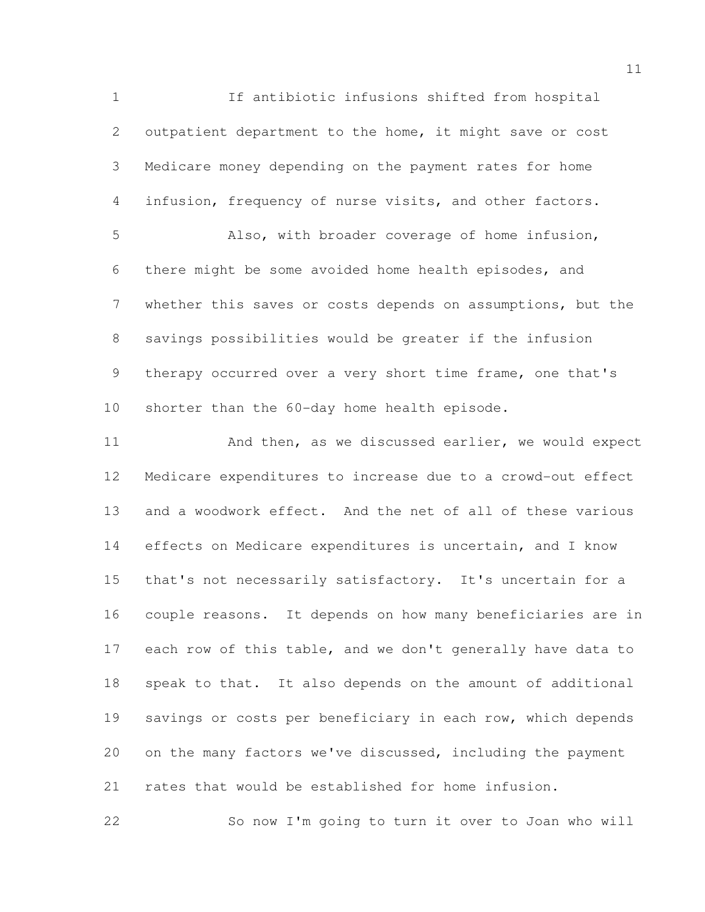If antibiotic infusions shifted from hospital outpatient department to the home, it might save or cost Medicare money depending on the payment rates for home infusion, frequency of nurse visits, and other factors. Also, with broader coverage of home infusion, there might be some avoided home health episodes, and whether this saves or costs depends on assumptions, but the savings possibilities would be greater if the infusion 9 therapy occurred over a very short time frame, one that's shorter than the 60-day home health episode. 11 And then, as we discussed earlier, we would expect Medicare expenditures to increase due to a crowd-out effect and a woodwork effect. And the net of all of these various effects on Medicare expenditures is uncertain, and I know that's not necessarily satisfactory. It's uncertain for a

 couple reasons. It depends on how many beneficiaries are in 17 each row of this table, and we don't generally have data to speak to that. It also depends on the amount of additional 19 savings or costs per beneficiary in each row, which depends on the many factors we've discussed, including the payment rates that would be established for home infusion.

So now I'm going to turn it over to Joan who will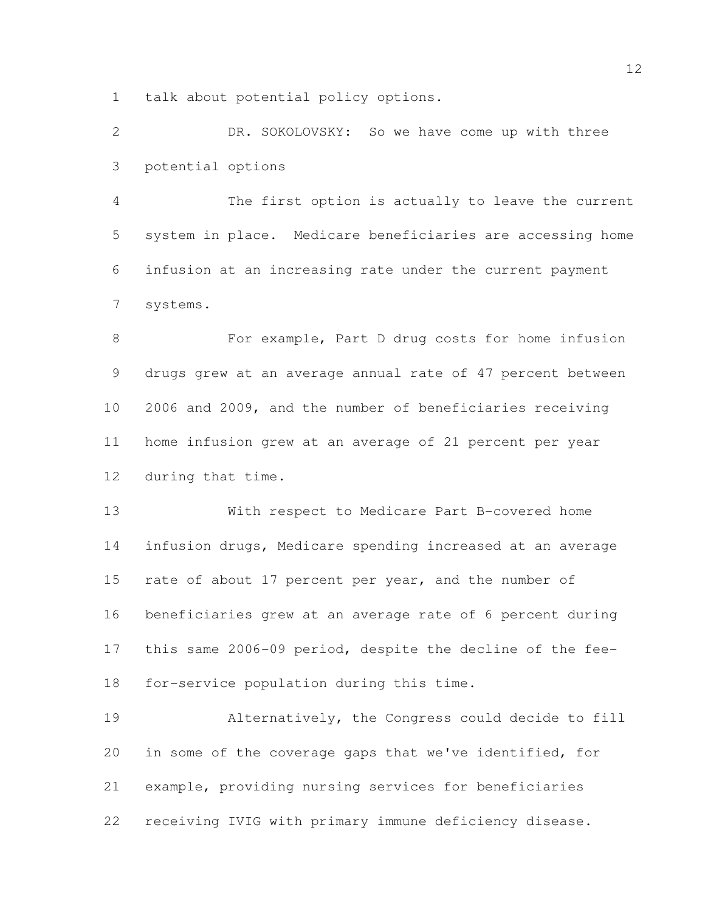talk about potential policy options.

 DR. SOKOLOVSKY: So we have come up with three potential options

 The first option is actually to leave the current system in place. Medicare beneficiaries are accessing home infusion at an increasing rate under the current payment systems.

 For example, Part D drug costs for home infusion drugs grew at an average annual rate of 47 percent between 2006 and 2009, and the number of beneficiaries receiving home infusion grew at an average of 21 percent per year during that time.

 With respect to Medicare Part B-covered home infusion drugs, Medicare spending increased at an average 15 rate of about 17 percent per year, and the number of beneficiaries grew at an average rate of 6 percent during this same 2006-09 period, despite the decline of the fee-for-service population during this time.

 Alternatively, the Congress could decide to fill in some of the coverage gaps that we've identified, for example, providing nursing services for beneficiaries receiving IVIG with primary immune deficiency disease.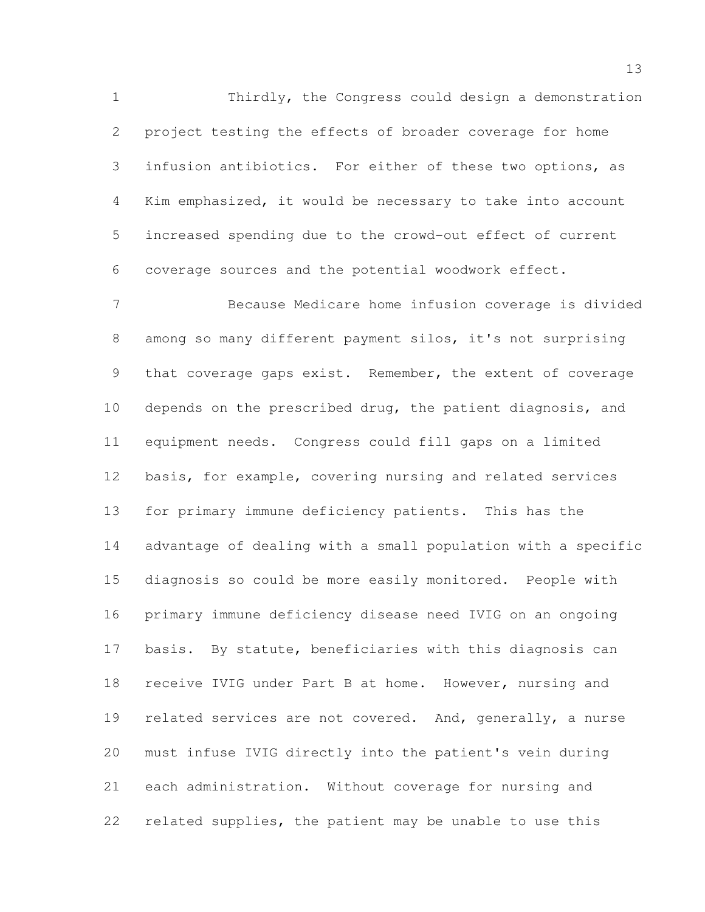Thirdly, the Congress could design a demonstration project testing the effects of broader coverage for home infusion antibiotics. For either of these two options, as Kim emphasized, it would be necessary to take into account increased spending due to the crowd-out effect of current coverage sources and the potential woodwork effect.

 Because Medicare home infusion coverage is divided among so many different payment silos, it's not surprising that coverage gaps exist. Remember, the extent of coverage depends on the prescribed drug, the patient diagnosis, and equipment needs. Congress could fill gaps on a limited basis, for example, covering nursing and related services for primary immune deficiency patients. This has the advantage of dealing with a small population with a specific diagnosis so could be more easily monitored. People with primary immune deficiency disease need IVIG on an ongoing basis. By statute, beneficiaries with this diagnosis can receive IVIG under Part B at home. However, nursing and 19 related services are not covered. And, generally, a nurse must infuse IVIG directly into the patient's vein during each administration. Without coverage for nursing and related supplies, the patient may be unable to use this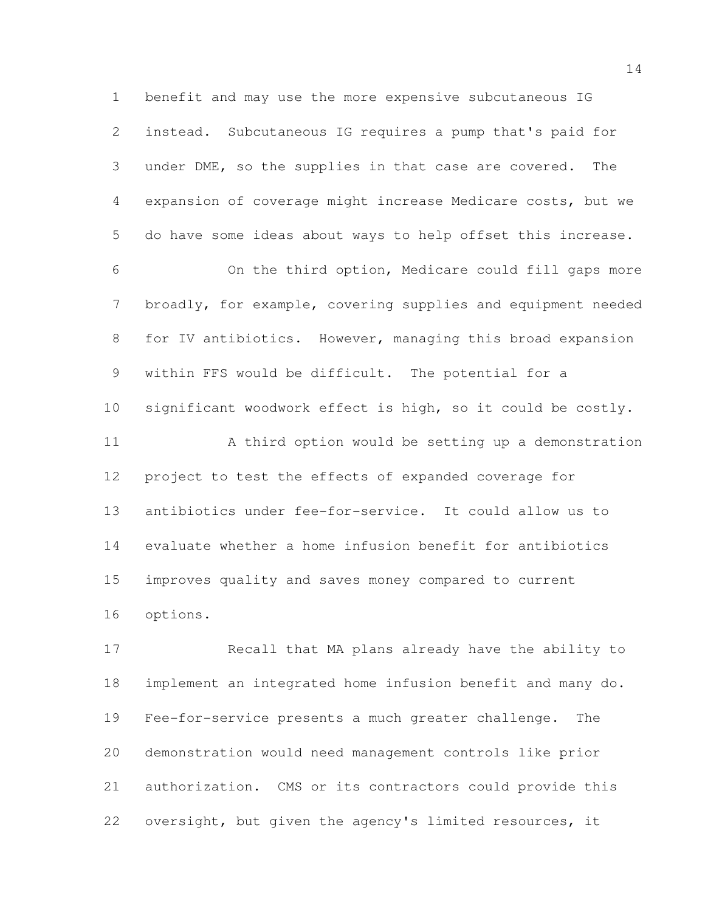benefit and may use the more expensive subcutaneous IG instead. Subcutaneous IG requires a pump that's paid for under DME, so the supplies in that case are covered. The expansion of coverage might increase Medicare costs, but we do have some ideas about ways to help offset this increase.

 On the third option, Medicare could fill gaps more broadly, for example, covering supplies and equipment needed for IV antibiotics. However, managing this broad expansion within FFS would be difficult. The potential for a significant woodwork effect is high, so it could be costly. A third option would be setting up a demonstration project to test the effects of expanded coverage for antibiotics under fee-for-service. It could allow us to evaluate whether a home infusion benefit for antibiotics improves quality and saves money compared to current options.

 Recall that MA plans already have the ability to implement an integrated home infusion benefit and many do. Fee-for-service presents a much greater challenge. The demonstration would need management controls like prior authorization. CMS or its contractors could provide this oversight, but given the agency's limited resources, it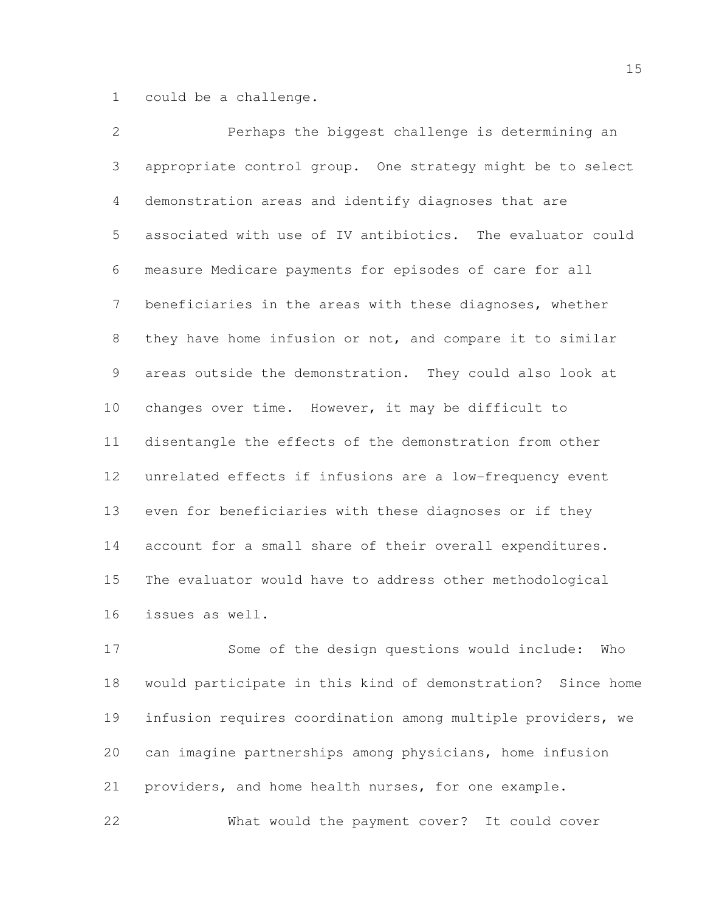could be a challenge.

 Perhaps the biggest challenge is determining an appropriate control group. One strategy might be to select demonstration areas and identify diagnoses that are associated with use of IV antibiotics. The evaluator could measure Medicare payments for episodes of care for all beneficiaries in the areas with these diagnoses, whether they have home infusion or not, and compare it to similar areas outside the demonstration. They could also look at changes over time. However, it may be difficult to disentangle the effects of the demonstration from other unrelated effects if infusions are a low-frequency event even for beneficiaries with these diagnoses or if they account for a small share of their overall expenditures. The evaluator would have to address other methodological issues as well.

 Some of the design questions would include: Who would participate in this kind of demonstration? Since home infusion requires coordination among multiple providers, we can imagine partnerships among physicians, home infusion providers, and home health nurses, for one example.

What would the payment cover? It could cover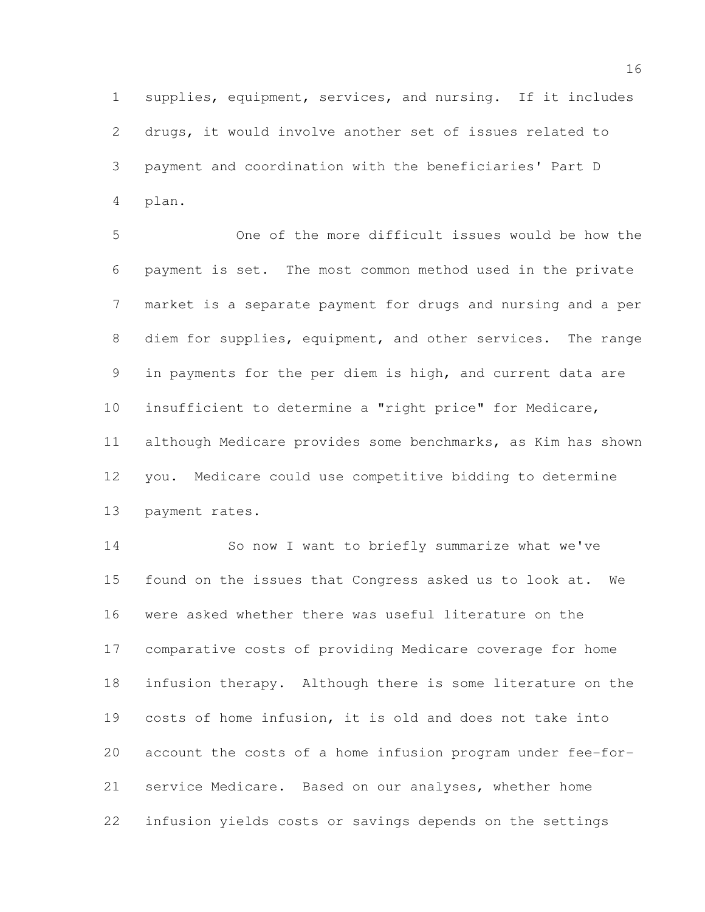supplies, equipment, services, and nursing. If it includes drugs, it would involve another set of issues related to payment and coordination with the beneficiaries' Part D plan.

5 One of the more difficult issues would be how the payment is set. The most common method used in the private market is a separate payment for drugs and nursing and a per diem for supplies, equipment, and other services. The range in payments for the per diem is high, and current data are insufficient to determine a "right price" for Medicare, although Medicare provides some benchmarks, as Kim has shown you. Medicare could use competitive bidding to determine payment rates.

 So now I want to briefly summarize what we've found on the issues that Congress asked us to look at. We were asked whether there was useful literature on the comparative costs of providing Medicare coverage for home infusion therapy. Although there is some literature on the costs of home infusion, it is old and does not take into account the costs of a home infusion program under fee-for- service Medicare. Based on our analyses, whether home infusion yields costs or savings depends on the settings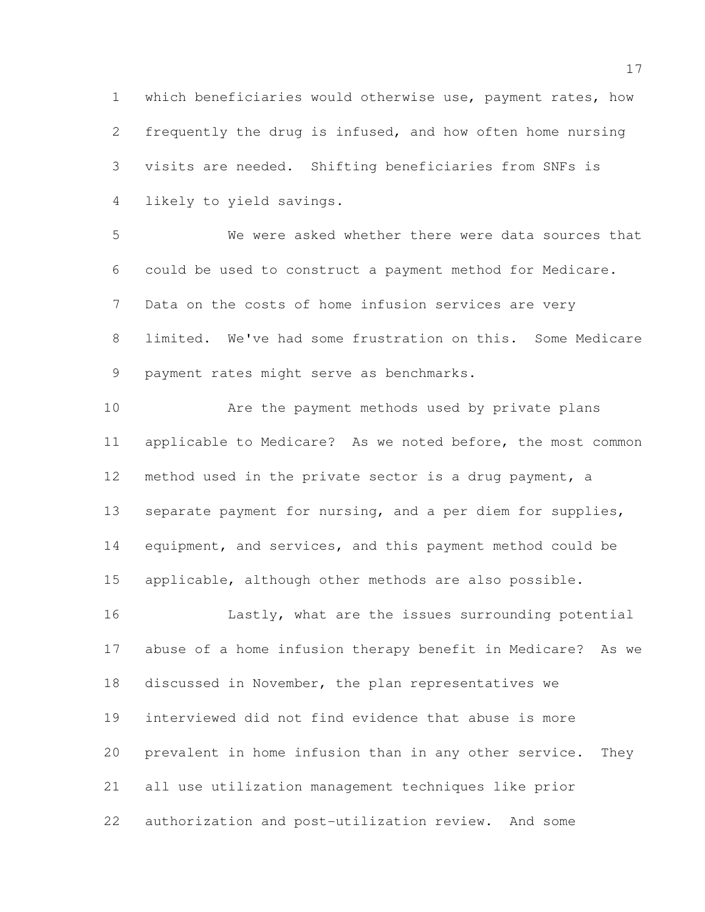which beneficiaries would otherwise use, payment rates, how frequently the drug is infused, and how often home nursing visits are needed. Shifting beneficiaries from SNFs is likely to yield savings.

 We were asked whether there were data sources that could be used to construct a payment method for Medicare. Data on the costs of home infusion services are very limited. We've had some frustration on this. Some Medicare payment rates might serve as benchmarks.

 Are the payment methods used by private plans applicable to Medicare? As we noted before, the most common method used in the private sector is a drug payment, a separate payment for nursing, and a per diem for supplies, equipment, and services, and this payment method could be applicable, although other methods are also possible.

16 Lastly, what are the issues surrounding potential abuse of a home infusion therapy benefit in Medicare? As we discussed in November, the plan representatives we interviewed did not find evidence that abuse is more prevalent in home infusion than in any other service. They all use utilization management techniques like prior authorization and post-utilization review. And some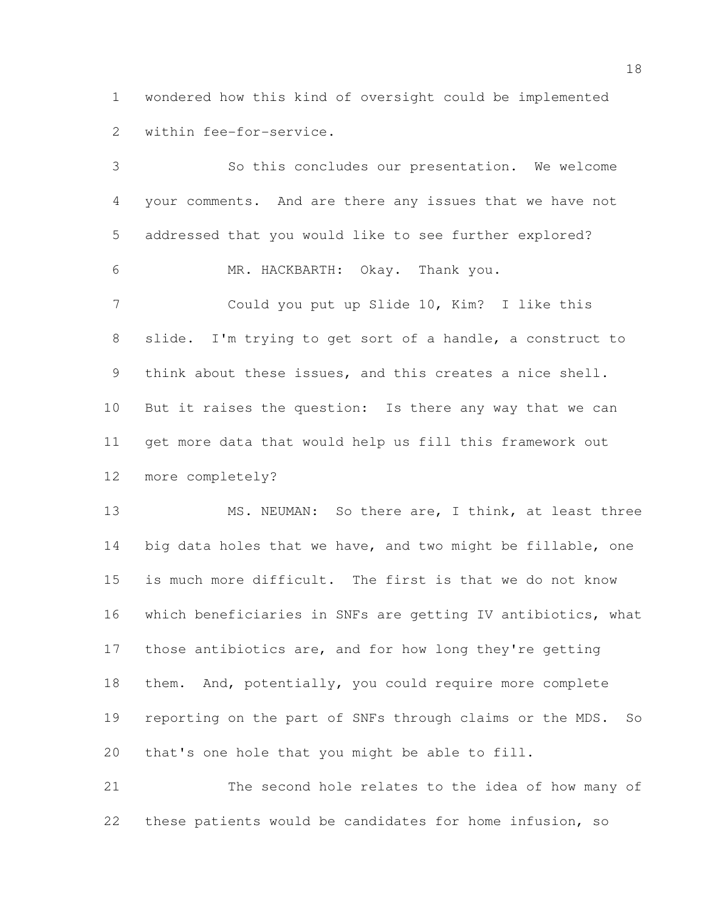wondered how this kind of oversight could be implemented within fee-for-service.

 So this concludes our presentation. We welcome your comments. And are there any issues that we have not addressed that you would like to see further explored? MR. HACKBARTH: Okay. Thank you. Could you put up Slide 10, Kim? I like this slide. I'm trying to get sort of a handle, a construct to think about these issues, and this creates a nice shell. But it raises the question: Is there any way that we can get more data that would help us fill this framework out more completely?

 MS. NEUMAN: So there are, I think, at least three 14 big data holes that we have, and two might be fillable, one is much more difficult. The first is that we do not know which beneficiaries in SNFs are getting IV antibiotics, what those antibiotics are, and for how long they're getting them. And, potentially, you could require more complete reporting on the part of SNFs through claims or the MDS. So that's one hole that you might be able to fill.

 The second hole relates to the idea of how many of these patients would be candidates for home infusion, so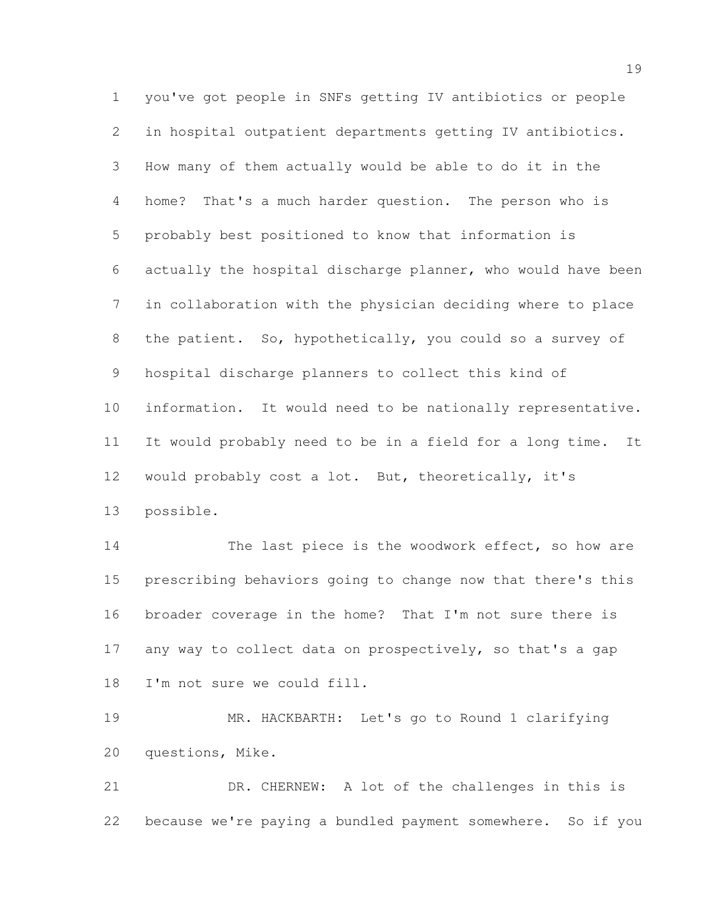you've got people in SNFs getting IV antibiotics or people in hospital outpatient departments getting IV antibiotics. How many of them actually would be able to do it in the home? That's a much harder question. The person who is probably best positioned to know that information is actually the hospital discharge planner, who would have been in collaboration with the physician deciding where to place the patient. So, hypothetically, you could so a survey of hospital discharge planners to collect this kind of information. It would need to be nationally representative. It would probably need to be in a field for a long time. It would probably cost a lot. But, theoretically, it's possible.

14 The last piece is the woodwork effect, so how are prescribing behaviors going to change now that there's this broader coverage in the home? That I'm not sure there is 17 any way to collect data on prospectively, so that's a gap I'm not sure we could fill.

 MR. HACKBARTH: Let's go to Round 1 clarifying questions, Mike.

 DR. CHERNEW: A lot of the challenges in this is because we're paying a bundled payment somewhere. So if you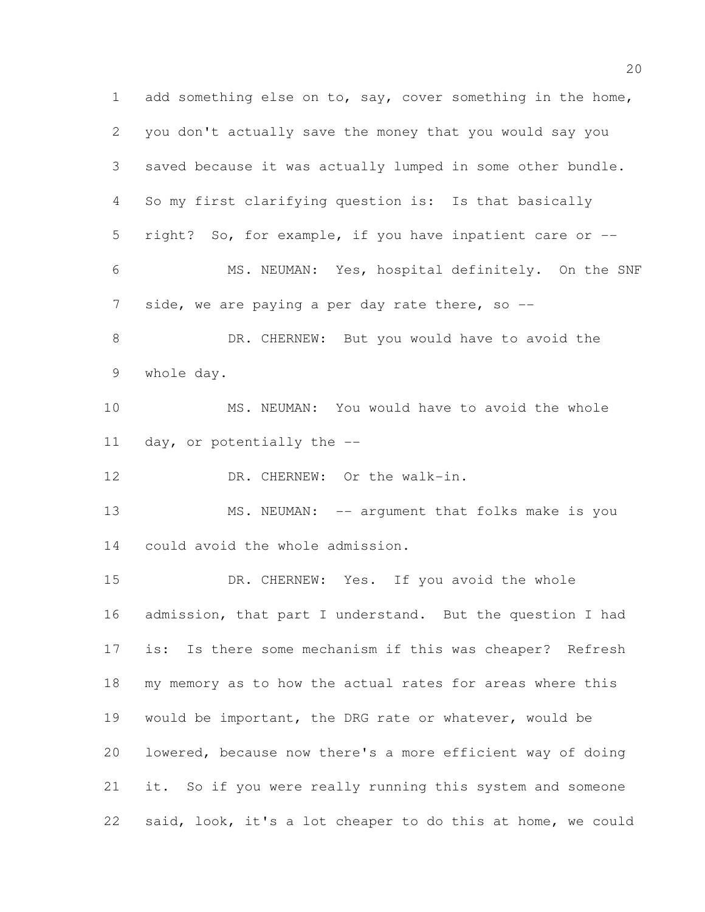1 add something else on to, say, cover something in the home, you don't actually save the money that you would say you saved because it was actually lumped in some other bundle. So my first clarifying question is: Is that basically right? So, for example, if you have inpatient care or -- MS. NEUMAN: Yes, hospital definitely. On the SNF 7 side, we are paying a per day rate there, so --8 DR. CHERNEW: But you would have to avoid the whole day. MS. NEUMAN: You would have to avoid the whole day, or potentially the -- 12 DR. CHERNEW: Or the walk-in. 13 MS. NEUMAN: -- argument that folks make is you could avoid the whole admission. DR. CHERNEW: Yes. If you avoid the whole admission, that part I understand. But the question I had is: Is there some mechanism if this was cheaper? Refresh my memory as to how the actual rates for areas where this would be important, the DRG rate or whatever, would be lowered, because now there's a more efficient way of doing it. So if you were really running this system and someone said, look, it's a lot cheaper to do this at home, we could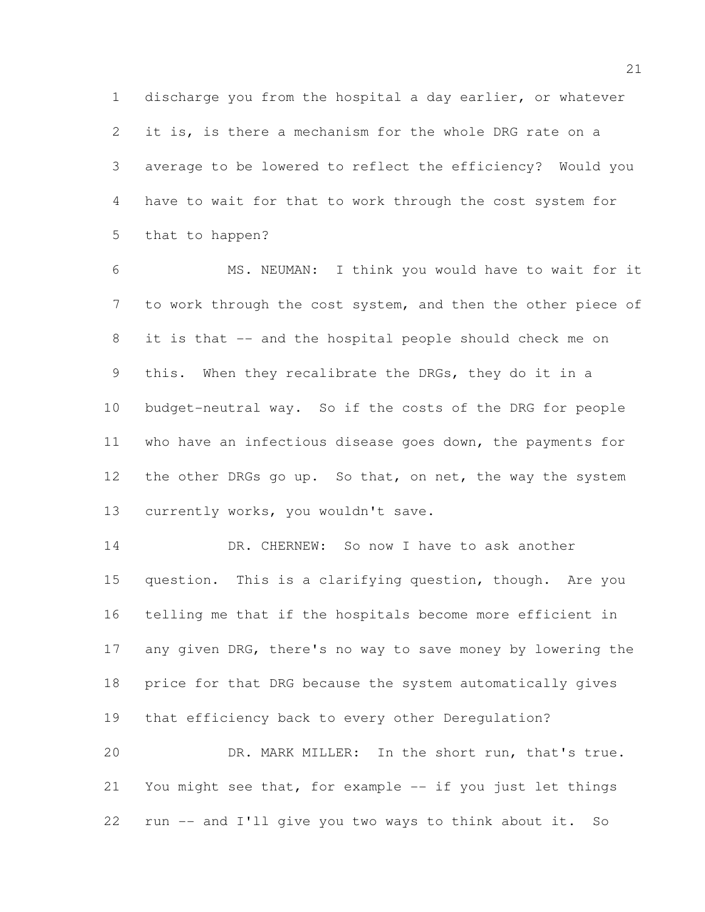discharge you from the hospital a day earlier, or whatever it is, is there a mechanism for the whole DRG rate on a average to be lowered to reflect the efficiency? Would you have to wait for that to work through the cost system for that to happen?

 MS. NEUMAN: I think you would have to wait for it to work through the cost system, and then the other piece of it is that -- and the hospital people should check me on this. When they recalibrate the DRGs, they do it in a budget-neutral way. So if the costs of the DRG for people who have an infectious disease goes down, the payments for 12 the other DRGs go up. So that, on net, the way the system 13 currently works, you wouldn't save.

14 DR. CHERNEW: So now I have to ask another question. This is a clarifying question, though. Are you telling me that if the hospitals become more efficient in 17 any given DRG, there's no way to save money by lowering the price for that DRG because the system automatically gives that efficiency back to every other Deregulation? DR. MARK MILLER: In the short run, that's true.

21 You might see that, for example -- if you just let things run -- and I'll give you two ways to think about it. So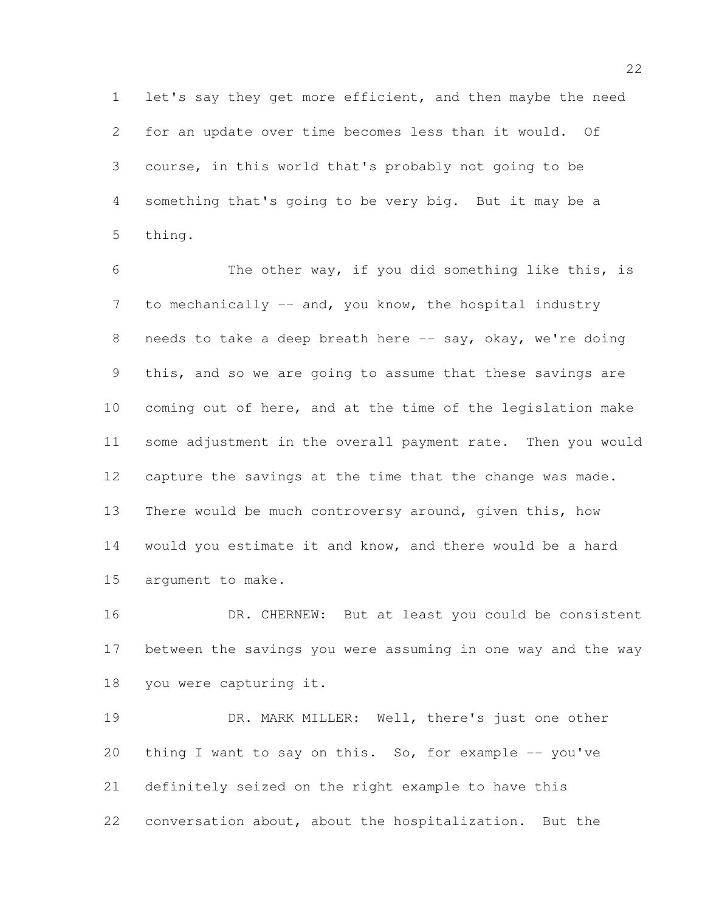let's say they get more efficient, and then maybe the need for an update over time becomes less than it would. Of course, in this world that's probably not going to be something that's going to be very big. But it may be a thing.

 The other way, if you did something like this, is 7 to mechanically -- and, you know, the hospital industry 8 needs to take a deep breath here -- say, okay, we're doing this, and so we are going to assume that these savings are coming out of here, and at the time of the legislation make some adjustment in the overall payment rate. Then you would capture the savings at the time that the change was made. There would be much controversy around, given this, how would you estimate it and know, and there would be a hard argument to make.

 DR. CHERNEW: But at least you could be consistent between the savings you were assuming in one way and the way you were capturing it.

 DR. MARK MILLER: Well, there's just one other 20 thing I want to say on this. So, for example -- you've definitely seized on the right example to have this conversation about, about the hospitalization. But the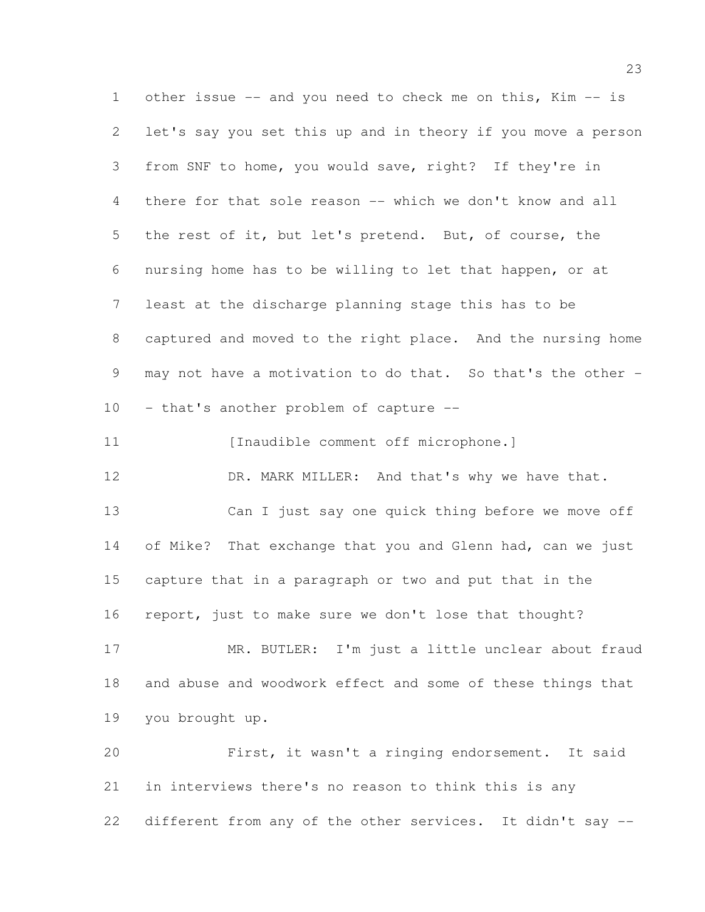other issue -- and you need to check me on this, Kim -- is let's say you set this up and in theory if you move a person from SNF to home, you would save, right? If they're in there for that sole reason -- which we don't know and all the rest of it, but let's pretend. But, of course, the nursing home has to be willing to let that happen, or at least at the discharge planning stage this has to be captured and moved to the right place. And the nursing home may not have a motivation to do that. So that's the other - - that's another problem of capture -- 11 [Inaudible comment off microphone.] 12 DR. MARK MILLER: And that's why we have that. Can I just say one quick thing before we move off of Mike? That exchange that you and Glenn had, can we just capture that in a paragraph or two and put that in the report, just to make sure we don't lose that thought? MR. BUTLER: I'm just a little unclear about fraud and abuse and woodwork effect and some of these things that you brought up. First, it wasn't a ringing endorsement. It said in interviews there's no reason to think this is any

different from any of the other services. It didn't say --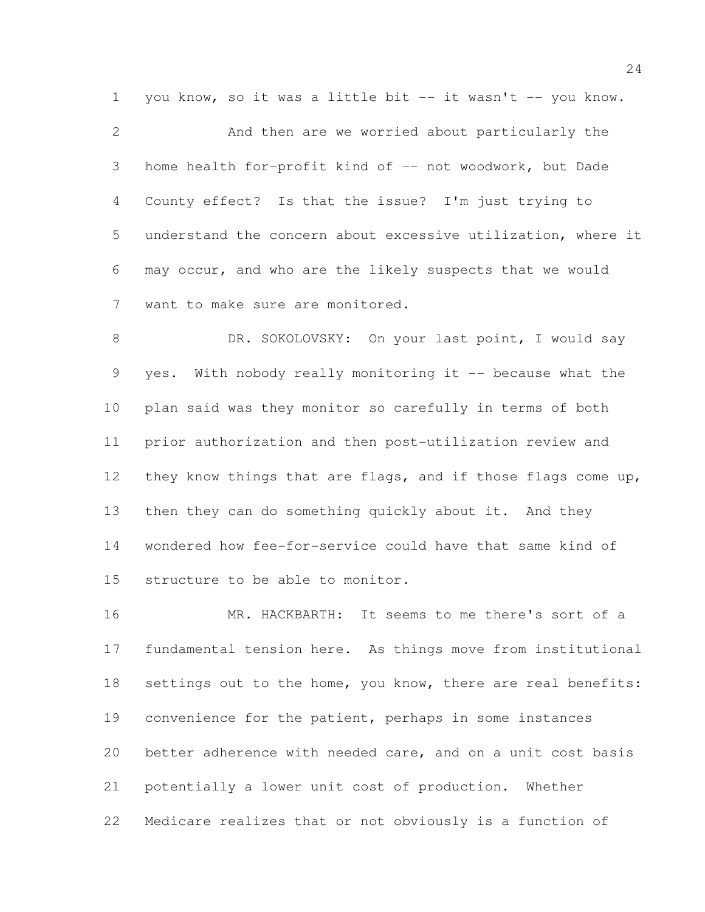1 you know, so it was a little bit -- it wasn't -- you know.

 And then are we worried about particularly the home health for-profit kind of -- not woodwork, but Dade County effect? Is that the issue? I'm just trying to understand the concern about excessive utilization, where it may occur, and who are the likely suspects that we would want to make sure are monitored.

8 DR. SOKOLOVSKY: On your last point, I would say yes. With nobody really monitoring it -- because what the plan said was they monitor so carefully in terms of both prior authorization and then post-utilization review and they know things that are flags, and if those flags come up, 13 then they can do something quickly about it. And they wondered how fee-for-service could have that same kind of structure to be able to monitor.

 MR. HACKBARTH: It seems to me there's sort of a fundamental tension here. As things move from institutional settings out to the home, you know, there are real benefits: convenience for the patient, perhaps in some instances better adherence with needed care, and on a unit cost basis potentially a lower unit cost of production. Whether Medicare realizes that or not obviously is a function of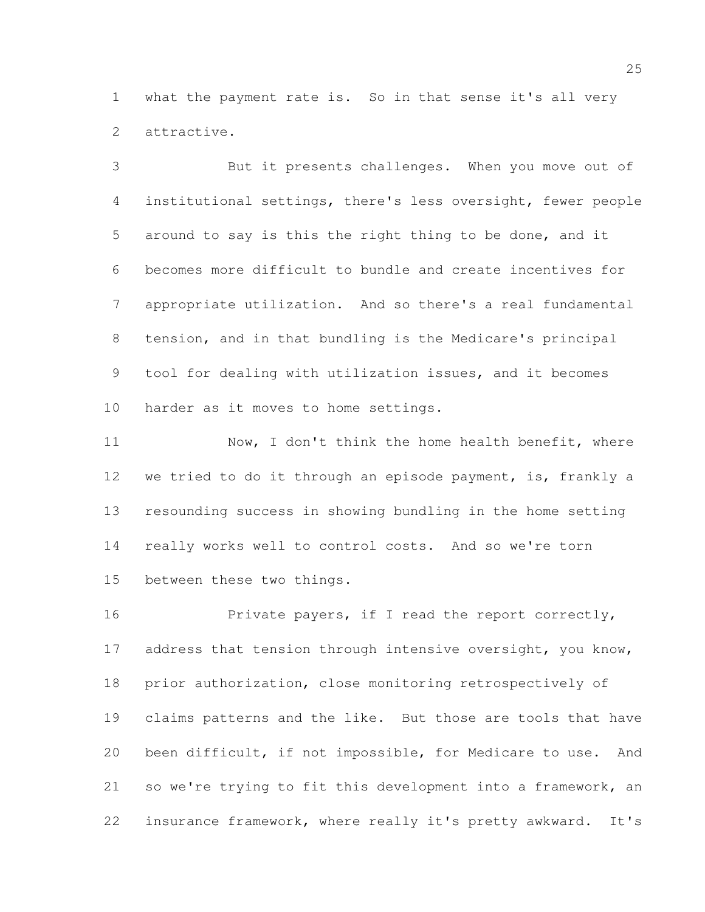what the payment rate is. So in that sense it's all very attractive.

 But it presents challenges. When you move out of institutional settings, there's less oversight, fewer people around to say is this the right thing to be done, and it becomes more difficult to bundle and create incentives for appropriate utilization. And so there's a real fundamental tension, and in that bundling is the Medicare's principal tool for dealing with utilization issues, and it becomes harder as it moves to home settings.

11 Now, I don't think the home health benefit, where we tried to do it through an episode payment, is, frankly a resounding success in showing bundling in the home setting really works well to control costs. And so we're torn between these two things.

16 Private payers, if I read the report correctly, 17 address that tension through intensive oversight, you know, prior authorization, close monitoring retrospectively of claims patterns and the like. But those are tools that have been difficult, if not impossible, for Medicare to use. And so we're trying to fit this development into a framework, an insurance framework, where really it's pretty awkward. It's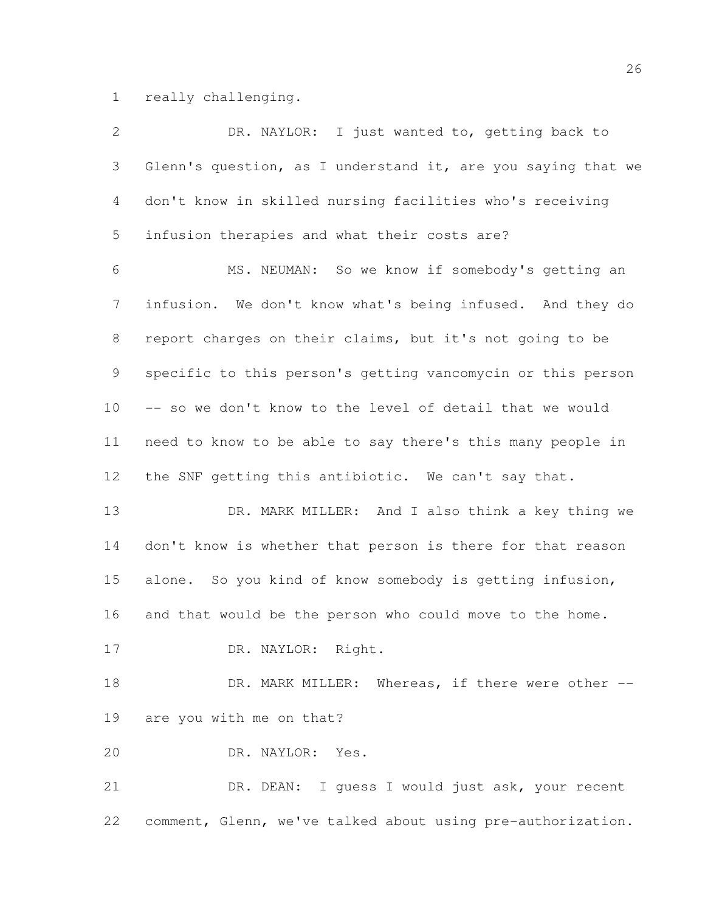really challenging.

| $\overline{2}$ | DR. NAYLOR: I just wanted to, getting back to                |
|----------------|--------------------------------------------------------------|
| 3              | Glenn's question, as I understand it, are you saying that we |
| $\overline{4}$ | don't know in skilled nursing facilities who's receiving     |
| 5              | infusion therapies and what their costs are?                 |
| 6              | MS. NEUMAN: So we know if somebody's getting an              |
| $7\phantom{.}$ | infusion. We don't know what's being infused. And they do    |
| $8\,$          | report charges on their claims, but it's not going to be     |
| 9              | specific to this person's getting vancomycin or this person  |
| 10             | -- so we don't know to the level of detail that we would     |
| 11             | need to know to be able to say there's this many people in   |
| 12             | the SNF getting this antibiotic. We can't say that.          |
| 13             | DR. MARK MILLER: And I also think a key thing we             |
| 14             | don't know is whether that person is there for that reason   |
| 15             | alone. So you kind of know somebody is getting infusion,     |
| 16             | and that would be the person who could move to the home.     |
| 17             | DR. NAYLOR: Right.                                           |
| 18             | DR. MARK MILLER: Whereas, if there were other --             |
| 19             | are you with me on that?                                     |
| 20             | DR. NAYLOR: Yes.                                             |
| 21             | DR. DEAN: I guess I would just ask, your recent              |
| 22             | comment, Glenn, we've talked about using pre-authorization.  |
|                |                                                              |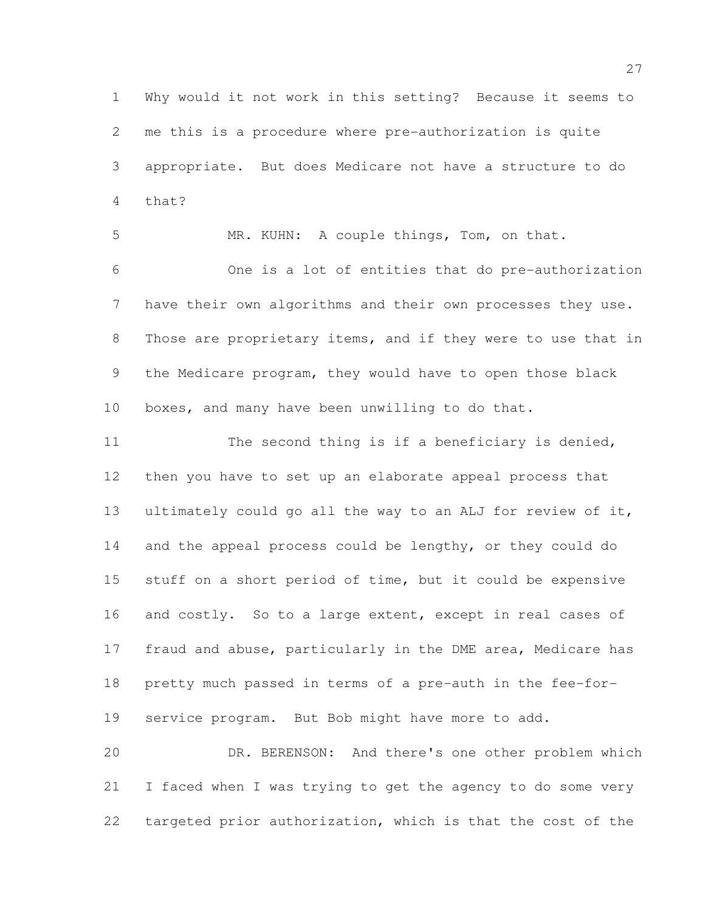Why would it not work in this setting? Because it seems to me this is a procedure where pre-authorization is quite appropriate. But does Medicare not have a structure to do that?

 MR. KUHN: A couple things, Tom, on that. One is a lot of entities that do pre-authorization have their own algorithms and their own processes they use. Those are proprietary items, and if they were to use that in the Medicare program, they would have to open those black boxes, and many have been unwilling to do that.

 The second thing is if a beneficiary is denied, then you have to set up an elaborate appeal process that ultimately could go all the way to an ALJ for review of it, and the appeal process could be lengthy, or they could do stuff on a short period of time, but it could be expensive 16 and costly. So to a large extent, except in real cases of fraud and abuse, particularly in the DME area, Medicare has pretty much passed in terms of a pre-auth in the fee-for-service program. But Bob might have more to add.

 DR. BERENSON: And there's one other problem which I faced when I was trying to get the agency to do some very targeted prior authorization, which is that the cost of the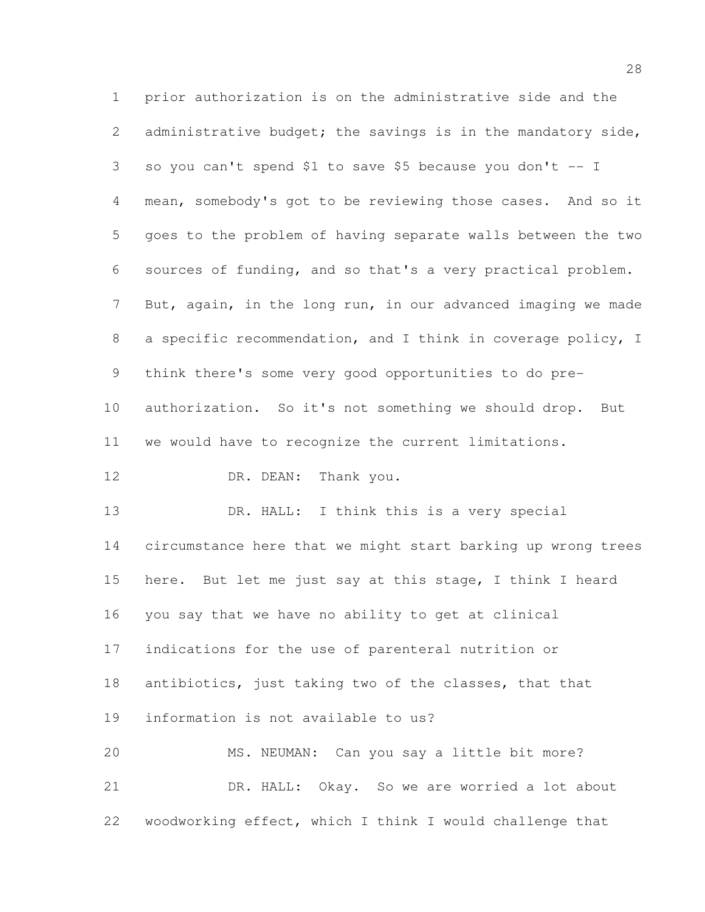prior authorization is on the administrative side and the administrative budget; the savings is in the mandatory side, so you can't spend \$1 to save \$5 because you don't -- I mean, somebody's got to be reviewing those cases. And so it goes to the problem of having separate walls between the two sources of funding, and so that's a very practical problem. But, again, in the long run, in our advanced imaging we made a specific recommendation, and I think in coverage policy, I think there's some very good opportunities to do pre- authorization. So it's not something we should drop. But we would have to recognize the current limitations. 12 DR. DEAN: Thank you. 13 DR. HALL: I think this is a very special circumstance here that we might start barking up wrong trees here. But let me just say at this stage, I think I heard you say that we have no ability to get at clinical indications for the use of parenteral nutrition or antibiotics, just taking two of the classes, that that information is not available to us? MS. NEUMAN: Can you say a little bit more? DR. HALL: Okay. So we are worried a lot about woodworking effect, which I think I would challenge that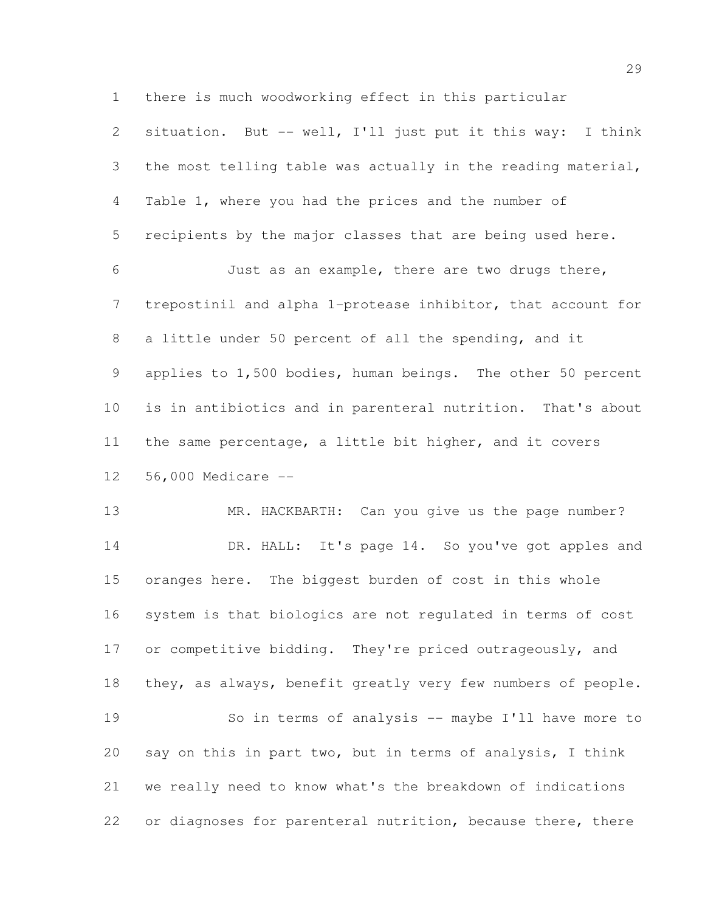there is much woodworking effect in this particular

 situation. But -- well, I'll just put it this way: I think the most telling table was actually in the reading material, Table 1, where you had the prices and the number of recipients by the major classes that are being used here. Just as an example, there are two drugs there, trepostinil and alpha 1-protease inhibitor, that account for a little under 50 percent of all the spending, and it applies to 1,500 bodies, human beings. The other 50 percent is in antibiotics and in parenteral nutrition. That's about the same percentage, a little bit higher, and it covers 56,000 Medicare --

13 MR. HACKBARTH: Can you give us the page number? 14 DR. HALL: It's page 14. So you've got apples and oranges here. The biggest burden of cost in this whole system is that biologics are not regulated in terms of cost 17 or competitive bidding. They're priced outrageously, and they, as always, benefit greatly very few numbers of people. So in terms of analysis -- maybe I'll have more to say on this in part two, but in terms of analysis, I think we really need to know what's the breakdown of indications 22 or diagnoses for parenteral nutrition, because there, there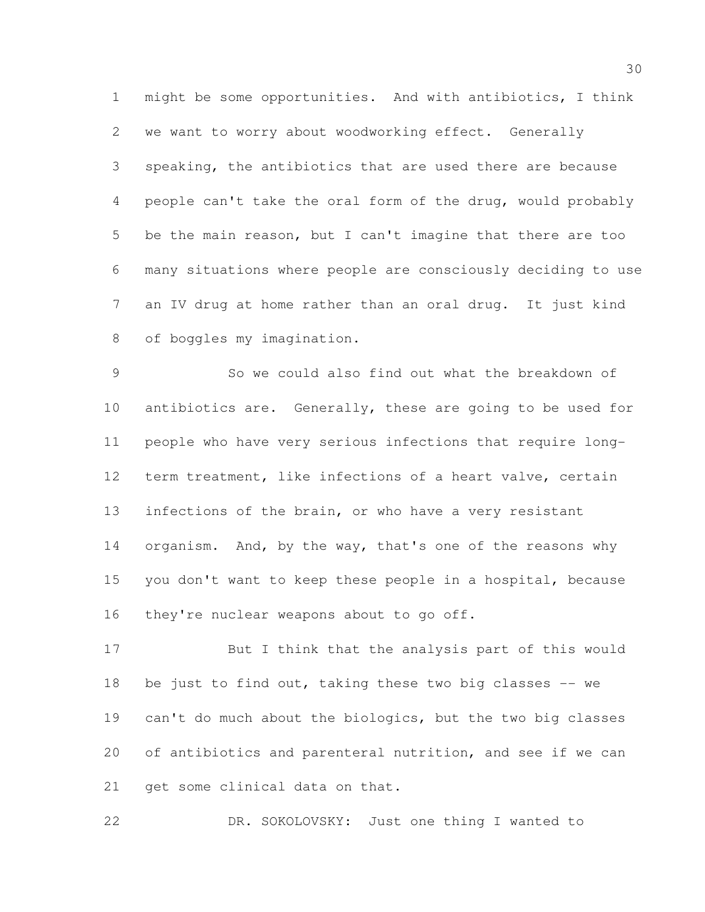might be some opportunities. And with antibiotics, I think we want to worry about woodworking effect. Generally speaking, the antibiotics that are used there are because people can't take the oral form of the drug, would probably be the main reason, but I can't imagine that there are too many situations where people are consciously deciding to use an IV drug at home rather than an oral drug. It just kind of boggles my imagination.

 So we could also find out what the breakdown of antibiotics are. Generally, these are going to be used for people who have very serious infections that require long- term treatment, like infections of a heart valve, certain 13 infections of the brain, or who have a very resistant 14 organism. And, by the way, that's one of the reasons why you don't want to keep these people in a hospital, because 16 they're nuclear weapons about to go off.

 But I think that the analysis part of this would be just to find out, taking these two big classes -- we can't do much about the biologics, but the two big classes of antibiotics and parenteral nutrition, and see if we can get some clinical data on that.

DR. SOKOLOVSKY: Just one thing I wanted to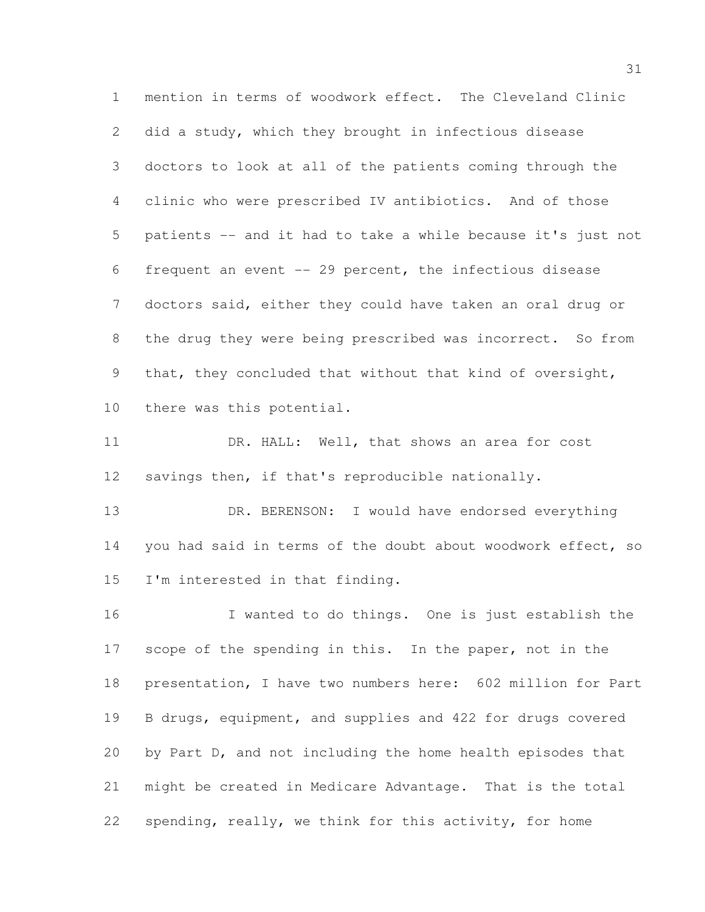mention in terms of woodwork effect. The Cleveland Clinic did a study, which they brought in infectious disease doctors to look at all of the patients coming through the clinic who were prescribed IV antibiotics. And of those patients -- and it had to take a while because it's just not frequent an event -- 29 percent, the infectious disease doctors said, either they could have taken an oral drug or 8 the drug they were being prescribed was incorrect. So from that, they concluded that without that kind of oversight, there was this potential.

11 DR. HALL: Well, that shows an area for cost savings then, if that's reproducible nationally.

13 DR. BERENSON: I would have endorsed everything you had said in terms of the doubt about woodwork effect, so I'm interested in that finding.

 I wanted to do things. One is just establish the scope of the spending in this. In the paper, not in the presentation, I have two numbers here: 602 million for Part B drugs, equipment, and supplies and 422 for drugs covered by Part D, and not including the home health episodes that might be created in Medicare Advantage. That is the total spending, really, we think for this activity, for home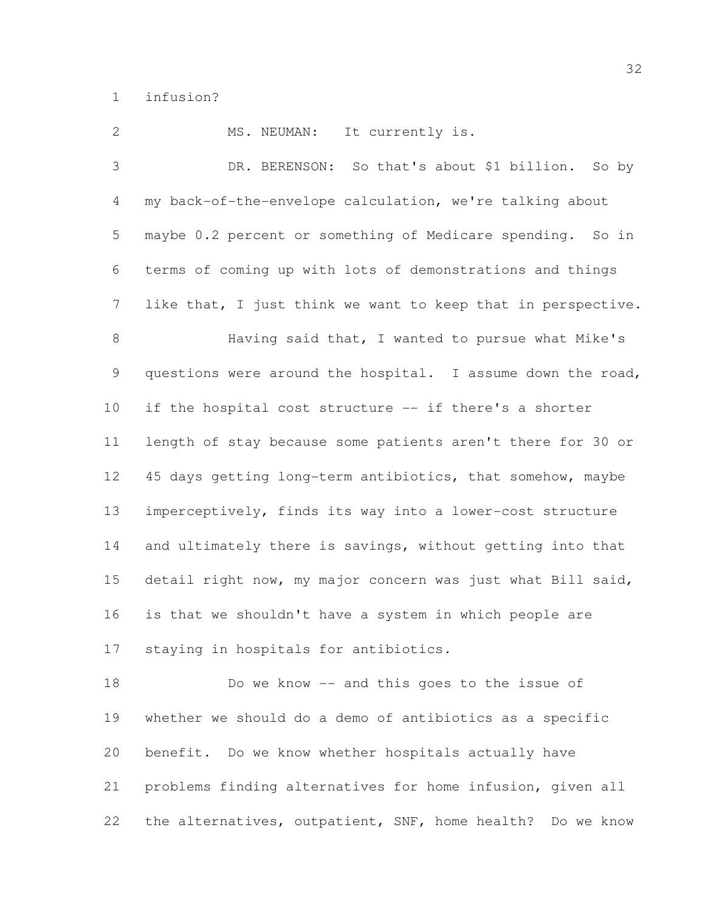infusion?

2 MS. NEUMAN: It currently is. DR. BERENSON: So that's about \$1 billion. So by my back-of-the-envelope calculation, we're talking about maybe 0.2 percent or something of Medicare spending. So in terms of coming up with lots of demonstrations and things like that, I just think we want to keep that in perspective. 8 Having said that, I wanted to pursue what Mike's questions were around the hospital. I assume down the road, if the hospital cost structure -- if there's a shorter length of stay because some patients aren't there for 30 or 45 days getting long-term antibiotics, that somehow, maybe imperceptively, finds its way into a lower-cost structure 14 and ultimately there is savings, without getting into that detail right now, my major concern was just what Bill said, is that we shouldn't have a system in which people are staying in hospitals for antibiotics. Do we know -- and this goes to the issue of whether we should do a demo of antibiotics as a specific benefit. Do we know whether hospitals actually have

 problems finding alternatives for home infusion, given all the alternatives, outpatient, SNF, home health? Do we know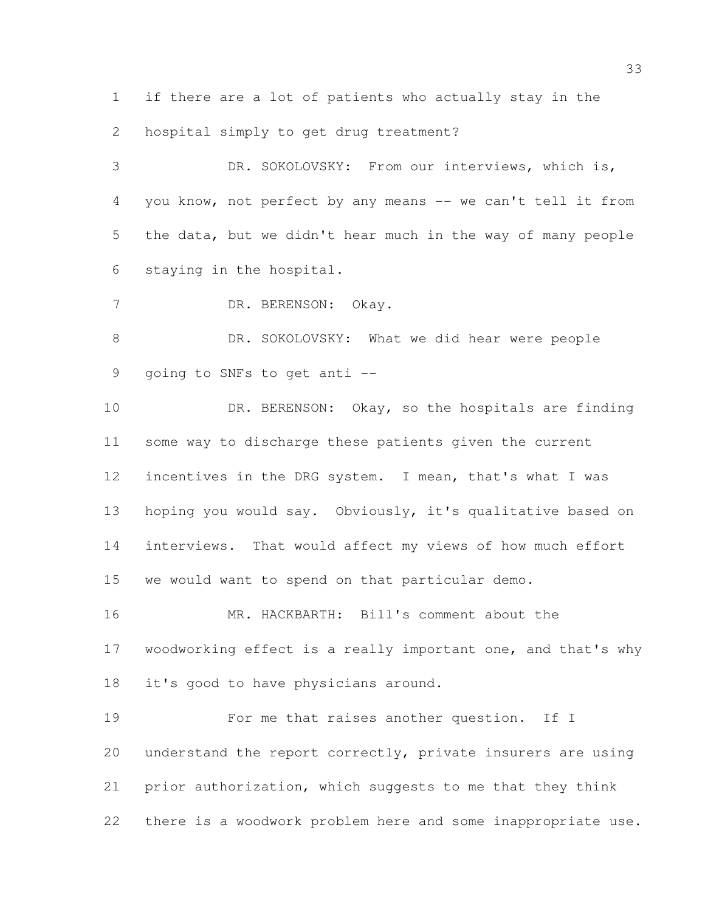if there are a lot of patients who actually stay in the hospital simply to get drug treatment?

 DR. SOKOLOVSKY: From our interviews, which is, you know, not perfect by any means -- we can't tell it from the data, but we didn't hear much in the way of many people staying in the hospital.

DR. BERENSON: Okay.

8 DR. SOKOLOVSKY: What we did hear were people going to SNFs to get anti --

10 DR. BERENSON: Okay, so the hospitals are finding some way to discharge these patients given the current incentives in the DRG system. I mean, that's what I was hoping you would say. Obviously, it's qualitative based on interviews. That would affect my views of how much effort we would want to spend on that particular demo.

 MR. HACKBARTH: Bill's comment about the woodworking effect is a really important one, and that's why it's good to have physicians around.

**For me that raises another question.** If I understand the report correctly, private insurers are using prior authorization, which suggests to me that they think there is a woodwork problem here and some inappropriate use.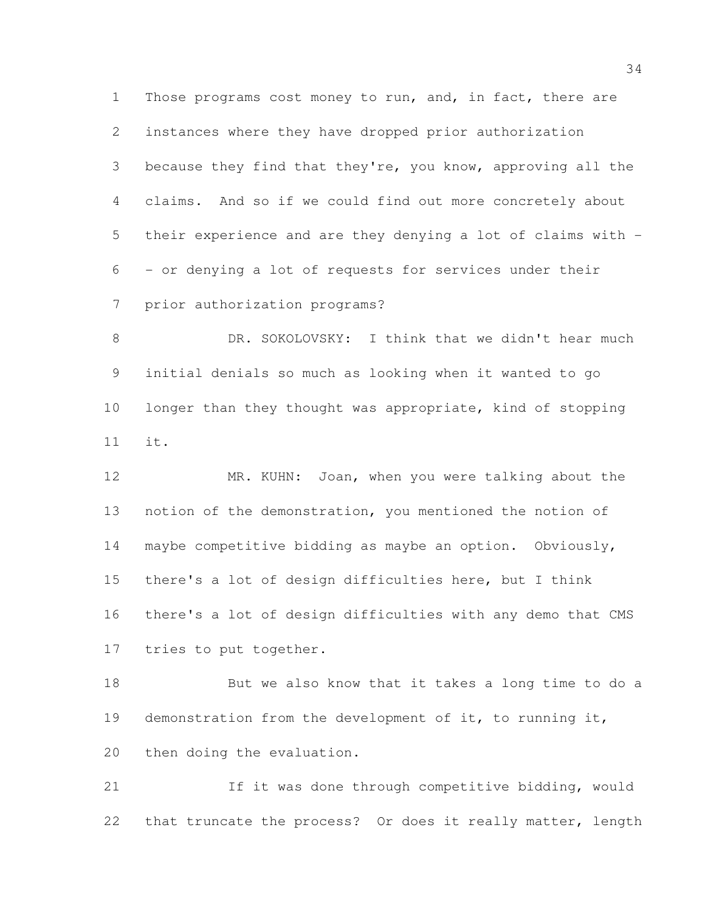Those programs cost money to run, and, in fact, there are instances where they have dropped prior authorization because they find that they're, you know, approving all the claims. And so if we could find out more concretely about their experience and are they denying a lot of claims with - - or denying a lot of requests for services under their prior authorization programs?

 DR. SOKOLOVSKY: I think that we didn't hear much initial denials so much as looking when it wanted to go 10 longer than they thought was appropriate, kind of stopping it.

 MR. KUHN: Joan, when you were talking about the notion of the demonstration, you mentioned the notion of maybe competitive bidding as maybe an option. Obviously, there's a lot of design difficulties here, but I think there's a lot of design difficulties with any demo that CMS tries to put together.

 But we also know that it takes a long time to do a demonstration from the development of it, to running it, then doing the evaluation.

 If it was done through competitive bidding, would that truncate the process? Or does it really matter, length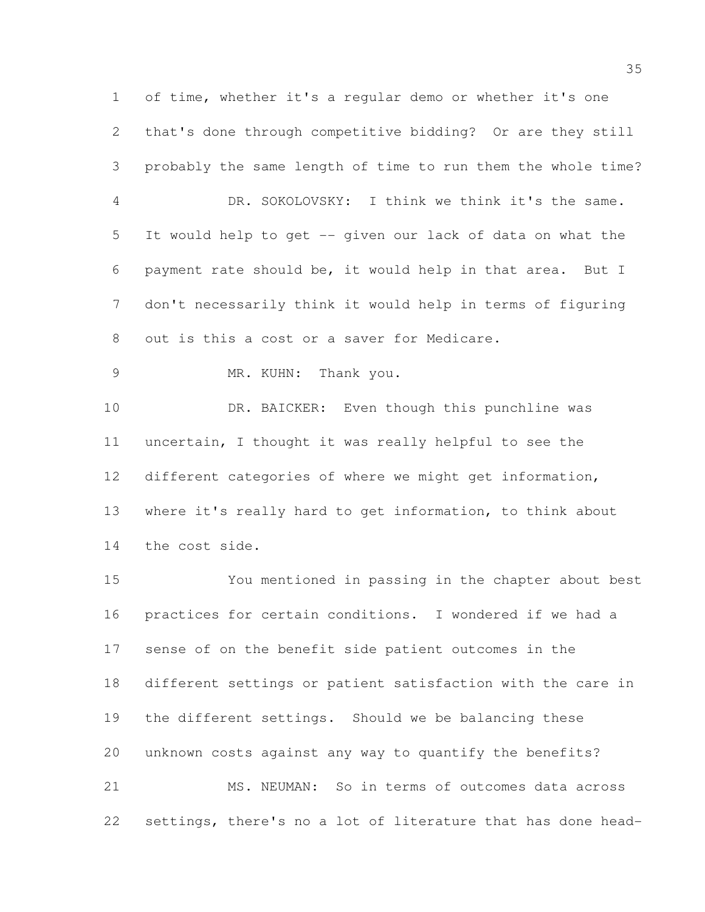of time, whether it's a regular demo or whether it's one that's done through competitive bidding? Or are they still probably the same length of time to run them the whole time? DR. SOKOLOVSKY: I think we think it's the same. It would help to get -- given our lack of data on what the payment rate should be, it would help in that area. But I don't necessarily think it would help in terms of figuring out is this a cost or a saver for Medicare. MR. KUHN: Thank you. 10 DR. BAICKER: Even though this punchline was uncertain, I thought it was really helpful to see the different categories of where we might get information, where it's really hard to get information, to think about the cost side. You mentioned in passing in the chapter about best practices for certain conditions. I wondered if we had a sense of on the benefit side patient outcomes in the

 different settings or patient satisfaction with the care in the different settings. Should we be balancing these

unknown costs against any way to quantify the benefits?

 MS. NEUMAN: So in terms of outcomes data across settings, there's no a lot of literature that has done head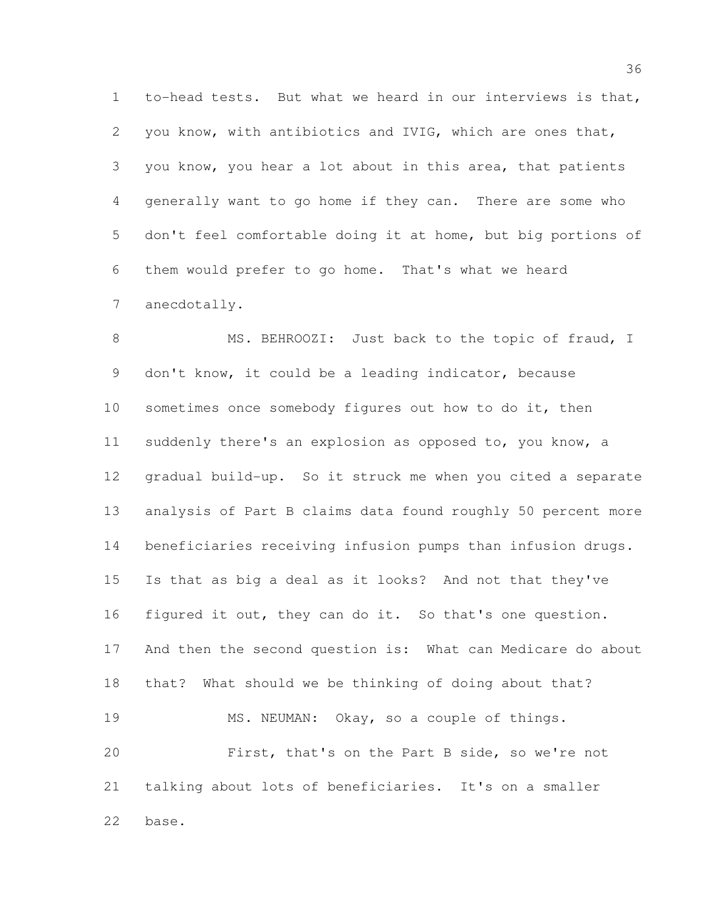to-head tests. But what we heard in our interviews is that, you know, with antibiotics and IVIG, which are ones that, you know, you hear a lot about in this area, that patients generally want to go home if they can. There are some who don't feel comfortable doing it at home, but big portions of them would prefer to go home. That's what we heard anecdotally.

8 MS. BEHROOZI: Just back to the topic of fraud, I don't know, it could be a leading indicator, because sometimes once somebody figures out how to do it, then suddenly there's an explosion as opposed to, you know, a gradual build-up. So it struck me when you cited a separate analysis of Part B claims data found roughly 50 percent more beneficiaries receiving infusion pumps than infusion drugs. Is that as big a deal as it looks? And not that they've figured it out, they can do it. So that's one question. And then the second question is: What can Medicare do about that? What should we be thinking of doing about that? 19 MS. NEUMAN: Okay, so a couple of things. First, that's on the Part B side, so we're not talking about lots of beneficiaries. It's on a smaller base.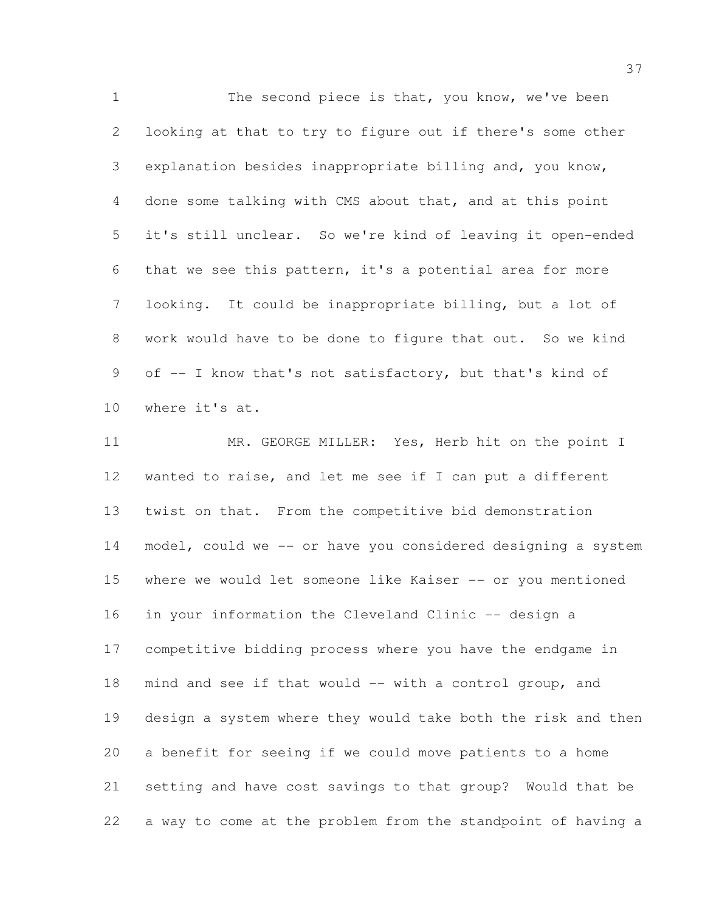1 The second piece is that, you know, we've been looking at that to try to figure out if there's some other explanation besides inappropriate billing and, you know, done some talking with CMS about that, and at this point it's still unclear. So we're kind of leaving it open-ended that we see this pattern, it's a potential area for more looking. It could be inappropriate billing, but a lot of work would have to be done to figure that out. So we kind of -- I know that's not satisfactory, but that's kind of where it's at.

11 MR. GEORGE MILLER: Yes, Herb hit on the point I wanted to raise, and let me see if I can put a different twist on that. From the competitive bid demonstration model, could we -- or have you considered designing a system 15 where we would let someone like Kaiser -- or you mentioned in your information the Cleveland Clinic -- design a competitive bidding process where you have the endgame in mind and see if that would -- with a control group, and design a system where they would take both the risk and then a benefit for seeing if we could move patients to a home setting and have cost savings to that group? Would that be a way to come at the problem from the standpoint of having a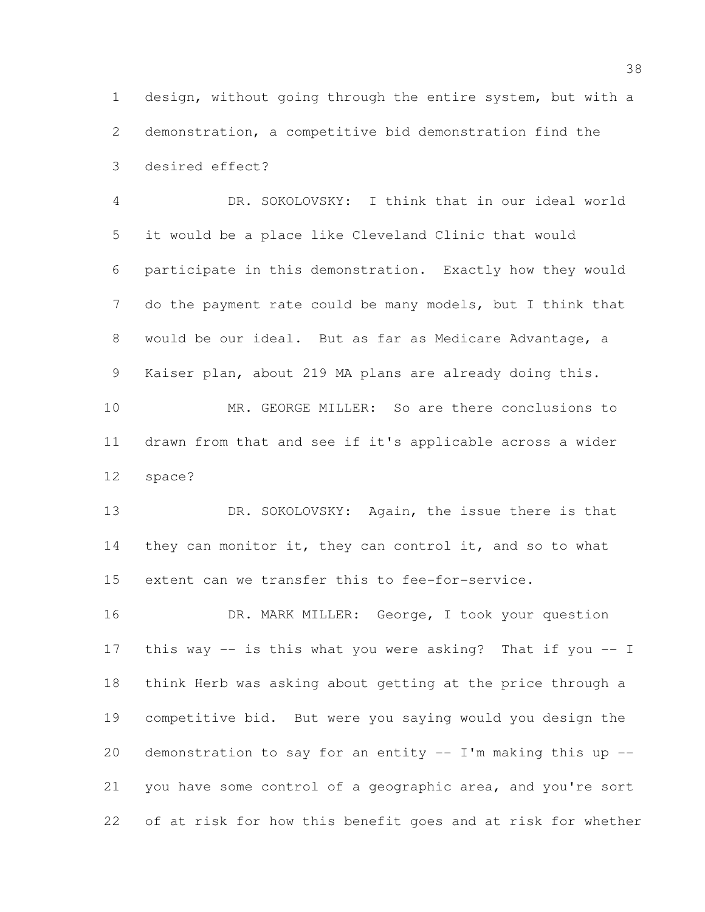design, without going through the entire system, but with a demonstration, a competitive bid demonstration find the desired effect?

 DR. SOKOLOVSKY: I think that in our ideal world it would be a place like Cleveland Clinic that would participate in this demonstration. Exactly how they would do the payment rate could be many models, but I think that would be our ideal. But as far as Medicare Advantage, a Kaiser plan, about 219 MA plans are already doing this.

 MR. GEORGE MILLER: So are there conclusions to drawn from that and see if it's applicable across a wider space?

13 DR. SOKOLOVSKY: Again, the issue there is that 14 they can monitor it, they can control it, and so to what extent can we transfer this to fee-for-service.

16 DR. MARK MILLER: George, I took your question this way -- is this what you were asking? That if you -- I think Herb was asking about getting at the price through a competitive bid. But were you saying would you design the 20 demonstration to say for an entity  $-$  I'm making this up  $-$  you have some control of a geographic area, and you're sort of at risk for how this benefit goes and at risk for whether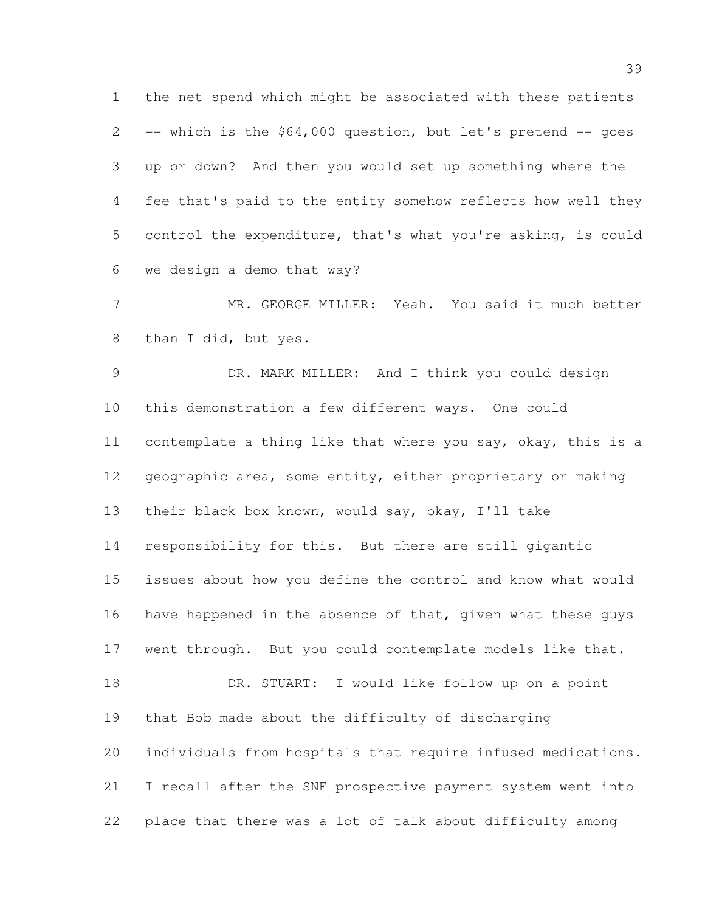the net spend which might be associated with these patients -- which is the \$64,000 question, but let's pretend -- goes up or down? And then you would set up something where the fee that's paid to the entity somehow reflects how well they control the expenditure, that's what you're asking, is could we design a demo that way?

 MR. GEORGE MILLER: Yeah. You said it much better than I did, but yes.

 DR. MARK MILLER: And I think you could design this demonstration a few different ways. One could contemplate a thing like that where you say, okay, this is a geographic area, some entity, either proprietary or making their black box known, would say, okay, I'll take responsibility for this. But there are still gigantic issues about how you define the control and know what would 16 have happened in the absence of that, given what these guys went through. But you could contemplate models like that. DR. STUART: I would like follow up on a point that Bob made about the difficulty of discharging individuals from hospitals that require infused medications. I recall after the SNF prospective payment system went into place that there was a lot of talk about difficulty among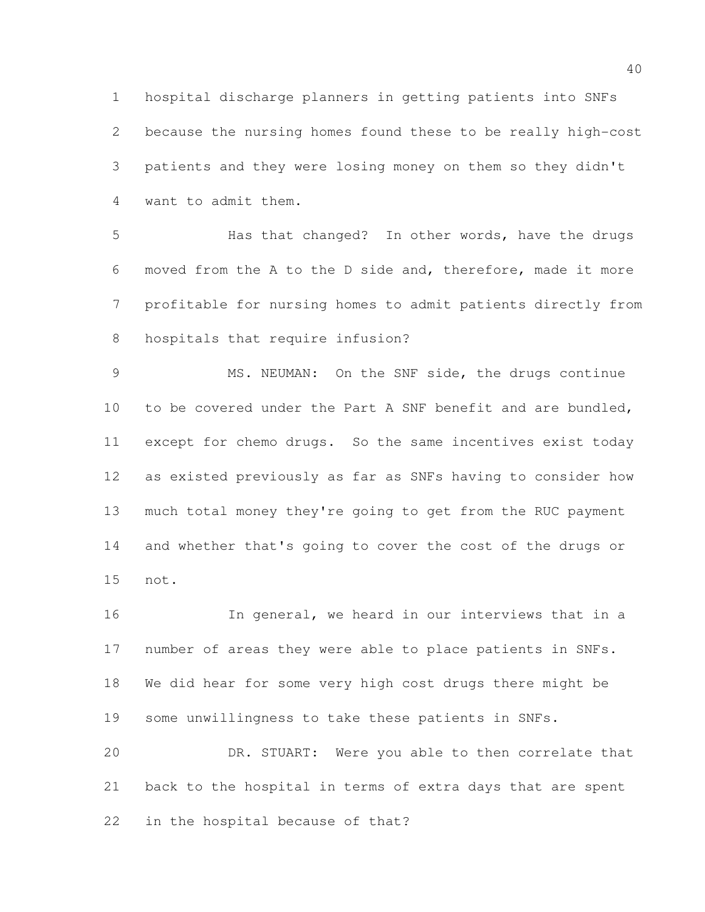hospital discharge planners in getting patients into SNFs because the nursing homes found these to be really high-cost patients and they were losing money on them so they didn't want to admit them.

 Has that changed? In other words, have the drugs moved from the A to the D side and, therefore, made it more profitable for nursing homes to admit patients directly from hospitals that require infusion?

 MS. NEUMAN: On the SNF side, the drugs continue 10 to be covered under the Part A SNF benefit and are bundled, except for chemo drugs. So the same incentives exist today as existed previously as far as SNFs having to consider how much total money they're going to get from the RUC payment and whether that's going to cover the cost of the drugs or not.

 In general, we heard in our interviews that in a number of areas they were able to place patients in SNFs. We did hear for some very high cost drugs there might be some unwillingness to take these patients in SNFs. DR. STUART: Were you able to then correlate that

 back to the hospital in terms of extra days that are spent in the hospital because of that?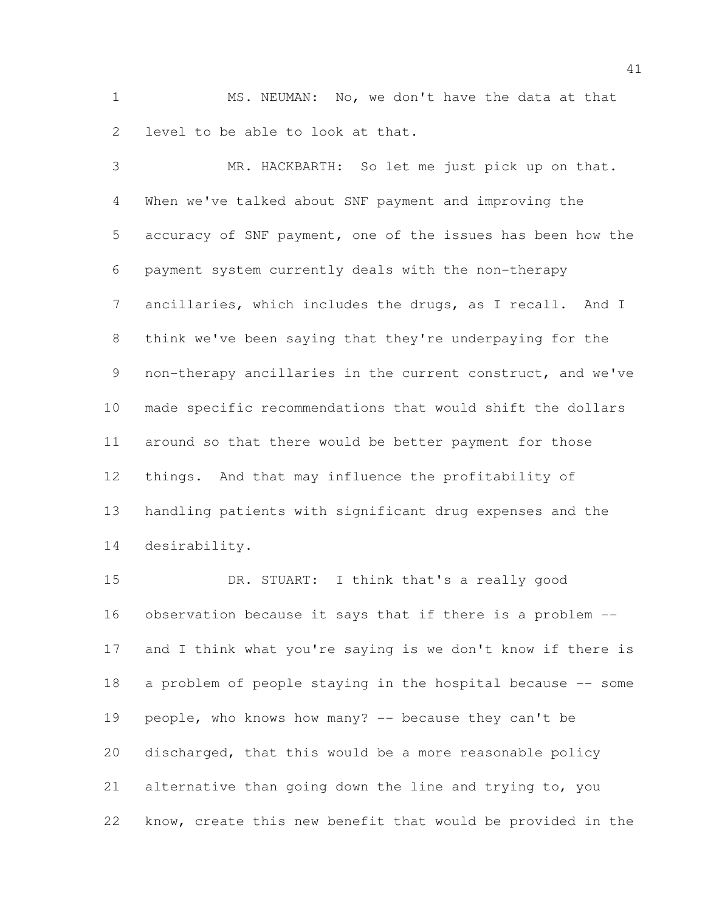MS. NEUMAN: No, we don't have the data at that level to be able to look at that.

 MR. HACKBARTH: So let me just pick up on that. When we've talked about SNF payment and improving the accuracy of SNF payment, one of the issues has been how the payment system currently deals with the non-therapy ancillaries, which includes the drugs, as I recall. And I think we've been saying that they're underpaying for the non-therapy ancillaries in the current construct, and we've made specific recommendations that would shift the dollars around so that there would be better payment for those things. And that may influence the profitability of handling patients with significant drug expenses and the desirability.

 DR. STUART: I think that's a really good observation because it says that if there is a problem -- and I think what you're saying is we don't know if there is a problem of people staying in the hospital because -- some people, who knows how many? -- because they can't be discharged, that this would be a more reasonable policy alternative than going down the line and trying to, you know, create this new benefit that would be provided in the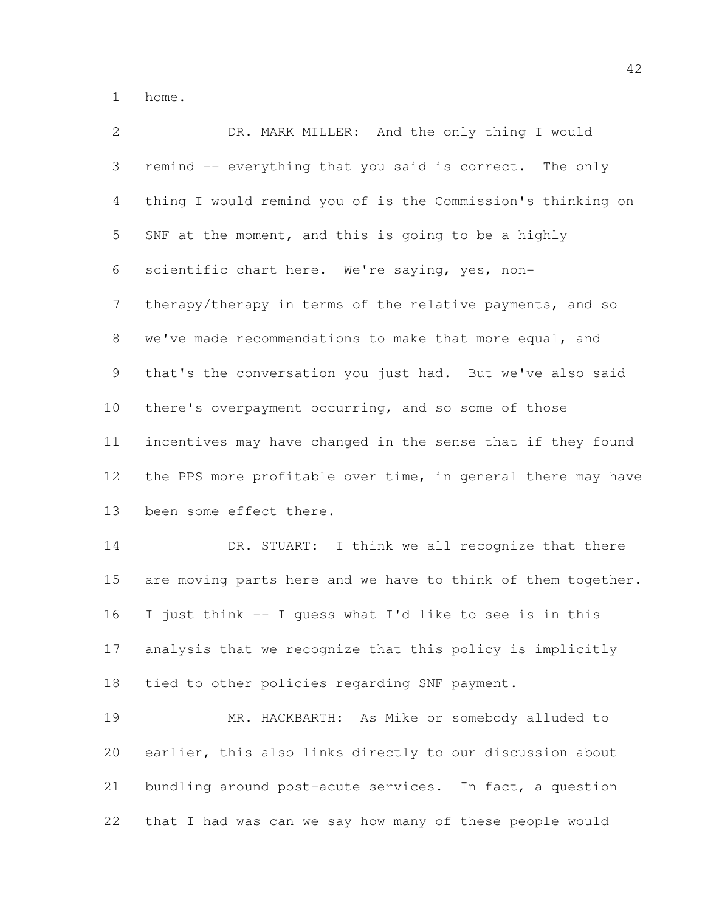home.

| $\mathbf{2}$   | DR. MARK MILLER: And the only thing I would                  |
|----------------|--------------------------------------------------------------|
| 3              | remind -- everything that you said is correct. The only      |
| $\overline{4}$ | thing I would remind you of is the Commission's thinking on  |
| 5              | SNF at the moment, and this is going to be a highly          |
| 6              | scientific chart here. We're saying, yes, non-               |
| 7              | therapy/therapy in terms of the relative payments, and so    |
| 8              | we've made recommendations to make that more equal, and      |
| 9              | that's the conversation you just had. But we've also said    |
| 10             | there's overpayment occurring, and so some of those          |
| 11             | incentives may have changed in the sense that if they found  |
| 12             | the PPS more profitable over time, in general there may have |
| 13             | been some effect there.                                      |
| 14             | DR. STUART: I think we all recognize that there              |
| 15             | are moving parts here and we have to think of them together. |
| 16             | I just think -- I guess what I'd like to see is in this      |
| 17             | analysis that we recognize that this policy is implicitly    |
| 18             | tied to other policies regarding SNF payment.                |
| 19             | MR. HACKBARTH: As Mike or somebody alluded to                |
| 20             | earlier, this also links directly to our discussion about    |
| 21             | bundling around post-acute services. In fact, a question     |
| 22             | that I had was can we say how many of these people would     |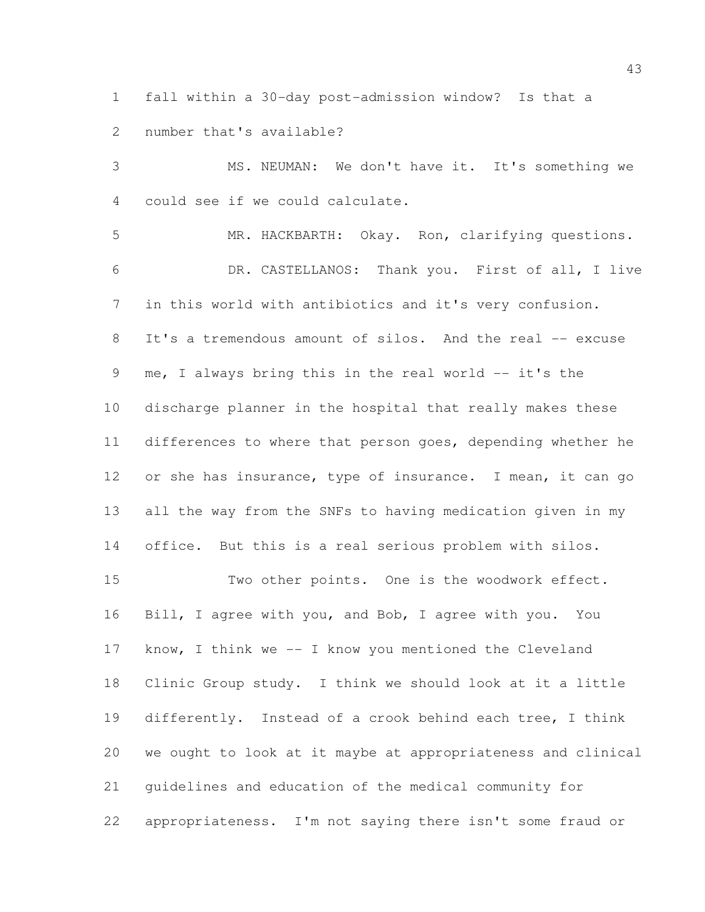fall within a 30-day post-admission window? Is that a number that's available?

 MS. NEUMAN: We don't have it. It's something we could see if we could calculate. MR. HACKBARTH: Okay. Ron, clarifying questions. DR. CASTELLANOS: Thank you. First of all, I live in this world with antibiotics and it's very confusion. 8 It's a tremendous amount of silos. And the real -- excuse 9 me, I always bring this in the real world -- it's the discharge planner in the hospital that really makes these differences to where that person goes, depending whether he or she has insurance, type of insurance. I mean, it can go all the way from the SNFs to having medication given in my office. But this is a real serious problem with silos. Two other points. One is the woodwork effect. Bill, I agree with you, and Bob, I agree with you. You know, I think we -- I know you mentioned the Cleveland

 Clinic Group study. I think we should look at it a little differently. Instead of a crook behind each tree, I think we ought to look at it maybe at appropriateness and clinical guidelines and education of the medical community for appropriateness. I'm not saying there isn't some fraud or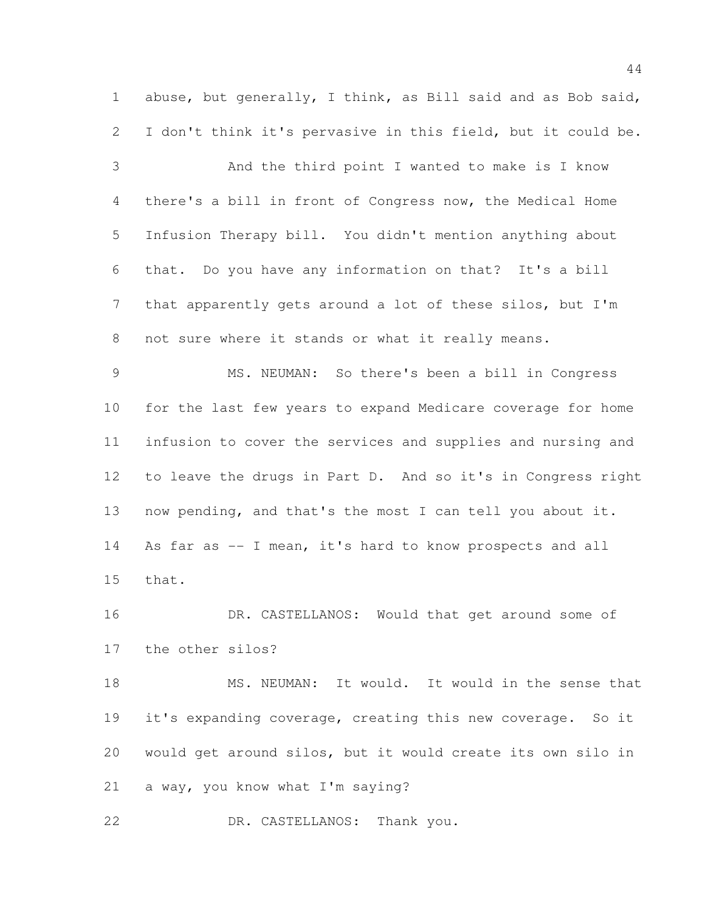abuse, but generally, I think, as Bill said and as Bob said, I don't think it's pervasive in this field, but it could be.

 And the third point I wanted to make is I know there's a bill in front of Congress now, the Medical Home Infusion Therapy bill. You didn't mention anything about that. Do you have any information on that? It's a bill that apparently gets around a lot of these silos, but I'm not sure where it stands or what it really means.

 MS. NEUMAN: So there's been a bill in Congress for the last few years to expand Medicare coverage for home infusion to cover the services and supplies and nursing and to leave the drugs in Part D. And so it's in Congress right now pending, and that's the most I can tell you about it. 14 As far as -- I mean, it's hard to know prospects and all that.

16 DR. CASTELLANOS: Would that get around some of the other silos?

 MS. NEUMAN: It would. It would in the sense that it's expanding coverage, creating this new coverage. So it would get around silos, but it would create its own silo in a way, you know what I'm saying?

DR. CASTELLANOS: Thank you.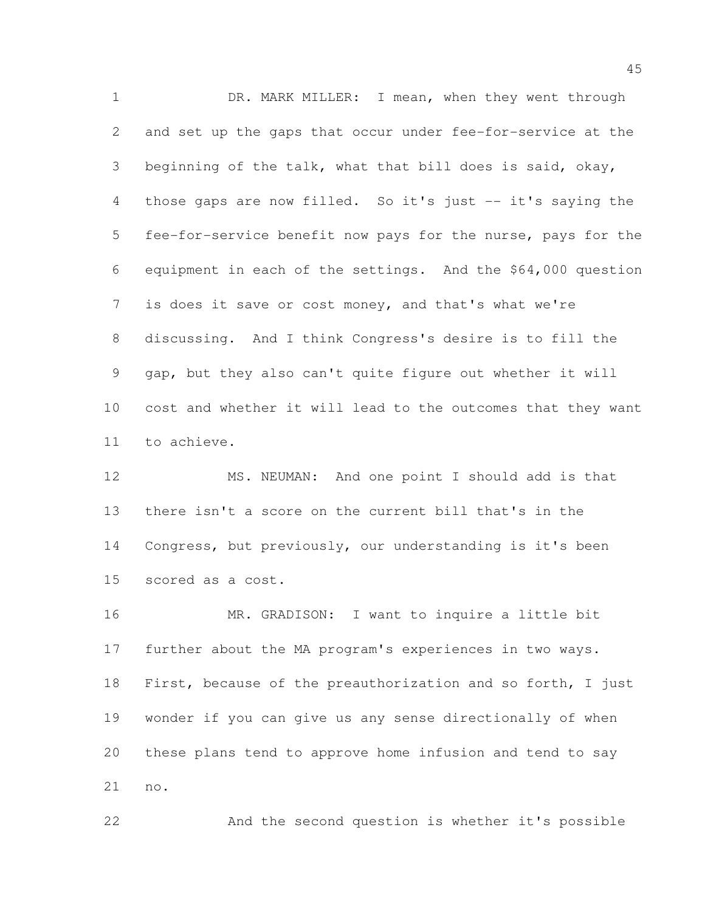DR. MARK MILLER: I mean, when they went through and set up the gaps that occur under fee-for-service at the beginning of the talk, what that bill does is said, okay, those gaps are now filled. So it's just -- it's saying the fee-for-service benefit now pays for the nurse, pays for the equipment in each of the settings. And the \$64,000 question is does it save or cost money, and that's what we're discussing. And I think Congress's desire is to fill the gap, but they also can't quite figure out whether it will cost and whether it will lead to the outcomes that they want to achieve.

 MS. NEUMAN: And one point I should add is that there isn't a score on the current bill that's in the Congress, but previously, our understanding is it's been scored as a cost.

 MR. GRADISON: I want to inquire a little bit further about the MA program's experiences in two ways. First, because of the preauthorization and so forth, I just wonder if you can give us any sense directionally of when these plans tend to approve home infusion and tend to say no.

And the second question is whether it's possible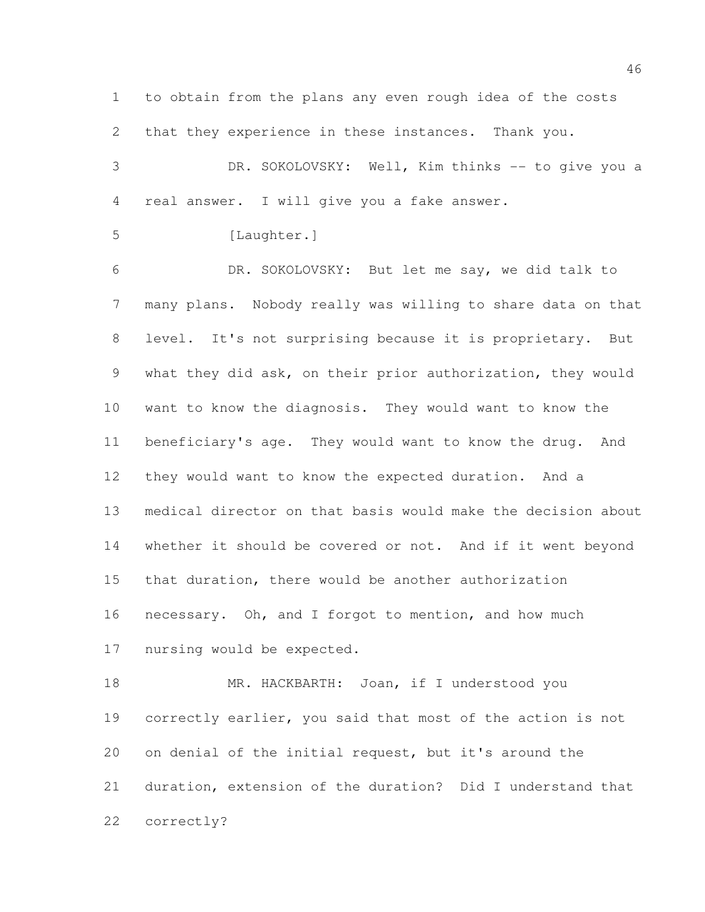to obtain from the plans any even rough idea of the costs that they experience in these instances. Thank you.

3 DR. SOKOLOVSKY: Well, Kim thinks -- to give you a real answer. I will give you a fake answer.

5 [Laughter.]

 DR. SOKOLOVSKY: But let me say, we did talk to many plans. Nobody really was willing to share data on that level. It's not surprising because it is proprietary. But what they did ask, on their prior authorization, they would want to know the diagnosis. They would want to know the beneficiary's age. They would want to know the drug. And they would want to know the expected duration. And a medical director on that basis would make the decision about whether it should be covered or not. And if it went beyond that duration, there would be another authorization necessary. Oh, and I forgot to mention, and how much nursing would be expected.

18 MR. HACKBARTH: Joan, if I understood you correctly earlier, you said that most of the action is not on denial of the initial request, but it's around the duration, extension of the duration? Did I understand that correctly?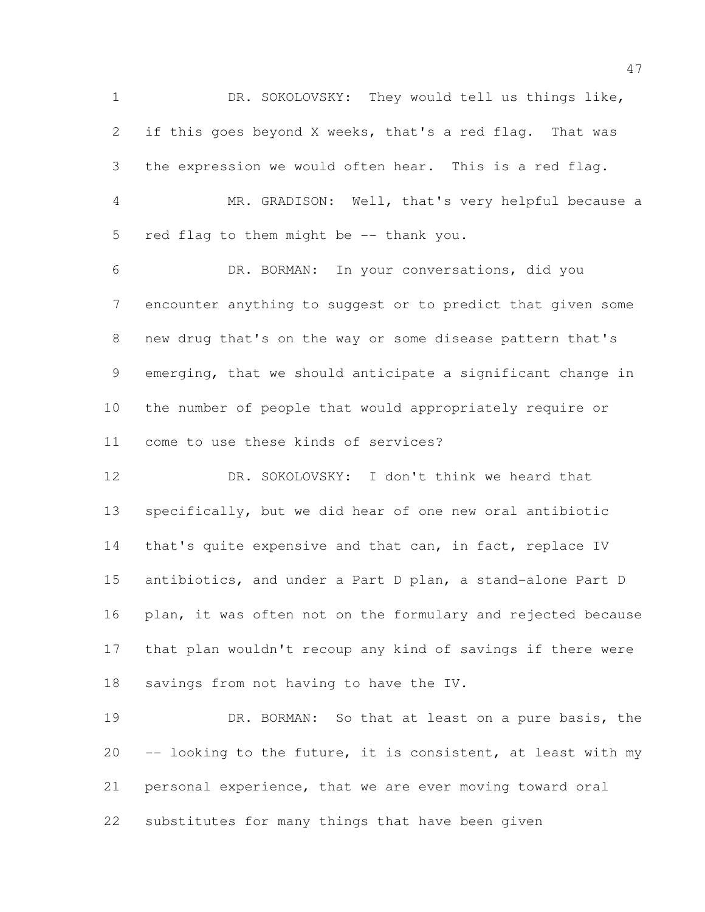DR. SOKOLOVSKY: They would tell us things like, if this goes beyond X weeks, that's a red flag. That was the expression we would often hear. This is a red flag. MR. GRADISON: Well, that's very helpful because a red flag to them might be -- thank you. DR. BORMAN: In your conversations, did you encounter anything to suggest or to predict that given some new drug that's on the way or some disease pattern that's emerging, that we should anticipate a significant change in the number of people that would appropriately require or come to use these kinds of services? DR. SOKOLOVSKY: I don't think we heard that specifically, but we did hear of one new oral antibiotic 14 that's quite expensive and that can, in fact, replace IV antibiotics, and under a Part D plan, a stand-alone Part D plan, it was often not on the formulary and rejected because that plan wouldn't recoup any kind of savings if there were savings from not having to have the IV.

 DR. BORMAN: So that at least on a pure basis, the -- looking to the future, it is consistent, at least with my personal experience, that we are ever moving toward oral substitutes for many things that have been given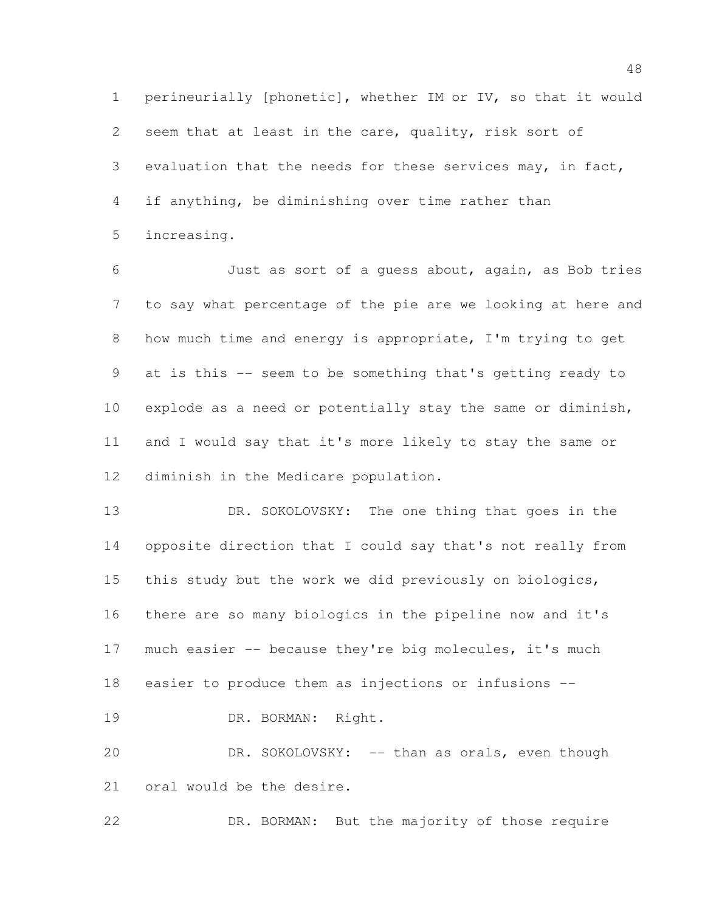perineurially [phonetic], whether IM or IV, so that it would seem that at least in the care, quality, risk sort of evaluation that the needs for these services may, in fact, if anything, be diminishing over time rather than increasing.

 Just as sort of a guess about, again, as Bob tries to say what percentage of the pie are we looking at here and how much time and energy is appropriate, I'm trying to get at is this -- seem to be something that's getting ready to explode as a need or potentially stay the same or diminish, and I would say that it's more likely to stay the same or diminish in the Medicare population.

13 DR. SOKOLOVSKY: The one thing that goes in the opposite direction that I could say that's not really from this study but the work we did previously on biologics, there are so many biologics in the pipeline now and it's much easier -- because they're big molecules, it's much easier to produce them as injections or infusions -- DR. BORMAN: Right.

20 DR. SOKOLOVSKY: -- than as orals, even though oral would be the desire.

DR. BORMAN: But the majority of those require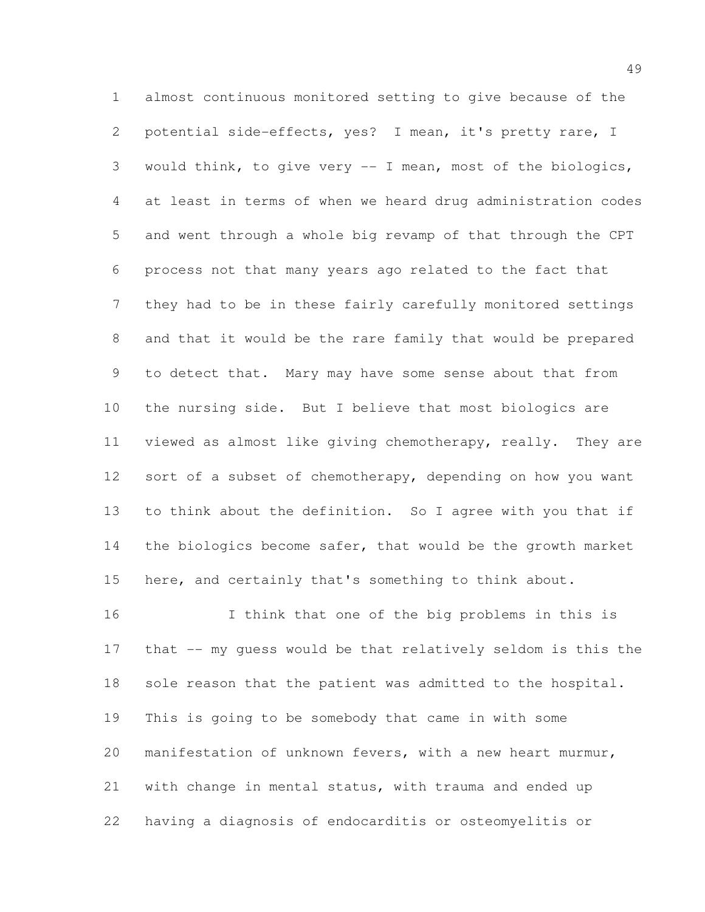almost continuous monitored setting to give because of the potential side-effects, yes? I mean, it's pretty rare, I would think, to give very -- I mean, most of the biologics, at least in terms of when we heard drug administration codes and went through a whole big revamp of that through the CPT process not that many years ago related to the fact that they had to be in these fairly carefully monitored settings and that it would be the rare family that would be prepared to detect that. Mary may have some sense about that from the nursing side. But I believe that most biologics are viewed as almost like giving chemotherapy, really. They are 12 sort of a subset of chemotherapy, depending on how you want to think about the definition. So I agree with you that if 14 the biologics become safer, that would be the growth market here, and certainly that's something to think about.

 I think that one of the big problems in this is that -- my guess would be that relatively seldom is this the 18 sole reason that the patient was admitted to the hospital. This is going to be somebody that came in with some manifestation of unknown fevers, with a new heart murmur, with change in mental status, with trauma and ended up having a diagnosis of endocarditis or osteomyelitis or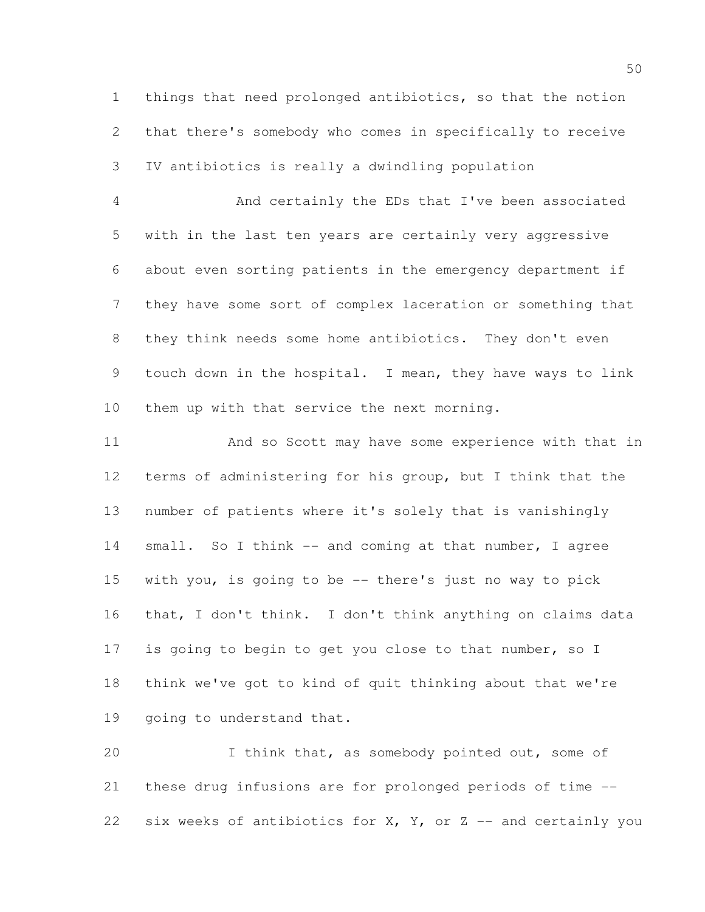things that need prolonged antibiotics, so that the notion that there's somebody who comes in specifically to receive IV antibiotics is really a dwindling population

4 And certainly the EDs that I've been associated with in the last ten years are certainly very aggressive about even sorting patients in the emergency department if they have some sort of complex laceration or something that they think needs some home antibiotics. They don't even touch down in the hospital. I mean, they have ways to link them up with that service the next morning.

 And so Scott may have some experience with that in terms of administering for his group, but I think that the number of patients where it's solely that is vanishingly 14 small. So I think -- and coming at that number, I agree with you, is going to be -- there's just no way to pick that, I don't think. I don't think anything on claims data 17 is going to begin to get you close to that number, so I think we've got to kind of quit thinking about that we're going to understand that.

20 1 I think that, as somebody pointed out, some of these drug infusions are for prolonged periods of time -- 22 six weeks of antibiotics for  $X$ ,  $Y$ , or  $Z$  -- and certainly you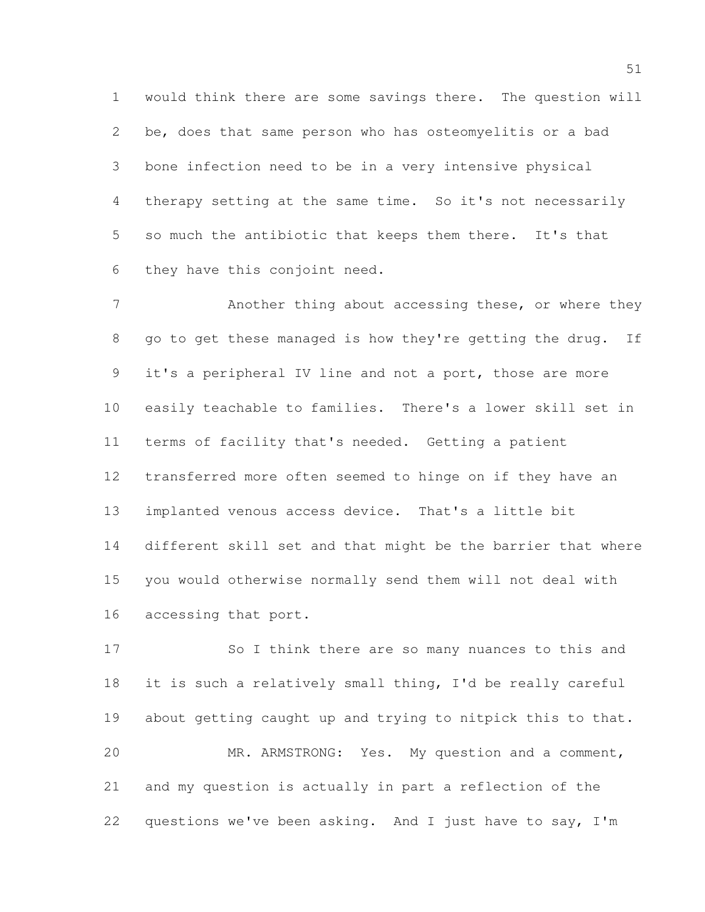would think there are some savings there. The question will be, does that same person who has osteomyelitis or a bad bone infection need to be in a very intensive physical therapy setting at the same time. So it's not necessarily so much the antibiotic that keeps them there. It's that they have this conjoint need.

7 Another thing about accessing these, or where they go to get these managed is how they're getting the drug. If 9 it's a peripheral IV line and not a port, those are more easily teachable to families. There's a lower skill set in terms of facility that's needed. Getting a patient transferred more often seemed to hinge on if they have an implanted venous access device. That's a little bit different skill set and that might be the barrier that where you would otherwise normally send them will not deal with accessing that port.

 So I think there are so many nuances to this and it is such a relatively small thing, I'd be really careful about getting caught up and trying to nitpick this to that. MR. ARMSTRONG: Yes. My question and a comment, and my question is actually in part a reflection of the questions we've been asking. And I just have to say, I'm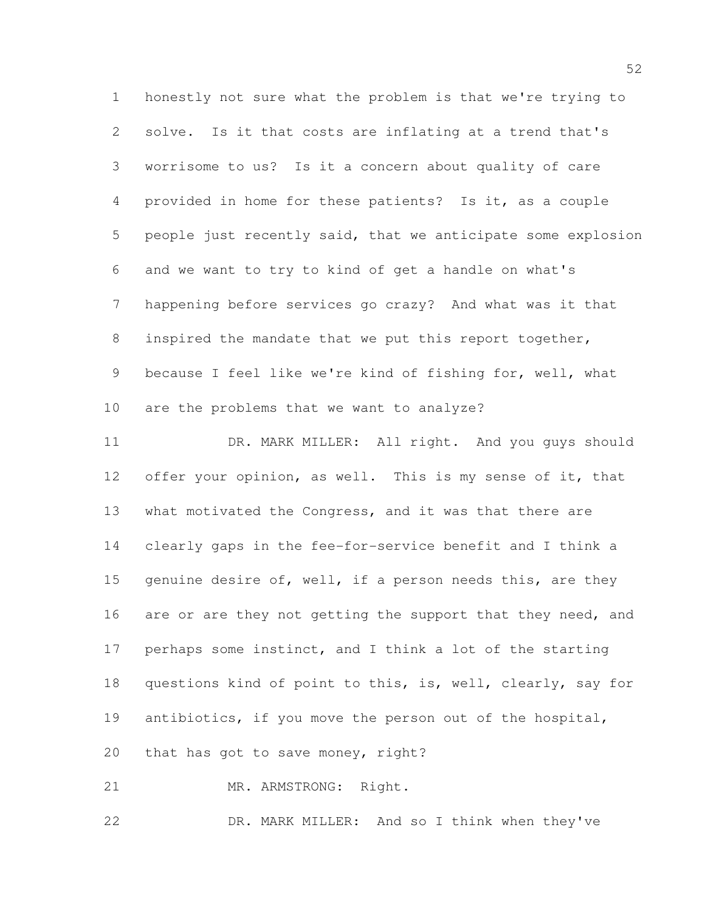honestly not sure what the problem is that we're trying to solve. Is it that costs are inflating at a trend that's worrisome to us? Is it a concern about quality of care provided in home for these patients? Is it, as a couple people just recently said, that we anticipate some explosion and we want to try to kind of get a handle on what's happening before services go crazy? And what was it that 8 inspired the mandate that we put this report together, because I feel like we're kind of fishing for, well, what are the problems that we want to analyze?

11 DR. MARK MILLER: All right. And you guys should 12 offer your opinion, as well. This is my sense of it, that what motivated the Congress, and it was that there are clearly gaps in the fee-for-service benefit and I think a 15 genuine desire of, well, if a person needs this, are they 16 are or are they not getting the support that they need, and perhaps some instinct, and I think a lot of the starting questions kind of point to this, is, well, clearly, say for antibiotics, if you move the person out of the hospital, that has got to save money, right?

21 MR. ARMSTRONG: Right.

DR. MARK MILLER: And so I think when they've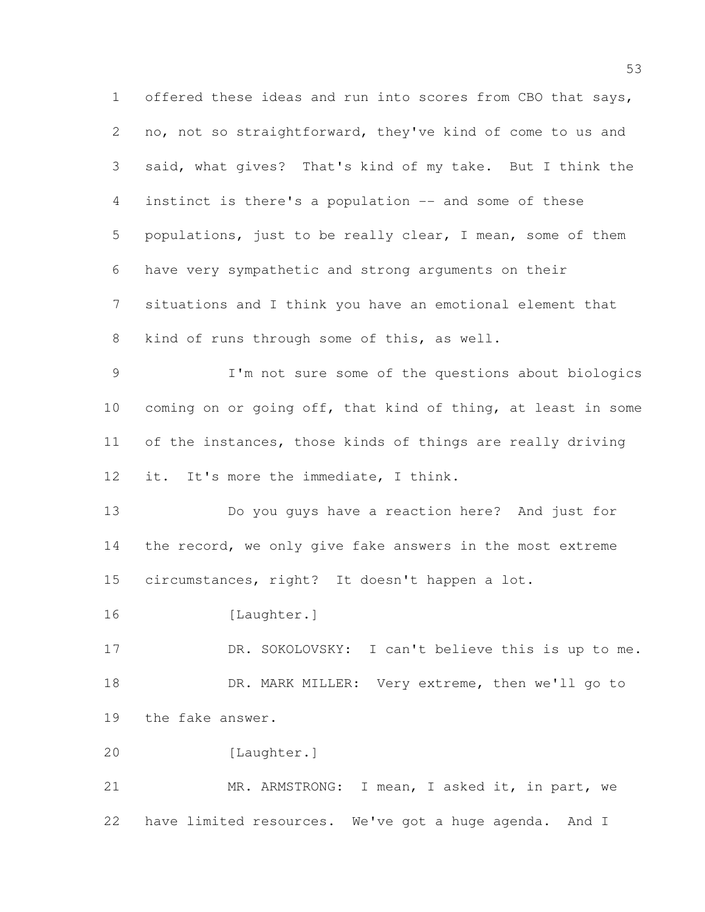offered these ideas and run into scores from CBO that says, no, not so straightforward, they've kind of come to us and said, what gives? That's kind of my take. But I think the instinct is there's a population -- and some of these populations, just to be really clear, I mean, some of them have very sympathetic and strong arguments on their situations and I think you have an emotional element that kind of runs through some of this, as well. I'm not sure some of the questions about biologics coming on or going off, that kind of thing, at least in some of the instances, those kinds of things are really driving it. It's more the immediate, I think. Do you guys have a reaction here? And just for 14 the record, we only give fake answers in the most extreme circumstances, right? It doesn't happen a lot. [Laughter.] DR. SOKOLOVSKY: I can't believe this is up to me. 18 DR. MARK MILLER: Very extreme, then we'll go to the fake answer. [Laughter.] MR. ARMSTRONG: I mean, I asked it, in part, we have limited resources. We've got a huge agenda. And I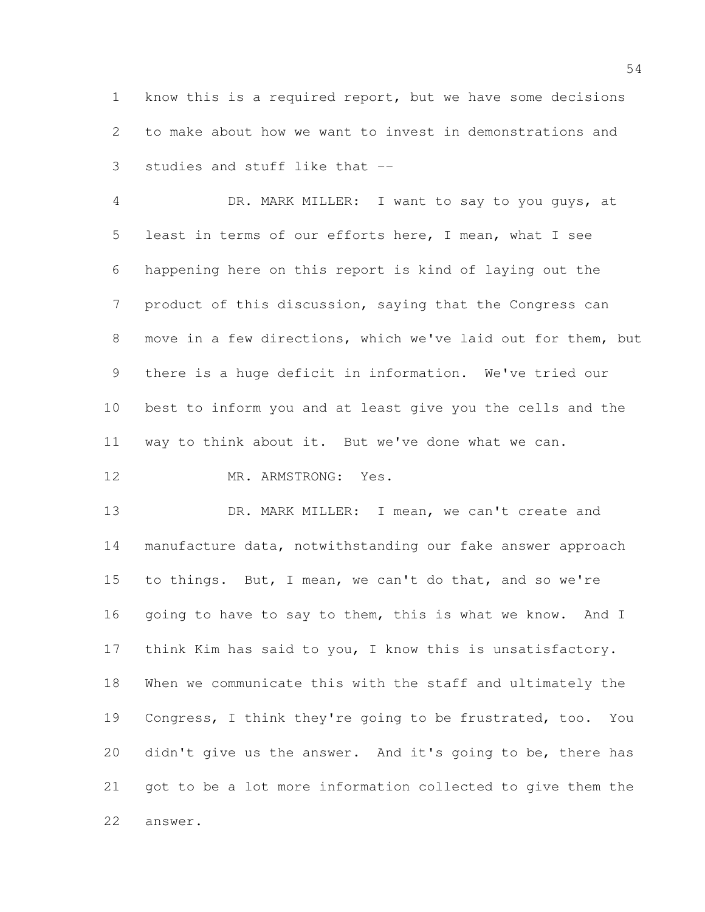know this is a required report, but we have some decisions to make about how we want to invest in demonstrations and studies and stuff like that --

 DR. MARK MILLER: I want to say to you guys, at least in terms of our efforts here, I mean, what I see happening here on this report is kind of laying out the product of this discussion, saying that the Congress can move in a few directions, which we've laid out for them, but there is a huge deficit in information. We've tried our best to inform you and at least give you the cells and the way to think about it. But we've done what we can.

12 MR. ARMSTRONG: Yes.

13 DR. MARK MILLER: I mean, we can't create and manufacture data, notwithstanding our fake answer approach to things. But, I mean, we can't do that, and so we're 16 going to have to say to them, this is what we know. And I think Kim has said to you, I know this is unsatisfactory. When we communicate this with the staff and ultimately the Congress, I think they're going to be frustrated, too. You didn't give us the answer. And it's going to be, there has got to be a lot more information collected to give them the answer.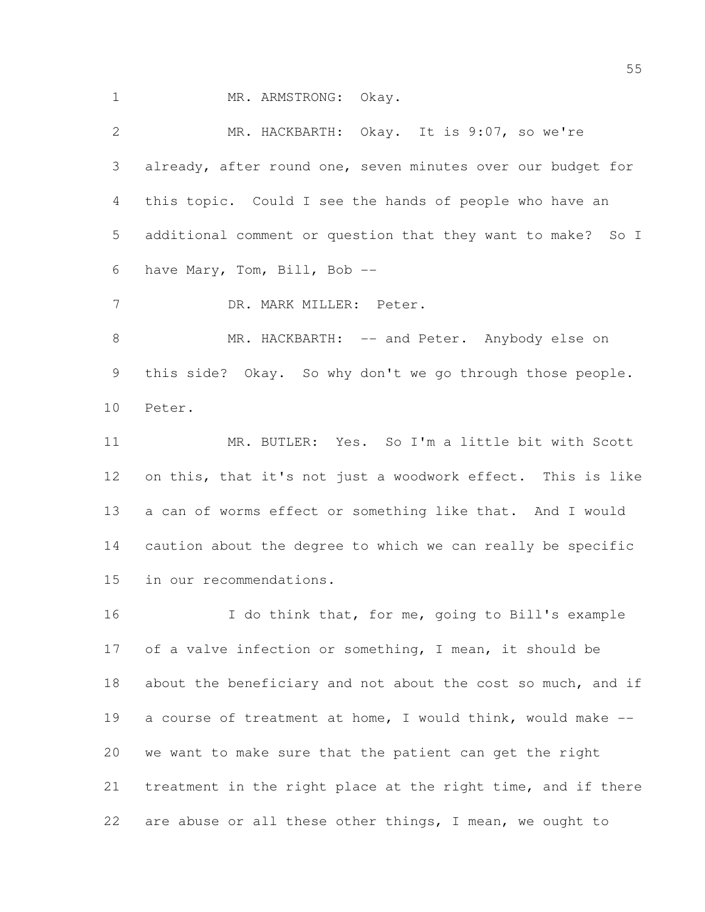1 MR. ARMSTRONG: Okay.

 MR. HACKBARTH: Okay. It is 9:07, so we're already, after round one, seven minutes over our budget for this topic. Could I see the hands of people who have an additional comment or question that they want to make? So I have Mary, Tom, Bill, Bob -- DR. MARK MILLER: Peter. 8 MR. HACKBARTH: -- and Peter. Anybody else on this side? Okay. So why don't we go through those people. Peter. MR. BUTLER: Yes. So I'm a little bit with Scott on this, that it's not just a woodwork effect. This is like a can of worms effect or something like that. And I would caution about the degree to which we can really be specific in our recommendations. 16 I do think that, for me, going to Bill's example of a valve infection or something, I mean, it should be about the beneficiary and not about the cost so much, and if a course of treatment at home, I would think, would make -- we want to make sure that the patient can get the right

treatment in the right place at the right time, and if there

are abuse or all these other things, I mean, we ought to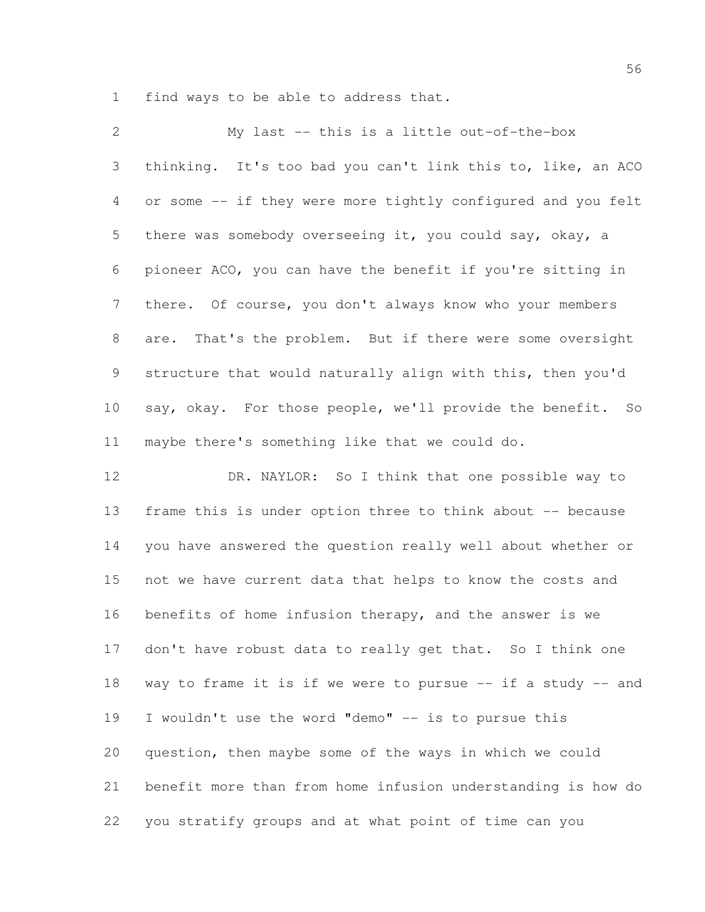find ways to be able to address that.

| $\mathbf{2}$    | My last -- this is a little out-of-the-box                   |
|-----------------|--------------------------------------------------------------|
| 3               | thinking. It's too bad you can't link this to, like, an ACO  |
| 4               | or some -- if they were more tightly configured and you felt |
| 5               | there was somebody overseeing it, you could say, okay, a     |
| 6               | pioneer ACO, you can have the benefit if you're sitting in   |
| $7\phantom{.0}$ | there. Of course, you don't always know who your members     |
| $8\,$           | That's the problem. But if there were some oversight<br>are. |
| 9               | structure that would naturally align with this, then you'd   |
| 10              | say, okay. For those people, we'll provide the benefit. So   |
| 11              | maybe there's something like that we could do.               |
| 12              | DR. NAYLOR: So I think that one possible way to              |
| 13              | frame this is under option three to think about -- because   |
| 14              | you have answered the question really well about whether or  |
| 15              | not we have current data that helps to know the costs and    |
| 16              | benefits of home infusion therapy, and the answer is we      |

 don't have robust data to really get that. So I think one way to frame it is if we were to pursue -- if a study -- and I wouldn't use the word "demo" -- is to pursue this

 question, then maybe some of the ways in which we could benefit more than from home infusion understanding is how do you stratify groups and at what point of time can you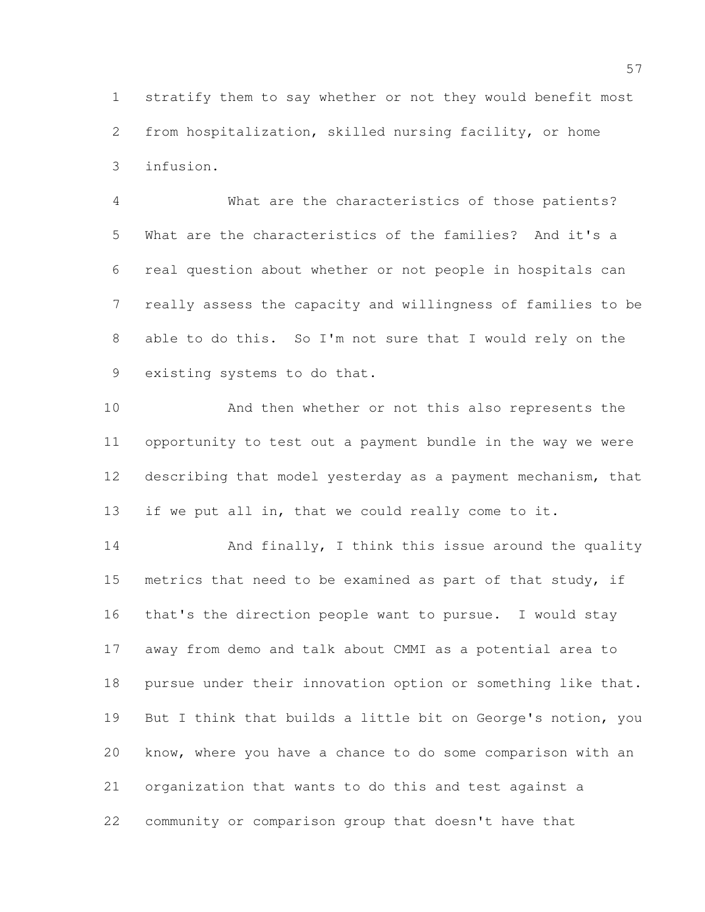stratify them to say whether or not they would benefit most from hospitalization, skilled nursing facility, or home infusion.

 What are the characteristics of those patients? What are the characteristics of the families? And it's a real question about whether or not people in hospitals can really assess the capacity and willingness of families to be able to do this. So I'm not sure that I would rely on the existing systems to do that.

 And then whether or not this also represents the opportunity to test out a payment bundle in the way we were describing that model yesterday as a payment mechanism, that if we put all in, that we could really come to it.

14 And finally, I think this issue around the quality metrics that need to be examined as part of that study, if that's the direction people want to pursue. I would stay away from demo and talk about CMMI as a potential area to pursue under their innovation option or something like that. But I think that builds a little bit on George's notion, you know, where you have a chance to do some comparison with an organization that wants to do this and test against a community or comparison group that doesn't have that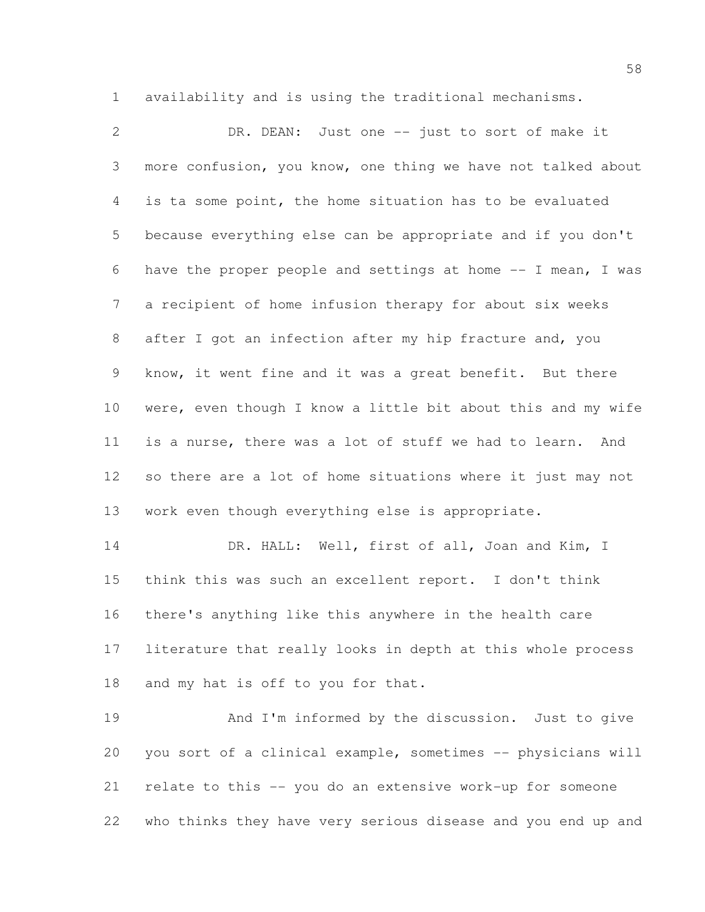availability and is using the traditional mechanisms.

 DR. DEAN: Just one -- just to sort of make it more confusion, you know, one thing we have not talked about is ta some point, the home situation has to be evaluated because everything else can be appropriate and if you don't have the proper people and settings at home -- I mean, I was a recipient of home infusion therapy for about six weeks after I got an infection after my hip fracture and, you know, it went fine and it was a great benefit. But there were, even though I know a little bit about this and my wife is a nurse, there was a lot of stuff we had to learn. And so there are a lot of home situations where it just may not work even though everything else is appropriate. 14 DR. HALL: Well, first of all, Joan and Kim, I think this was such an excellent report. I don't think

 there's anything like this anywhere in the health care literature that really looks in depth at this whole process and my hat is off to you for that.

 And I'm informed by the discussion. Just to give you sort of a clinical example, sometimes -- physicians will relate to this -- you do an extensive work-up for someone who thinks they have very serious disease and you end up and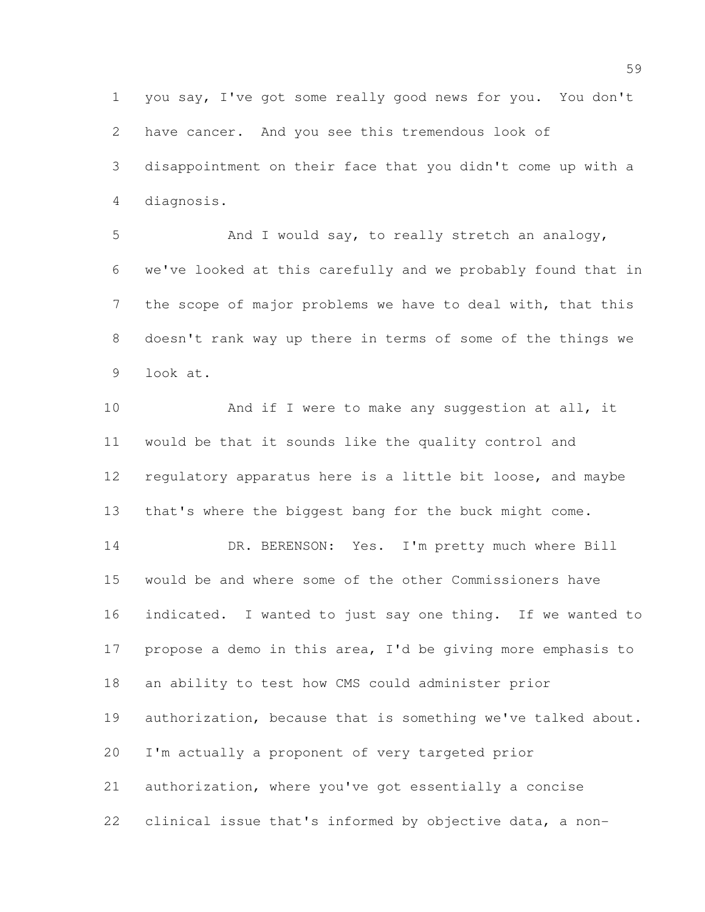you say, I've got some really good news for you. You don't have cancer. And you see this tremendous look of disappointment on their face that you didn't come up with a diagnosis.

 And I would say, to really stretch an analogy, we've looked at this carefully and we probably found that in the scope of major problems we have to deal with, that this doesn't rank way up there in terms of some of the things we look at.

10 And if I were to make any suggestion at all, it would be that it sounds like the quality control and regulatory apparatus here is a little bit loose, and maybe that's where the biggest bang for the buck might come. 14 DR. BERENSON: Yes. I'm pretty much where Bill would be and where some of the other Commissioners have indicated. I wanted to just say one thing. If we wanted to propose a demo in this area, I'd be giving more emphasis to an ability to test how CMS could administer prior authorization, because that is something we've talked about. I'm actually a proponent of very targeted prior authorization, where you've got essentially a concise clinical issue that's informed by objective data, a non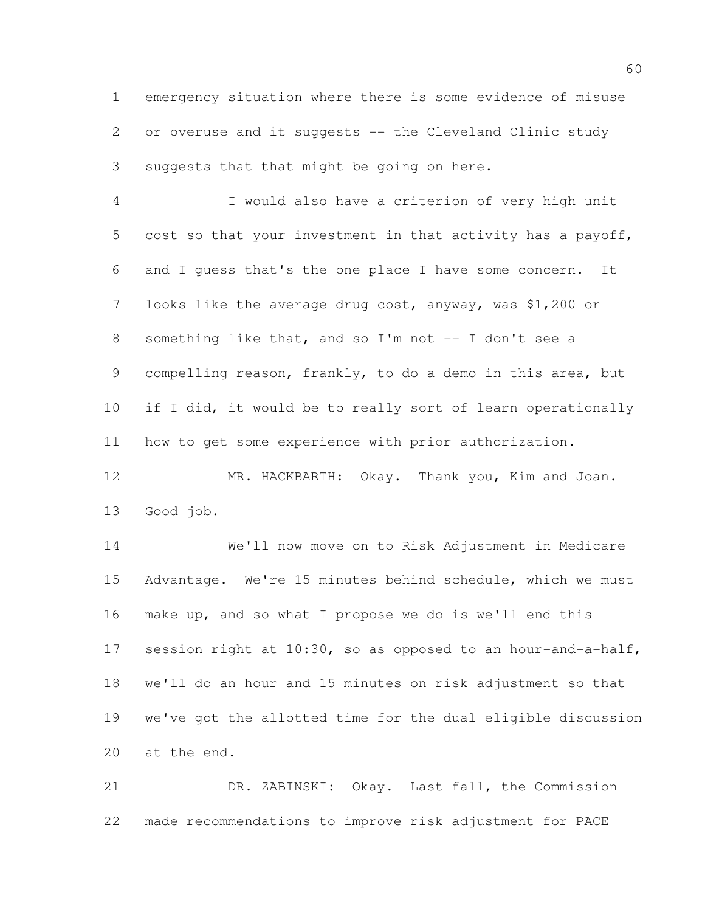emergency situation where there is some evidence of misuse or overuse and it suggests -- the Cleveland Clinic study suggests that that might be going on here.

 I would also have a criterion of very high unit cost so that your investment in that activity has a payoff, and I guess that's the one place I have some concern. It looks like the average drug cost, anyway, was \$1,200 or something like that, and so I'm not -- I don't see a compelling reason, frankly, to do a demo in this area, but if I did, it would be to really sort of learn operationally how to get some experience with prior authorization.

 MR. HACKBARTH: Okay. Thank you, Kim and Joan. Good job.

 We'll now move on to Risk Adjustment in Medicare Advantage. We're 15 minutes behind schedule, which we must make up, and so what I propose we do is we'll end this session right at 10:30, so as opposed to an hour-and-a-half, we'll do an hour and 15 minutes on risk adjustment so that we've got the allotted time for the dual eligible discussion at the end.

 DR. ZABINSKI: Okay. Last fall, the Commission made recommendations to improve risk adjustment for PACE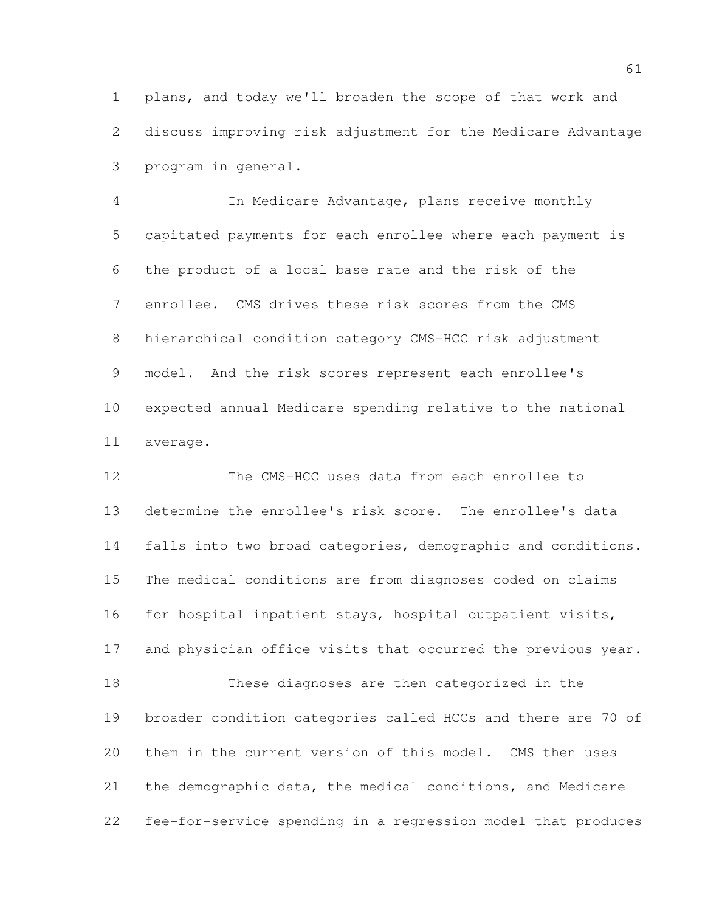plans, and today we'll broaden the scope of that work and discuss improving risk adjustment for the Medicare Advantage program in general.

 In Medicare Advantage, plans receive monthly capitated payments for each enrollee where each payment is the product of a local base rate and the risk of the enrollee. CMS drives these risk scores from the CMS hierarchical condition category CMS-HCC risk adjustment model. And the risk scores represent each enrollee's expected annual Medicare spending relative to the national average.

 The CMS-HCC uses data from each enrollee to determine the enrollee's risk score. The enrollee's data falls into two broad categories, demographic and conditions. The medical conditions are from diagnoses coded on claims for hospital inpatient stays, hospital outpatient visits, 17 and physician office visits that occurred the previous year. These diagnoses are then categorized in the broader condition categories called HCCs and there are 70 of them in the current version of this model. CMS then uses the demographic data, the medical conditions, and Medicare fee-for-service spending in a regression model that produces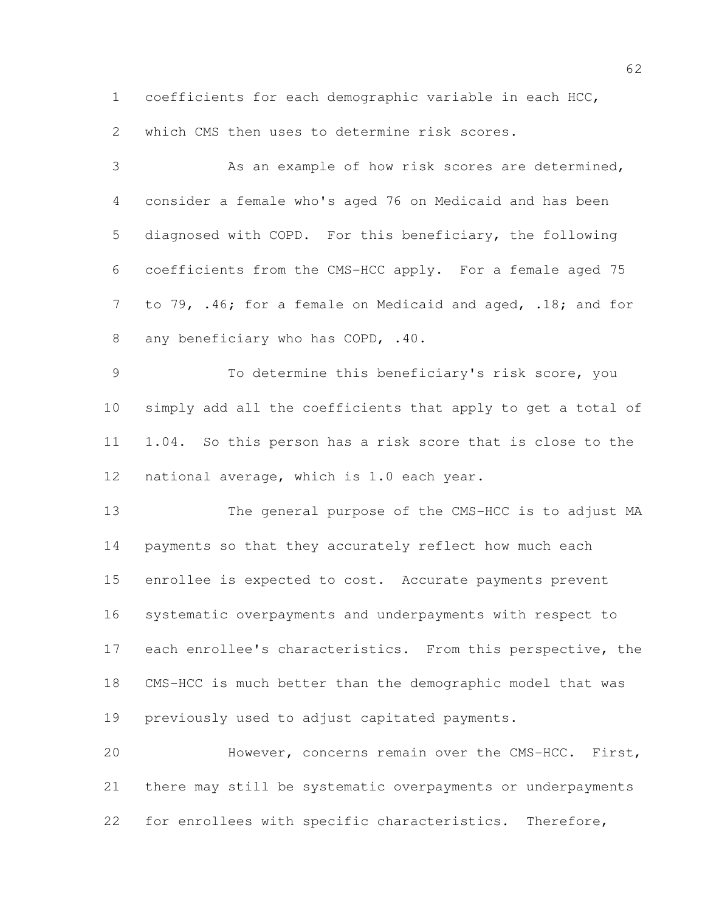coefficients for each demographic variable in each HCC,

which CMS then uses to determine risk scores.

 As an example of how risk scores are determined, consider a female who's aged 76 on Medicaid and has been diagnosed with COPD. For this beneficiary, the following coefficients from the CMS-HCC apply. For a female aged 75 to 79, .46; for a female on Medicaid and aged, .18; and for 8 any beneficiary who has COPD, .40.

 To determine this beneficiary's risk score, you simply add all the coefficients that apply to get a total of 1.04. So this person has a risk score that is close to the national average, which is 1.0 each year.

 The general purpose of the CMS-HCC is to adjust MA payments so that they accurately reflect how much each enrollee is expected to cost. Accurate payments prevent systematic overpayments and underpayments with respect to 17 each enrollee's characteristics. From this perspective, the CMS-HCC is much better than the demographic model that was previously used to adjust capitated payments.

 However, concerns remain over the CMS-HCC. First, there may still be systematic overpayments or underpayments for enrollees with specific characteristics. Therefore,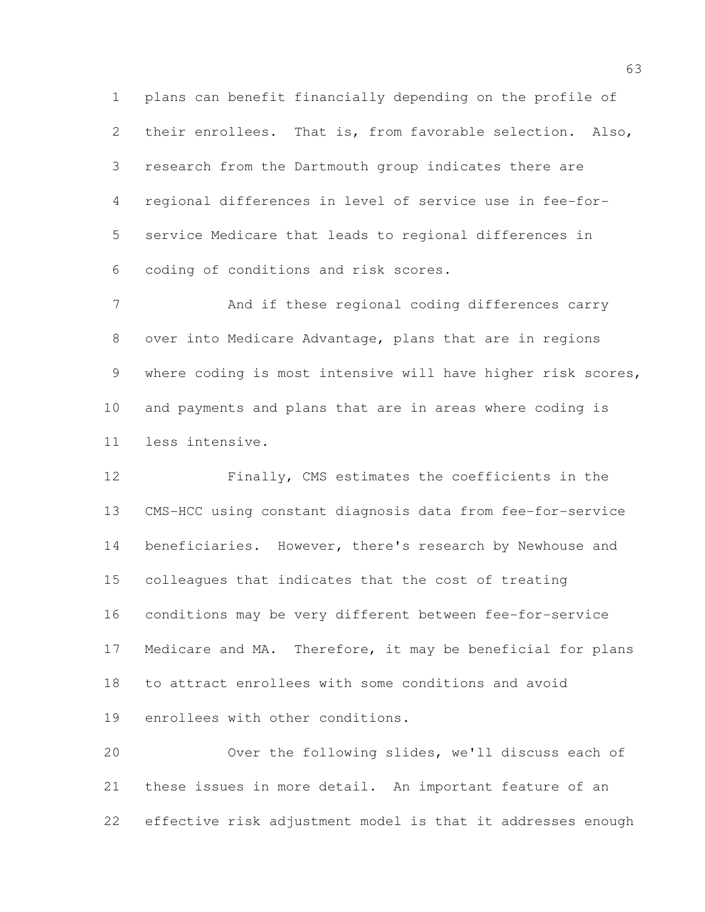plans can benefit financially depending on the profile of their enrollees. That is, from favorable selection. Also, research from the Dartmouth group indicates there are regional differences in level of service use in fee-for- service Medicare that leads to regional differences in coding of conditions and risk scores.

 And if these regional coding differences carry over into Medicare Advantage, plans that are in regions 9 where coding is most intensive will have higher risk scores, and payments and plans that are in areas where coding is less intensive.

 Finally, CMS estimates the coefficients in the CMS-HCC using constant diagnosis data from fee-for-service 14 beneficiaries. However, there's research by Newhouse and colleagues that indicates that the cost of treating conditions may be very different between fee-for-service Medicare and MA. Therefore, it may be beneficial for plans to attract enrollees with some conditions and avoid enrollees with other conditions.

 Over the following slides, we'll discuss each of these issues in more detail. An important feature of an effective risk adjustment model is that it addresses enough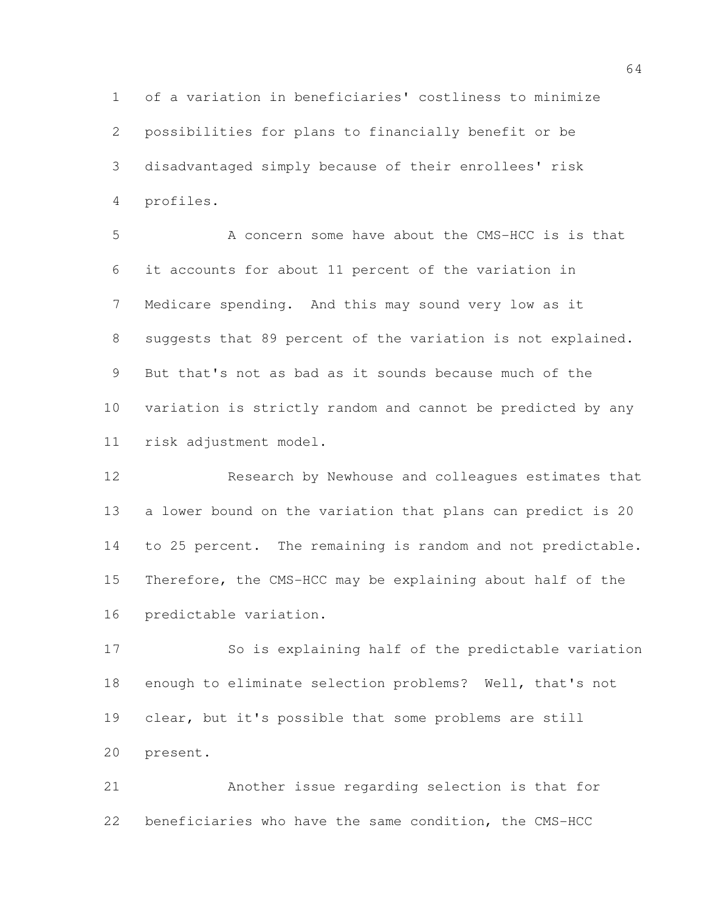of a variation in beneficiaries' costliness to minimize possibilities for plans to financially benefit or be disadvantaged simply because of their enrollees' risk profiles.

 A concern some have about the CMS-HCC is is that it accounts for about 11 percent of the variation in Medicare spending. And this may sound very low as it suggests that 89 percent of the variation is not explained. But that's not as bad as it sounds because much of the variation is strictly random and cannot be predicted by any risk adjustment model.

 Research by Newhouse and colleagues estimates that a lower bound on the variation that plans can predict is 20 to 25 percent. The remaining is random and not predictable. Therefore, the CMS-HCC may be explaining about half of the predictable variation.

 So is explaining half of the predictable variation enough to eliminate selection problems? Well, that's not clear, but it's possible that some problems are still present.

 Another issue regarding selection is that for beneficiaries who have the same condition, the CMS-HCC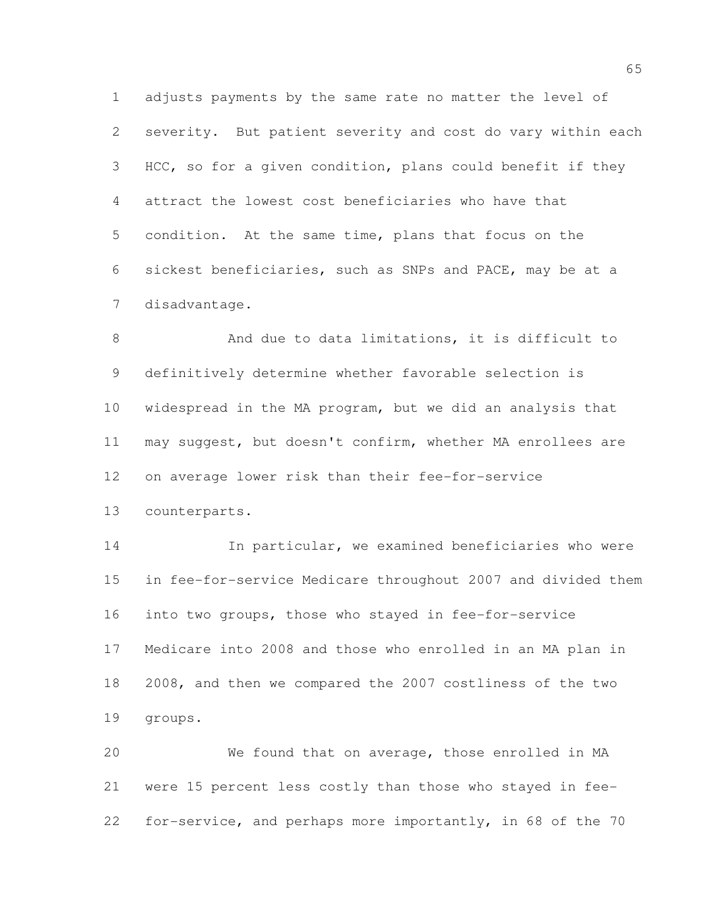adjusts payments by the same rate no matter the level of severity. But patient severity and cost do vary within each HCC, so for a given condition, plans could benefit if they attract the lowest cost beneficiaries who have that condition. At the same time, plans that focus on the sickest beneficiaries, such as SNPs and PACE, may be at a disadvantage.

 And due to data limitations, it is difficult to definitively determine whether favorable selection is widespread in the MA program, but we did an analysis that may suggest, but doesn't confirm, whether MA enrollees are on average lower risk than their fee-for-service

counterparts.

 In particular, we examined beneficiaries who were in fee-for-service Medicare throughout 2007 and divided them into two groups, those who stayed in fee-for-service Medicare into 2008 and those who enrolled in an MA plan in 2008, and then we compared the 2007 costliness of the two groups.

 We found that on average, those enrolled in MA were 15 percent less costly than those who stayed in fee-for-service, and perhaps more importantly, in 68 of the 70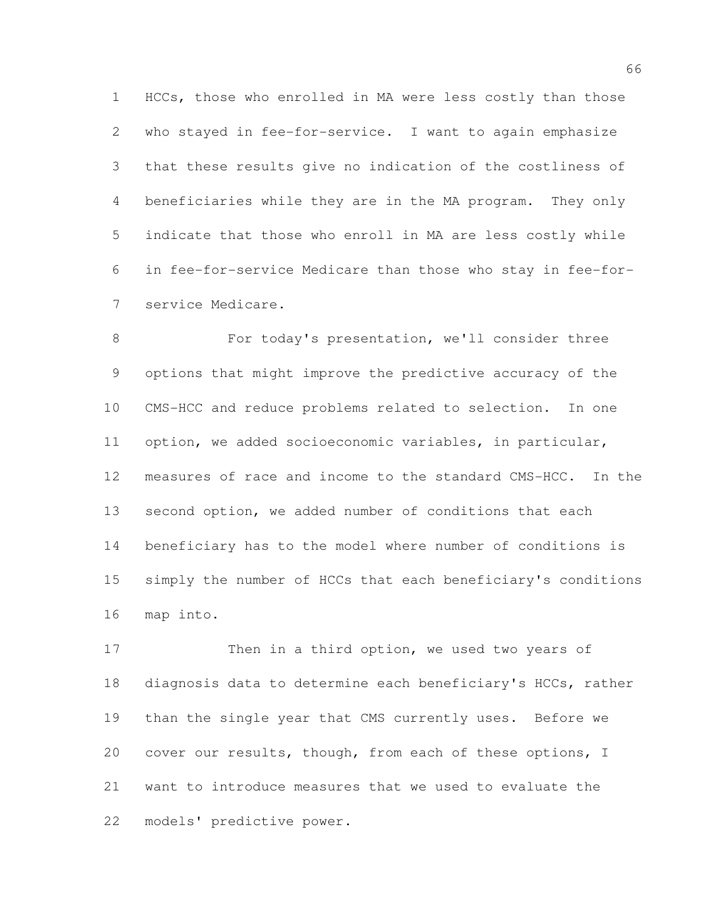HCCs, those who enrolled in MA were less costly than those who stayed in fee-for-service. I want to again emphasize that these results give no indication of the costliness of beneficiaries while they are in the MA program. They only indicate that those who enroll in MA are less costly while in fee-for-service Medicare than those who stay in fee-for-service Medicare.

 For today's presentation, we'll consider three options that might improve the predictive accuracy of the CMS-HCC and reduce problems related to selection. In one option, we added socioeconomic variables, in particular, measures of race and income to the standard CMS-HCC. In the second option, we added number of conditions that each beneficiary has to the model where number of conditions is simply the number of HCCs that each beneficiary's conditions map into.

17 Then in a third option, we used two years of diagnosis data to determine each beneficiary's HCCs, rather than the single year that CMS currently uses. Before we cover our results, though, from each of these options, I want to introduce measures that we used to evaluate the models' predictive power.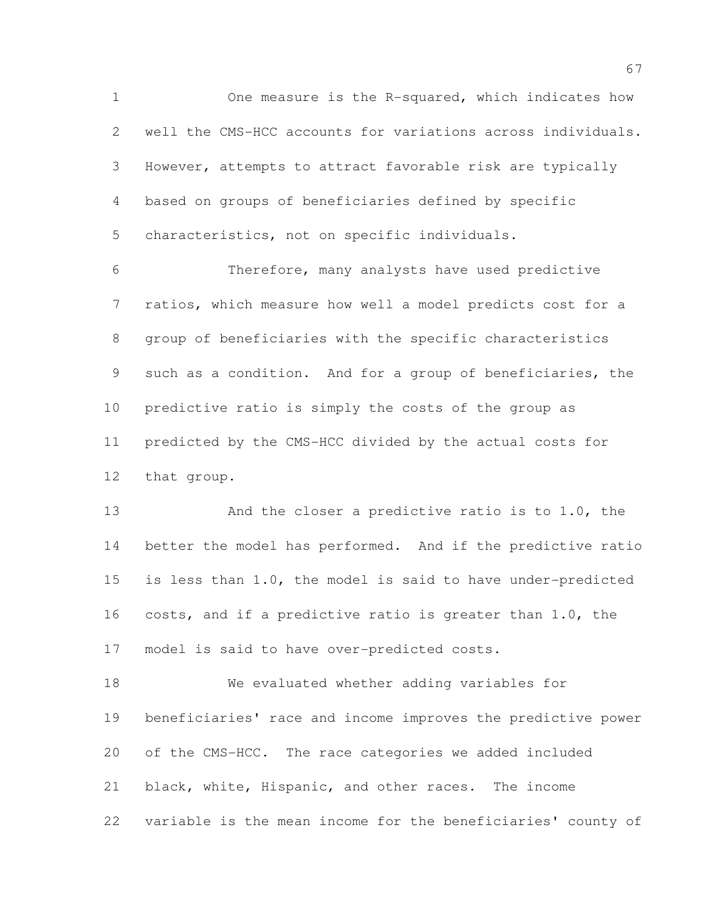One measure is the R-squared, which indicates how well the CMS-HCC accounts for variations across individuals. However, attempts to attract favorable risk are typically based on groups of beneficiaries defined by specific characteristics, not on specific individuals.

 Therefore, many analysts have used predictive ratios, which measure how well a model predicts cost for a group of beneficiaries with the specific characteristics such as a condition. And for a group of beneficiaries, the predictive ratio is simply the costs of the group as predicted by the CMS-HCC divided by the actual costs for that group.

 And the closer a predictive ratio is to 1.0, the better the model has performed. And if the predictive ratio is less than 1.0, the model is said to have under-predicted costs, and if a predictive ratio is greater than 1.0, the model is said to have over-predicted costs.

 We evaluated whether adding variables for beneficiaries' race and income improves the predictive power of the CMS-HCC. The race categories we added included black, white, Hispanic, and other races. The income variable is the mean income for the beneficiaries' county of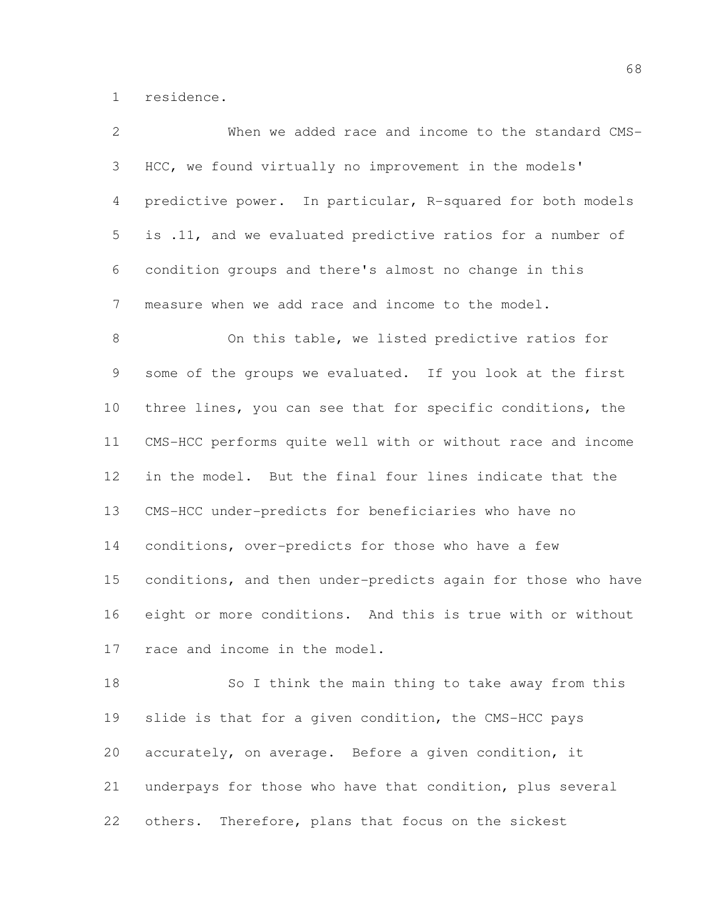residence.

| 2             | When we added race and income to the standard CMS-           |
|---------------|--------------------------------------------------------------|
| 3             | HCC, we found virtually no improvement in the models'        |
| 4             | predictive power. In particular, R-squared for both models   |
| 5             | is .11, and we evaluated predictive ratios for a number of   |
| 6             | condition groups and there's almost no change in this        |
| 7             | measure when we add race and income to the model.            |
| $8\,$         | On this table, we listed predictive ratios for               |
| $\mathcal{G}$ | some of the groups we evaluated. If you look at the first    |
| 10            | three lines, you can see that for specific conditions, the   |
| 11            | CMS-HCC performs quite well with or without race and income  |
| 12            | in the model. But the final four lines indicate that the     |
| 13            | CMS-HCC under-predicts for beneficiaries who have no         |
| 14            | conditions, over-predicts for those who have a few           |
| 15            | conditions, and then under-predicts again for those who have |
| 16            | eight or more conditions. And this is true with or without   |
| 17            | race and income in the model.                                |
| 18            | So I think the main thing to take away from this             |
| 19            | slide is that for a given condition, the CMS-HCC pays        |
| 20            | accurately, on average. Before a given condition, it         |
| 21            | underpays for those who have that condition, plus several    |

others. Therefore, plans that focus on the sickest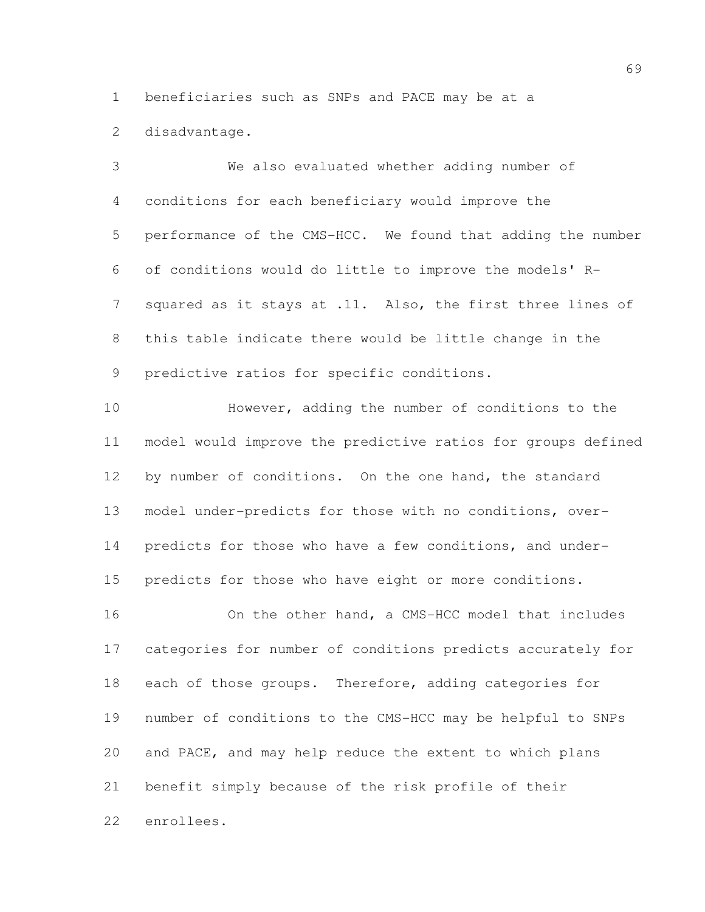beneficiaries such as SNPs and PACE may be at a

disadvantage.

 We also evaluated whether adding number of conditions for each beneficiary would improve the performance of the CMS-HCC. We found that adding the number of conditions would do little to improve the models' R-7 squared as it stays at .11. Also, the first three lines of this table indicate there would be little change in the predictive ratios for specific conditions.

 However, adding the number of conditions to the model would improve the predictive ratios for groups defined 12 by number of conditions. On the one hand, the standard model under-predicts for those with no conditions, over- predicts for those who have a few conditions, and under-predicts for those who have eight or more conditions.

 On the other hand, a CMS-HCC model that includes categories for number of conditions predicts accurately for 18 each of those groups. Therefore, adding categories for number of conditions to the CMS-HCC may be helpful to SNPs and PACE, and may help reduce the extent to which plans benefit simply because of the risk profile of their enrollees.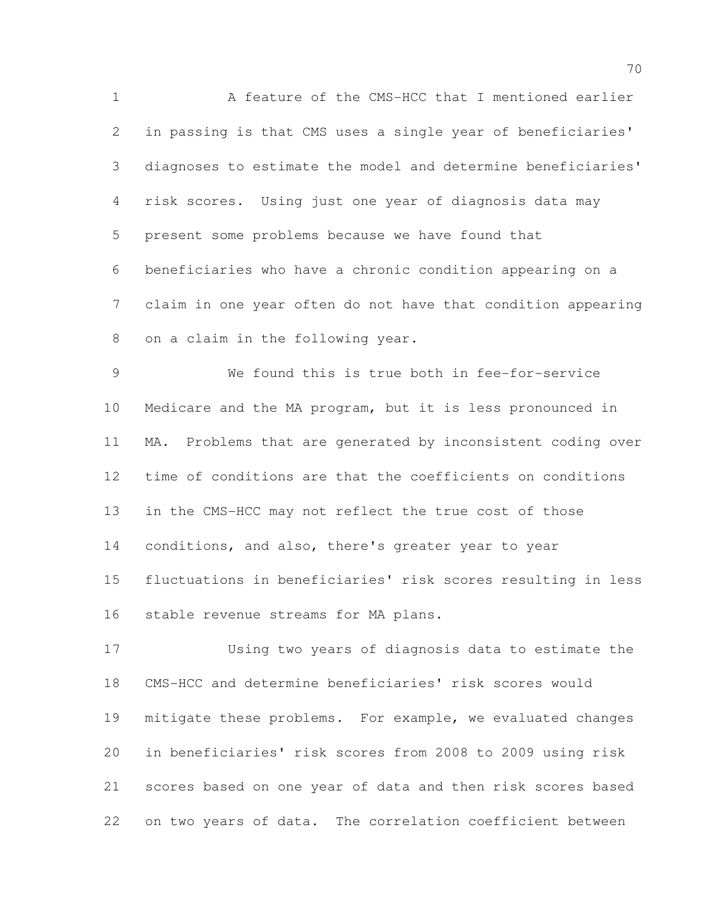A feature of the CMS-HCC that I mentioned earlier in passing is that CMS uses a single year of beneficiaries' diagnoses to estimate the model and determine beneficiaries' risk scores. Using just one year of diagnosis data may present some problems because we have found that beneficiaries who have a chronic condition appearing on a claim in one year often do not have that condition appearing on a claim in the following year.

 We found this is true both in fee-for-service Medicare and the MA program, but it is less pronounced in MA. Problems that are generated by inconsistent coding over time of conditions are that the coefficients on conditions in the CMS-HCC may not reflect the true cost of those conditions, and also, there's greater year to year fluctuations in beneficiaries' risk scores resulting in less stable revenue streams for MA plans.

 Using two years of diagnosis data to estimate the CMS-HCC and determine beneficiaries' risk scores would mitigate these problems. For example, we evaluated changes in beneficiaries' risk scores from 2008 to 2009 using risk scores based on one year of data and then risk scores based on two years of data. The correlation coefficient between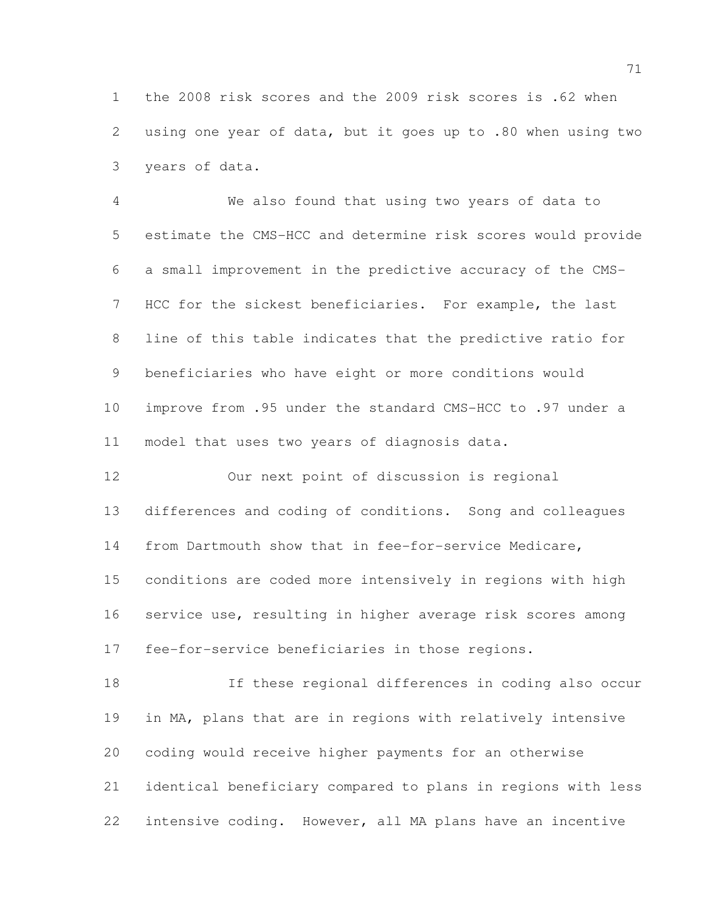the 2008 risk scores and the 2009 risk scores is .62 when using one year of data, but it goes up to .80 when using two years of data.

 We also found that using two years of data to estimate the CMS-HCC and determine risk scores would provide a small improvement in the predictive accuracy of the CMS- HCC for the sickest beneficiaries. For example, the last line of this table indicates that the predictive ratio for beneficiaries who have eight or more conditions would improve from .95 under the standard CMS-HCC to .97 under a model that uses two years of diagnosis data.

 Our next point of discussion is regional differences and coding of conditions. Song and colleagues from Dartmouth show that in fee-for-service Medicare, conditions are coded more intensively in regions with high service use, resulting in higher average risk scores among fee-for-service beneficiaries in those regions.

 If these regional differences in coding also occur in MA, plans that are in regions with relatively intensive coding would receive higher payments for an otherwise identical beneficiary compared to plans in regions with less intensive coding. However, all MA plans have an incentive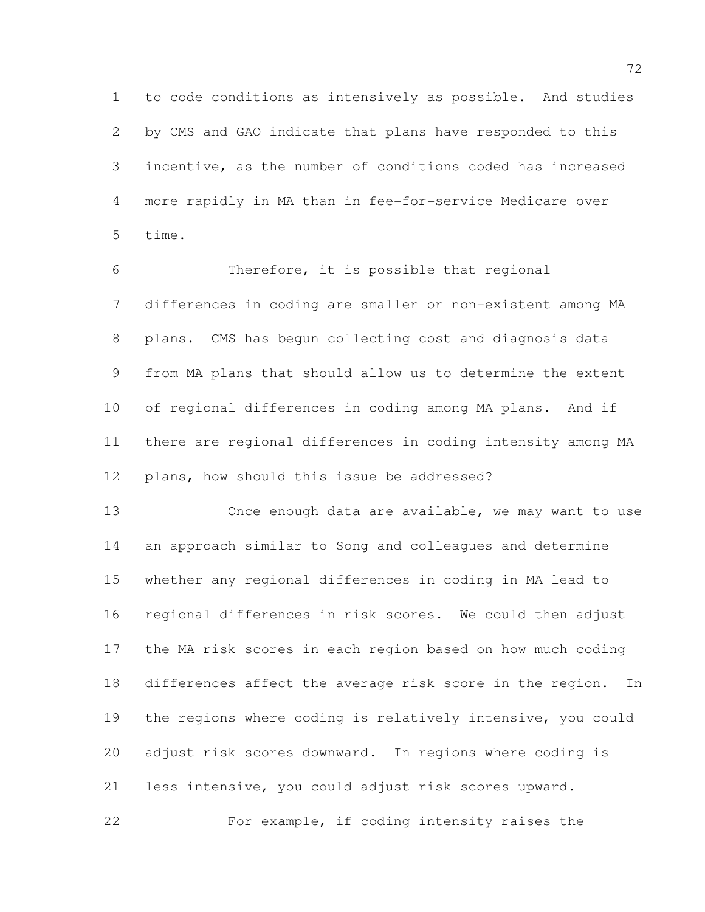to code conditions as intensively as possible. And studies by CMS and GAO indicate that plans have responded to this incentive, as the number of conditions coded has increased more rapidly in MA than in fee-for-service Medicare over time.

 Therefore, it is possible that regional differences in coding are smaller or non-existent among MA plans. CMS has begun collecting cost and diagnosis data from MA plans that should allow us to determine the extent of regional differences in coding among MA plans. And if there are regional differences in coding intensity among MA plans, how should this issue be addressed?

 Once enough data are available, we may want to use an approach similar to Song and colleagues and determine whether any regional differences in coding in MA lead to regional differences in risk scores. We could then adjust the MA risk scores in each region based on how much coding differences affect the average risk score in the region. In the regions where coding is relatively intensive, you could adjust risk scores downward. In regions where coding is less intensive, you could adjust risk scores upward. For example, if coding intensity raises the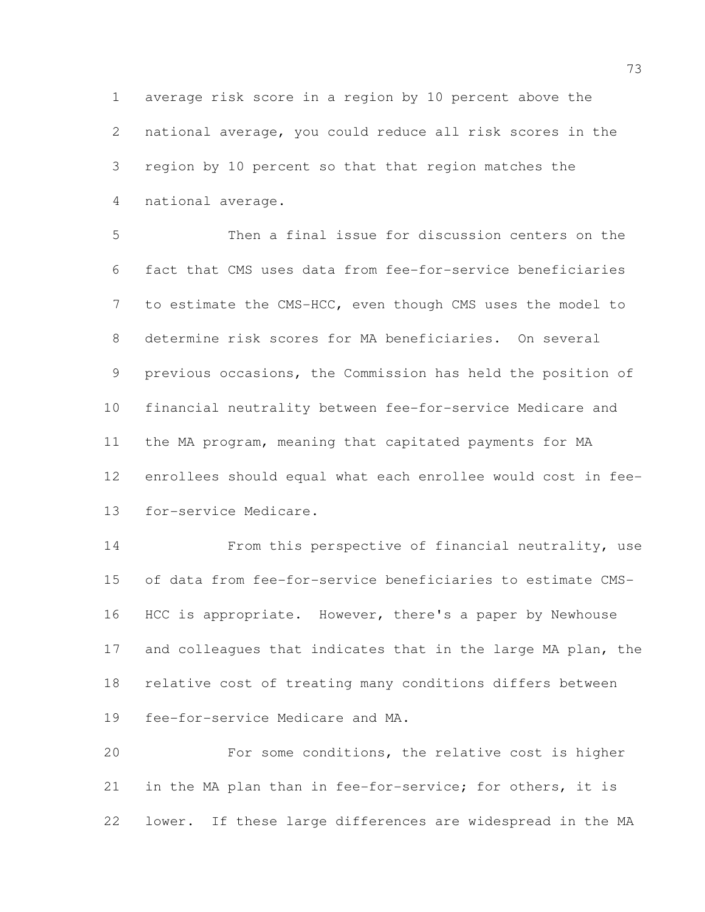average risk score in a region by 10 percent above the national average, you could reduce all risk scores in the region by 10 percent so that that region matches the national average.

 Then a final issue for discussion centers on the fact that CMS uses data from fee-for-service beneficiaries to estimate the CMS-HCC, even though CMS uses the model to determine risk scores for MA beneficiaries. On several previous occasions, the Commission has held the position of financial neutrality between fee-for-service Medicare and the MA program, meaning that capitated payments for MA enrollees should equal what each enrollee would cost in fee-for-service Medicare.

 From this perspective of financial neutrality, use of data from fee-for-service beneficiaries to estimate CMS-16 HCC is appropriate. However, there's a paper by Newhouse 17 and colleagues that indicates that in the large MA plan, the relative cost of treating many conditions differs between fee-for-service Medicare and MA.

 For some conditions, the relative cost is higher in the MA plan than in fee-for-service; for others, it is lower. If these large differences are widespread in the MA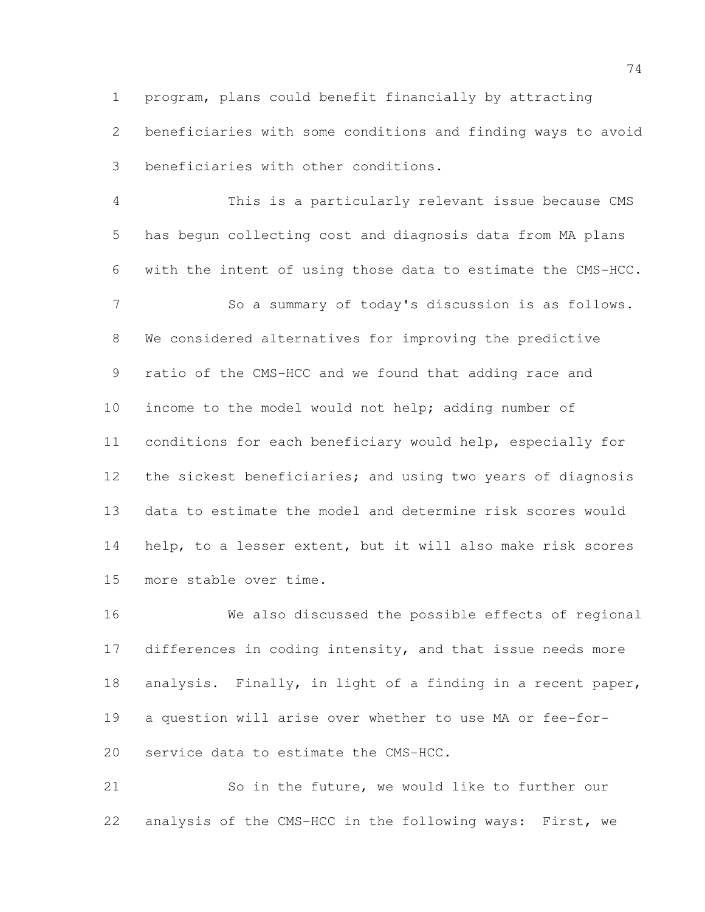program, plans could benefit financially by attracting beneficiaries with some conditions and finding ways to avoid beneficiaries with other conditions.

 This is a particularly relevant issue because CMS has begun collecting cost and diagnosis data from MA plans with the intent of using those data to estimate the CMS-HCC. So a summary of today's discussion is as follows. We considered alternatives for improving the predictive ratio of the CMS-HCC and we found that adding race and income to the model would not help; adding number of conditions for each beneficiary would help, especially for 12 the sickest beneficiaries; and using two years of diagnosis data to estimate the model and determine risk scores would help, to a lesser extent, but it will also make risk scores more stable over time.

 We also discussed the possible effects of regional 17 differences in coding intensity, and that issue needs more analysis. Finally, in light of a finding in a recent paper, a question will arise over whether to use MA or fee-for-service data to estimate the CMS-HCC.

 So in the future, we would like to further our analysis of the CMS-HCC in the following ways: First, we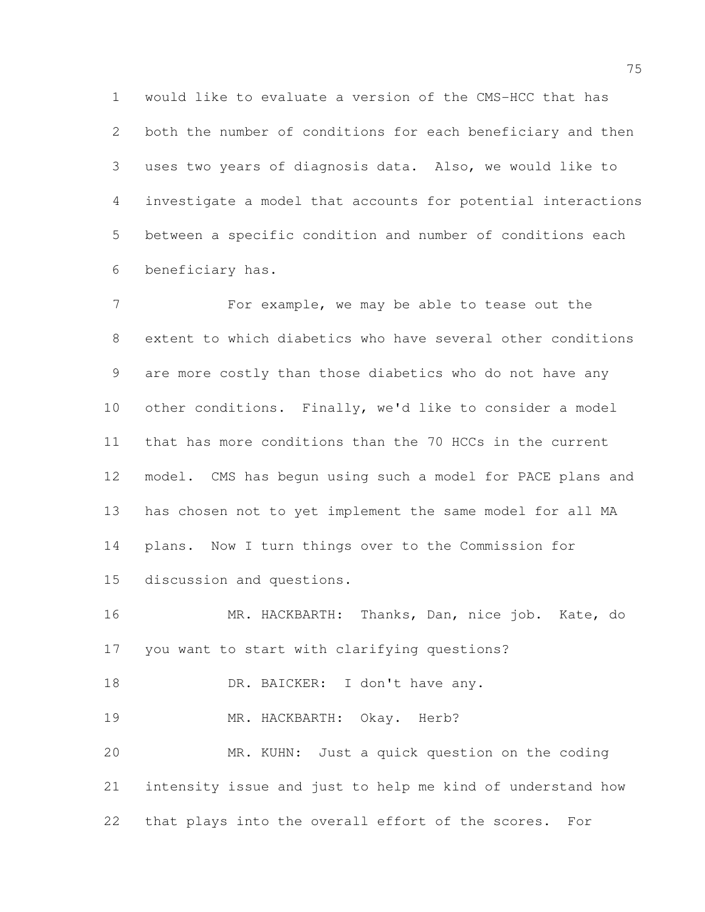would like to evaluate a version of the CMS-HCC that has both the number of conditions for each beneficiary and then uses two years of diagnosis data. Also, we would like to investigate a model that accounts for potential interactions between a specific condition and number of conditions each beneficiary has.

 For example, we may be able to tease out the extent to which diabetics who have several other conditions are more costly than those diabetics who do not have any other conditions. Finally, we'd like to consider a model that has more conditions than the 70 HCCs in the current model. CMS has begun using such a model for PACE plans and has chosen not to yet implement the same model for all MA plans. Now I turn things over to the Commission for discussion and questions.

 MR. HACKBARTH: Thanks, Dan, nice job. Kate, do you want to start with clarifying questions?

18 DR. BAICKER: I don't have any.

19 MR. HACKBARTH: Okay. Herb?

 MR. KUHN: Just a quick question on the coding intensity issue and just to help me kind of understand how that plays into the overall effort of the scores. For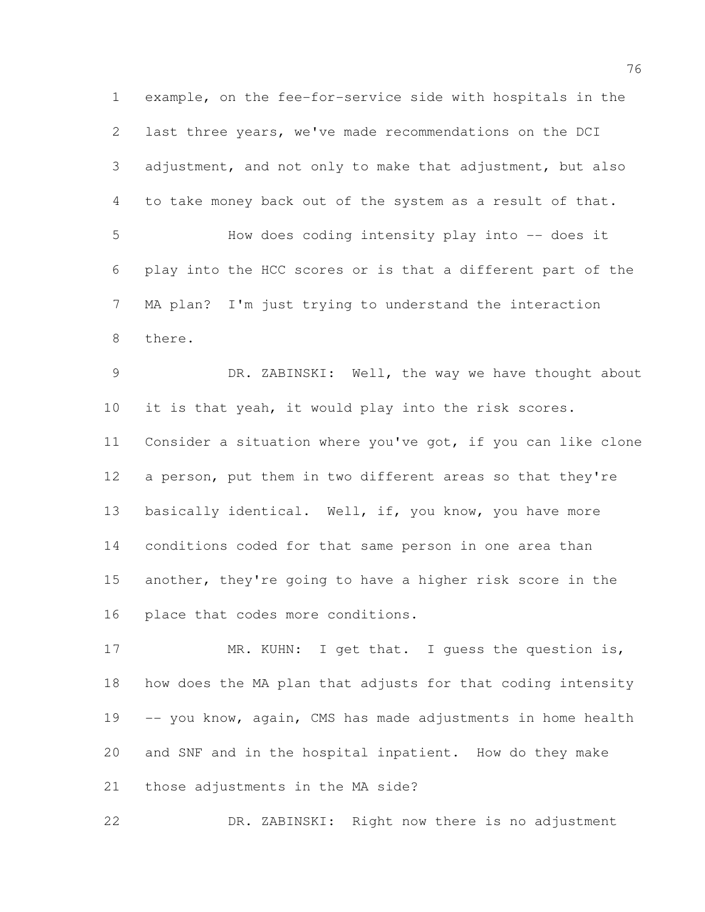example, on the fee-for-service side with hospitals in the last three years, we've made recommendations on the DCI adjustment, and not only to make that adjustment, but also to take money back out of the system as a result of that. How does coding intensity play into -- does it play into the HCC scores or is that a different part of the MA plan? I'm just trying to understand the interaction there. DR. ZABINSKI: Well, the way we have thought about it is that yeah, it would play into the risk scores. Consider a situation where you've got, if you can like clone a person, put them in two different areas so that they're 13 basically identical. Well, if, you know, you have more conditions coded for that same person in one area than another, they're going to have a higher risk score in the place that codes more conditions. 17 MR. KUHN: I get that. I guess the question is,

 how does the MA plan that adjusts for that coding intensity 19 -- you know, again, CMS has made adjustments in home health and SNF and in the hospital inpatient. How do they make those adjustments in the MA side?

DR. ZABINSKI: Right now there is no adjustment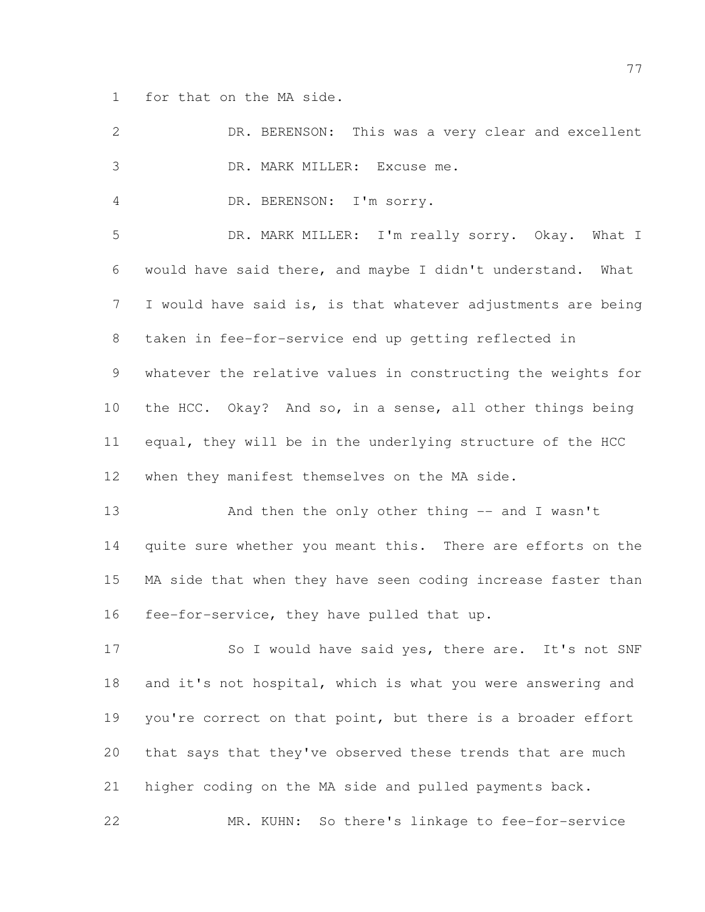for that on the MA side.

| 2               | DR. BERENSON: This was a very clear and excellent            |
|-----------------|--------------------------------------------------------------|
| 3               | DR. MARK MILLER: Excuse me.                                  |
| 4               | DR. BERENSON: I'm sorry.                                     |
| 5               | DR. MARK MILLER: I'm really sorry. Okay. What I              |
| 6               | would have said there, and maybe I didn't understand. What   |
| $7\phantom{.0}$ | I would have said is, is that whatever adjustments are being |
| 8               | taken in fee-for-service end up getting reflected in         |
| 9               | whatever the relative values in constructing the weights for |
| 10              | the HCC. Okay? And so, in a sense, all other things being    |
| 11              | equal, they will be in the underlying structure of the HCC   |
| 12              | when they manifest themselves on the MA side.                |
| 13              | And then the only other thing $-$ and I wasn't               |
| 14              | quite sure whether you meant this. There are efforts on the  |
| 15              | MA side that when they have seen coding increase faster than |
| 16              | fee-for-service, they have pulled that up.                   |
| 17              | So I would have said yes, there are. It's not SNF            |
| 18              | and it's not hospital, which is what you were answering and  |
| 19              | you're correct on that point, but there is a broader effort  |
| 20              | that says that they've observed these trends that are much   |
| 21              | higher coding on the MA side and pulled payments back.       |
| 22              | So there's linkage to fee-for-service<br>MR. KUHN:           |
|                 |                                                              |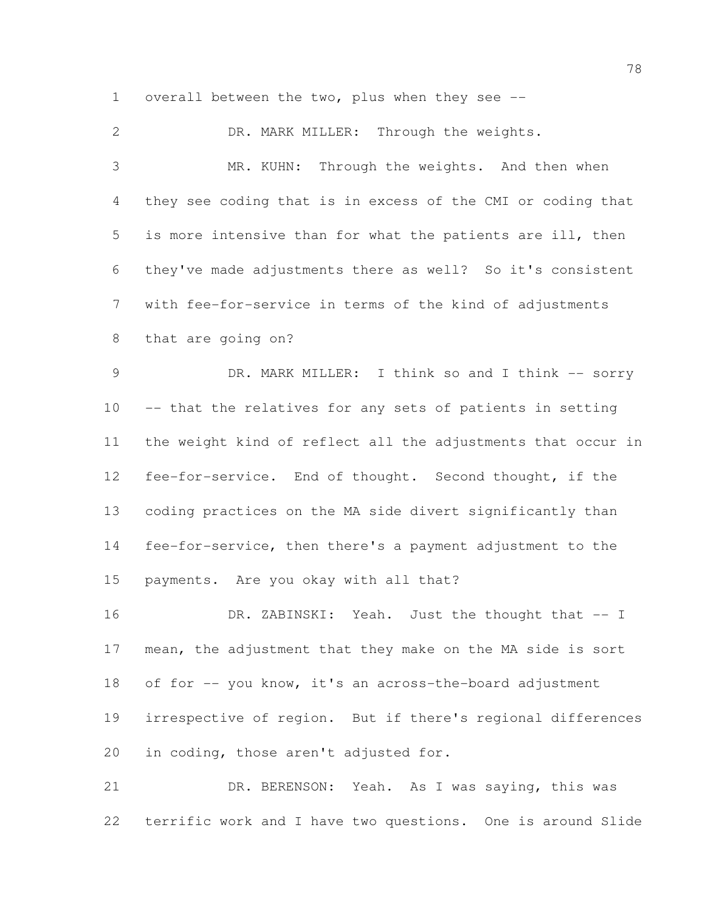overall between the two, plus when they see --

 DR. MARK MILLER: Through the weights. MR. KUHN: Through the weights. And then when they see coding that is in excess of the CMI or coding that is more intensive than for what the patients are ill, then they've made adjustments there as well? So it's consistent with fee-for-service in terms of the kind of adjustments that are going on? 9 DR. MARK MILLER: I think so and I think -- sorry -- that the relatives for any sets of patients in setting the weight kind of reflect all the adjustments that occur in fee-for-service. End of thought. Second thought, if the coding practices on the MA side divert significantly than fee-for-service, then there's a payment adjustment to the payments. Are you okay with all that? 16 DR. ZABINSKI: Yeah. Just the thought that -- I mean, the adjustment that they make on the MA side is sort of for -- you know, it's an across-the-board adjustment irrespective of region. But if there's regional differences in coding, those aren't adjusted for. DR. BERENSON: Yeah. As I was saying, this was

terrific work and I have two questions. One is around Slide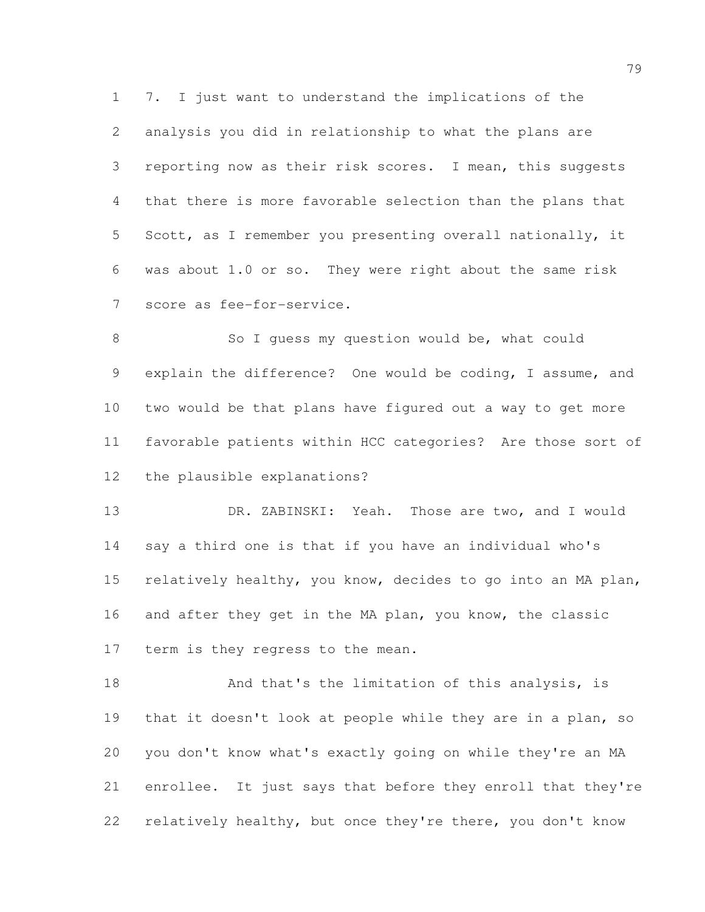7. I just want to understand the implications of the analysis you did in relationship to what the plans are reporting now as their risk scores. I mean, this suggests that there is more favorable selection than the plans that Scott, as I remember you presenting overall nationally, it was about 1.0 or so. They were right about the same risk score as fee-for-service.

8 So I guess my question would be, what could explain the difference? One would be coding, I assume, and two would be that plans have figured out a way to get more favorable patients within HCC categories? Are those sort of the plausible explanations?

 DR. ZABINSKI: Yeah. Those are two, and I would say a third one is that if you have an individual who's relatively healthy, you know, decides to go into an MA plan, and after they get in the MA plan, you know, the classic term is they regress to the mean.

18 And that's the limitation of this analysis, is that it doesn't look at people while they are in a plan, so you don't know what's exactly going on while they're an MA enrollee. It just says that before they enroll that they're relatively healthy, but once they're there, you don't know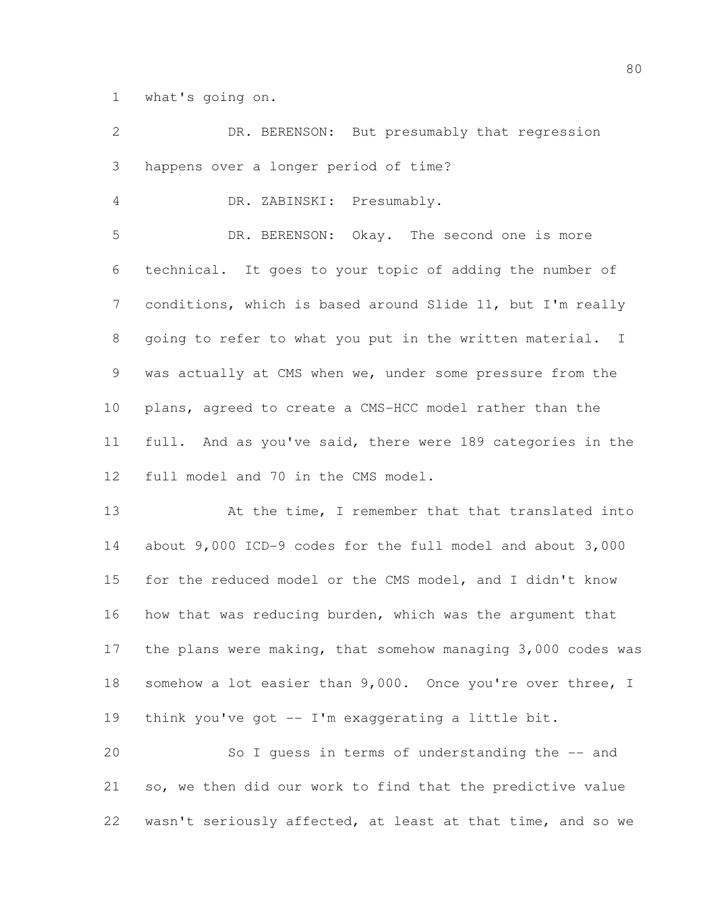what's going on.

 DR. BERENSON: But presumably that regression happens over a longer period of time? DR. ZABINSKI: Presumably. DR. BERENSON: Okay. The second one is more technical. It goes to your topic of adding the number of conditions, which is based around Slide 11, but I'm really going to refer to what you put in the written material. I was actually at CMS when we, under some pressure from the plans, agreed to create a CMS-HCC model rather than the full. And as you've said, there were 189 categories in the full model and 70 in the CMS model. 13 At the time, I remember that that translated into about 9,000 ICD-9 codes for the full model and about 3,000 for the reduced model or the CMS model, and I didn't know how that was reducing burden, which was the argument that the plans were making, that somehow managing 3,000 codes was 18 somehow a lot easier than 9,000. Once you're over three, I think you've got -- I'm exaggerating a little bit. So I guess in terms of understanding the -- and so, we then did our work to find that the predictive value

wasn't seriously affected, at least at that time, and so we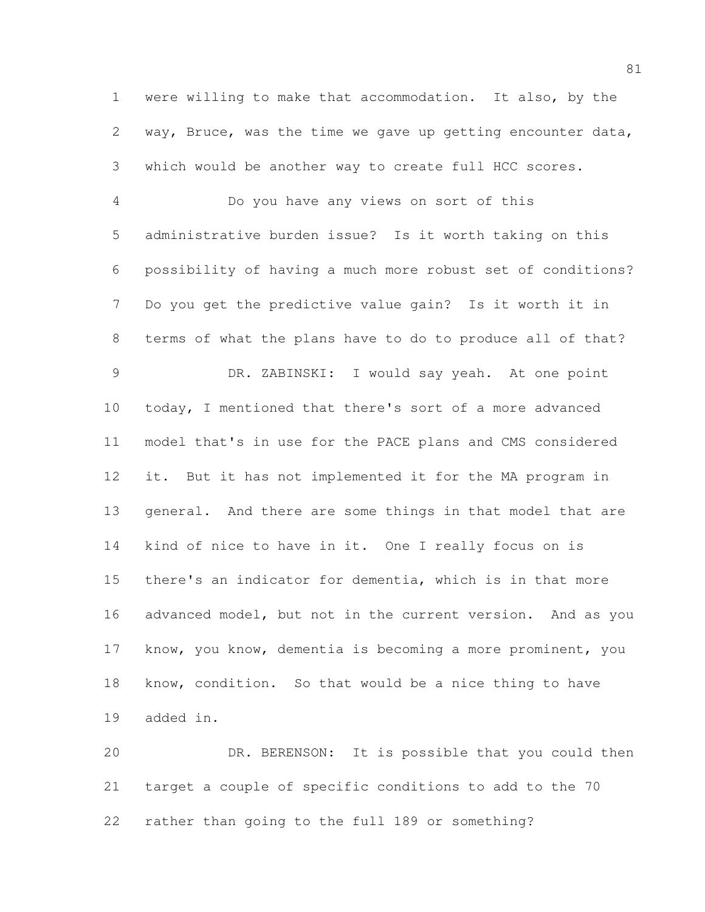were willing to make that accommodation. It also, by the way, Bruce, was the time we gave up getting encounter data, which would be another way to create full HCC scores.

 Do you have any views on sort of this administrative burden issue? Is it worth taking on this possibility of having a much more robust set of conditions? Do you get the predictive value gain? Is it worth it in terms of what the plans have to do to produce all of that? DR. ZABINSKI: I would say yeah. At one point today, I mentioned that there's sort of a more advanced model that's in use for the PACE plans and CMS considered it. But it has not implemented it for the MA program in general. And there are some things in that model that are kind of nice to have in it. One I really focus on is there's an indicator for dementia, which is in that more advanced model, but not in the current version. And as you know, you know, dementia is becoming a more prominent, you know, condition. So that would be a nice thing to have added in.

 DR. BERENSON: It is possible that you could then target a couple of specific conditions to add to the 70 rather than going to the full 189 or something?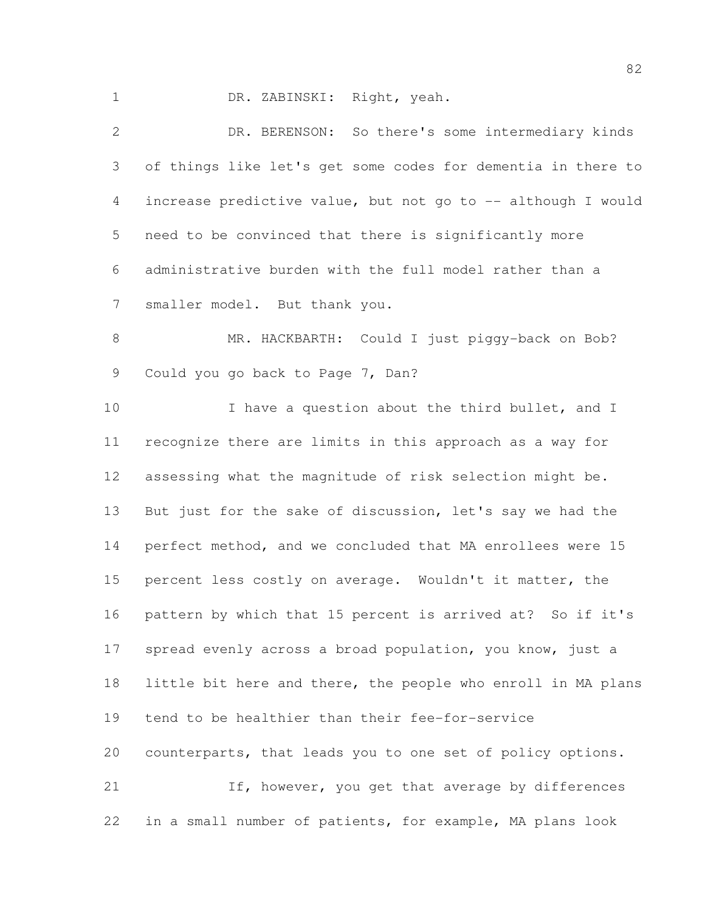DR. ZABINSKI: Right, yeah.

 DR. BERENSON: So there's some intermediary kinds of things like let's get some codes for dementia in there to increase predictive value, but not go to -- although I would need to be convinced that there is significantly more administrative burden with the full model rather than a smaller model. But thank you.

8 MR. HACKBARTH: Could I just piggy-back on Bob? Could you go back to Page 7, Dan?

10 I have a question about the third bullet, and I recognize there are limits in this approach as a way for assessing what the magnitude of risk selection might be. But just for the sake of discussion, let's say we had the perfect method, and we concluded that MA enrollees were 15 percent less costly on average. Wouldn't it matter, the pattern by which that 15 percent is arrived at? So if it's spread evenly across a broad population, you know, just a little bit here and there, the people who enroll in MA plans tend to be healthier than their fee-for-service counterparts, that leads you to one set of policy options. 21 If, however, you get that average by differences

in a small number of patients, for example, MA plans look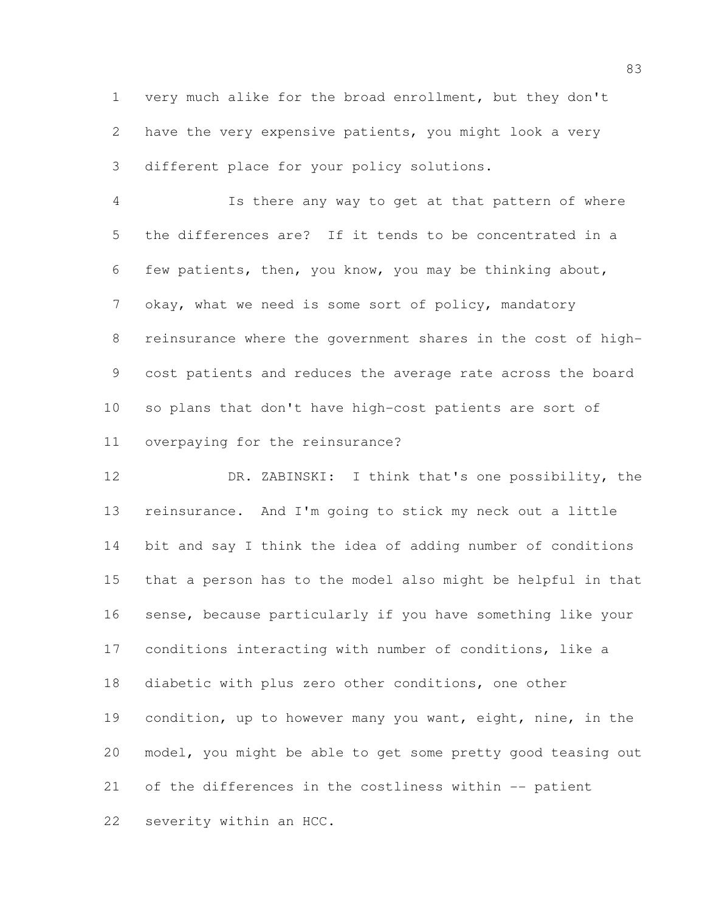very much alike for the broad enrollment, but they don't have the very expensive patients, you might look a very different place for your policy solutions.

 Is there any way to get at that pattern of where the differences are? If it tends to be concentrated in a few patients, then, you know, you may be thinking about, okay, what we need is some sort of policy, mandatory reinsurance where the government shares in the cost of high- cost patients and reduces the average rate across the board so plans that don't have high-cost patients are sort of overpaying for the reinsurance?

 DR. ZABINSKI: I think that's one possibility, the reinsurance. And I'm going to stick my neck out a little bit and say I think the idea of adding number of conditions that a person has to the model also might be helpful in that sense, because particularly if you have something like your conditions interacting with number of conditions, like a diabetic with plus zero other conditions, one other condition, up to however many you want, eight, nine, in the model, you might be able to get some pretty good teasing out of the differences in the costliness within -- patient severity within an HCC.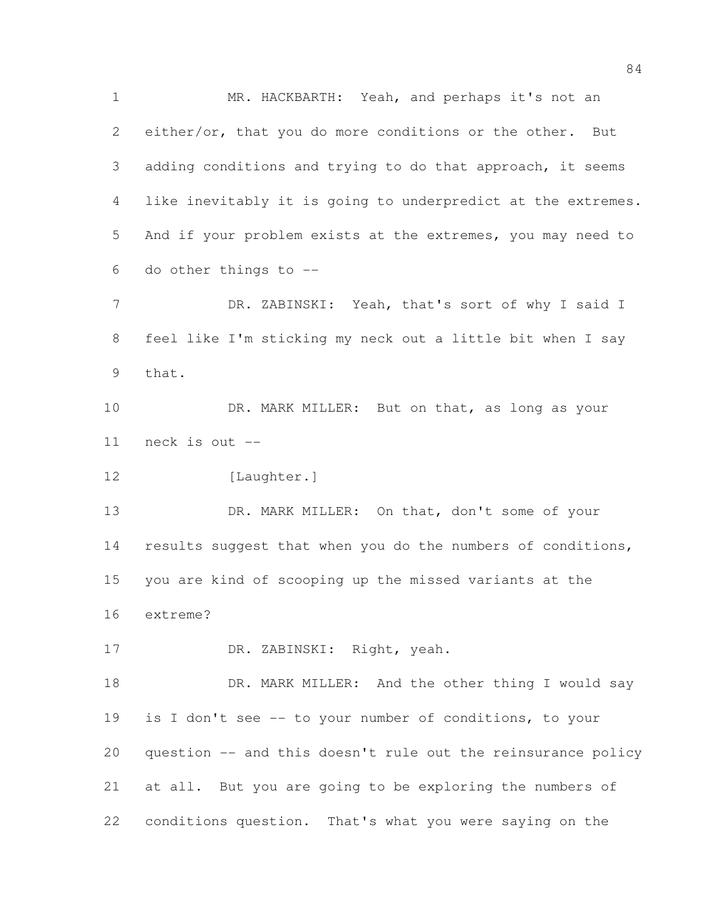MR. HACKBARTH: Yeah, and perhaps it's not an either/or, that you do more conditions or the other. But 3 adding conditions and trying to do that approach, it seems like inevitably it is going to underpredict at the extremes. And if your problem exists at the extremes, you may need to do other things to -- 7 DR. ZABINSKI: Yeah, that's sort of why I said I feel like I'm sticking my neck out a little bit when I say that. 10 DR. MARK MILLER: But on that, as long as your neck is out --

12 [Laughter.]

13 DR. MARK MILLER: On that, don't some of your 14 results suggest that when you do the numbers of conditions, you are kind of scooping up the missed variants at the extreme?

DR. ZABINSKI: Right, yeah.

18 DR. MARK MILLER: And the other thing I would say is I don't see -- to your number of conditions, to your question -- and this doesn't rule out the reinsurance policy at all. But you are going to be exploring the numbers of conditions question. That's what you were saying on the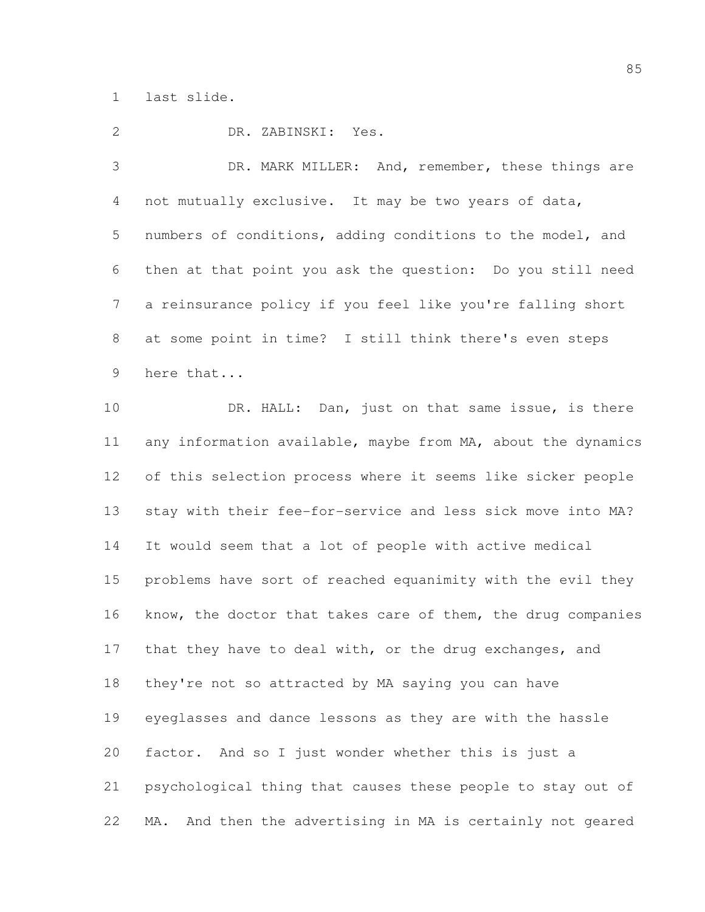last slide.

DR. ZABINSKI: Yes.

 DR. MARK MILLER: And, remember, these things are not mutually exclusive. It may be two years of data, numbers of conditions, adding conditions to the model, and then at that point you ask the question: Do you still need a reinsurance policy if you feel like you're falling short at some point in time? I still think there's even steps here that...

10 DR. HALL: Dan, just on that same issue, is there any information available, maybe from MA, about the dynamics of this selection process where it seems like sicker people stay with their fee-for-service and less sick move into MA? It would seem that a lot of people with active medical problems have sort of reached equanimity with the evil they 16 know, the doctor that takes care of them, the drug companies 17 that they have to deal with, or the drug exchanges, and they're not so attracted by MA saying you can have eyeglasses and dance lessons as they are with the hassle factor. And so I just wonder whether this is just a psychological thing that causes these people to stay out of MA. And then the advertising in MA is certainly not geared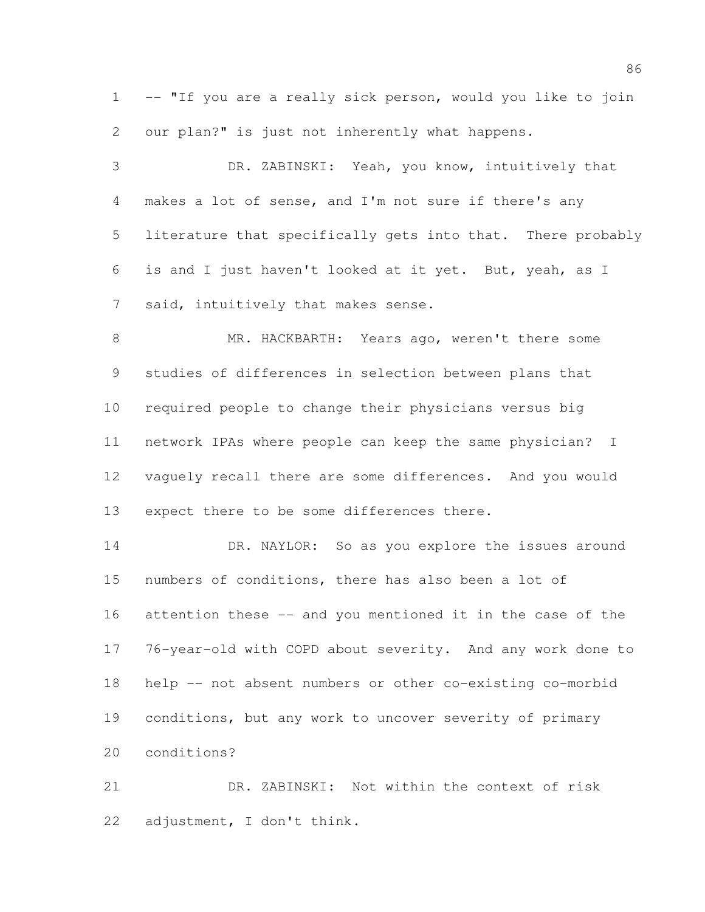1 -- "If you are a really sick person, would you like to join our plan?" is just not inherently what happens.

 DR. ZABINSKI: Yeah, you know, intuitively that makes a lot of sense, and I'm not sure if there's any literature that specifically gets into that. There probably is and I just haven't looked at it yet. But, yeah, as I said, intuitively that makes sense.

 MR. HACKBARTH: Years ago, weren't there some studies of differences in selection between plans that required people to change their physicians versus big network IPAs where people can keep the same physician? I vaguely recall there are some differences. And you would expect there to be some differences there.

14 DR. NAYLOR: So as you explore the issues around numbers of conditions, there has also been a lot of attention these -- and you mentioned it in the case of the 76-year-old with COPD about severity. And any work done to help -- not absent numbers or other co-existing co-morbid conditions, but any work to uncover severity of primary conditions?

 DR. ZABINSKI: Not within the context of risk adjustment, I don't think.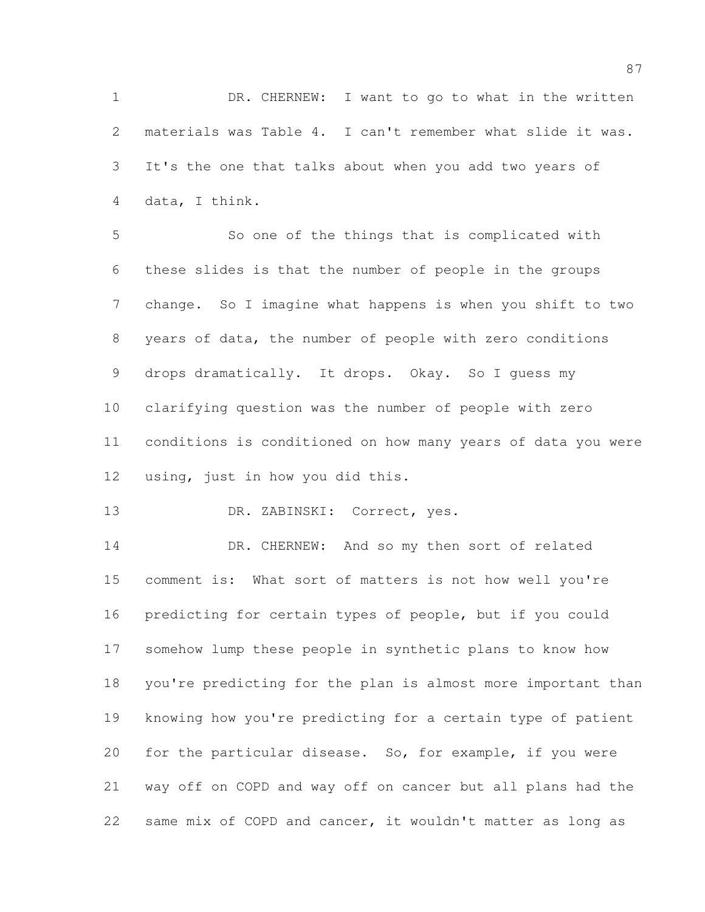DR. CHERNEW: I want to go to what in the written materials was Table 4. I can't remember what slide it was. It's the one that talks about when you add two years of data, I think.

 So one of the things that is complicated with these slides is that the number of people in the groups change. So I imagine what happens is when you shift to two years of data, the number of people with zero conditions drops dramatically. It drops. Okay. So I guess my clarifying question was the number of people with zero conditions is conditioned on how many years of data you were using, just in how you did this.

13 DR. ZABINSKI: Correct, yes.

 DR. CHERNEW: And so my then sort of related comment is: What sort of matters is not how well you're predicting for certain types of people, but if you could somehow lump these people in synthetic plans to know how you're predicting for the plan is almost more important than knowing how you're predicting for a certain type of patient for the particular disease. So, for example, if you were way off on COPD and way off on cancer but all plans had the same mix of COPD and cancer, it wouldn't matter as long as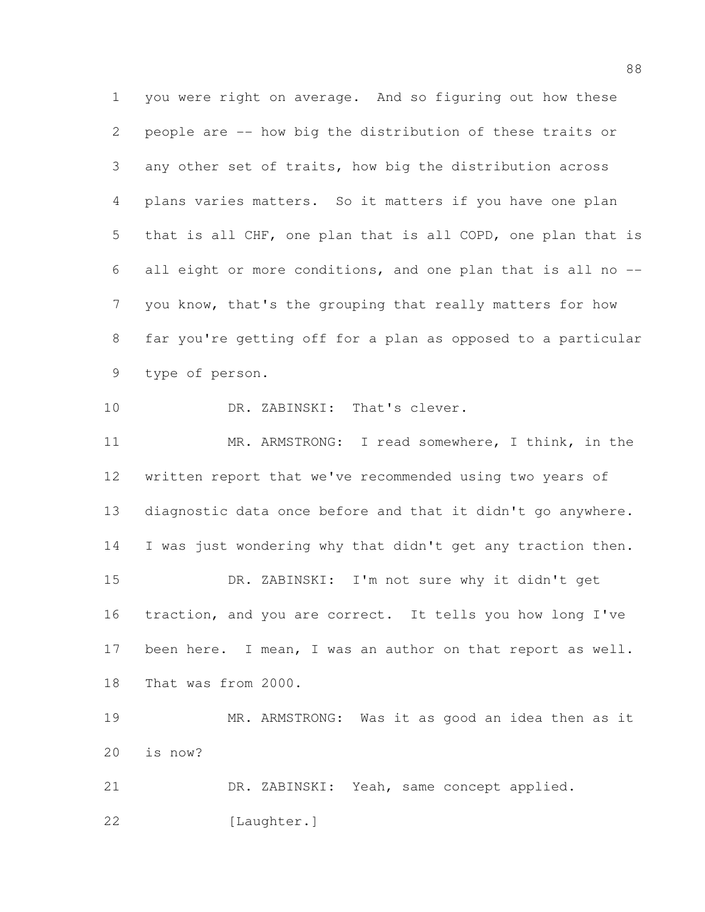you were right on average. And so figuring out how these people are -- how big the distribution of these traits or any other set of traits, how big the distribution across plans varies matters. So it matters if you have one plan that is all CHF, one plan that is all COPD, one plan that is all eight or more conditions, and one plan that is all no -- you know, that's the grouping that really matters for how far you're getting off for a plan as opposed to a particular type of person. 10 DR. ZABINSKI: That's clever.

 MR. ARMSTRONG: I read somewhere, I think, in the written report that we've recommended using two years of diagnostic data once before and that it didn't go anywhere. 14 I was just wondering why that didn't get any traction then. DR. ZABINSKI: I'm not sure why it didn't get traction, and you are correct. It tells you how long I've 17 been here. I mean, I was an author on that report as well. That was from 2000.

 MR. ARMSTRONG: Was it as good an idea then as it is now?

 DR. ZABINSKI: Yeah, same concept applied. [Laughter.]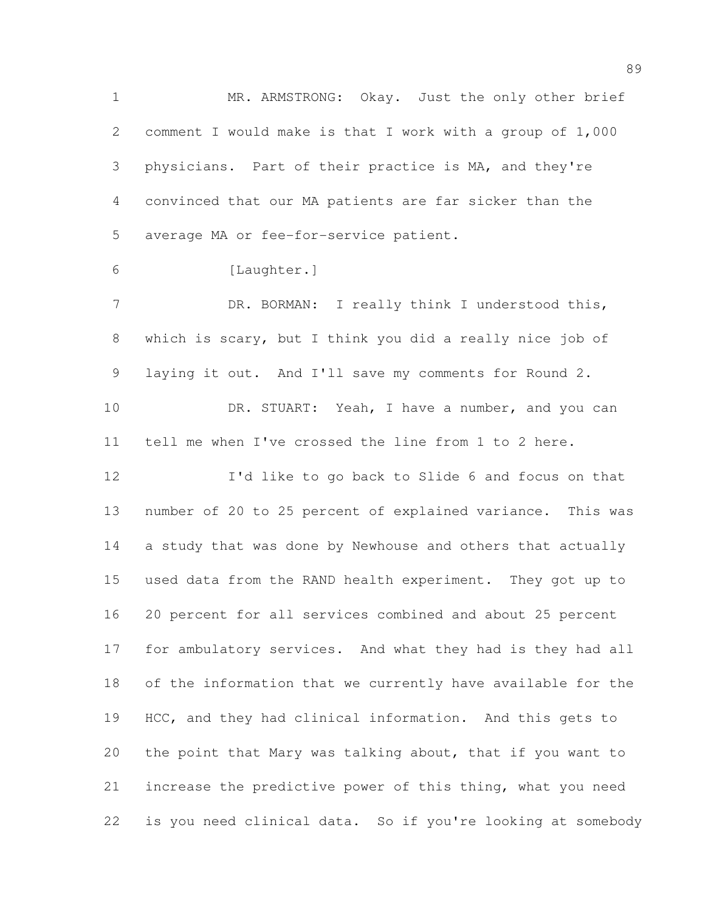MR. ARMSTRONG: Okay. Just the only other brief comment I would make is that I work with a group of 1,000 physicians. Part of their practice is MA, and they're convinced that our MA patients are far sicker than the average MA or fee-for-service patient. [Laughter.] 7 DR. BORMAN: I really think I understood this, which is scary, but I think you did a really nice job of laying it out. And I'll save my comments for Round 2. 10 DR. STUART: Yeah, I have a number, and you can tell me when I've crossed the line from 1 to 2 here. I'd like to go back to Slide 6 and focus on that number of 20 to 25 percent of explained variance. This was a study that was done by Newhouse and others that actually used data from the RAND health experiment. They got up to 20 percent for all services combined and about 25 percent for ambulatory services. And what they had is they had all of the information that we currently have available for the HCC, and they had clinical information. And this gets to

 increase the predictive power of this thing, what you need is you need clinical data. So if you're looking at somebody

the point that Mary was talking about, that if you want to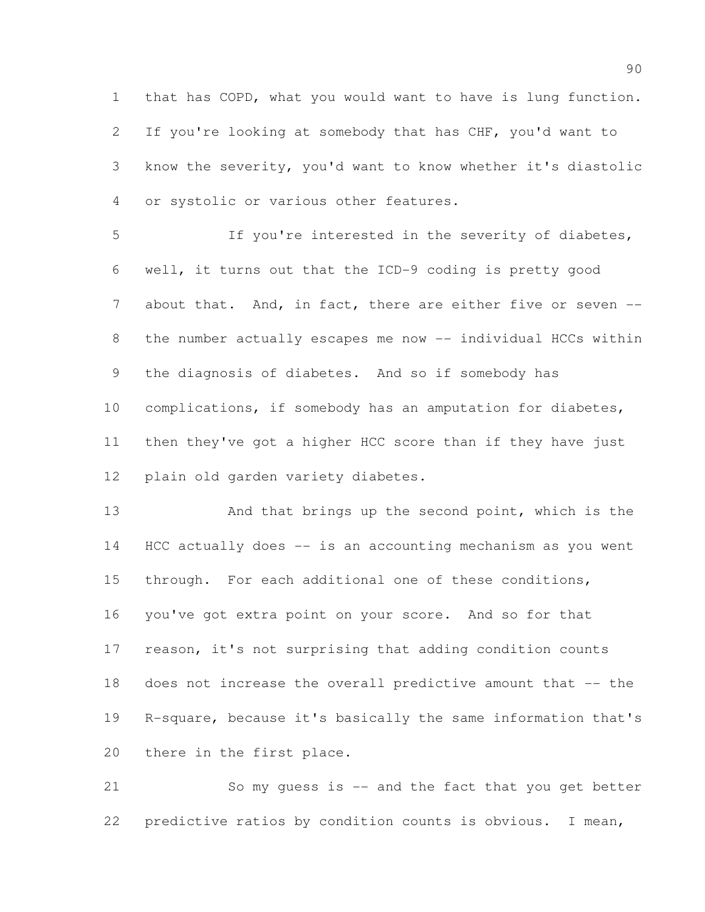that has COPD, what you would want to have is lung function. If you're looking at somebody that has CHF, you'd want to know the severity, you'd want to know whether it's diastolic or systolic or various other features.

 If you're interested in the severity of diabetes, well, it turns out that the ICD-9 coding is pretty good 7 about that. And, in fact, there are either five or seven --8 the number actually escapes me now -- individual HCCs within the diagnosis of diabetes. And so if somebody has complications, if somebody has an amputation for diabetes, then they've got a higher HCC score than if they have just plain old garden variety diabetes.

13 And that brings up the second point, which is the HCC actually does -- is an accounting mechanism as you went through. For each additional one of these conditions, you've got extra point on your score. And so for that reason, it's not surprising that adding condition counts does not increase the overall predictive amount that -- the R-square, because it's basically the same information that's there in the first place.

 So my guess is -- and the fact that you get better predictive ratios by condition counts is obvious. I mean,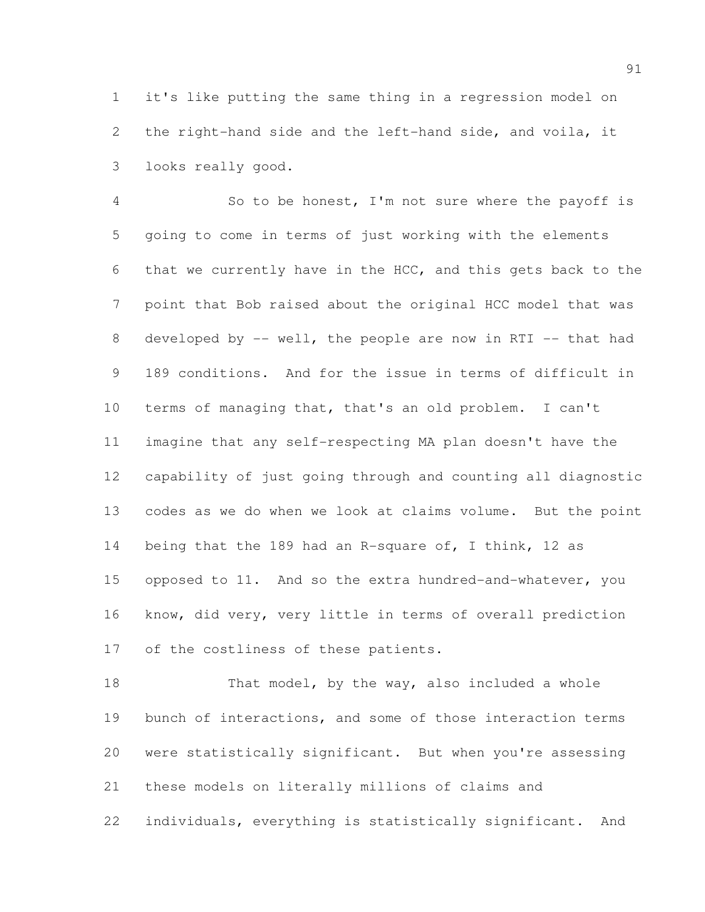it's like putting the same thing in a regression model on the right-hand side and the left-hand side, and voila, it looks really good.

 So to be honest, I'm not sure where the payoff is going to come in terms of just working with the elements that we currently have in the HCC, and this gets back to the point that Bob raised about the original HCC model that was 8 developed by -- well, the people are now in RTI -- that had 189 conditions. And for the issue in terms of difficult in terms of managing that, that's an old problem. I can't imagine that any self-respecting MA plan doesn't have the capability of just going through and counting all diagnostic codes as we do when we look at claims volume. But the point 14 being that the 189 had an R-square of, I think, 12 as opposed to 11. And so the extra hundred-and-whatever, you know, did very, very little in terms of overall prediction of the costliness of these patients.

18 That model, by the way, also included a whole bunch of interactions, and some of those interaction terms were statistically significant. But when you're assessing these models on literally millions of claims and individuals, everything is statistically significant. And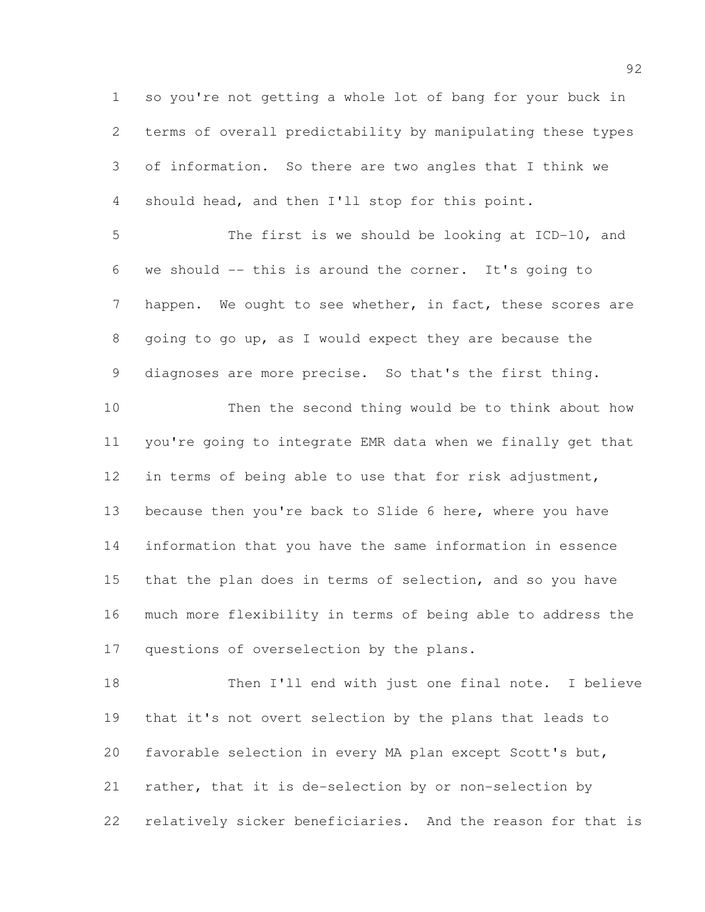so you're not getting a whole lot of bang for your buck in terms of overall predictability by manipulating these types of information. So there are two angles that I think we should head, and then I'll stop for this point.

 The first is we should be looking at ICD-10, and we should -- this is around the corner. It's going to 7 happen. We ought to see whether, in fact, these scores are going to go up, as I would expect they are because the diagnoses are more precise. So that's the first thing.

 Then the second thing would be to think about how you're going to integrate EMR data when we finally get that in terms of being able to use that for risk adjustment, because then you're back to Slide 6 here, where you have information that you have the same information in essence that the plan does in terms of selection, and so you have much more flexibility in terms of being able to address the 17 questions of overselection by the plans.

18 Then I'll end with just one final note. I believe that it's not overt selection by the plans that leads to favorable selection in every MA plan except Scott's but, rather, that it is de-selection by or non-selection by relatively sicker beneficiaries. And the reason for that is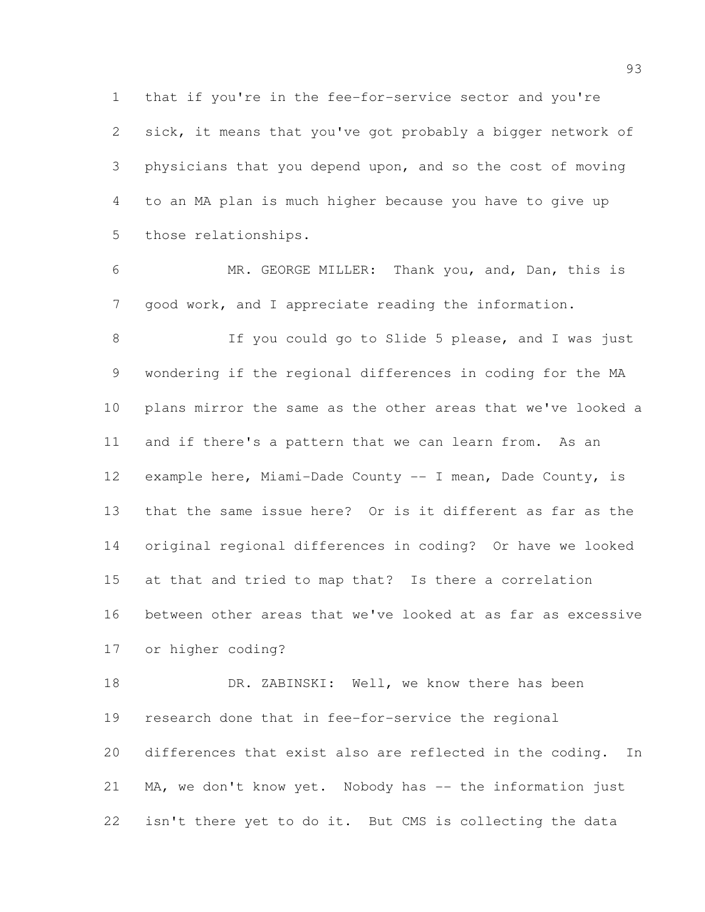that if you're in the fee-for-service sector and you're sick, it means that you've got probably a bigger network of physicians that you depend upon, and so the cost of moving to an MA plan is much higher because you have to give up those relationships.

 MR. GEORGE MILLER: Thank you, and, Dan, this is good work, and I appreciate reading the information.

8 If you could go to Slide 5 please, and I was just wondering if the regional differences in coding for the MA plans mirror the same as the other areas that we've looked a and if there's a pattern that we can learn from. As an example here, Miami-Dade County -- I mean, Dade County, is that the same issue here? Or is it different as far as the original regional differences in coding? Or have we looked at that and tried to map that? Is there a correlation between other areas that we've looked at as far as excessive or higher coding?

18 DR. ZABINSKI: Well, we know there has been research done that in fee-for-service the regional differences that exist also are reflected in the coding. In 21 MA, we don't know yet. Nobody has -- the information just isn't there yet to do it. But CMS is collecting the data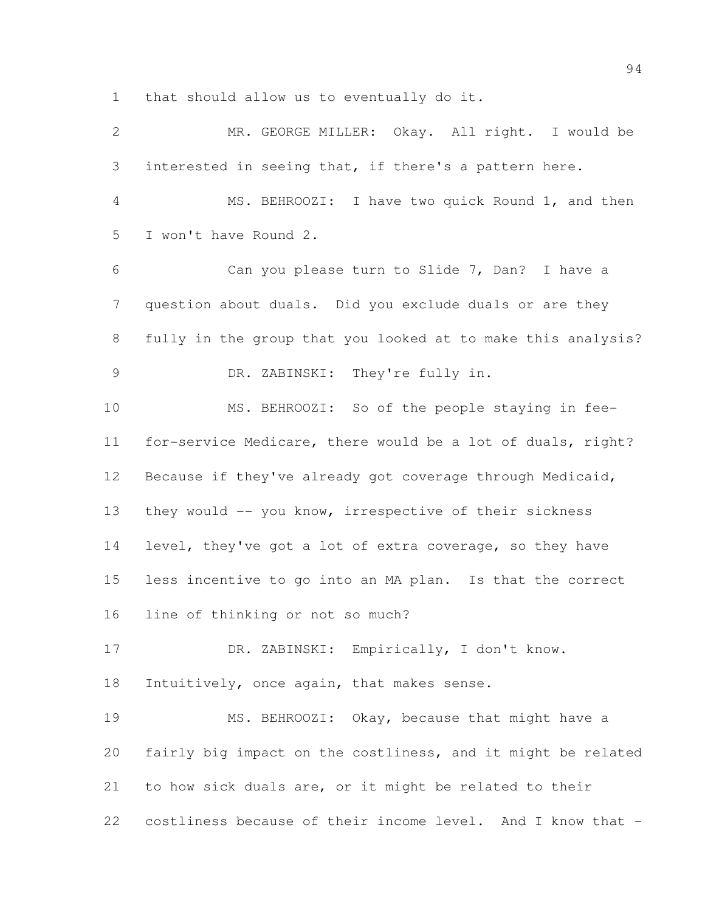that should allow us to eventually do it.

| $\mathbf{2}$  | MR. GEORGE MILLER: Okay. All right. I would be               |
|---------------|--------------------------------------------------------------|
| 3             | interested in seeing that, if there's a pattern here.        |
| 4             | MS. BEHROOZI: I have two quick Round 1, and then             |
| 5             | I won't have Round 2.                                        |
| 6             | Can you please turn to Slide 7, Dan? I have a                |
| 7             | question about duals. Did you exclude duals or are they      |
| 8             | fully in the group that you looked at to make this analysis? |
| $\mathcal{G}$ | DR. ZABINSKI: They're fully in.                              |
| 10            | MS. BEHROOZI: So of the people staying in fee-               |
| 11            | for-service Medicare, there would be a lot of duals, right?  |
| 12            | Because if they've already got coverage through Medicaid,    |
| 13            | they would -- you know, irrespective of their sickness       |
| 14            | level, they've got a lot of extra coverage, so they have     |
| 15            | less incentive to go into an MA plan. Is that the correct    |
| 16            | line of thinking or not so much?                             |
| 17            | DR. ZABINSKI: Empirically, I don't know.                     |
| 18            | Intuitively, once again, that makes sense.                   |
| 19            | MS. BEHROOZI: Okay, because that might have a                |
| 20            | fairly big impact on the costliness, and it might be related |
| 21            | to how sick duals are, or it might be related to their       |
| 22            | costliness because of their income level. And I know that -  |
|               |                                                              |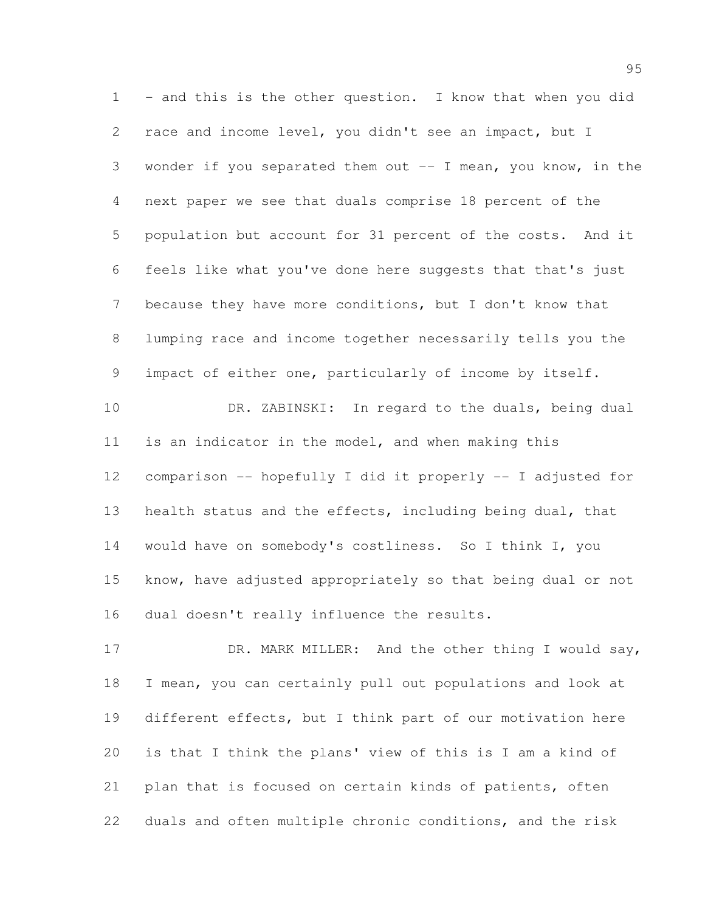1 - and this is the other question. I know that when you did race and income level, you didn't see an impact, but I wonder if you separated them out -- I mean, you know, in the next paper we see that duals comprise 18 percent of the population but account for 31 percent of the costs. And it feels like what you've done here suggests that that's just because they have more conditions, but I don't know that lumping race and income together necessarily tells you the impact of either one, particularly of income by itself. DR. ZABINSKI: In regard to the duals, being dual is an indicator in the model, and when making this comparison -- hopefully I did it properly -- I adjusted for 13 health status and the effects, including being dual, that would have on somebody's costliness. So I think I, you know, have adjusted appropriately so that being dual or not dual doesn't really influence the results.

17 DR. MARK MILLER: And the other thing I would say, I mean, you can certainly pull out populations and look at different effects, but I think part of our motivation here is that I think the plans' view of this is I am a kind of plan that is focused on certain kinds of patients, often duals and often multiple chronic conditions, and the risk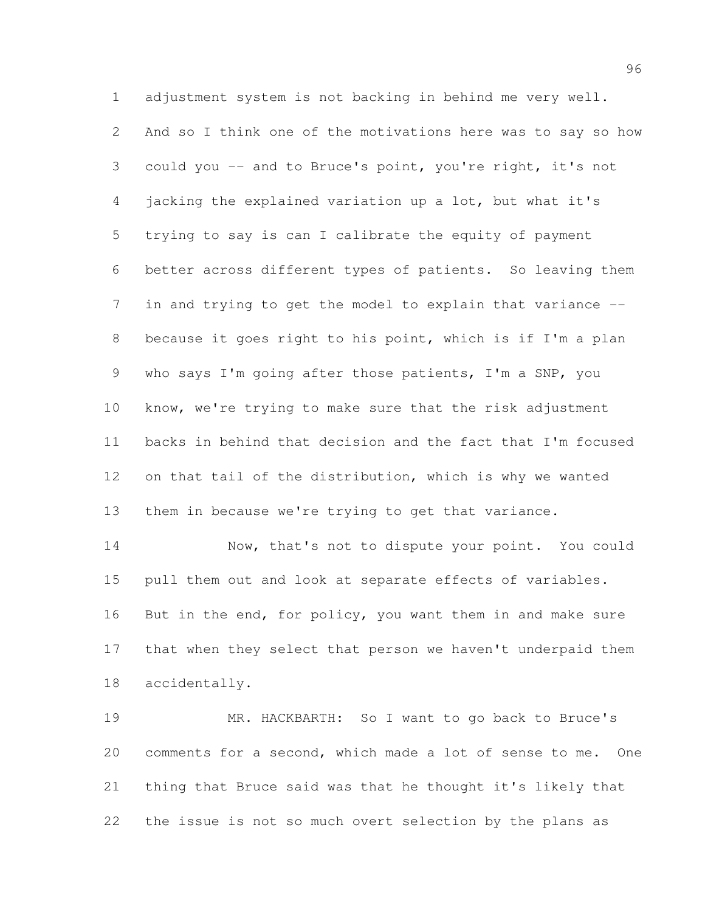adjustment system is not backing in behind me very well. And so I think one of the motivations here was to say so how could you -- and to Bruce's point, you're right, it's not jacking the explained variation up a lot, but what it's trying to say is can I calibrate the equity of payment better across different types of patients. So leaving them in and trying to get the model to explain that variance -- because it goes right to his point, which is if I'm a plan who says I'm going after those patients, I'm a SNP, you know, we're trying to make sure that the risk adjustment backs in behind that decision and the fact that I'm focused on that tail of the distribution, which is why we wanted them in because we're trying to get that variance.

14 Now, that's not to dispute your point. You could pull them out and look at separate effects of variables. 16 But in the end, for policy, you want them in and make sure that when they select that person we haven't underpaid them accidentally.

 MR. HACKBARTH: So I want to go back to Bruce's comments for a second, which made a lot of sense to me. One thing that Bruce said was that he thought it's likely that the issue is not so much overt selection by the plans as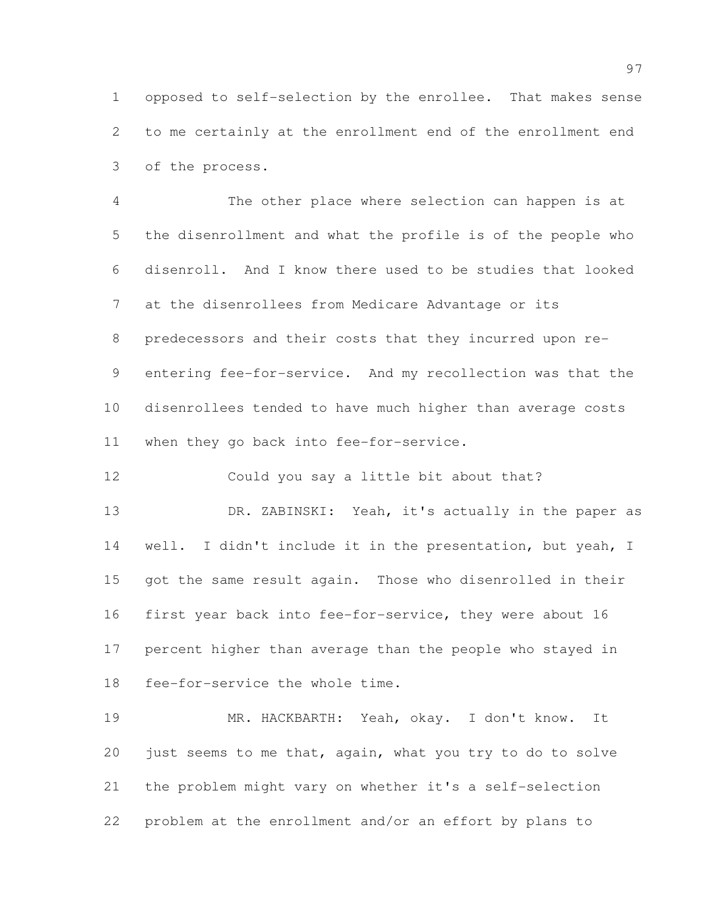opposed to self-selection by the enrollee. That makes sense to me certainly at the enrollment end of the enrollment end of the process.

 The other place where selection can happen is at the disenrollment and what the profile is of the people who disenroll. And I know there used to be studies that looked at the disenrollees from Medicare Advantage or its predecessors and their costs that they incurred upon re- entering fee-for-service. And my recollection was that the disenrollees tended to have much higher than average costs when they go back into fee-for-service.

Could you say a little bit about that?

13 DR. ZABINSKI: Yeah, it's actually in the paper as well. I didn't include it in the presentation, but yeah, I got the same result again. Those who disenrolled in their first year back into fee-for-service, they were about 16 percent higher than average than the people who stayed in fee-for-service the whole time.

 MR. HACKBARTH: Yeah, okay. I don't know. It just seems to me that, again, what you try to do to solve the problem might vary on whether it's a self-selection problem at the enrollment and/or an effort by plans to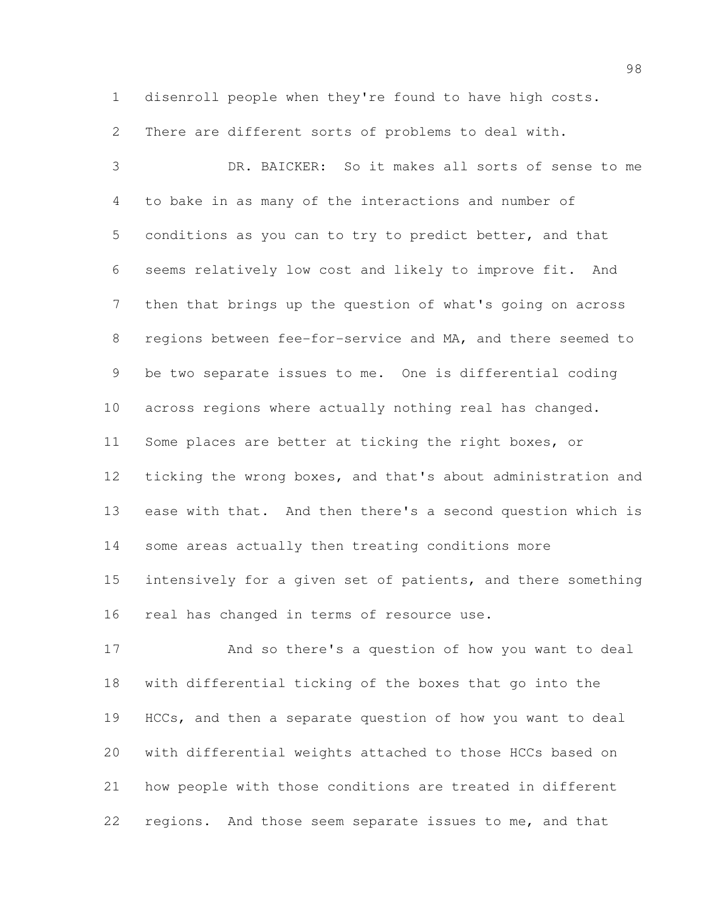disenroll people when they're found to have high costs.

There are different sorts of problems to deal with.

 DR. BAICKER: So it makes all sorts of sense to me to bake in as many of the interactions and number of conditions as you can to try to predict better, and that seems relatively low cost and likely to improve fit. And then that brings up the question of what's going on across regions between fee-for-service and MA, and there seemed to be two separate issues to me. One is differential coding across regions where actually nothing real has changed. Some places are better at ticking the right boxes, or ticking the wrong boxes, and that's about administration and ease with that. And then there's a second question which is some areas actually then treating conditions more intensively for a given set of patients, and there something real has changed in terms of resource use.

 And so there's a question of how you want to deal with differential ticking of the boxes that go into the HCCs, and then a separate question of how you want to deal with differential weights attached to those HCCs based on how people with those conditions are treated in different regions. And those seem separate issues to me, and that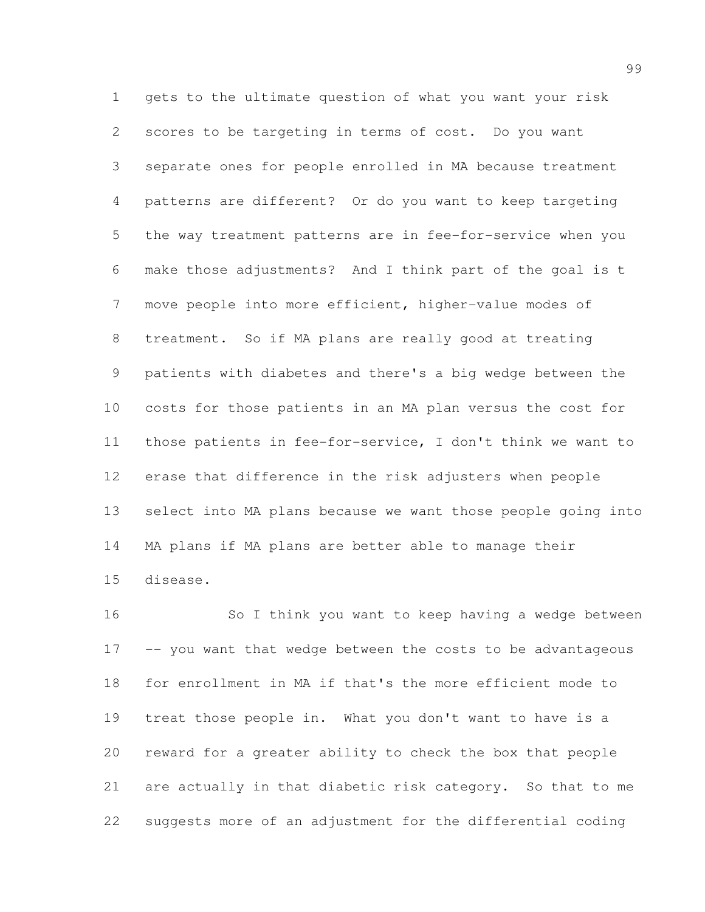gets to the ultimate question of what you want your risk scores to be targeting in terms of cost. Do you want separate ones for people enrolled in MA because treatment patterns are different? Or do you want to keep targeting the way treatment patterns are in fee-for-service when you make those adjustments? And I think part of the goal is t move people into more efficient, higher-value modes of treatment. So if MA plans are really good at treating patients with diabetes and there's a big wedge between the costs for those patients in an MA plan versus the cost for those patients in fee-for-service, I don't think we want to erase that difference in the risk adjusters when people select into MA plans because we want those people going into MA plans if MA plans are better able to manage their disease.

 So I think you want to keep having a wedge between -- you want that wedge between the costs to be advantageous for enrollment in MA if that's the more efficient mode to treat those people in. What you don't want to have is a reward for a greater ability to check the box that people are actually in that diabetic risk category. So that to me suggests more of an adjustment for the differential coding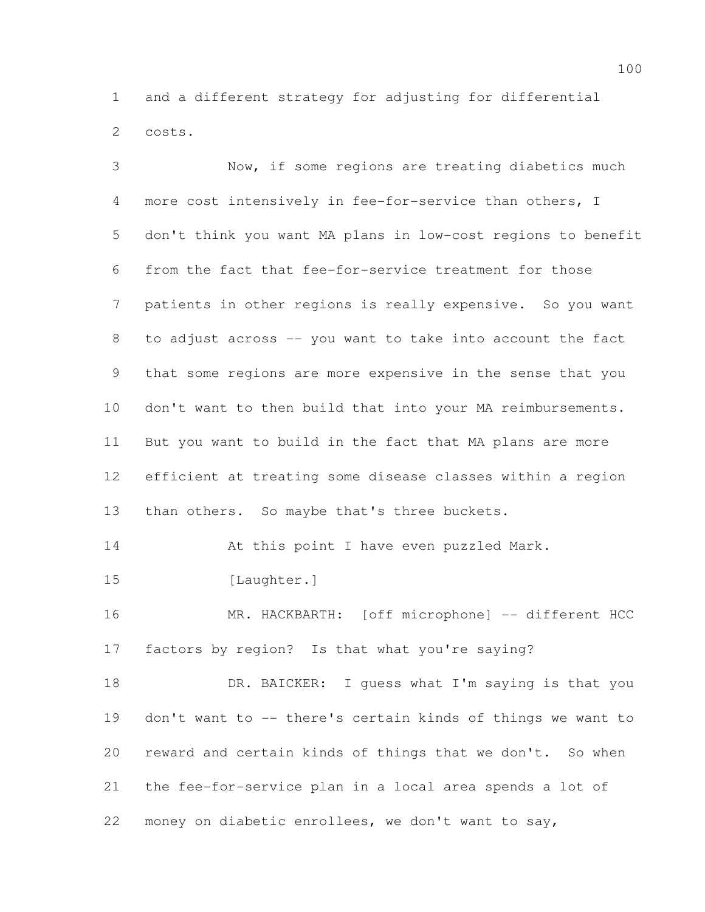and a different strategy for adjusting for differential costs.

 Now, if some regions are treating diabetics much more cost intensively in fee-for-service than others, I don't think you want MA plans in low-cost regions to benefit from the fact that fee-for-service treatment for those 7 patients in other regions is really expensive. So you want to adjust across -- you want to take into account the fact that some regions are more expensive in the sense that you don't want to then build that into your MA reimbursements. But you want to build in the fact that MA plans are more efficient at treating some disease classes within a region 13 than others. So maybe that's three buckets. 14 At this point I have even puzzled Mark. 15 [Laughter.] 16 MR. HACKBARTH: [off microphone] -- different HCC factors by region? Is that what you're saying? 18 DR. BAICKER: I guess what I'm saying is that you don't want to -- there's certain kinds of things we want to reward and certain kinds of things that we don't. So when the fee-for-service plan in a local area spends a lot of

money on diabetic enrollees, we don't want to say,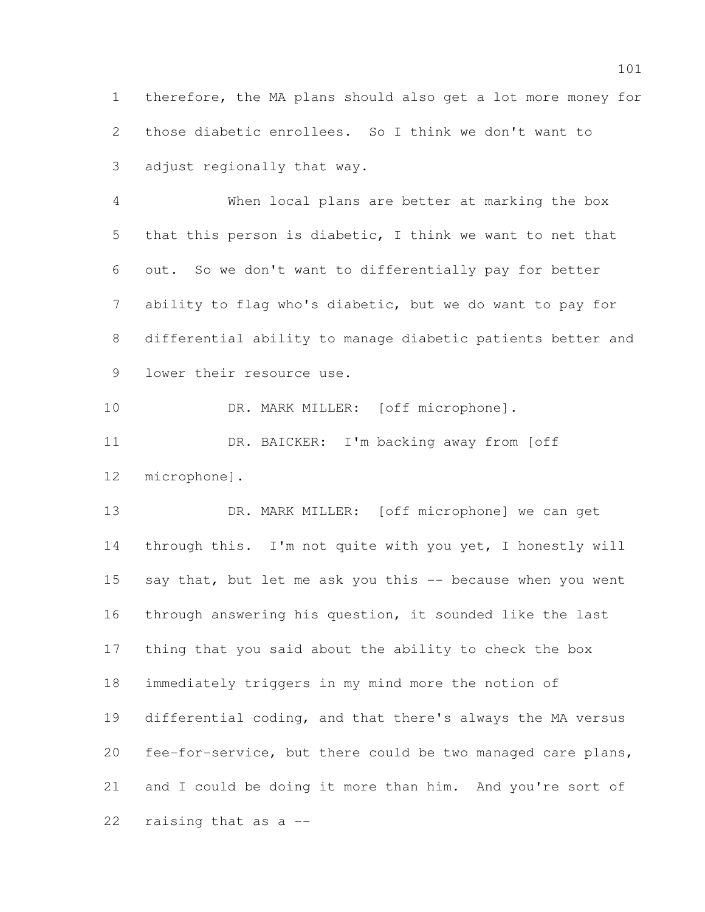therefore, the MA plans should also get a lot more money for those diabetic enrollees. So I think we don't want to adjust regionally that way.

 When local plans are better at marking the box that this person is diabetic, I think we want to net that out. So we don't want to differentially pay for better ability to flag who's diabetic, but we do want to pay for differential ability to manage diabetic patients better and lower their resource use.

10 DR. MARK MILLER: [off microphone].

 DR. BAICKER: I'm backing away from [off microphone].

 DR. MARK MILLER: [off microphone] we can get through this. I'm not quite with you yet, I honestly will 15 say that, but let me ask you this -- because when you went through answering his question, it sounded like the last thing that you said about the ability to check the box immediately triggers in my mind more the notion of differential coding, and that there's always the MA versus fee-for-service, but there could be two managed care plans, and I could be doing it more than him. And you're sort of raising that as a --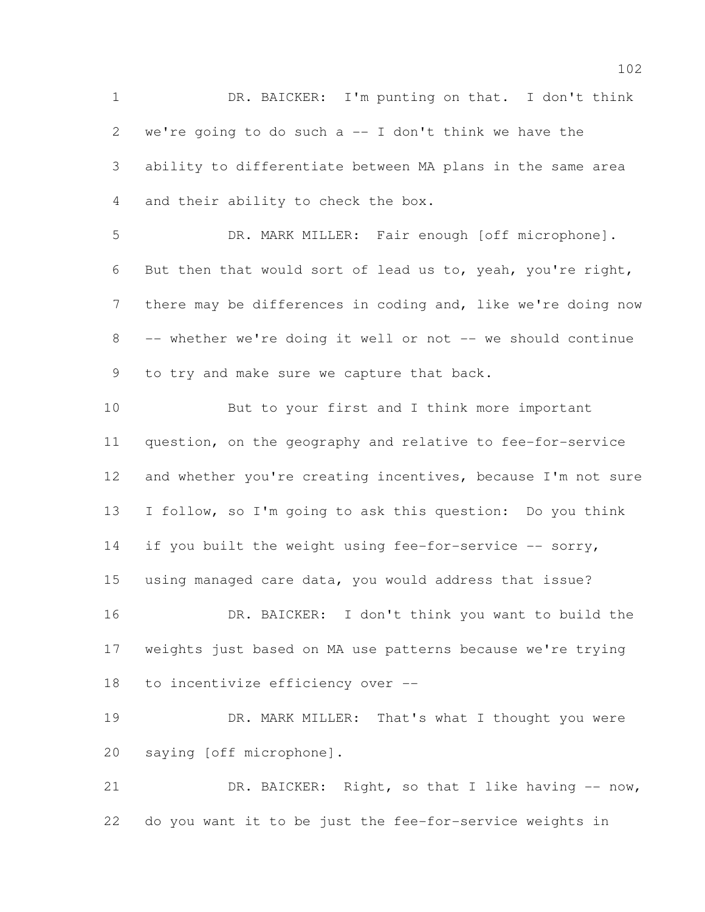DR. BAICKER: I'm punting on that. I don't think we're going to do such a -- I don't think we have the ability to differentiate between MA plans in the same area and their ability to check the box.

 DR. MARK MILLER: Fair enough [off microphone]. But then that would sort of lead us to, yeah, you're right, there may be differences in coding and, like we're doing now -- whether we're doing it well or not -- we should continue 9 to try and make sure we capture that back.

 But to your first and I think more important question, on the geography and relative to fee-for-service 12 and whether you're creating incentives, because I'm not sure I follow, so I'm going to ask this question: Do you think 14 if you built the weight using fee-for-service -- sorry, using managed care data, you would address that issue? DR. BAICKER: I don't think you want to build the weights just based on MA use patterns because we're trying to incentivize efficiency over --

19 DR. MARK MILLER: That's what I thought you were saying [off microphone].

 DR. BAICKER: Right, so that I like having -- now, do you want it to be just the fee-for-service weights in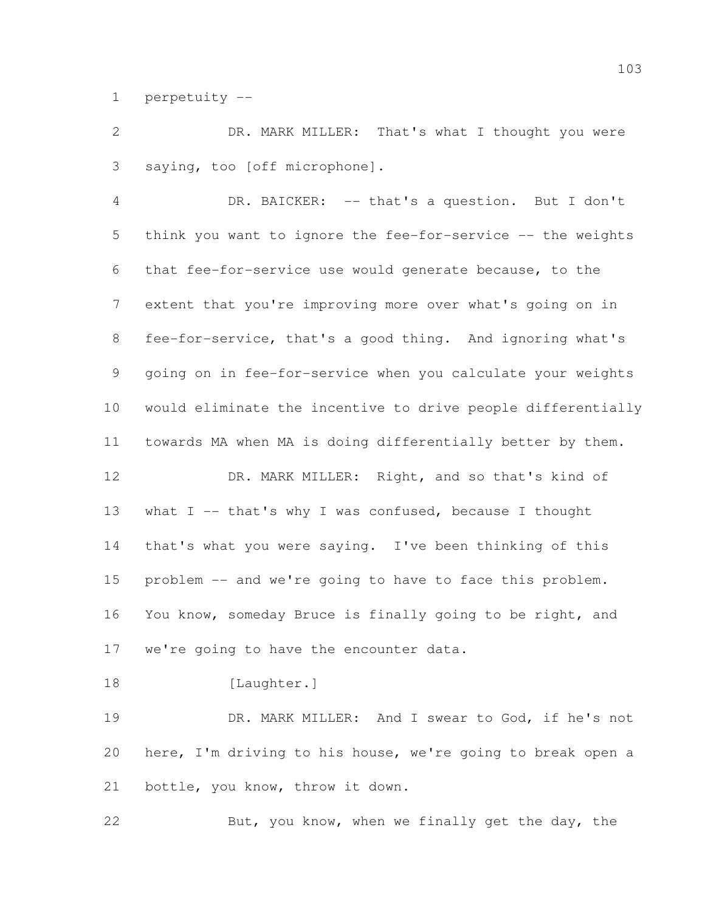perpetuity --

 DR. MARK MILLER: That's what I thought you were saying, too [off microphone].

 DR. BAICKER: -- that's a question. But I don't think you want to ignore the fee-for-service -- the weights that fee-for-service use would generate because, to the extent that you're improving more over what's going on in fee-for-service, that's a good thing. And ignoring what's going on in fee-for-service when you calculate your weights would eliminate the incentive to drive people differentially towards MA when MA is doing differentially better by them.

 DR. MARK MILLER: Right, and so that's kind of what I -- that's why I was confused, because I thought that's what you were saying. I've been thinking of this problem -- and we're going to have to face this problem. You know, someday Bruce is finally going to be right, and we're going to have the encounter data.

18 [Laughter.]

 DR. MARK MILLER: And I swear to God, if he's not here, I'm driving to his house, we're going to break open a bottle, you know, throw it down.

But, you know, when we finally get the day, the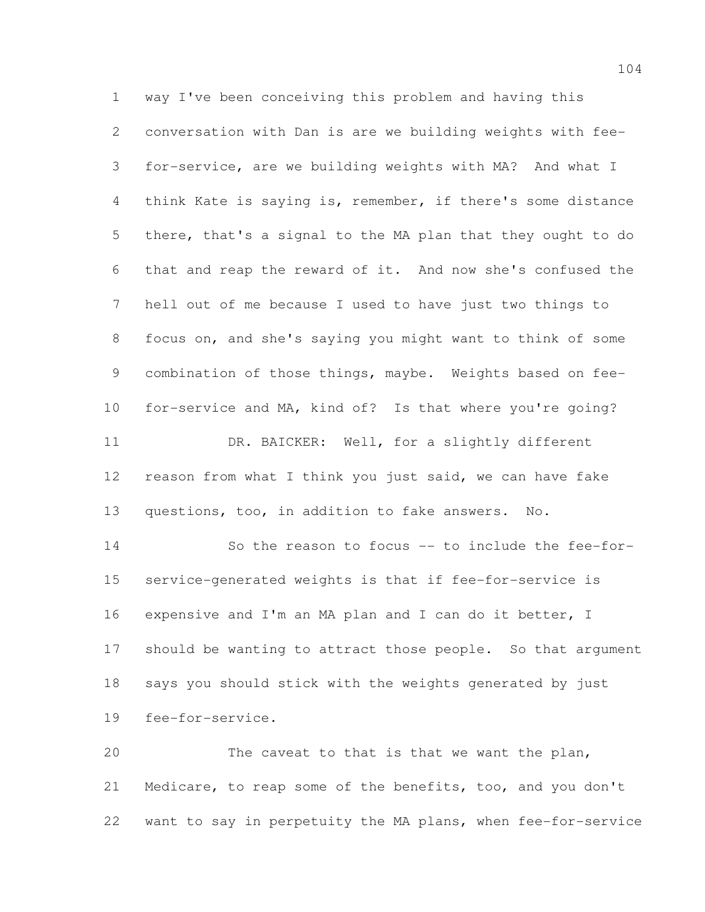way I've been conceiving this problem and having this conversation with Dan is are we building weights with fee- for-service, are we building weights with MA? And what I think Kate is saying is, remember, if there's some distance there, that's a signal to the MA plan that they ought to do that and reap the reward of it. And now she's confused the hell out of me because I used to have just two things to focus on, and she's saying you might want to think of some combination of those things, maybe. Weights based on fee- for-service and MA, kind of? Is that where you're going? 11 DR. BAICKER: Well, for a slightly different reason from what I think you just said, we can have fake questions, too, in addition to fake answers. No. So the reason to focus -- to include the fee-for- service-generated weights is that if fee-for-service is 16 expensive and I'm an MA plan and I can do it better, I should be wanting to attract those people. So that argument says you should stick with the weights generated by just fee-for-service. The caveat to that is that we want the plan,

 Medicare, to reap some of the benefits, too, and you don't want to say in perpetuity the MA plans, when fee-for-service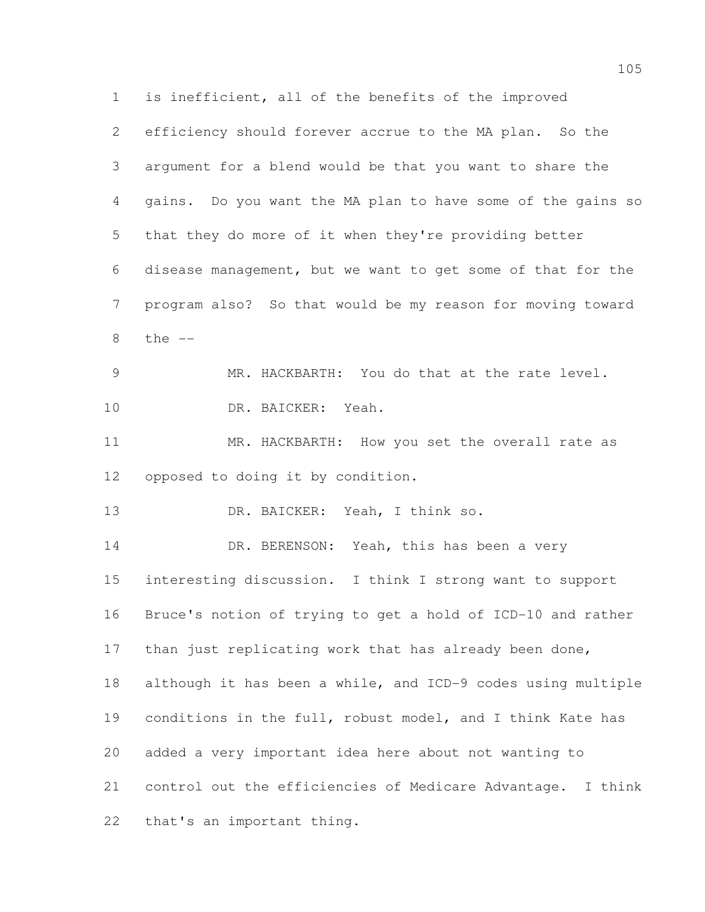is inefficient, all of the benefits of the improved efficiency should forever accrue to the MA plan. So the argument for a blend would be that you want to share the gains. Do you want the MA plan to have some of the gains so that they do more of it when they're providing better disease management, but we want to get some of that for the program also? So that would be my reason for moving toward the -- MR. HACKBARTH: You do that at the rate level. DR. BAICKER: Yeah. MR. HACKBARTH: How you set the overall rate as opposed to doing it by condition. DR. BAICKER: Yeah, I think so. 14 DR. BERENSON: Yeah, this has been a very interesting discussion. I think I strong want to support Bruce's notion of trying to get a hold of ICD-10 and rather 17 than just replicating work that has already been done, although it has been a while, and ICD-9 codes using multiple conditions in the full, robust model, and I think Kate has added a very important idea here about not wanting to control out the efficiencies of Medicare Advantage. I think

that's an important thing.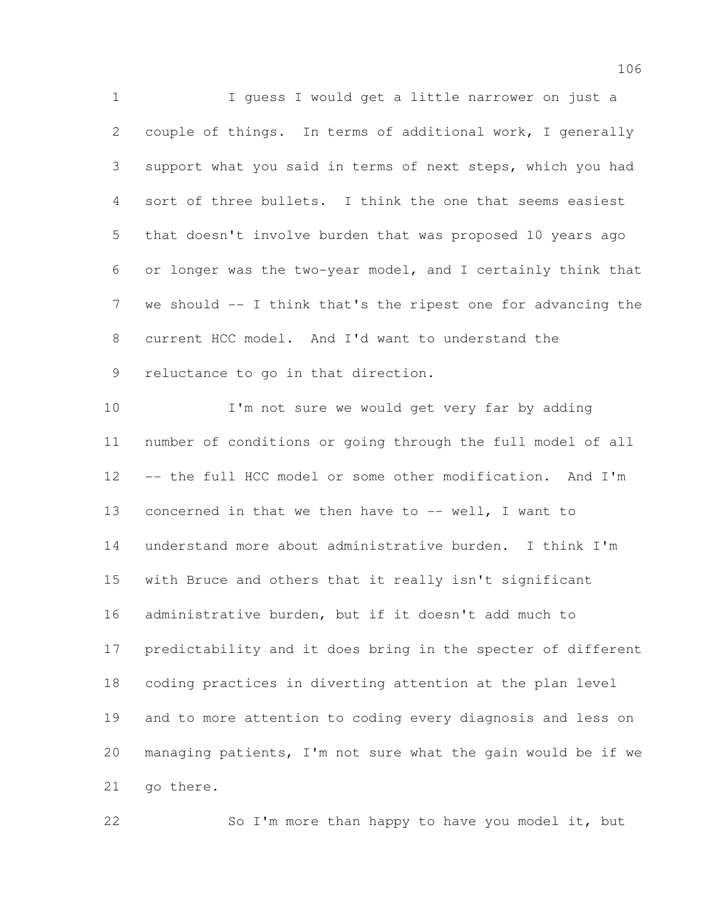I guess I would get a little narrower on just a couple of things. In terms of additional work, I generally support what you said in terms of next steps, which you had sort of three bullets. I think the one that seems easiest that doesn't involve burden that was proposed 10 years ago or longer was the two-year model, and I certainly think that 7 we should -- I think that's the ripest one for advancing the current HCC model. And I'd want to understand the reluctance to go in that direction.

 I'm not sure we would get very far by adding number of conditions or going through the full model of all -- the full HCC model or some other modification. And I'm concerned in that we then have to -- well, I want to understand more about administrative burden. I think I'm with Bruce and others that it really isn't significant administrative burden, but if it doesn't add much to predictability and it does bring in the specter of different coding practices in diverting attention at the plan level and to more attention to coding every diagnosis and less on managing patients, I'm not sure what the gain would be if we 21 go there.

22 So I'm more than happy to have you model it, but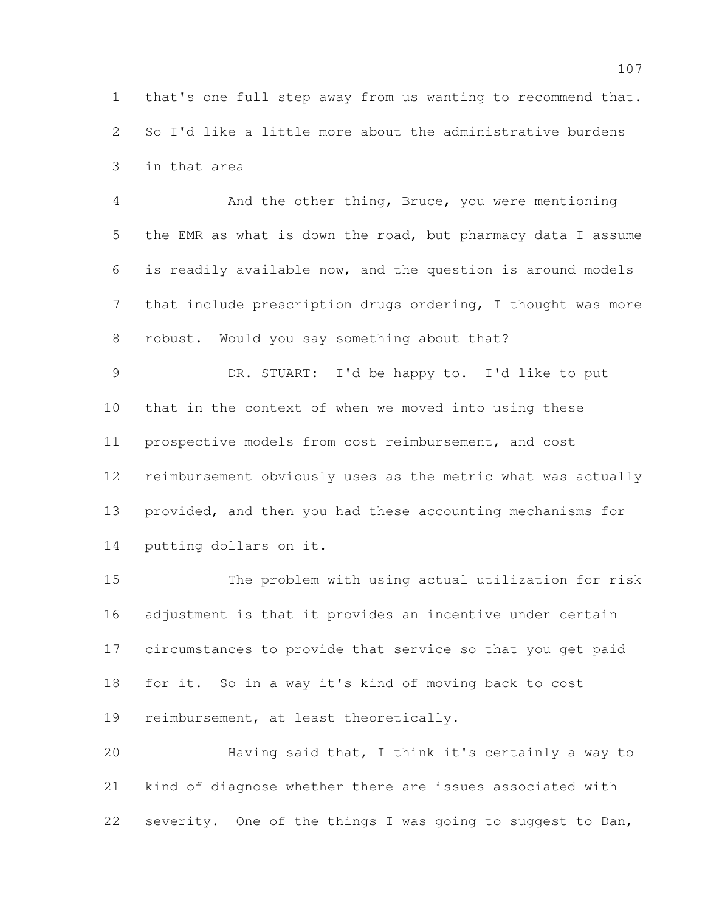that's one full step away from us wanting to recommend that. So I'd like a little more about the administrative burdens in that area

 And the other thing, Bruce, you were mentioning the EMR as what is down the road, but pharmacy data I assume is readily available now, and the question is around models that include prescription drugs ordering, I thought was more robust. Would you say something about that?

 DR. STUART: I'd be happy to. I'd like to put that in the context of when we moved into using these prospective models from cost reimbursement, and cost reimbursement obviously uses as the metric what was actually provided, and then you had these accounting mechanisms for putting dollars on it.

 The problem with using actual utilization for risk adjustment is that it provides an incentive under certain circumstances to provide that service so that you get paid for it. So in a way it's kind of moving back to cost reimbursement, at least theoretically.

 Having said that, I think it's certainly a way to kind of diagnose whether there are issues associated with severity. One of the things I was going to suggest to Dan,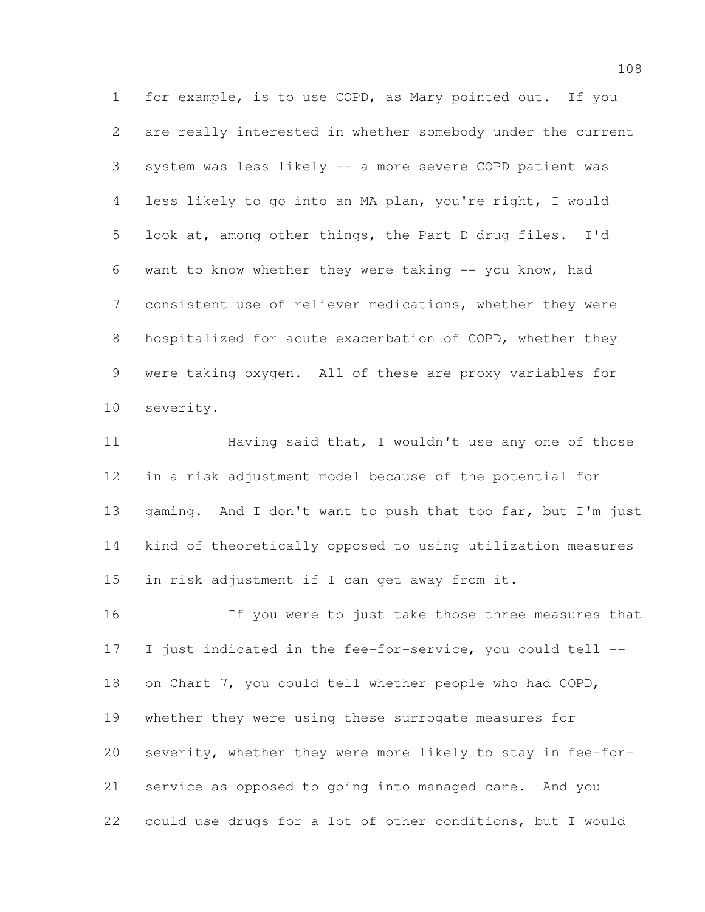for example, is to use COPD, as Mary pointed out. If you are really interested in whether somebody under the current system was less likely -- a more severe COPD patient was less likely to go into an MA plan, you're right, I would look at, among other things, the Part D drug files. I'd want to know whether they were taking -- you know, had consistent use of reliever medications, whether they were hospitalized for acute exacerbation of COPD, whether they were taking oxygen. All of these are proxy variables for severity.

11 Having said that, I wouldn't use any one of those in a risk adjustment model because of the potential for 13 gaming. And I don't want to push that too far, but I'm just kind of theoretically opposed to using utilization measures in risk adjustment if I can get away from it.

 If you were to just take those three measures that I just indicated in the fee-for-service, you could tell -- on Chart 7, you could tell whether people who had COPD, whether they were using these surrogate measures for severity, whether they were more likely to stay in fee-for- service as opposed to going into managed care. And you could use drugs for a lot of other conditions, but I would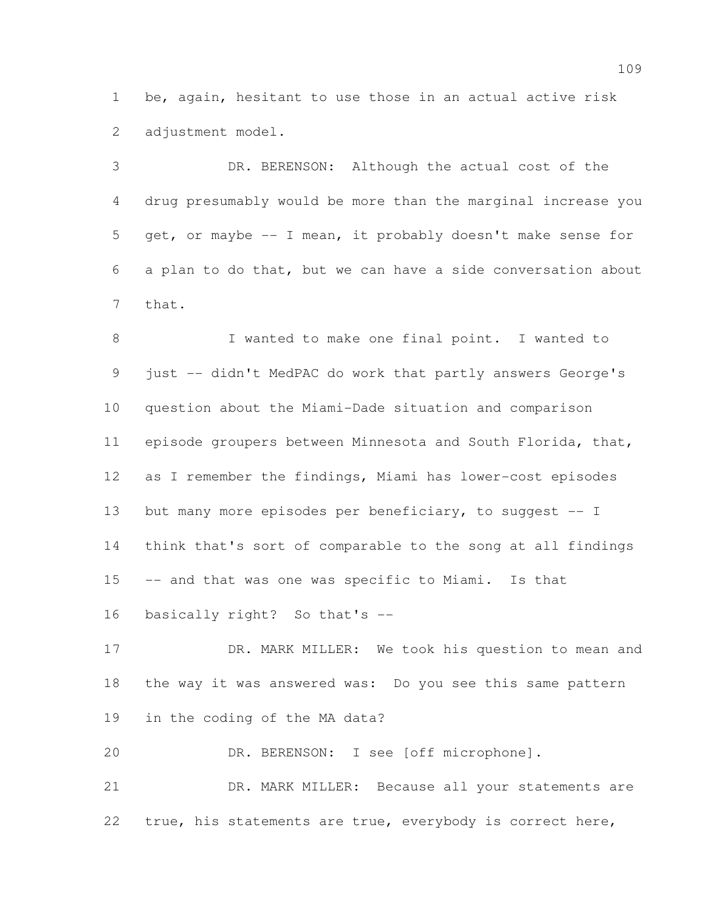be, again, hesitant to use those in an actual active risk 2 adjustment model.

 DR. BERENSON: Although the actual cost of the drug presumably would be more than the marginal increase you get, or maybe -- I mean, it probably doesn't make sense for a plan to do that, but we can have a side conversation about that.

 I wanted to make one final point. I wanted to just -- didn't MedPAC do work that partly answers George's question about the Miami-Dade situation and comparison episode groupers between Minnesota and South Florida, that, as I remember the findings, Miami has lower-cost episodes 13 but many more episodes per beneficiary, to suggest -- I think that's sort of comparable to the song at all findings -- and that was one was specific to Miami. Is that basically right? So that's --

17 DR. MARK MILLER: We took his question to mean and the way it was answered was: Do you see this same pattern in the coding of the MA data?

DR. BERENSON: I see [off microphone].

 DR. MARK MILLER: Because all your statements are true, his statements are true, everybody is correct here,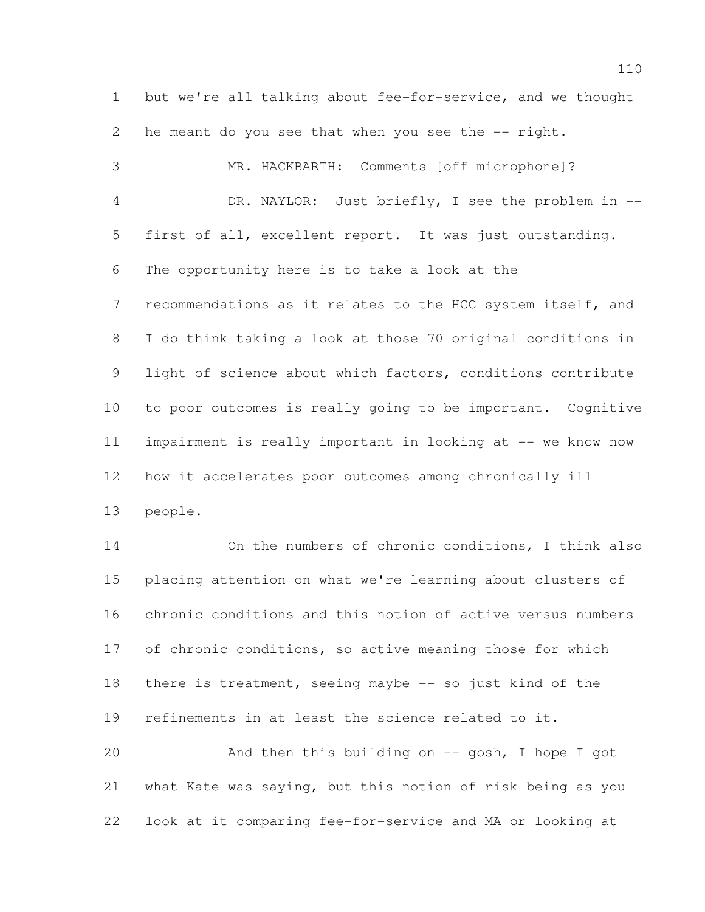but we're all talking about fee-for-service, and we thought 2 he meant do you see that when you see the -- right. MR. HACKBARTH: Comments [off microphone]? DR. NAYLOR: Just briefly, I see the problem in -- first of all, excellent report. It was just outstanding. The opportunity here is to take a look at the recommendations as it relates to the HCC system itself, and I do think taking a look at those 70 original conditions in light of science about which factors, conditions contribute to poor outcomes is really going to be important. Cognitive impairment is really important in looking at -- we know now how it accelerates poor outcomes among chronically ill people. On the numbers of chronic conditions, I think also

 placing attention on what we're learning about clusters of chronic conditions and this notion of active versus numbers 17 of chronic conditions, so active meaning those for which there is treatment, seeing maybe -- so just kind of the refinements in at least the science related to it. And then this building on -- gosh, I hope I got

 what Kate was saying, but this notion of risk being as you look at it comparing fee-for-service and MA or looking at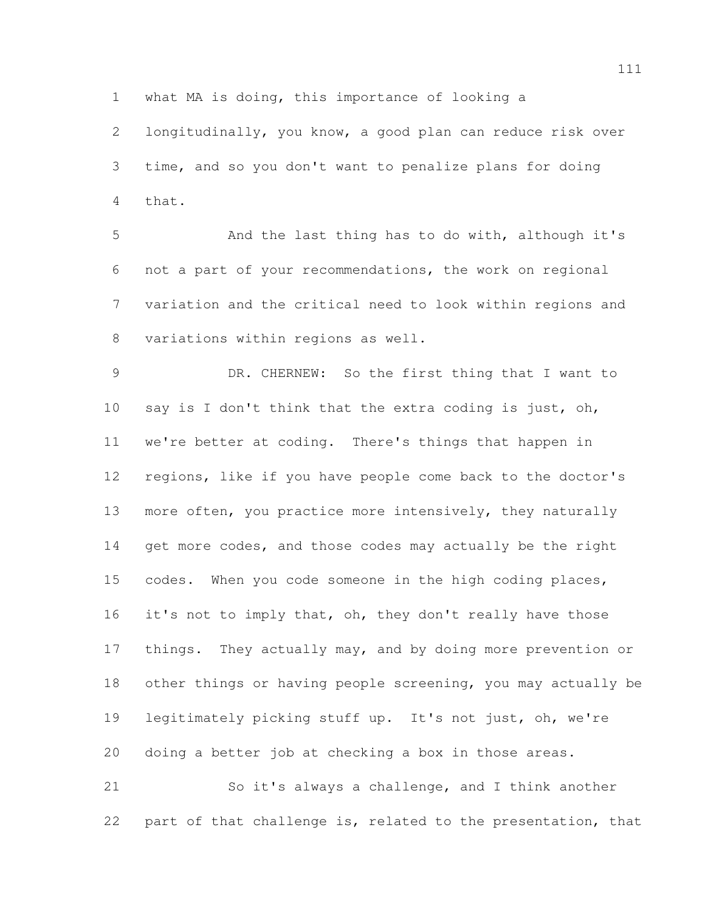what MA is doing, this importance of looking a

 longitudinally, you know, a good plan can reduce risk over time, and so you don't want to penalize plans for doing that.

 And the last thing has to do with, although it's not a part of your recommendations, the work on regional variation and the critical need to look within regions and variations within regions as well.

 DR. CHERNEW: So the first thing that I want to say is I don't think that the extra coding is just, oh, we're better at coding. There's things that happen in regions, like if you have people come back to the doctor's more often, you practice more intensively, they naturally 14 get more codes, and those codes may actually be the right codes. When you code someone in the high coding places, 16 it's not to imply that, oh, they don't really have those 17 things. They actually may, and by doing more prevention or other things or having people screening, you may actually be legitimately picking stuff up. It's not just, oh, we're doing a better job at checking a box in those areas.

 So it's always a challenge, and I think another part of that challenge is, related to the presentation, that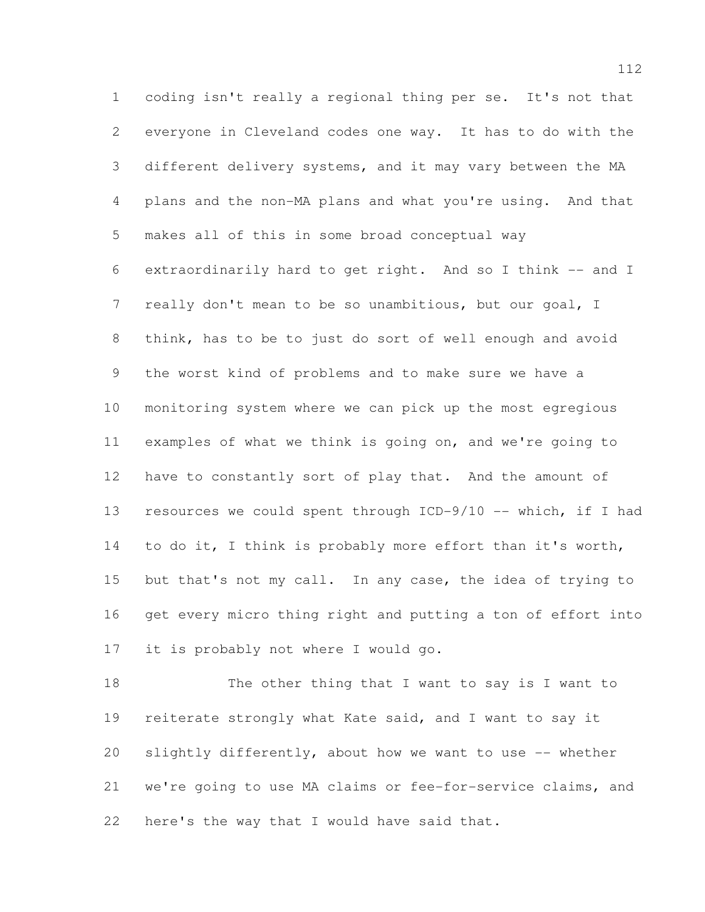coding isn't really a regional thing per se. It's not that everyone in Cleveland codes one way. It has to do with the different delivery systems, and it may vary between the MA plans and the non-MA plans and what you're using. And that makes all of this in some broad conceptual way extraordinarily hard to get right. And so I think -- and I really don't mean to be so unambitious, but our goal, I think, has to be to just do sort of well enough and avoid the worst kind of problems and to make sure we have a monitoring system where we can pick up the most egregious examples of what we think is going on, and we're going to have to constantly sort of play that. And the amount of resources we could spent through ICD-9/10 -- which, if I had 14 to do it, I think is probably more effort than it's worth, 15 but that's not my call. In any case, the idea of trying to get every micro thing right and putting a ton of effort into it is probably not where I would go.

18 The other thing that I want to say is I want to reiterate strongly what Kate said, and I want to say it slightly differently, about how we want to use -- whether we're going to use MA claims or fee-for-service claims, and here's the way that I would have said that.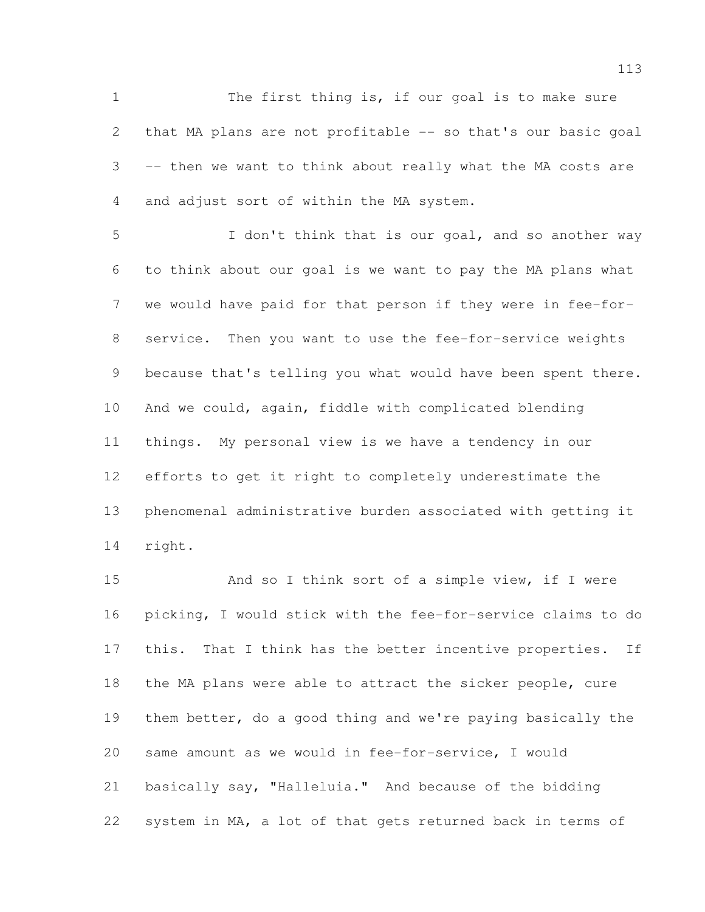The first thing is, if our goal is to make sure that MA plans are not profitable -- so that's our basic goal -- then we want to think about really what the MA costs are and adjust sort of within the MA system.

 I don't think that is our goal, and so another way to think about our goal is we want to pay the MA plans what we would have paid for that person if they were in fee-for- service. Then you want to use the fee-for-service weights because that's telling you what would have been spent there. And we could, again, fiddle with complicated blending things. My personal view is we have a tendency in our efforts to get it right to completely underestimate the phenomenal administrative burden associated with getting it right.

 And so I think sort of a simple view, if I were picking, I would stick with the fee-for-service claims to do 17 this. That I think has the better incentive properties. If the MA plans were able to attract the sicker people, cure them better, do a good thing and we're paying basically the same amount as we would in fee-for-service, I would basically say, "Halleluia." And because of the bidding system in MA, a lot of that gets returned back in terms of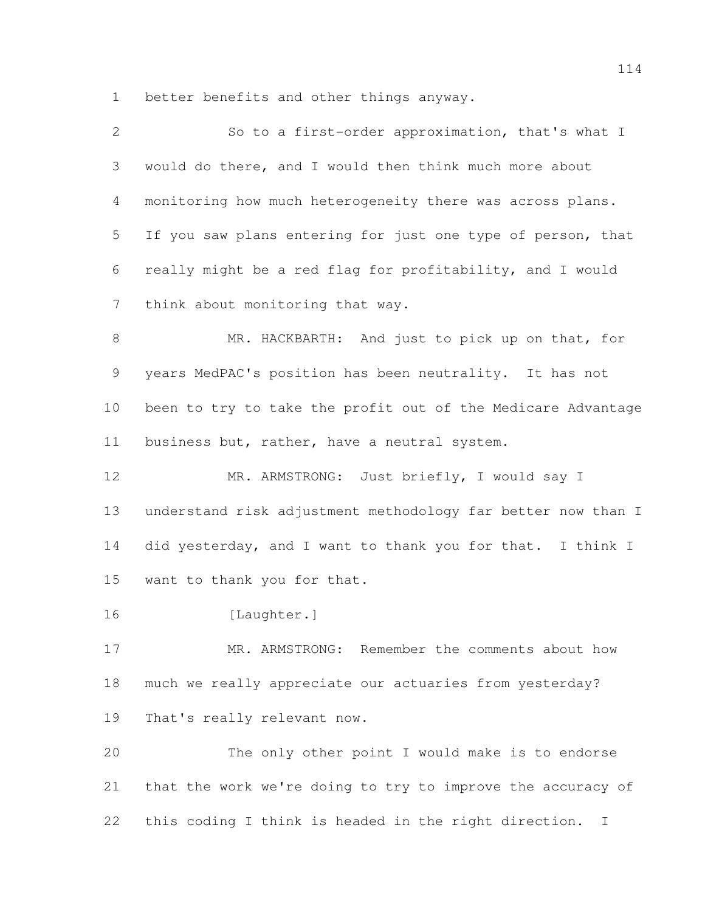better benefits and other things anyway.

| 3<br>would do there, and I would then think much more about<br>monitoring how much heterogeneity there was across plans.<br>4<br>5<br>If you saw plans entering for just one type of person, that<br>really might be a red flag for profitability, and I would<br>6<br>7<br>think about monitoring that way.<br>8<br>MR. HACKBARTH: And just to pick up on that, for<br>9<br>years MedPAC's position has been neutrality. It has not<br>10<br>business but, rather, have a neutral system.<br>11<br>12<br>MR. ARMSTRONG: Just briefly, I would say I<br>13<br>14<br>15<br>want to thank you for that.<br>16<br>[Laughter.]<br>17<br>MR. ARMSTRONG: Remember the comments about how<br>18<br>much we really appreciate our actuaries from yesterday?<br>19<br>That's really relevant now.<br>20<br>The only other point I would make is to endorse<br>21<br>that the work we're doing to try to improve the accuracy of<br>this coding I think is headed in the right direction.<br>22<br>T | 2 | So to a first-order approximation, that's what I             |
|--------------------------------------------------------------------------------------------------------------------------------------------------------------------------------------------------------------------------------------------------------------------------------------------------------------------------------------------------------------------------------------------------------------------------------------------------------------------------------------------------------------------------------------------------------------------------------------------------------------------------------------------------------------------------------------------------------------------------------------------------------------------------------------------------------------------------------------------------------------------------------------------------------------------------------------------------------------------------------------------|---|--------------------------------------------------------------|
|                                                                                                                                                                                                                                                                                                                                                                                                                                                                                                                                                                                                                                                                                                                                                                                                                                                                                                                                                                                            |   |                                                              |
|                                                                                                                                                                                                                                                                                                                                                                                                                                                                                                                                                                                                                                                                                                                                                                                                                                                                                                                                                                                            |   |                                                              |
|                                                                                                                                                                                                                                                                                                                                                                                                                                                                                                                                                                                                                                                                                                                                                                                                                                                                                                                                                                                            |   |                                                              |
|                                                                                                                                                                                                                                                                                                                                                                                                                                                                                                                                                                                                                                                                                                                                                                                                                                                                                                                                                                                            |   |                                                              |
|                                                                                                                                                                                                                                                                                                                                                                                                                                                                                                                                                                                                                                                                                                                                                                                                                                                                                                                                                                                            |   |                                                              |
|                                                                                                                                                                                                                                                                                                                                                                                                                                                                                                                                                                                                                                                                                                                                                                                                                                                                                                                                                                                            |   |                                                              |
|                                                                                                                                                                                                                                                                                                                                                                                                                                                                                                                                                                                                                                                                                                                                                                                                                                                                                                                                                                                            |   |                                                              |
|                                                                                                                                                                                                                                                                                                                                                                                                                                                                                                                                                                                                                                                                                                                                                                                                                                                                                                                                                                                            |   | been to try to take the profit out of the Medicare Advantage |
|                                                                                                                                                                                                                                                                                                                                                                                                                                                                                                                                                                                                                                                                                                                                                                                                                                                                                                                                                                                            |   |                                                              |
|                                                                                                                                                                                                                                                                                                                                                                                                                                                                                                                                                                                                                                                                                                                                                                                                                                                                                                                                                                                            |   |                                                              |
|                                                                                                                                                                                                                                                                                                                                                                                                                                                                                                                                                                                                                                                                                                                                                                                                                                                                                                                                                                                            |   | understand risk adjustment methodology far better now than I |
|                                                                                                                                                                                                                                                                                                                                                                                                                                                                                                                                                                                                                                                                                                                                                                                                                                                                                                                                                                                            |   | did yesterday, and I want to thank you for that. I think I   |
|                                                                                                                                                                                                                                                                                                                                                                                                                                                                                                                                                                                                                                                                                                                                                                                                                                                                                                                                                                                            |   |                                                              |
|                                                                                                                                                                                                                                                                                                                                                                                                                                                                                                                                                                                                                                                                                                                                                                                                                                                                                                                                                                                            |   |                                                              |
|                                                                                                                                                                                                                                                                                                                                                                                                                                                                                                                                                                                                                                                                                                                                                                                                                                                                                                                                                                                            |   |                                                              |
|                                                                                                                                                                                                                                                                                                                                                                                                                                                                                                                                                                                                                                                                                                                                                                                                                                                                                                                                                                                            |   |                                                              |
|                                                                                                                                                                                                                                                                                                                                                                                                                                                                                                                                                                                                                                                                                                                                                                                                                                                                                                                                                                                            |   |                                                              |
|                                                                                                                                                                                                                                                                                                                                                                                                                                                                                                                                                                                                                                                                                                                                                                                                                                                                                                                                                                                            |   |                                                              |
|                                                                                                                                                                                                                                                                                                                                                                                                                                                                                                                                                                                                                                                                                                                                                                                                                                                                                                                                                                                            |   |                                                              |
|                                                                                                                                                                                                                                                                                                                                                                                                                                                                                                                                                                                                                                                                                                                                                                                                                                                                                                                                                                                            |   |                                                              |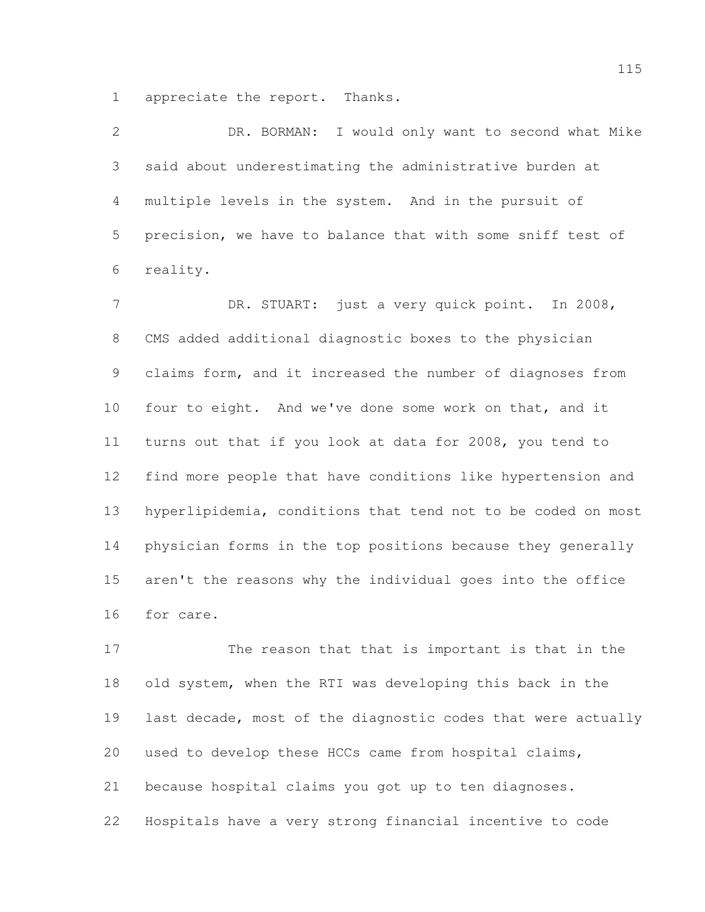appreciate the report. Thanks.

 DR. BORMAN: I would only want to second what Mike said about underestimating the administrative burden at multiple levels in the system. And in the pursuit of precision, we have to balance that with some sniff test of reality.

7 DR. STUART: just a very quick point. In 2008, CMS added additional diagnostic boxes to the physician claims form, and it increased the number of diagnoses from four to eight. And we've done some work on that, and it turns out that if you look at data for 2008, you tend to find more people that have conditions like hypertension and hyperlipidemia, conditions that tend not to be coded on most physician forms in the top positions because they generally aren't the reasons why the individual goes into the office for care.

 The reason that that is important is that in the old system, when the RTI was developing this back in the last decade, most of the diagnostic codes that were actually used to develop these HCCs came from hospital claims, because hospital claims you got up to ten diagnoses. Hospitals have a very strong financial incentive to code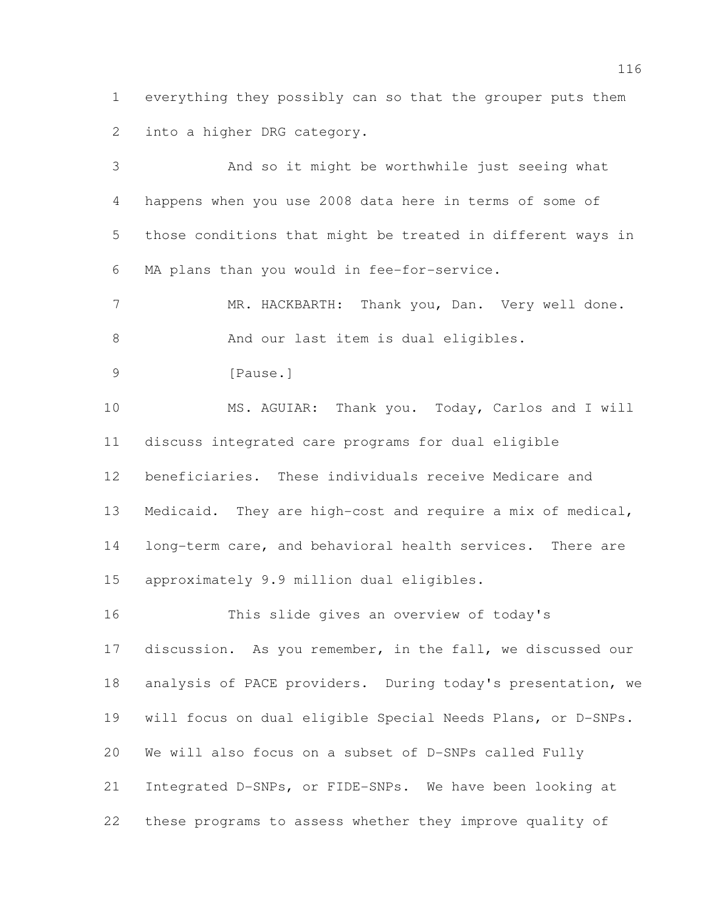everything they possibly can so that the grouper puts them into a higher DRG category.

 And so it might be worthwhile just seeing what happens when you use 2008 data here in terms of some of those conditions that might be treated in different ways in MA plans than you would in fee-for-service. 7 MR. HACKBARTH: Thank you, Dan. Very well done. 8 And our last item is dual eligibles. 9 [Pause.] MS. AGUIAR: Thank you. Today, Carlos and I will discuss integrated care programs for dual eligible beneficiaries. These individuals receive Medicare and Medicaid. They are high-cost and require a mix of medical, long-term care, and behavioral health services. There are approximately 9.9 million dual eligibles.

 This slide gives an overview of today's discussion. As you remember, in the fall, we discussed our analysis of PACE providers. During today's presentation, we will focus on dual eligible Special Needs Plans, or D-SNPs. We will also focus on a subset of D-SNPs called Fully Integrated D-SNPs, or FIDE-SNPs. We have been looking at these programs to assess whether they improve quality of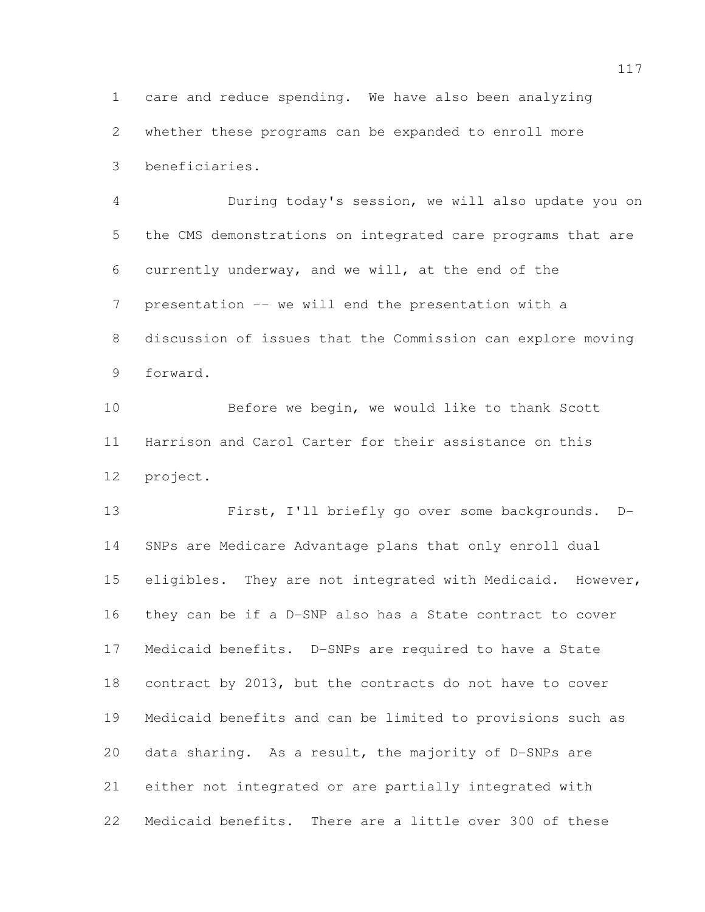care and reduce spending. We have also been analyzing whether these programs can be expanded to enroll more beneficiaries.

 During today's session, we will also update you on the CMS demonstrations on integrated care programs that are currently underway, and we will, at the end of the presentation -- we will end the presentation with a discussion of issues that the Commission can explore moving forward.

 Before we begin, we would like to thank Scott Harrison and Carol Carter for their assistance on this project.

 First, I'll briefly go over some backgrounds. D- SNPs are Medicare Advantage plans that only enroll dual 15 eligibles. They are not integrated with Medicaid. However, they can be if a D-SNP also has a State contract to cover Medicaid benefits. D-SNPs are required to have a State contract by 2013, but the contracts do not have to cover Medicaid benefits and can be limited to provisions such as data sharing. As a result, the majority of D-SNPs are either not integrated or are partially integrated with Medicaid benefits. There are a little over 300 of these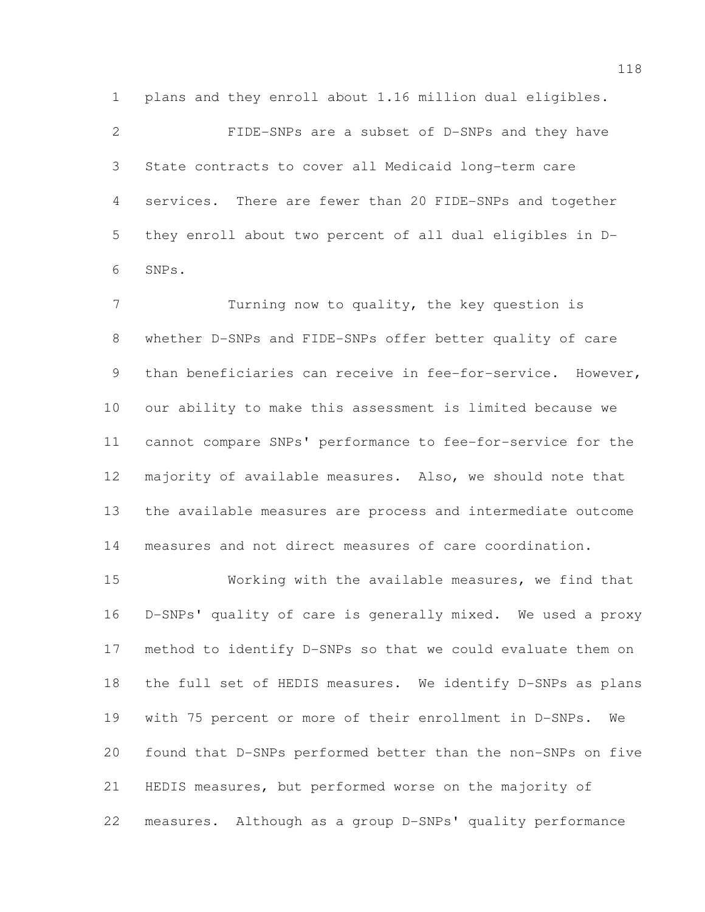plans and they enroll about 1.16 million dual eligibles.

 FIDE-SNPs are a subset of D-SNPs and they have State contracts to cover all Medicaid long-term care services. There are fewer than 20 FIDE-SNPs and together they enroll about two percent of all dual eligibles in D-SNPs.

 Turning now to quality, the key question is whether D-SNPs and FIDE-SNPs offer better quality of care than beneficiaries can receive in fee-for-service. However, our ability to make this assessment is limited because we cannot compare SNPs' performance to fee-for-service for the majority of available measures. Also, we should note that the available measures are process and intermediate outcome measures and not direct measures of care coordination.

 Working with the available measures, we find that D-SNPs' quality of care is generally mixed. We used a proxy method to identify D-SNPs so that we could evaluate them on the full set of HEDIS measures. We identify D-SNPs as plans with 75 percent or more of their enrollment in D-SNPs. We found that D-SNPs performed better than the non-SNPs on five HEDIS measures, but performed worse on the majority of measures. Although as a group D-SNPs' quality performance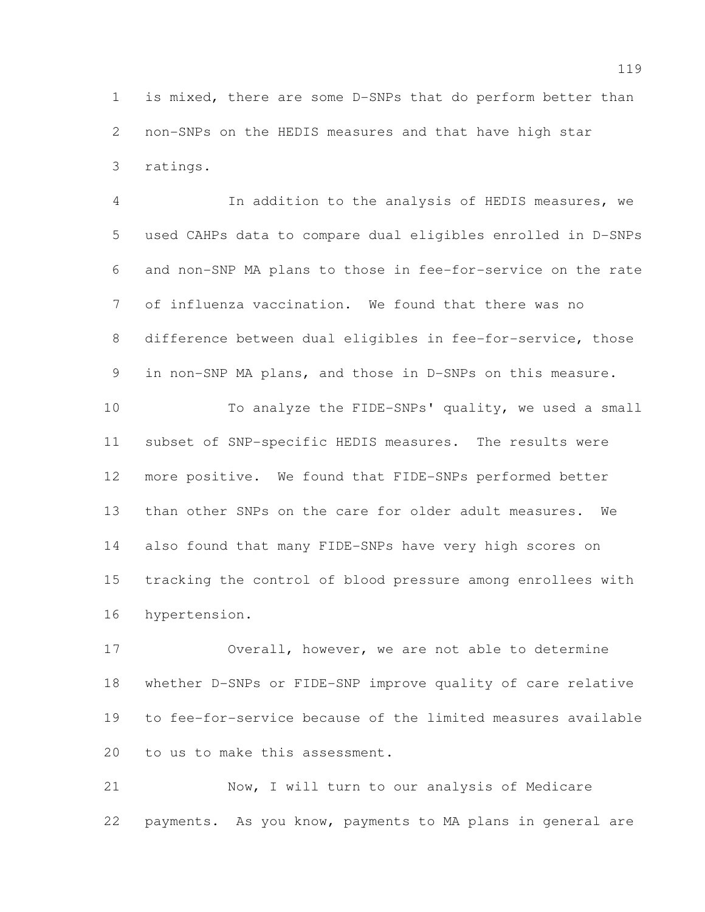is mixed, there are some D-SNPs that do perform better than non-SNPs on the HEDIS measures and that have high star ratings.

 In addition to the analysis of HEDIS measures, we used CAHPs data to compare dual eligibles enrolled in D-SNPs and non-SNP MA plans to those in fee-for-service on the rate of influenza vaccination. We found that there was no difference between dual eligibles in fee-for-service, those in non-SNP MA plans, and those in D-SNPs on this measure. To analyze the FIDE-SNPs' quality, we used a small subset of SNP-specific HEDIS measures. The results were more positive. We found that FIDE-SNPs performed better than other SNPs on the care for older adult measures. We also found that many FIDE-SNPs have very high scores on

 tracking the control of blood pressure among enrollees with hypertension.

 Overall, however, we are not able to determine whether D-SNPs or FIDE-SNP improve quality of care relative to fee-for-service because of the limited measures available to us to make this assessment.

 Now, I will turn to our analysis of Medicare payments. As you know, payments to MA plans in general are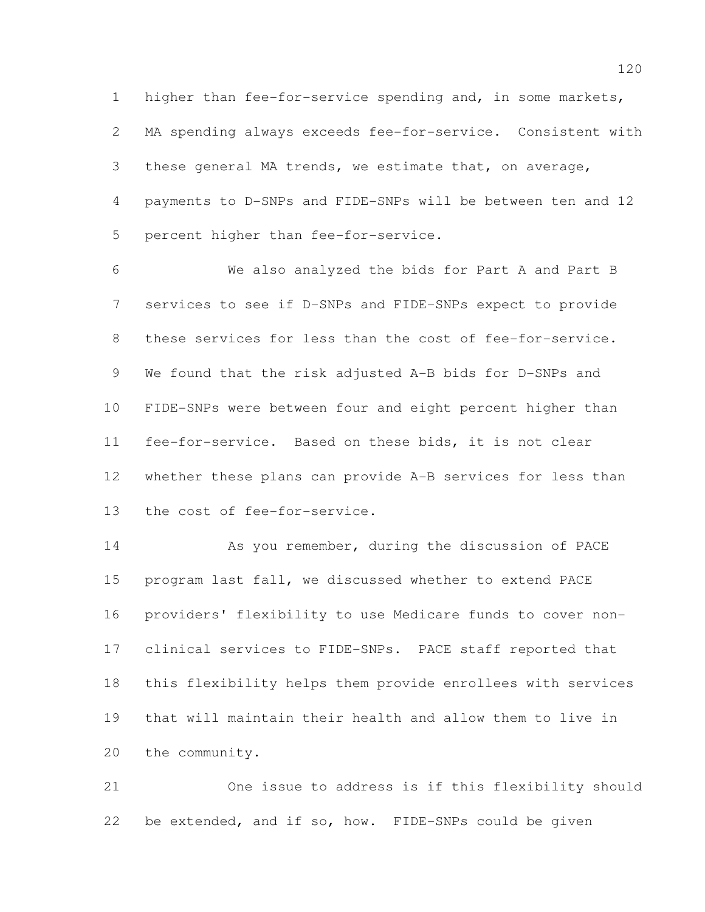higher than fee-for-service spending and, in some markets, MA spending always exceeds fee-for-service. Consistent with these general MA trends, we estimate that, on average, payments to D-SNPs and FIDE-SNPs will be between ten and 12 percent higher than fee-for-service.

 We also analyzed the bids for Part A and Part B services to see if D-SNPs and FIDE-SNPs expect to provide these services for less than the cost of fee-for-service. We found that the risk adjusted A-B bids for D-SNPs and FIDE-SNPs were between four and eight percent higher than fee-for-service. Based on these bids, it is not clear whether these plans can provide A-B services for less than the cost of fee-for-service.

14 As you remember, during the discussion of PACE program last fall, we discussed whether to extend PACE providers' flexibility to use Medicare funds to cover non- clinical services to FIDE-SNPs. PACE staff reported that this flexibility helps them provide enrollees with services that will maintain their health and allow them to live in the community.

 One issue to address is if this flexibility should be extended, and if so, how. FIDE-SNPs could be given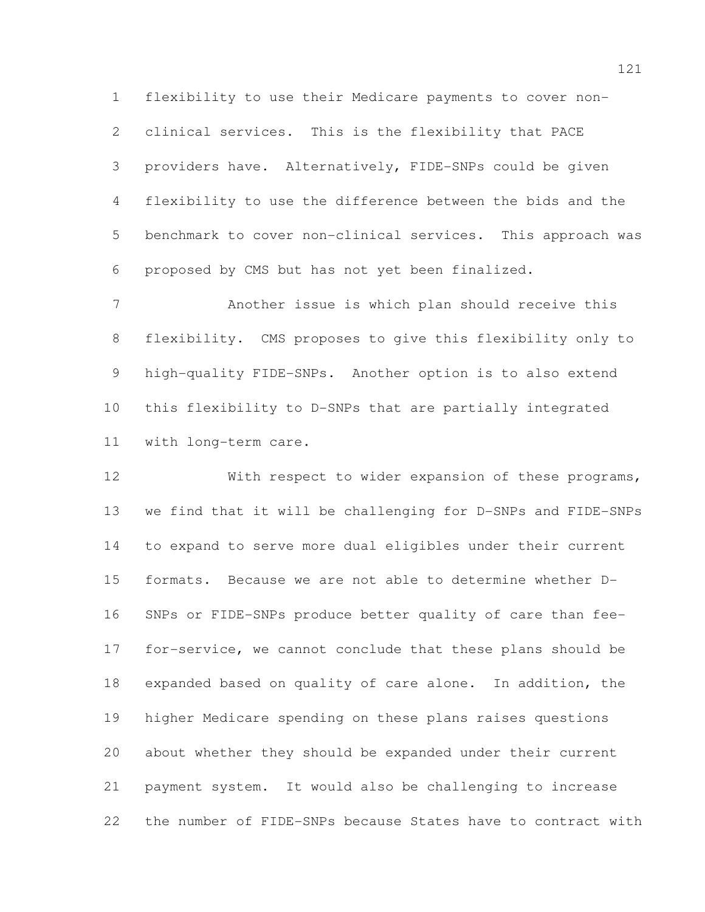flexibility to use their Medicare payments to cover non- clinical services. This is the flexibility that PACE providers have. Alternatively, FIDE-SNPs could be given flexibility to use the difference between the bids and the benchmark to cover non-clinical services. This approach was proposed by CMS but has not yet been finalized.

 Another issue is which plan should receive this flexibility. CMS proposes to give this flexibility only to high-quality FIDE-SNPs. Another option is to also extend this flexibility to D-SNPs that are partially integrated with long-term care.

 With respect to wider expansion of these programs, we find that it will be challenging for D-SNPs and FIDE-SNPs to expand to serve more dual eligibles under their current formats. Because we are not able to determine whether D- SNPs or FIDE-SNPs produce better quality of care than fee- for-service, we cannot conclude that these plans should be expanded based on quality of care alone. In addition, the higher Medicare spending on these plans raises questions about whether they should be expanded under their current payment system. It would also be challenging to increase the number of FIDE-SNPs because States have to contract with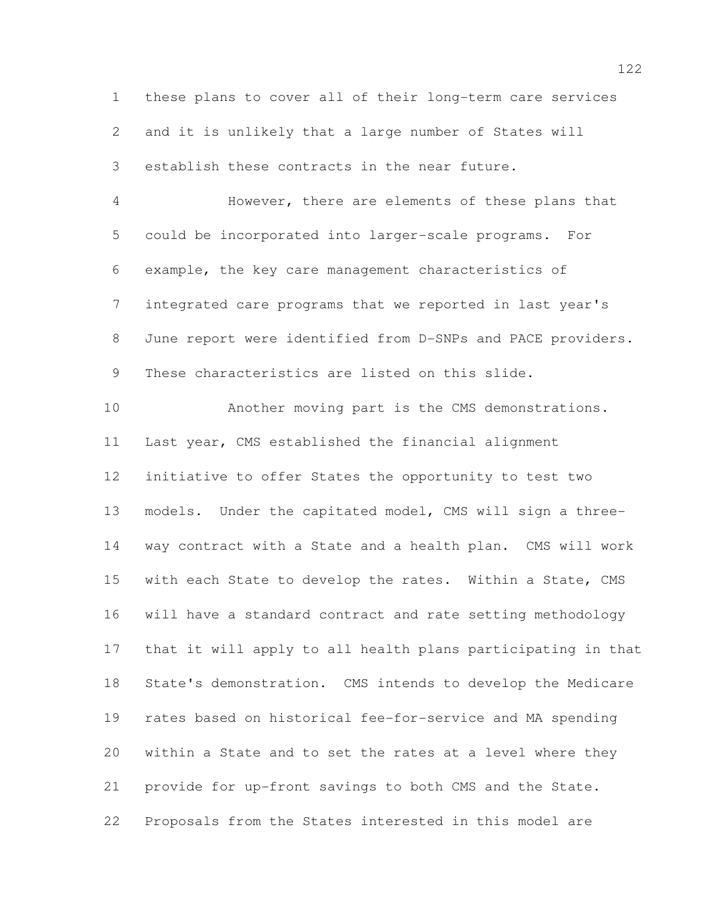these plans to cover all of their long-term care services and it is unlikely that a large number of States will establish these contracts in the near future. However, there are elements of these plans that could be incorporated into larger-scale programs. For example, the key care management characteristics of integrated care programs that we reported in last year's June report were identified from D-SNPs and PACE providers. These characteristics are listed on this slide. Another moving part is the CMS demonstrations. Last year, CMS established the financial alignment initiative to offer States the opportunity to test two models. Under the capitated model, CMS will sign a three- way contract with a State and a health plan. CMS will work with each State to develop the rates. Within a State, CMS will have a standard contract and rate setting methodology that it will apply to all health plans participating in that State's demonstration. CMS intends to develop the Medicare rates based on historical fee-for-service and MA spending within a State and to set the rates at a level where they provide for up-front savings to both CMS and the State. Proposals from the States interested in this model are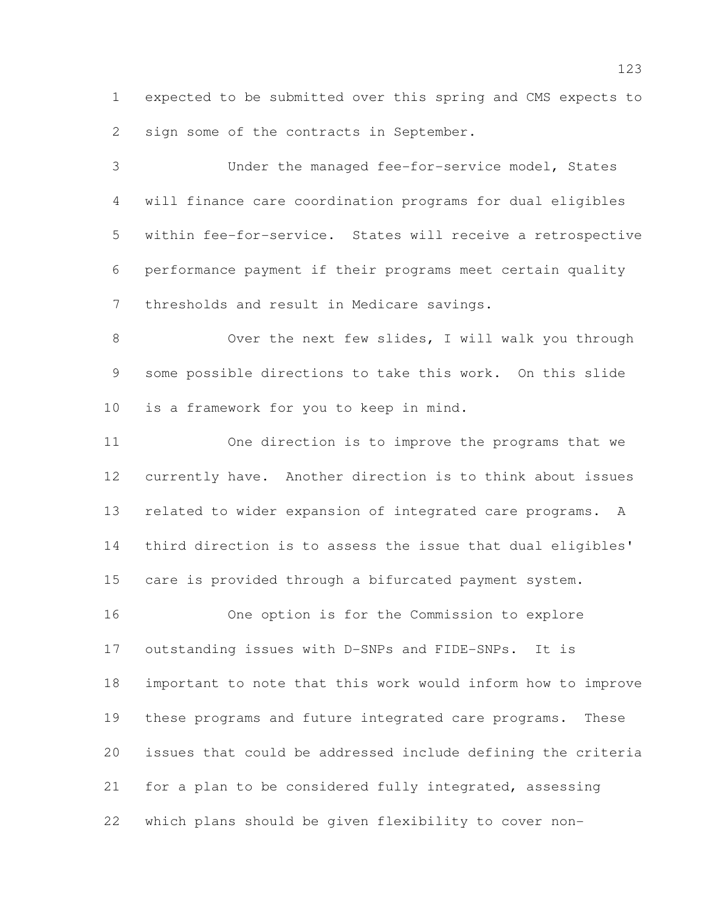expected to be submitted over this spring and CMS expects to sign some of the contracts in September.

 Under the managed fee-for-service model, States will finance care coordination programs for dual eligibles within fee-for-service. States will receive a retrospective performance payment if their programs meet certain quality thresholds and result in Medicare savings.

8 Over the next few slides, I will walk you through some possible directions to take this work. On this slide is a framework for you to keep in mind.

 One direction is to improve the programs that we currently have. Another direction is to think about issues related to wider expansion of integrated care programs. A third direction is to assess the issue that dual eligibles' care is provided through a bifurcated payment system.

 One option is for the Commission to explore outstanding issues with D-SNPs and FIDE-SNPs. It is important to note that this work would inform how to improve these programs and future integrated care programs. These issues that could be addressed include defining the criteria for a plan to be considered fully integrated, assessing which plans should be given flexibility to cover non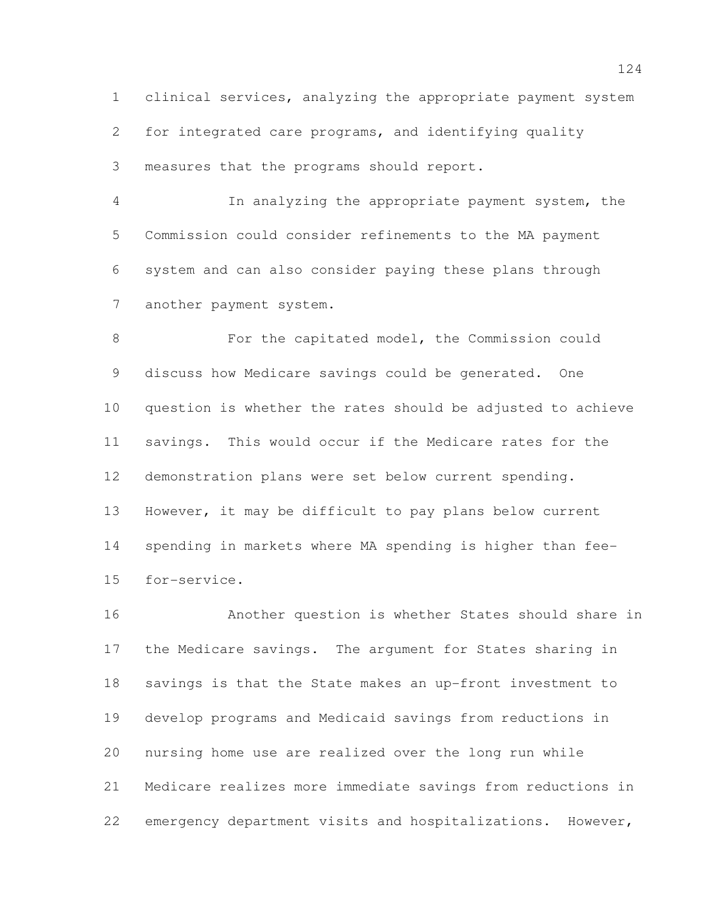clinical services, analyzing the appropriate payment system

for integrated care programs, and identifying quality

measures that the programs should report.

 In analyzing the appropriate payment system, the Commission could consider refinements to the MA payment system and can also consider paying these plans through another payment system.

 For the capitated model, the Commission could discuss how Medicare savings could be generated. One question is whether the rates should be adjusted to achieve savings. This would occur if the Medicare rates for the demonstration plans were set below current spending. However, it may be difficult to pay plans below current spending in markets where MA spending is higher than fee-for-service.

 Another question is whether States should share in the Medicare savings. The argument for States sharing in savings is that the State makes an up-front investment to develop programs and Medicaid savings from reductions in nursing home use are realized over the long run while Medicare realizes more immediate savings from reductions in emergency department visits and hospitalizations. However,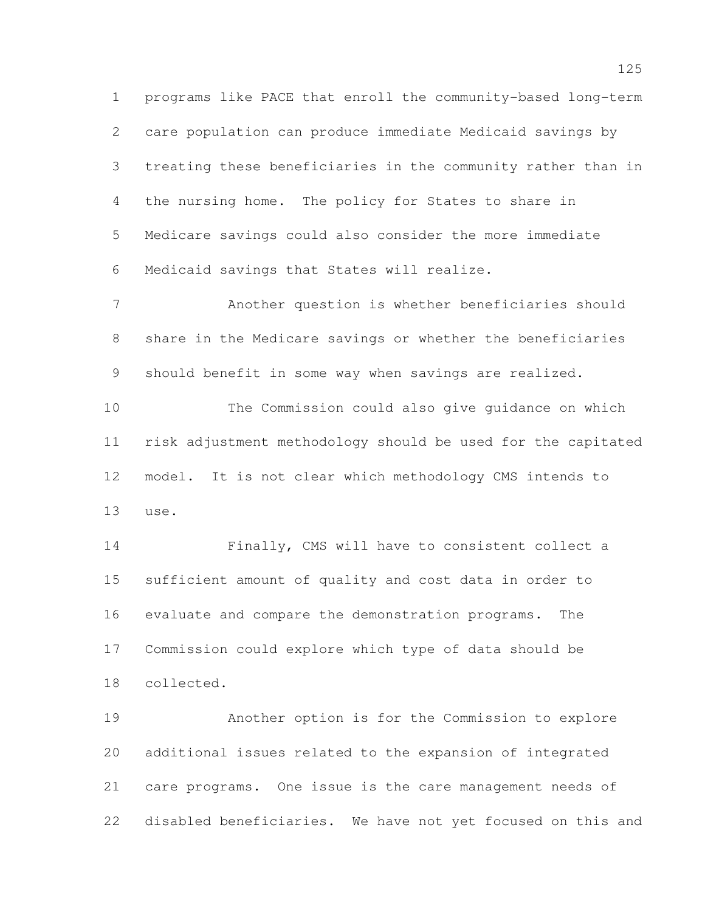programs like PACE that enroll the community-based long-term care population can produce immediate Medicaid savings by treating these beneficiaries in the community rather than in the nursing home. The policy for States to share in Medicare savings could also consider the more immediate Medicaid savings that States will realize.

 Another question is whether beneficiaries should share in the Medicare savings or whether the beneficiaries should benefit in some way when savings are realized.

 The Commission could also give guidance on which risk adjustment methodology should be used for the capitated model. It is not clear which methodology CMS intends to use.

 Finally, CMS will have to consistent collect a sufficient amount of quality and cost data in order to evaluate and compare the demonstration programs. The Commission could explore which type of data should be collected.

 Another option is for the Commission to explore additional issues related to the expansion of integrated care programs. One issue is the care management needs of disabled beneficiaries. We have not yet focused on this and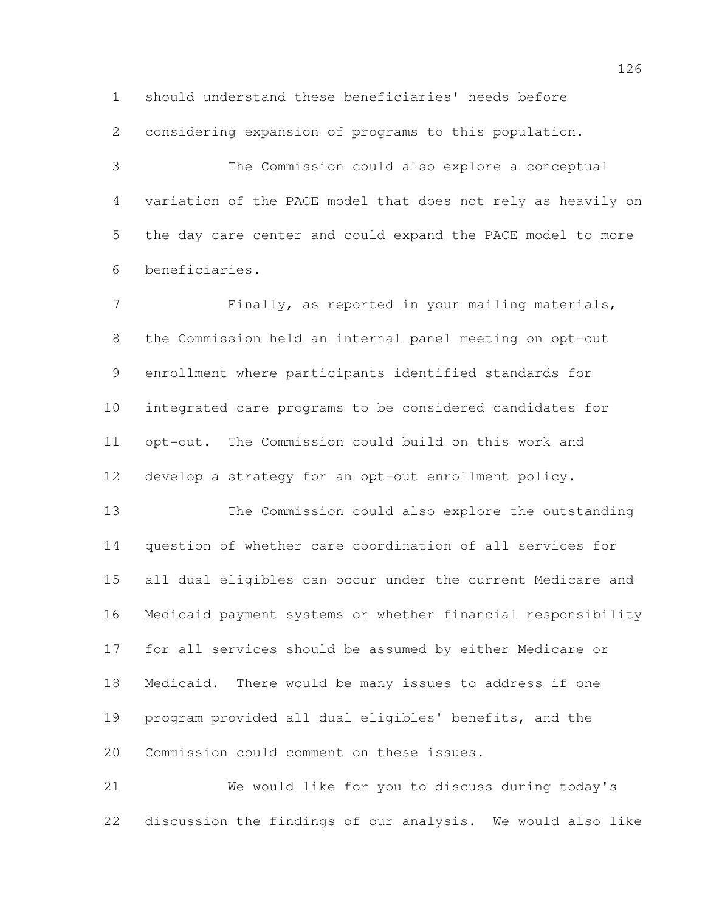should understand these beneficiaries' needs before

considering expansion of programs to this population.

 The Commission could also explore a conceptual variation of the PACE model that does not rely as heavily on the day care center and could expand the PACE model to more beneficiaries.

 Finally, as reported in your mailing materials, the Commission held an internal panel meeting on opt-out enrollment where participants identified standards for integrated care programs to be considered candidates for opt-out. The Commission could build on this work and develop a strategy for an opt-out enrollment policy.

 The Commission could also explore the outstanding question of whether care coordination of all services for all dual eligibles can occur under the current Medicare and Medicaid payment systems or whether financial responsibility for all services should be assumed by either Medicare or Medicaid. There would be many issues to address if one program provided all dual eligibles' benefits, and the Commission could comment on these issues.

 We would like for you to discuss during today's discussion the findings of our analysis. We would also like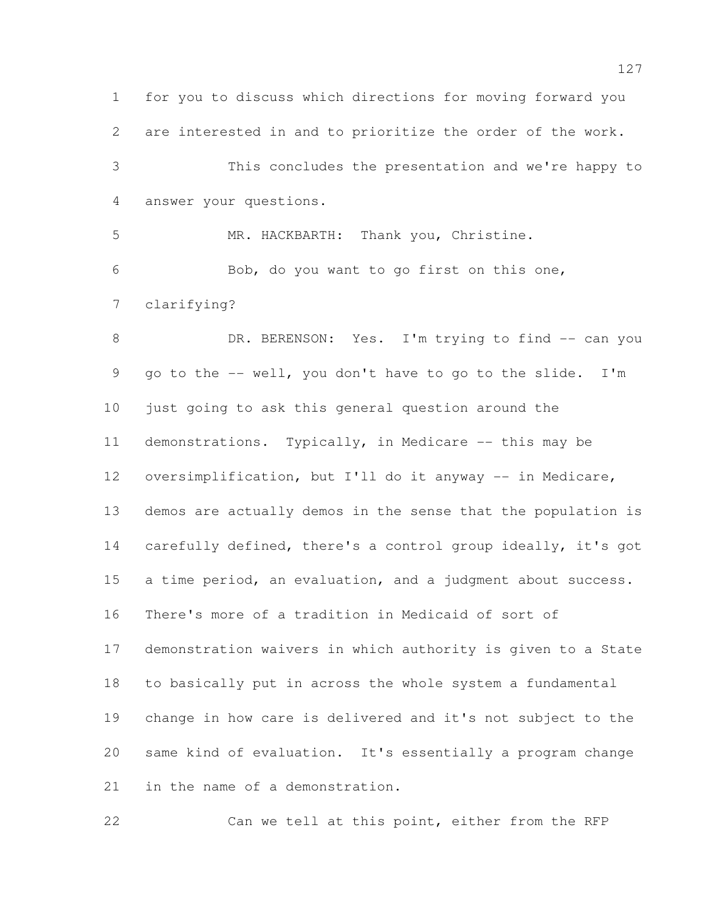for you to discuss which directions for moving forward you are interested in and to prioritize the order of the work. This concludes the presentation and we're happy to answer your questions. MR. HACKBARTH: Thank you, Christine. Bob, do you want to go first on this one, clarifying? 8 DR. BERENSON: Yes. I'm trying to find -- can you go to the -- well, you don't have to go to the slide. I'm just going to ask this general question around the demonstrations. Typically, in Medicare -- this may be 12 oversimplification, but I'll do it anyway -- in Medicare, demos are actually demos in the sense that the population is carefully defined, there's a control group ideally, it's got a time period, an evaluation, and a judgment about success. There's more of a tradition in Medicaid of sort of demonstration waivers in which authority is given to a State to basically put in across the whole system a fundamental change in how care is delivered and it's not subject to the same kind of evaluation. It's essentially a program change in the name of a demonstration.

Can we tell at this point, either from the RFP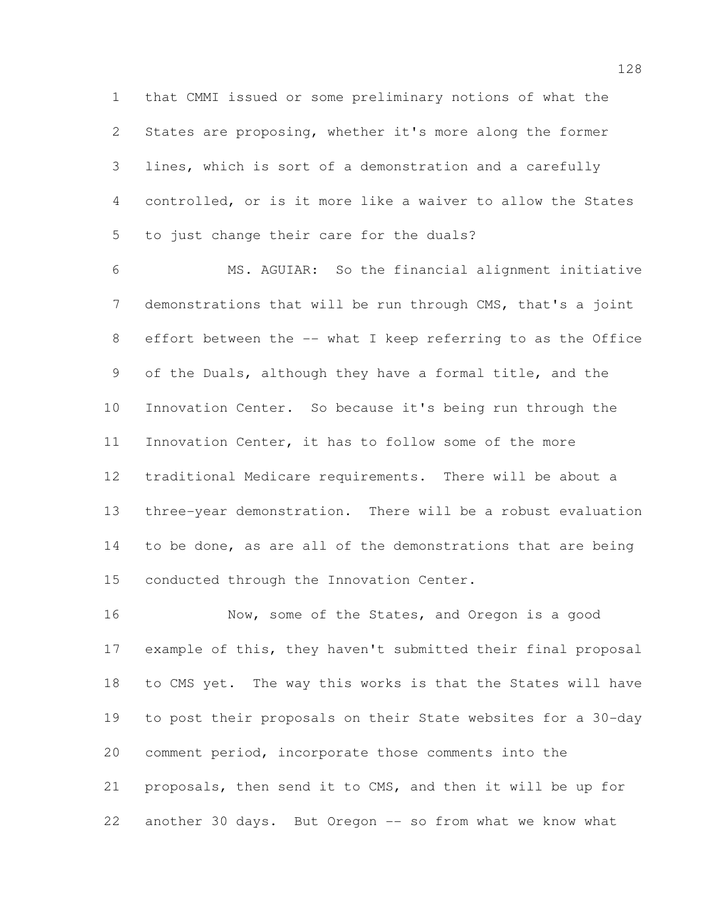that CMMI issued or some preliminary notions of what the States are proposing, whether it's more along the former lines, which is sort of a demonstration and a carefully controlled, or is it more like a waiver to allow the States to just change their care for the duals?

 MS. AGUIAR: So the financial alignment initiative demonstrations that will be run through CMS, that's a joint effort between the -- what I keep referring to as the Office of the Duals, although they have a formal title, and the Innovation Center. So because it's being run through the Innovation Center, it has to follow some of the more traditional Medicare requirements. There will be about a three-year demonstration. There will be a robust evaluation to be done, as are all of the demonstrations that are being conducted through the Innovation Center.

 Now, some of the States, and Oregon is a good example of this, they haven't submitted their final proposal to CMS yet. The way this works is that the States will have to post their proposals on their State websites for a 30-day comment period, incorporate those comments into the proposals, then send it to CMS, and then it will be up for 22 another 30 days. But Oregon -- so from what we know what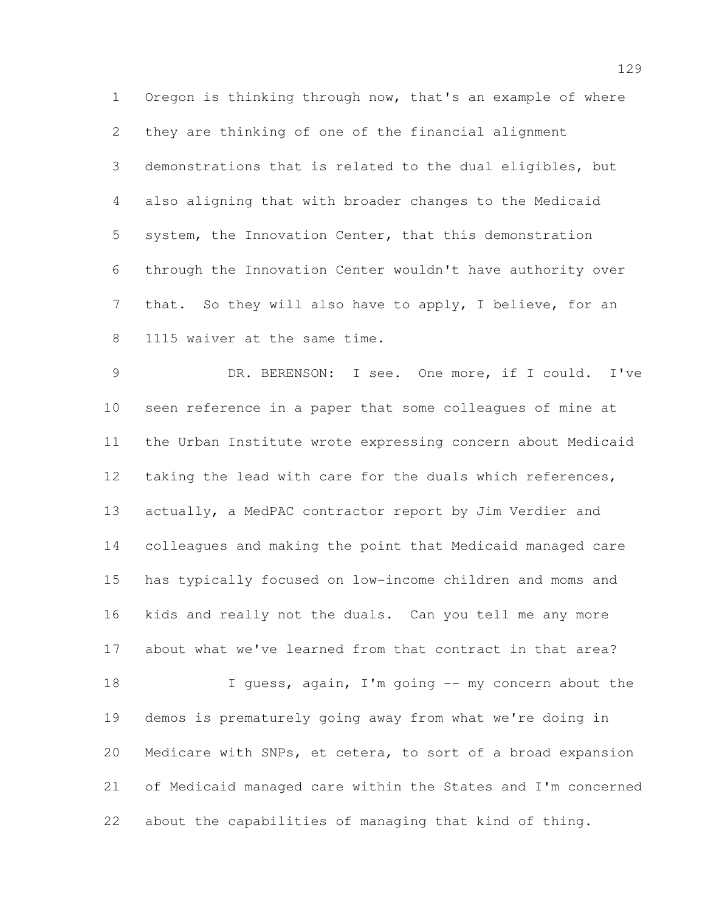Oregon is thinking through now, that's an example of where they are thinking of one of the financial alignment demonstrations that is related to the dual eligibles, but also aligning that with broader changes to the Medicaid system, the Innovation Center, that this demonstration through the Innovation Center wouldn't have authority over that. So they will also have to apply, I believe, for an 1115 waiver at the same time.

 DR. BERENSON: I see. One more, if I could. I've seen reference in a paper that some colleagues of mine at the Urban Institute wrote expressing concern about Medicaid taking the lead with care for the duals which references, actually, a MedPAC contractor report by Jim Verdier and colleagues and making the point that Medicaid managed care has typically focused on low-income children and moms and kids and really not the duals. Can you tell me any more about what we've learned from that contract in that area? 18 I guess, again, I'm going -- my concern about the demos is prematurely going away from what we're doing in Medicare with SNPs, et cetera, to sort of a broad expansion

 of Medicaid managed care within the States and I'm concerned about the capabilities of managing that kind of thing.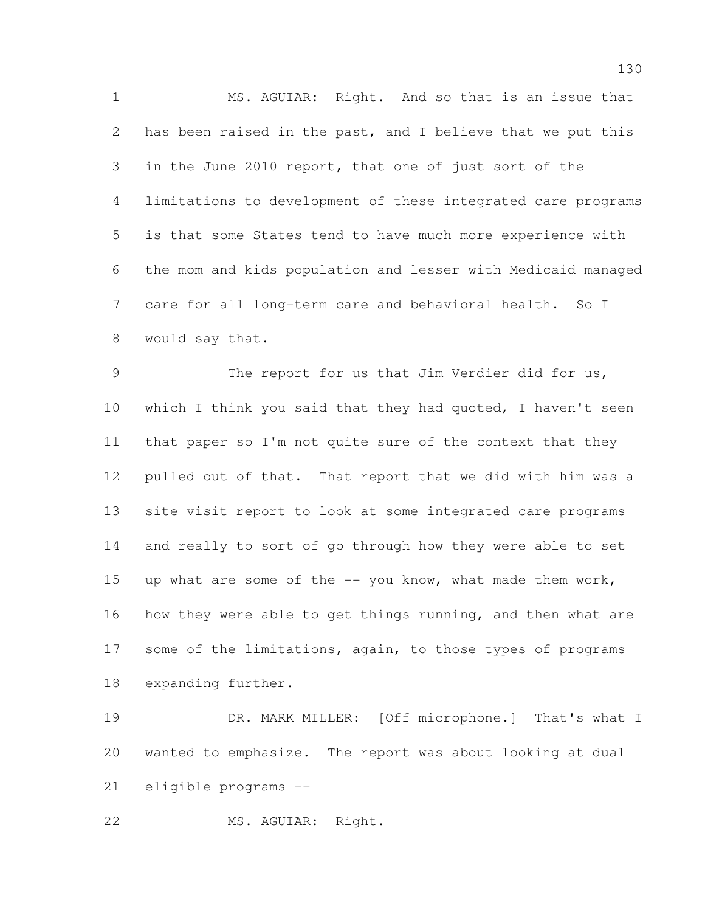MS. AGUIAR: Right. And so that is an issue that has been raised in the past, and I believe that we put this in the June 2010 report, that one of just sort of the limitations to development of these integrated care programs is that some States tend to have much more experience with the mom and kids population and lesser with Medicaid managed 7 care for all long-term care and behavioral health. So I would say that.

 The report for us that Jim Verdier did for us, which I think you said that they had quoted, I haven't seen that paper so I'm not quite sure of the context that they pulled out of that. That report that we did with him was a site visit report to look at some integrated care programs and really to sort of go through how they were able to set 15 up what are some of the  $-$  you know, what made them work, how they were able to get things running, and then what are 17 some of the limitations, again, to those types of programs expanding further.

19 DR. MARK MILLER: [Off microphone.] That's what I wanted to emphasize. The report was about looking at dual eligible programs --

MS. AGUIAR: Right.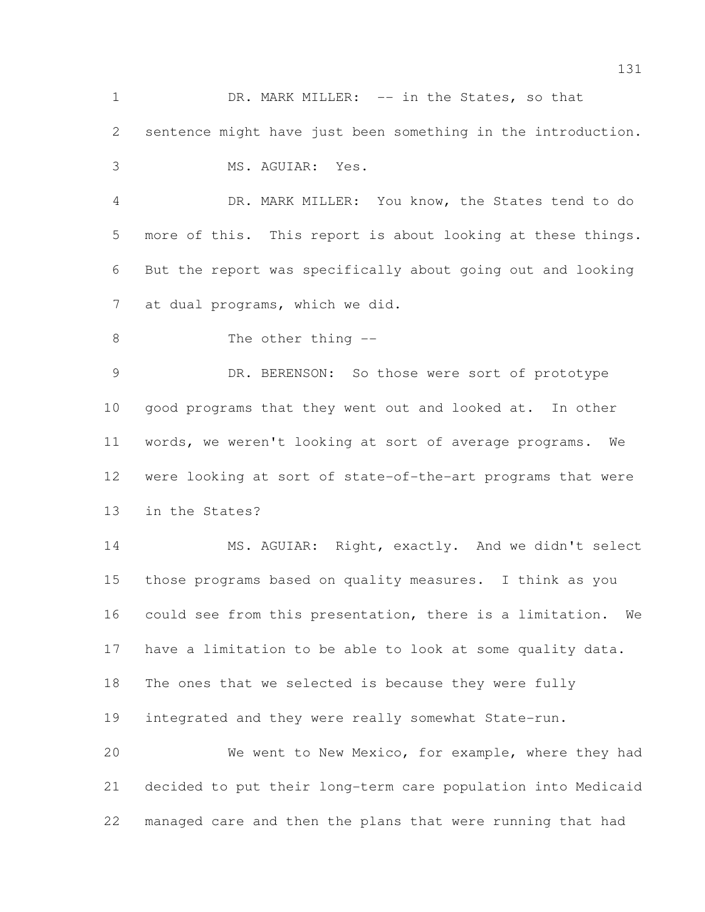1 DR. MARK MILLER: -- in the States, so that sentence might have just been something in the introduction. MS. AGUIAR: Yes.

 DR. MARK MILLER: You know, the States tend to do more of this. This report is about looking at these things. But the report was specifically about going out and looking at dual programs, which we did.

8 The other thing  $-$ 

 DR. BERENSON: So those were sort of prototype good programs that they went out and looked at. In other words, we weren't looking at sort of average programs. We were looking at sort of state-of-the-art programs that were in the States?

 MS. AGUIAR: Right, exactly. And we didn't select those programs based on quality measures. I think as you could see from this presentation, there is a limitation. We have a limitation to be able to look at some quality data. The ones that we selected is because they were fully integrated and they were really somewhat State-run. We went to New Mexico, for example, where they had decided to put their long-term care population into Medicaid

managed care and then the plans that were running that had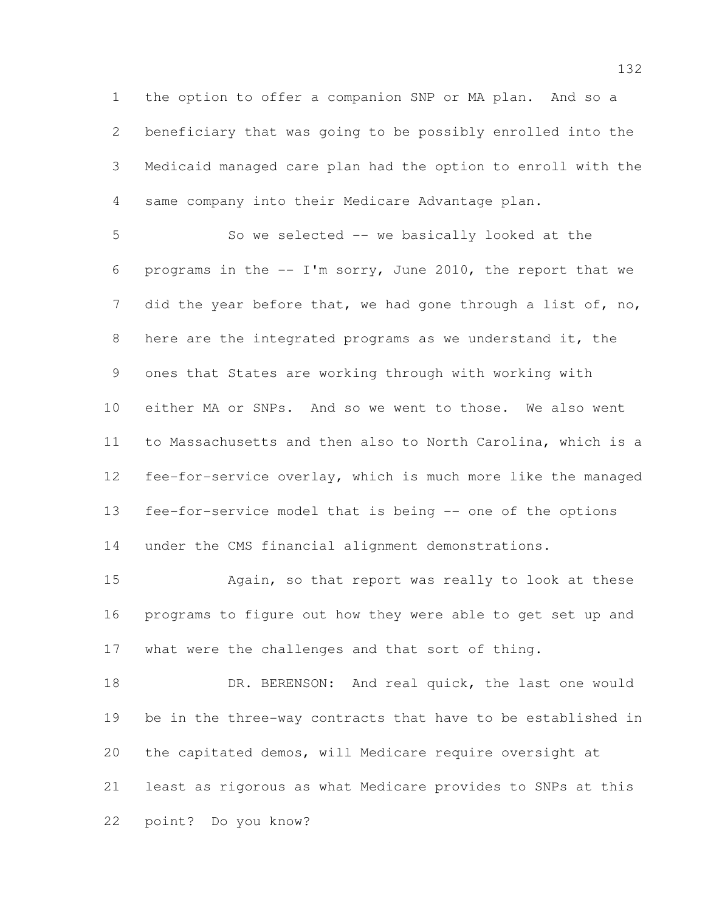the option to offer a companion SNP or MA plan. And so a beneficiary that was going to be possibly enrolled into the Medicaid managed care plan had the option to enroll with the same company into their Medicare Advantage plan.

 So we selected -- we basically looked at the programs in the -- I'm sorry, June 2010, the report that we 7 did the year before that, we had gone through a list of, no, here are the integrated programs as we understand it, the ones that States are working through with working with either MA or SNPs. And so we went to those. We also went to Massachusetts and then also to North Carolina, which is a fee-for-service overlay, which is much more like the managed fee-for-service model that is being -- one of the options under the CMS financial alignment demonstrations.

 Again, so that report was really to look at these programs to figure out how they were able to get set up and what were the challenges and that sort of thing.

18 DR. BERENSON: And real quick, the last one would be in the three-way contracts that have to be established in the capitated demos, will Medicare require oversight at least as rigorous as what Medicare provides to SNPs at this point? Do you know?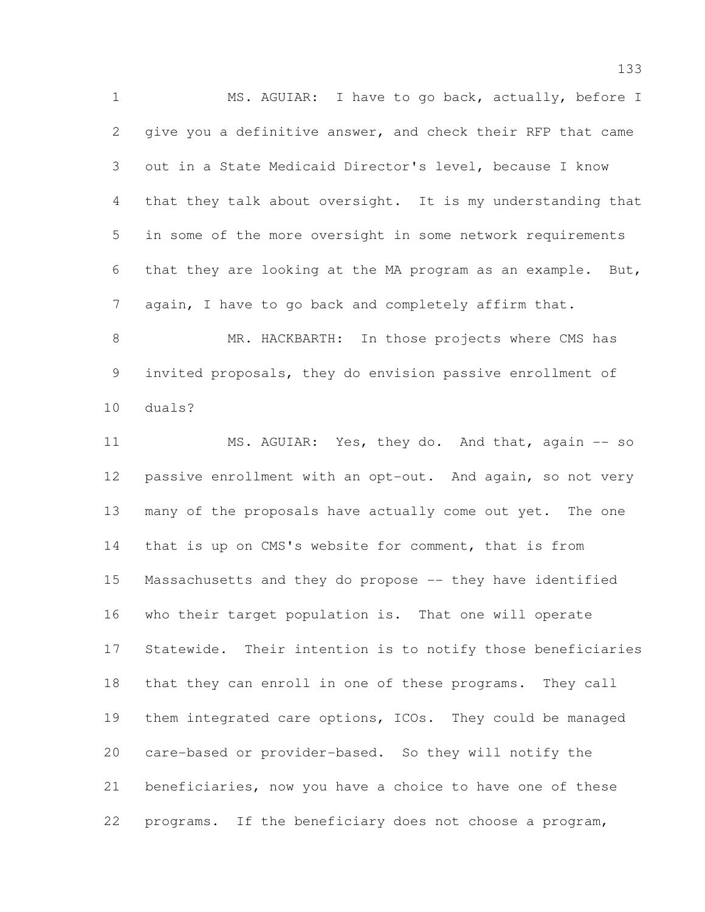MS. AGUIAR: I have to go back, actually, before I give you a definitive answer, and check their RFP that came out in a State Medicaid Director's level, because I know that they talk about oversight. It is my understanding that in some of the more oversight in some network requirements that they are looking at the MA program as an example. But, again, I have to go back and completely affirm that.

8 MR. HACKBARTH: In those projects where CMS has invited proposals, they do envision passive enrollment of duals?

 MS. AGUIAR: Yes, they do. And that, again -- so passive enrollment with an opt-out. And again, so not very many of the proposals have actually come out yet. The one that is up on CMS's website for comment, that is from Massachusetts and they do propose -- they have identified who their target population is. That one will operate Statewide. Their intention is to notify those beneficiaries that they can enroll in one of these programs. They call them integrated care options, ICOs. They could be managed care-based or provider-based. So they will notify the beneficiaries, now you have a choice to have one of these programs. If the beneficiary does not choose a program,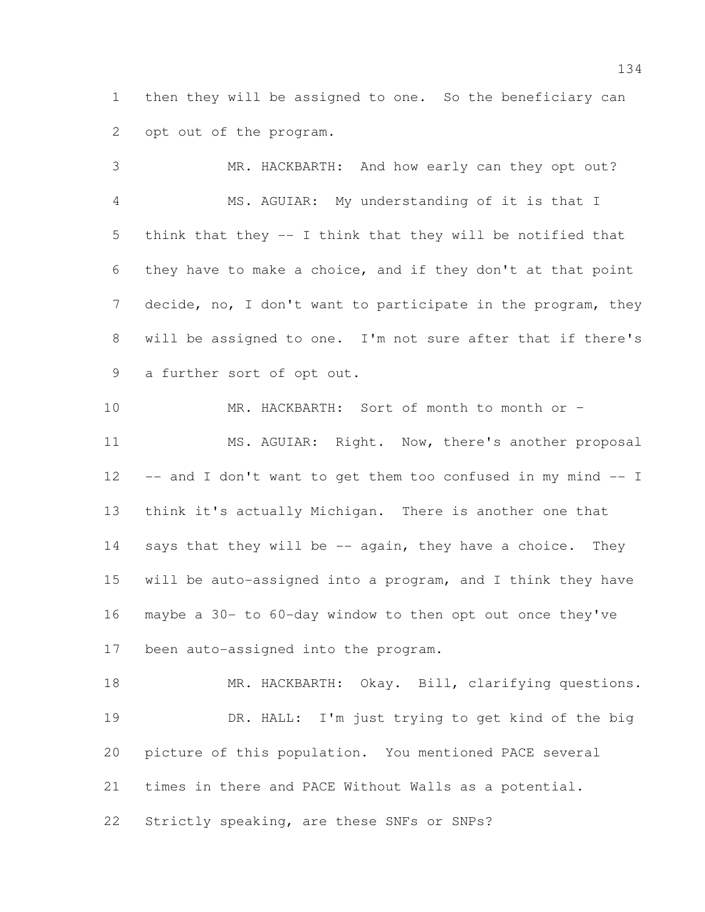then they will be assigned to one. So the beneficiary can opt out of the program.

 MR. HACKBARTH: And how early can they opt out? MS. AGUIAR: My understanding of it is that I think that they -- I think that they will be notified that they have to make a choice, and if they don't at that point decide, no, I don't want to participate in the program, they will be assigned to one. I'm not sure after that if there's a further sort of opt out.

 MR. HACKBARTH: Sort of month to month or – 11 MS. AGUIAR: Right. Now, there's another proposal -- and I don't want to get them too confused in my mind -- I think it's actually Michigan. There is another one that 14 says that they will be -- again, they have a choice. They will be auto-assigned into a program, and I think they have maybe a 30- to 60-day window to then opt out once they've been auto-assigned into the program.

18 MR. HACKBARTH: Okay. Bill, clarifying questions. DR. HALL: I'm just trying to get kind of the big picture of this population. You mentioned PACE several times in there and PACE Without Walls as a potential. Strictly speaking, are these SNFs or SNPs?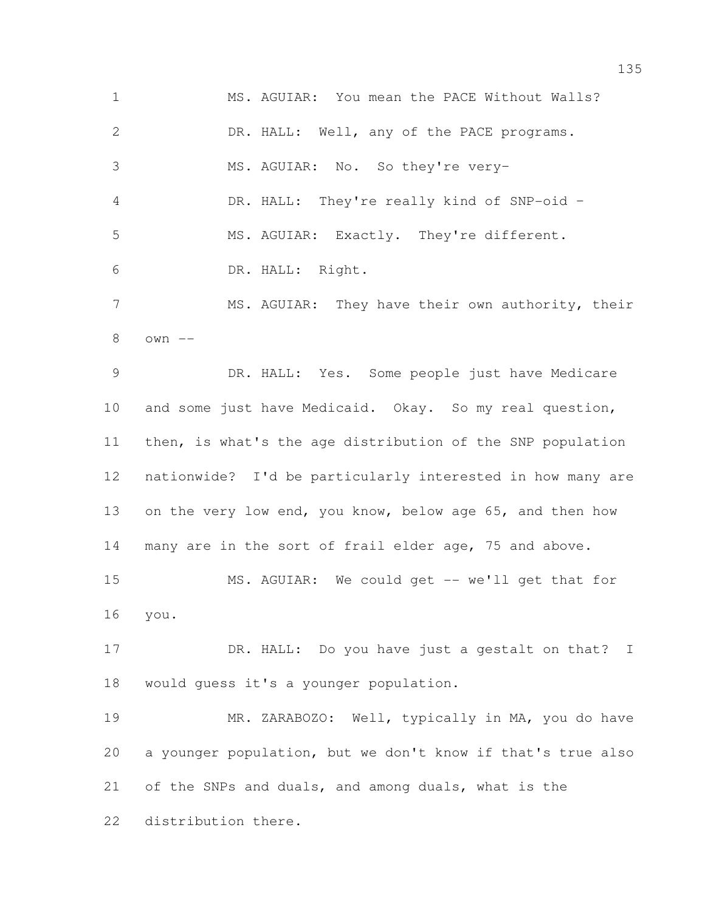MS. AGUIAR: You mean the PACE Without Walls? DR. HALL: Well, any of the PACE programs. MS. AGUIAR: No. So they're very– DR. HALL: They're really kind of SNP-oid – MS. AGUIAR: Exactly. They're different. DR. HALL: Right. MS. AGUIAR: They have their own authority, their own -- DR. HALL: Yes. Some people just have Medicare and some just have Medicaid. Okay. So my real question, then, is what's the age distribution of the SNP population nationwide? I'd be particularly interested in how many are on the very low end, you know, below age 65, and then how many are in the sort of frail elder age, 75 and above. MS. AGUIAR: We could get -- we'll get that for you. 17 DR. HALL: Do you have just a gestalt on that? I would guess it's a younger population. MR. ZARABOZO: Well, typically in MA, you do have a younger population, but we don't know if that's true also of the SNPs and duals, and among duals, what is the distribution there.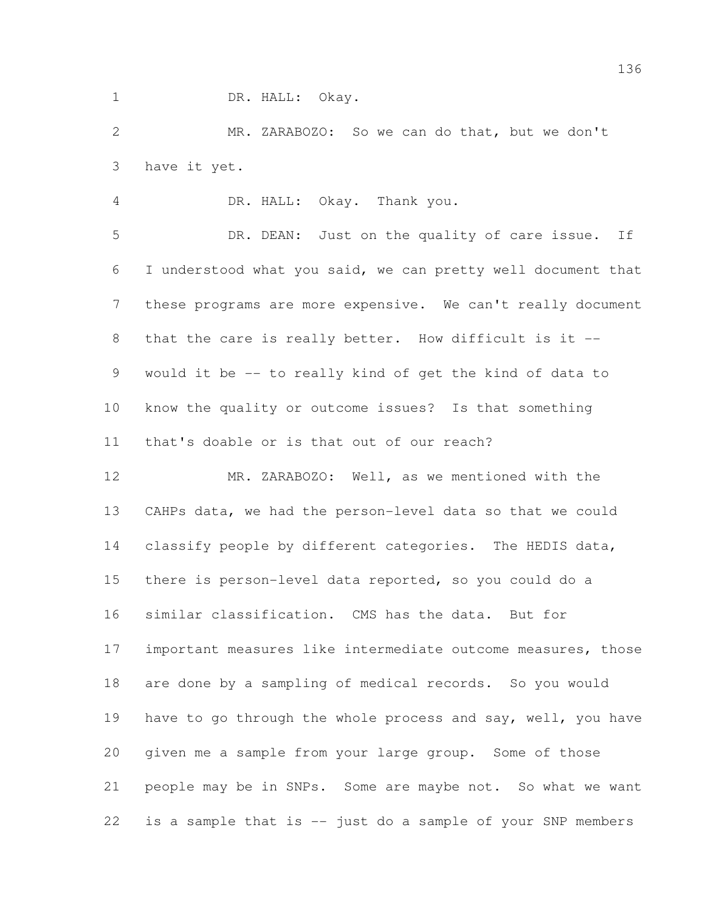1 DR. HALL: Okay.

 MR. ZARABOZO: So we can do that, but we don't have it yet.

DR. HALL: Okay. Thank you.

 DR. DEAN: Just on the quality of care issue. If I understood what you said, we can pretty well document that these programs are more expensive. We can't really document 8 that the care is really better. How difficult is it -- would it be -- to really kind of get the kind of data to know the quality or outcome issues? Is that something that's doable or is that out of our reach?

 MR. ZARABOZO: Well, as we mentioned with the CAHPs data, we had the person-level data so that we could classify people by different categories. The HEDIS data, there is person-level data reported, so you could do a similar classification. CMS has the data. But for important measures like intermediate outcome measures, those are done by a sampling of medical records. So you would 19 have to go through the whole process and say, well, you have given me a sample from your large group. Some of those people may be in SNPs. Some are maybe not. So what we want is a sample that is -- just do a sample of your SNP members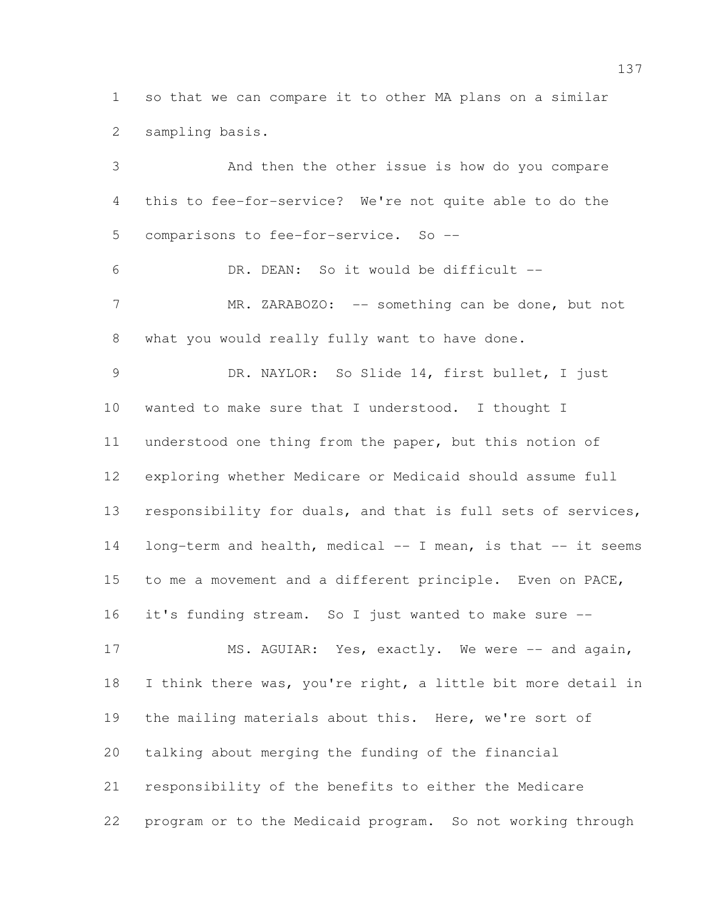so that we can compare it to other MA plans on a similar sampling basis.

 And then the other issue is how do you compare this to fee-for-service? We're not quite able to do the comparisons to fee-for-service. So -- DR. DEAN: So it would be difficult -- 7 MR. ZARABOZO: -- something can be done, but not what you would really fully want to have done. DR. NAYLOR: So Slide 14, first bullet, I just wanted to make sure that I understood. I thought I understood one thing from the paper, but this notion of exploring whether Medicare or Medicaid should assume full 13 responsibility for duals, and that is full sets of services, long-term and health, medical -- I mean, is that -- it seems to me a movement and a different principle. Even on PACE, it's funding stream. So I just wanted to make sure -- 17 MS. AGUIAR: Yes, exactly. We were -- and again, I think there was, you're right, a little bit more detail in the mailing materials about this. Here, we're sort of talking about merging the funding of the financial responsibility of the benefits to either the Medicare program or to the Medicaid program. So not working through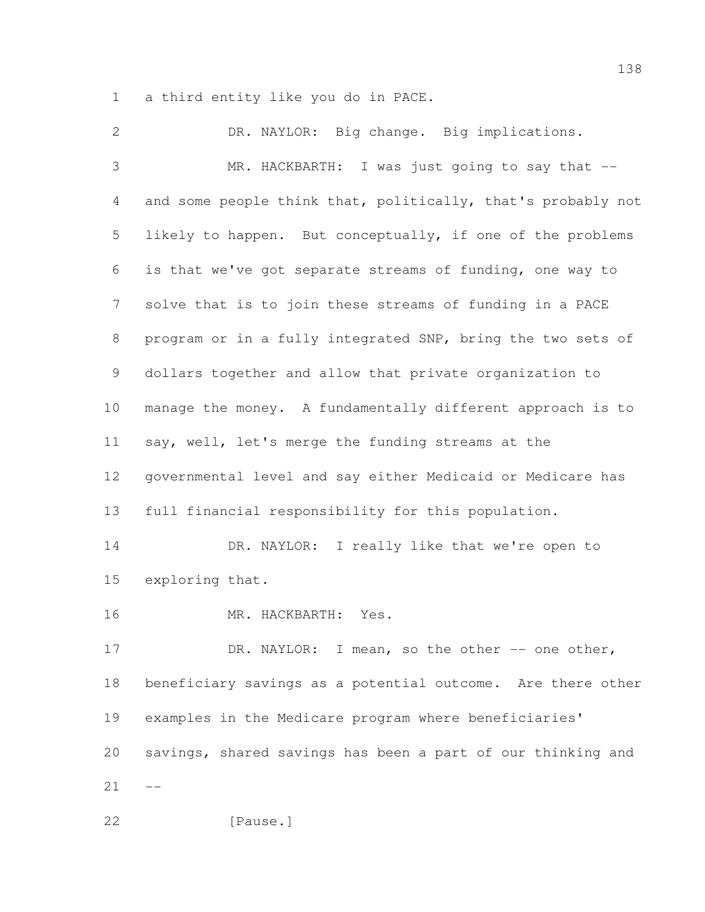a third entity like you do in PACE.

 DR. NAYLOR: Big change. Big implications. MR. HACKBARTH: I was just going to say that -- and some people think that, politically, that's probably not likely to happen. But conceptually, if one of the problems is that we've got separate streams of funding, one way to solve that is to join these streams of funding in a PACE program or in a fully integrated SNP, bring the two sets of dollars together and allow that private organization to manage the money. A fundamentally different approach is to say, well, let's merge the funding streams at the governmental level and say either Medicaid or Medicare has full financial responsibility for this population. 14 DR. NAYLOR: I really like that we're open to exploring that. MR. HACKBARTH: Yes. 17 DR. NAYLOR: I mean, so the other -- one other, beneficiary savings as a potential outcome. Are there other examples in the Medicare program where beneficiaries' savings, shared savings has been a part of our thinking and  $21 - -$ 22 [Pause.]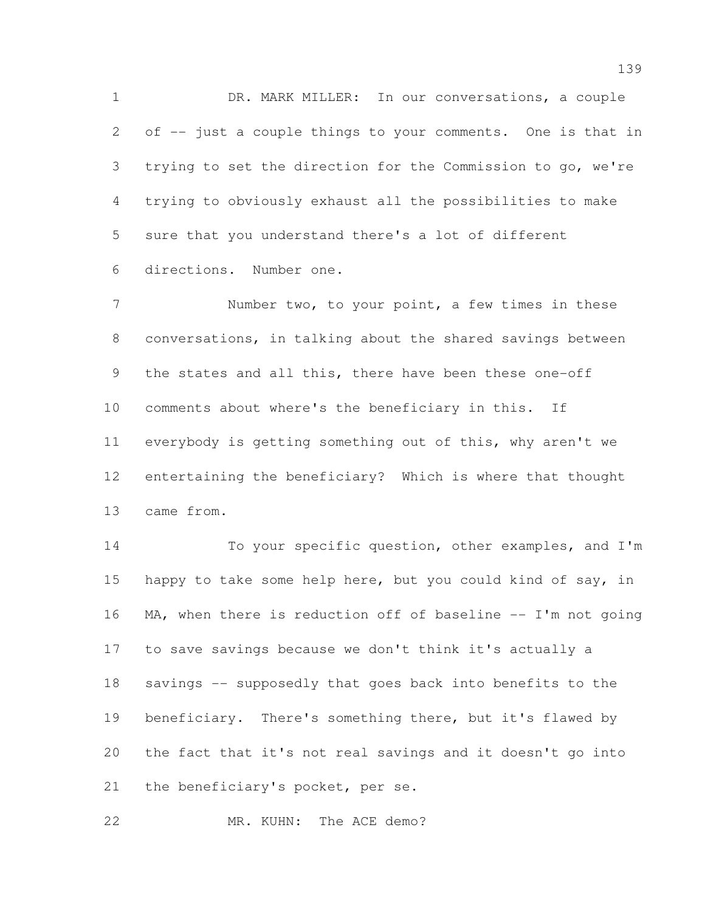DR. MARK MILLER: In our conversations, a couple of -- just a couple things to your comments. One is that in trying to set the direction for the Commission to go, we're trying to obviously exhaust all the possibilities to make sure that you understand there's a lot of different directions. Number one.

7 Number two, to your point, a few times in these conversations, in talking about the shared savings between the states and all this, there have been these one-off comments about where's the beneficiary in this. If everybody is getting something out of this, why aren't we entertaining the beneficiary? Which is where that thought came from.

 To your specific question, other examples, and I'm 15 happy to take some help here, but you could kind of say, in 16 MA, when there is reduction off of baseline -- I'm not going to save savings because we don't think it's actually a savings -- supposedly that goes back into benefits to the beneficiary. There's something there, but it's flawed by the fact that it's not real savings and it doesn't go into 21 the beneficiary's pocket, per se.

22 MR. KUHN: The ACE demo?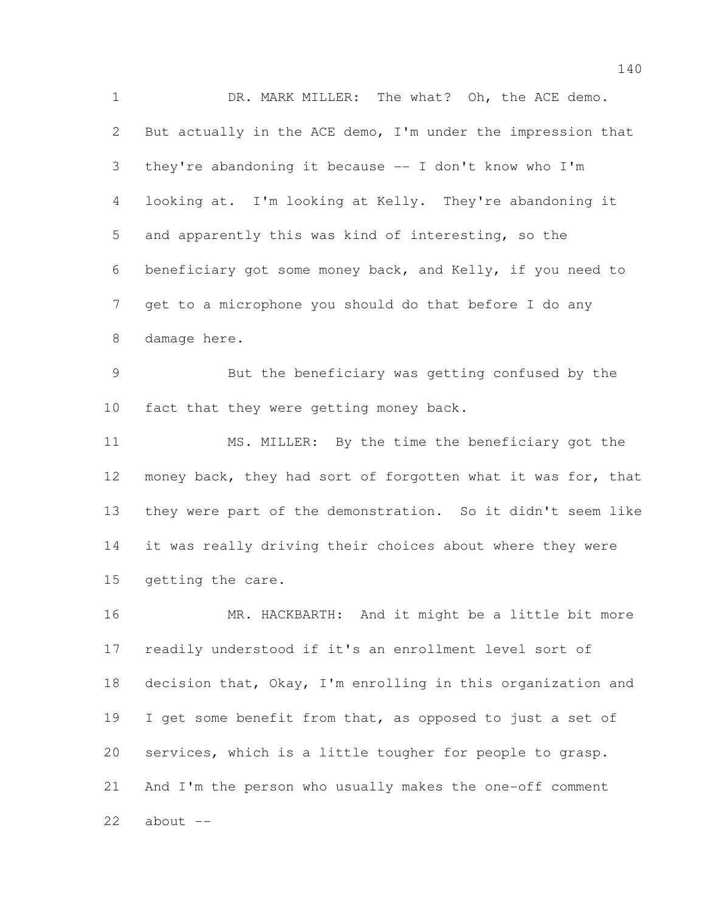DR. MARK MILLER: The what? Oh, the ACE demo. But actually in the ACE demo, I'm under the impression that they're abandoning it because -- I don't know who I'm looking at. I'm looking at Kelly. They're abandoning it and apparently this was kind of interesting, so the beneficiary got some money back, and Kelly, if you need to get to a microphone you should do that before I do any damage here. But the beneficiary was getting confused by the 10 fact that they were getting money back. MS. MILLER: By the time the beneficiary got the

 money back, they had sort of forgotten what it was for, that they were part of the demonstration. So it didn't seem like it was really driving their choices about where they were getting the care.

16 MR. HACKBARTH: And it might be a little bit more readily understood if it's an enrollment level sort of decision that, Okay, I'm enrolling in this organization and 19 I get some benefit from that, as opposed to just a set of services, which is a little tougher for people to grasp. And I'm the person who usually makes the one-off comment about  $-$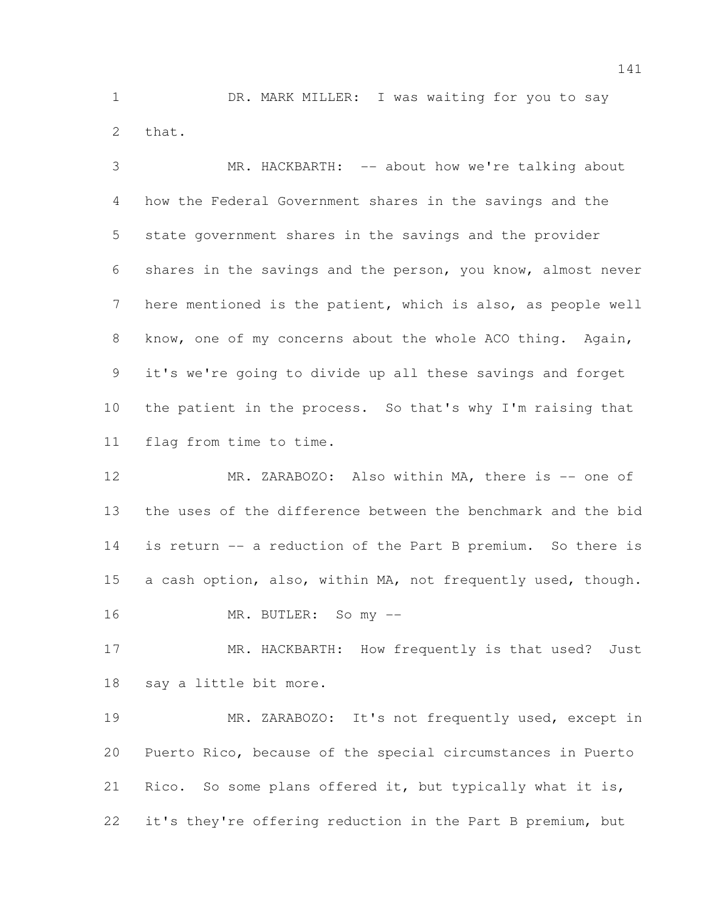DR. MARK MILLER: I was waiting for you to say that.

 MR. HACKBARTH: -- about how we're talking about how the Federal Government shares in the savings and the state government shares in the savings and the provider shares in the savings and the person, you know, almost never here mentioned is the patient, which is also, as people well 8 know, one of my concerns about the whole ACO thing. Again, it's we're going to divide up all these savings and forget the patient in the process. So that's why I'm raising that flag from time to time.

12 MR. ZARABOZO: Also within MA, there is -- one of the uses of the difference between the benchmark and the bid is return -- a reduction of the Part B premium. So there is a cash option, also, within MA, not frequently used, though. MR. BUTLER: So my --

17 MR. HACKBARTH: How frequently is that used? Just say a little bit more.

 MR. ZARABOZO: It's not frequently used, except in Puerto Rico, because of the special circumstances in Puerto Rico. So some plans offered it, but typically what it is, it's they're offering reduction in the Part B premium, but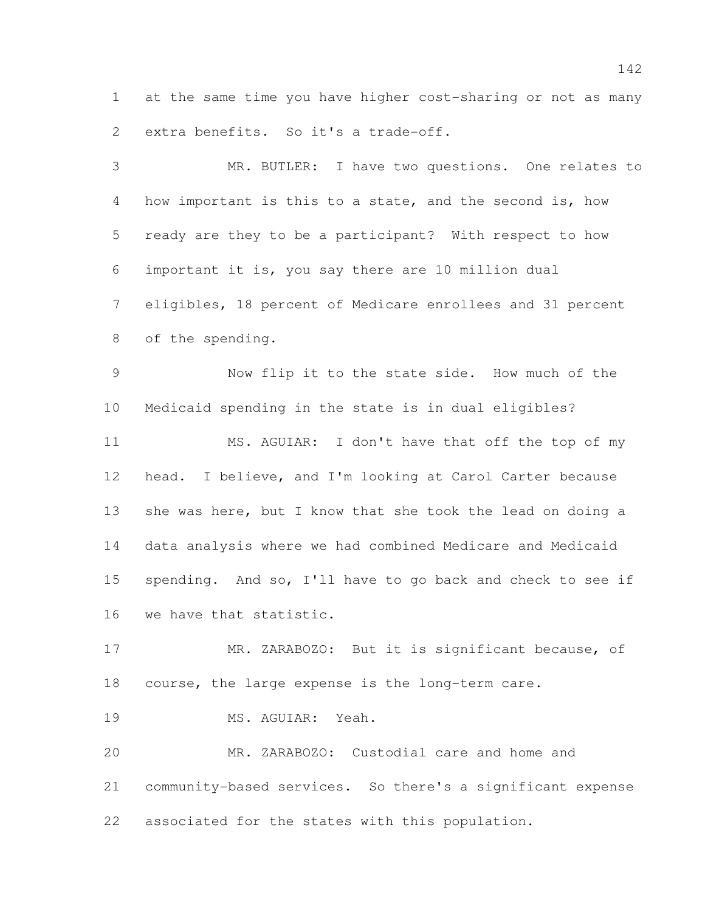at the same time you have higher cost-sharing or not as many extra benefits. So it's a trade-off.

 MR. BUTLER: I have two questions. One relates to how important is this to a state, and the second is, how ready are they to be a participant? With respect to how important it is, you say there are 10 million dual eligibles, 18 percent of Medicare enrollees and 31 percent of the spending. Now flip it to the state side. How much of the Medicaid spending in the state is in dual eligibles? MS. AGUIAR: I don't have that off the top of my head. I believe, and I'm looking at Carol Carter because 13 she was here, but I know that she took the lead on doing a data analysis where we had combined Medicare and Medicaid spending. And so, I'll have to go back and check to see if we have that statistic. MR. ZARABOZO: But it is significant because, of course, the large expense is the long-term care. MS. AGUIAR: Yeah. MR. ZARABOZO: Custodial care and home and community-based services. So there's a significant expense

associated for the states with this population.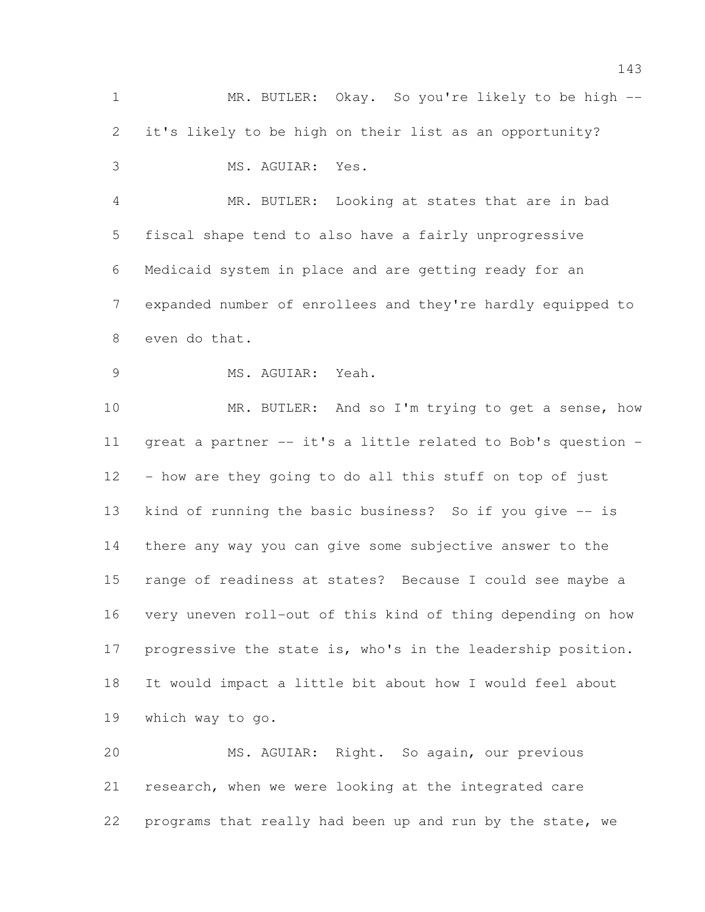MR. BUTLER: Okay. So you're likely to be high -- it's likely to be high on their list as an opportunity? MS. AGUIAR: Yes. MR. BUTLER: Looking at states that are in bad fiscal shape tend to also have a fairly unprogressive Medicaid system in place and are getting ready for an expanded number of enrollees and they're hardly equipped to even do that. 9 MS. AGUIAR: Yeah. 10 MR. BUTLER: And so I'm trying to get a sense, how great a partner -- it's a little related to Bob's question - - how are they going to do all this stuff on top of just kind of running the basic business? So if you give -- is there any way you can give some subjective answer to the range of readiness at states? Because I could see maybe a very uneven roll-out of this kind of thing depending on how progressive the state is, who's in the leadership position. It would impact a little bit about how I would feel about which way to go. MS. AGUIAR: Right. So again, our previous research, when we were looking at the integrated care

programs that really had been up and run by the state, we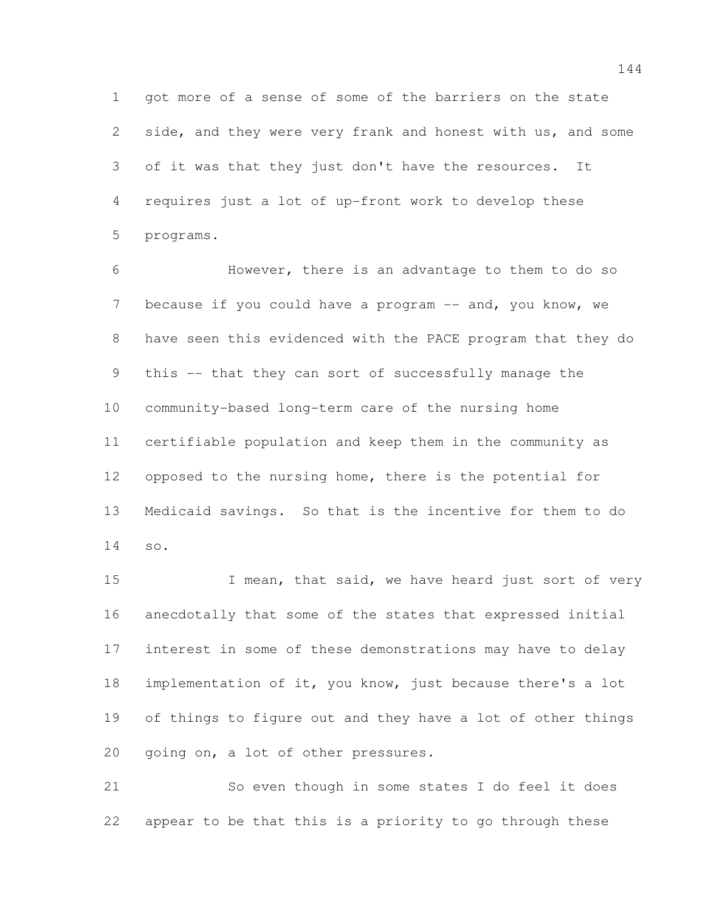got more of a sense of some of the barriers on the state side, and they were very frank and honest with us, and some of it was that they just don't have the resources. It requires just a lot of up-front work to develop these programs.

 However, there is an advantage to them to do so 7 because if you could have a program -- and, you know, we have seen this evidenced with the PACE program that they do this -- that they can sort of successfully manage the community-based long-term care of the nursing home certifiable population and keep them in the community as opposed to the nursing home, there is the potential for Medicaid savings. So that is the incentive for them to do so.

15 I mean, that said, we have heard just sort of very anecdotally that some of the states that expressed initial interest in some of these demonstrations may have to delay implementation of it, you know, just because there's a lot of things to figure out and they have a lot of other things going on, a lot of other pressures.

 So even though in some states I do feel it does appear to be that this is a priority to go through these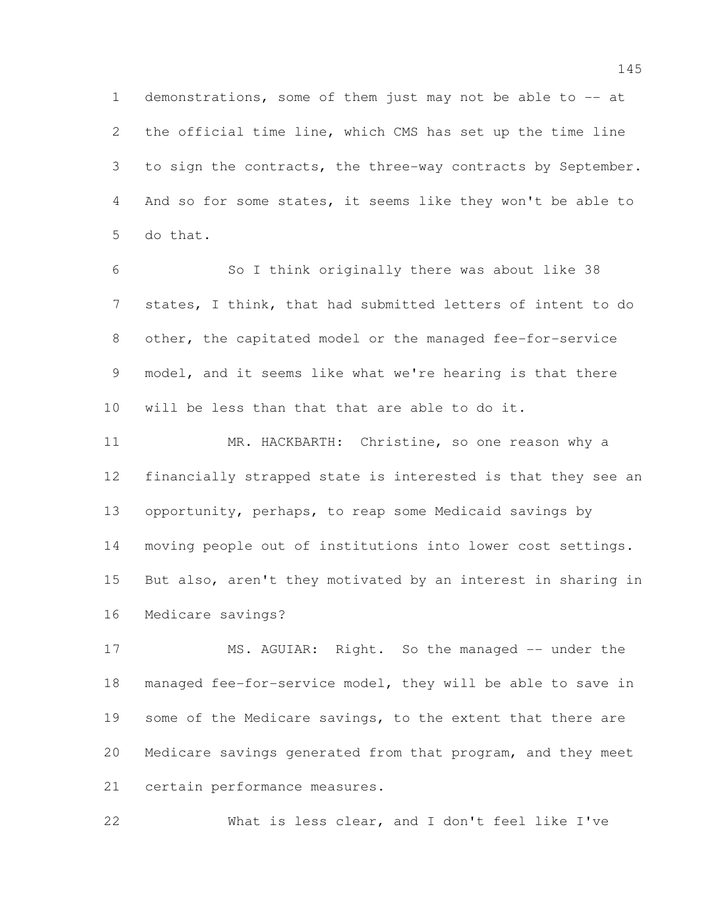demonstrations, some of them just may not be able to -- at the official time line, which CMS has set up the time line to sign the contracts, the three-way contracts by September. And so for some states, it seems like they won't be able to do that.

 So I think originally there was about like 38 states, I think, that had submitted letters of intent to do other, the capitated model or the managed fee-for-service model, and it seems like what we're hearing is that there will be less than that that are able to do it.

 MR. HACKBARTH: Christine, so one reason why a financially strapped state is interested is that they see an opportunity, perhaps, to reap some Medicaid savings by moving people out of institutions into lower cost settings. But also, aren't they motivated by an interest in sharing in Medicare savings?

17 MS. AGUIAR: Right. So the managed -- under the managed fee-for-service model, they will be able to save in 19 some of the Medicare savings, to the extent that there are Medicare savings generated from that program, and they meet certain performance measures.

What is less clear, and I don't feel like I've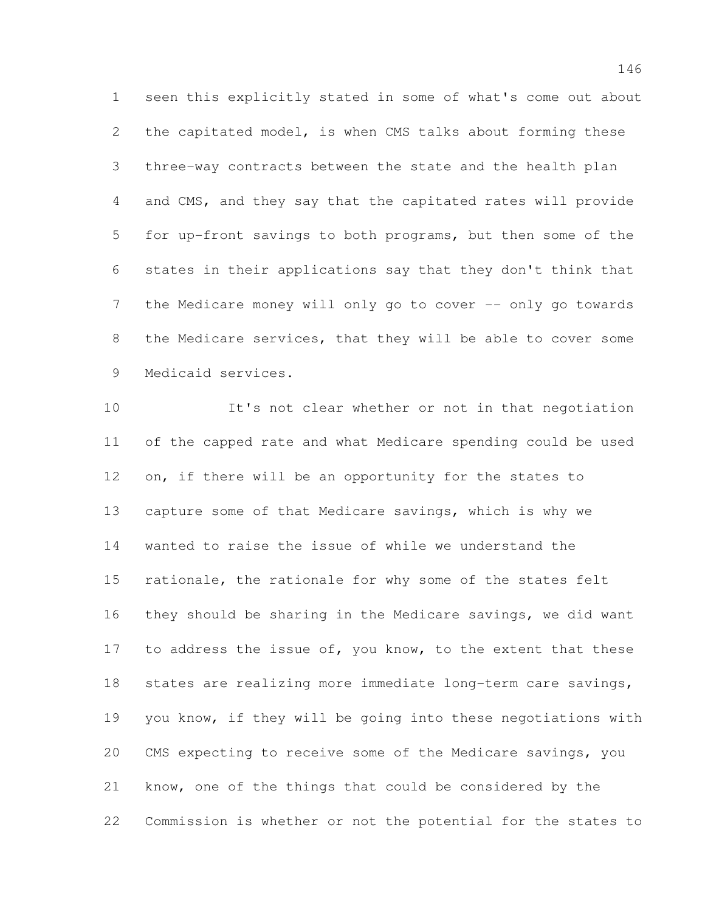seen this explicitly stated in some of what's come out about the capitated model, is when CMS talks about forming these three-way contracts between the state and the health plan and CMS, and they say that the capitated rates will provide for up-front savings to both programs, but then some of the states in their applications say that they don't think that 7 the Medicare money will only go to cover -- only go towards the Medicare services, that they will be able to cover some Medicaid services.

 It's not clear whether or not in that negotiation of the capped rate and what Medicare spending could be used on, if there will be an opportunity for the states to capture some of that Medicare savings, which is why we wanted to raise the issue of while we understand the rationale, the rationale for why some of the states felt they should be sharing in the Medicare savings, we did want 17 to address the issue of, you know, to the extent that these states are realizing more immediate long-term care savings, you know, if they will be going into these negotiations with CMS expecting to receive some of the Medicare savings, you know, one of the things that could be considered by the Commission is whether or not the potential for the states to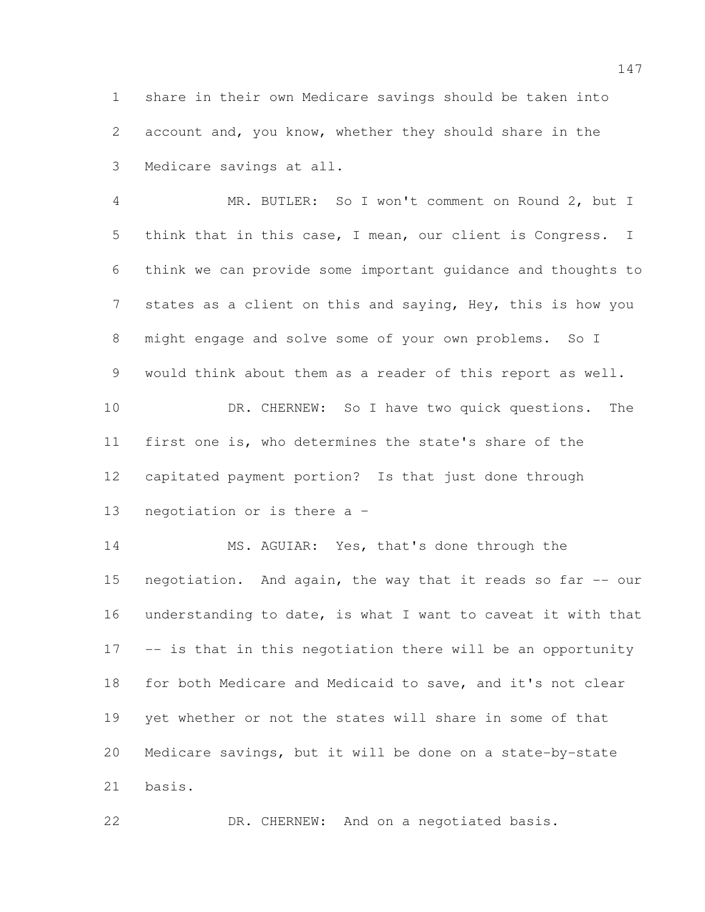share in their own Medicare savings should be taken into account and, you know, whether they should share in the Medicare savings at all.

 MR. BUTLER: So I won't comment on Round 2, but I think that in this case, I mean, our client is Congress. I think we can provide some important guidance and thoughts to states as a client on this and saying, Hey, this is how you might engage and solve some of your own problems. So I would think about them as a reader of this report as well. 10 DR. CHERNEW: So I have two quick questions. The first one is, who determines the state's share of the capitated payment portion? Is that just done through negotiation or is there a –

 MS. AGUIAR: Yes, that's done through the 15 negotiation. And again, the way that it reads so far -- our understanding to date, is what I want to caveat it with that -- is that in this negotiation there will be an opportunity for both Medicare and Medicaid to save, and it's not clear yet whether or not the states will share in some of that Medicare savings, but it will be done on a state-by-state basis.

DR. CHERNEW: And on a negotiated basis.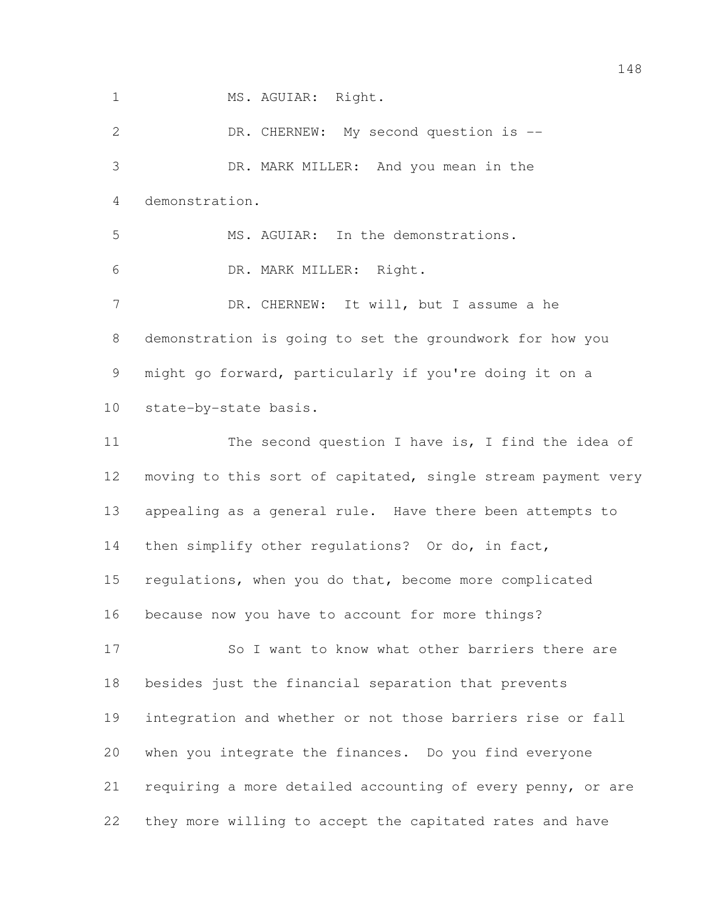1 MS. AGUIAR: Right.

 DR. CHERNEW: My second question is -- DR. MARK MILLER: And you mean in the demonstration. MS. AGUIAR: In the demonstrations. DR. MARK MILLER: Right. DR. CHERNEW: It will, but I assume a he demonstration is going to set the groundwork for how you might go forward, particularly if you're doing it on a state-by-state basis. 11 The second question I have is, I find the idea of moving to this sort of capitated, single stream payment very appealing as a general rule. Have there been attempts to 14 then simplify other regulations? Or do, in fact, regulations, when you do that, become more complicated because now you have to account for more things? So I want to know what other barriers there are besides just the financial separation that prevents integration and whether or not those barriers rise or fall when you integrate the finances. Do you find everyone requiring a more detailed accounting of every penny, or are they more willing to accept the capitated rates and have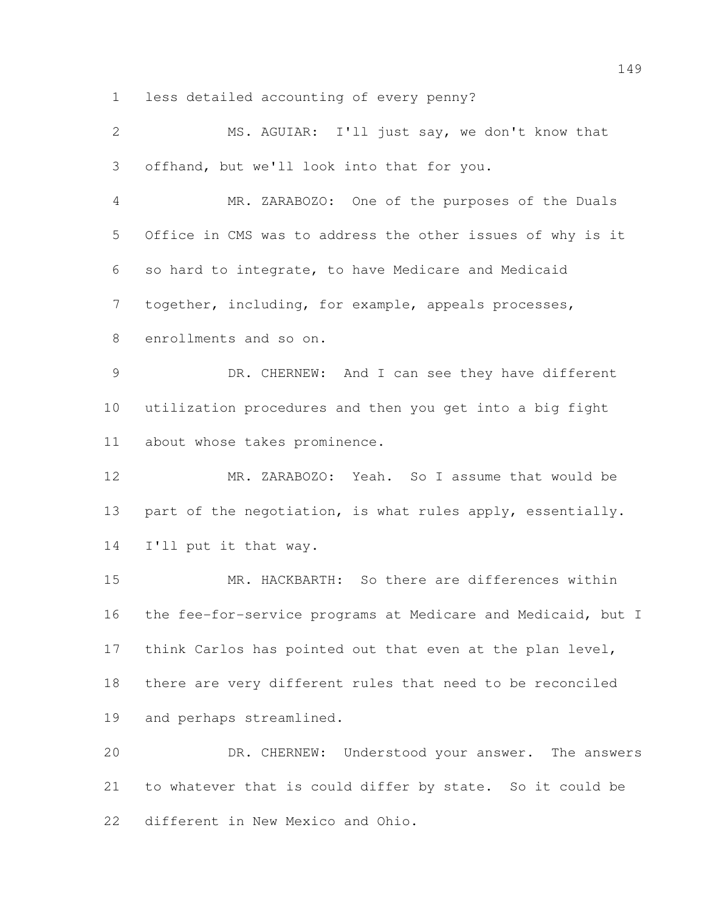less detailed accounting of every penny?

| $\mathbf{2}$   | MS. AGUIAR: I'll just say, we don't know that                |
|----------------|--------------------------------------------------------------|
| 3              | offhand, but we'll look into that for you.                   |
| $\overline{4}$ | MR. ZARABOZO: One of the purposes of the Duals               |
| 5              | Office in CMS was to address the other issues of why is it   |
| 6              | so hard to integrate, to have Medicare and Medicaid          |
| $\overline{7}$ | together, including, for example, appeals processes,         |
| 8              | enrollments and so on.                                       |
| $\overline{9}$ | DR. CHERNEW: And I can see they have different               |
| 10             | utilization procedures and then you get into a big fight     |
| 11             | about whose takes prominence.                                |
| 12             | MR. ZARABOZO: Yeah. So I assume that would be                |
| 13             | part of the negotiation, is what rules apply, essentially.   |
| 14             | I'll put it that way.                                        |
| 15             | MR. HACKBARTH: So there are differences within               |
| 16             | the fee-for-service programs at Medicare and Medicaid, but I |
| 17             | think Carlos has pointed out that even at the plan level,    |
| 18             | there are very different rules that need to be reconciled    |
| 19             | and perhaps streamlined.                                     |
| 20             | DR. CHERNEW: Understood your answer. The answers             |
| 21             | to whatever that is could differ by state. So it could be    |
| 22             | different in New Mexico and Ohio.                            |
|                |                                                              |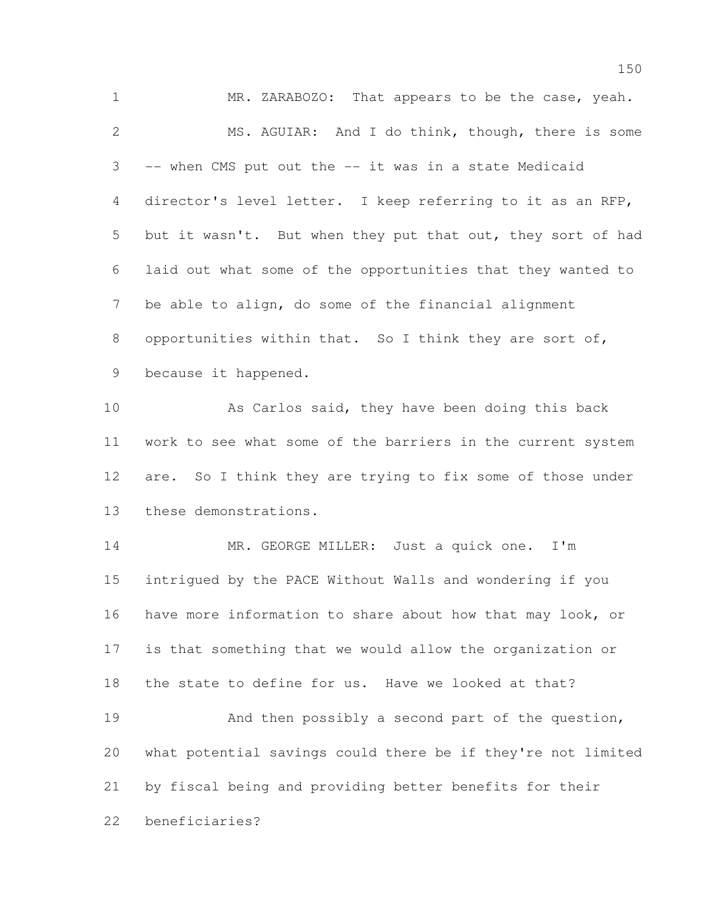MR. ZARABOZO: That appears to be the case, yeah. MS. AGUIAR: And I do think, though, there is some -- when CMS put out the -- it was in a state Medicaid director's level letter. I keep referring to it as an RFP, but it wasn't. But when they put that out, they sort of had laid out what some of the opportunities that they wanted to be able to align, do some of the financial alignment 8 opportunities within that. So I think they are sort of, because it happened. As Carlos said, they have been doing this back work to see what some of the barriers in the current system 12 are. So I think they are trying to fix some of those under these demonstrations. MR. GEORGE MILLER: Just a quick one. I'm intrigued by the PACE Without Walls and wondering if you have more information to share about how that may look, or is that something that we would allow the organization or the state to define for us. Have we looked at that? 19 And then possibly a second part of the question, what potential savings could there be if they're not limited by fiscal being and providing better benefits for their beneficiaries?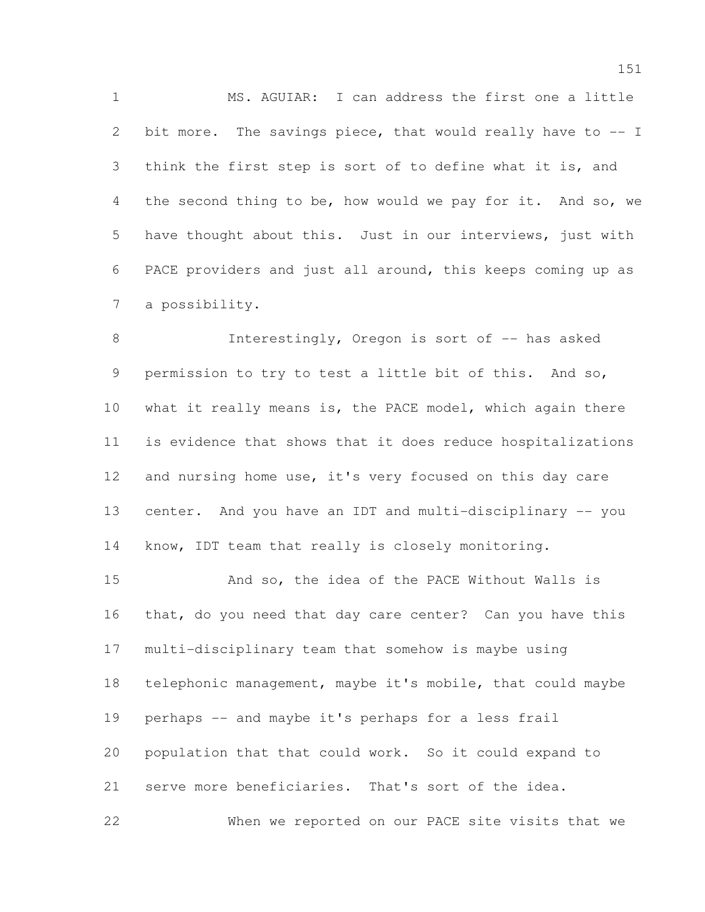MS. AGUIAR: I can address the first one a little bit more. The savings piece, that would really have to -- I think the first step is sort of to define what it is, and the second thing to be, how would we pay for it. And so, we have thought about this. Just in our interviews, just with PACE providers and just all around, this keeps coming up as a possibility.

8 Interestingly, Oregon is sort of -- has asked permission to try to test a little bit of this. And so, what it really means is, the PACE model, which again there is evidence that shows that it does reduce hospitalizations and nursing home use, it's very focused on this day care 13 center. And you have an IDT and multi-disciplinary -- you know, IDT team that really is closely monitoring.

 And so, the idea of the PACE Without Walls is that, do you need that day care center? Can you have this multi-disciplinary team that somehow is maybe using telephonic management, maybe it's mobile, that could maybe perhaps -- and maybe it's perhaps for a less frail population that that could work. So it could expand to serve more beneficiaries. That's sort of the idea. When we reported on our PACE site visits that we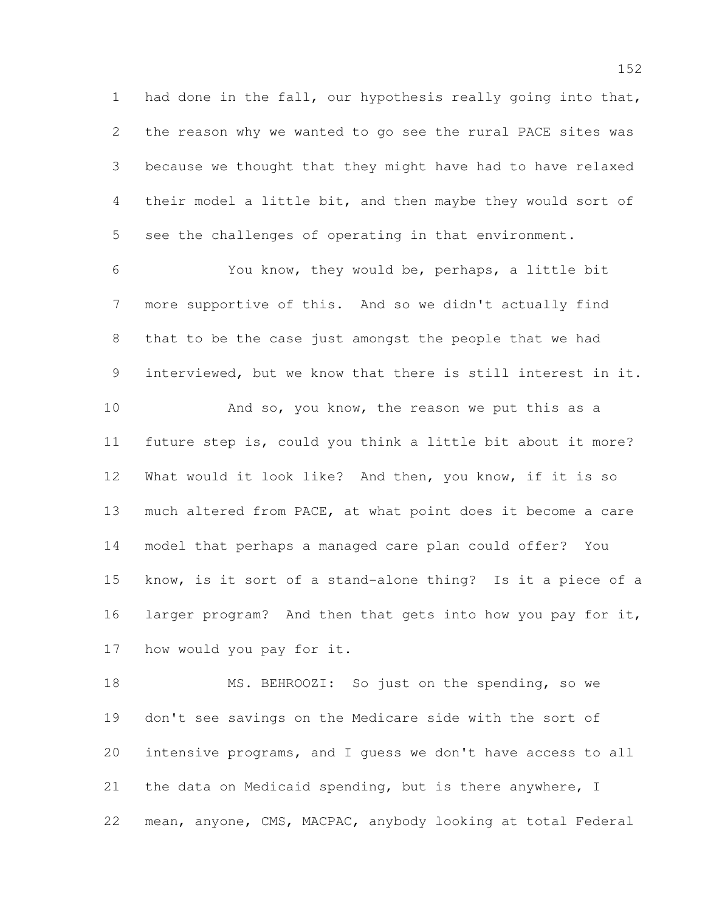had done in the fall, our hypothesis really going into that, the reason why we wanted to go see the rural PACE sites was because we thought that they might have had to have relaxed their model a little bit, and then maybe they would sort of see the challenges of operating in that environment.

 You know, they would be, perhaps, a little bit more supportive of this. And so we didn't actually find that to be the case just amongst the people that we had interviewed, but we know that there is still interest in it.

10 And so, you know, the reason we put this as a future step is, could you think a little bit about it more? What would it look like? And then, you know, if it is so much altered from PACE, at what point does it become a care model that perhaps a managed care plan could offer? You know, is it sort of a stand-alone thing? Is it a piece of a larger program? And then that gets into how you pay for it, how would you pay for it.

 MS. BEHROOZI: So just on the spending, so we don't see savings on the Medicare side with the sort of intensive programs, and I guess we don't have access to all the data on Medicaid spending, but is there anywhere, I mean, anyone, CMS, MACPAC, anybody looking at total Federal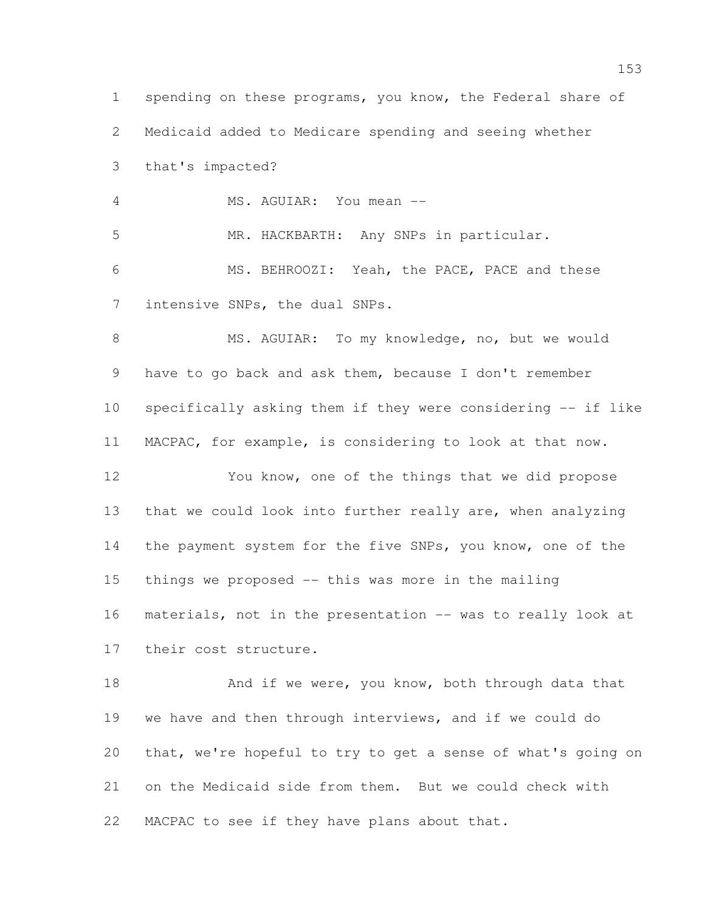1 spending on these programs, you know, the Federal share of Medicaid added to Medicare spending and seeing whether that's impacted? MS. AGUIAR: You mean -- MR. HACKBARTH: Any SNPs in particular. MS. BEHROOZI: Yeah, the PACE, PACE and these intensive SNPs, the dual SNPs. 8 MS. AGUIAR: To my knowledge, no, but we would have to go back and ask them, because I don't remember specifically asking them if they were considering -- if like MACPAC, for example, is considering to look at that now. You know, one of the things that we did propose that we could look into further really are, when analyzing the payment system for the five SNPs, you know, one of the things we proposed -- this was more in the mailing materials, not in the presentation -- was to really look at their cost structure. 18 And if we were, you know, both through data that we have and then through interviews, and if we could do that, we're hopeful to try to get a sense of what's going on

MACPAC to see if they have plans about that.

on the Medicaid side from them. But we could check with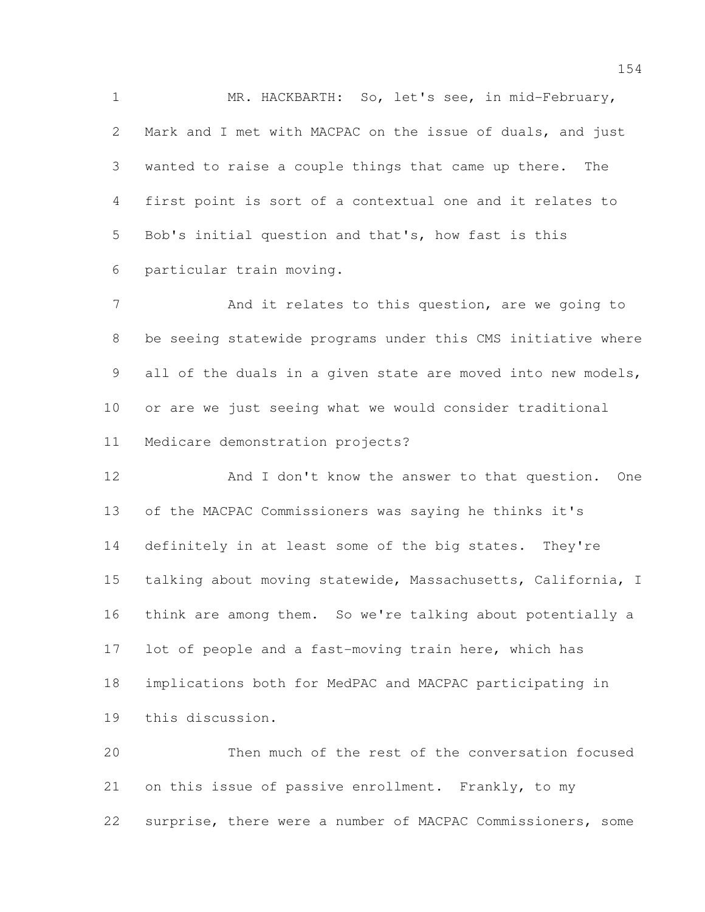MR. HACKBARTH: So, let's see, in mid-February, Mark and I met with MACPAC on the issue of duals, and just wanted to raise a couple things that came up there. The first point is sort of a contextual one and it relates to Bob's initial question and that's, how fast is this particular train moving.

7 And it relates to this question, are we going to be seeing statewide programs under this CMS initiative where 9 all of the duals in a given state are moved into new models, or are we just seeing what we would consider traditional Medicare demonstration projects?

12 And I don't know the answer to that question. One of the MACPAC Commissioners was saying he thinks it's definitely in at least some of the big states. They're talking about moving statewide, Massachusetts, California, I think are among them. So we're talking about potentially a 17 lot of people and a fast-moving train here, which has implications both for MedPAC and MACPAC participating in this discussion.

 Then much of the rest of the conversation focused on this issue of passive enrollment. Frankly, to my surprise, there were a number of MACPAC Commissioners, some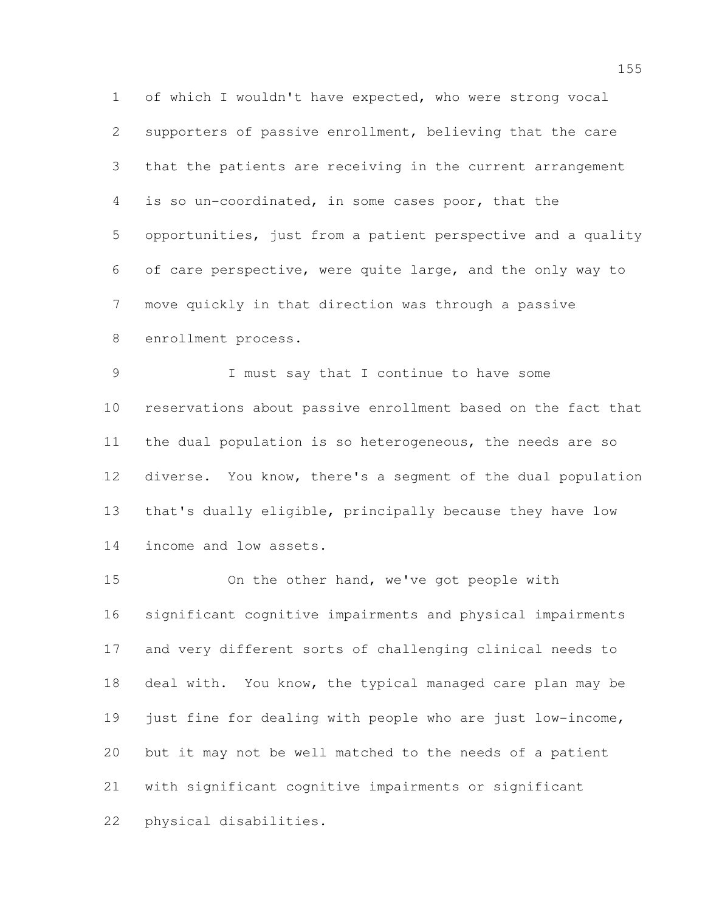of which I wouldn't have expected, who were strong vocal supporters of passive enrollment, believing that the care that the patients are receiving in the current arrangement is so un-coordinated, in some cases poor, that the opportunities, just from a patient perspective and a quality of care perspective, were quite large, and the only way to move quickly in that direction was through a passive enrollment process.

 I must say that I continue to have some reservations about passive enrollment based on the fact that the dual population is so heterogeneous, the needs are so diverse. You know, there's a segment of the dual population that's dually eligible, principally because they have low income and low assets.

 On the other hand, we've got people with significant cognitive impairments and physical impairments and very different sorts of challenging clinical needs to deal with. You know, the typical managed care plan may be just fine for dealing with people who are just low-income, but it may not be well matched to the needs of a patient with significant cognitive impairments or significant physical disabilities.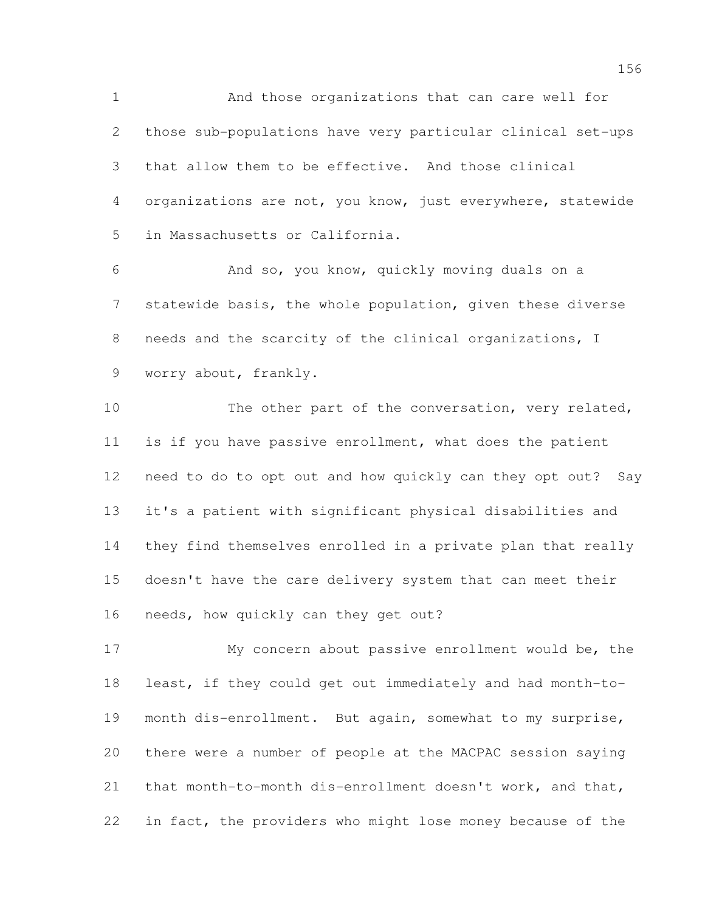And those organizations that can care well for those sub-populations have very particular clinical set-ups that allow them to be effective. And those clinical organizations are not, you know, just everywhere, statewide in Massachusetts or California.

 And so, you know, quickly moving duals on a statewide basis, the whole population, given these diverse needs and the scarcity of the clinical organizations, I worry about, frankly.

10 The other part of the conversation, very related, is if you have passive enrollment, what does the patient need to do to opt out and how quickly can they opt out? Say it's a patient with significant physical disabilities and they find themselves enrolled in a private plan that really doesn't have the care delivery system that can meet their 16 needs, how quickly can they get out?

 My concern about passive enrollment would be, the least, if they could get out immediately and had month-to- month dis-enrollment. But again, somewhat to my surprise, there were a number of people at the MACPAC session saying that month-to-month dis-enrollment doesn't work, and that, in fact, the providers who might lose money because of the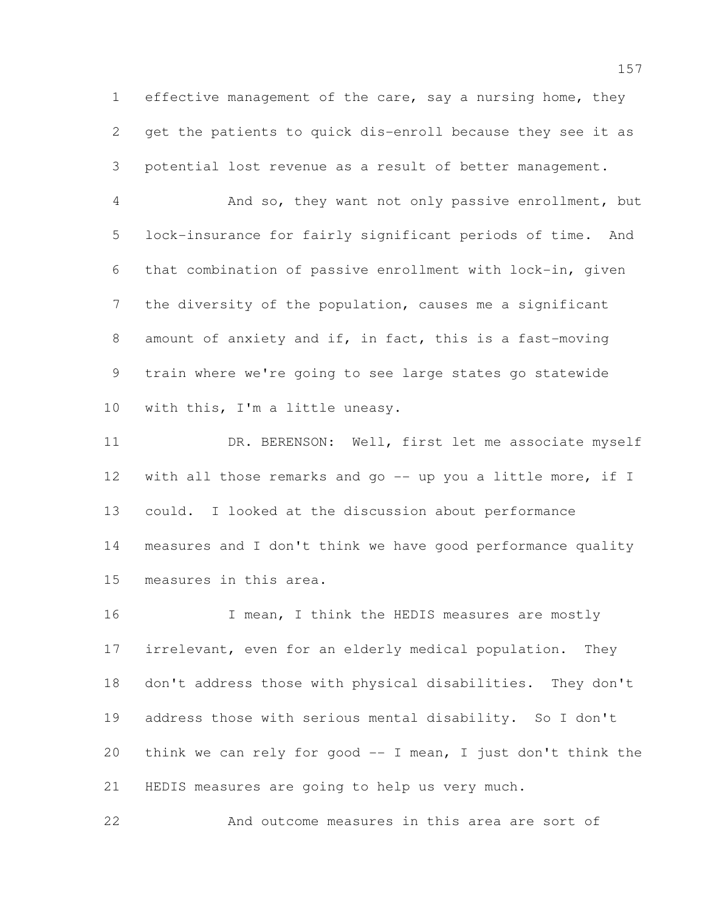effective management of the care, say a nursing home, they get the patients to quick dis-enroll because they see it as potential lost revenue as a result of better management.

 And so, they want not only passive enrollment, but lock-insurance for fairly significant periods of time. And that combination of passive enrollment with lock-in, given the diversity of the population, causes me a significant amount of anxiety and if, in fact, this is a fast-moving train where we're going to see large states go statewide with this, I'm a little uneasy.

11 DR. BERENSON: Well, first let me associate myself 12 with all those remarks and go -- up you a little more, if I could. I looked at the discussion about performance measures and I don't think we have good performance quality measures in this area.

16 I mean, I think the HEDIS measures are mostly irrelevant, even for an elderly medical population. They don't address those with physical disabilities. They don't address those with serious mental disability. So I don't think we can rely for good -- I mean, I just don't think the HEDIS measures are going to help us very much.

And outcome measures in this area are sort of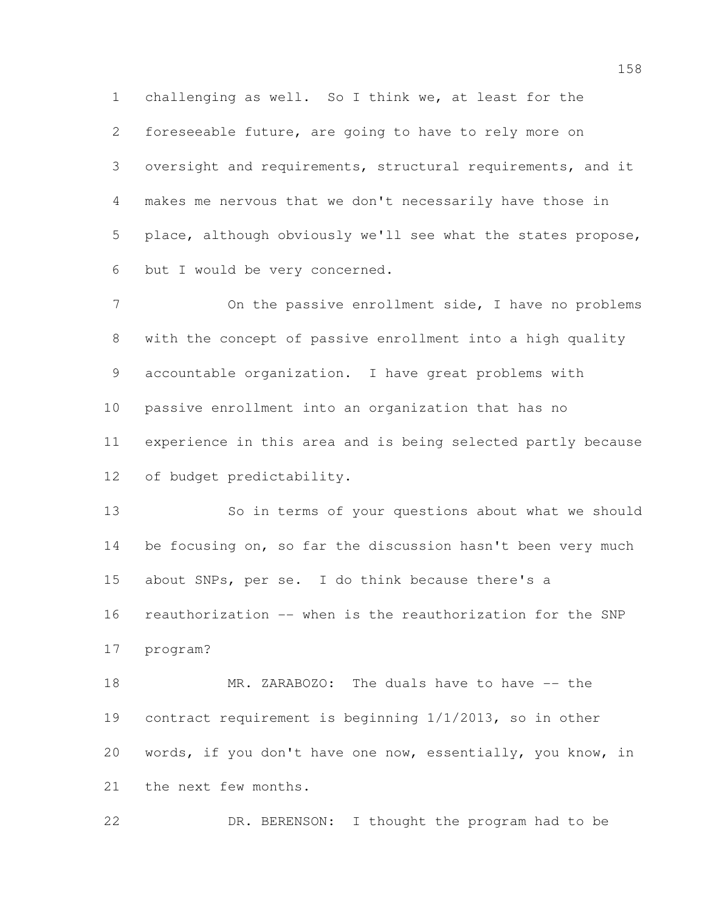challenging as well. So I think we, at least for the foreseeable future, are going to have to rely more on oversight and requirements, structural requirements, and it makes me nervous that we don't necessarily have those in place, although obviously we'll see what the states propose, but I would be very concerned.

7 On the passive enrollment side, I have no problems with the concept of passive enrollment into a high quality accountable organization. I have great problems with passive enrollment into an organization that has no experience in this area and is being selected partly because of budget predictability.

 So in terms of your questions about what we should 14 be focusing on, so far the discussion hasn't been very much about SNPs, per se. I do think because there's a reauthorization -- when is the reauthorization for the SNP program?

18 MR. ZARABOZO: The duals have to have -- the contract requirement is beginning 1/1/2013, so in other words, if you don't have one now, essentially, you know, in the next few months.

DR. BERENSON: I thought the program had to be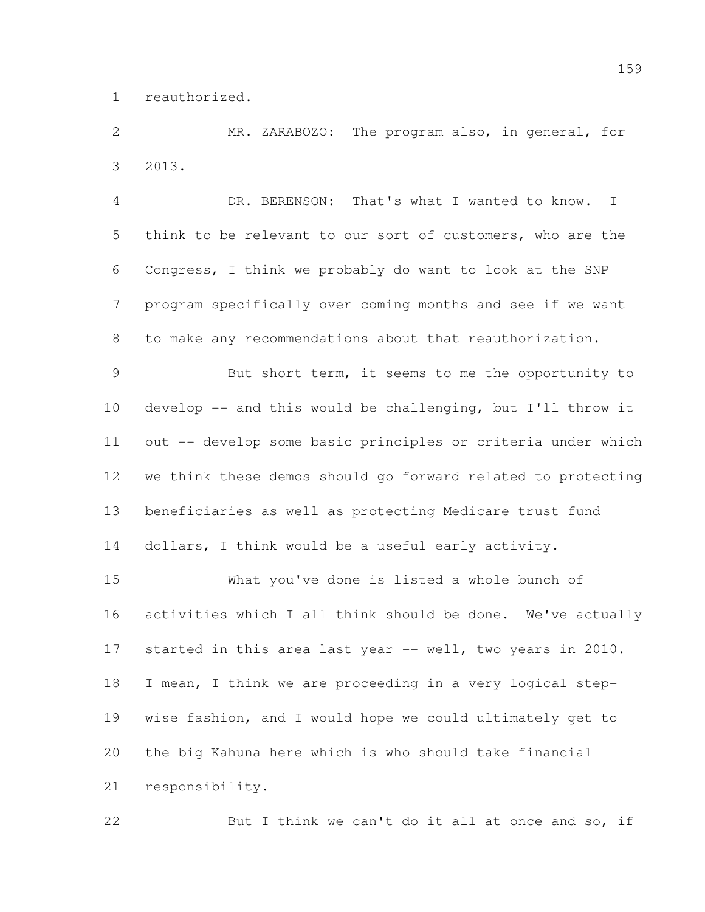reauthorized.

 MR. ZARABOZO: The program also, in general, for 2013.

 DR. BERENSON: That's what I wanted to know. I think to be relevant to our sort of customers, who are the Congress, I think we probably do want to look at the SNP program specifically over coming months and see if we want to make any recommendations about that reauthorization.

 But short term, it seems to me the opportunity to develop -- and this would be challenging, but I'll throw it out -- develop some basic principles or criteria under which we think these demos should go forward related to protecting beneficiaries as well as protecting Medicare trust fund dollars, I think would be a useful early activity.

 What you've done is listed a whole bunch of activities which I all think should be done. We've actually started in this area last year -- well, two years in 2010. I mean, I think we are proceeding in a very logical step- wise fashion, and I would hope we could ultimately get to the big Kahuna here which is who should take financial responsibility.

22 But I think we can't do it all at once and so, if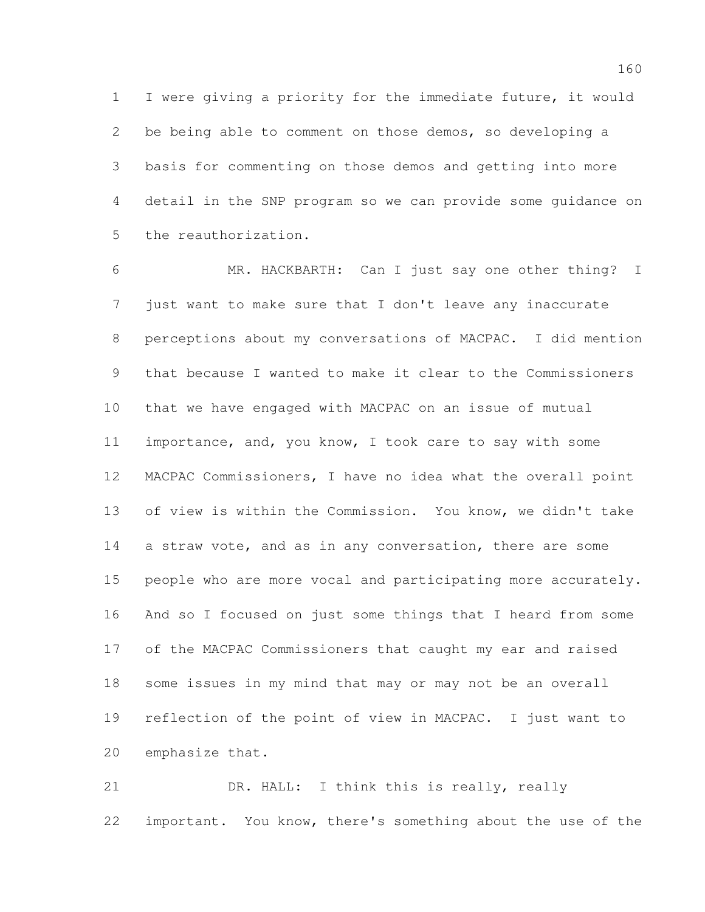I were giving a priority for the immediate future, it would be being able to comment on those demos, so developing a basis for commenting on those demos and getting into more detail in the SNP program so we can provide some guidance on the reauthorization.

 MR. HACKBARTH: Can I just say one other thing? I just want to make sure that I don't leave any inaccurate perceptions about my conversations of MACPAC. I did mention that because I wanted to make it clear to the Commissioners that we have engaged with MACPAC on an issue of mutual importance, and, you know, I took care to say with some MACPAC Commissioners, I have no idea what the overall point of view is within the Commission. You know, we didn't take 14 a straw vote, and as in any conversation, there are some people who are more vocal and participating more accurately. And so I focused on just some things that I heard from some of the MACPAC Commissioners that caught my ear and raised some issues in my mind that may or may not be an overall reflection of the point of view in MACPAC. I just want to emphasize that.

21 DR. HALL: I think this is really, really important. You know, there's something about the use of the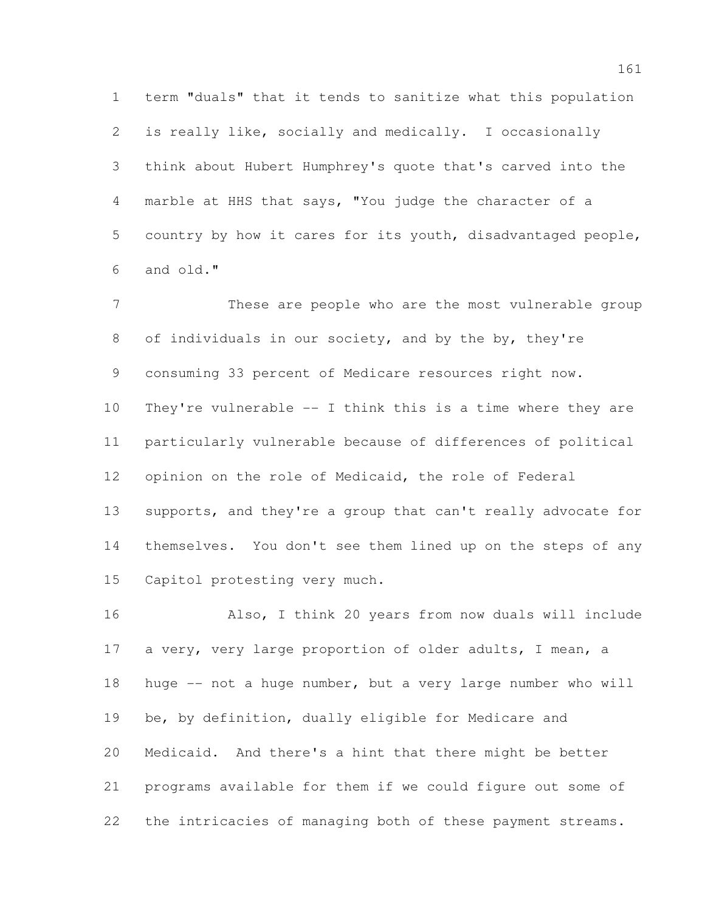term "duals" that it tends to sanitize what this population is really like, socially and medically. I occasionally think about Hubert Humphrey's quote that's carved into the marble at HHS that says, "You judge the character of a country by how it cares for its youth, disadvantaged people, and old."

 These are people who are the most vulnerable group of individuals in our society, and by the by, they're consuming 33 percent of Medicare resources right now. They're vulnerable -- I think this is a time where they are particularly vulnerable because of differences of political opinion on the role of Medicaid, the role of Federal 13 supports, and they're a group that can't really advocate for themselves. You don't see them lined up on the steps of any Capitol protesting very much.

 Also, I think 20 years from now duals will include 17 a very, very large proportion of older adults, I mean, a huge -- not a huge number, but a very large number who will be, by definition, dually eligible for Medicare and Medicaid. And there's a hint that there might be better programs available for them if we could figure out some of the intricacies of managing both of these payment streams.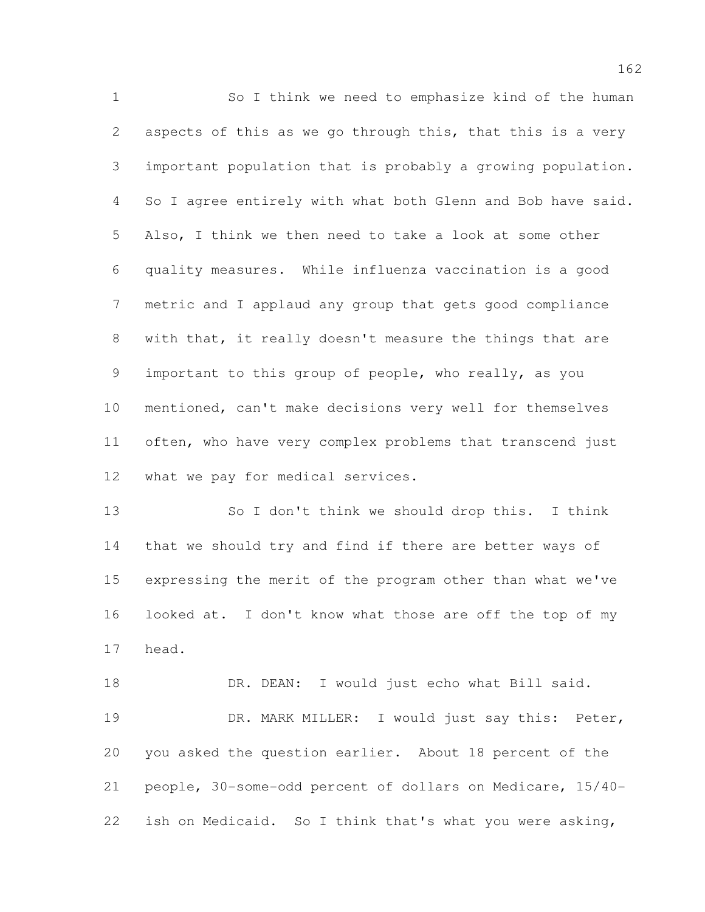So I think we need to emphasize kind of the human aspects of this as we go through this, that this is a very important population that is probably a growing population. So I agree entirely with what both Glenn and Bob have said. Also, I think we then need to take a look at some other quality measures. While influenza vaccination is a good metric and I applaud any group that gets good compliance with that, it really doesn't measure the things that are important to this group of people, who really, as you mentioned, can't make decisions very well for themselves often, who have very complex problems that transcend just what we pay for medical services.

 So I don't think we should drop this. I think that we should try and find if there are better ways of expressing the merit of the program other than what we've looked at. I don't know what those are off the top of my head.

18 DR. DEAN: I would just echo what Bill said. 19 DR. MARK MILLER: I would just say this: Peter, you asked the question earlier. About 18 percent of the people, 30-some-odd percent of dollars on Medicare, 15/40- ish on Medicaid. So I think that's what you were asking,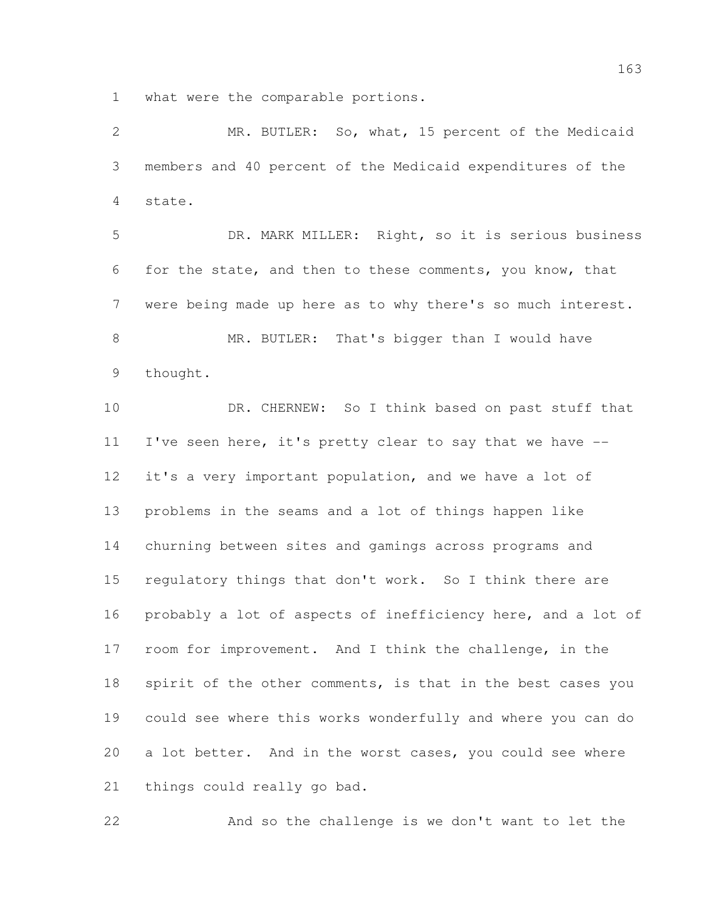what were the comparable portions.

 MR. BUTLER: So, what, 15 percent of the Medicaid members and 40 percent of the Medicaid expenditures of the state. DR. MARK MILLER: Right, so it is serious business for the state, and then to these comments, you know, that were being made up here as to why there's so much interest. MR. BUTLER: That's bigger than I would have thought. DR. CHERNEW: So I think based on past stuff that I've seen here, it's pretty clear to say that we have -- it's a very important population, and we have a lot of problems in the seams and a lot of things happen like churning between sites and gamings across programs and regulatory things that don't work. So I think there are probably a lot of aspects of inefficiency here, and a lot of room for improvement. And I think the challenge, in the 18 spirit of the other comments, is that in the best cases you could see where this works wonderfully and where you can do a lot better. And in the worst cases, you could see where things could really go bad.

And so the challenge is we don't want to let the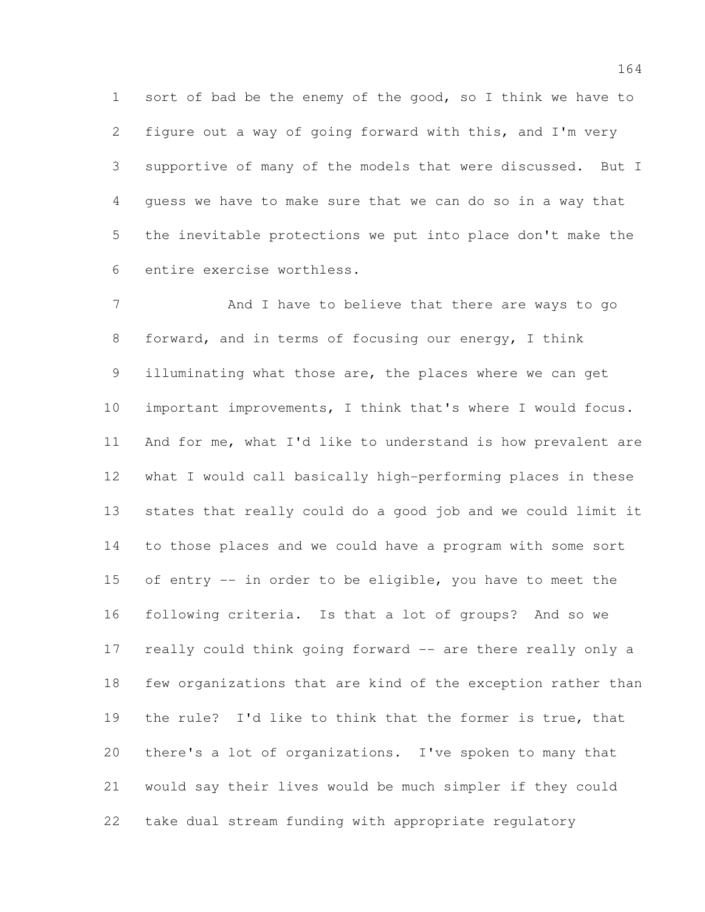sort of bad be the enemy of the good, so I think we have to figure out a way of going forward with this, and I'm very supportive of many of the models that were discussed. But I guess we have to make sure that we can do so in a way that the inevitable protections we put into place don't make the entire exercise worthless.

7 And I have to believe that there are ways to go forward, and in terms of focusing our energy, I think illuminating what those are, the places where we can get important improvements, I think that's where I would focus. And for me, what I'd like to understand is how prevalent are what I would call basically high-performing places in these states that really could do a good job and we could limit it to those places and we could have a program with some sort of entry -- in order to be eligible, you have to meet the following criteria. Is that a lot of groups? And so we really could think going forward -- are there really only a few organizations that are kind of the exception rather than the rule? I'd like to think that the former is true, that there's a lot of organizations. I've spoken to many that would say their lives would be much simpler if they could take dual stream funding with appropriate regulatory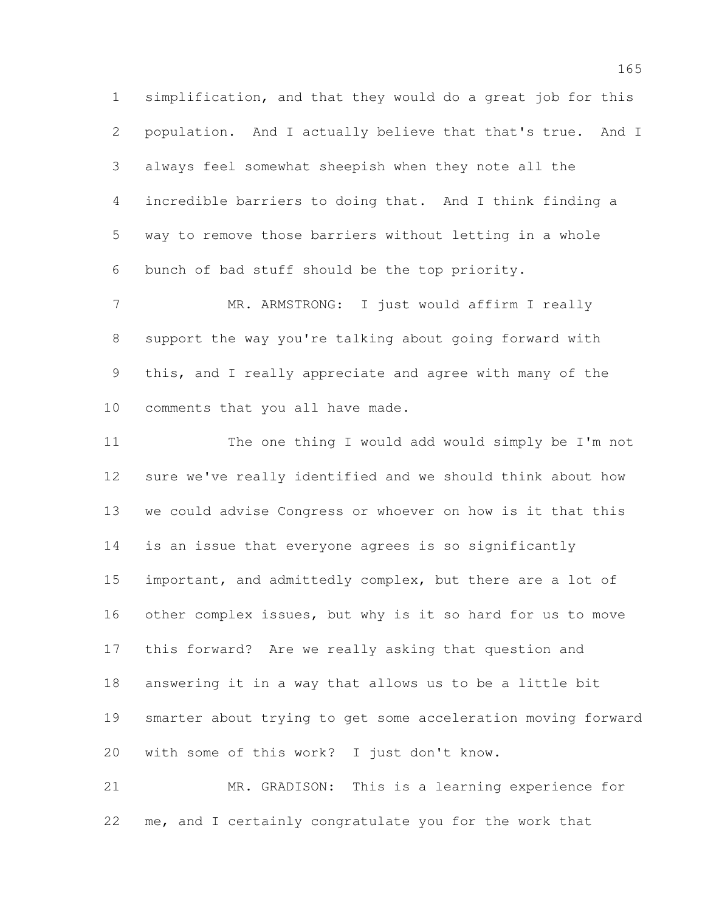simplification, and that they would do a great job for this population. And I actually believe that that's true. And I always feel somewhat sheepish when they note all the incredible barriers to doing that. And I think finding a way to remove those barriers without letting in a whole bunch of bad stuff should be the top priority.

7 MR. ARMSTRONG: I just would affirm I really support the way you're talking about going forward with this, and I really appreciate and agree with many of the comments that you all have made.

 The one thing I would add would simply be I'm not sure we've really identified and we should think about how we could advise Congress or whoever on how is it that this is an issue that everyone agrees is so significantly 15 important, and admittedly complex, but there are a lot of other complex issues, but why is it so hard for us to move this forward? Are we really asking that question and answering it in a way that allows us to be a little bit smarter about trying to get some acceleration moving forward with some of this work? I just don't know.

 MR. GRADISON: This is a learning experience for me, and I certainly congratulate you for the work that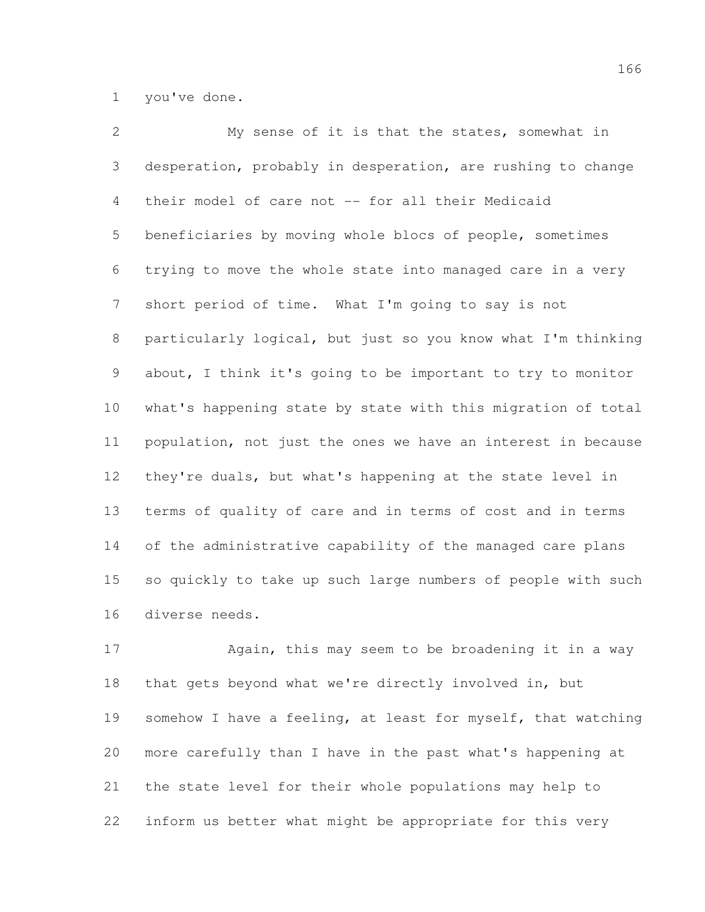you've done.

 My sense of it is that the states, somewhat in desperation, probably in desperation, are rushing to change their model of care not -- for all their Medicaid beneficiaries by moving whole blocs of people, sometimes trying to move the whole state into managed care in a very short period of time. What I'm going to say is not particularly logical, but just so you know what I'm thinking about, I think it's going to be important to try to monitor what's happening state by state with this migration of total population, not just the ones we have an interest in because they're duals, but what's happening at the state level in terms of quality of care and in terms of cost and in terms of the administrative capability of the managed care plans so quickly to take up such large numbers of people with such diverse needs.

17 Again, this may seem to be broadening it in a way that gets beyond what we're directly involved in, but somehow I have a feeling, at least for myself, that watching more carefully than I have in the past what's happening at the state level for their whole populations may help to inform us better what might be appropriate for this very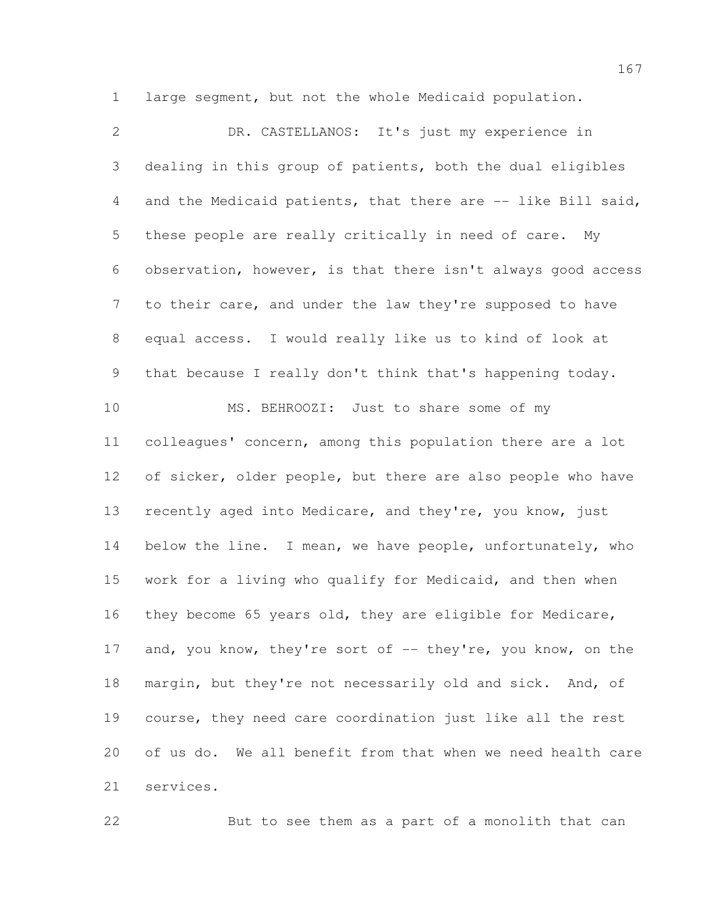large segment, but not the whole Medicaid population.

 DR. CASTELLANOS: It's just my experience in dealing in this group of patients, both the dual eligibles 4 and the Medicaid patients, that there are -- like Bill said, these people are really critically in need of care. My observation, however, is that there isn't always good access to their care, and under the law they're supposed to have equal access. I would really like us to kind of look at that because I really don't think that's happening today. MS. BEHROOZI: Just to share some of my colleagues' concern, among this population there are a lot 12 of sicker, older people, but there are also people who have recently aged into Medicare, and they're, you know, just 14 below the line. I mean, we have people, unfortunately, who work for a living who qualify for Medicaid, and then when they become 65 years old, they are eligible for Medicare, 17 and, you know, they're sort of -- they're, you know, on the margin, but they're not necessarily old and sick. And, of course, they need care coordination just like all the rest of us do. We all benefit from that when we need health care services.

But to see them as a part of a monolith that can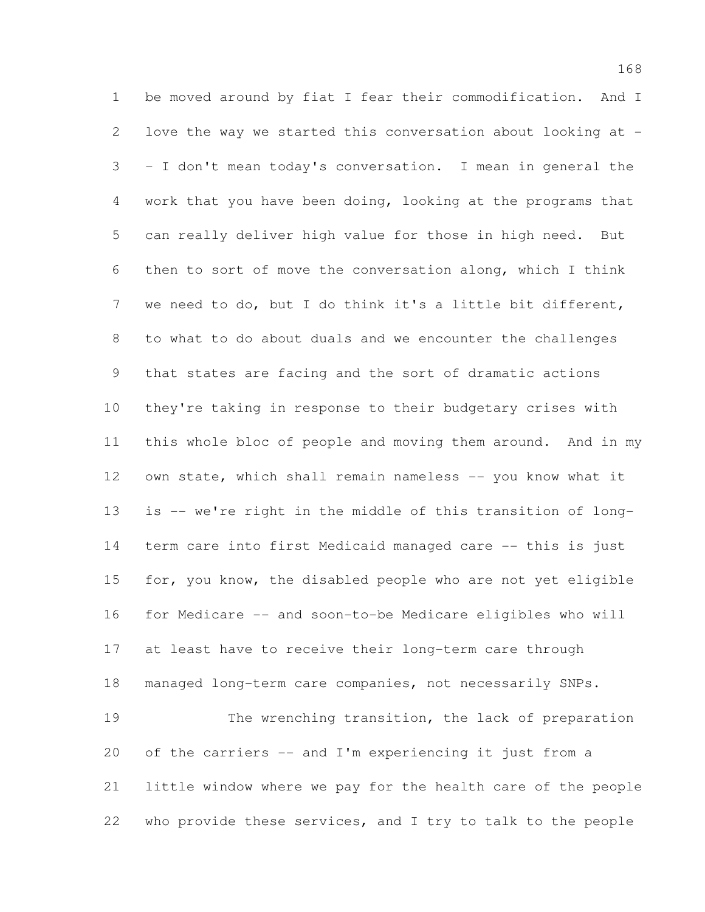be moved around by fiat I fear their commodification. And I love the way we started this conversation about looking at - - I don't mean today's conversation. I mean in general the work that you have been doing, looking at the programs that can really deliver high value for those in high need. But then to sort of move the conversation along, which I think we need to do, but I do think it's a little bit different, to what to do about duals and we encounter the challenges that states are facing and the sort of dramatic actions they're taking in response to their budgetary crises with this whole bloc of people and moving them around. And in my 12 own state, which shall remain nameless -- you know what it is -- we're right in the middle of this transition of long- term care into first Medicaid managed care -- this is just for, you know, the disabled people who are not yet eligible for Medicare -- and soon-to-be Medicare eligibles who will at least have to receive their long-term care through managed long-term care companies, not necessarily SNPs. 19 The wrenching transition, the lack of preparation of the carriers -- and I'm experiencing it just from a little window where we pay for the health care of the people who provide these services, and I try to talk to the people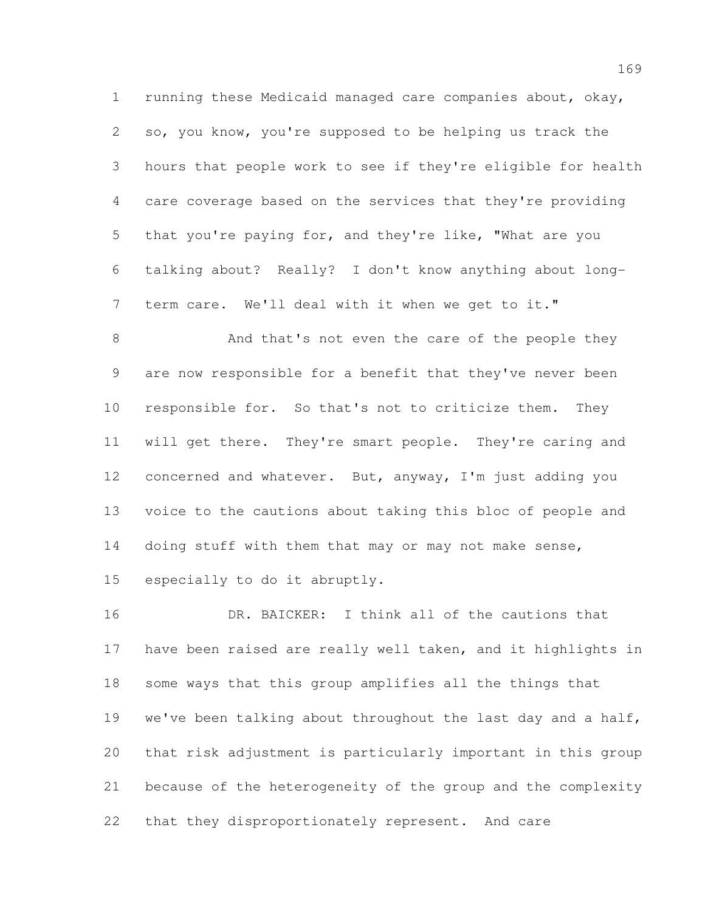running these Medicaid managed care companies about, okay, so, you know, you're supposed to be helping us track the hours that people work to see if they're eligible for health care coverage based on the services that they're providing that you're paying for, and they're like, "What are you talking about? Really? I don't know anything about long-term care. We'll deal with it when we get to it."

8 And that's not even the care of the people they are now responsible for a benefit that they've never been responsible for. So that's not to criticize them. They will get there. They're smart people. They're caring and concerned and whatever. But, anyway, I'm just adding you voice to the cautions about taking this bloc of people and 14 doing stuff with them that may or may not make sense, especially to do it abruptly.

 DR. BAICKER: I think all of the cautions that have been raised are really well taken, and it highlights in some ways that this group amplifies all the things that we've been talking about throughout the last day and a half, that risk adjustment is particularly important in this group because of the heterogeneity of the group and the complexity that they disproportionately represent. And care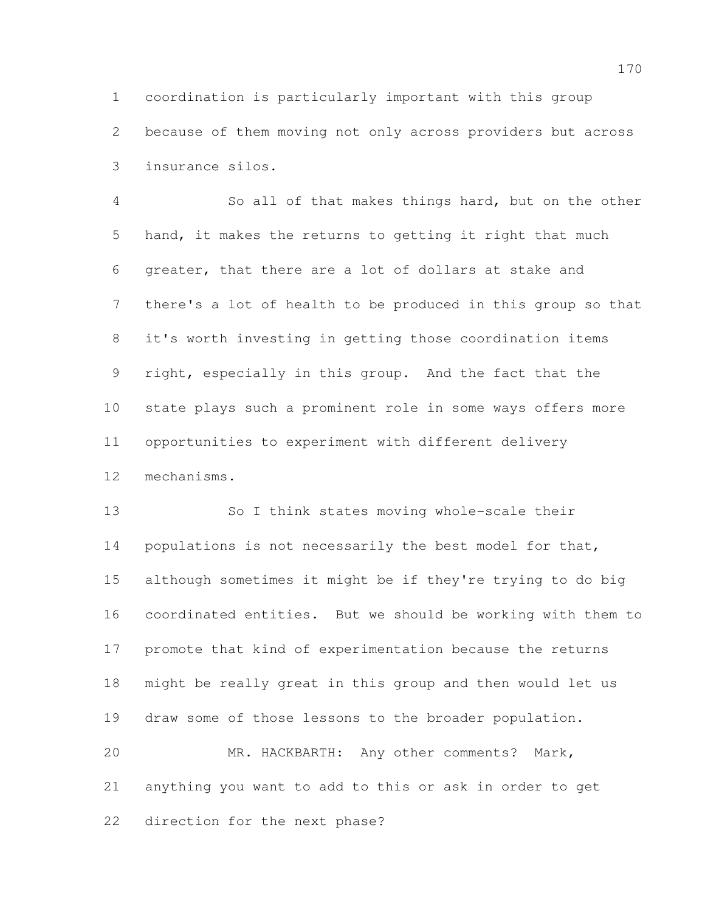coordination is particularly important with this group because of them moving not only across providers but across insurance silos.

 So all of that makes things hard, but on the other hand, it makes the returns to getting it right that much greater, that there are a lot of dollars at stake and there's a lot of health to be produced in this group so that it's worth investing in getting those coordination items right, especially in this group. And the fact that the state plays such a prominent role in some ways offers more opportunities to experiment with different delivery mechanisms.

 So I think states moving whole-scale their 14 populations is not necessarily the best model for that, although sometimes it might be if they're trying to do big coordinated entities. But we should be working with them to promote that kind of experimentation because the returns might be really great in this group and then would let us draw some of those lessons to the broader population. MR. HACKBARTH: Any other comments? Mark, anything you want to add to this or ask in order to get

direction for the next phase?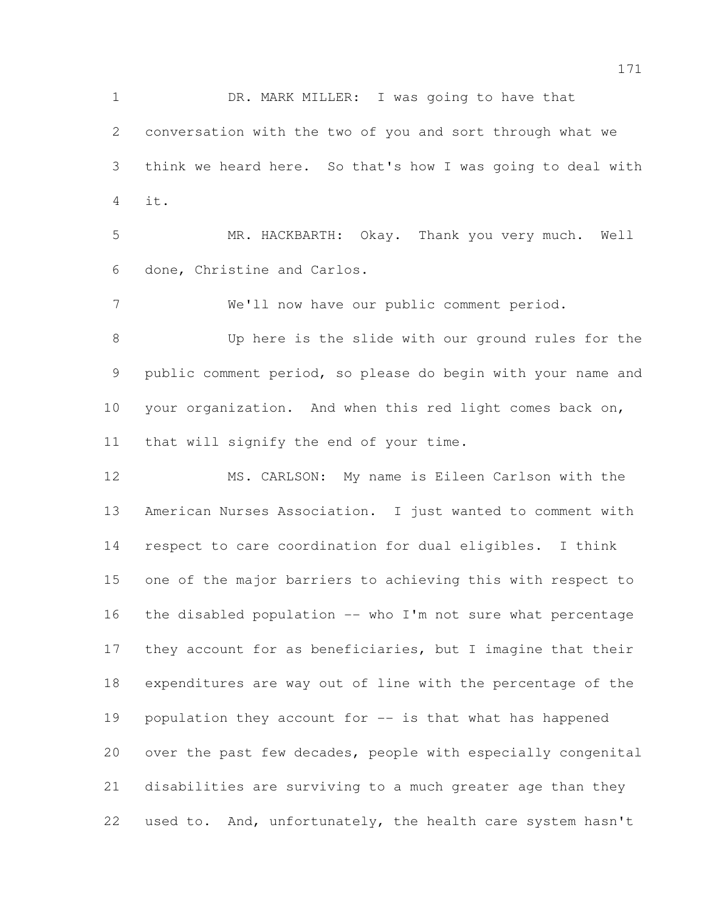DR. MARK MILLER: I was going to have that conversation with the two of you and sort through what we think we heard here. So that's how I was going to deal with it.

 MR. HACKBARTH: Okay. Thank you very much. Well done, Christine and Carlos.

We'll now have our public comment period.

 Up here is the slide with our ground rules for the public comment period, so please do begin with your name and your organization. And when this red light comes back on, that will signify the end of your time.

 MS. CARLSON: My name is Eileen Carlson with the American Nurses Association. I just wanted to comment with respect to care coordination for dual eligibles. I think one of the major barriers to achieving this with respect to the disabled population -- who I'm not sure what percentage they account for as beneficiaries, but I imagine that their expenditures are way out of line with the percentage of the population they account for -- is that what has happened over the past few decades, people with especially congenital disabilities are surviving to a much greater age than they used to. And, unfortunately, the health care system hasn't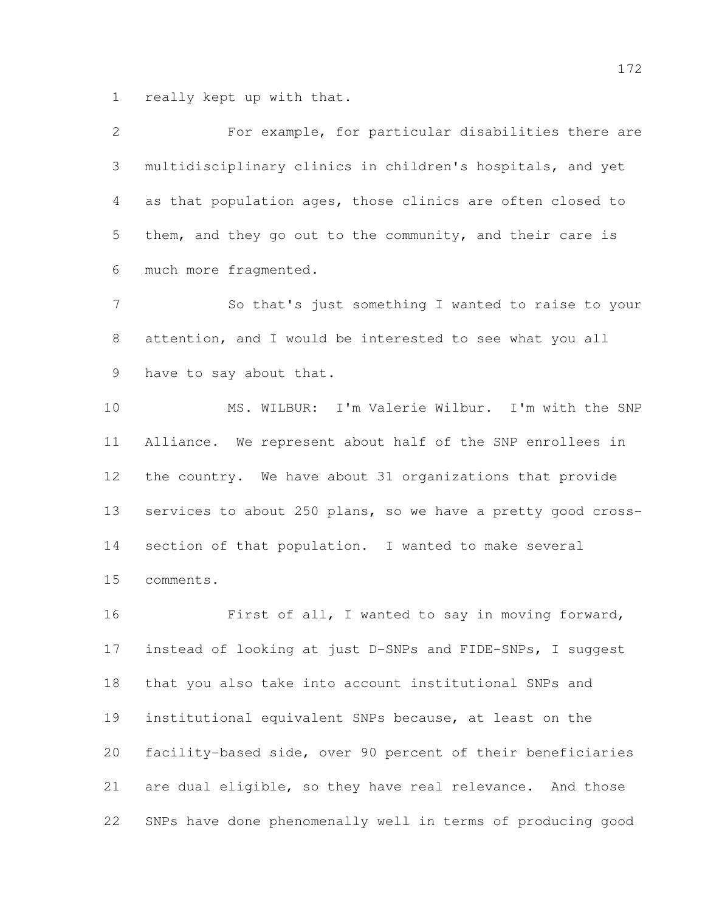really kept up with that.

 For example, for particular disabilities there are multidisciplinary clinics in children's hospitals, and yet as that population ages, those clinics are often closed to them, and they go out to the community, and their care is much more fragmented. So that's just something I wanted to raise to your attention, and I would be interested to see what you all have to say about that. MS. WILBUR: I'm Valerie Wilbur. I'm with the SNP Alliance. We represent about half of the SNP enrollees in

 the country. We have about 31 organizations that provide services to about 250 plans, so we have a pretty good cross- section of that population. I wanted to make several comments.

 First of all, I wanted to say in moving forward, instead of looking at just D-SNPs and FIDE-SNPs, I suggest that you also take into account institutional SNPs and institutional equivalent SNPs because, at least on the facility-based side, over 90 percent of their beneficiaries are dual eligible, so they have real relevance. And those SNPs have done phenomenally well in terms of producing good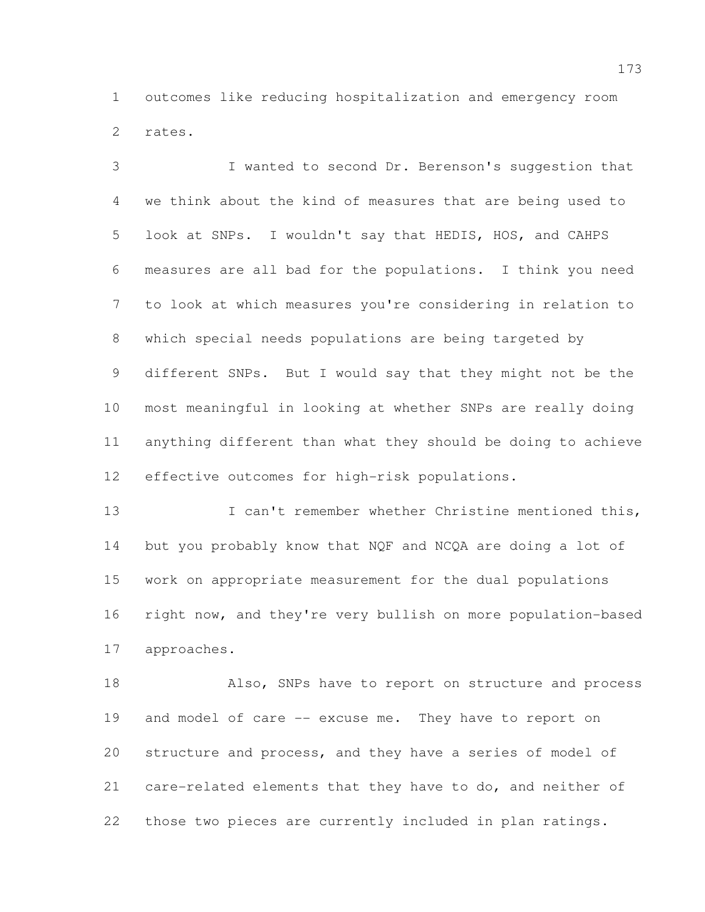outcomes like reducing hospitalization and emergency room rates.

 I wanted to second Dr. Berenson's suggestion that we think about the kind of measures that are being used to look at SNPs. I wouldn't say that HEDIS, HOS, and CAHPS measures are all bad for the populations. I think you need to look at which measures you're considering in relation to which special needs populations are being targeted by different SNPs. But I would say that they might not be the most meaningful in looking at whether SNPs are really doing anything different than what they should be doing to achieve effective outcomes for high-risk populations.

13 I can't remember whether Christine mentioned this, but you probably know that NQF and NCQA are doing a lot of work on appropriate measurement for the dual populations right now, and they're very bullish on more population-based approaches.

 Also, SNPs have to report on structure and process and model of care -- excuse me. They have to report on structure and process, and they have a series of model of care-related elements that they have to do, and neither of those two pieces are currently included in plan ratings.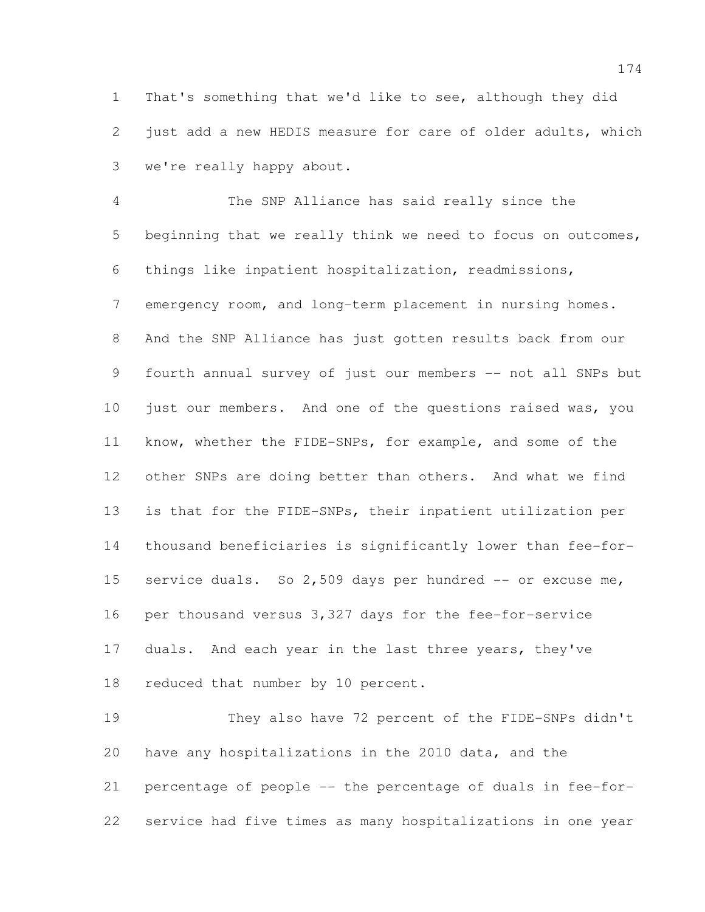That's something that we'd like to see, although they did just add a new HEDIS measure for care of older adults, which we're really happy about.

 The SNP Alliance has said really since the beginning that we really think we need to focus on outcomes, things like inpatient hospitalization, readmissions, emergency room, and long-term placement in nursing homes. And the SNP Alliance has just gotten results back from our 9 fourth annual survey of just our members -- not all SNPs but 10 just our members. And one of the questions raised was, you know, whether the FIDE-SNPs, for example, and some of the other SNPs are doing better than others. And what we find is that for the FIDE-SNPs, their inpatient utilization per thousand beneficiaries is significantly lower than fee-for-15 service duals. So 2,509 days per hundred -- or excuse me, per thousand versus 3,327 days for the fee-for-service 17 duals. And each year in the last three years, they've 18 reduced that number by 10 percent.

 They also have 72 percent of the FIDE-SNPs didn't have any hospitalizations in the 2010 data, and the percentage of people -- the percentage of duals in fee-for-service had five times as many hospitalizations in one year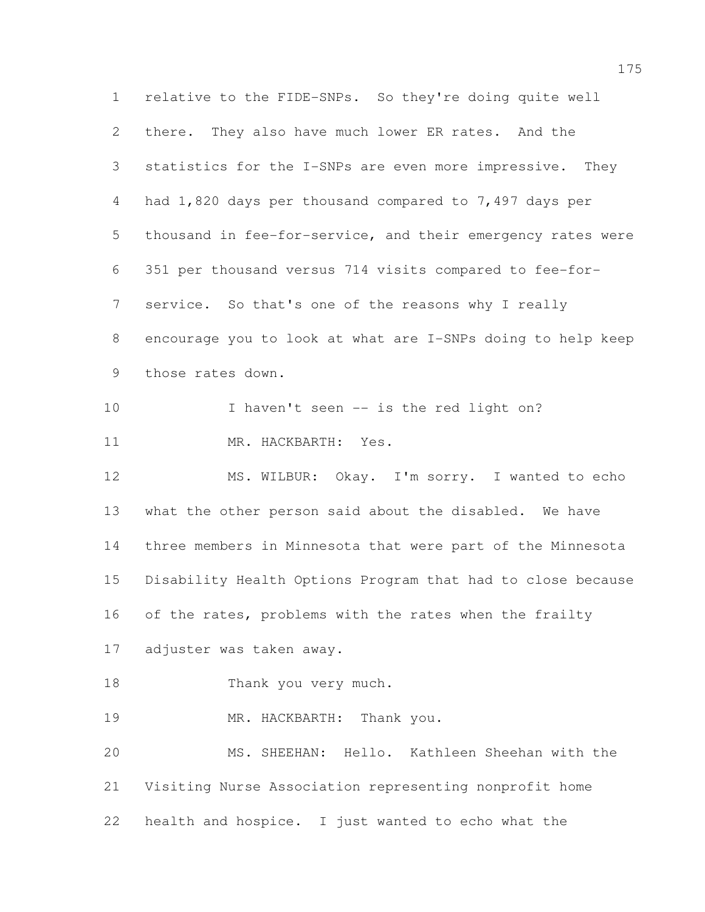relative to the FIDE-SNPs. So they're doing quite well there. They also have much lower ER rates. And the statistics for the I-SNPs are even more impressive. They had 1,820 days per thousand compared to 7,497 days per thousand in fee-for-service, and their emergency rates were 351 per thousand versus 714 visits compared to fee-for- service. So that's one of the reasons why I really encourage you to look at what are I-SNPs doing to help keep those rates down. 10 I haven't seen -- is the red light on? 11 MR. HACKBARTH: Yes. MS. WILBUR: Okay. I'm sorry. I wanted to echo what the other person said about the disabled. We have three members in Minnesota that were part of the Minnesota Disability Health Options Program that had to close because 16 of the rates, problems with the rates when the frailty adjuster was taken away. 18 Thank you very much. MR. HACKBARTH: Thank you. MS. SHEEHAN: Hello. Kathleen Sheehan with the Visiting Nurse Association representing nonprofit home health and hospice. I just wanted to echo what the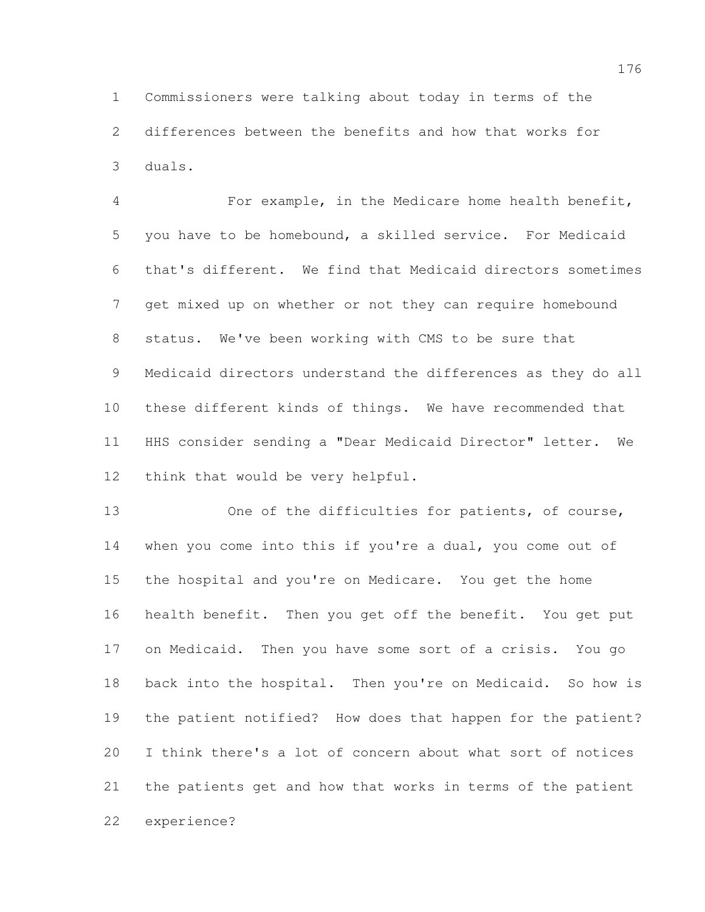Commissioners were talking about today in terms of the differences between the benefits and how that works for duals.

 For example, in the Medicare home health benefit, you have to be homebound, a skilled service. For Medicaid that's different. We find that Medicaid directors sometimes get mixed up on whether or not they can require homebound status. We've been working with CMS to be sure that Medicaid directors understand the differences as they do all these different kinds of things. We have recommended that HHS consider sending a "Dear Medicaid Director" letter. We think that would be very helpful.

13 One of the difficulties for patients, of course, when you come into this if you're a dual, you come out of the hospital and you're on Medicare. You get the home health benefit. Then you get off the benefit. You get put on Medicaid. Then you have some sort of a crisis. You go 18 back into the hospital. Then you're on Medicaid. So how is the patient notified? How does that happen for the patient? I think there's a lot of concern about what sort of notices the patients get and how that works in terms of the patient experience?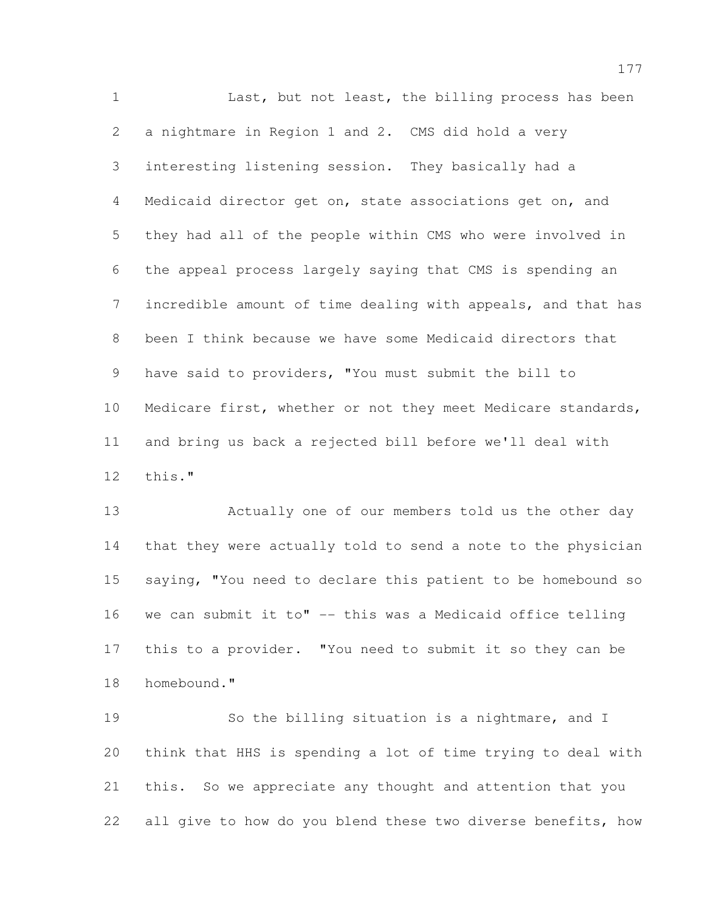1 Last, but not least, the billing process has been a nightmare in Region 1 and 2. CMS did hold a very interesting listening session. They basically had a Medicaid director get on, state associations get on, and they had all of the people within CMS who were involved in the appeal process largely saying that CMS is spending an incredible amount of time dealing with appeals, and that has been I think because we have some Medicaid directors that have said to providers, "You must submit the bill to Medicare first, whether or not they meet Medicare standards, and bring us back a rejected bill before we'll deal with this."

 Actually one of our members told us the other day that they were actually told to send a note to the physician saying, "You need to declare this patient to be homebound so we can submit it to" -- this was a Medicaid office telling this to a provider. "You need to submit it so they can be homebound."

 So the billing situation is a nightmare, and I think that HHS is spending a lot of time trying to deal with this. So we appreciate any thought and attention that you all give to how do you blend these two diverse benefits, how